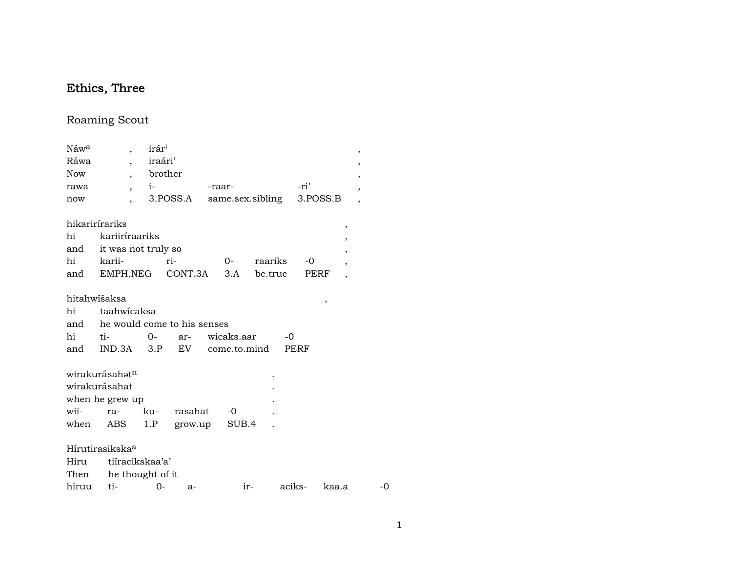# Ethics, Three

## Roaming Scout

| Náw <sup>a</sup> | $\overline{\phantom{a}}$        | irár <sup>i</sup>                      |                   |                                                       |         |        | ,                        |
|------------------|---------------------------------|----------------------------------------|-------------------|-------------------------------------------------------|---------|--------|--------------------------|
| Ráwa             | $\overline{\phantom{a}}$        | iraári'                                |                   |                                                       |         |        | ,                        |
| <b>Now</b>       |                                 | brother                                |                   |                                                       |         |        | ,                        |
| rawa             | $\overline{ }$ ,                | $\mathbf{i}$ $\mathbf{j}$ $\mathbf{k}$ |                   | -raar-                                                |         | -ri'   |                          |
| now              |                                 |                                        | 3.POSS.A          | same.sex.sibling 3.POSS.B<br>$\overline{\phantom{a}}$ |         |        |                          |
|                  | hikarirírariks                  |                                        |                   |                                                       |         |        | ,                        |
| hi               | kariiríraariks                  |                                        |                   |                                                       |         |        | ,                        |
|                  | and it was not truly so         |                                        |                   |                                                       |         |        | ,                        |
|                  | hi karii-                       |                                        | ri-               | $0-$                                                  | raariks | $-0$   | $\overline{\phantom{a}}$ |
|                  | and EMPH.NEG CONT.3A            |                                        |                   | 3.A                                                   | be.true | PERF   | $\overline{ }$           |
|                  | hitahwišaksa                    |                                        |                   |                                                       |         | ,      |                          |
| hi               | taahwicaksa                     |                                        |                   |                                                       |         |        |                          |
|                  | and he would come to his senses |                                        |                   |                                                       |         |        |                          |
| hi               | $t_{i-}$                        | $0-$                                   | ar- wicaks.aar    |                                                       | $-0$    |        |                          |
|                  | and IND.3A 3.P EV come.to.mind  |                                        |                   |                                                       |         | PERF   |                          |
|                  | wirakurásahət <sup>n</sup>      |                                        |                   |                                                       |         |        |                          |
|                  | wirakurásahat                   |                                        |                   |                                                       |         |        |                          |
|                  | when he grew up                 |                                        |                   |                                                       |         |        |                          |
| wii-             | ra-                             | ku-                                    |                   | rasahat -0                                            |         |        |                          |
| when             | ABS                             |                                        | 1.P grow.up SUB.4 |                                                       |         |        |                          |
|                  | Hírutirasikska <sup>a</sup>     |                                        |                   |                                                       |         |        |                          |
|                  | Hiru tiíracikskaa'a'            |                                        |                   |                                                       |         |        |                          |
|                  | Then he thought of it           |                                        |                   |                                                       |         |        |                          |
| hiruu            | ti-                             | $0-$                                   | $a-$              |                                                       | ir-     | aciks- | kaa.a                    |

 $\mbox{-}0$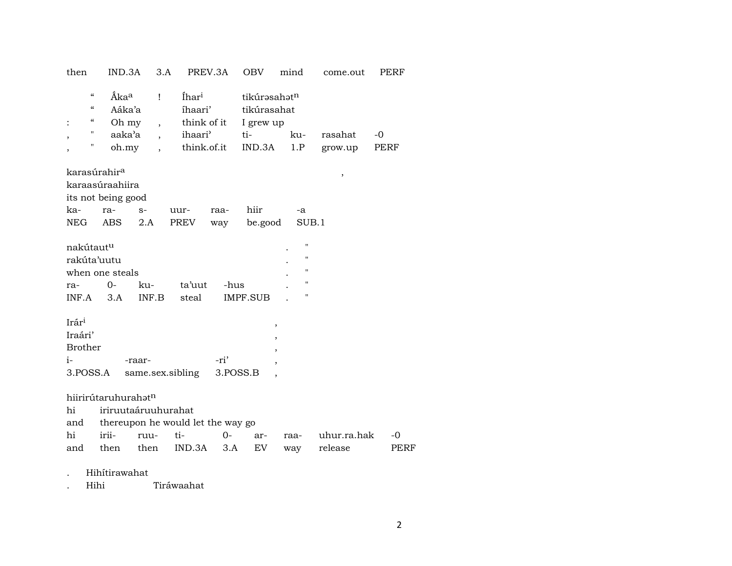| then                                                                                 | IND.3A                                                 | 3.A                                                   |                                                                       | PREV.3A  | <b>OBV</b>                                                            | mind           | come.out           | PERF         |
|--------------------------------------------------------------------------------------|--------------------------------------------------------|-------------------------------------------------------|-----------------------------------------------------------------------|----------|-----------------------------------------------------------------------|----------------|--------------------|--------------|
| $\epsilon$<br>$\boldsymbol{\zeta}\boldsymbol{\zeta}$<br>$\epsilon\epsilon$<br>Π<br>Π | Åka <sup>a</sup><br>Aáka'a<br>Oh my<br>aaka'a<br>oh.my | Ţ<br>$\overline{\phantom{a}}$<br>$\ddot{\phantom{0}}$ | Íhar <sup>i</sup><br>íhaari'<br>think of it<br>ihaari'<br>think.of.it |          | tikúrəsahət <sup>n</sup><br>tikúrasahat<br>I grew up<br>ti-<br>IND.3A | ku-<br>1.P     | rasahat<br>grow.up | $-0$<br>PERF |
| karasúrahir <sup>a</sup>                                                             |                                                        |                                                       |                                                                       |          |                                                                       |                |                    |              |
|                                                                                      | karaasúraahiira                                        |                                                       |                                                                       |          |                                                                       |                | $\,$               |              |
|                                                                                      | its not being good                                     |                                                       |                                                                       |          |                                                                       |                |                    |              |
| ka-                                                                                  | ra-                                                    | $S-$                                                  | uur-                                                                  | raa-     | hiir                                                                  | -a             |                    |              |
| NEG                                                                                  | ABS.                                                   | 2.A                                                   | PREV                                                                  | way      | be.good                                                               | SUB.1          |                    |              |
|                                                                                      |                                                        |                                                       |                                                                       |          |                                                                       |                |                    |              |
| nakútaut <sup>u</sup>                                                                |                                                        |                                                       |                                                                       |          |                                                                       | П              |                    |              |
| rakúta'uutu                                                                          |                                                        |                                                       |                                                                       |          |                                                                       | $\blacksquare$ |                    |              |
|                                                                                      | when one steals                                        |                                                       |                                                                       |          |                                                                       | Ħ              |                    |              |
| ra-                                                                                  | $O -$                                                  | ku-                                                   | ta'uut                                                                | -hus     |                                                                       | п              |                    |              |
| INF.A                                                                                | 3.A                                                    | INF.B                                                 | steal                                                                 |          | IMPF.SUB                                                              | п              |                    |              |
|                                                                                      |                                                        |                                                       |                                                                       |          |                                                                       |                |                    |              |
| Irár <sup>i</sup>                                                                    |                                                        |                                                       |                                                                       |          |                                                                       | $\, ,$         |                    |              |
| Iraári'                                                                              |                                                        |                                                       |                                                                       |          |                                                                       |                |                    |              |
| <b>Brother</b>                                                                       |                                                        |                                                       |                                                                       |          |                                                                       |                |                    |              |
| i-                                                                                   |                                                        | -raar-                                                |                                                                       | -ri'     |                                                                       |                |                    |              |
| 3.POSS.A                                                                             |                                                        |                                                       | same.sex.sibling                                                      | 3.POSS.B |                                                                       |                |                    |              |
|                                                                                      | hiirirútaruhurahatn                                    |                                                       |                                                                       |          |                                                                       |                |                    |              |
| hi                                                                                   |                                                        | iriruutaáruuhurahat                                   |                                                                       |          |                                                                       |                |                    |              |
| and                                                                                  |                                                        |                                                       | thereupon he would let the way go                                     |          |                                                                       |                |                    |              |
| hi                                                                                   | irii-                                                  | ruu-                                                  | ti-                                                                   | $0 -$    | ar-                                                                   | raa-           | uhur.ra.hak        | -0           |
| and                                                                                  | then                                                   | then                                                  | IND.3A                                                                | 3.A      | EV                                                                    | way            | release            | PERF         |
|                                                                                      |                                                        |                                                       |                                                                       |          |                                                                       |                |                    |              |

Hihítirawahat  $\bullet$ 

Tiráwaahat Hihi  $\cdot$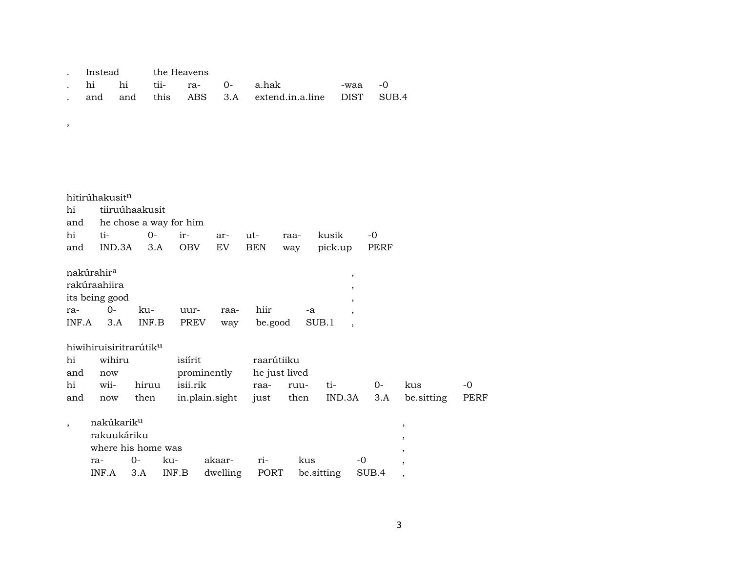| Instead<br>the Heavens |  |
|------------------------|--|
|------------------------|--|

|  |  | hi hi tii- ra- 0- a.hak . |                                                  | -waa -0 |  |
|--|--|---------------------------|--------------------------------------------------|---------|--|
|  |  |                           | and and this ABS 3.A extend.in.a.line DIST SUB.4 |         |  |

,

| hi<br>and<br>hi<br>and | hitirúhakusit <sup>n</sup><br>tiiruúhaakusit<br>ti-<br>IND.3A                      | $0-$<br>3.A         | he chose a way for him<br>ir-<br><b>OBV</b> | ar-<br>EV                            | ut-<br>BEN                          | raa-<br>way | kusik<br>pick.up                                                                               | $-0$<br>PERF |                                                                                  |            |
|------------------------|------------------------------------------------------------------------------------|---------------------|---------------------------------------------|--------------------------------------|-------------------------------------|-------------|------------------------------------------------------------------------------------------------|--------------|----------------------------------------------------------------------------------|------------|
| ra-<br>INF.A           | nakúrahir <sup>a</sup><br>rakúraahiira<br>its being good<br>$O -$<br>3.A           | ku-<br>INF.B        | uur-<br>PREV                                | raa-<br>way                          | hiir<br>be.good                     | -a          | $\, ,$<br>,<br>$\overline{\phantom{a}}$<br>$\overline{ }$<br>SUB.1<br>$\overline{\phantom{a}}$ |              |                                                                                  |            |
| hi<br>and<br>hi<br>and | hiwihiruisiritrarútik <sup>u</sup><br>wihiru<br>now<br>wii-                        | hiruu               | isiírit<br>isii.rik                         | prominently                          | raarútiiku<br>he just lived<br>raa- | ruu-        | ti-<br>IND.3A                                                                                  | $O -$<br>3.A | kus<br>be.sitting                                                                | -0<br>PERF |
| $\overline{ }$         | now<br>nakúkarik <sup>u</sup><br>rakuukáriku<br>where his home was<br>ra-<br>INF.A | then<br>$0-$<br>3.A | ku-<br>INF.B                                | in.plain.sight<br>akaar-<br>dwelling | just<br>ri-<br>PORT                 | then<br>kus | be.sitting                                                                                     | -0<br>SUB.4  | $^\mathrm{^{^\circ}}$<br>,<br>$^\mathrm{\texttt{,}}$<br>$\overline{\phantom{a}}$ |            |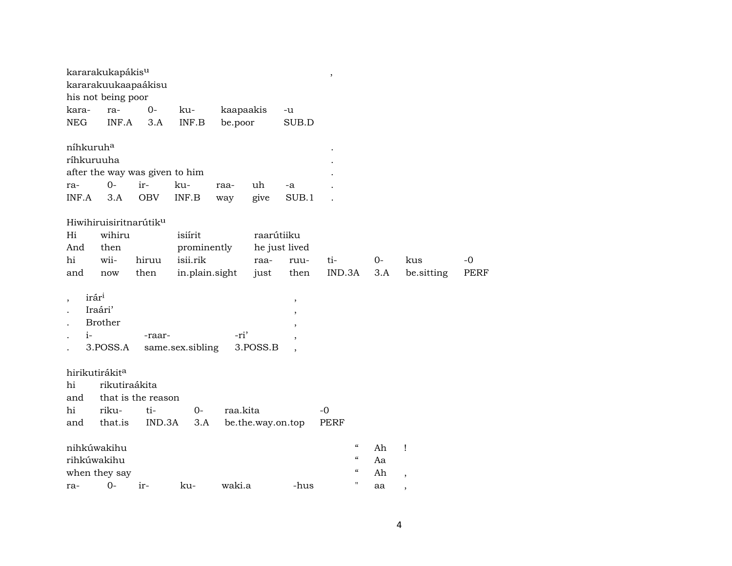|                       | kararakukapákis <sup>u</sup><br>kararakuukaapaákisu |                    |                                |           |                   |                          | $\, ,$                     |      |                          |      |
|-----------------------|-----------------------------------------------------|--------------------|--------------------------------|-----------|-------------------|--------------------------|----------------------------|------|--------------------------|------|
|                       | his not being poor                                  |                    |                                |           |                   |                          |                            |      |                          |      |
| kara-                 | ra-                                                 | $0-$               | ku-                            | kaapaakis |                   | -u                       |                            |      |                          |      |
| <b>NEG</b>            | INF.A                                               | 3.A                | INF.B                          | be.poor   |                   | SUB.D                    |                            |      |                          |      |
| níhkuruh <sup>a</sup> |                                                     |                    |                                |           |                   |                          |                            |      |                          |      |
| ríhkuruuha            |                                                     |                    |                                |           |                   |                          |                            |      |                          |      |
|                       |                                                     |                    | after the way was given to him |           |                   |                          |                            |      |                          |      |
| ra-                   | $0-$                                                | ir-                | ku-                            | raa-      | uh                | -a                       |                            |      |                          |      |
| INF.A                 | 3.A                                                 | <b>OBV</b>         | INF.B                          | way       | give              | SUB.1                    |                            |      |                          |      |
|                       | Hiwihiruisiritnarútiku                              |                    |                                |           |                   |                          |                            |      |                          |      |
| Hi                    | wihiru                                              |                    | isiírit                        |           | raarútiiku        |                          |                            |      |                          |      |
| And                   | then                                                |                    | prominently                    |           |                   | he just lived            |                            |      |                          |      |
| hi                    | wii-                                                | hiruu              | isii.rik                       |           | raa-              | ruu-                     | ti-                        | $0-$ | kus                      | $-0$ |
| and                   | now                                                 | then               | in.plain.sight                 |           | just              | then                     | IND.3A                     | 3.A  | be.sitting               | PERF |
| irár <sup>i</sup>     |                                                     |                    |                                |           |                   |                          |                            |      |                          |      |
|                       | Iraári'                                             |                    |                                |           |                   | ,                        |                            |      |                          |      |
|                       | <b>Brother</b>                                      |                    |                                |           |                   | $\overline{\phantom{a}}$ |                            |      |                          |      |
| $i-$                  |                                                     | -raar-             |                                | -ri'      |                   |                          |                            |      |                          |      |
|                       | 3.POSS.A                                            |                    | same.sex.sibling               |           | 3.POSS.B          |                          |                            |      |                          |      |
|                       |                                                     |                    |                                |           |                   |                          |                            |      |                          |      |
|                       | hirikutirákit <sup>a</sup>                          |                    |                                |           |                   |                          |                            |      |                          |      |
| hi                    | rikutiraákita                                       |                    |                                |           |                   |                          |                            |      |                          |      |
| and                   |                                                     | that is the reason |                                |           |                   |                          |                            |      |                          |      |
| hi                    | riku-                                               | ti-                | $0-$                           | raa.kita  |                   |                          | $-0$                       |      |                          |      |
| and                   | that.is                                             | IND.3A             | 3.A                            |           | be.the.way.on.top |                          | PERF                       |      |                          |      |
|                       | nihkúwakihu                                         |                    |                                |           |                   |                          | $\boldsymbol{\mathcal{C}}$ | Ah   | Ţ                        |      |
| rihkúwakihu           |                                                     |                    |                                |           |                   |                          | $\boldsymbol{\mathcal{C}}$ | Aa   |                          |      |
|                       | when they say                                       |                    |                                |           |                   |                          | $\epsilon\epsilon$         | Ah   | $\overline{\phantom{a}}$ |      |
| ra-                   | $O -$                                               | ir-                | ku-                            | waki.a    |                   | -hus                     | П                          | aa   | ,                        |      |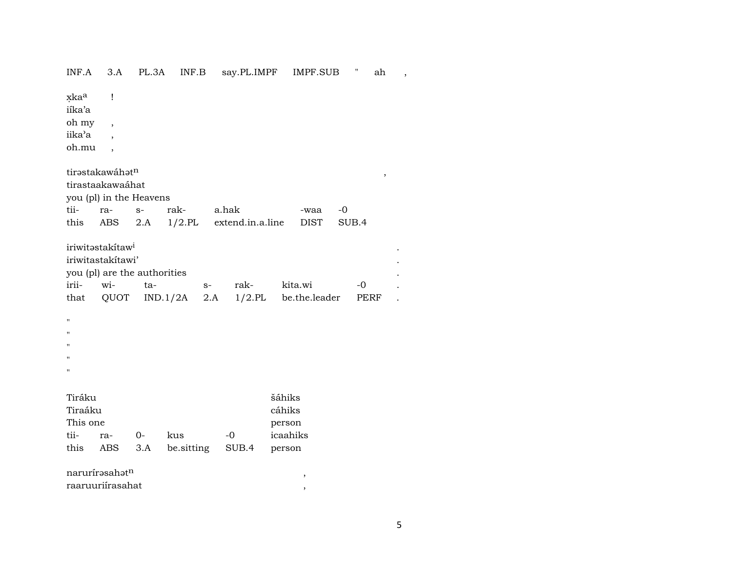| xkaa<br>Ţ<br>iíka'a                                                               |  |
|-----------------------------------------------------------------------------------|--|
| oh my<br>$\overline{\phantom{a}}$                                                 |  |
| iika'a                                                                            |  |
| oh.mu<br>$\overline{\phantom{a}}$                                                 |  |
| tirastakawáhatn<br>$\, ,$                                                         |  |
| tirastaakawaáhat<br>you (pl) in the Heavens                                       |  |
| rak-<br>tii-<br>a.hak<br>ra-<br>$-0$<br>$S-$<br>-waa                              |  |
| $1/2$ .PL<br>extend.in.a.line<br>SUB.4<br>this<br>ABS<br>2.A<br><b>DIST</b>       |  |
| iriwitastakítaw <sup>i</sup><br>iriwitastakítawi'<br>you (pl) are the authorities |  |
| irii-<br>wi-<br>rak-<br>kita.wi<br>$-0$<br>ta-<br>$S-$                            |  |
| 1/2.PL be.the.leader<br>QUOT<br>IND.1/2A<br>that<br>2.A<br>PERF                   |  |
|                                                                                   |  |
| $\pmb{\mathsf{H}}$<br>11                                                          |  |
| Ħ                                                                                 |  |
| $^{\prime}$                                                                       |  |
| П                                                                                 |  |
|                                                                                   |  |
| šáhiks<br>Tiráku<br>Tiraáku<br>cáhiks<br>This one<br>person                       |  |
|                                                                                   |  |
| kus<br>icaahiks<br>tii-<br>$0-$<br>$-0$<br>ra-                                    |  |
| this<br>be.sitting<br>ABS<br>3.A<br>SUB.4<br>person                               |  |
| narurírasahatn<br>$\, ,$                                                          |  |

INF.A  $3A$  PL.3A INF.B say.PL.IMPF IMPF.SUB " ah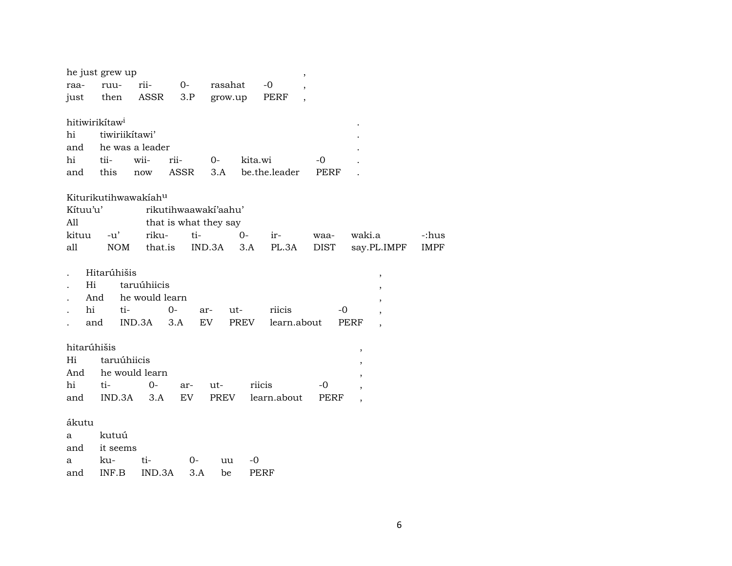|             | he just grew up            |                |                       |        |            |               | $\, ,$                   |             |        |                          |             |
|-------------|----------------------------|----------------|-----------------------|--------|------------|---------------|--------------------------|-------------|--------|--------------------------|-------------|
| raa-        | ruu-                       | rii-           | $0-$                  |        | rasahat    | $-0$          | $\overline{\phantom{a}}$ |             |        |                          |             |
| just        | then                       | ASSR           | 3.P                   |        | grow.up    | PERF          |                          |             |        |                          |             |
|             |                            |                |                       |        |            |               |                          |             |        |                          |             |
|             | hitiwirikitaw <sup>i</sup> |                |                       |        |            |               |                          |             |        |                          |             |
| hi          | tiwiriikitawi'             |                |                       |        |            |               |                          |             |        |                          |             |
| and         | he was a leader            |                |                       |        |            |               |                          |             |        |                          |             |
| hi          | tii-                       | wii-           | rii-                  | $0-$   |            | kita.wi       |                          | -0          |        |                          |             |
| and         | this                       | now            | ASSR                  | 3.A    |            | be.the.leader |                          | PERF        |        |                          |             |
|             | Kiturikutihwawakiahu       |                |                       |        |            |               |                          |             |        |                          |             |
| Kítuu'u'    |                            |                | rikutihwaawaki'aahu'  |        |            |               |                          |             |        |                          |             |
| All         |                            |                | that is what they say |        |            |               |                          |             |        |                          |             |
| kituu       | $-u'$                      | riku-          | ti-                   |        | $0-$       | ir-           |                          | waa-        | waki.a |                          | -:hus       |
| all         | <b>NOM</b>                 |                | that.is               | IND.3A | 3.A        | PL.3A         |                          | DIST        |        | say.PL.IMPF              | <b>IMPF</b> |
|             |                            |                |                       |        |            |               |                          |             |        |                          |             |
|             | Hitarúhišis                |                |                       |        |            |               |                          |             |        | $\overline{\phantom{a}}$ |             |
| Hi          |                            | taruúhiicis    |                       |        |            |               |                          |             |        |                          |             |
| And         |                            | he would learn |                       |        |            |               |                          |             |        |                          |             |
| hi          | ti-                        |                | 0-                    | ar-    | ut-        | riicis        |                          | -0          |        | $\overline{\phantom{a}}$ |             |
|             | and                        | IND.3A         | 3.A                   | EV     | PREV       | learn.about   |                          |             | PERF   |                          |             |
|             |                            |                |                       |        |            |               |                          |             |        |                          |             |
| hitarúhišis |                            |                |                       |        |            |               |                          |             | $\,$   |                          |             |
| Hi          | taruúhiicis                |                |                       |        |            |               |                          |             |        |                          |             |
| And         | he would learn             |                |                       |        |            |               |                          |             |        |                          |             |
| hi          | ti-                        | $0 -$          | ar-                   | ut-    |            | riicis        |                          | -0          |        |                          |             |
| and         | IND.3A                     | 3.A            | EV                    | PREV   |            | learn.about   |                          | <b>PERF</b> |        |                          |             |
|             |                            |                |                       |        |            |               |                          |             |        |                          |             |
| ákutu       |                            |                |                       |        |            |               |                          |             |        |                          |             |
| a           | kutuú                      |                |                       |        |            |               |                          |             |        |                          |             |
| and         | it seems                   |                |                       |        |            |               |                          |             |        |                          |             |
| a           | ku-                        | ti-            | $0-$                  |        | $-0$<br>uu |               |                          |             |        |                          |             |
| and         | INF.B                      | IND.3A         |                       | 3.A    | be         | PERF          |                          |             |        |                          |             |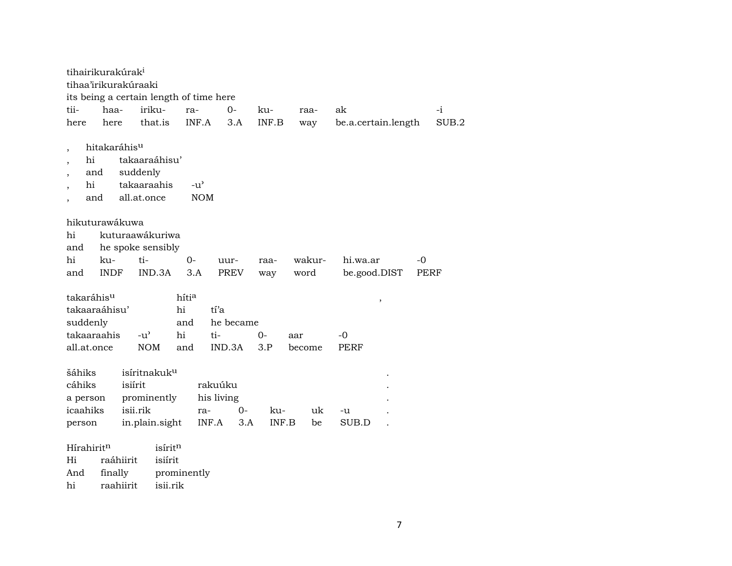| tihairikurakúrak <sup>i</sup>                                                     |                                                          |                                 |                                    |              |               |                      |      |             |
|-----------------------------------------------------------------------------------|----------------------------------------------------------|---------------------------------|------------------------------------|--------------|---------------|----------------------|------|-------------|
| tihaa'irikurakúraaki                                                              |                                                          |                                 |                                    |              |               |                      |      |             |
| its being a certain length of time here                                           |                                                          |                                 |                                    |              |               |                      |      |             |
| tii-<br>haa-                                                                      | iriku-                                                   | ra-                             | $0-$                               | ku-          | raa-          | ak                   |      | $-i$        |
| here<br>here                                                                      | that.is                                                  | INF.A                           | 3.A                                | INF.B        | way           | be.a.certain.length  |      | SUB.2       |
| hitakaráhis <sup>u</sup><br>hi<br>and<br>hi<br>and                                | takaaraáhisu'<br>suddenly<br>takaaraahis<br>all.at.once  | $-u^{\prime}$<br><b>NOM</b>     |                                    |              |               |                      |      |             |
| hikuturawákuwa<br>hi<br>and                                                       | kuturaawákuriwa<br>he spoke sensibly                     |                                 |                                    |              |               |                      |      |             |
| hi<br>ku-                                                                         | ti-                                                      | $0-$                            | uur-                               | raa-         | wakur-        | hi.wa.ar             | $-0$ |             |
| <b>INDF</b><br>and                                                                | IND.3A                                                   | 3.A                             | PREV                               | way          | word          | be.good.DIST         |      | <b>PERF</b> |
| takaráhis <sup>u</sup><br>takaaraáhisu'<br>suddenly<br>takaaraahis<br>all.at.once | $-u^{\prime}$<br><b>NOM</b>                              | hítia<br>hi<br>and<br>hi<br>and | tí'a<br>he became<br>ti-<br>IND.3A | $O -$<br>3.P | aar<br>become | $\, ,$<br>-0<br>PERF |      |             |
| šáhiks                                                                            | isíritnakuk <sup>u</sup>                                 |                                 |                                    |              |               |                      |      |             |
| cáhiks                                                                            | isiírit                                                  |                                 | rakuúku                            |              |               |                      |      |             |
| a person                                                                          | prominently                                              |                                 | his living                         |              |               |                      |      |             |
| icaahiks                                                                          | isii.rik                                                 | ra-                             | $0-$                               | ku-          | uk            | -u                   |      |             |
| person                                                                            | in.plain.sight                                           | INF.A                           | 3.A                                | INF.B        | be            | SUB.D                |      |             |
| Hírahirit <sup>n</sup><br>Hi<br>And<br>finally<br>hi                              | isíritn<br>isiírit<br>raáhiirit<br>raahiirit<br>isii.rik | prominently                     |                                    |              |               |                      |      |             |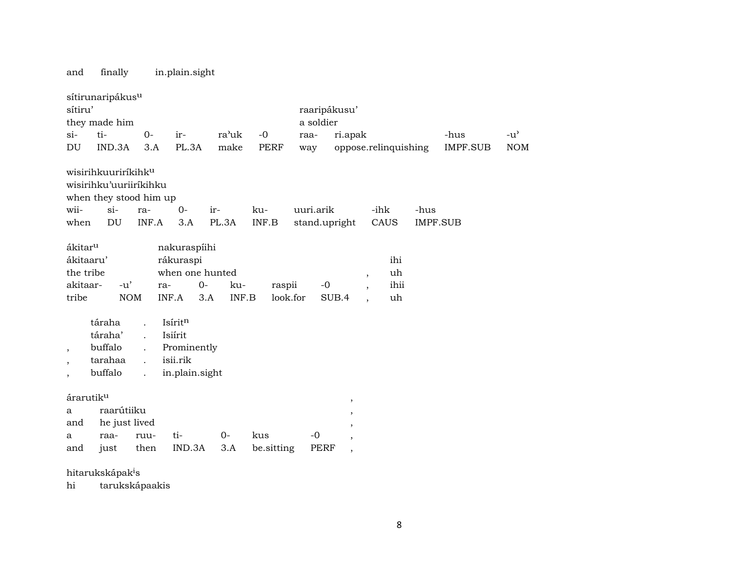and finally in.plain.sight

|                                                                    | sítirunaripákus <sup>u</sup>                                                                       |                                                                                                                      |                                                                      |              |                    |                            |                                                   |                                                                                       |      |                 |               |
|--------------------------------------------------------------------|----------------------------------------------------------------------------------------------------|----------------------------------------------------------------------------------------------------------------------|----------------------------------------------------------------------|--------------|--------------------|----------------------------|---------------------------------------------------|---------------------------------------------------------------------------------------|------|-----------------|---------------|
| sítiru'                                                            |                                                                                                    |                                                                                                                      |                                                                      |              |                    | raaripákusu'               |                                                   |                                                                                       |      |                 |               |
|                                                                    | they made him                                                                                      |                                                                                                                      |                                                                      |              |                    | a soldier                  |                                                   |                                                                                       |      |                 |               |
| $si-$                                                              | ti-                                                                                                | $O -$                                                                                                                | $ir-$                                                                | ra'uk        | $-0$               | raa-                       | ri.apak                                           |                                                                                       |      | -hus            | $-u^{\prime}$ |
| DU                                                                 | IND.3A                                                                                             | 3.A                                                                                                                  | PL.3A                                                                | make         | <b>PERF</b>        | way                        |                                                   | oppose.relinquishing                                                                  |      | <b>IMPF.SUB</b> | <b>NOM</b>    |
| wii-<br>when                                                       | wisirihkuuriríkihk <sup>u</sup><br>wisirihku'uuriiríkihku<br>when they stood him up<br>$si-$<br>DU | ra-<br>INF.A                                                                                                         | $O -$<br>3.A                                                         | ir-<br>PL.3A | ku-<br>INF.B       | uuri.arik<br>stand.upright |                                                   | -ihk<br>CAUS                                                                          | -hus | <b>IMPF.SUB</b> |               |
| ákitar <sup>u</sup><br>ákitaaru'<br>the tribe<br>akitaar-<br>tribe | $-u'$                                                                                              | ra-<br><b>NOM</b>                                                                                                    | nakuraspíihi<br>rákuraspi<br>when one hunted<br>$0-$<br>INF.A<br>3.A | ku-<br>INF.B | raspii<br>look.for | $-0$                       | SUB.4                                             | ihi<br>uh<br>$\, ,$<br>ihii<br>$\overline{\phantom{a}}$<br>uh<br>$\ddot{\phantom{0}}$ |      |                 |               |
| $\cdot$<br>$\overline{\phantom{a}}$                                | táraha<br>táraha'<br>buffalo<br>tarahaa<br>buffalo                                                 | $\ddot{\phantom{a}}$<br>$\ddot{\phantom{a}}$<br>$\ddot{\phantom{a}}$<br>$\ddot{\phantom{a}}$<br>$\ddot{\phantom{a}}$ | Isíritn<br>Isiírit<br>Prominently<br>isii.rik<br>in.plain.sight      |              |                    |                            |                                                   |                                                                                       |      |                 |               |
| árarutiku<br>a<br>and<br>a                                         | raarútiiku<br>he just lived<br>raa-                                                                | ruu-                                                                                                                 | ti-                                                                  | $0-$         | kus                | $-0$                       | $\, ,$<br>,<br>$\, ,$<br>$\overline{\phantom{a}}$ |                                                                                       |      |                 |               |
| and                                                                | just                                                                                               | then                                                                                                                 | IND.3A                                                               | 3.A          | be.sitting         | <b>PERF</b>                | $\overline{\phantom{a}}$                          |                                                                                       |      |                 |               |
|                                                                    | hitarukskápak <sup>i</sup> s                                                                       |                                                                                                                      |                                                                      |              |                    |                            |                                                   |                                                                                       |      |                 |               |

hi tarukskápaakis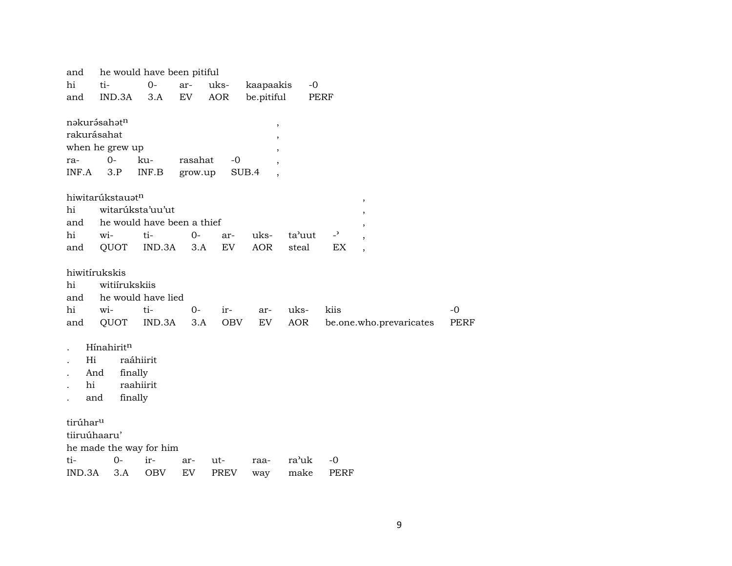| and                  |                         | he would have been pitiful |         |             |            |                    |                |                         |      |
|----------------------|-------------------------|----------------------------|---------|-------------|------------|--------------------|----------------|-------------------------|------|
| hi                   | ti-                     | $0-$                       | ar-     | uks-        | kaapaakis  | $-0$               |                |                         |      |
| and                  | IND.3A                  | 3.A                        | EV      | <b>AOR</b>  | be.pitiful |                    | PERF           |                         |      |
|                      |                         |                            |         |             |            |                    |                |                         |      |
|                      | nakurásahatn            |                            |         |             | ,          |                    |                |                         |      |
| rakurásahat          |                         |                            |         |             | ,          |                    |                |                         |      |
|                      | when he grew up         |                            |         |             |            |                    |                |                         |      |
| ra-                  | $0-$                    | ku-                        | rasahat | $-0$        |            |                    |                |                         |      |
| INF.A                | 3.P                     | INF.B                      | grow.up |             | SUB.4      |                    |                |                         |      |
|                      |                         |                            |         |             |            |                    |                |                         |      |
|                      | hiwitarúkstauatn        |                            |         |             |            |                    |                |                         |      |
| hi                   | witarúksta'uu'ut        |                            |         |             |            |                    |                | $\, ,$                  |      |
| and                  |                         | he would have been a thief |         |             |            |                    |                | ,                       |      |
| hi                   | wi-                     | ti-                        | $0-$    | ar-         | uks-       | ta'uut             | $\overline{a}$ |                         |      |
| and                  | QUOT                    | IND.3A                     | 3.A     | EV          | <b>AOR</b> | steal              | EX             |                         |      |
|                      |                         |                            |         |             |            |                    |                |                         |      |
|                      | hiwitírukskis           |                            |         |             |            |                    |                |                         |      |
|                      | witiírukskiis           |                            |         |             |            |                    |                |                         |      |
| hi                   |                         |                            |         |             |            |                    |                |                         |      |
| and                  |                         | he would have lied         |         |             |            |                    |                |                         |      |
| hi                   | wi-                     | ti-                        | $0-$    | $ir-$       | ar-        | uks-               | kiis           |                         | $-0$ |
| and                  | QUOT                    | IND.3A                     | 3.A     | OBV         | EV         | AOR                |                | be.one.who.prevaricates | PERF |
|                      |                         |                            |         |             |            |                    |                |                         |      |
|                      | Hínahiritn              |                            |         |             |            |                    |                |                         |      |
| Hi                   |                         | raáhiirit                  |         |             |            |                    |                |                         |      |
| And                  | finally                 |                            |         |             |            |                    |                |                         |      |
| hi                   |                         | raahiirit                  |         |             |            |                    |                |                         |      |
| and                  | finally                 |                            |         |             |            |                    |                |                         |      |
|                      |                         |                            |         |             |            |                    |                |                         |      |
| tirúhar <sup>u</sup> |                         |                            |         |             |            |                    |                |                         |      |
| tiiruúhaaru'         |                         |                            |         |             |            |                    |                |                         |      |
|                      | he made the way for him |                            |         |             |            |                    |                |                         |      |
| ti-                  | $0-$                    | ir-                        | ar-     | ut-         | raa-       | ra <sup>3</sup> uk | $-0$           |                         |      |
| IND.3A               | 3.A                     | <b>OBV</b>                 | EV      | <b>PREV</b> | way        | make               | <b>PERF</b>    |                         |      |
|                      |                         |                            |         |             |            |                    |                |                         |      |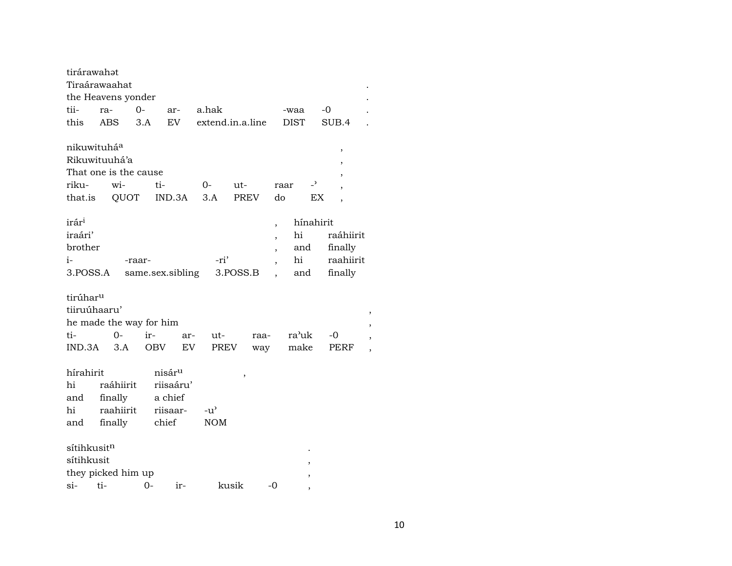| tirárawahat<br>Tiraárawaahat<br>the Heavens yonder                        |            |                      |            |                                            |                  |          |             |                               |                                     |                                |                                                                 |
|---------------------------------------------------------------------------|------------|----------------------|------------|--------------------------------------------|------------------|----------|-------------|-------------------------------|-------------------------------------|--------------------------------|-----------------------------------------------------------------|
| tii-                                                                      | ra-        | $O -$                |            | ar-                                        | a.hak            |          |             |                               | -waa                                |                                | -0                                                              |
| this                                                                      | <b>ABS</b> |                      | 3.A        | EV                                         | extend.in.a.line |          |             |                               | <b>DIST</b>                         |                                | SUB.4                                                           |
| nikuwituháa<br>Rikuwituuhá'a<br>That one is the cause<br>riku-<br>that.is |            | wi-                  | ti-        | QUOT IND.3A                                | 0-<br>3.A        | ut-      | <b>PREV</b> | raar<br>do                    |                                     | $\overline{\phantom{0}}$<br>ЕX | $\,$<br>$\,$<br>,<br>$\overline{ }$<br>$\overline{\phantom{a}}$ |
| irár <sup>i</sup><br>iraári'<br>brother<br>i-<br>3.POSS.A                 |            | -raar-               |            | same.sex.sibling                           | -ri'             | 3.POSS.B |             | $\overline{\phantom{a}}$<br>, | hínahirit<br>hi<br>and<br>hi<br>and |                                | raáhiirit<br>finally<br>raahiirit<br>finally                    |
| tirúhar <sup>u</sup><br>tiiruúhaaru'                                      |            |                      |            |                                            |                  |          |             |                               |                                     |                                |                                                                 |
| he made the way for him                                                   |            |                      |            |                                            |                  |          |             |                               |                                     |                                |                                                                 |
| ti-                                                                       |            | $O -$                | ir-        | ar-                                        | ut-              |          | raa-        |                               | ra'uk                               |                                | -0                                                              |
| IND.3A                                                                    |            | 3.A                  | <b>OBV</b> | EV                                         |                  | PREV     | way         |                               | make                                |                                | PERF                                                            |
| hírahirit<br>hi<br>and                                                    |            | raáhiirit<br>finally |            | nisár <sup>u</sup><br>riisaáru'<br>a chief |                  | $\,$     |             |                               |                                     |                                |                                                                 |
| hi                                                                        |            | raahiirit            |            | riisaar-                                   | $-u^{\prime}$    |          |             |                               |                                     |                                |                                                                 |
| and                                                                       |            | finally              |            | chief                                      | <b>NOM</b>       |          |             |                               |                                     |                                |                                                                 |
| sítihkusit <sup>n</sup><br>sítihkusit<br>they picked him up<br>si-        | ti-        |                      | $0 -$      | ir-                                        |                  | kusik    |             | $-0$                          |                                     |                                |                                                                 |
|                                                                           |            |                      |            |                                            |                  |          |             |                               |                                     |                                |                                                                 |

 $\ddot{\phantom{a}}$ 

 $\cdot$  $\ddot{\phantom{a}}$ 

> $\,$  $\overline{\phantom{a}}$  $\,$  ,  $\,$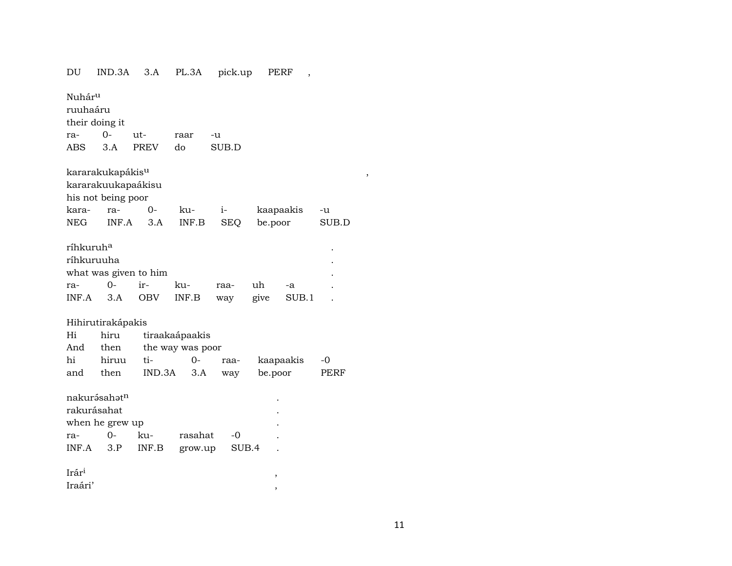| DU                    | IND.3A                       | 3.A         | PL.3A            | pick.up    | PERF          | ,     |        |
|-----------------------|------------------------------|-------------|------------------|------------|---------------|-------|--------|
| Nuhár <sup>u</sup>    |                              |             |                  |            |               |       |        |
| ruuhaáru              |                              |             |                  |            |               |       |        |
|                       | their doing it               |             |                  |            |               |       |        |
| ra-                   | $0-$                         | ut-         | raar             | -u         |               |       |        |
| <b>ABS</b>            | 3.A                          | <b>PREV</b> | do               | SUB.D      |               |       |        |
|                       | kararakukapákis <sup>u</sup> |             |                  |            |               |       | $\, ,$ |
|                       | kararakuukapaákisu           |             |                  |            |               |       |        |
|                       | his not being poor           |             |                  |            |               |       |        |
| kara-                 | ra-                          | $O -$       | ku-              | $i-$       | kaapaakis     |       | -u     |
| <b>NEG</b>            | INF.A                        | 3.A         | INF.B            | <b>SEQ</b> | be.poor       |       | SUB.D  |
| ríhkuruh <sup>a</sup> |                              |             |                  |            |               |       |        |
| ríhkuruuha            |                              |             |                  |            |               |       |        |
|                       | what was given to him        |             |                  |            |               |       |        |
| ra-                   | $0-$                         | ir-         | ku-              | raa-       | uh            | -a    |        |
| INF.A                 | 3.A                          | OBV         | INF.B            | way        | give          | SUB.1 |        |
|                       | Hihirutirakápakis            |             |                  |            |               |       |        |
| Hi                    | hiru                         |             | tiraakaápaakis   |            |               |       |        |
| And                   | then                         |             | the way was poor |            |               |       |        |
| hi                    | hiruu                        | ti-         | $0-$             | raa-       | kaapaakis     |       | -0     |
| and                   | then                         | IND.3A      | 3.A              | way        | be.poor       |       | PERF   |
|                       | nakurásahatn                 |             |                  |            |               |       |        |
| rakurásahat           |                              |             |                  |            |               |       |        |
|                       | when he grew up              |             |                  |            |               |       |        |
| ra-                   | $0-$                         | ku-         | rasahat          | -0         |               |       |        |
| INF.A                 | 3.P                          | INF.B       | grow.up          | SUB.4      |               |       |        |
| Irár <sup>i</sup>     |                              |             |                  |            | $\, ,$        |       |        |
| Iraári'               |                              |             |                  |            | $^\mathrm{,}$ |       |        |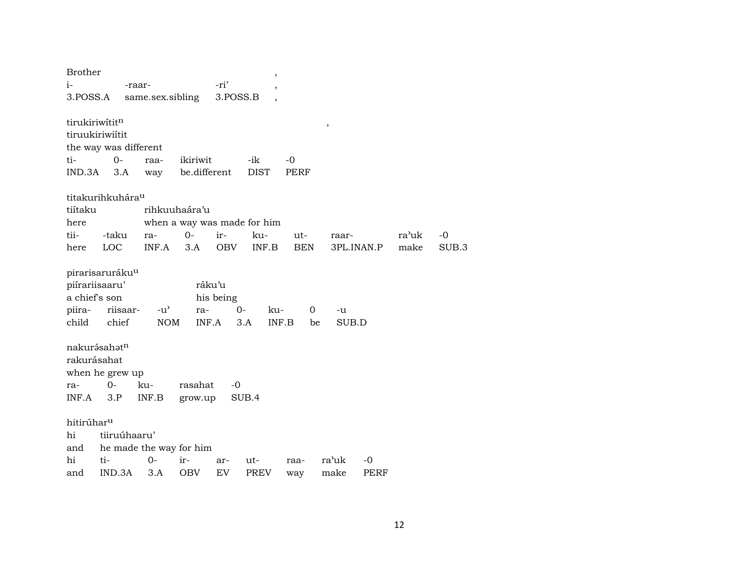| <b>Brother</b>         |                              |                         |               |           | $\, ,$                      |             |               |      |       |       |
|------------------------|------------------------------|-------------------------|---------------|-----------|-----------------------------|-------------|---------------|------|-------|-------|
| $i-$                   |                              | -raar-                  |               | -ri'      | $\overline{\phantom{a}}$    |             |               |      |       |       |
| 3.POSS.A               |                              | same.sex.sibling        |               | 3.POSS.B  |                             |             |               |      |       |       |
|                        |                              |                         |               |           |                             |             |               |      |       |       |
| tirukiriwititn         |                              |                         |               |           |                             |             | $^\mathrm{,}$ |      |       |       |
|                        | tiruukiriwiítit              |                         |               |           |                             |             |               |      |       |       |
|                        | the way was different        |                         |               |           |                             |             |               |      |       |       |
| ti-                    | $0-$                         | raa-                    | ikiriwit      |           | -ik                         | $-0$        |               |      |       |       |
| IND.3A                 | 3.A                          | way                     | be.different  |           | <b>DIST</b>                 | <b>PERF</b> |               |      |       |       |
|                        |                              |                         |               |           |                             |             |               |      |       |       |
|                        | titakurihkuhára <sup>u</sup> |                         |               |           |                             |             |               |      |       |       |
| tiítaku                |                              |                         | rihkuuhaára'u |           |                             |             |               |      |       |       |
| here                   |                              |                         |               |           | when a way was made for him |             |               |      |       |       |
| tii-                   | -taku                        | ra-                     | $0-$          | ir-       | ku-                         | ut-         | raar-         |      | ra'uk | -0    |
| here                   | <b>LOC</b>                   | INF.A                   | 3.A           | OBV       | INF.B                       | <b>BEN</b>  | 3PL.INAN.P    |      | make  | SUB.3 |
|                        |                              |                         |               |           |                             |             |               |      |       |       |
|                        | pirarisaruráku <sup>u</sup>  |                         |               |           |                             |             |               |      |       |       |
|                        | piírariisaaru'               |                         |               | ráku'u    |                             |             |               |      |       |       |
| a chief's son          |                              |                         |               | his being |                             |             |               |      |       |       |
| piira-                 | riisaar-                     | $-u^{\flat}$            | ra-           |           | $O-$<br>ku-                 | $\mathbf 0$ | -u            |      |       |       |
| child                  | chief                        | <b>NOM</b>              |               | INF.A     | 3.A                         | INF.B       | SUB.D<br>be   |      |       |       |
|                        |                              |                         |               |           |                             |             |               |      |       |       |
|                        | nakurásahatn                 |                         |               |           |                             |             |               |      |       |       |
| rakurásahat            |                              |                         |               |           |                             |             |               |      |       |       |
|                        | when he grew up              |                         |               |           |                             |             |               |      |       |       |
| ra-                    | $0-$                         | ku-                     | rasahat       | $-0$      |                             |             |               |      |       |       |
| INF.A                  | 3.P                          | INF.B                   | grow.up       |           | SUB.4                       |             |               |      |       |       |
|                        |                              |                         |               |           |                             |             |               |      |       |       |
| hitirúhar <sup>u</sup> |                              |                         |               |           |                             |             |               |      |       |       |
| hi                     | tiiruúhaaru'                 |                         |               |           |                             |             |               |      |       |       |
| and                    |                              | he made the way for him |               |           |                             |             |               |      |       |       |
| hi                     | ti-                          | $0-$                    | ir-           | ar-       | ut-                         | raa-        | ra'uk         | -0   |       |       |
| and                    | IND.3A                       | 3.A                     | OBV           | EV        | PREV                        | way         | make          | PERF |       |       |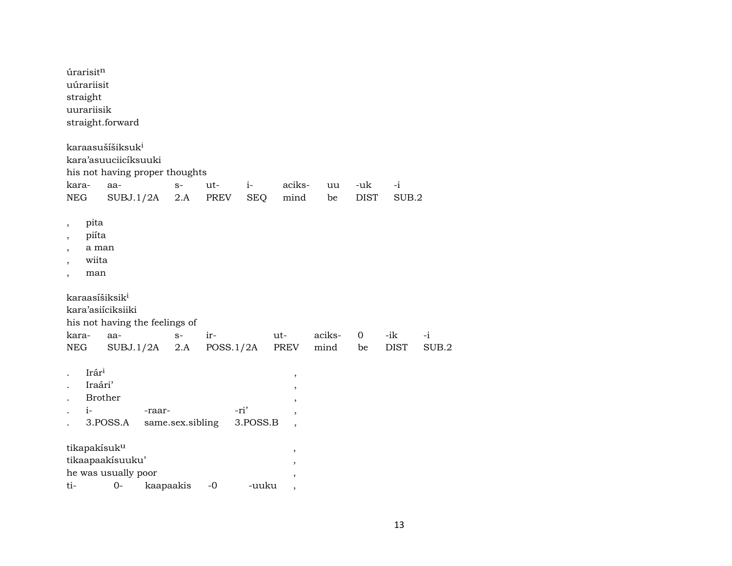|                                                                     | úrarisitn<br>uúrariisit<br>straight<br>uurariisik      | straight.forward                                                                                           |           |                  |             |                  |                                  |                |                    |                    |               |
|---------------------------------------------------------------------|--------------------------------------------------------|------------------------------------------------------------------------------------------------------------|-----------|------------------|-------------|------------------|----------------------------------|----------------|--------------------|--------------------|---------------|
| kara-<br>NEG                                                        |                                                        | karaasušíšiksuk <sup>i</sup><br>kara'asuuciicíksuuki<br>his not having proper thoughts<br>aa-<br>SUBJ.1/2A |           | $S-$<br>2.A      | ut-<br>PREV | $i-$<br>SEQ      | aciks-<br>mind                   | uu<br>be       | -uk<br><b>DIST</b> | $-i$<br>SUB.2      |               |
| $\overline{\phantom{a}}$<br>,<br>,<br>,<br>$\overline{\phantom{a}}$ | pita<br>piíta<br>a man<br>wiita<br>man                 |                                                                                                            |           |                  |             |                  |                                  |                |                    |                    |               |
| kara-<br>NEG                                                        |                                                        | karaasíšiksik <sup>i</sup><br>kara'asiíciksiiki<br>his not having the feelings of<br>aa-<br>SUBJ.1/2A      |           | $S-$<br>2.A      | $ir-$       | POSS.1/2A        | ut-<br>PREV                      | aciks-<br>mind | $\mathbf 0$<br>be  | -ik<br><b>DIST</b> | $-i$<br>SUB.2 |
|                                                                     | Irár <sup>i</sup><br>Iraári'<br><b>Brother</b><br>$i-$ | 3.POSS.A                                                                                                   | -raar-    | same.sex.sibling |             | -ri'<br>3.POSS.B | $\,$<br>$\overline{\phantom{a}}$ |                |                    |                    |               |
| ti-                                                                 |                                                        | tikapakísuk <sup>u</sup><br>tikaapaakisuuku'<br>he was usually poor<br>$O -$                               | kaapaakis |                  | $-0$        | -uuku            | ,                                |                |                    |                    |               |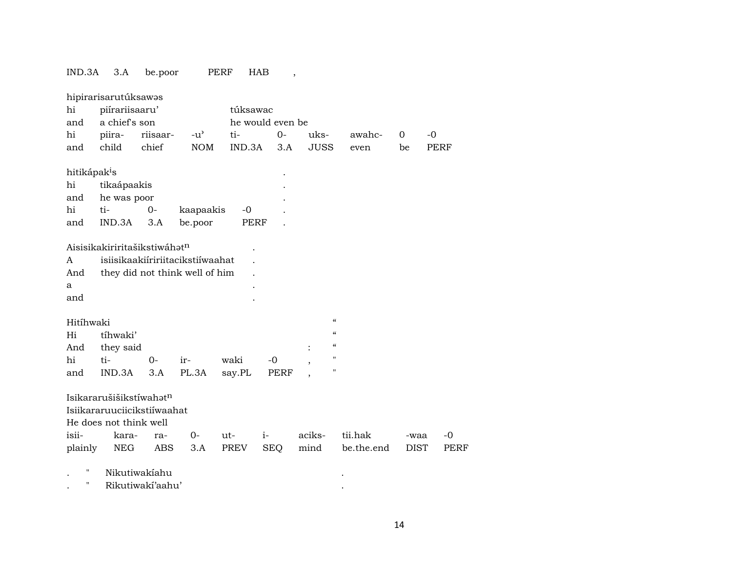## IND.3A 3.A be.poor PERF HAB ,

|                          | hipirarisarutúksawas                     |                  |                                  |          |                  |             |                                        |             |             |
|--------------------------|------------------------------------------|------------------|----------------------------------|----------|------------------|-------------|----------------------------------------|-------------|-------------|
| hi                       | piírariisaaru'                           |                  |                                  | túksawac |                  |             |                                        |             |             |
| and                      | a chief's son                            |                  |                                  |          | he would even be |             |                                        |             |             |
| hi                       | piira-                                   | riisaar-         | $-u^{\prime}$                    | ti-      | $0-$             | uks-        | awahc-                                 | 0           | $-0$        |
| and                      | child                                    | chief            | <b>NOM</b>                       | IND.3A   | 3.A              | <b>JUSS</b> | even                                   | be          | PERF        |
| hitikápak <sup>i</sup> s |                                          |                  |                                  |          |                  |             |                                        |             |             |
| hi                       | tikaápaakis                              |                  |                                  |          |                  |             |                                        |             |             |
| and                      | he was poor                              |                  |                                  |          |                  |             |                                        |             |             |
| hi                       | ti-                                      | $0-$             | kaapaakis                        | -0       |                  |             |                                        |             |             |
| and                      | IND.3A                                   | 3.A              | be.poor                          | PERF     |                  |             |                                        |             |             |
|                          | Aisisikakiriritašikstiwáhət <sup>n</sup> |                  |                                  |          |                  |             |                                        |             |             |
| A                        |                                          |                  | isiisikaakiiririitacikstiiwaahat |          |                  |             |                                        |             |             |
| And                      |                                          |                  | they did not think well of him   |          |                  |             |                                        |             |             |
| a                        |                                          |                  |                                  |          |                  |             |                                        |             |             |
| and                      |                                          |                  |                                  |          |                  |             |                                        |             |             |
| Hitíhwaki                |                                          |                  |                                  |          |                  |             | $\mathcal{C}$                          |             |             |
| Hi                       | tíhwaki'                                 |                  |                                  |          |                  |             | $\boldsymbol{\zeta}\boldsymbol{\zeta}$ |             |             |
| And                      | they said                                |                  |                                  |          |                  |             | $\boldsymbol{\zeta}\boldsymbol{\zeta}$ |             |             |
| hi                       | ti-                                      | $0-$             | ir-                              | waki     | $-0$             |             | п                                      |             |             |
| and                      | IND.3A                                   | 3.A              | PL.3A                            | say.PL   | PERF             |             | п                                      |             |             |
|                          | Isikararušišikstíwahatn                  |                  |                                  |          |                  |             |                                        |             |             |
|                          | Isiikararuuciicikstiiwaahat              |                  |                                  |          |                  |             |                                        |             |             |
|                          | He does not think well                   |                  |                                  |          |                  |             |                                        |             |             |
| isii-                    | kara-                                    | ra-              | 0-                               | ut-      | $i-$             | aciks-      | tii.hak                                | -waa        | $-0$        |
| plainly                  | NEG                                      | <b>ABS</b>       | 3.A                              | PREV     | SEQ              | mind        | be.the.end                             | <b>DIST</b> | <b>PERF</b> |
| Н                        | Nikutiwakiahu                            |                  |                                  |          |                  |             |                                        |             |             |
| н                        |                                          | Rikutiwaki'aahu' |                                  |          |                  |             |                                        |             |             |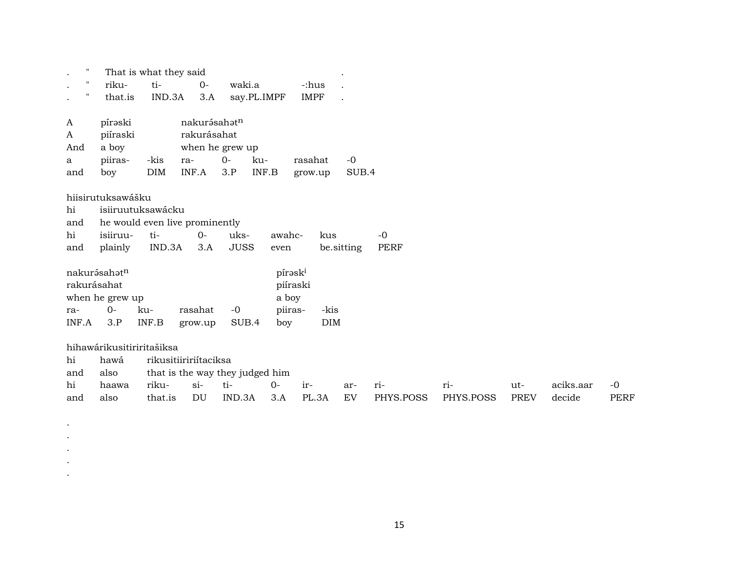|                                 |                          | That is what they said    |                                |                 |                                 |             |                      |             |           |             |           |             |
|---------------------------------|--------------------------|---------------------------|--------------------------------|-----------------|---------------------------------|-------------|----------------------|-------------|-----------|-------------|-----------|-------------|
| $\pmb{\mathsf{H}}$<br>$\bullet$ | riku-                    | ti-                       | $0-$                           | waki.a          |                                 | -:hus       |                      |             |           |             |           |             |
| Ħ<br>$\bullet$                  | that.is                  | IND.3A                    | 3.A                            |                 | say.PL.IMPF                     | <b>IMPF</b> | $\ddot{\phantom{0}}$ |             |           |             |           |             |
| A                               | pírəski                  |                           | nakurásahatn                   |                 |                                 |             |                      |             |           |             |           |             |
| A                               | piíraski                 |                           | rakurásahat                    |                 |                                 |             |                      |             |           |             |           |             |
| And                             | a boy                    |                           |                                | when he grew up |                                 |             |                      |             |           |             |           |             |
| a                               | piiras-                  | -kis                      | ra-                            | $0-$            | ku-                             | rasahat     | $-0$                 |             |           |             |           |             |
| and                             | boy                      | <b>DIM</b>                | INF.A                          | 3.P             | INF.B                           | grow.up     | SUB.4                |             |           |             |           |             |
|                                 | hiisirutuksawášku        |                           |                                |                 |                                 |             |                      |             |           |             |           |             |
| hi                              |                          | isiiruutuksawácku         |                                |                 |                                 |             |                      |             |           |             |           |             |
| and                             |                          |                           | he would even live prominently |                 |                                 |             |                      |             |           |             |           |             |
| hi                              | isiiruu-                 | ti-                       | $O -$                          | uks-            | awahc-                          | kus         |                      | $-0$        |           |             |           |             |
| and                             | plainly                  | IND.3A                    | 3.A                            | <b>JUSS</b>     | even                            |             | be.sitting           | <b>PERF</b> |           |             |           |             |
| rakurásahat                     | nakurásahat <sup>n</sup> |                           |                                |                 | pírask <sup>i</sup>             | piíraski    |                      |             |           |             |           |             |
|                                 | when he grew up          |                           |                                |                 | a boy                           |             |                      |             |           |             |           |             |
| ra-                             | $0 -$                    | ku-                       | rasahat                        | $-0$            | piiras-                         | -kis        |                      |             |           |             |           |             |
| INF.A                           | 3.P                      | INF.B                     | grow.up                        | SUB.4           | boy                             | <b>DIM</b>  |                      |             |           |             |           |             |
|                                 |                          | hihawárikusitiriritašiksa |                                |                 |                                 |             |                      |             |           |             |           |             |
| hi                              | hawá                     |                           | rikusitiiririítaciksa          |                 |                                 |             |                      |             |           |             |           |             |
| and                             | also                     |                           |                                |                 | that is the way they judged him |             |                      |             |           |             |           |             |
| hi                              | haawa                    | riku-                     | $si-$                          | ti-             | $0-$                            | ir-         | ar-                  | ri-         | ri-       | ut-         | aciks.aar | $-0$        |
| and                             | also                     | that.is                   | DU                             | IND.3A          | 3.A                             | PL.3A       | EV                   | PHYS.POSS   | PHYS.POSS | <b>PREV</b> | decide    | <b>PERF</b> |

. . . . .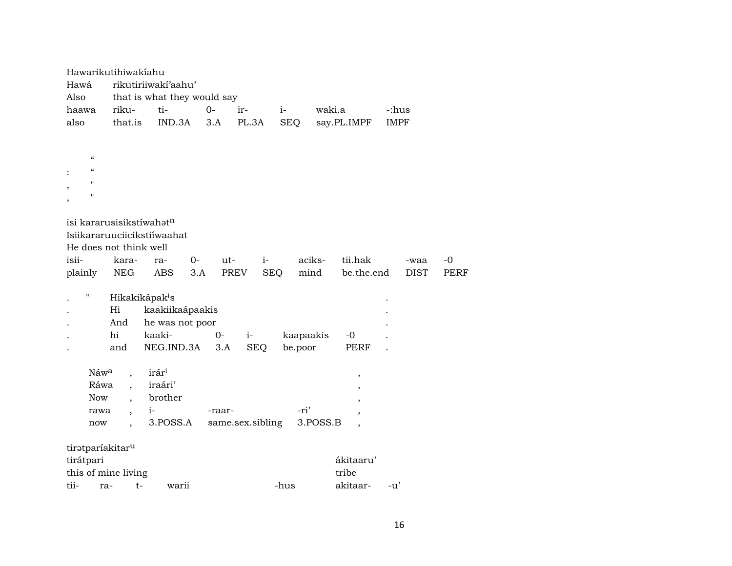| Hawarikutihiwakiahu<br>Hawá<br>Also |                            | rikutiriiwaki'aahu'<br>that is what they would say |        |                  |            |                                      |             |             |
|-------------------------------------|----------------------------|----------------------------------------------------|--------|------------------|------------|--------------------------------------|-------------|-------------|
| haawa                               | riku-                      | ti-                                                | $O -$  | ir-              | $i-$       | waki.a                               | -:hus       |             |
| also                                | that.is                    | IND.3A                                             | 3.A    | PL.3A            | <b>SEQ</b> | say.PL.IMPF                          | <b>IMPF</b> |             |
|                                     |                            |                                                    |        |                  |            |                                      |             |             |
| $\epsilon$                          |                            |                                                    |        |                  |            |                                      |             |             |
| $\epsilon$                          |                            |                                                    |        |                  |            |                                      |             |             |
| 11                                  |                            |                                                    |        |                  |            |                                      |             |             |
| 11                                  |                            |                                                    |        |                  |            |                                      |             |             |
| $\overline{\phantom{a}}$            |                            |                                                    |        |                  |            |                                      |             |             |
| isi kararusisikstíwahatn            |                            |                                                    |        |                  |            |                                      |             |             |
|                                     |                            | Isiikararuuciicikstiiwaahat                        |        |                  |            |                                      |             |             |
| He does not think well              |                            |                                                    |        |                  |            |                                      |             |             |
| isii-                               | kara-                      | $0-$<br>ra-                                        | ut-    | $i-$             |            | aciks-<br>tii.hak                    | -waa        | $-0$        |
| plainly                             | NEG                        | <b>ABS</b><br>3.A                                  | PREV   | <b>SEQ</b>       |            | mind<br>be.the.end                   | <b>DIST</b> | <b>PERF</b> |
|                                     |                            |                                                    |        |                  |            |                                      |             |             |
| П                                   | Hikakikápak <sup>i</sup> s |                                                    |        |                  |            |                                      |             |             |
|                                     | Hi                         | kaakiikaápaakis                                    |        |                  |            |                                      |             |             |
|                                     | And                        | he was not poor                                    |        |                  |            |                                      |             |             |
|                                     | hi                         | kaaki-                                             | $O -$  | $i-$             | kaapaakis  | $-0$                                 |             |             |
|                                     | and                        | NEG.IND.3A                                         | 3.A    | <b>SEQ</b>       | be.poor    | PERF                                 |             |             |
|                                     |                            |                                                    |        |                  |            |                                      |             |             |
| Náw <sup>a</sup>                    |                            | irár <sup>i</sup>                                  |        |                  |            | ,                                    |             |             |
| Ráwa                                | $\ddot{\phantom{0}}$       | iraári'                                            |        |                  |            |                                      |             |             |
| <b>Now</b>                          | $\ddot{\phantom{0}}$       | brother                                            |        |                  |            |                                      |             |             |
| rawa                                |                            | $i-$                                               | -raar- |                  | -ri'       |                                      |             |             |
| now                                 |                            | 3.POSS.A                                           |        | same.sex.sibling |            | 3.POSS.B<br>$\overline{\phantom{a}}$ |             |             |
|                                     |                            |                                                    |        |                  |            |                                      |             |             |
| tiratparíakitar <sup>u</sup>        |                            |                                                    |        |                  |            |                                      |             |             |
| tirátpari                           |                            |                                                    |        |                  |            | ákitaaru'                            |             |             |
| this of mine living                 |                            |                                                    |        |                  |            | tribe                                |             |             |
| tii-<br>ra-                         | $t-$                       | warii                                              |        |                  | -hus       | akitaar-                             | $-u'$       |             |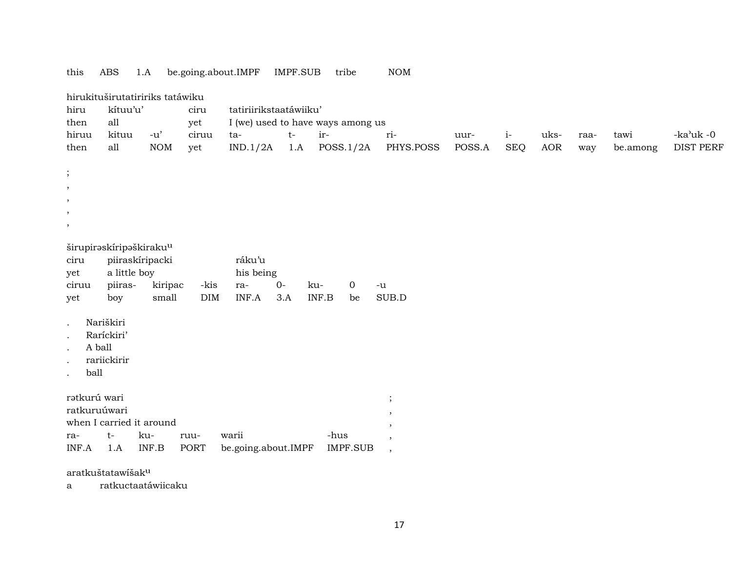### this ABS 1.A be.going.about.IMPF IMPF.SUB tribe NOM

|                                                                                               |                                                                                                                 | hirukituširutatiririks tatáwiku     |             |                                              |      |                                      |               |        |            |      |      |          |                  |
|-----------------------------------------------------------------------------------------------|-----------------------------------------------------------------------------------------------------------------|-------------------------------------|-------------|----------------------------------------------|------|--------------------------------------|---------------|--------|------------|------|------|----------|------------------|
| hiru                                                                                          | kítuu'u'                                                                                                        |                                     | ciru        | tatiriirikstaatáwiiku'                       |      |                                      |               |        |            |      |      |          |                  |
| then                                                                                          | all                                                                                                             |                                     | yet         |                                              |      | I (we) used to have ways among us    |               |        |            |      |      |          |                  |
| hiruu                                                                                         | kituu                                                                                                           | $-u'$                               | ciruu       | ta-                                          | $t-$ | ir-                                  | ri-           | uur-   | $i-$       | uks- | raa- | tawi     | -ka'uk -0        |
| then                                                                                          | all                                                                                                             | <b>NOM</b>                          | yet         | IND.1/2A                                     | 1.A  | POSS.1/2A                            | PHYS.POSS     | POSS.A | <b>SEQ</b> | AOR  | way  | be.among | <b>DIST PERF</b> |
| $\vdots$                                                                                      |                                                                                                                 |                                     |             |                                              |      |                                      |               |        |            |      |      |          |                  |
| $^\mathrm{,}$                                                                                 |                                                                                                                 |                                     |             |                                              |      |                                      |               |        |            |      |      |          |                  |
| $^\circ$                                                                                      |                                                                                                                 |                                     |             |                                              |      |                                      |               |        |            |      |      |          |                  |
|                                                                                               |                                                                                                                 |                                     |             |                                              |      |                                      |               |        |            |      |      |          |                  |
| ,                                                                                             |                                                                                                                 |                                     |             |                                              |      |                                      |               |        |            |      |      |          |                  |
| ciru<br>yet<br>ciruu<br>yet<br>$\ddot{\phantom{a}}$<br>A ball<br>ball<br>$\ddot{\phantom{0}}$ | širupiraskíripaškiraku <sup>u</sup><br>a little boy<br>piiras-<br>boy<br>Nariškiri<br>Raríckiri'<br>rariickirir | piiraskíripacki<br>kiripac<br>small | -kis<br>DIM | ráku'u<br>his being<br>$O -$<br>ra-<br>INF.A | 3.A  | $\overline{0}$<br>ku-<br>INF.B<br>be | $-u$<br>SUB.D |        |            |      |      |          |                  |
| rətkurú wari                                                                                  |                                                                                                                 |                                     |             |                                              |      |                                      | $\vdots$      |        |            |      |      |          |                  |
| ratkuruúwari                                                                                  |                                                                                                                 |                                     |             |                                              |      |                                      | $\cdot$       |        |            |      |      |          |                  |
|                                                                                               | when I carried it around                                                                                        |                                     |             |                                              |      |                                      | ,             |        |            |      |      |          |                  |
| ra-                                                                                           | t-                                                                                                              | ku-                                 | ruu-        | warii                                        |      | -hus                                 | $\,$          |        |            |      |      |          |                  |
| INF.A                                                                                         | 1.A                                                                                                             | INF.B                               | PORT        | be.going.about.IMPF                          |      | <b>IMPF.SUB</b>                      | $\cdot$       |        |            |      |      |          |                  |

aratkuštatawíšakµ

a ratkuctaatáwiicaku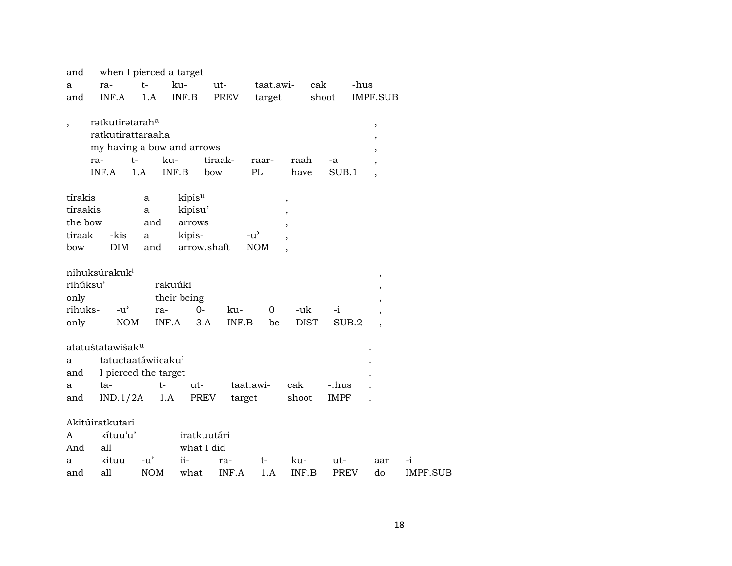| and      |                              |            | when I pierced a target |              |               |             |             |      |                |          |
|----------|------------------------------|------------|-------------------------|--------------|---------------|-------------|-------------|------|----------------|----------|
| a        | ra-                          | $t-$       | ku-                     | ut-          | taat.awi-     |             | cak         | -hus |                |          |
| and      | INF.A                        | 1.A        | INF.B                   | PREV         | target        |             | shoot       |      | IMPF.SUB       |          |
|          |                              |            |                         |              |               |             |             |      |                |          |
|          | rətkutirətarah <sup>a</sup>  |            |                         |              |               |             |             |      | $\, ,$         |          |
|          | ratkutirattaraaha            |            |                         |              |               |             |             |      | ,              |          |
|          | my having a bow and arrows   |            |                         |              |               |             |             |      | $\overline{ }$ |          |
|          | ra-                          | $t-$       | ku-                     | tiraak-      | raar-         | raah        | -a          |      |                |          |
|          | INF.A                        | 1.A        | INF.B                   | bow          | PL            | have        | SUB.1       |      | $\overline{ }$ |          |
|          |                              |            |                         |              |               |             |             |      |                |          |
| tírakis  |                              | a          | kípis <sup>u</sup>      |              |               | ,           |             |      |                |          |
| tíraakis |                              | a          | kípisu'                 |              |               |             |             |      |                |          |
| the bow  |                              | and        | arrows                  |              |               |             |             |      |                |          |
| tiraak   | -kis                         | a          | kipis-                  |              | $-u^{\prime}$ |             |             |      |                |          |
| bow      | DIM                          | and        |                         | arrow.shaft  | <b>NOM</b>    |             |             |      |                |          |
|          |                              |            |                         |              |               |             |             |      |                |          |
|          | nihuksúrakuk <sup>i</sup>    |            |                         |              |               |             |             |      | $\, ,$         |          |
| rihúksu' |                              |            | rakuúki                 |              |               |             |             |      |                |          |
| only     |                              |            | their being             |              |               |             |             |      |                |          |
| rihuks-  | $-u^{\prime}$                | ra-        |                         | $0-$<br>ku-  | $\mathbf 0$   | -uk         | -i          |      |                |          |
| only     | <b>NOM</b>                   |            | INF.A                   | 3.A<br>INF.B | be            | <b>DIST</b> | SUB.2       |      |                |          |
|          |                              |            |                         |              |               |             |             |      |                |          |
|          | atatuštatawišak <sup>u</sup> |            |                         |              |               |             |             |      |                |          |
| a        | tatuctaatáwiicaku'           |            |                         |              |               |             |             |      |                |          |
| and      | I pierced the target         |            |                         |              |               |             |             |      |                |          |
| а        | ta-                          |            | $t-$<br>ut-             |              | taat.awi-     | cak         | -:hus       |      |                |          |
| and      | IND.1/2A                     |            | 1.A                     | PREV         | target        | shoot       | <b>IMPF</b> |      |                |          |
|          |                              |            |                         |              |               |             |             |      |                |          |
|          | Akitúiratkutari              |            |                         |              |               |             |             |      |                |          |
| A        | kítuu'u'                     |            |                         | iratkuutári  |               |             |             |      |                |          |
| And      | all                          |            |                         | what I did   |               |             |             |      |                |          |
| a        | kituu                        | $-u'$      | $ii -$                  | ra-          | t-            | ku-         | ut-         |      | aar            | -i       |
| and      | all                          | <b>NOM</b> | what                    | INF.A        | 1.A           | INF.B       | <b>PREV</b> |      | do             | IMPF.SUB |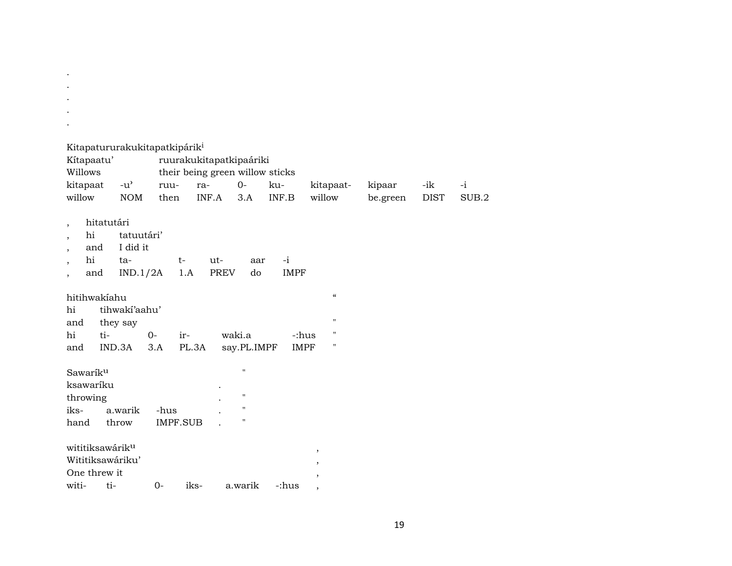| Kitapatururakukitapatkipárik <sup>i</sup><br>Kítapaatu'<br>Willows<br>kitapaat<br>willow          | $-u^{\prime}$<br><b>NOM</b>               | ruu-<br>then            | ruurakukitapatkipaáriki<br>their being green willow sticks<br>ra-<br>INF.A | $O -$<br>3.A                                                                         | ku-<br>INF.B        | kitapaat-<br>willow                                     | kipaar<br>be.green | -ik<br><b>DIST</b> | $-i$<br>SUB.2 |
|---------------------------------------------------------------------------------------------------|-------------------------------------------|-------------------------|----------------------------------------------------------------------------|--------------------------------------------------------------------------------------|---------------------|---------------------------------------------------------|--------------------|--------------------|---------------|
| hitatutári<br>$\cdot$<br>hi<br>$\cdot$<br>and<br>$\cdot$<br>hi<br>$\overline{\phantom{a}}$<br>and | tatuutári'<br>I did it<br>ta-<br>IND.1/2A | $t-$<br>1.A             | $ut-$<br><b>PREV</b>                                                       | aar<br>do                                                                            | $-i$<br><b>IMPF</b> |                                                         |                    |                    |               |
| hitihwakiahu<br>hi<br>and<br>hi<br>ti-<br>and                                                     | tihwakí'aahu'<br>they say<br>IND.3A       | $0-$<br>ir-<br>3.A      | PL.3A                                                                      | waki.a<br>say.PL.IMPF                                                                | <b>IMPF</b>         | $\mathcal{C}$<br>$\pmb{\mathsf{H}}$<br>п<br>-:hus<br>11 |                    |                    |               |
| Sawarík <sup>u</sup><br>ksawaríku<br>throwing<br>iks-<br>hand                                     | a.warik<br>throw                          | -hus<br><b>IMPF.SUB</b> |                                                                            | $\pmb{\mathsf{H}}$<br>$\pmb{\mathsf{H}}$<br>$\pmb{\mathsf{H}}$<br>$\pmb{\mathsf{H}}$ |                     |                                                         |                    |                    |               |
| wititiksawárik <sup>u</sup><br>Wititiksawáriku'<br>One threw it<br>ti-<br>witi-                   |                                           | $0-$                    | iks-                                                                       | a.warik                                                                              | -:hus               | ,<br>,<br>$\overline{ }$<br>,                           |                    |                    |               |

. . .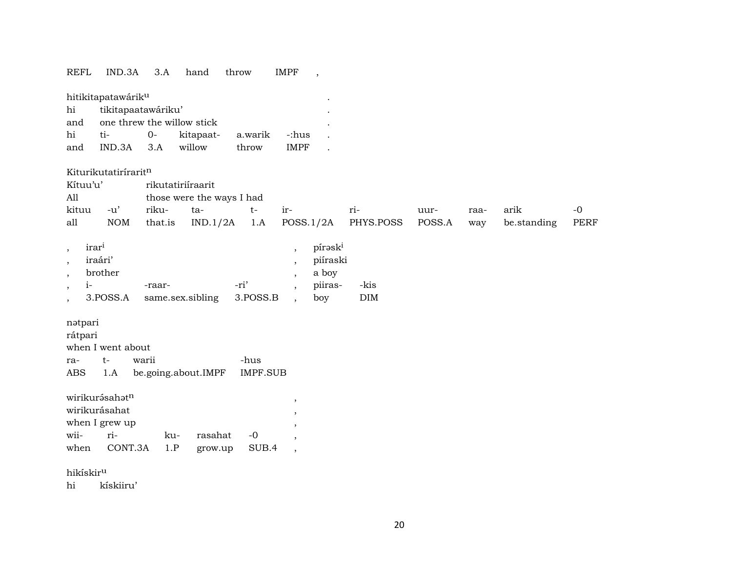| REFL                     | IND.3A                         | 3.A     |     | hand                      | throw           | IMPF                     | $\overline{\phantom{a}}$ |            |        |      |             |      |
|--------------------------|--------------------------------|---------|-----|---------------------------|-----------------|--------------------------|--------------------------|------------|--------|------|-------------|------|
|                          | hitikitapatawárik <sup>u</sup> |         |     |                           |                 |                          |                          |            |        |      |             |      |
| hi                       | tikitapaatawáriku'             |         |     |                           |                 |                          |                          |            |        |      |             |      |
| and                      | one threw the willow stick     |         |     |                           |                 |                          |                          |            |        |      |             |      |
| hi                       | ti-                            | $0-$    |     | kitapaat-                 | a.warik         | -:hus                    |                          |            |        |      |             |      |
| and                      | IND.3A                         | 3.A     |     | willow                    | throw           | <b>IMPF</b>              |                          |            |        |      |             |      |
|                          | Kiturikutatiríraritn           |         |     |                           |                 |                          |                          |            |        |      |             |      |
| Kítuu'u'                 |                                |         |     | rikutatiriíraarit         |                 |                          |                          |            |        |      |             |      |
| All                      |                                |         |     | those were the ways I had |                 |                          |                          |            |        |      |             |      |
| kituu                    | $-u'$                          | riku-   |     | ta-                       | $t-$            | ir-                      |                          | ri-        | uur-   | raa- | arik        | $-0$ |
| all                      | <b>NOM</b>                     | that.is |     | IND.1/2A                  | 1.A             |                          | POSS.1/2A                | PHYS.POSS  | POSS.A | way  | be.standing | PERF |
| $\cdot$                  | irar <sup>i</sup>              |         |     |                           |                 | $\cdot$                  | pírask <sup>i</sup>      |            |        |      |             |      |
| $\cdot$                  | iraári'                        |         |     |                           |                 |                          | piíraski                 |            |        |      |             |      |
| $\, ,$                   | brother                        |         |     |                           |                 |                          | a boy                    |            |        |      |             |      |
| $i-$<br>$\cdot$          |                                | -raar-  |     |                           | -ri'            |                          | piiras-                  | -kis       |        |      |             |      |
| $\overline{\phantom{a}}$ | 3.POSS.A                       |         |     | same.sex.sibling          | 3.POSS.B        |                          | boy                      | $\rm{DIM}$ |        |      |             |      |
| nətpari                  |                                |         |     |                           |                 |                          |                          |            |        |      |             |      |
| rátpari                  |                                |         |     |                           |                 |                          |                          |            |        |      |             |      |
|                          | when I went about              |         |     |                           |                 |                          |                          |            |        |      |             |      |
| ra-                      | $t-$                           | warii   |     |                           | -hus            |                          |                          |            |        |      |             |      |
| ABS                      | 1.A                            |         |     | be.going.about.IMPF       | <b>IMPF.SUB</b> |                          |                          |            |        |      |             |      |
|                          | wirikurásahatn                 |         |     |                           |                 | $\cdot$                  |                          |            |        |      |             |      |
|                          | wirikurásahat                  |         |     |                           |                 |                          |                          |            |        |      |             |      |
|                          | when I grew up                 |         |     |                           |                 |                          |                          |            |        |      |             |      |
| wii-                     | ri-                            |         | ku- | rasahat                   | $-0$            | $\cdot$                  |                          |            |        |      |             |      |
| when                     | CONT.3A                        |         | 1.P | grow.up                   | SUB.4           | $\overline{\phantom{a}}$ |                          |            |        |      |             |      |
| hikískir <sup>u</sup>    |                                |         |     |                           |                 |                          |                          |            |        |      |             |      |

hi kískiiru'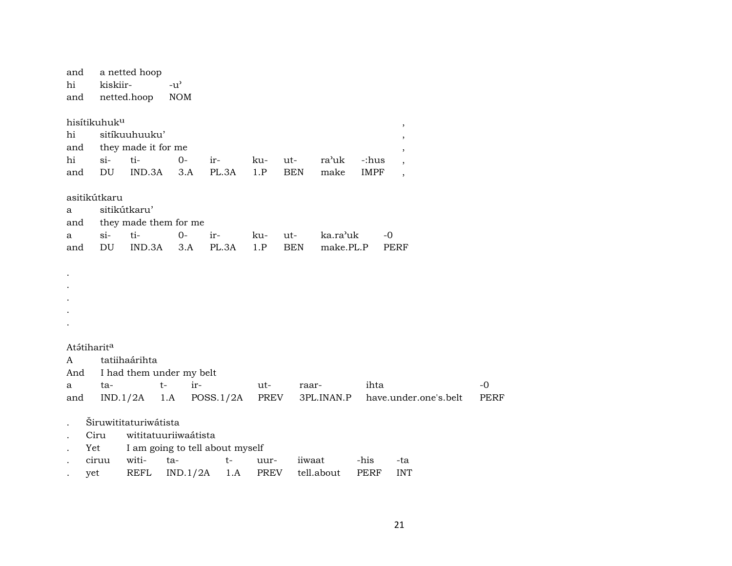| and |                          | a netted hoop         |                                     |                                 |      |            |            |             |                          |
|-----|--------------------------|-----------------------|-------------------------------------|---------------------------------|------|------------|------------|-------------|--------------------------|
| hi  | kiskiir-                 |                       | $-u$ <sup><math>\prime</math></sup> |                                 |      |            |            |             |                          |
| and |                          | netted.hoop           | <b>NOM</b>                          |                                 |      |            |            |             |                          |
|     |                          |                       |                                     |                                 |      |            |            |             |                          |
|     | hisítikuhuk <sup>u</sup> |                       |                                     |                                 |      |            |            |             | $\, ,$                   |
| hi  |                          | sitíkuuhuuku'         |                                     |                                 |      |            |            |             | $\cdot$                  |
| and |                          | they made it for me   |                                     |                                 |      |            |            |             |                          |
| hi  | $\sin$                   | ti-                   | $0-$                                | ir-                             | ku-  | ut-        | ra'uk      | -:hus       |                          |
| and | DU                       | IND.3A                | 3.A                                 | PL.3A                           | 1.P  | <b>BEN</b> | make       | <b>IMPF</b> | $\overline{\phantom{a}}$ |
|     |                          |                       |                                     |                                 |      |            |            |             |                          |
|     | asitikútkaru             |                       |                                     |                                 |      |            |            |             |                          |
| a   |                          | sitikútkaru'          |                                     |                                 |      |            |            |             |                          |
| and |                          |                       | they made them for me               |                                 |      |            |            |             |                          |
| a   | $si-$                    | ti-                   | $O -$                               | ir-                             | ku-  | $ut-$      | ka.ra'uk   | $-0$        |                          |
| and | DU                       | IND.3A                | 3.A                                 | PL.3A                           | 1.P  | <b>BEN</b> | make.PL.P  |             | PERF                     |
|     |                          |                       |                                     |                                 |      |            |            |             |                          |
|     |                          |                       |                                     |                                 |      |            |            |             |                          |
|     |                          |                       |                                     |                                 |      |            |            |             |                          |
|     |                          |                       |                                     |                                 |      |            |            |             |                          |
|     |                          |                       |                                     |                                 |      |            |            |             |                          |
|     |                          |                       |                                     |                                 |      |            |            |             |                          |
|     |                          |                       |                                     |                                 |      |            |            |             |                          |
|     | Atátiharit <sup>a</sup>  |                       |                                     |                                 |      |            |            |             |                          |
| A   |                          | tatiihaárihta         |                                     |                                 |      |            |            |             |                          |
| And |                          |                       | I had them under my belt            |                                 |      |            |            |             |                          |
| а   | ta-                      |                       | $t-$<br>ir-                         |                                 | ut-  | raar-      |            | ihta        |                          |
| and |                          | IND.1/2A              | 1.A                                 | POSS.1/2A                       | PREV |            | 3PL.INAN.P |             | have.under.one's.belt    |
|     |                          |                       |                                     |                                 |      |            |            |             |                          |
|     |                          | Širuwititaturiwátista |                                     |                                 |      |            |            |             |                          |
|     | Ciru                     |                       | wititatuuriiwaátista                |                                 |      |            |            |             |                          |
|     | Yet                      |                       |                                     | I am going to tell about myself |      |            |            |             |                          |
|     | ciruu                    | witi-                 | ta-                                 | $t-$                            | uur- | iiwaat     |            | -his        | -ta                      |
|     | yet                      | REFL                  | IND.1/2A                            | 1.A                             | PREV |            | tell.about | PERF        | <b>INT</b>               |

 $-0$ PERF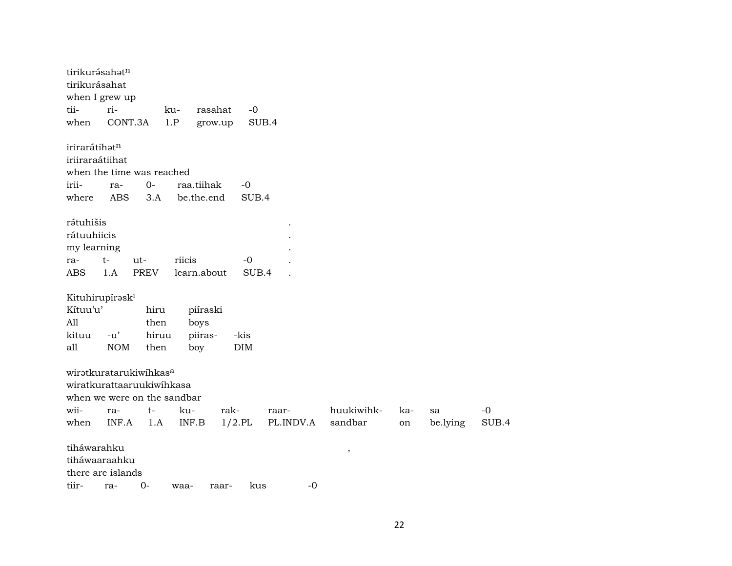| tirikurásahatn<br>tirikurásahat<br>when I grew up |            |       |        |             |            |           |                          |     |          |       |
|---------------------------------------------------|------------|-------|--------|-------------|------------|-----------|--------------------------|-----|----------|-------|
| tii-                                              | ri-        |       | ku-    | rasahat     | $-0$       |           |                          |     |          |       |
| when                                              | CONT.3A    |       | 1.P    | grow.up     | SUB.4      |           |                          |     |          |       |
| irirarátihatn<br>iriiraraátiihat                  |            |       |        |             |            |           |                          |     |          |       |
| when the time was reached                         |            |       |        |             |            |           |                          |     |          |       |
| irii-                                             | ra-        | $0-$  |        | raa.tiihak  | -0         |           |                          |     |          |       |
| where                                             | <b>ABS</b> | 3.A   |        | be.the.end  | SUB.4      |           |                          |     |          |       |
| rətuhišis                                         |            |       |        |             |            |           |                          |     |          |       |
| rátuuhiicis                                       |            |       |        |             |            |           |                          |     |          |       |
| my learning                                       |            |       |        |             |            |           |                          |     |          |       |
| ra-                                               | t-         | ut-   | riicis |             | -0         |           |                          |     |          |       |
| <b>ABS</b>                                        | 1.A        | PREV  |        | learn.about | SUB.4      |           |                          |     |          |       |
| Kituhirupírask <sup>i</sup>                       |            |       |        |             |            |           |                          |     |          |       |
| Kítuu'u'                                          |            | hiru  |        | piíraski    |            |           |                          |     |          |       |
| All                                               |            | then  |        | boys        |            |           |                          |     |          |       |
| kituu                                             | $-u'$      | hiruu |        | piiras-     | -kis       |           |                          |     |          |       |
| all                                               | $\rm{NOM}$ | then  |        | boy         | <b>DIM</b> |           |                          |     |          |       |
| wiratkuratarukiwihkasa                            |            |       |        |             |            |           |                          |     |          |       |
| wiratkurattaaruukiwihkasa                         |            |       |        |             |            |           |                          |     |          |       |
| when we were on the sandbar                       |            |       |        |             |            |           |                          |     |          |       |
| wii-                                              | ra-        | t-    | ku-    |             | rak-       | raar-     | huukiwihk-               | ka- | sa       | $-0$  |
| when                                              | INF.A      | 1.A   |        | INF.B       | $1/2$ .PL  | PL.INDV.A | sandbar                  | on  | be.lying | SUB.4 |
| tiháwarahku                                       |            |       |        |             |            |           | $\overline{\phantom{a}}$ |     |          |       |
| tiháwaaraahku                                     |            |       |        |             |            |           |                          |     |          |       |
| there are islands                                 |            |       |        |             |            |           |                          |     |          |       |
| tiir-                                             | ra-        | $0-$  | waa-   | raar-       | kus        | $-0$      |                          |     |          |       |

22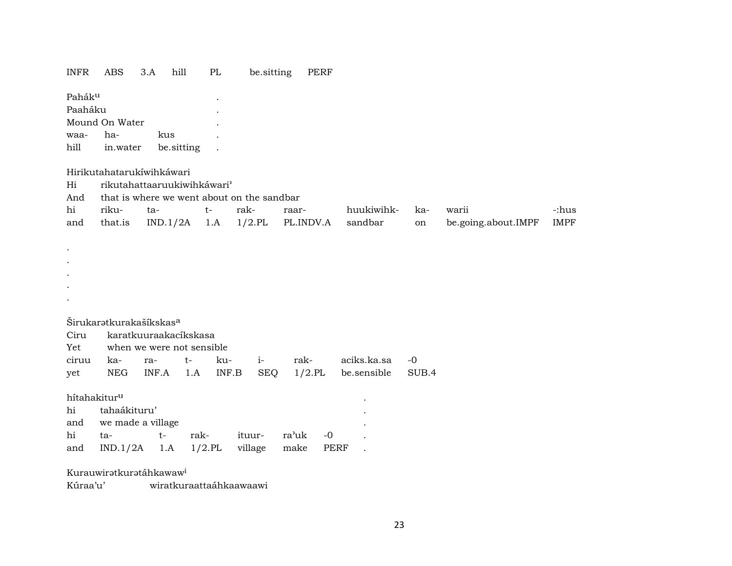#### INFR ABS 3.A hill PL be.sitting PERF

| Pahák <sup>u</sup> |                |            |  |
|--------------------|----------------|------------|--|
| Paaháku            |                |            |  |
|                    | Mound On Water |            |  |
| waa-               | ha-            | kus        |  |
| $h$ ill            | in.water       | be sitting |  |

### Hirikutahatarukíwihkáwari

Hi rikutahattaaruukiwihkáwari"

And that is where we went about on the sandbar

| hi | riku- | ta- | rak- | raar- | huukiwihk- ka- | warii                                                                         | -:hus |
|----|-------|-----|------|-------|----------------|-------------------------------------------------------------------------------|-------|
|    |       |     |      |       |                | and that.is IND.1/2A 1.A 1/2.PL PL.INDV.A sandbar on be.going.about.IMPF IMPF |       |

Širukaratkurakašíkskas<sup>a</sup>

|  | Ciru karatkuuraakacíkskasa    |  |  |  |  |                                                      |  |  |  |  |  |  |  |
|--|-------------------------------|--|--|--|--|------------------------------------------------------|--|--|--|--|--|--|--|
|  | Yet when we were not sensible |  |  |  |  |                                                      |  |  |  |  |  |  |  |
|  |                               |  |  |  |  | ciruu ka- ra- t- ku- i- rak- aciks.ka.sa -0          |  |  |  |  |  |  |  |
|  |                               |  |  |  |  | yet NEG INF.A 1.A INF.B SEQ 1/2.PL be.sensible SUB.4 |  |  |  |  |  |  |  |

 ${\bf hifahakitur^u} \hspace{2cm} \ .$ 

. . . . .

| hi tahaákituru'                            |  |  |  |
|--------------------------------------------|--|--|--|
| and we made a village                      |  |  |  |
| hi ta-  t- rak- ituur- ra'uk -0            |  |  |  |
| and IND.1/2A 1.A 1/2.PL village make PERF. |  |  |  |

Kurauwiratkuratáhkawaw<sup>i</sup>

Kúraa'u' wiratkuraattaáhkaawaawi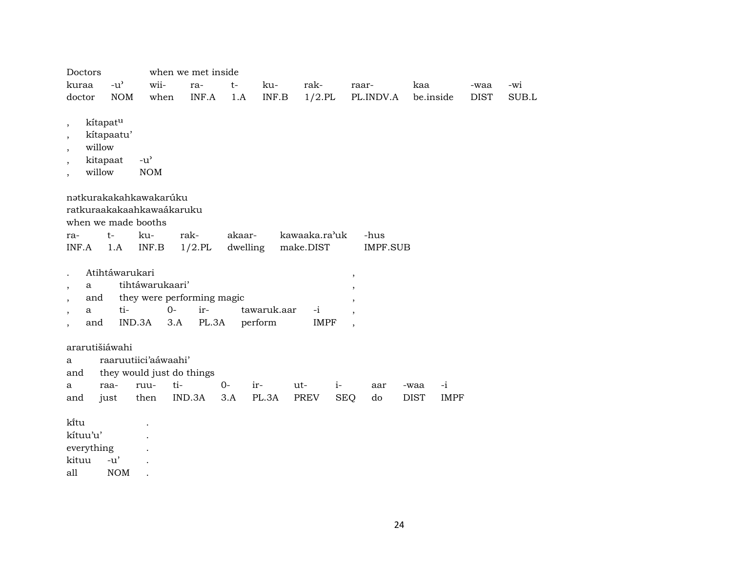| Doctors                                                                                                                                             |                                     |                                                              | when we met inside |          |                        |                     |                               |             |             |       |
|-----------------------------------------------------------------------------------------------------------------------------------------------------|-------------------------------------|--------------------------------------------------------------|--------------------|----------|------------------------|---------------------|-------------------------------|-------------|-------------|-------|
| kuraa                                                                                                                                               | $-u$ <sup><math>\prime</math></sup> | wii-                                                         | ra-                | $t-$     | ku-                    | rak-                | raar-                         | kaa         | -waa        | -wi   |
| doctor                                                                                                                                              | <b>NOM</b>                          | when                                                         | INF.A              | 1.A      | INF.B                  | $1/2$ .PL           | PL.INDV.A                     | be.inside   | <b>DIST</b> | SUB.L |
| kítapatu<br>$\overline{\phantom{a}}$<br>,<br>willow<br>$\overline{\phantom{a}}$<br>kitapaat<br>$\overline{\phantom{a}}$<br>willow<br>$\overline{ }$ | kítapaatu'                          | $-u^{\prime}$<br><b>NOM</b>                                  |                    |          |                        |                     |                               |             |             |       |
| when we made booths                                                                                                                                 |                                     | nətkurakakahkawakarúku<br>ratkuraakakaahkawaákaruku          |                    |          |                        |                     |                               |             |             |       |
| ra-                                                                                                                                                 | $t-$                                | ku-                                                          | rak-               | akaar-   |                        | kawaaka.ra'uk       | -hus                          |             |             |       |
| INF.A                                                                                                                                               | 1.A                                 | INF.B                                                        | $1/2$ .PL          | dwelling |                        | make.DIST           | IMPF.SUB                      |             |             |       |
| a<br>$\overline{\phantom{a}}$<br>and<br>$\cdot$<br>a<br>$\cdot$<br>and                                                                              | Atihtáwarukari<br>ti-<br>IND.3A     | tihtáwarukaari'<br>they were performing magic<br>$0-$<br>3.A | ir-<br>PL.3A       |          | tawaruk.aar<br>perform | $-i$<br><b>IMPF</b> | ,<br>$\overline{\phantom{a}}$ |             |             |       |
| ararutišiáwahi<br>a<br>and                                                                                                                          |                                     | raaruutiici'aáwaahi'<br>they would just do things            |                    |          |                        |                     |                               |             |             |       |
| a                                                                                                                                                   | raa-                                | ti-<br>ruu-                                                  |                    | $0 -$    | ir-                    | $i-$<br>ut-         | aar                           | -waa        | $-i$        |       |
| and                                                                                                                                                 | just                                | then                                                         | IND.3A             | 3.A      | PL.3A                  | PREV                | <b>SEQ</b><br>do              | <b>DIST</b> | <b>IMPF</b> |       |
| kītu<br>kítuu'u'<br>everything<br>kituu                                                                                                             | -u'                                 |                                                              |                    |          |                        |                     |                               |             |             |       |

all NOM .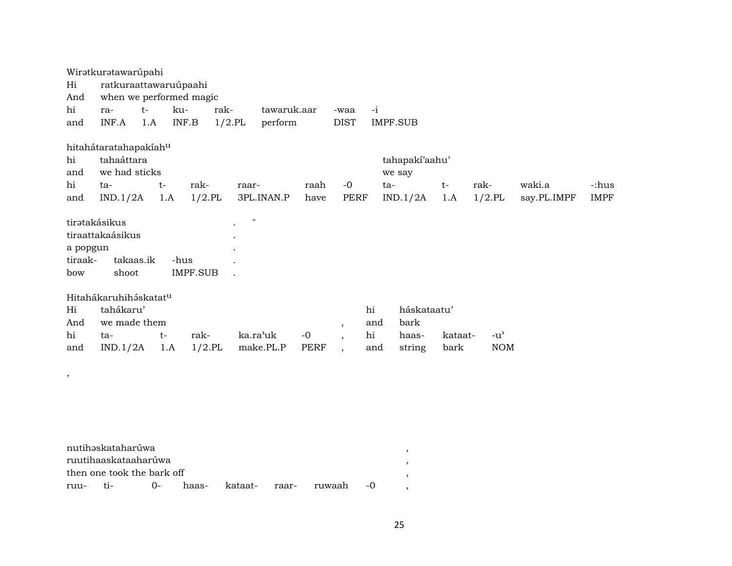|          | Wiratkuratawarúpahi     |      |      |           |           |                    |      |                |      |                |         |               |             |             |
|----------|-------------------------|------|------|-----------|-----------|--------------------|------|----------------|------|----------------|---------|---------------|-------------|-------------|
| Hi       | ratkuraattawaruúpaahi   |      |      |           |           |                    |      |                |      |                |         |               |             |             |
| And      | when we performed magic |      |      |           |           |                    |      |                |      |                |         |               |             |             |
| hi       | ra-                     | $t-$ | ku-  |           | rak-      | tawaruk.aar        |      | -waa           | $-i$ |                |         |               |             |             |
| and      | INF.A                   | 1.A  |      | INF.B     | $1/2.$ PL | perform            |      | <b>DIST</b>    |      | IMPF.SUB       |         |               |             |             |
|          | hitahátaratahapakíahu   |      |      |           |           |                    |      |                |      |                |         |               |             |             |
| hi       | tahaáttara              |      |      |           |           |                    |      |                |      | tahapaki'aahu' |         |               |             |             |
| and      | we had sticks           |      |      |           |           |                    |      |                |      | we say         |         |               |             |             |
| hi       | ta-                     | $t-$ |      | rak-      |           | raar-              | raah | $-0$           |      | ta-            | $t-$    | rak-          | waki.a      | -:hus       |
| and      | IND.1/2A                |      | 1.A  | $1/2$ .PL |           | 3PL.INAN.P         | have | PERF           |      | IND.1/2A       | 1.A     | $1/2$ .PL     | say.PL.IMPF | <b>IMPF</b> |
|          | tirətakásikus           |      |      |           |           | $\pmb{\mathsf{H}}$ |      |                |      |                |         |               |             |             |
|          | tiraattakaásikus        |      |      |           |           |                    |      |                |      |                |         |               |             |             |
| a popgun |                         |      |      |           |           |                    |      |                |      |                |         |               |             |             |
| tiraak-  | takaas.ik               |      | -hus |           |           |                    |      |                |      |                |         |               |             |             |
| bow      | shoot                   |      |      | IMPF.SUB  |           |                    |      |                |      |                |         |               |             |             |
|          | Hitahákaruhiháskatatu   |      |      |           |           |                    |      |                |      |                |         |               |             |             |
| Hi       | tahákaru'               |      |      |           |           |                    |      |                | hi   | háskataatu'    |         |               |             |             |
| And      | we made them            |      |      |           |           |                    |      | $\overline{ }$ | and  | bark           |         |               |             |             |
| hi       | ta-                     | $t-$ |      | rak-      |           | ka.ra'uk           | $-0$ | $\cdot$        | hi   | haas-          | kataat- | $-u^{\prime}$ |             |             |
| and      | IND.1/2A                |      | 1.A  | $1/2$ .PL |           | make.PL.P          | PERF | $\cdot$        | and  | string         | bark    | <b>NOM</b>    |             |             |
|          |                         |      |      |           |           |                    |      |                |      |                |         |               |             |             |
| ,        |                         |      |      |           |           |                    |      |                |      |                |         |               |             |             |

| nutihəskataharúwa |                            |  |                               |  |
|-------------------|----------------------------|--|-------------------------------|--|
|                   | ruutihaaskataaharúwa       |  |                               |  |
|                   | then one took the bark off |  |                               |  |
|                   |                            |  | haas- kataat- raar- ruwaah -0 |  |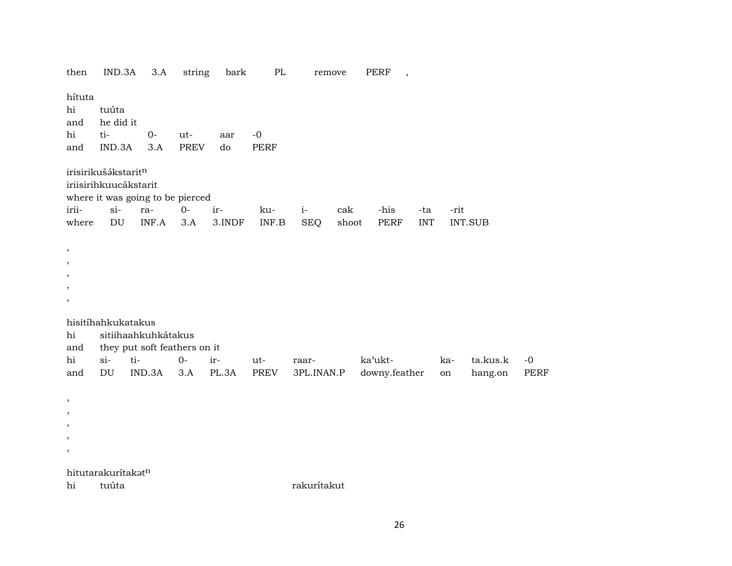then IND.3A 3.A string bark PERF  $PL$ remove  $\overline{\phantom{a}}$ hítuta tuúta hi and he did it  $ti 0$ hi ut- $-0$ aar  $3.A$ PERF IND.3A **PREV**  $d<sub>o</sub>$ and irisirikuš ákstarit<sup>n</sup> iriisirihkuucákstarit where it was going to be pierced irii $si$ - $O$ ir $i$ raku--his -rit cak -ta DU  $INF.A$  3.A 3.INDF  $\ensuremath{\mathsf{INF}.\mathsf{B}}$ **SEQ** shoot PERF **INT** INT.SUB where  $\,$  $\, ,$  $\cdot$  $\overline{\phantom{a}}$  $\cdot$ hisitíhahkukatakus sitiihaahkuhkátakus hi they put soft feathers on it and  $si$ ti- $0$ irka'ukt- $-0$ hi  $ut$ raarkata.kus.k  $IND.3A$   $3.A$   $PL.3A$ PREV downy.feather hang.on and DU 3PL.INAN.P **PERF** on  $\cdot$  $\overline{\phantom{a}}$  $\,$  $^\mathrm{,}$  $\overline{\phantom{a}}$ hitutarakurítakatn tuúta rakurítakut hi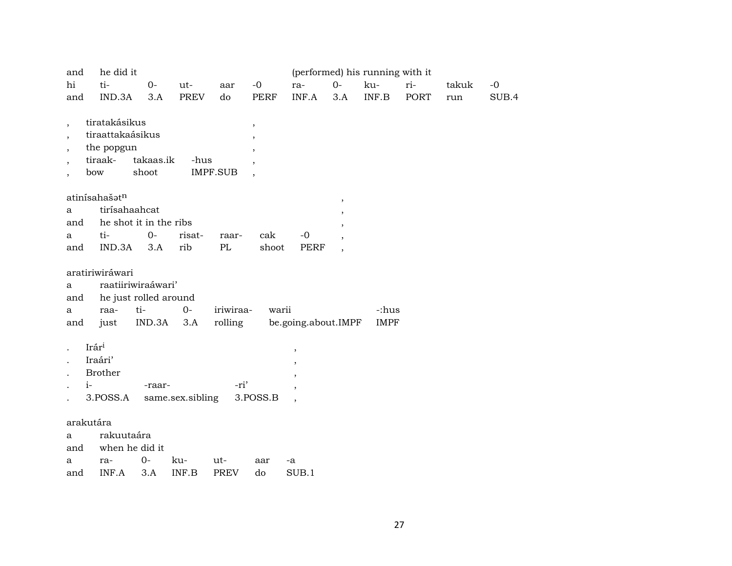| and                      | he did it        |                        |                       |                 |                          |                          |                          | (performed) his running with it |      |       |       |
|--------------------------|------------------|------------------------|-----------------------|-----------------|--------------------------|--------------------------|--------------------------|---------------------------------|------|-------|-------|
| hi                       | ti-              | $O -$                  | ut-                   | aar             | $-0$                     | ra-                      | $0-$                     | ku-                             | ri-  | takuk | $-0$  |
| and                      | IND.3A           | 3.A                    | <b>PREV</b>           | do              | <b>PERF</b>              | INF.A                    | 3.A                      | INF.B                           | PORT | run   | SUB.4 |
|                          | tiratakásikus    |                        |                       |                 |                          |                          |                          |                                 |      |       |       |
| $\overline{\phantom{a}}$ | tiraattakaásikus |                        |                       |                 | $\overline{\phantom{a}}$ |                          |                          |                                 |      |       |       |
| $\overline{\phantom{a}}$ | the popgun       |                        |                       |                 | $\overline{\phantom{a}}$ |                          |                          |                                 |      |       |       |
|                          | tiraak-          | takaas.ik              | -hus                  |                 | $\overline{\phantom{a}}$ |                          |                          |                                 |      |       |       |
|                          | bow              | shoot                  |                       | <b>IMPF.SUB</b> |                          |                          |                          |                                 |      |       |       |
|                          |                  |                        |                       |                 |                          |                          |                          |                                 |      |       |       |
|                          | atinísahašatn    |                        |                       |                 |                          |                          | $\, ,$                   |                                 |      |       |       |
| a                        |                  | tirísahaahcat          |                       |                 |                          |                          |                          |                                 |      |       |       |
| and                      |                  | he shot it in the ribs |                       |                 |                          |                          |                          |                                 |      |       |       |
| a                        | ti-              | $0-$                   | risat-                | raar-           | cak                      | $-0$                     |                          |                                 |      |       |       |
| and                      | IND.3A           | 3.A                    | rib                   | PL              | shoot                    | <b>PERF</b>              | $\overline{\phantom{a}}$ |                                 |      |       |       |
|                          | aratiriwiráwari  |                        |                       |                 |                          |                          |                          |                                 |      |       |       |
| a                        |                  | raatiiriwiraáwari'     |                       |                 |                          |                          |                          |                                 |      |       |       |
| and                      |                  |                        | he just rolled around |                 |                          |                          |                          |                                 |      |       |       |
| a                        | raa-             | ti-                    | $0-$                  | iriwiraa-       | warii                    |                          |                          | -:hus                           |      |       |       |
| and                      | just             | IND.3A                 | 3.A                   | rolling         |                          | be.going.about.IMPF      |                          | <b>IMPF</b>                     |      |       |       |
|                          | Irári            |                        |                       |                 |                          |                          |                          |                                 |      |       |       |
|                          | Iraári'          |                        |                       |                 |                          | $\overline{\phantom{a}}$ |                          |                                 |      |       |       |
|                          | <b>Brother</b>   |                        |                       |                 |                          |                          |                          |                                 |      |       |       |
|                          | $i-$             | -raar-                 |                       | -ri'            |                          |                          |                          |                                 |      |       |       |
|                          | 3.POSS.A         |                        | same.sex.sibling      |                 | 3.POSS.B                 | $\overline{ }$           |                          |                                 |      |       |       |
|                          |                  |                        |                       |                 |                          |                          |                          |                                 |      |       |       |
|                          | arakutára        |                        |                       |                 |                          |                          |                          |                                 |      |       |       |
| a                        | rakuutaára       |                        |                       |                 |                          |                          |                          |                                 |      |       |       |
| and                      |                  | when he did it         |                       |                 |                          |                          |                          |                                 |      |       |       |
| a                        | ra-              | $0-$                   | ku-                   | ut-             | aar                      | -a                       |                          |                                 |      |       |       |
| and                      | INF.A            | 3.A                    | INF.B                 | <b>PREV</b>     | do                       | SUB.1                    |                          |                                 |      |       |       |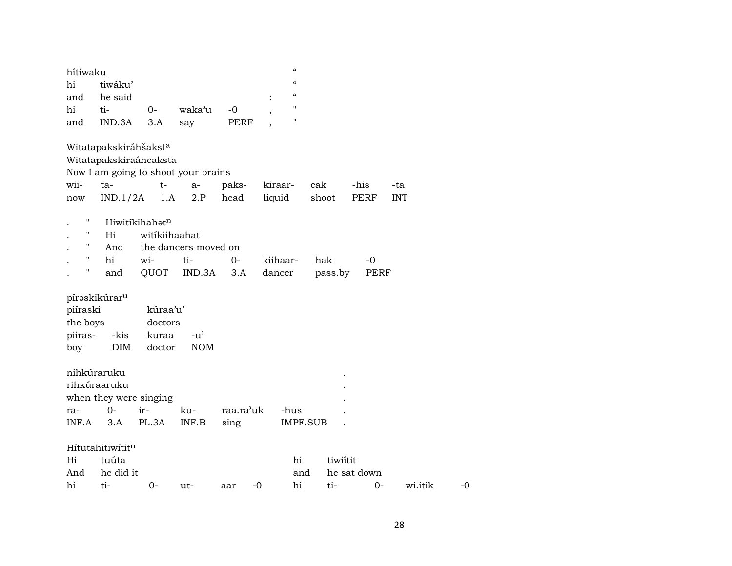| hítiwaku |                                     |                            |                          |          | $\boldsymbol{\zeta}\boldsymbol{\zeta}$                   |         |      |            |
|----------|-------------------------------------|----------------------------|--------------------------|----------|----------------------------------------------------------|---------|------|------------|
| hi       | tiwáku'                             |                            |                          |          | $\boldsymbol{\zeta}\boldsymbol{\zeta}$                   |         |      |            |
| and      | he said                             |                            |                          |          | $\boldsymbol{\zeta}\boldsymbol{\zeta}$<br>$\ddot{\cdot}$ |         |      |            |
| hi       | ti-                                 | $O -$                      | waka'u                   | $-0$     | $\blacksquare$<br>$\cdot$                                |         |      |            |
| and      | IND.3A                              | 3.A                        | say                      | PERF     | $^{\prime\prime}$                                        |         |      |            |
|          |                                     |                            |                          |          |                                                          |         |      |            |
|          | Witatapakskiráhšakst <sup>a</sup>   |                            |                          |          |                                                          |         |      |            |
|          | Witatapakskiraáhcaksta              |                            |                          |          |                                                          |         |      |            |
|          | Now I am going to shoot your brains |                            |                          |          |                                                          |         |      |            |
| wii-     | ta-                                 | $t \qquad$                 |                          | a- paks- | kiraar- cak                                              |         | -his | -ta        |
| now      |                                     |                            | $IND.1/2A$ 1.A 2.P head  |          | liquid                                                   | shoot   | PERF | <b>INT</b> |
| 11       |                                     | Hiwitikihahat <sup>n</sup> |                          |          |                                                          |         |      |            |
| 11       | Hi                                  | witikiihaahat              |                          |          |                                                          |         |      |            |
|          |                                     |                            |                          |          |                                                          |         |      |            |
| 11       |                                     |                            | And the dancers moved on |          |                                                          |         |      |            |
|          | hi                                  | wi-                        | ti-                      | $0-$     | kiihaar-                                                 | hak     | -0   |            |
| н        | and                                 |                            | QUOT IND.3A              | 3.A      | dancer                                                   | pass.by | PERF |            |
|          |                                     |                            |                          |          |                                                          |         |      |            |
|          | píraskikúrar <sup>u</sup>           |                            |                          |          |                                                          |         |      |            |
| piíraski |                                     | kúraa'u'                   |                          |          |                                                          |         |      |            |
| the boys |                                     | doctors                    |                          |          |                                                          |         |      |            |
| piiras-  | -kis                                | kuraa                      | $-u^{\prime}$            |          |                                                          |         |      |            |
| boy      | DIM                                 | doctor                     | <b>NOM</b>               |          |                                                          |         |      |            |

| nihkúraruku |                  |                        |       |           |    |          | $\bullet$ |             |         |    |
|-------------|------------------|------------------------|-------|-----------|----|----------|-----------|-------------|---------|----|
|             | rihkúraaruku     |                        |       |           |    |          | $\bullet$ |             |         |    |
|             |                  | when they were singing |       |           |    |          | $\bullet$ |             |         |    |
| ra-         | 0-               | $ir-$                  | ku-   | raa.ra'uk |    | -hus     |           |             |         |    |
| INF.A       | 3.A              | PL.3A                  | INF.B | sing      |    | IMPF.SUB |           |             |         |    |
|             |                  |                        |       |           |    |          |           |             |         |    |
|             | Hítutahitiwítitn |                        |       |           |    |          |           |             |         |    |
| Hi          | tuúta            |                        |       |           |    | hi       | tiwiítit  |             |         |    |
| And         | he did it        |                        |       |           |    | and      |           | he sat down |         |    |
| hi          | ti-              | 0-                     | ut-   | aar       | -0 | hi       | ti-       | 0-          | wi.itik | -0 |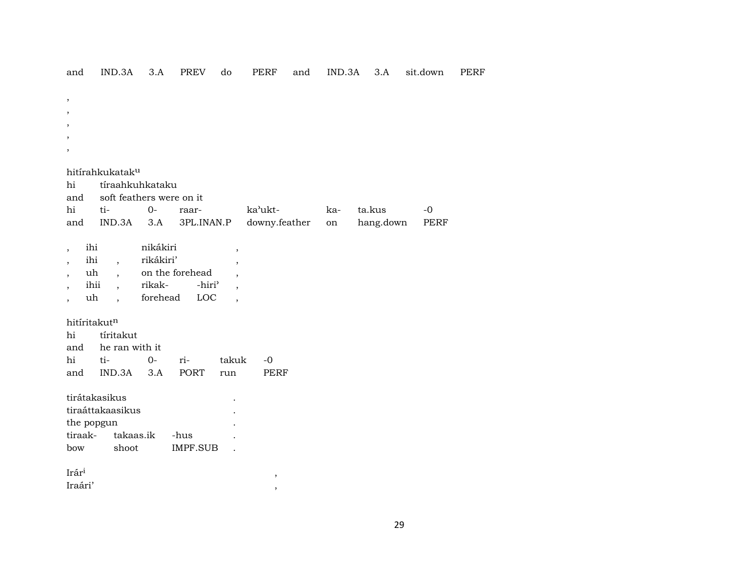| and                                                  | IND.3A                           | 3.A                      | <b>PREV</b>        | do                                                   | <b>PERF</b>   | and | IND.3A | 3.A       | sit.down | <b>PERF</b> |
|------------------------------------------------------|----------------------------------|--------------------------|--------------------|------------------------------------------------------|---------------|-----|--------|-----------|----------|-------------|
| $\,$                                                 |                                  |                          |                    |                                                      |               |     |        |           |          |             |
| $\cdot$                                              |                                  |                          |                    |                                                      |               |     |        |           |          |             |
|                                                      |                                  |                          |                    |                                                      |               |     |        |           |          |             |
|                                                      |                                  |                          |                    |                                                      |               |     |        |           |          |             |
| $\cdot$                                              |                                  |                          |                    |                                                      |               |     |        |           |          |             |
|                                                      | hitírahkukatak <sup>u</sup>      |                          |                    |                                                      |               |     |        |           |          |             |
| hi                                                   |                                  | tíraahkuhkataku          |                    |                                                      |               |     |        |           |          |             |
| and                                                  |                                  | soft feathers were on it |                    |                                                      |               |     |        |           |          |             |
| $\hbox{hi}$                                          | ti-                              | $0-$                     | raar-              |                                                      | ka'ukt-       |     | ka-    | ta.kus    | $-0$     |             |
| and                                                  | IND.3A                           | 3.A                      | 3PL.INAN.P         |                                                      | downy.feather |     | on     | hang.down | PERF     |             |
|                                                      | ihi                              | nikákiri                 |                    |                                                      |               |     |        |           |          |             |
| $\overline{\phantom{a}}$                             | ihi<br>$\overline{\phantom{a}}$  | rikákiri'                |                    | $\overline{\phantom{a}}$                             |               |     |        |           |          |             |
| $\overline{\phantom{a}}$<br>$\overline{\phantom{a}}$ | uh<br>$\overline{\phantom{a}}$   |                          | on the forehead    | $\overline{\phantom{a}}$<br>$\overline{\phantom{a}}$ |               |     |        |           |          |             |
| $\cdot$                                              | ihii<br>$\overline{\phantom{a}}$ | rikak-                   | -hiri <sup>3</sup> | $\overline{\phantom{a}}$                             |               |     |        |           |          |             |
| $\overline{\phantom{a}}$                             | uh<br>$\overline{\phantom{a}}$   | forehead                 | LOC                | $\overline{\phantom{a}}$                             |               |     |        |           |          |             |
|                                                      |                                  |                          |                    |                                                      |               |     |        |           |          |             |
| $\hbox{hi}$                                          | hitíritakutn<br>tíritakut        |                          |                    |                                                      |               |     |        |           |          |             |
| and                                                  |                                  | he ran with it           |                    |                                                      |               |     |        |           |          |             |
| hi                                                   | ti-                              | $0-$                     | ri-                | takuk                                                | $-0$          |     |        |           |          |             |
| and                                                  | IND.3A                           | 3.A                      | <b>PORT</b>        | run                                                  | <b>PERF</b>   |     |        |           |          |             |
|                                                      |                                  |                          |                    |                                                      |               |     |        |           |          |             |
|                                                      | tirátakasikus                    |                          |                    |                                                      |               |     |        |           |          |             |
|                                                      | tiraáttakaasikus                 |                          |                    |                                                      |               |     |        |           |          |             |
|                                                      | the popgun                       |                          |                    |                                                      |               |     |        |           |          |             |
| tiraak-                                              |                                  | takaas.ik                | -hus               |                                                      |               |     |        |           |          |             |
| bow                                                  | shoot                            |                          | IMPF.SUB           |                                                      |               |     |        |           |          |             |
| Irári                                                |                                  |                          |                    |                                                      | $\,$          |     |        |           |          |             |
| Iraári'                                              |                                  |                          |                    |                                                      | $\,$          |     |        |           |          |             |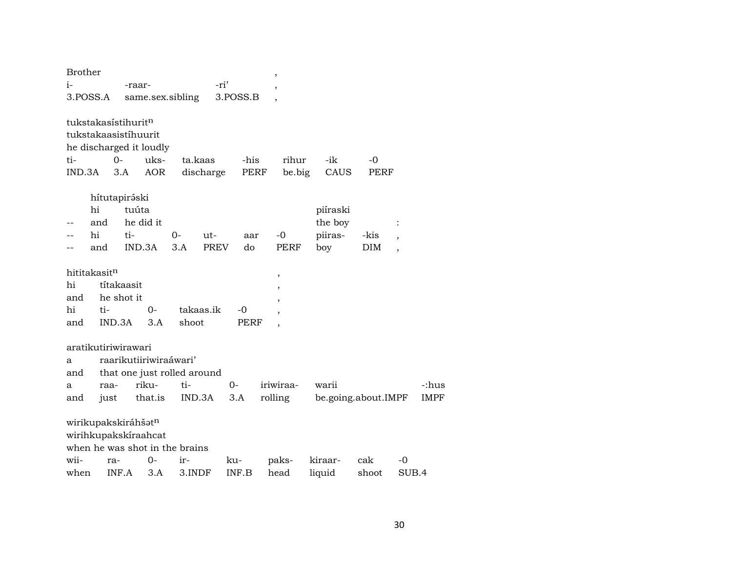| -ri'<br>i-<br>-raar-<br>$\overline{\phantom{a}}$<br>3.POSS.A<br>same.sex.sibling<br>3.POSS.B<br>tukstakasístihurit <sup>n</sup><br>tukstakaasistíhuurit<br>he discharged it loudly<br>$0 -$<br>uks-<br>ta.kaas<br>-his<br>rihur<br>-ik<br>ti-<br>-0<br>IND.3A<br><b>AOR</b><br>discharge<br>PERF<br>be.big<br>CAUS<br><b>PERF</b><br>3.A<br>hítutapiráski<br>hi<br>tuúta<br>piíraski<br>he did it<br>the boy<br>and<br>hi<br>ti-<br>piiras-<br>0-<br>-0<br>-kis<br>ut-<br>aar<br>$\overline{\phantom{a}}$<br>IND.3A<br>3.A<br><b>PREV</b><br>do<br><b>DIM</b><br>and<br>PERF<br>boy<br>$\overline{ }$<br>hititakasit <sup>n</sup><br>$\, ,$<br>títakaasit<br>hi<br>,<br>he shot it<br>and<br>,<br>hi<br>$0-$<br>takaas.ik<br>ti-<br>-0<br>,<br>IND.3A<br>3.A<br>shoot<br><b>PERF</b><br>and<br>$\cdot$<br>aratikutiriwirawari<br>raarikutiiriwiraáwari'<br>a<br>that one just rolled around<br>and<br>riku-<br>ti-<br>$0-$<br>iriwiraa-<br>warii<br>-:hus<br>raa-<br>a<br>that.is<br>3.A<br>rolling<br>be.going.about.IMPF<br><b>IMPF</b><br>and<br>IND.3A<br>just<br>wirikupakskiráhšatn<br>wirihkupakskíraahcat<br>when he was shot in the brains<br>paks-<br>kiraar-<br>wii-<br>0-<br>ir-<br>cak<br>-0<br>ku-<br>ra-<br>INF.A<br>3.A<br>INF.B<br>SUB.4<br>when<br>3.INDF<br>head<br>shoot | <b>Brother</b> |  |  |  | $\,$ |        |  |  |
|----------------------------------------------------------------------------------------------------------------------------------------------------------------------------------------------------------------------------------------------------------------------------------------------------------------------------------------------------------------------------------------------------------------------------------------------------------------------------------------------------------------------------------------------------------------------------------------------------------------------------------------------------------------------------------------------------------------------------------------------------------------------------------------------------------------------------------------------------------------------------------------------------------------------------------------------------------------------------------------------------------------------------------------------------------------------------------------------------------------------------------------------------------------------------------------------------------------------------------------------------------------------------------------------|----------------|--|--|--|------|--------|--|--|
|                                                                                                                                                                                                                                                                                                                                                                                                                                                                                                                                                                                                                                                                                                                                                                                                                                                                                                                                                                                                                                                                                                                                                                                                                                                                                              |                |  |  |  |      |        |  |  |
|                                                                                                                                                                                                                                                                                                                                                                                                                                                                                                                                                                                                                                                                                                                                                                                                                                                                                                                                                                                                                                                                                                                                                                                                                                                                                              |                |  |  |  |      |        |  |  |
|                                                                                                                                                                                                                                                                                                                                                                                                                                                                                                                                                                                                                                                                                                                                                                                                                                                                                                                                                                                                                                                                                                                                                                                                                                                                                              |                |  |  |  |      |        |  |  |
|                                                                                                                                                                                                                                                                                                                                                                                                                                                                                                                                                                                                                                                                                                                                                                                                                                                                                                                                                                                                                                                                                                                                                                                                                                                                                              |                |  |  |  |      |        |  |  |
|                                                                                                                                                                                                                                                                                                                                                                                                                                                                                                                                                                                                                                                                                                                                                                                                                                                                                                                                                                                                                                                                                                                                                                                                                                                                                              |                |  |  |  |      |        |  |  |
|                                                                                                                                                                                                                                                                                                                                                                                                                                                                                                                                                                                                                                                                                                                                                                                                                                                                                                                                                                                                                                                                                                                                                                                                                                                                                              |                |  |  |  |      |        |  |  |
|                                                                                                                                                                                                                                                                                                                                                                                                                                                                                                                                                                                                                                                                                                                                                                                                                                                                                                                                                                                                                                                                                                                                                                                                                                                                                              |                |  |  |  |      |        |  |  |
|                                                                                                                                                                                                                                                                                                                                                                                                                                                                                                                                                                                                                                                                                                                                                                                                                                                                                                                                                                                                                                                                                                                                                                                                                                                                                              |                |  |  |  |      |        |  |  |
|                                                                                                                                                                                                                                                                                                                                                                                                                                                                                                                                                                                                                                                                                                                                                                                                                                                                                                                                                                                                                                                                                                                                                                                                                                                                                              |                |  |  |  |      |        |  |  |
|                                                                                                                                                                                                                                                                                                                                                                                                                                                                                                                                                                                                                                                                                                                                                                                                                                                                                                                                                                                                                                                                                                                                                                                                                                                                                              |                |  |  |  |      |        |  |  |
|                                                                                                                                                                                                                                                                                                                                                                                                                                                                                                                                                                                                                                                                                                                                                                                                                                                                                                                                                                                                                                                                                                                                                                                                                                                                                              |                |  |  |  |      |        |  |  |
|                                                                                                                                                                                                                                                                                                                                                                                                                                                                                                                                                                                                                                                                                                                                                                                                                                                                                                                                                                                                                                                                                                                                                                                                                                                                                              |                |  |  |  |      |        |  |  |
|                                                                                                                                                                                                                                                                                                                                                                                                                                                                                                                                                                                                                                                                                                                                                                                                                                                                                                                                                                                                                                                                                                                                                                                                                                                                                              |                |  |  |  |      |        |  |  |
|                                                                                                                                                                                                                                                                                                                                                                                                                                                                                                                                                                                                                                                                                                                                                                                                                                                                                                                                                                                                                                                                                                                                                                                                                                                                                              |                |  |  |  |      |        |  |  |
|                                                                                                                                                                                                                                                                                                                                                                                                                                                                                                                                                                                                                                                                                                                                                                                                                                                                                                                                                                                                                                                                                                                                                                                                                                                                                              |                |  |  |  |      |        |  |  |
|                                                                                                                                                                                                                                                                                                                                                                                                                                                                                                                                                                                                                                                                                                                                                                                                                                                                                                                                                                                                                                                                                                                                                                                                                                                                                              |                |  |  |  |      |        |  |  |
|                                                                                                                                                                                                                                                                                                                                                                                                                                                                                                                                                                                                                                                                                                                                                                                                                                                                                                                                                                                                                                                                                                                                                                                                                                                                                              |                |  |  |  |      |        |  |  |
|                                                                                                                                                                                                                                                                                                                                                                                                                                                                                                                                                                                                                                                                                                                                                                                                                                                                                                                                                                                                                                                                                                                                                                                                                                                                                              |                |  |  |  |      |        |  |  |
|                                                                                                                                                                                                                                                                                                                                                                                                                                                                                                                                                                                                                                                                                                                                                                                                                                                                                                                                                                                                                                                                                                                                                                                                                                                                                              |                |  |  |  |      |        |  |  |
|                                                                                                                                                                                                                                                                                                                                                                                                                                                                                                                                                                                                                                                                                                                                                                                                                                                                                                                                                                                                                                                                                                                                                                                                                                                                                              |                |  |  |  |      |        |  |  |
|                                                                                                                                                                                                                                                                                                                                                                                                                                                                                                                                                                                                                                                                                                                                                                                                                                                                                                                                                                                                                                                                                                                                                                                                                                                                                              |                |  |  |  |      |        |  |  |
|                                                                                                                                                                                                                                                                                                                                                                                                                                                                                                                                                                                                                                                                                                                                                                                                                                                                                                                                                                                                                                                                                                                                                                                                                                                                                              |                |  |  |  |      |        |  |  |
|                                                                                                                                                                                                                                                                                                                                                                                                                                                                                                                                                                                                                                                                                                                                                                                                                                                                                                                                                                                                                                                                                                                                                                                                                                                                                              |                |  |  |  |      |        |  |  |
|                                                                                                                                                                                                                                                                                                                                                                                                                                                                                                                                                                                                                                                                                                                                                                                                                                                                                                                                                                                                                                                                                                                                                                                                                                                                                              |                |  |  |  |      |        |  |  |
|                                                                                                                                                                                                                                                                                                                                                                                                                                                                                                                                                                                                                                                                                                                                                                                                                                                                                                                                                                                                                                                                                                                                                                                                                                                                                              |                |  |  |  |      |        |  |  |
|                                                                                                                                                                                                                                                                                                                                                                                                                                                                                                                                                                                                                                                                                                                                                                                                                                                                                                                                                                                                                                                                                                                                                                                                                                                                                              |                |  |  |  |      |        |  |  |
|                                                                                                                                                                                                                                                                                                                                                                                                                                                                                                                                                                                                                                                                                                                                                                                                                                                                                                                                                                                                                                                                                                                                                                                                                                                                                              |                |  |  |  |      |        |  |  |
|                                                                                                                                                                                                                                                                                                                                                                                                                                                                                                                                                                                                                                                                                                                                                                                                                                                                                                                                                                                                                                                                                                                                                                                                                                                                                              |                |  |  |  |      |        |  |  |
|                                                                                                                                                                                                                                                                                                                                                                                                                                                                                                                                                                                                                                                                                                                                                                                                                                                                                                                                                                                                                                                                                                                                                                                                                                                                                              |                |  |  |  |      |        |  |  |
|                                                                                                                                                                                                                                                                                                                                                                                                                                                                                                                                                                                                                                                                                                                                                                                                                                                                                                                                                                                                                                                                                                                                                                                                                                                                                              |                |  |  |  |      | liquid |  |  |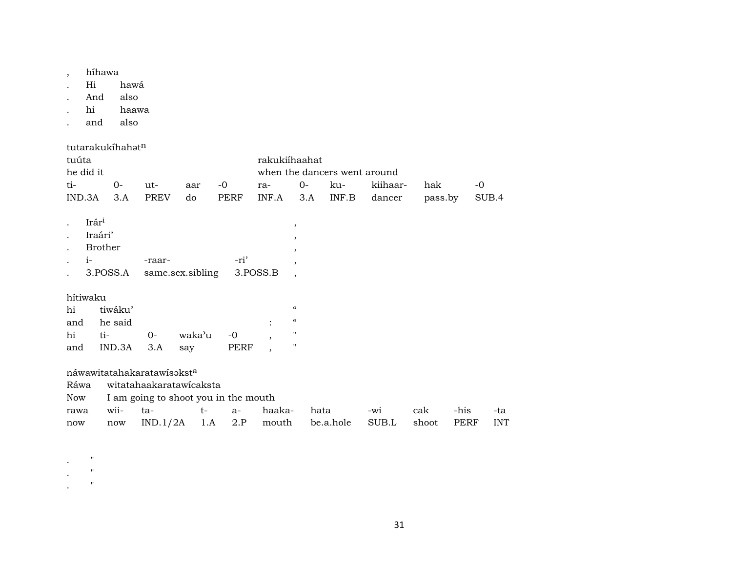- , híhawa
- . Hi hawá
- . And also
- . hi haawa
- . and also

|                                                                      |                | tutarakukíhahat <sup>n</sup> |                            |        |                                      |                              |                          |           |          |         |      |            |  |  |
|----------------------------------------------------------------------|----------------|------------------------------|----------------------------|--------|--------------------------------------|------------------------------|--------------------------|-----------|----------|---------|------|------------|--|--|
| tuúta                                                                |                |                              |                            |        |                                      | rakukiíhaahat                |                          |           |          |         |      |            |  |  |
|                                                                      | he did it      |                              |                            |        |                                      | when the dancers went around |                          |           |          |         |      |            |  |  |
| ti-                                                                  |                | $0-$                         | ut-                        | aar    | -0                                   | ra-                          | $0-$                     | ku-       | kiihaar- | hak     | -0   |            |  |  |
| IND.3A                                                               |                | 3.A                          | <b>PREV</b>                | do     | PERF                                 | INF.A                        | 3.A                      | INF.B     | dancer   | pass.by |      | SUB.4      |  |  |
| $\ddot{\phantom{a}}$                                                 | Irári          |                              |                            |        |                                      |                              | $\, ,$                   |           |          |         |      |            |  |  |
|                                                                      | Iraári'        |                              |                            |        |                                      |                              | $\, ,$                   |           |          |         |      |            |  |  |
|                                                                      | <b>Brother</b> |                              |                            |        |                                      |                              | $^\mathrm{,}$            |           |          |         |      |            |  |  |
|                                                                      | $i-$           |                              | -raar-                     |        | -ri'                                 |                              | $\overline{ }$           |           |          |         |      |            |  |  |
| 3.POSS.A<br>3.POSS.B<br>same.sex.sibling<br>$\overline{\phantom{a}}$ |                |                              |                            |        |                                      |                              |                          |           |          |         |      |            |  |  |
|                                                                      | hítiwaku       |                              |                            |        |                                      |                              |                          |           |          |         |      |            |  |  |
| hi                                                                   |                | tiwáku'                      |                            |        |                                      |                              | $\mathcal{C}\mathcal{C}$ |           |          |         |      |            |  |  |
| and                                                                  |                | he said                      |                            |        |                                      |                              | $\epsilon\epsilon$       |           |          |         |      |            |  |  |
| hi                                                                   | ti-            |                              | $0-$                       | waka'u | $-0$                                 | $\cdot$                      | $\pmb{\mathsf{H}}$       |           |          |         |      |            |  |  |
| and                                                                  |                | IND.3A                       | 3.A                        | say    | PERF                                 | $\overline{\phantom{a}}$     | $\pmb{\mathsf{H}}$       |           |          |         |      |            |  |  |
|                                                                      |                |                              | náwawitatahakaratawisaksta |        |                                      |                              |                          |           |          |         |      |            |  |  |
| Ráwa                                                                 |                |                              | witatahaakaratawicaksta    |        |                                      |                              |                          |           |          |         |      |            |  |  |
| Now                                                                  |                |                              |                            |        | I am going to shoot you in the mouth |                              |                          |           |          |         |      |            |  |  |
| rawa                                                                 |                | wii-                         | ta-                        | $t-$   | $a-$                                 | haaka-                       |                          | hata      | -wi      | cak     | -his | -ta        |  |  |
| now                                                                  |                | now                          | IND.1/2A                   | 1.A    | 2.P                                  | mouth                        |                          | be.a.hole | SUB.L    | shoot   | PERF | <b>INT</b> |  |  |

- $\mathbf{r}$  .  $\mathbf{r}$
- .  $\blacksquare$  "
- $\mathbf{.}$  "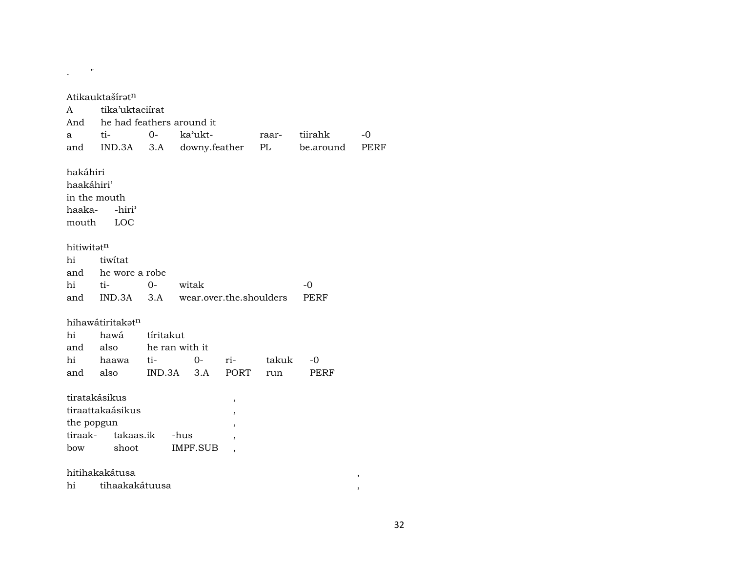| Atikauktašíratn<br>tika'uktaciírat<br>A<br>he had feathers around it<br>And<br>$O -$<br>ka'ukt-<br>ti-<br>tiirahk<br>$-0$<br>a<br>raar- |                              |                       |                                  |                         |       |             |  |  |  |  |  |
|-----------------------------------------------------------------------------------------------------------------------------------------|------------------------------|-----------------------|----------------------------------|-------------------------|-------|-------------|--|--|--|--|--|
| and                                                                                                                                     | IND.3A                       | 3.A                   | downy.feather<br>PL<br>be.around |                         |       |             |  |  |  |  |  |
| hakáhiri<br>haakáhiri'<br>in the mouth<br>-hiri <sup>3</sup><br>haaka-<br>mouth<br>LOC                                                  |                              |                       |                                  |                         |       |             |  |  |  |  |  |
| hitiwitatn                                                                                                                              |                              |                       |                                  |                         |       |             |  |  |  |  |  |
| hi                                                                                                                                      | tiwitat                      |                       |                                  |                         |       |             |  |  |  |  |  |
| and                                                                                                                                     | he wore a robe               |                       |                                  |                         |       |             |  |  |  |  |  |
| hi                                                                                                                                      | ti-                          | $O -$                 | witak                            |                         |       | $-0$        |  |  |  |  |  |
| and                                                                                                                                     | $IND.3A$ $3.A$               |                       |                                  | wear.over.the.shoulders |       | <b>PERF</b> |  |  |  |  |  |
|                                                                                                                                         |                              |                       |                                  |                         |       |             |  |  |  |  |  |
|                                                                                                                                         | hihawátiritakat <sup>n</sup> |                       |                                  |                         |       |             |  |  |  |  |  |
| hi                                                                                                                                      | hawá                         | tíritakut             |                                  |                         |       |             |  |  |  |  |  |
| and<br>hi                                                                                                                               | also                         | he ran with it<br>ti- | $0-$                             | ri-                     | takuk | -0          |  |  |  |  |  |
| and                                                                                                                                     | haawa<br>also                | IND.3A                | 3.A                              | PORT                    | run   | <b>PERF</b> |  |  |  |  |  |
|                                                                                                                                         |                              |                       |                                  |                         |       |             |  |  |  |  |  |
|                                                                                                                                         | tiratakásikus                |                       |                                  | ,                       |       |             |  |  |  |  |  |
|                                                                                                                                         | tiraattakaásikus             |                       |                                  | ,                       |       |             |  |  |  |  |  |
| the popgun                                                                                                                              |                              |                       |                                  | ,                       |       |             |  |  |  |  |  |
| tiraak-                                                                                                                                 | takaas.ik                    |                       | -hus                             |                         |       |             |  |  |  |  |  |
| bow                                                                                                                                     | shoot                        |                       | <b>IMPF.SUB</b>                  |                         |       |             |  |  |  |  |  |
|                                                                                                                                         |                              |                       |                                  |                         |       |             |  |  |  |  |  |
| hitihakakátusa<br>$^\mathrm{,}$                                                                                                         |                              |                       |                                  |                         |       |             |  |  |  |  |  |
| tihaakakátuusa<br>hi<br>$\, \,$                                                                                                         |                              |                       |                                  |                         |       |             |  |  |  |  |  |

 $\frac{1}{2} \left( \frac{1}{2} \right) \left( \frac{1}{2} \right) \left( \frac{1}{2} \right)$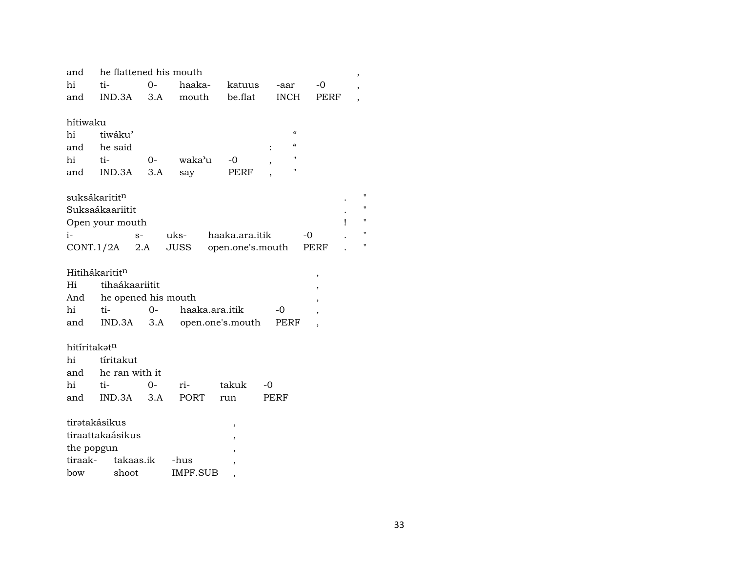| and          | he flattened his mouth    |          |                 |                          |                          |      |   |  |  |  |  |
|--------------|---------------------------|----------|-----------------|--------------------------|--------------------------|------|---|--|--|--|--|
| hi           | ti-                       | $O -$    | haaka-          | katuus                   | -aar                     | -0   |   |  |  |  |  |
| and          | IND.3A                    | 3.A      | mouth           | be.flat                  | <b>INCH</b>              | PERF |   |  |  |  |  |
|              |                           |          |                 |                          |                          |      |   |  |  |  |  |
| hítiwaku     |                           |          |                 |                          |                          |      |   |  |  |  |  |
| hi           | tiwáku'                   |          |                 |                          | $\epsilon\epsilon$       |      |   |  |  |  |  |
| and          | he said                   |          |                 |                          | $\epsilon\epsilon$       |      |   |  |  |  |  |
| hi           | ti-                       | $O-$     | waka'u          | -0                       | $^{\prime}$              |      |   |  |  |  |  |
| and          | IND.3A                    | 3.A      | say             | PERF                     | $^{\prime\prime}$        |      |   |  |  |  |  |
|              |                           |          |                 |                          |                          |      |   |  |  |  |  |
|              | suksákaritit <sup>n</sup> |          |                 |                          |                          |      |   |  |  |  |  |
|              | Suksaákaariitit           |          |                 |                          |                          |      |   |  |  |  |  |
|              | Open your mouth           |          |                 |                          |                          |      | Ţ |  |  |  |  |
| i-           |                           | $S-$     | uks-            | haaka.ara.itik           |                          | -0   |   |  |  |  |  |
|              | CONT.1/2A                 | 2.A      | JUSS            | open.one's.mouth         |                          | PERF |   |  |  |  |  |
|              | Hitihákarititn            |          |                 |                          |                          |      |   |  |  |  |  |
| Hi           | tihaákaariitit            |          |                 |                          |                          | ,    |   |  |  |  |  |
| And          | he opened his mouth       |          |                 |                          |                          |      |   |  |  |  |  |
| hi           | $t_{1}$ -                 | $\Omega$ | haaka.ara.itik  |                          | -0                       |      |   |  |  |  |  |
| and          | IND.3A                    | 3.A      |                 |                          | open.one's.mouth<br>PERF |      |   |  |  |  |  |
|              |                           |          |                 |                          |                          |      |   |  |  |  |  |
| hitíritakatn |                           |          |                 |                          |                          |      |   |  |  |  |  |
| hi           | tíritakut                 |          |                 |                          |                          |      |   |  |  |  |  |
| and          | he ran with it            |          |                 |                          |                          |      |   |  |  |  |  |
| hi           | ti-                       | $0 -$    | ri-             | takuk                    | $-0$                     |      |   |  |  |  |  |
| and          | IND.3A                    | 3.A      | PORT            | run                      | PERF                     |      |   |  |  |  |  |
|              |                           |          |                 |                          |                          |      |   |  |  |  |  |
|              | tirətakásikus             |          |                 | ,                        |                          |      |   |  |  |  |  |
|              | tiraattakaásikus          |          |                 |                          |                          |      |   |  |  |  |  |
|              | the popgun                |          |                 | $\overline{\phantom{a}}$ |                          |      |   |  |  |  |  |
| tiraak-      | takaas.ik                 |          | -hus            |                          |                          |      |   |  |  |  |  |
| bow          | shoot                     |          | <b>IMPF.SUB</b> | $\overline{ }$           |                          |      |   |  |  |  |  |
|              |                           |          |                 |                          |                          |      |   |  |  |  |  |

 $\mathbf{u}$  $\mathbf{u}$  $\bar{\mathbf{u}}$  $\boldsymbol{\mathsf{u}}$  $\mathbf{u}$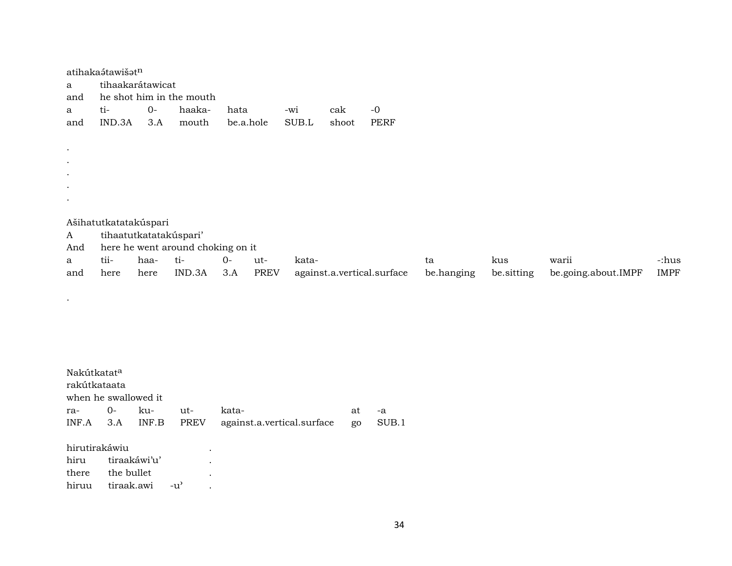| a<br>and  | atihakaśtawišət <sup>n</sup><br>tihaakarátawicat |      | he shot him in the mouth          |           |             |       |       |                            |            |            |                     |             |
|-----------|--------------------------------------------------|------|-----------------------------------|-----------|-------------|-------|-------|----------------------------|------------|------------|---------------------|-------------|
| a         | ti-                                              | $0-$ | haaka-                            | hata      |             | -wi   | cak   | $-0$                       |            |            |                     |             |
| and       | IND.3A                                           | 3.A  | mouth                             | be.a.hole |             | SUB.L | shoot | <b>PERF</b>                |            |            |                     |             |
| $\bullet$ |                                                  |      |                                   |           |             |       |       |                            |            |            |                     |             |
| $\bullet$ |                                                  |      |                                   |           |             |       |       |                            |            |            |                     |             |
| $\bullet$ |                                                  |      |                                   |           |             |       |       |                            |            |            |                     |             |
| $\bullet$ |                                                  |      |                                   |           |             |       |       |                            |            |            |                     |             |
| $\bullet$ |                                                  |      |                                   |           |             |       |       |                            |            |            |                     |             |
|           | Ašihatutkatatakúspari                            |      |                                   |           |             |       |       |                            |            |            |                     |             |
| A         | tihaatutkatatakúspari'                           |      |                                   |           |             |       |       |                            |            |            |                     |             |
| And       |                                                  |      | here he went around choking on it |           |             |       |       |                            |            |            |                     |             |
| a         | tii-                                             | haa- | ti-                               | $O-$      | ut-         | kata- |       |                            | ta         | kus        | warii               | -:hus       |
| and       | here                                             | here | IND.3A                            | 3.A       | <b>PREV</b> |       |       | against.a.vertical.surface | be.hanging | be sitting | be.going.about.IMPF | <b>IMPF</b> |

| Nakútkatat <sup>a</sup> |     |                            |                            |    |       |  |  |  |  |  |  |  |
|-------------------------|-----|----------------------------|----------------------------|----|-------|--|--|--|--|--|--|--|
| rakútkataata            |     |                            |                            |    |       |  |  |  |  |  |  |  |
| when he swallowed it    |     |                            |                            |    |       |  |  |  |  |  |  |  |
| $O-$                    | ku- | ut-                        | kata-                      | at | -a    |  |  |  |  |  |  |  |
| 3.A                     |     | <b>PREV</b>                | against.a.vertical.surface | go | SUB.1 |  |  |  |  |  |  |  |
|                         |     |                            |                            |    |       |  |  |  |  |  |  |  |
| hirutirakáwiu           |     |                            |                            |    |       |  |  |  |  |  |  |  |
|                         |     | $\bullet$                  |                            |    |       |  |  |  |  |  |  |  |
|                         |     | $\bullet$                  |                            |    |       |  |  |  |  |  |  |  |
| tiraak.awi<br>hiruu     |     | $-11'$                     |                            |    |       |  |  |  |  |  |  |  |
|                         |     | tiraakáwi'u'<br>the bullet | INF.B                      |    |       |  |  |  |  |  |  |  |

 $\sim 100$  km s  $^{-1}$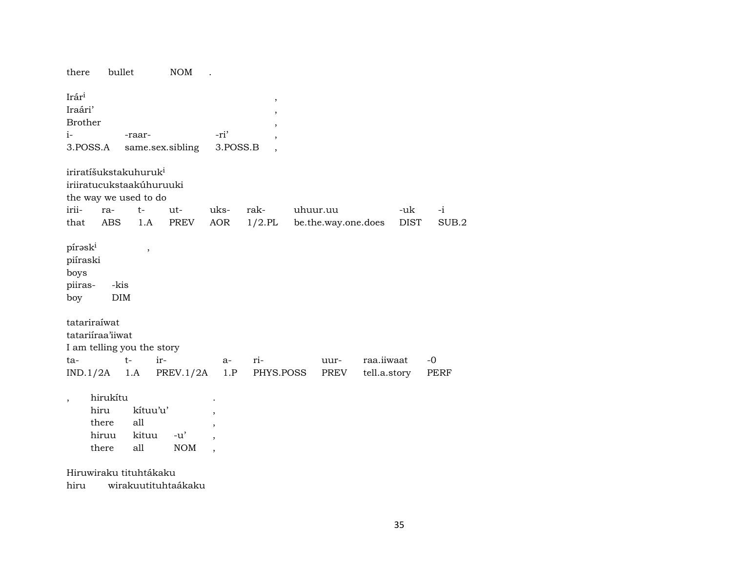| there                                                     | bullet                                                                                 | NOM              |                          |                          |                     |              |             |       |  |  |  |  |  |
|-----------------------------------------------------------|----------------------------------------------------------------------------------------|------------------|--------------------------|--------------------------|---------------------|--------------|-------------|-------|--|--|--|--|--|
| Irári                                                     |                                                                                        |                  |                          | $\, ,$                   |                     |              |             |       |  |  |  |  |  |
| Iraári'                                                   |                                                                                        |                  |                          | $\,$                     |                     |              |             |       |  |  |  |  |  |
| <b>Brother</b>                                            |                                                                                        |                  |                          | $\, ,$                   |                     |              |             |       |  |  |  |  |  |
| $i-$                                                      | -raar-                                                                                 |                  | -ri'                     | ,                        |                     |              |             |       |  |  |  |  |  |
| 3.POSS.A                                                  |                                                                                        | same.sex.sibling | 3.POSS.B                 | $\overline{\phantom{a}}$ |                     |              |             |       |  |  |  |  |  |
|                                                           | iriratíšukstakuhuruk <sup>i</sup><br>iriiratucukstaakúhuruuki<br>the way we used to do |                  |                          |                          |                     |              |             |       |  |  |  |  |  |
| irii-<br>ra-                                              | $t-$                                                                                   | ut-              | uks-                     | rak-                     | uhuur.uu            |              | -uk         | $-i$  |  |  |  |  |  |
| that<br><b>ABS</b>                                        | 1.A                                                                                    | PREV             | AOR                      | $1/2$ .PL                | be.the.way.one.does |              | <b>DIST</b> | SUB.2 |  |  |  |  |  |
| pírask <sup>i</sup><br>piíraski<br>boys<br>piiras-<br>boy | $^\mathrm{,}$<br>-kis<br><b>DIM</b>                                                    |                  |                          |                          |                     |              |             |       |  |  |  |  |  |
| tatariraíwat                                              |                                                                                        |                  |                          |                          |                     |              |             |       |  |  |  |  |  |
| tatariiraa'iiwat                                          |                                                                                        |                  |                          |                          |                     |              |             |       |  |  |  |  |  |
| I am telling you the story<br>ta-                         | $t-$                                                                                   | ir-              | a-                       | ri-                      | uur-                | raa.iiwaat   |             | $-0$  |  |  |  |  |  |
| IND.1/2A                                                  | 1.A                                                                                    | PREV.1/2A        | 1.P                      | PHYS.POSS                | PREV                | tell.a.story |             | PERF  |  |  |  |  |  |
|                                                           |                                                                                        |                  |                          |                          |                     |              |             |       |  |  |  |  |  |
| hirukítu<br>$\overline{\phantom{a}}$                      |                                                                                        |                  |                          |                          |                     |              |             |       |  |  |  |  |  |
| hiru                                                      | kítuu'u'                                                                               |                  |                          |                          |                     |              |             |       |  |  |  |  |  |
| there                                                     | all                                                                                    |                  | ,                        |                          |                     |              |             |       |  |  |  |  |  |
| hiruu                                                     | kituu                                                                                  | $-u'$            |                          |                          |                     |              |             |       |  |  |  |  |  |
| there                                                     | all                                                                                    | <b>NOM</b>       | $\overline{\phantom{a}}$ |                          |                     |              |             |       |  |  |  |  |  |
| Hiruwiraku tituhtákaku                                    |                                                                                        |                  |                          |                          |                     |              |             |       |  |  |  |  |  |

hiru wirakuutituhtaákaku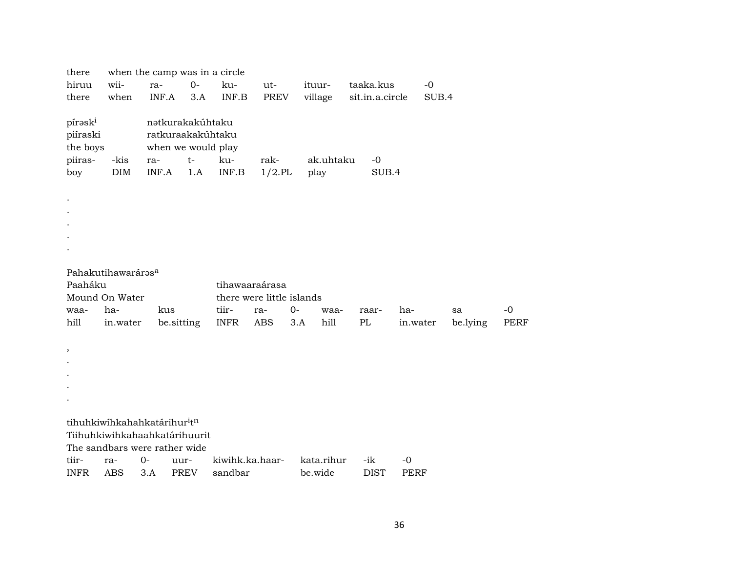| there                                                         | when the camp was in a circle |                                                                             |                     |                            |                   |      |                       |  |                    |                     |       |          |             |
|---------------------------------------------------------------|-------------------------------|-----------------------------------------------------------------------------|---------------------|----------------------------|-------------------|------|-----------------------|--|--------------------|---------------------|-------|----------|-------------|
| hiruu                                                         | wii-                          | ra-                                                                         | $0-$                | ku-                        | ut-               |      | ituur-                |  | taaka.kus          |                     | $-0$  |          |             |
| there                                                         | when                          | INF.A                                                                       | 3.A                 | INF.B                      | <b>PREV</b>       |      | village               |  | sit.in.a.circle    |                     | SUB.4 |          |             |
| pírask <sup>i</sup><br>piíraski<br>the boys<br>piiras-<br>boy | -kis<br>DIM                   | nətkurakakúhtaku<br>ratkuraakakúhtaku<br>when we would play<br>ra-<br>INF.A | $t-$<br>1.A         | ku-<br>INF.B               | rak-<br>$1/2$ .PL |      | ak.uhtaku<br>play     |  | $-0$<br>SUB.4      |                     |       |          |             |
| $\bullet$                                                     |                               |                                                                             |                     |                            |                   |      |                       |  |                    |                     |       |          |             |
|                                                               |                               |                                                                             |                     |                            |                   |      |                       |  |                    |                     |       |          |             |
|                                                               |                               |                                                                             |                     |                            |                   |      |                       |  |                    |                     |       |          |             |
|                                                               |                               |                                                                             |                     |                            |                   |      |                       |  |                    |                     |       |          |             |
|                                                               |                               |                                                                             |                     |                            |                   |      |                       |  |                    |                     |       |          |             |
| Pahakutihawarárasa                                            |                               |                                                                             |                     |                            |                   |      |                       |  |                    |                     |       |          |             |
| Paaháku                                                       |                               |                                                                             |                     | tihawaaraárasa             |                   |      |                       |  |                    |                     |       |          |             |
| Mound On Water                                                |                               |                                                                             |                     | there were little islands  |                   |      |                       |  |                    |                     |       |          |             |
| waa-                                                          | ha-                           | kus                                                                         |                     | tiir-                      | ra-               | $0-$ | waa-                  |  | raar-              | ha-                 |       | sa       | $-0$        |
| hill                                                          | in.water                      | be.sitting                                                                  |                     | <b>INFR</b>                | ABS               | 3.A  | hill                  |  | PL                 | in.water            |       | be.lying | <b>PERF</b> |
|                                                               |                               |                                                                             |                     |                            |                   |      |                       |  |                    |                     |       |          |             |
| $^\mathrm{^\mathrm{o}}$                                       |                               |                                                                             |                     |                            |                   |      |                       |  |                    |                     |       |          |             |
|                                                               |                               |                                                                             |                     |                            |                   |      |                       |  |                    |                     |       |          |             |
|                                                               |                               |                                                                             |                     |                            |                   |      |                       |  |                    |                     |       |          |             |
|                                                               |                               |                                                                             |                     |                            |                   |      |                       |  |                    |                     |       |          |             |
|                                                               |                               |                                                                             |                     |                            |                   |      |                       |  |                    |                     |       |          |             |
|                                                               |                               | tihuhkiwihkahahkatárihur <sup>i</sup> t <sup>n</sup>                        |                     |                            |                   |      |                       |  |                    |                     |       |          |             |
|                                                               |                               | Tiihuhkiwihkahaahkatárihuurit                                               |                     |                            |                   |      |                       |  |                    |                     |       |          |             |
|                                                               |                               | The sandbars were rather wide                                               |                     |                            |                   |      |                       |  |                    |                     |       |          |             |
| tiir-<br><b>INFR</b>                                          | ra-<br><b>ABS</b>             | $O -$<br>3.A                                                                | uur-<br><b>PREV</b> | kiwihk.ka.haar-<br>sandbar |                   |      | kata.rihur<br>be.wide |  | -ik<br><b>DIST</b> | $-0$<br><b>PERF</b> |       |          |             |
|                                                               |                               |                                                                             |                     |                            |                   |      |                       |  |                    |                     |       |          |             |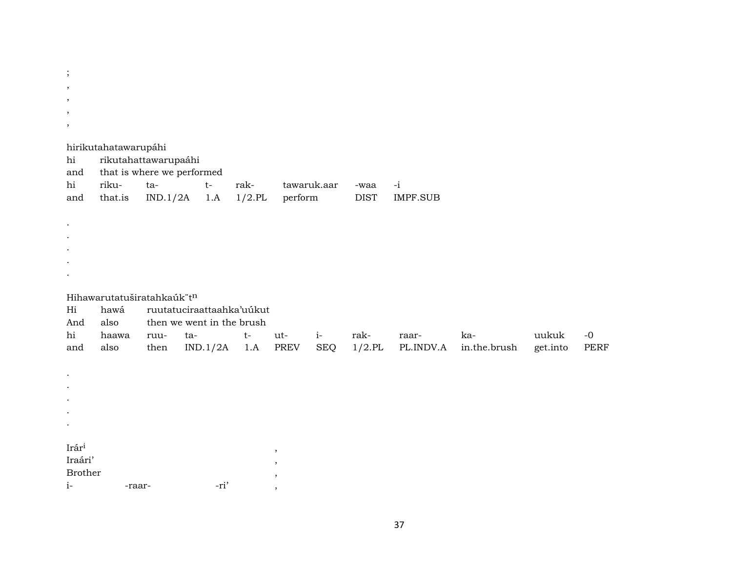$\vdots$  $\overline{\phantom{a}}$  $\cdot$  $\, ,$  $\cdot$ hirikutahatawarupáhi rikutahattawarupaáhi hi that is where we performed and hi rikuraktawaruk.aar  $-i$ ta $t-$ -waa that.is  $1/2$ .PL  $IND.1/2A$ 1.A perform **DIST IMPF.SUB** and  $\bullet$  $\bullet$  $\bullet$  $\cdot$ Hihawarutatuširatahkaúk tn hawá ruutatuciraattaahka'uúkut Hi And also then we went in the brush hi  $i$ haawa ta $t$ utrakkauukuk  $-0$ ruuraaralso  $IND.1/2A$  1.A **PREV SEQ**  $1/2$ .PL PL.INDV.A in.the.brush **PERF** and then get.into  $\overline{a}$  $\overline{a}$  $\bullet$ Irár<sup>i</sup>  $,$ Iraári'  $\overline{\phantom{a}}$ Brother  $\cdot$  $i-$ -ri' -raar- $\overline{\phantom{a}}$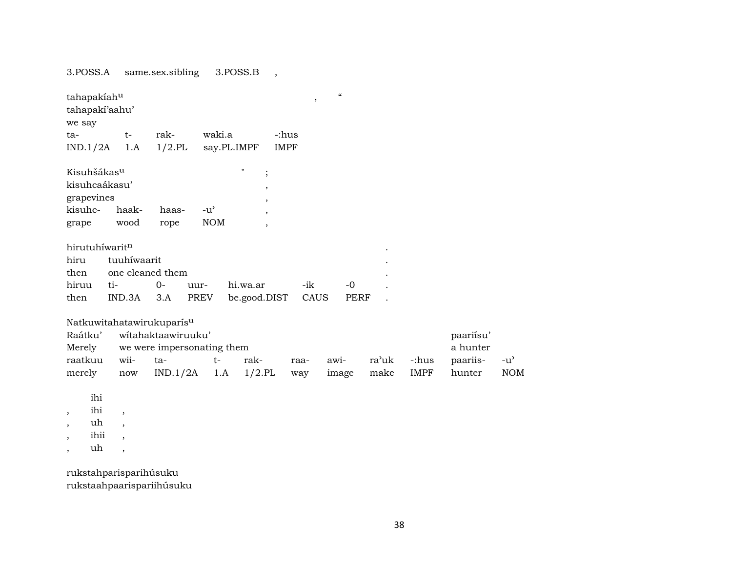3.POSS.A same.sex.sibling 3.POSS.B ,

| tahapakiahu             |             |                           |                            |                          | ,           | $\epsilon\epsilon$ |       |             |           |               |
|-------------------------|-------------|---------------------------|----------------------------|--------------------------|-------------|--------------------|-------|-------------|-----------|---------------|
| tahapaki'aahu'          |             |                           |                            |                          |             |                    |       |             |           |               |
| we say                  |             |                           |                            |                          |             |                    |       |             |           |               |
| $ta-$                   | $t-$        | rak-                      | waki.a                     |                          | -:hus       |                    |       |             |           |               |
| IND.1/2A                | 1.A         | $1/2$ .PL                 | say.PL.IMPF                |                          | <b>IMPF</b> |                    |       |             |           |               |
| Kisuhšákas <sup>u</sup> |             |                           |                            | $\mathbf{H}$<br>$\vdots$ |             |                    |       |             |           |               |
| kisuhcaákasu'           |             |                           |                            |                          |             |                    |       |             |           |               |
|                         |             |                           |                            | $\overline{\phantom{a}}$ |             |                    |       |             |           |               |
| grapevines              |             |                           |                            | $\overline{\phantom{a}}$ |             |                    |       |             |           |               |
| kisuhc-                 | haak-       | haas-                     | $-u^{\prime}$              | $\overline{ }$           |             |                    |       |             |           |               |
| grape                   | wood        | rope                      | <b>NOM</b>                 | $\overline{\phantom{a}}$ |             |                    |       |             |           |               |
| hirutuhíwaritn          |             |                           |                            |                          |             |                    |       |             |           |               |
| hiru                    | tuuhíwaarit |                           |                            |                          |             |                    |       |             |           |               |
| then                    |             | one cleaned them          |                            |                          |             |                    |       |             |           |               |
| hiruu                   | ti-         | $0 -$                     | uur-                       | hi.wa.ar                 | -ik         | $-0$               |       |             |           |               |
| then                    | IND.3A      | 3.A                       | <b>PREV</b>                | be.good.DIST             | CAUS        | <b>PERF</b>        |       |             |           |               |
|                         |             |                           |                            |                          |             |                    |       |             |           |               |
|                         |             | Natkuwitahatawirukuparisu |                            |                          |             |                    |       |             |           |               |
| Raátku'                 |             | witahaktaawiruuku'        |                            |                          |             |                    |       |             | paariisu' |               |
| Merely                  |             |                           | we were impersonating them |                          |             |                    |       |             | a hunter  |               |
| raatkuu                 | wii-        | ta-                       | $t-$                       | rak-                     |             |                    | ra'uk | -:hus       |           |               |
|                         |             |                           |                            |                          | raa-        | awi-               |       |             | paariis-  | $-u^{\prime}$ |
| merely                  | now         | IND.1/2A                  | 1.A                        | $1/2$ .PL                | way         | image              | make  | <b>IMPF</b> | hunter    | <b>NOM</b>    |
|                         |             |                           |                            |                          |             |                    |       |             |           |               |
| ihi                     |             |                           |                            |                          |             |                    |       |             |           |               |
| ihi<br>$^\mathrm{,}$    | $\cdot$     |                           |                            |                          |             |                    |       |             |           |               |

- ,  $\quad$  uh  $\quad$  ,
- , ihii ,
- $\,$  ,  $\,$   $\,$  uh $\,$  ,

rukstahparisparihúsuku rukstaahpaarispariihúsuku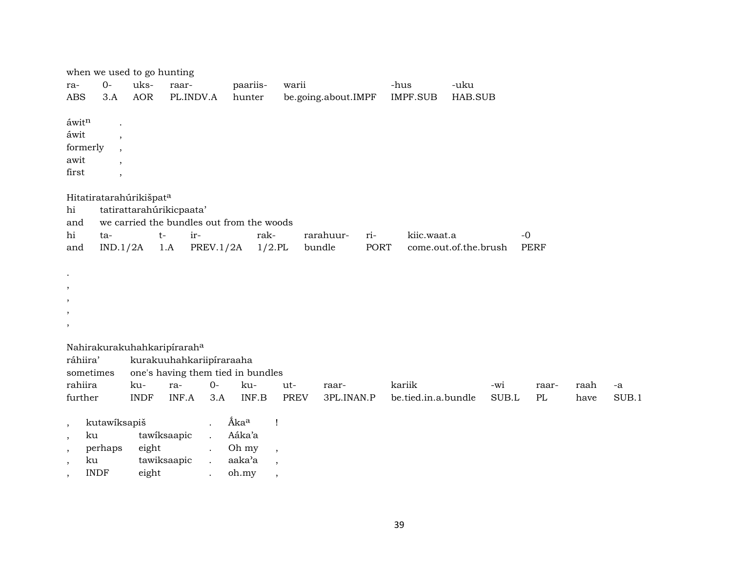| ra-<br><b>ABS</b>                                                                  | when we used to go hunting<br>$O -$<br>3.A         | uks-<br><b>AOR</b> | raar-<br>PL.INDV.A                          | paariis-<br>hunter                                                                                                 | warii                                                                           | be.going.about.IMPF        | -hus<br>IMPF.SUB              | -uku<br>HAB.SUB       |                     |              |             |
|------------------------------------------------------------------------------------|----------------------------------------------------|--------------------|---------------------------------------------|--------------------------------------------------------------------------------------------------------------------|---------------------------------------------------------------------------------|----------------------------|-------------------------------|-----------------------|---------------------|--------------|-------------|
| áwitn<br>áwit<br>formerly<br>awit<br>first                                         | $\cdot$<br>$\cdot$<br>$\overline{\phantom{a}}$     |                    |                                             |                                                                                                                    |                                                                                 |                            |                               |                       |                     |              |             |
| hi<br>and<br>hi<br>and                                                             | Hitatiratarahúrikišpata<br>ta-<br>IND.1/2A         | $t-$               | tatirattarahúrikicpaata'<br>ir-<br>1.A      | we carried the bundles out from the woods<br>PREV.1/2A                                                             | rak-<br>$1/2$ .PL                                                               | rarahuur-<br>ri-<br>bundle | kiic.waat.a<br><b>PORT</b>    | come.out.of.the.brush | $-0$<br><b>PERF</b> |              |             |
| $\bullet$<br>$\,$<br>$\,$<br>$\,$<br>$^\mathrm{,}$                                 |                                                    |                    |                                             |                                                                                                                    |                                                                                 |                            |                               |                       |                     |              |             |
| ráhiira'<br>rahiira<br>further                                                     | sometimes                                          | ku-<br><b>INDF</b> | Nahirakurakuhahkaripíraraha<br>ra-<br>INF.A | kurakuuhahkariipíraraaha<br>one's having them tied in bundles<br>$O -$<br>ku-<br>INF.B<br>3.A                      | ut-<br><b>PREV</b>                                                              | raar-<br>3PL.INAN.P        | kariik<br>be.tied.in.a.bundle | -wi<br>SUB.L          | raar-<br>PL         | raah<br>have | -a<br>SUB.1 |
| $\overline{\phantom{a}}$<br>$\,$<br>$\cdot$<br>$\cdot$<br>$\overline{\phantom{a}}$ | kutawíksapiš<br>ku<br>perhaps<br>ku<br><b>INDF</b> | eight<br>eight     | tawiksaapic<br>tawiksaapic                  | Ákaa<br>Aáka'a<br>$\ddot{\phantom{a}}$<br>Oh my<br>$\ddot{\phantom{0}}$<br>aaka'a<br>$\ddot{\phantom{a}}$<br>oh.my | $\mathbf{I}$<br>$\overline{\phantom{a}}$<br>$\overline{\phantom{a}}$<br>$\cdot$ |                            |                               |                       |                     |              |             |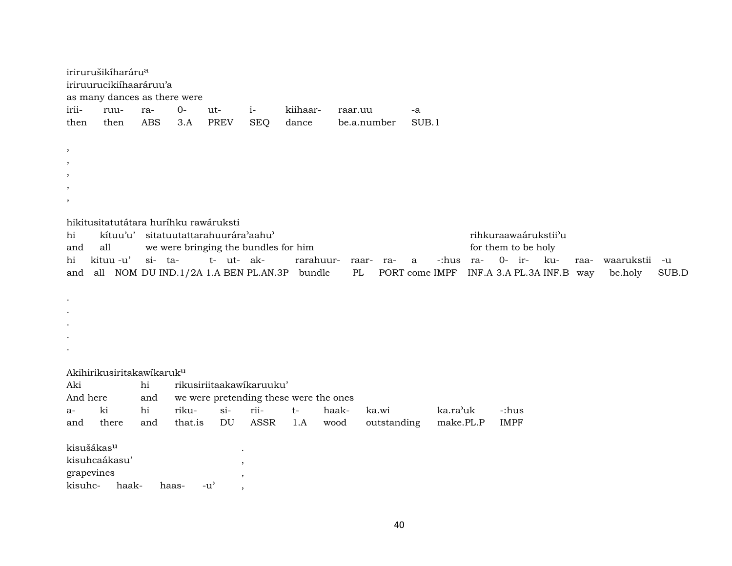|           | irirurušikíharáru <sup>a</sup><br>iriruurucikiihaaráruu'a<br>as many dances as there were |         |     |                                                |      |                     |             |     |                              |                                                 |             |                       |             |
|-----------|-------------------------------------------------------------------------------------------|---------|-----|------------------------------------------------|------|---------------------|-------------|-----|------------------------------|-------------------------------------------------|-------------|-----------------------|-------------|
| irii-     | ruu-                                                                                      | ra-     | 0-  | ut-                                            | $i-$ | kiihaar-            | raar.uu     |     | -a                           |                                                 |             |                       |             |
| then      | then                                                                                      | ABS     | 3.A | <b>PREV</b>                                    | SEQ  | dance               | be.a.number |     | SUB.1                        |                                                 |             |                       |             |
| $\,$      |                                                                                           |         |     |                                                |      |                     |             |     |                              |                                                 |             |                       |             |
| $\cdot$   |                                                                                           |         |     |                                                |      |                     |             |     |                              |                                                 |             |                       |             |
| $\,$      |                                                                                           |         |     |                                                |      |                     |             |     |                              |                                                 |             |                       |             |
| $\cdot$   |                                                                                           |         |     |                                                |      |                     |             |     |                              |                                                 |             |                       |             |
| $\cdot$   |                                                                                           |         |     |                                                |      |                     |             |     |                              |                                                 |             |                       |             |
| hi        | hikitusitatutátara huríhku rawáruksti<br>kítuu'u'                                         |         |     | sitatuutattarahuurára'aahu'                    |      |                     |             |     |                              | rihkuraawaárukstii'u                            |             |                       |             |
| and       | all                                                                                       |         |     | we were bringing the bundles for him           |      |                     |             |     |                              | for them to be holy                             |             |                       |             |
| hi<br>and | kituu -u'<br>all                                                                          | si- ta- |     | t- ut- ak-<br>NOM DU IND.1/2A 1.A BEN PL.AN.3P |      | rarahuur-<br>bundle | raar-<br>PL | ra- | -:hus<br>a<br>PORT come IMPF | 0- ir-<br>- ku-<br>-ra<br>INF.A 3.A PL.3A INF.B | raa-<br>way | waarukstii<br>be.holy | -u<br>SUB.D |

- $\bullet$
- $\ddot{\phantom{a}}$
- $\cdot$
- $\bullet$
- $\sim$

## Akihirikusiritakawikaruk<sup>u</sup>

| Aki                    |               | hi  | rikusiriitaakawikaruuku'               |           |      |     |       |             |           |             |  |  |
|------------------------|---------------|-----|----------------------------------------|-----------|------|-----|-------|-------------|-----------|-------------|--|--|
| And here<br>and        |               |     | we were pretending these were the ones |           |      |     |       |             |           |             |  |  |
| $a-$                   | ki            | hi  | riku-                                  | $\sin$    | rii- | t-  | haak- | ka.wi       | ka.ra'uk  | -:hus       |  |  |
| and                    | there         | and | that.is                                | DU        | ASSR | 1.A | wood  | outstanding | make.PL.P | <b>IMPF</b> |  |  |
|                        |               |     |                                        |           |      |     |       |             |           |             |  |  |
| kisušákas <sup>u</sup> |               |     |                                        | $\bullet$ |      |     |       |             |           |             |  |  |
|                        | kisuhcaákasu' |     |                                        |           |      |     |       |             |           |             |  |  |
| grapevines             |               |     |                                        |           |      |     |       |             |           |             |  |  |
| kisuhc-                | haak-         |     | $-u'$<br>haas-                         |           |      |     |       |             |           |             |  |  |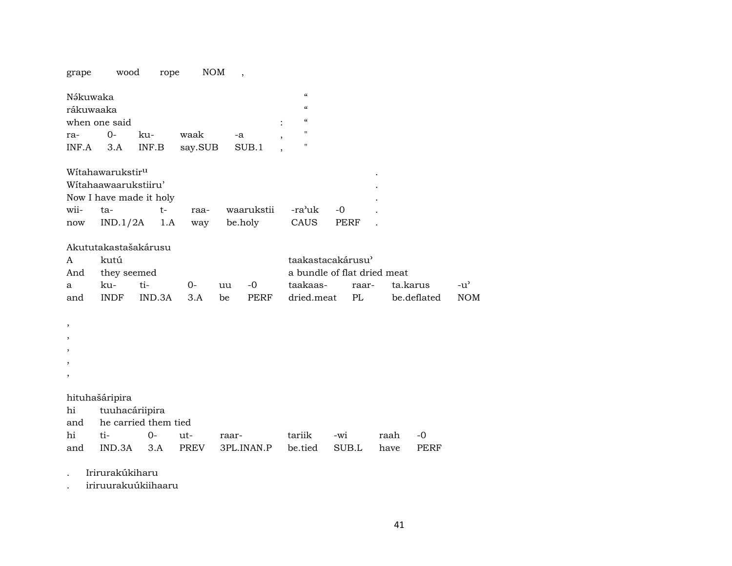NOM, wood rope grape

| Nəkuwaka              |              |     |               |      |   | $\epsilon$ |
|-----------------------|--------------|-----|---------------|------|---|------------|
| rákuwaaka             |              |     |               |      |   | $\epsilon$ |
| when one said         |              |     |               |      | ٠ | $\epsilon$ |
| ra-                   | $\bigcirc$ - | ku- | waak          | $-a$ |   |            |
| $INF.A$ $3.A$ $INF.B$ |              |     | say.SUB SUB.1 |      |   |            |

| Witahawarukstir <sup>u</sup> |                        |       |  |                           |      |      |  |  |  |  |
|------------------------------|------------------------|-------|--|---------------------------|------|------|--|--|--|--|
|                              | Witahaawaarukstiiru'   |       |  |                           |      |      |  |  |  |  |
| Now I have made it holy      |                        |       |  |                           |      |      |  |  |  |  |
| wii- ta-                     |                        | $t -$ |  | raa- waarukstii -ra'uk -0 |      |      |  |  |  |  |
|                              | now $IND.1/2A$ 1.A way |       |  | be.holv                   | CAUS | PERF |  |  |  |  |

Akututakastašakárusu

| $A \quad \alpha$ | kutú            |               |  | taakastacakárusu'              |  |                                                       |        |  |  |
|------------------|-----------------|---------------|--|--------------------------------|--|-------------------------------------------------------|--------|--|--|
|                  | And they seemed |               |  | a bundle of flat dried meat    |  |                                                       |        |  |  |
|                  |                 | a ku- ti-  0- |  | uu -0  taakaas- raar- ta.karus |  |                                                       | $-11'$ |  |  |
| and              |                 |               |  |                                |  | INDF IND.3A 3.A be PERF dried.meat PL be.deflated NOM |        |  |  |

 $^\mathrm{,}$  $, \,$  $\overline{\phantom{a}}$  $\,$  $\overline{\phantom{a}}$ 

hituhašáripira

hi tuuhacáriipira<br>and he carried them tied

| and he carried them tied |  |  |                                                        |  |  |  |  |  |  |
|--------------------------|--|--|--------------------------------------------------------|--|--|--|--|--|--|
|                          |  |  |                                                        |  |  |  |  |  |  |
|                          |  |  | and IND.3A 3.A PREV 3PL.INAN.P be.tied SUB.L have PERF |  |  |  |  |  |  |

Irirurakúkiharu  $\ddot{\phantom{a}}$ 

iriruurakuúkiihaaru  $\cdot$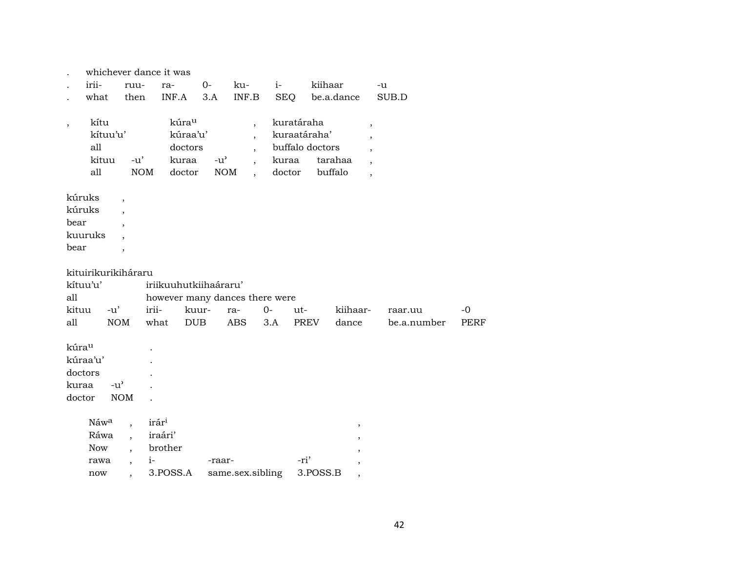|                          |                                         |                                                      | whichever dance it was |                                                 |                                |                                                                                  |                                               |                                       |                                                                                                                               |             |             |
|--------------------------|-----------------------------------------|------------------------------------------------------|------------------------|-------------------------------------------------|--------------------------------|----------------------------------------------------------------------------------|-----------------------------------------------|---------------------------------------|-------------------------------------------------------------------------------------------------------------------------------|-------------|-------------|
|                          | irii-                                   | ruu-                                                 | ra-                    | $0-$                                            | ku-                            | $i-$                                                                             |                                               | kiihaar                               | -u                                                                                                                            |             |             |
|                          | what                                    | then                                                 | INF.A                  | 3.A                                             | $\textsf{INF}.\textsf{B}$      |                                                                                  | <b>SEQ</b>                                    | be.a.dance                            |                                                                                                                               | SUB.D       |             |
| $^\mathrm{,}$            | kítu<br>kítuu'u'<br>all<br>kituu<br>all | $-u'$<br><b>NOM</b>                                  |                        | kúrau<br>kúraa'u'<br>doctors<br>kuraa<br>doctor | $-u^{\prime}$<br><b>NOM</b>    | $\overline{\phantom{a}}$<br>$\overline{\phantom{a}}$<br>$\overline{\phantom{a}}$ | kuratáraha<br>kuraatáraha'<br>kuraa<br>doctor | buffalo doctors<br>tarahaa<br>buffalo | $^\mathrm{,}$<br>$\overline{\phantom{a}}$<br>$\overline{\phantom{a}}$<br>$\overline{\phantom{a}}$<br>$\overline{\phantom{a}}$ |             |             |
| bear<br>bear             | kúruks<br>kúruks<br>kuuruks             | $\overline{\phantom{a}}$<br>$\overline{\phantom{a}}$ |                        |                                                 |                                |                                                                                  |                                               |                                       |                                                                                                                               |             |             |
|                          | kituirikurikiháraru                     |                                                      |                        |                                                 |                                |                                                                                  |                                               |                                       |                                                                                                                               |             |             |
|                          | kítuu'u'                                |                                                      |                        | iriikuuhutkiihaáraru'                           |                                |                                                                                  |                                               |                                       |                                                                                                                               |             |             |
| all                      |                                         |                                                      |                        |                                                 | however many dances there were |                                                                                  |                                               |                                       |                                                                                                                               |             |             |
| kituu                    | $-u'$                                   |                                                      | irii-                  | kuur-                                           | ra-                            | $0-$                                                                             | ut-                                           | kiihaar-                              |                                                                                                                               | raar.uu     | $-0$        |
| all                      |                                         | <b>NOM</b>                                           | what                   | DUB                                             | <b>ABS</b>                     | 3.A                                                                              | <b>PREV</b>                                   | dance                                 |                                                                                                                               | be.a.number | <b>PERF</b> |
| kúrau<br>kuraa<br>doctor | kúraa'u'<br>doctors                     | $-u^{\prime}$<br>$\rm{NOM}$                          |                        |                                                 |                                |                                                                                  |                                               |                                       |                                                                                                                               |             |             |
|                          | Náwa                                    |                                                      | irár <sup>i</sup>      |                                                 |                                |                                                                                  |                                               |                                       |                                                                                                                               |             |             |
|                          | Ráwa                                    | $\ddot{\phantom{a}}$                                 | iraári'                |                                                 |                                |                                                                                  |                                               | $\, ,$                                |                                                                                                                               |             |             |
|                          | <b>Now</b>                              |                                                      | brother                |                                                 |                                |                                                                                  |                                               |                                       |                                                                                                                               |             |             |
|                          | rawa                                    | $\overline{\phantom{a}}$                             | $i-$                   |                                                 | -raar-                         |                                                                                  | -ri'                                          |                                       |                                                                                                                               |             |             |
|                          | now                                     | ,                                                    | 3.POSS.A               |                                                 | same.sex.sibling               |                                                                                  |                                               | 3.POSS.B<br>$\, ,$                    |                                                                                                                               |             |             |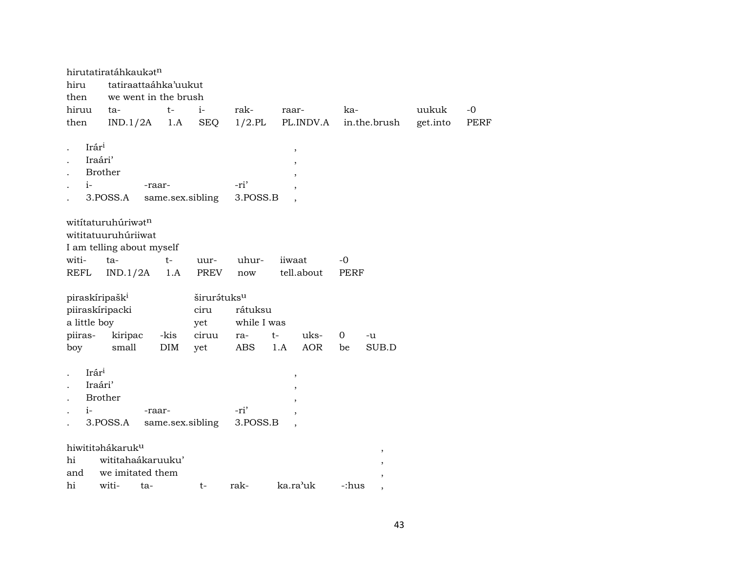| hiru<br>then                                                  | hirutatiratáhkaukatn<br>tatiraattaáhka'uukut<br>we went in the brush   |                  |                                        |                        |                   |              |          |      |
|---------------------------------------------------------------|------------------------------------------------------------------------|------------------|----------------------------------------|------------------------|-------------------|--------------|----------|------|
| hiruu                                                         | ta-                                                                    | $t-$             | $i-$                                   | rak-                   | raar-             | ka-          | uukuk    | $-0$ |
| then                                                          | IND.1/2A                                                               | 1.A              | <b>SEQ</b>                             | $1/2$ .PL              | PL.INDV.A         | in.the.brush | get.into | PERF |
| Irári<br>Iraári'<br>$i-$                                      | <b>Brother</b><br>-raar-<br>3.POSS.A                                   | same.sex.sibling |                                        | -ri'<br>3.POSS.B       | ,                 |              |          |      |
|                                                               | witítaturuhúriwatn<br>wititatuuruhúriiwat<br>I am telling about myself |                  |                                        |                        |                   |              |          |      |
| witi-                                                         | ta-                                                                    | $t-$             | uur-                                   | uhur-                  | iiwaat            | -0           |          |      |
| REFL                                                          | IND.1/2A                                                               | 1.A              | <b>PREV</b>                            | now                    | tell.about        | <b>PERF</b>  |          |      |
| piraskíripašk <sup>i</sup><br>piiraskíripacki<br>a little boy |                                                                        |                  | širurátuks <sup>u</sup><br>ciru<br>yet | rátuksu<br>while I was |                   |              |          |      |
| piiras-                                                       | kiripac                                                                | -kis             | ciruu                                  | ra-                    | uks-<br>t-        | 0<br>-u      |          |      |
| boy                                                           | small                                                                  | DIM              | yet                                    | <b>ABS</b>             | <b>AOR</b><br>1.A | SUB.D<br>be  |          |      |
| Irári<br>Iraári'<br>$i-$                                      | <b>Brother</b><br>-raar-<br>3.POSS.A                                   | same.sex.sibling |                                        | -ri'<br>3.POSS.B       | ,                 |              |          |      |
|                                                               | hiwititahákaruk <sup>u</sup>                                           |                  |                                        |                        |                   |              |          |      |
| hi                                                            | wititahaákaruuku'                                                      |                  |                                        |                        |                   |              |          |      |
| and                                                           | we imitated them                                                       |                  |                                        |                        |                   |              |          |      |
| hi                                                            | witi-<br>ta-                                                           |                  | t-                                     | rak-                   | ka.ra'uk          | -:hus        |          |      |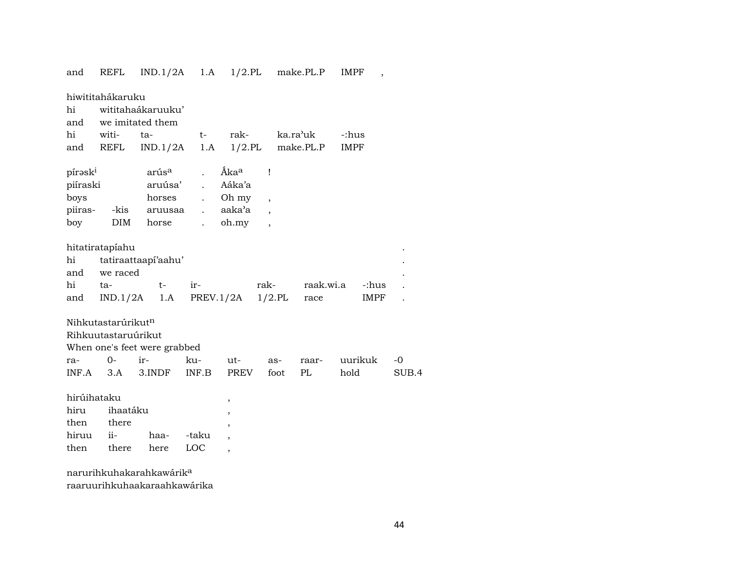| and                 | REFL                           |                              |                      |                          |                          | $IND.1/2A$ 1.A $1/2.PL$ make.PL.P | <b>IMPF</b><br>$\overline{\phantom{a}}$ |       |
|---------------------|--------------------------------|------------------------------|----------------------|--------------------------|--------------------------|-----------------------------------|-----------------------------------------|-------|
|                     | hiwititahákaruku               |                              |                      |                          |                          |                                   |                                         |       |
| hi                  |                                | wititahaákaruuku'            |                      |                          |                          |                                   |                                         |       |
| and                 |                                | we imitated them             |                      |                          |                          |                                   |                                         |       |
| hi                  | witi-                          | ta-                          | $t-$                 | rak-                     |                          | ka.ra'uk                          | -:hus                                   |       |
| and                 | REFL                           | IND.1/2A                     |                      |                          |                          | $1.A$ $1/2.PL$ make.PL.P          | <b>IMPF</b>                             |       |
|                     |                                |                              |                      |                          |                          |                                   |                                         |       |
| pírask <sup>i</sup> |                                | arús <sup>a</sup>            |                      | Áka <sup>a</sup>         | Ţ                        |                                   |                                         |       |
| piíraski            |                                | aruúsa'                      | $\ddot{\phantom{a}}$ | Aáka'a                   |                          |                                   |                                         |       |
| boys                |                                | horses                       | $\ddot{\phantom{0}}$ | Oh my                    | $\overline{\phantom{a}}$ |                                   |                                         |       |
| piiras-             | -kis                           | aruusaa                      | $\ddot{\phantom{a}}$ | aaka'a                   |                          |                                   |                                         |       |
| boy                 | <b>DIM</b>                     | horse                        | $\ddot{\phantom{a}}$ | oh.my                    | $\overline{\phantom{a}}$ |                                   |                                         |       |
|                     |                                |                              |                      |                          |                          |                                   |                                         |       |
|                     | hitatiratapíahu                |                              |                      |                          |                          |                                   |                                         |       |
| hi                  |                                | tatiraattaapí'aahu'          |                      |                          |                          |                                   |                                         |       |
|                     | and we raced                   |                              |                      |                          |                          |                                   |                                         |       |
| hi                  | ta-                            | $t-$                         | ir-                  |                          | rak-                     |                                   | raak.wi.a<br>-:hus                      |       |
| and                 |                                | $IND.1/2A$ 1.A               |                      | PREV.1/2A                | $1/2$ .PL                | race                              | IMPF                                    |       |
|                     |                                |                              |                      |                          |                          |                                   |                                         |       |
|                     | Nihkutastarúrikut <sup>n</sup> |                              |                      |                          |                          |                                   |                                         |       |
|                     | Rihkuutastaruúrikut            |                              |                      |                          |                          |                                   |                                         |       |
|                     |                                | When one's feet were grabbed |                      |                          |                          |                                   |                                         |       |
| ra-                 | $0-$                           | ir-                          | ku-                  | ut-                      |                          | as-<br>raar-                      | uurikuk                                 | -0    |
| INF.A               | 3.A                            | 3.INDF                       | INF.B                | PREV                     |                          | foot<br>PL                        | hold                                    | SUB.4 |
|                     |                                |                              |                      |                          |                          |                                   |                                         |       |
| hirúihataku         |                                |                              |                      | ,                        |                          |                                   |                                         |       |
| hiru                | ihaatáku                       |                              |                      | ,                        |                          |                                   |                                         |       |
| then                | there                          |                              |                      | ,                        |                          |                                   |                                         |       |
| hiruu               | $ii-$                          | haa-                         | -taku                |                          |                          |                                   |                                         |       |
| then                | there                          | here                         | LOC                  | $\overline{\phantom{a}}$ |                          |                                   |                                         |       |
|                     |                                |                              |                      |                          |                          |                                   |                                         |       |

narurihkuhakarahkawárik<sup>a</sup> raaruurihkuhaakaraahkawárika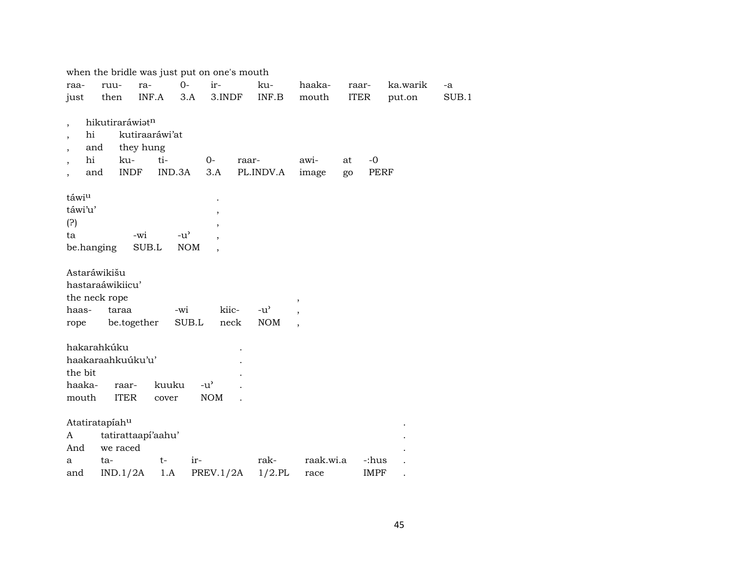|                          |                  |                    |               | when the bridle was just put on one's mouth |       |               |                          |             |             |          |       |
|--------------------------|------------------|--------------------|---------------|---------------------------------------------|-------|---------------|--------------------------|-------------|-------------|----------|-------|
| raa-                     | ruu-             | ra-                | $0-$          | ir-                                         |       | ku-           | haaka-                   | raar-       |             | ka.warik | -a    |
| just                     | then             | INF.A              |               | 3.A<br>3.INDF                               |       | INF.B         | mouth                    | <b>ITER</b> |             | put.on   | SUB.1 |
|                          |                  |                    |               |                                             |       |               |                          |             |             |          |       |
| $\overline{\phantom{a}}$ |                  | hikutiraráwiatn    |               |                                             |       |               |                          |             |             |          |       |
| ,                        | hi               | kutiraaráwi'at     |               |                                             |       |               |                          |             |             |          |       |
|                          | and              | they hung          |               |                                             |       |               |                          |             |             |          |       |
|                          | hi               | ku-                | ti-           | $0-$                                        | raar- |               | awi-                     | at          | $-0$        |          |       |
|                          | and              | <b>INDF</b>        | IND.3A        | 3.A                                         |       | PL.INDV.A     | image                    | go          | <b>PERF</b> |          |       |
|                          |                  |                    |               |                                             |       |               |                          |             |             |          |       |
| táwiu                    |                  |                    |               |                                             |       |               |                          |             |             |          |       |
| táwi'u'                  |                  |                    |               |                                             |       |               |                          |             |             |          |       |
| (?)                      |                  |                    |               |                                             |       |               |                          |             |             |          |       |
| ta                       |                  | -wi                | $-u^{\prime}$ |                                             |       |               |                          |             |             |          |       |
|                          | be.hanging       | SUB.L              |               | <b>NOM</b>                                  |       |               |                          |             |             |          |       |
|                          |                  |                    |               |                                             |       |               |                          |             |             |          |       |
|                          | Astaráwikišu     |                    |               |                                             |       |               |                          |             |             |          |       |
|                          | hastaraáwikiicu' |                    |               |                                             |       |               |                          |             |             |          |       |
|                          | the neck rope    |                    |               |                                             |       |               |                          |             |             |          |       |
| haas-                    |                  | taraa              | -wi           |                                             | kiic- | $-u^{\prime}$ |                          |             |             |          |       |
| rope                     |                  | be.together        |               | SUB.L                                       | neck  | <b>NOM</b>    | $\overline{\phantom{a}}$ |             |             |          |       |
|                          |                  |                    |               |                                             |       |               |                          |             |             |          |       |
|                          | hakarahkúku      |                    |               |                                             |       |               |                          |             |             |          |       |
|                          |                  | haakaraahkuúku'u'  |               |                                             |       |               |                          |             |             |          |       |
| the bit                  |                  |                    |               |                                             |       |               |                          |             |             |          |       |
|                          | haaka-           | raar-              | kuuku         | $-u^{\prime}$                               |       |               |                          |             |             |          |       |
| mouth                    |                  | <b>ITER</b>        | cover         | <b>NOM</b>                                  |       |               |                          |             |             |          |       |
|                          |                  |                    |               |                                             |       |               |                          |             |             |          |       |
|                          | Atatiratapíahu   |                    |               |                                             |       |               |                          |             |             |          |       |
| A                        |                  | tatirattaapí'aahu' |               |                                             |       |               |                          |             |             |          |       |
| And                      |                  | we raced           |               |                                             |       |               |                          |             |             |          |       |
| a                        | ta-              |                    | t-            | ir-                                         |       | rak-          | raak.wi.a                |             | -:hus       |          |       |
| and                      |                  | IND.1/2A           | 1.A           | PREV.1/2A                                   |       | $1/2$ .PL     | race                     |             | <b>IMPF</b> |          |       |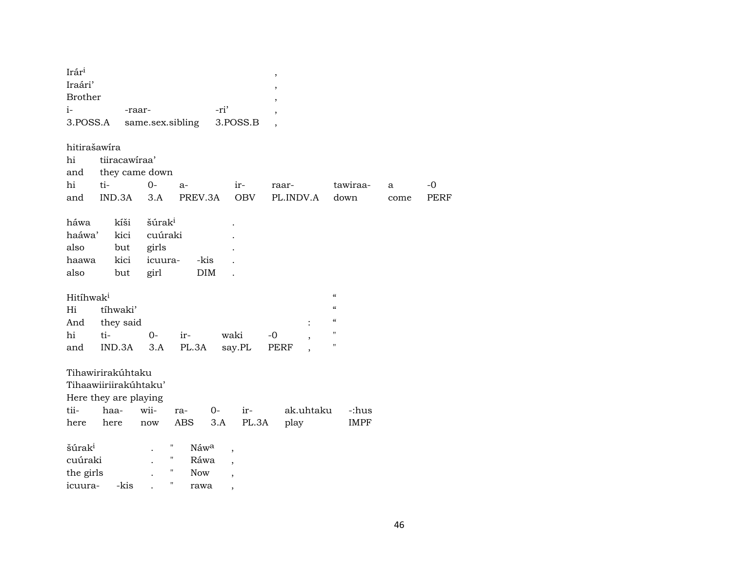| Irár <sup>i</sup>     |                       |                    |                            |                          | $\, ,$                   |                          |      |             |
|-----------------------|-----------------------|--------------------|----------------------------|--------------------------|--------------------------|--------------------------|------|-------------|
| Iraári'               |                       |                    |                            |                          | $\overline{\phantom{a}}$ |                          |      |             |
| <b>Brother</b>        |                       |                    |                            |                          |                          |                          |      |             |
| $i-$                  |                       | -raar-             |                            | -ri'                     |                          |                          |      |             |
| 3.POSS.A              |                       | same.sex.sibling   |                            | 3.POSS.B                 | $\overline{\phantom{a}}$ |                          |      |             |
|                       |                       |                    |                            |                          |                          |                          |      |             |
| hitirašawíra          |                       |                    |                            |                          |                          |                          |      |             |
| hi                    | tiiracawiraa'         |                    |                            |                          |                          |                          |      |             |
| and                   | they came down        |                    |                            |                          |                          |                          |      |             |
| hi                    | ti-                   | $0-$               | $a-$                       | ir-                      | raar-                    | tawiraa-                 | a    | $-0$        |
| and                   | IND.3A                | 3.A                | PREV.3A                    | <b>OBV</b>               | PL.INDV.A                | down                     | come | <b>PERF</b> |
|                       |                       |                    |                            |                          |                          |                          |      |             |
| háwa                  | kíši                  | šúrak <sup>i</sup> |                            |                          |                          |                          |      |             |
| haáwa'                | kici                  | cuúraki            |                            |                          |                          |                          |      |             |
| also                  | but                   | girls              |                            |                          |                          |                          |      |             |
| haawa                 | kici                  | icuura-            | -kis                       |                          |                          |                          |      |             |
| also                  | but                   | girl               | <b>DIM</b>                 |                          |                          |                          |      |             |
|                       |                       |                    |                            |                          |                          |                          |      |             |
| Hitíhwak <sup>i</sup> |                       |                    |                            |                          |                          | $\mathcal{C}$            |      |             |
| Hi                    | tíhwaki'              |                    |                            |                          |                          | $\mathcal{C}$            |      |             |
| And                   | they said             |                    |                            |                          |                          | $\mathcal{C}\mathcal{C}$ |      |             |
| hi                    | ti-                   | $0-$               | ir-                        | waki                     | $-0$<br>$\, ,$           | н                        |      |             |
| and                   | IND.3A                | 3.A                | PL.3A                      | say.PL                   | PERF                     | 11                       |      |             |
|                       |                       |                    |                            |                          |                          |                          |      |             |
|                       | Tihawirirakúhtaku     |                    |                            |                          |                          |                          |      |             |
|                       | Tihaawiiriirakúhtaku' |                    |                            |                          |                          |                          |      |             |
|                       | Here they are playing |                    |                            |                          |                          |                          |      |             |
| tii-                  | haa-                  | wii-               | ra-                        | $0-$<br>ir-              | ak.uhtaku                | -:hus                    |      |             |
| here                  | here                  | now                | ABS                        | PL.3A<br>3.A             | play                     | <b>IMPF</b>              |      |             |
|                       |                       |                    |                            |                          |                          |                          |      |             |
| šúrak <sup>i</sup>    |                       |                    | "<br>Náwa                  |                          |                          |                          |      |             |
| cuúraki               |                       |                    | 11<br>Ráwa                 |                          |                          |                          |      |             |
| the girls             |                       |                    | 11<br><b>Now</b>           |                          |                          |                          |      |             |
| icuura-               | -kis                  |                    | $\pmb{\mathsf{H}}$<br>rawa | $\overline{\phantom{a}}$ |                          |                          |      |             |
|                       |                       |                    |                            | ,                        |                          |                          |      |             |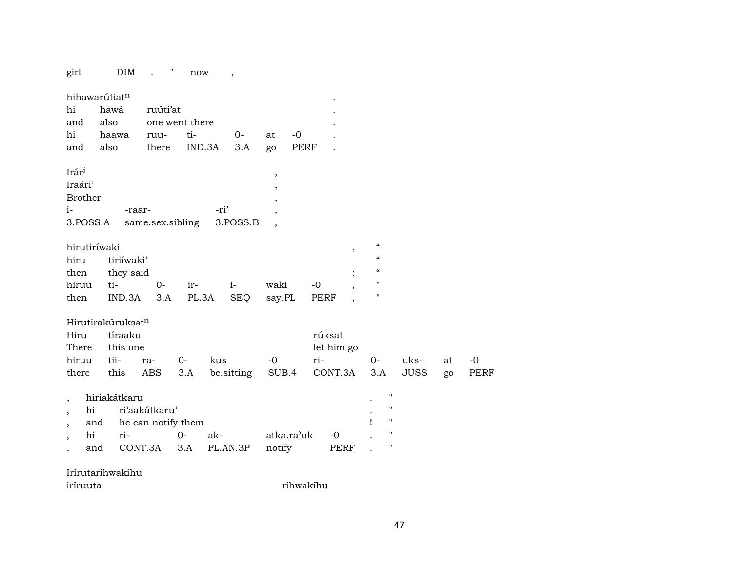girl  $\text{DIM}$  . " now

|                   | hihawarútiat <sup>n</sup>     |                           |                |        |            |                          |       |            |                          |                                        |             |
|-------------------|-------------------------------|---------------------------|----------------|--------|------------|--------------------------|-------|------------|--------------------------|----------------------------------------|-------------|
| hi<br>and         | hawá<br>also                  | ruúti'at                  | one went there |        |            |                          |       |            |                          |                                        |             |
| hi                | haawa                         | ruu-                      | ti-            |        | $O -$      | at                       | $-0$  |            |                          |                                        |             |
| and               | also                          | there                     |                | IND.3A | 3.A        | go                       | PERF  |            |                          |                                        |             |
|                   |                               |                           |                |        |            |                          |       |            |                          |                                        |             |
| Irár <sup>i</sup> |                               |                           |                |        |            | $\overline{\phantom{a}}$ |       |            |                          |                                        |             |
| Iraári'           |                               |                           |                |        |            | $\overline{\phantom{a}}$ |       |            |                          |                                        |             |
| <b>Brother</b>    |                               |                           |                |        |            | $\overline{\phantom{a}}$ |       |            |                          |                                        |             |
| $i-$              | -raar-                        |                           |                | -ri'   |            | $\cdot$                  |       |            |                          |                                        |             |
| 3.POSS.A          |                               | same.sex.sibling 3.POSS.B |                |        |            |                          |       |            |                          |                                        |             |
| hirutiríwaki      |                               |                           |                |        |            |                          |       |            | $\overline{\phantom{a}}$ | $\boldsymbol{\zeta}\boldsymbol{\zeta}$ |             |
| hiru              | tiriíwaki'                    |                           |                |        |            |                          |       |            |                          | $\boldsymbol{\zeta}\boldsymbol{\zeta}$ |             |
| then              | they said                     |                           |                |        |            |                          |       |            |                          | $\boldsymbol{\zeta}\boldsymbol{\zeta}$ |             |
| hiruu             | ti-                           | $O -$                     | $ir-$          |        | $i-$       | waki                     |       | $-0$       | $\cdot$                  | $^{\prime\prime}$                      |             |
| then              | IND.3A                        | 3.A                       | PL.3A          |        | SEQ        | say.PL                   |       | PERF       |                          | $\pmb{\mathsf{H}}$                     |             |
|                   | Hirutirakúruksat <sup>n</sup> |                           |                |        |            |                          |       |            |                          |                                        |             |
| Hiru              | tíraaku                       |                           |                |        |            |                          |       | rúksat     |                          |                                        |             |
| There             | this one                      |                           |                |        |            |                          |       | let him go |                          |                                        |             |
| hiruu             | tii-                          | ra-                       | $0-$           | kus    |            | $-0$                     |       | ri-        |                          | $O-$                                   | uks-        |
| there             | this                          | ABS                       | 3.A            |        | be sitting |                          | SUB.4 | CONT.3A    |                          | 3.A                                    | <b>JUSS</b> |
|                   |                               |                           |                |        |            |                          |       |            |                          |                                        |             |
|                   | hiriakátkaru                  |                           |                |        |            |                          |       |            |                          | $\mathbf{H}$                           |             |
| hi                |                               | ri'aakátkaru'             |                |        |            |                          |       |            |                          | $\blacksquare$                         |             |

 $\overline{\phantom{a}}$ 

|  | and he can notify them |  |                                          |  |  |
|--|------------------------|--|------------------------------------------|--|--|
|  |                        |  |                                          |  |  |
|  |                        |  | and CONT.3A 3.A PL.AN.3P notify PERF . " |  |  |

rihwakíhu

## Irírutarihwakíhu

 $\mbox{-}0$ 

PERF

 $\operatorname{\sf at}$ 

go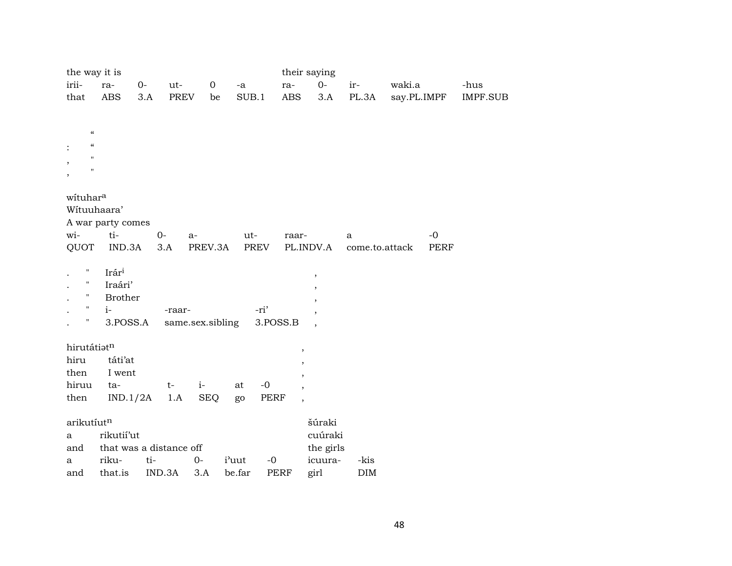| the way it is                                        |                         |       |             |                  |             |             |                          | their saying |                |             |             |          |
|------------------------------------------------------|-------------------------|-------|-------------|------------------|-------------|-------------|--------------------------|--------------|----------------|-------------|-------------|----------|
| irii-                                                | ra-                     | $O -$ | ut-         | $\mathbf 0$      | $\mbox{-a}$ |             | ra-                      | $0-$         | ir-            | waki.a      |             | -hus     |
| that                                                 | <b>ABS</b>              | 3.A   | <b>PREV</b> | be               | SUB.1       |             | <b>ABS</b>               | 3.A          | PL.3A          | say.PL.IMPF |             | IMPF.SUB |
|                                                      |                         |       |             |                  |             |             |                          |              |                |             |             |          |
|                                                      |                         |       |             |                  |             |             |                          |              |                |             |             |          |
| $\pmb{\zeta}\pmb{\zeta}$<br>$\pmb{\zeta}\pmb{\zeta}$ |                         |       |             |                  |             |             |                          |              |                |             |             |          |
| $\mathbf{H}$                                         |                         |       |             |                  |             |             |                          |              |                |             |             |          |
| $\pmb{\mathsf{H}}$                                   |                         |       |             |                  |             |             |                          |              |                |             |             |          |
|                                                      |                         |       |             |                  |             |             |                          |              |                |             |             |          |
| wituhara                                             |                         |       |             |                  |             |             |                          |              |                |             |             |          |
| Wituuhaara'                                          |                         |       |             |                  |             |             |                          |              |                |             |             |          |
|                                                      | A war party comes       |       |             |                  |             |             |                          |              |                |             |             |          |
| wi-                                                  | ti-                     |       | $O -$       | a-               | ut-         |             | raar-                    |              | a              |             | $-0$        |          |
| QUOT                                                 | IND.3A                  |       | 3.A         | PREV.3A          | <b>PREV</b> |             |                          | PL.INDV.A    | come.to.attack |             | <b>PERF</b> |          |
|                                                      |                         |       |             |                  |             |             |                          |              |                |             |             |          |
| $\mathbf{H}$                                         | Irári                   |       |             |                  |             |             |                          | $\,$         |                |             |             |          |
| п<br>$\pmb{\mathsf{H}}$                              | Iraári'                 |       |             |                  |             |             |                          | ,            |                |             |             |          |
| $\pmb{\pi}$                                          | <b>Brother</b>          |       |             |                  |             |             |                          |              |                |             |             |          |
| Ħ                                                    | $i-$                    |       | -raar-      |                  |             | -ri'        |                          |              |                |             |             |          |
|                                                      | 3.POSS.A                |       |             | same.sex.sibling |             | 3.POSS.B    |                          |              |                |             |             |          |
| hirutátiatn                                          |                         |       |             |                  |             |             | $\overline{\phantom{a}}$ |              |                |             |             |          |
| hiru                                                 | táti'at                 |       |             |                  |             |             |                          |              |                |             |             |          |
| then                                                 | I went                  |       |             |                  |             |             |                          |              |                |             |             |          |
| hiruu                                                | ta-                     |       | $t-$        | $i-$             | at          | $-0$        |                          |              |                |             |             |          |
| then                                                 | IND.1/2A                |       | 1.A         | <b>SEQ</b>       | go          | PERF        | $\overline{\phantom{a}}$ |              |                |             |             |          |
|                                                      |                         |       |             |                  |             |             |                          |              |                |             |             |          |
| arikutíutn                                           |                         |       |             |                  |             |             |                          | šúraki       |                |             |             |          |
| a                                                    | rikutií'ut              |       |             |                  |             |             |                          | cuúraki      |                |             |             |          |
| and                                                  | that was a distance off |       |             |                  |             |             |                          | the girls    |                |             |             |          |
| a                                                    | riku-                   | ti-   |             | $0-$             | i'uut       | $-0$        |                          | icuura-      | -kis           |             |             |          |
| and                                                  | that.is                 |       | IND.3A      | 3.A              | be.far      | <b>PERF</b> |                          | girl         | <b>DIM</b>     |             |             |          |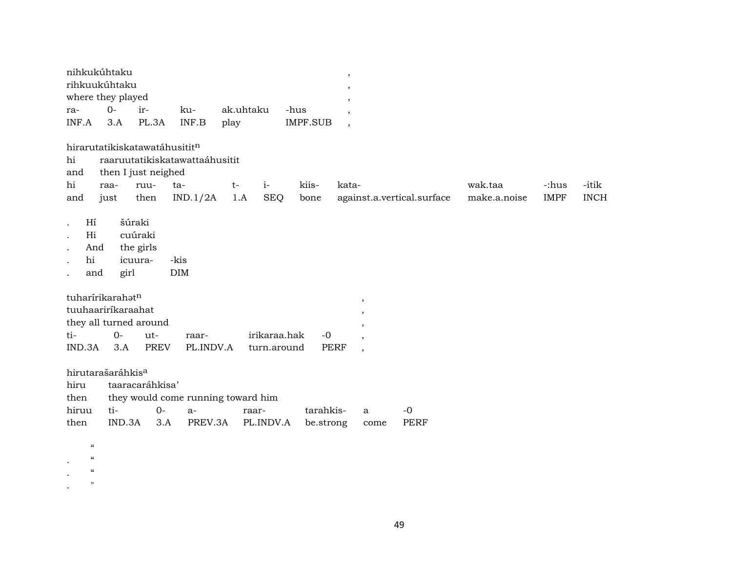| nihkukúhtaku      |      |                       |     |           |          |  |  |  |  |  |
|-------------------|------|-----------------------|-----|-----------|----------|--|--|--|--|--|
| rihkuukúhtaku     |      |                       |     |           |          |  |  |  |  |  |
| where they played |      |                       |     |           |          |  |  |  |  |  |
| ra-               | $O-$ | $ir-$                 | ku- | ak.uhtaku | -hus     |  |  |  |  |  |
|                   |      | INF.A 3.A PL.3A INF.B |     | play      | IMPF.SUB |  |  |  |  |  |

hirarutatikiskatawatáhusitit $^{\rm n}$ 

| hi  |      |                     | raaruutatikiskatawattaáhusitit |      |                |       |                                 |              |             |             |
|-----|------|---------------------|--------------------------------|------|----------------|-------|---------------------------------|--------------|-------------|-------------|
| and |      | then I just neighed |                                |      |                |       |                                 |              |             |             |
| hi  | raa- | ruu-                | ta-                            | $t-$ | $\overline{1}$ | kiis- | kata-                           | wak.taa      | -:hus       | -itik       |
| and | iust | then                | $IND.1/2A$ 1.A SEQ             |      |                |       | bone against.a.vertical.surface | make.a.noise | <b>IMPF</b> | <b>INCH</b> |
| Hí  |      | šúraki              |                                |      |                |       |                                 |              |             |             |

. Hi cuúraki . And the girls

 $\boldsymbol{\mu}$ 

.  $\frac{a}{a}$  $\bullet$ .  $\qquad$  "

. hi icuura- -kis<br>. and girl DIM . and girl

| tuharírikarahət <sup>n</sup> |  |  |       |                                            |  |  |  |  |  |
|------------------------------|--|--|-------|--------------------------------------------|--|--|--|--|--|
| tuuhaariríkaraahat           |  |  |       |                                            |  |  |  |  |  |
| they all turned around       |  |  |       |                                            |  |  |  |  |  |
| ti- 0- ut-                   |  |  | raar- | irikaraa.hak -0                            |  |  |  |  |  |
|                              |  |  |       | IND.3A 3.A PREV PL.INDV.A turn.around PERF |  |  |  |  |  |

| hirutarašaráhkis <sup>a</sup> |                                         |  |                                                       |             |  |           |  |  |  |  |
|-------------------------------|-----------------------------------------|--|-------------------------------------------------------|-------------|--|-----------|--|--|--|--|
|                               | hiru taaracaráhkisa'                    |  |                                                       |             |  |           |  |  |  |  |
|                               | then they would come running toward him |  |                                                       |             |  |           |  |  |  |  |
| hiruu ti-    0-               | — а-                                    |  | raar-                                                 | tarahkis- a |  | $-\Omega$ |  |  |  |  |
|                               |                                         |  | then IND.3A 3.A PREV.3A PL.INDV.A be.strong come PERF |             |  |           |  |  |  |  |

49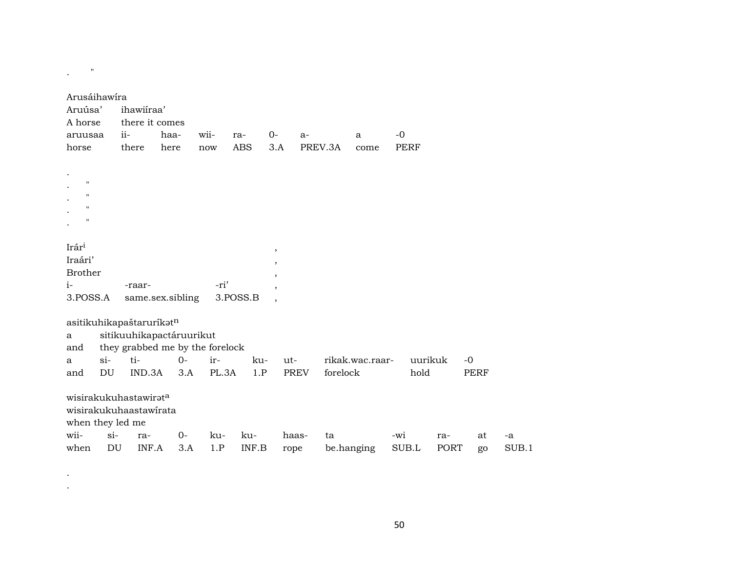| Arusáihawíra<br>Aruúsa'<br>A horse<br>aruusaa<br>horse                                | ihawiiraa'<br>there it comes<br>$ii-$<br>there              | haa-<br>wii-<br>here<br>now | ra-<br><b>ABS</b>          | $0-$<br>3.A                                                                | $a-$<br>PREV.3A | $-0$<br>a<br>come | <b>PERF</b>     |                     |             |  |
|---------------------------------------------------------------------------------------|-------------------------------------------------------------|-----------------------------|----------------------------|----------------------------------------------------------------------------|-----------------|-------------------|-----------------|---------------------|-------------|--|
| $\pmb{\mathsf{H}}$<br>"<br>11<br>$^{\prime\prime}$                                    |                                                             |                             |                            |                                                                            |                 |                   |                 |                     |             |  |
| Irári<br>Iraári'<br><b>Brother</b><br>$i-$<br>3.POSS.A                                | -raar-<br>same.sex.sibling                                  |                             | -ri'<br>3.POSS.B           | $\, \,$<br>$^\mathrm{o}$<br>$\overline{\phantom{a}}$<br>$\cdot$<br>$\cdot$ |                 |                   |                 |                     |             |  |
| asitikuhikapaštaruríkatn<br>a<br>and                                                  | sitikuuhikapactáruurikut<br>they grabbed me by the forelock |                             |                            |                                                                            |                 |                   |                 |                     |             |  |
| $si$ -<br>a<br>DU<br>and                                                              | ti-<br>IND.3A                                               | $O -$<br>3.A                | ir-<br>ku-<br>PL.3A<br>1.P | $ut -$<br><b>PREV</b>                                                      | forelock        | rikak.wac.raar-   | uurikuk<br>hold | $-0$<br><b>PERF</b> |             |  |
| wisirakukuhastawirata<br>wisirakukuhaastawirata<br>when they led me<br>wii-<br>$si$ - | ra-                                                         | $O-$                        | ku-<br>ku-                 | haas-                                                                      | ta              | -wi               | ra-             |                     | at<br>-a    |  |
| DU<br>when                                                                            | INF.A                                                       | 3.A                         | 1.P<br>INF.B               | rope                                                                       | be.hanging      |                   | SUB.L           | PORT                | SUB.1<br>go |  |

 $\sigma_{\rm{max}}$  and  $\sigma_{\rm{max}}$  $\mathcal{L}$ 

 $\mathcal{L}^{(n)}$  and

50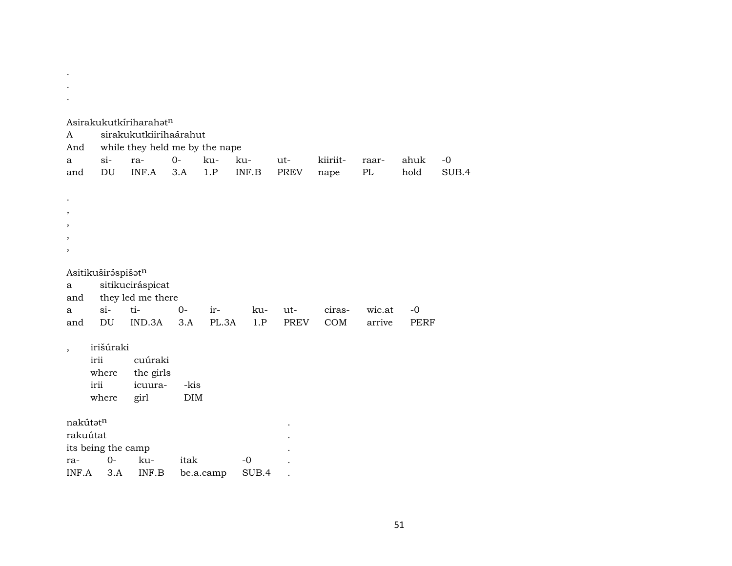| $\bullet$                |                    |                                       |       |           |       |             |          |        |             |       |
|--------------------------|--------------------|---------------------------------------|-------|-----------|-------|-------------|----------|--------|-------------|-------|
|                          |                    |                                       |       |           |       |             |          |        |             |       |
|                          |                    | Asirakukutkiriharahatn                |       |           |       |             |          |        |             |       |
| A                        |                    | sirakukutkiirihaárahut                |       |           |       |             |          |        |             |       |
| And<br>a                 | $si-$              | while they held me by the nape<br>ra- | $0 -$ | ku-       | ku-   | ut-         | kiiriit- | raar-  | ahuk        | $-0$  |
| and                      | DU                 | INF.A                                 | 3.A   | 1.P       | INF.B | <b>PREV</b> | nape     | PL     | hold        | SUB.4 |
|                          |                    |                                       |       |           |       |             |          |        |             |       |
|                          |                    |                                       |       |           |       |             |          |        |             |       |
|                          |                    |                                       |       |           |       |             |          |        |             |       |
|                          |                    |                                       |       |           |       |             |          |        |             |       |
| ,                        |                    |                                       |       |           |       |             |          |        |             |       |
|                          |                    |                                       |       |           |       |             |          |        |             |       |
|                          | Asitikuširáspišatn |                                       |       |           |       |             |          |        |             |       |
| a                        |                    | sitikuciráspicat                      |       |           |       |             |          |        |             |       |
| and                      |                    | they led me there                     |       |           |       |             |          |        |             |       |
| a                        | $si-$              | ti-                                   | 0-    | ir-       | ku-   | ut-         | ciras-   | wic.at | $-0$        |       |
| and                      | DU                 | IND.3A                                | 3.A   | PL.3A     | 1.P   | <b>PREV</b> | COM      | arrive | <b>PERF</b> |       |
| $\overline{\phantom{a}}$ | irišúraki          |                                       |       |           |       |             |          |        |             |       |
|                          | irii               | cuúraki                               |       |           |       |             |          |        |             |       |
|                          | where              | the girls                             |       |           |       |             |          |        |             |       |
|                          | irii               | icuura-                               | -kis  |           |       |             |          |        |             |       |
|                          | where              | girl                                  | DIM   |           |       |             |          |        |             |       |
| nakútatn                 |                    |                                       |       |           |       |             |          |        |             |       |
| rakuútat                 |                    |                                       |       |           |       |             |          |        |             |       |
|                          | its being the camp |                                       |       |           |       |             |          |        |             |       |
| ra-                      | $0-$               | ku-                                   | itak  |           | $-0$  |             |          |        |             |       |
| INF.A                    | 3.A                | INF.B                                 |       | be.a.camp | SUB.4 |             |          |        |             |       |

 $\sim$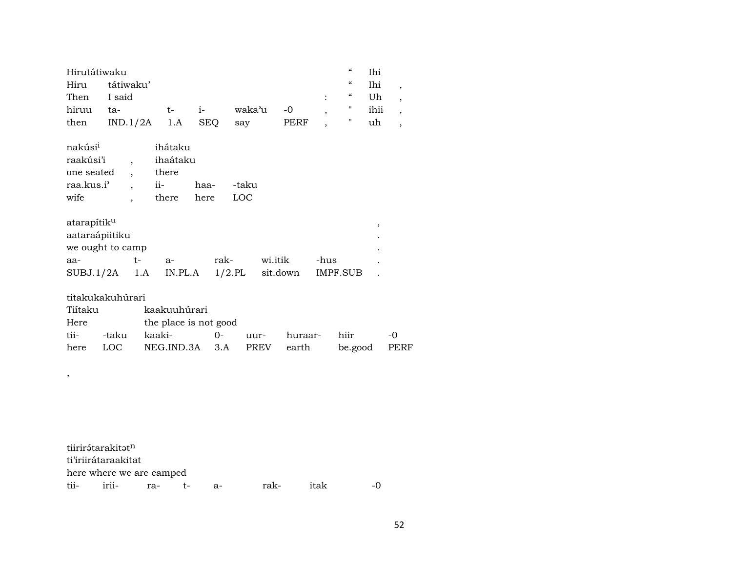|             | $\epsilon$<br>Hirutátiwaku |  |  |                     |       |  |            |                     |  |  |  |
|-------------|----------------------------|--|--|---------------------|-------|--|------------|---------------------|--|--|--|
|             | Hiru tátiwaku'             |  |  |                     |       |  | $\epsilon$ | Ihi                 |  |  |  |
| Then I said |                            |  |  |                     |       |  |            | $\therefore$ " Uh , |  |  |  |
| hiruu ta-   |                            |  |  | t- i- waka'u -0 , " |       |  |            | ihii ,              |  |  |  |
|             | then $IND.1/2A$ 1.A SEQ    |  |  | say                 | PERF, |  |            | uh                  |  |  |  |

| nakúsi <sup>i</sup> | ihátaku  |      |       |
|---------------------|----------|------|-------|
| raakúsi'i           | ihaátaku |      |       |
| one seated          | there    |      |       |
| raa.kus.i'          | $i$ i –  | haa- | -taku |
| wife                | there    | here | LOC.  |

| atarapítik <sup>u</sup>          |    |    |      |          |          |  |
|----------------------------------|----|----|------|----------|----------|--|
| aataraápiitiku                   |    |    |      |          |          |  |
| we ought to camp                 |    |    |      |          |          |  |
| aa-                              | t- | а- | rak- | wi.itik  | -hus     |  |
| $SUBJ.1/2A$ 1.A IN.PL.A $1/2.PL$ |    |    |      | sit.down | IMPF.SUB |  |

| titakukakuhúrari |
|------------------|
|------------------|

,

| Tiítaku    |       | kaakuuhúrari              |      |              |              |                |
|------------|-------|---------------------------|------|--------------|--------------|----------------|
| Here       |       | the place is not good     |      |              |              |                |
| tii- -taku |       |                           | uur- | huraar- hiir |              | $\overline{a}$ |
| here       | LOC – | NEG.IND.3A 3.A PREV earth |      |              | be.good PERF |                |

| tiirirátarakitat <sup>n</sup> |  |       |      |      |                |
|-------------------------------|--|-------|------|------|----------------|
| ti'iriirátaraakitat           |  |       |      |      |                |
| here where we are camped      |  |       |      |      |                |
| tii- irii- ra- t-             |  | $a -$ | rak- | itak | $\overline{a}$ |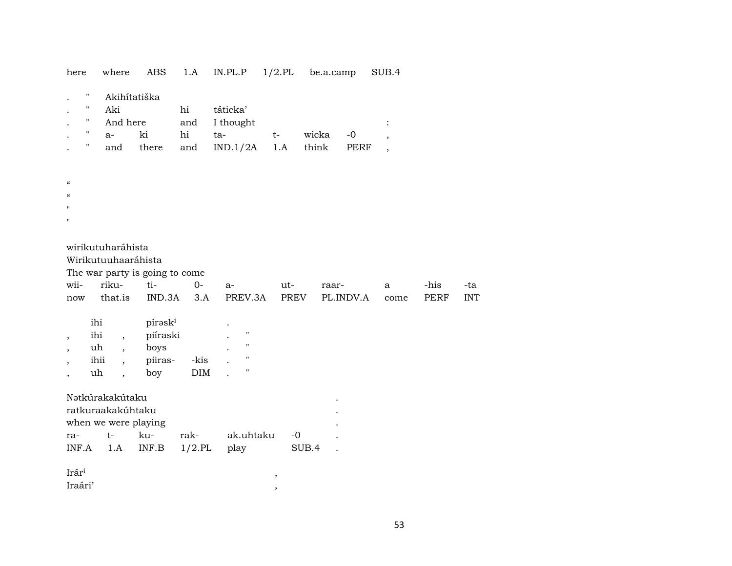| here                                                                                | where                                                                                                                                          | $\mathbf{ABS}$                                  | 1.A                             | $\textup{IN}.\textup{PL}.\textup{P}$                                                 | $1/2$ .PL                                          | be.a.camp      |              | SUB.4                                                 |              |                   |  |
|-------------------------------------------------------------------------------------|------------------------------------------------------------------------------------------------------------------------------------------------|-------------------------------------------------|---------------------------------|--------------------------------------------------------------------------------------|----------------------------------------------------|----------------|--------------|-------------------------------------------------------|--------------|-------------------|--|
| Ħ<br>$\blacksquare$<br>Ħ<br>Н<br>Ħ                                                  | Akihítatiška<br>Aki<br>And here<br>$a-$<br>and                                                                                                 | ki<br>there                                     | hi<br>and<br>$\hbox{hi}$<br>and | táticka'<br>I thought<br>ta-<br>IND.1/2A                                             | $t-$<br>1.A                                        | wicka<br>think | $-0$<br>PERF | $\ddot{\cdot}$<br>$\cdot$<br>$\overline{\phantom{a}}$ |              |                   |  |
| $\boldsymbol{\mathcal{C}}$<br>$\boldsymbol{\zeta}\boldsymbol{\zeta}$<br>$^{\prime}$ |                                                                                                                                                |                                                 |                                 |                                                                                      |                                                    |                |              |                                                       |              |                   |  |
| wii-<br>$\operatorname{now}$                                                        | wirikutuharáhista<br>Wirikutuuhaaráhista<br>riku-<br>that.is                                                                                   | The war party is going to come<br>ti-<br>IND.3A | $0-$<br>3.A                     | $a-$<br>PREV.3A                                                                      | ut-<br>PREV                                        | raar-          | PL.INDV.A    | a<br>come                                             | -his<br>PERF | -ta<br><b>INT</b> |  |
| $\cdot$<br>$\cdot$<br>$\cdot$<br>$^\mathrm{,}$                                      | ihi<br>ihi<br>$\overline{\phantom{a}}$<br>uh<br>$\overline{\phantom{a}}$<br>ihii<br>$\overline{\phantom{a}}$<br>uh<br>$\overline{\phantom{a}}$ | pírəski<br>piíraski<br>boys<br>piiras-<br>boy   | -kis<br>$\rm{DIM}$              | $\pmb{\mathsf{H}}$<br>$\pmb{\mathsf{H}}$<br>$\pmb{\mathsf{H}}$<br>$\pmb{\mathsf{H}}$ |                                                    |                |              |                                                       |              |                   |  |
| ra-<br>$\ensuremath{\mathsf{INF}}\xspace\text{-}\mathrm{A}\xspace$                  | Nətkúrakakútaku<br>ratkuraakakúhtaku<br>when we were playing<br>$t-$<br>1.A                                                                    | ku-<br>$\ensuremath{\mathsf{INF}.\mathsf{B}}$   | rak-<br>$1/2$ .PL               | ak.uhtaku<br>play                                                                    | $-0$                                               | SUB.4          |              |                                                       |              |                   |  |
| Irári<br>Iraári'                                                                    |                                                                                                                                                |                                                 |                                 |                                                                                      | $^\mathrm{^\mathrm{o}}$<br>$^\mathrm{^\mathrm{o}}$ |                |              |                                                       |              |                   |  |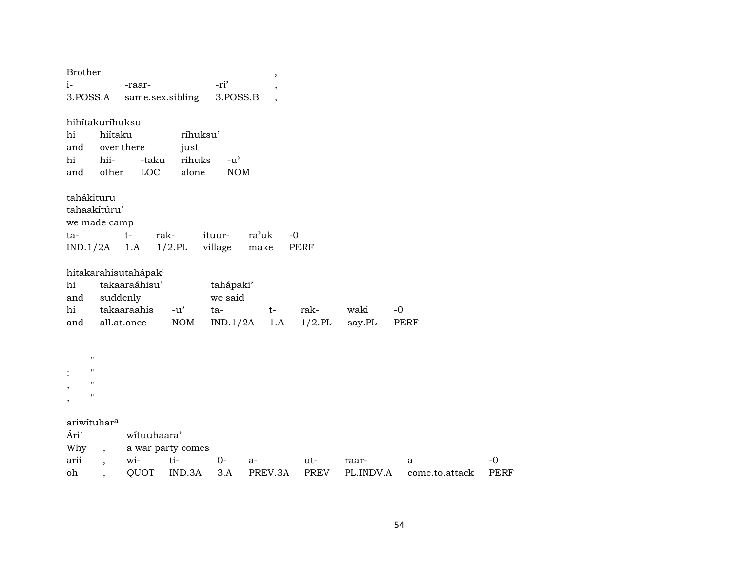| <b>Brother</b>           |                          |                                                   |                   |               | ,       |             |           |                |             |
|--------------------------|--------------------------|---------------------------------------------------|-------------------|---------------|---------|-------------|-----------|----------------|-------------|
| $i-$                     |                          | -raar-                                            |                   | -ri'          |         |             |           |                |             |
| 3.POSS.A                 |                          | same.sex.sibling                                  |                   | 3.POSS.B      |         |             |           |                |             |
|                          | hihítakuríhuksu          |                                                   |                   |               |         |             |           |                |             |
| hi                       | hiítaku                  |                                                   | ríhuksu'          |               |         |             |           |                |             |
| and                      |                          | over there                                        | just              |               |         |             |           |                |             |
| hi                       | hii-                     | -taku                                             | rihuks            | $-u^{\prime}$ |         |             |           |                |             |
| and                      | other                    | LOC                                               | alone             | <b>NOM</b>    |         |             |           |                |             |
|                          | tahákituru               |                                                   |                   |               |         |             |           |                |             |
|                          | tahaakítúru'             |                                                   |                   |               |         |             |           |                |             |
|                          | we made camp             |                                                   |                   |               |         |             |           |                |             |
| ta-                      |                          | $t-$                                              | rak-              | ituur-        | ra'uk   | $-0$        |           |                |             |
|                          | $IND.1/2A$ 1.A           |                                                   | $1/2$ .PL         | village       | make    | <b>PERF</b> |           |                |             |
|                          |                          |                                                   |                   |               |         |             |           |                |             |
| hi                       |                          | hitakarahisutahápak <sup>i</sup><br>takaaraáhisu' |                   | tahápaki'     |         |             |           |                |             |
| and                      |                          | suddenly                                          |                   | we said       |         |             |           |                |             |
| hi                       |                          | takaaraahis                                       | $-u^{\prime}$     | ta-           | $t-$    | rak-        | waki      | $-0$           |             |
| and                      |                          | all.at.once                                       | <b>NOM</b>        | IND.1/2A      | 1.A     | $1/2$ .PL   | say.PL    | PERF           |             |
|                          |                          |                                                   |                   |               |         |             |           |                |             |
|                          | $\pmb{\mathsf{H}}$       |                                                   |                   |               |         |             |           |                |             |
|                          | $\pmb{\mathsf{H}}$       |                                                   |                   |               |         |             |           |                |             |
|                          | $\pmb{\mathsf{H}}$       |                                                   |                   |               |         |             |           |                |             |
| $\overline{\phantom{a}}$ | $\pmb{\mathsf{H}}$       |                                                   |                   |               |         |             |           |                |             |
|                          |                          |                                                   |                   |               |         |             |           |                |             |
|                          | ariwituhara              |                                                   |                   |               |         |             |           |                |             |
| Ári'                     |                          | wituuhaara'                                       |                   |               |         |             |           |                |             |
| Why                      | $\overline{\phantom{a}}$ |                                                   | a war party comes |               |         |             |           |                |             |
| arii                     | $\overline{ }$ ,         | wi-                                               | ti-               | $0 -$         | a-      | ut-         | raar-     | a              | $-0$        |
| oh                       | $\overline{\phantom{a}}$ | QUOT                                              | IND.3A            | 3.A           | PREV.3A | PREV        | PL.INDV.A | come.to.attack | <b>PERF</b> |

54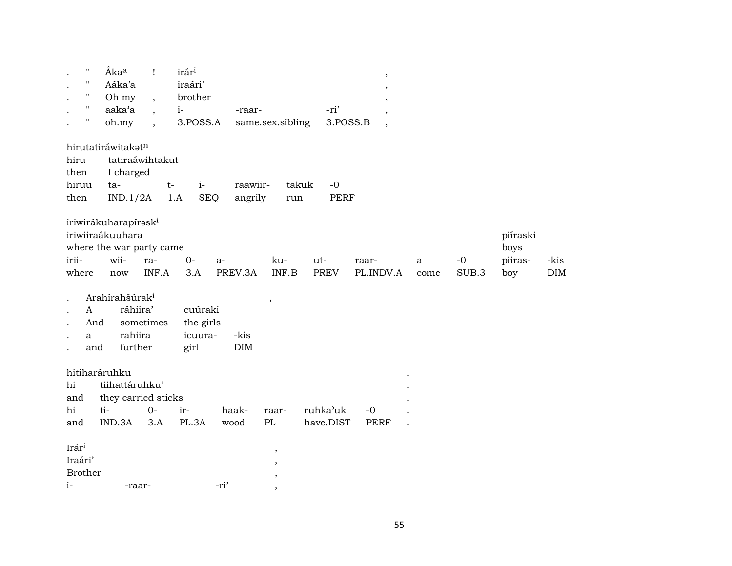| $\pmb{\mathsf{H}}$<br>$\pmb{\mathsf{H}}$<br>$\pmb{\mathsf{H}}$<br>$\pmb{\mathsf{H}}$ | Ákaa<br>Aáka'a<br>Oh my                                                                                | $\mathbf{I}$<br>$\ddot{\phantom{1}}$        | irár <sup>i</sup><br>iraári'<br>brother |                     |                                                   |                       | $\overline{\phantom{a}}$ |           |               |                                    |             |
|--------------------------------------------------------------------------------------|--------------------------------------------------------------------------------------------------------|---------------------------------------------|-----------------------------------------|---------------------|---------------------------------------------------|-----------------------|--------------------------|-----------|---------------|------------------------------------|-------------|
| н.                                                                                   | aaka'a<br>oh.my                                                                                        | $i-$<br>$\cdot$<br>$\overline{\phantom{a}}$ | 3.POSS.A                                | -raar-              | same.sex.sibling                                  | -ri'<br>3.POSS.B      | $\cdot$                  |           |               |                                    |             |
| hiru<br>then<br>hiruu<br>then                                                        | hirutatiráwitakatn<br>tatiraáwihtakut<br>I charged<br>ta-<br>IND.1/2A                                  | $t-$<br>1.A                                 | $i-$<br><b>SEQ</b>                      | raawiir-<br>angrily | run                                               | takuk<br>$-0$<br>PERF | $\overline{\phantom{a}}$ |           |               |                                    |             |
| irii-<br>where                                                                       | iriwirákuharapírask <sup>i</sup><br>iriwiiraákuuhara<br>where the war party came<br>wii-<br>ra-<br>now | INF.A                                       | $0-$<br>a-<br>3.A                       | PREV.3A             | ku-<br>INF.B                                      | ut-<br>PREV           | raar-<br>PL.INDV.A       | a<br>come | $-0$<br>SUB.3 | piíraski<br>boys<br>piiras-<br>boy | -kis<br>DIM |
| A<br>And<br>a<br>and                                                                 | Arahírahšúrak <sup>i</sup><br>ráhiira'<br>sometimes<br>rahiira<br>further                              |                                             | cuúraki<br>the girls<br>icuura-<br>girl | -kis<br><b>DIM</b>  | $\overline{\phantom{a}}$                          |                       |                          |           |               |                                    |             |
| hitiharáruhku<br>hi<br>and                                                           | tiihattáruhku'<br>they carried sticks                                                                  |                                             |                                         |                     |                                                   |                       |                          |           |               |                                    |             |
| hi                                                                                   | ti-                                                                                                    | $0-$<br>ir-                                 |                                         | haak-               | raar-                                             | ruhka'uk              | $-0$                     |           |               |                                    |             |
| and<br>Irár <sup>i</sup><br>Iraári'<br><b>Brother</b><br>$i-$                        | IND.3A<br>-raar-                                                                                       | 3.A                                         | PL.3A<br>-ri'                           | wood                | PL<br>$\,$<br>$\overline{\phantom{a}}$<br>$\cdot$ | have.DIST             | <b>PERF</b>              |           |               |                                    |             |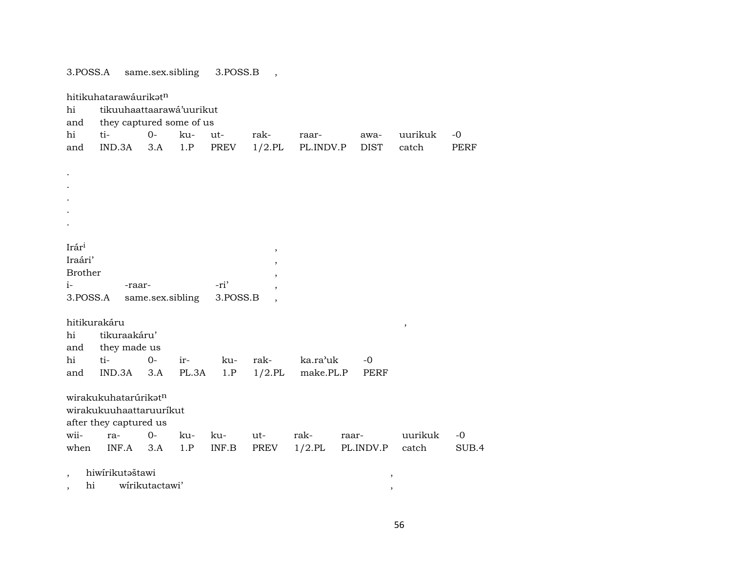3.POSS.A same.sex.sibling 3.POSS.B ,

| hitikuhatarawáurikatn<br>tikuuhaattaarawá'uurikut<br>hi<br>they captured some of us<br>and |                         |                  |       |          |           |           |             |      |         |             |  |  |  |  |
|--------------------------------------------------------------------------------------------|-------------------------|------------------|-------|----------|-----------|-----------|-------------|------|---------|-------------|--|--|--|--|
| hi                                                                                         | ti-                     | $0-$             | ku-   | ut-      | rak-      | raar-     | awa-        |      | uurikuk | $-0$        |  |  |  |  |
| and                                                                                        | IND.3A                  | 3.A              | 1.P   | PREV     | $1/2.$ PL | PL.INDV.P | <b>DIST</b> |      | catch   | <b>PERF</b> |  |  |  |  |
|                                                                                            |                         |                  |       |          |           |           |             |      |         |             |  |  |  |  |
| $\cdot$                                                                                    |                         |                  |       |          |           |           |             |      |         |             |  |  |  |  |
|                                                                                            |                         |                  |       |          |           |           |             |      |         |             |  |  |  |  |
|                                                                                            |                         |                  |       |          |           |           |             |      |         |             |  |  |  |  |
|                                                                                            |                         |                  |       |          |           |           |             |      |         |             |  |  |  |  |
|                                                                                            |                         |                  |       |          |           |           |             |      |         |             |  |  |  |  |
|                                                                                            |                         |                  |       |          |           |           |             |      |         |             |  |  |  |  |
| Irári                                                                                      |                         |                  |       |          |           |           |             |      |         |             |  |  |  |  |
| Iraári'                                                                                    |                         |                  |       |          | $\, ,$    |           |             |      |         |             |  |  |  |  |
| <b>Brother</b>                                                                             |                         |                  |       |          |           |           |             |      |         |             |  |  |  |  |
| $i-$                                                                                       | -raar-                  |                  |       | -ri'     |           |           |             |      |         |             |  |  |  |  |
| 3.POSS.A                                                                                   |                         | same.sex.sibling |       | 3.POSS.B |           |           |             |      |         |             |  |  |  |  |
|                                                                                            |                         |                  |       |          |           |           |             |      |         |             |  |  |  |  |
| hitikurakáru                                                                               |                         |                  |       |          |           |           |             |      |         |             |  |  |  |  |
| hi                                                                                         | tikuraakáru'            |                  |       |          |           |           |             |      | $\, ,$  |             |  |  |  |  |
| and                                                                                        | they made us            |                  |       |          |           |           |             |      |         |             |  |  |  |  |
| hi                                                                                         | ti-                     | $0-$             | ir-   | ku-      | rak-      | ka.ra'uk  | $-0$        |      |         |             |  |  |  |  |
| and                                                                                        | IND.3A                  | 3.A              | PL.3A | 1.P      | $1/2$ .PL | make.PL.P |             | PERF |         |             |  |  |  |  |
|                                                                                            |                         |                  |       |          |           |           |             |      |         |             |  |  |  |  |
|                                                                                            | wirakukuhatarúrikatn    |                  |       |          |           |           |             |      |         |             |  |  |  |  |
|                                                                                            | wirakukuuhaattaruurikut |                  |       |          |           |           |             |      |         |             |  |  |  |  |
|                                                                                            | after they captured us  |                  |       |          |           |           |             |      |         |             |  |  |  |  |
| wii-                                                                                       | ra-                     | $0-$             | ku-   | ku-      | ut-       | rak-      | raar-       |      | uurikuk | $-0$        |  |  |  |  |
| when                                                                                       | INF.A                   | 3.A              | 1.P   | INF.B    | PREV      | $1/2$ .PL | PL.INDV.P   |      | catch   | SUB.4       |  |  |  |  |
|                                                                                            |                         |                  |       |          |           |           |             |      |         |             |  |  |  |  |
|                                                                                            |                         |                  |       |          |           |           |             |      |         |             |  |  |  |  |
|                                                                                            |                         |                  |       |          |           |           |             | ,    |         |             |  |  |  |  |
| $\overline{\phantom{a}}$<br>$\hbox{hi}$<br>,                                               | hiwirikutaštawi         | wirikutactawi'   |       |          |           |           |             | ,    |         |             |  |  |  |  |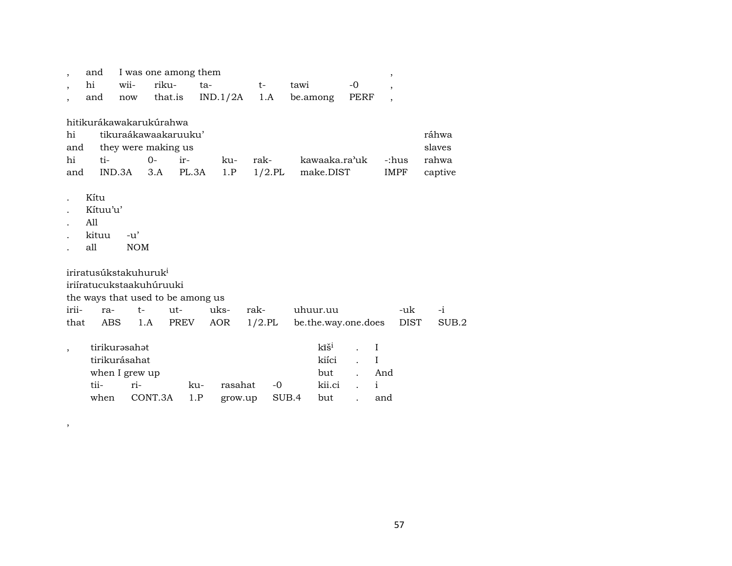| $\overline{\phantom{a}}$                 | and                               | I was one among them |                |                                   |                        |           |          |                     |                                 | ,              |      |        |         |
|------------------------------------------|-----------------------------------|----------------------|----------------|-----------------------------------|------------------------|-----------|----------|---------------------|---------------------------------|----------------|------|--------|---------|
| $\overline{\phantom{a}}$                 | hi                                | wii-                 | riku-          | ta-                               |                        | t-        | tawi     |                     | $-0$                            | ,              |      |        |         |
|                                          | and                               | now                  |                |                                   | that.is $IND.1/2A$ 1.A |           | be.among |                     | PERF                            | $\overline{ }$ |      |        |         |
|                                          |                                   |                      |                |                                   |                        |           |          |                     |                                 |                |      |        |         |
|                                          | hitikurákawakarukúrahwa           |                      |                |                                   |                        |           |          |                     |                                 |                |      |        |         |
| hi                                       |                                   |                      |                | tikuraákawaakaruuku'              |                        |           |          |                     |                                 |                |      | ráhwa  |         |
| and                                      | they were making us               |                      |                |                                   |                        |           |          |                     |                                 |                |      | slaves |         |
| ti-<br>$O -$<br>ir-<br>hi<br>rak-<br>ku- |                                   |                      |                |                                   |                        |           |          |                     | kawaaka.ra'uk<br>-:hus<br>rahwa |                |      |        |         |
| and                                      |                                   |                      | $IND.3A$ $3.A$ | PL.3A                             | 1.P                    | $1/2$ .PL |          | make.DIST           |                                 |                | IMPF |        | captive |
|                                          |                                   |                      |                |                                   |                        |           |          |                     |                                 |                |      |        |         |
|                                          | Kítu                              |                      |                |                                   |                        |           |          |                     |                                 |                |      |        |         |
|                                          | Kítuu'u'                          |                      |                |                                   |                        |           |          |                     |                                 |                |      |        |         |
|                                          | All                               |                      |                |                                   |                        |           |          |                     |                                 |                |      |        |         |
|                                          | kituu                             | $-u'$                |                |                                   |                        |           |          |                     |                                 |                |      |        |         |
|                                          | all                               | <b>NOM</b>           |                |                                   |                        |           |          |                     |                                 |                |      |        |         |
|                                          |                                   |                      |                |                                   |                        |           |          |                     |                                 |                |      |        |         |
|                                          | iriratusúkstakuhuruk <sup>i</sup> |                      |                |                                   |                        |           |          |                     |                                 |                |      |        |         |
|                                          | iriíratucukstaakuhúruuki          |                      |                |                                   |                        |           |          |                     |                                 |                |      |        |         |
|                                          |                                   |                      |                | the ways that used to be among us |                        |           |          |                     |                                 |                |      |        |         |
| irii-                                    | ra-                               | $t-$                 |                | ut-                               | uks-                   | rak-      | uhuur.uu |                     |                                 |                | -uk  |        | $-i$    |
| that                                     |                                   | ABS                  | 1.A            | PREV                              | AOR                    | $1/2$ .PL |          | be.the.way.one.does |                                 |                | DIST |        | SUB.2   |
|                                          |                                   |                      |                |                                   |                        |           |          |                     |                                 |                |      |        |         |
| $\overline{\phantom{a}}$                 |                                   | tirikurəsahət        |                |                                   |                        |           |          | kīš <sup>i</sup>    | $\ddot{\phantom{a}}$            | $\mathbf I$    |      |        |         |
|                                          |                                   | tirikurásahat        |                |                                   |                        |           |          | kiíci               |                                 | $\mathbf I$    |      |        |         |
|                                          |                                   | when I grew up       |                |                                   |                        |           |          | but                 |                                 | And            |      |        |         |
|                                          | tii-                              | ri-                  |                | ku-                               | rasahat                | -0        |          | kii.ci              |                                 | $\mathbf{i}$   |      |        |         |
|                                          | when                              |                      | CONT.3A        | 1.P                               | grow.up                |           | SUB.4    | but                 |                                 | and            |      |        |         |

,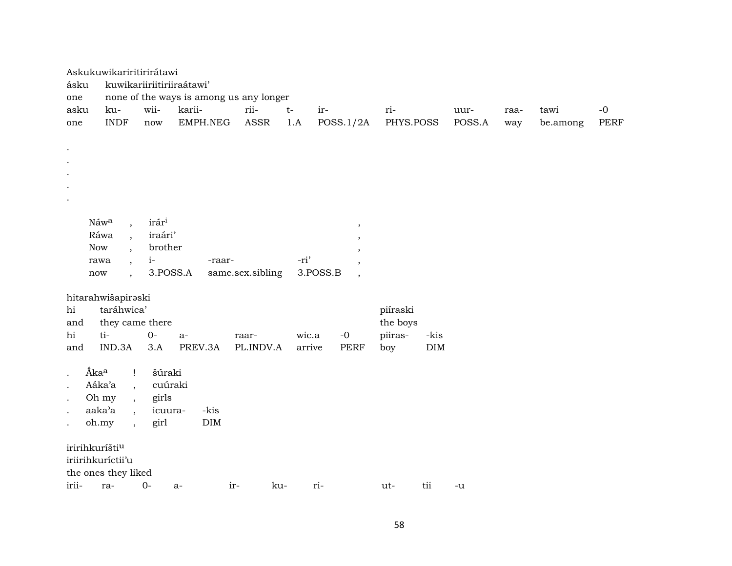|                            | Askukuwikariritirirátawi           |                      |                                         |                  |        |                                      |           |            |        |      |          |      |  |  |  |
|----------------------------|------------------------------------|----------------------|-----------------------------------------|------------------|--------|--------------------------------------|-----------|------------|--------|------|----------|------|--|--|--|
| ásku                       | kuwikariiriitiriiraátawi'          |                      |                                         |                  |        |                                      |           |            |        |      |          |      |  |  |  |
| one                        |                                    |                      | none of the ways is among us any longer |                  |        |                                      |           |            |        |      |          |      |  |  |  |
| asku                       | ku-                                | wii-                 | karii-                                  | rii-             | $t-$   | ir-                                  | ri-       |            | uur-   | raa- | tawi     | $-0$ |  |  |  |
| one                        | <b>INDF</b>                        | $\operatorname{now}$ | EMPH.NEG                                | ASSR             | 1.A    | POSS.1/2A                            | PHYS.POSS |            | POSS.A | way  | be.among | PERF |  |  |  |
|                            |                                    |                      |                                         |                  |        |                                      |           |            |        |      |          |      |  |  |  |
| $\bullet$                  |                                    |                      |                                         |                  |        |                                      |           |            |        |      |          |      |  |  |  |
|                            |                                    |                      |                                         |                  |        |                                      |           |            |        |      |          |      |  |  |  |
|                            |                                    |                      |                                         |                  |        |                                      |           |            |        |      |          |      |  |  |  |
|                            |                                    |                      |                                         |                  |        |                                      |           |            |        |      |          |      |  |  |  |
|                            |                                    |                      |                                         |                  |        |                                      |           |            |        |      |          |      |  |  |  |
|                            |                                    |                      |                                         |                  |        |                                      |           |            |        |      |          |      |  |  |  |
|                            | Náwa                               | irári                |                                         |                  |        | $\overline{\phantom{a}}$             |           |            |        |      |          |      |  |  |  |
|                            | Ráwa<br>$\overline{\phantom{a}}$   | iraári'              |                                         |                  |        |                                      |           |            |        |      |          |      |  |  |  |
| <b>Now</b>                 | $\overline{\phantom{a}}$           | brother              |                                         |                  |        |                                      |           |            |        |      |          |      |  |  |  |
|                            | rawa<br>$\overline{\phantom{a}}$   | $i-$                 | -raar-                                  |                  | -ri'   |                                      |           |            |        |      |          |      |  |  |  |
| $\operatorname{now}$       | $\overline{\phantom{a}}$           | 3.POSS.A             |                                         | same.sex.sibling |        | 3.POSS.B<br>$\overline{\phantom{a}}$ |           |            |        |      |          |      |  |  |  |
|                            |                                    |                      |                                         |                  |        |                                      |           |            |        |      |          |      |  |  |  |
|                            | hitarahwišapiraski                 |                      |                                         |                  |        |                                      |           |            |        |      |          |      |  |  |  |
| hi                         | taráhwica'                         |                      |                                         |                  |        |                                      | piíraski  |            |        |      |          |      |  |  |  |
| and                        | they came there                    |                      |                                         |                  |        |                                      | the boys  |            |        |      |          |      |  |  |  |
| hi                         | ti-                                | $O -$                | $a-$                                    | raar-            | wic.a  | $-0$                                 | piiras-   | -kis       |        |      |          |      |  |  |  |
| and                        | IND.3A                             | 3.A                  | PREV.3A                                 | PL.INDV.A        | arrive | <b>PERF</b>                          | boy       | $\rm{DIM}$ |        |      |          |      |  |  |  |
|                            |                                    |                      |                                         |                  |        |                                      |           |            |        |      |          |      |  |  |  |
| Áka <sup>a</sup>           | $\mathbf{I}$                       | šúraki               |                                         |                  |        |                                      |           |            |        |      |          |      |  |  |  |
|                            | Aáka'a<br>$\overline{\phantom{a}}$ | cuúraki              |                                         |                  |        |                                      |           |            |        |      |          |      |  |  |  |
|                            | Oh my<br>$\overline{ }$            | girls                |                                         |                  |        |                                      |           |            |        |      |          |      |  |  |  |
|                            | aaka'a<br>$\overline{\phantom{a}}$ | icuura-              | -kis                                    |                  |        |                                      |           |            |        |      |          |      |  |  |  |
|                            | oh.my<br>$\cdot$                   | girl                 | $\rm{DIM}$                              |                  |        |                                      |           |            |        |      |          |      |  |  |  |
|                            |                                    |                      |                                         |                  |        |                                      |           |            |        |      |          |      |  |  |  |
| iririhkuríšti <sup>u</sup> |                                    |                      |                                         |                  |        |                                      |           |            |        |      |          |      |  |  |  |
|                            | iriirihkuríctii'u                  |                      |                                         |                  |        |                                      |           |            |        |      |          |      |  |  |  |
|                            | the ones they liked                |                      |                                         |                  |        |                                      |           |            |        |      |          |      |  |  |  |
| irii-                      | ra-                                | $0-$                 | $a-$                                    | ir-<br>ku-       |        | ri-                                  | ut-       | tii        | -u     |      |          |      |  |  |  |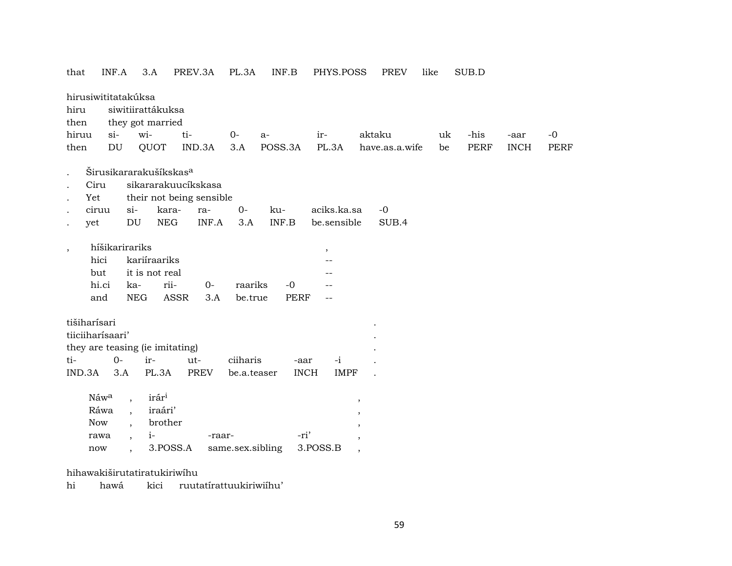that  $INF.A$  3.A PREV.3A PL.3A INF.B PHYS.POSS PREV like SUB.D hirusiwititatakúksa hiru siwitiirattákuksa they got married then hiruu  $si$ witi- $0$  $a$ iraktaku uk -his  $-0$ -aar IND.3A POSS.3A then **DU** QUOT  $3.A$ PL.3A have.as.a.wife be **PERF INCH PERF** Širusikararakušíkskas<sup>a</sup>  $\mathbf{r}$ sikararakuucíkskasa  $C<sub>ir11</sub>$ their not being sensible Yet ciruu  $si$  $O -0$ kararakuaciks.ka.sa **NEG**  $3.A$ INF.A  $INF.B$ be.sensible SUB.4 yet DU híšikarirariks  $\,$  $\cdot$ hici kariíraariks  $\overline{\phantom{a}}$ but it is not real  $\overline{a}$ hi.ci karii- $0$ raariks  $-0$  $\frac{1}{2}$ and **NEG ASSR**  $3.A$ be.true **PERF**  $\sim$   $\sim$ tišiharísari tiiciiharísaari' they are teasing (ie imitating)  $O$ tiirutciiharis  $-i$ -aar  $IND.3A$   $3.A$ PL.3A **PREV** be.a.teaser **INCH IMPF** irár<sup>i</sup> Náw<sup>a</sup>  $\overline{\phantom{a}}$  $\cdot$ iraári' Ráwa  $\overline{\phantom{a}}$ Now brother  $\overline{\phantom{a}}$  $i-$ -ri' rawa -raar- $\overline{\phantom{a}}$  $\cdot$ 3.POSS.A 3.POSS.B same.sex.sibling  $\operatorname{now}$  $\overline{\phantom{a}}$  $\overline{\phantom{a}}$ 

hihawakiširutatiratukiriwihu

hi hawá kici ruutatírattuukiriwiíhu'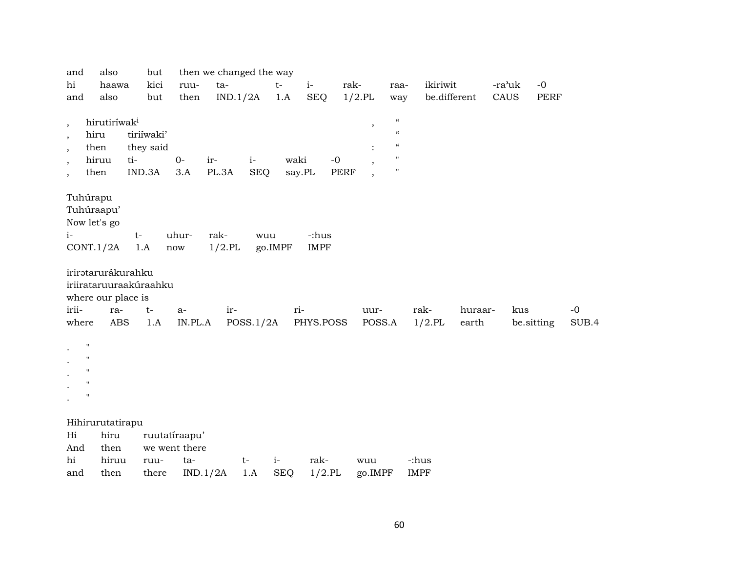| and                      | also                     | but                    |               | then we changed the way |            |            |             |      |                         |                                        |              |         |        |            |       |
|--------------------------|--------------------------|------------------------|---------------|-------------------------|------------|------------|-------------|------|-------------------------|----------------------------------------|--------------|---------|--------|------------|-------|
| hi                       | haawa                    | kici                   | ruu-          | ta-                     |            | $t-$       | $i-$        | rak- |                         | raa-                                   | ikiriwit     |         | -ra'uk | $-0$       |       |
| and                      | also                     | but                    | then          | IND.1/2A                |            | 1.A        | <b>SEQ</b>  |      | $1/2$ .PL               | way                                    | be.different |         | CAUS   | PERF       |       |
|                          |                          |                        |               |                         |            |            |             |      |                         |                                        |              |         |        |            |       |
| $^\mathrm{,}$            | hirutiríwak <sup>i</sup> |                        |               |                         |            |            |             |      | $^\mathrm{^\mathrm{o}}$ | $\boldsymbol{\zeta}\boldsymbol{\zeta}$ |              |         |        |            |       |
| $\overline{\phantom{a}}$ | hiru                     | tiriíwaki'             |               |                         |            |            |             |      |                         | $\boldsymbol{\mathcal{U}}$             |              |         |        |            |       |
| $\cdot$                  | then                     | they said              |               |                         |            |            |             |      |                         | $\boldsymbol{\mathcal{C}}$             |              |         |        |            |       |
| $\overline{\phantom{a}}$ | hiruu                    | ti-                    | $O -$         | ir-                     | $i-$       | waki       | $-0$        |      |                         | $\pmb{\mathsf{H}}$                     |              |         |        |            |       |
| $\cdot$                  | then                     | IND.3A                 | 3.A           | PL.3A                   | <b>SEQ</b> | say.PL     |             | PERF |                         | $\pmb{\mathsf{H}}$                     |              |         |        |            |       |
|                          |                          |                        |               |                         |            |            |             |      |                         |                                        |              |         |        |            |       |
| Tuhúrapu                 |                          |                        |               |                         |            |            |             |      |                         |                                        |              |         |        |            |       |
| Tuhúraapu'               |                          |                        |               |                         |            |            |             |      |                         |                                        |              |         |        |            |       |
| Now let's go             |                          |                        |               |                         |            |            |             |      |                         |                                        |              |         |        |            |       |
| $i-$                     |                          | $t-$                   | uhur-         | rak-                    | wuu        |            | -:hus       |      |                         |                                        |              |         |        |            |       |
|                          | CONT.1/2A                | 1.A                    | now           | $1/2$ .PL               |            | go.IMPF    | <b>IMPF</b> |      |                         |                                        |              |         |        |            |       |
|                          |                          |                        |               |                         |            |            |             |      |                         |                                        |              |         |        |            |       |
|                          | iriratarurákurahku       |                        |               |                         |            |            |             |      |                         |                                        |              |         |        |            |       |
|                          |                          | iriirataruuraakúraahku |               |                         |            |            |             |      |                         |                                        |              |         |        |            |       |
|                          | where our place is       |                        |               |                         |            |            |             |      |                         |                                        |              |         |        |            |       |
| irii-                    | ra-                      | $t-$                   | $a-$          | ir-                     |            | ri-        |             |      | uur-                    |                                        | rak-         | huraar- | kus    |            | $-0$  |
| where                    | <b>ABS</b>               | 1.A                    | IN.PL.A       |                         | POSS.1/2A  |            | PHYS.POSS   |      | POSS.A                  |                                        | $1/2$ .PL    | earth   |        | be.sitting | SUB.4 |
|                          |                          |                        |               |                         |            |            |             |      |                         |                                        |              |         |        |            |       |
| $\pmb{\mathsf{H}}$       |                          |                        |               |                         |            |            |             |      |                         |                                        |              |         |        |            |       |
| $\pmb{\mathsf{H}}$       |                          |                        |               |                         |            |            |             |      |                         |                                        |              |         |        |            |       |
| $\pmb{\mathsf{H}}$       |                          |                        |               |                         |            |            |             |      |                         |                                        |              |         |        |            |       |
| $\pmb{\mathsf{H}}$       |                          |                        |               |                         |            |            |             |      |                         |                                        |              |         |        |            |       |
| $\pmb{\mathsf{H}}$       |                          |                        |               |                         |            |            |             |      |                         |                                        |              |         |        |            |       |
|                          |                          |                        |               |                         |            |            |             |      |                         |                                        |              |         |        |            |       |
|                          | Hihirurutatirapu         |                        |               |                         |            |            |             |      |                         |                                        |              |         |        |            |       |
| Hi                       | hiru                     |                        | ruutatiraapu' |                         |            |            |             |      |                         |                                        |              |         |        |            |       |
| And                      | then                     |                        | we went there |                         |            |            |             |      |                         |                                        |              |         |        |            |       |
| hi                       | hiruu                    | ruu-                   | ta-           |                         | $t-$       | $i-$       | rak-        |      | wuu                     |                                        | -:hus        |         |        |            |       |
| and                      | then                     | there                  |               | IND.1/2A                | 1.A        | <b>SEQ</b> | $1/2$ .PL   |      | go.IMPF                 |                                        | <b>IMPF</b>  |         |        |            |       |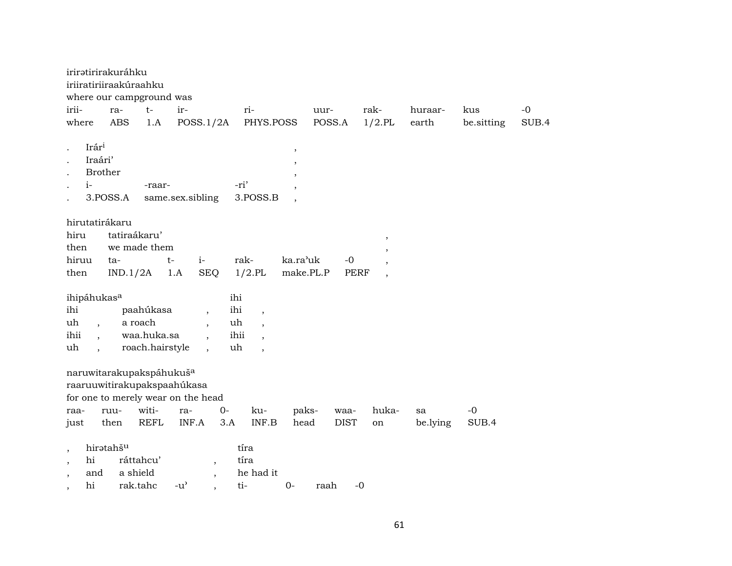|                                                                   | iriratirirakuráhku                               | iriiratiriiraakúraahku<br>where our campground was                                                                 |                  |                                                                                |                                                                                                                      |                                                    |             |                          |          |            |       |
|-------------------------------------------------------------------|--------------------------------------------------|--------------------------------------------------------------------------------------------------------------------|------------------|--------------------------------------------------------------------------------|----------------------------------------------------------------------------------------------------------------------|----------------------------------------------------|-------------|--------------------------|----------|------------|-------|
| irii-                                                             | ra-                                              | $t-$                                                                                                               | ir-              |                                                                                | ri-                                                                                                                  |                                                    | uur-        | rak-                     | huraar-  | kus        | $-0$  |
| where                                                             | <b>ABS</b>                                       | 1.A                                                                                                                |                  | POSS.1/2A                                                                      | PHYS.POSS                                                                                                            |                                                    | POSS.A      | $1/2$ .PL                | earth    | be.sitting | SUB.4 |
| Irári<br>$i-$                                                     | Iraári'<br><b>Brother</b><br>3.POSS.A            | -raar-                                                                                                             | same.sex.sibling |                                                                                | -ri'<br>3.POSS.B                                                                                                     | $\, ,$<br>,<br>$\cdot$<br>$\overline{\phantom{a}}$ |             |                          |          |            |       |
| hiru<br>then                                                      | hirutatirákaru                                   | tatiraákaru'<br>we made them                                                                                       |                  |                                                                                |                                                                                                                      |                                                    |             | $\, ,$                   |          |            |       |
| hiruu                                                             | ta-                                              |                                                                                                                    | $i-$<br>t-       |                                                                                | rak-                                                                                                                 | ka.ra'uk                                           | $-0$        |                          |          |            |       |
| then                                                              |                                                  | IND.1/2A                                                                                                           | 1.A              | <b>SEQ</b>                                                                     | $1/2$ .PL                                                                                                            | make.PL.P                                          | <b>PERF</b> | $\overline{\phantom{a}}$ |          |            |       |
| ihipáhukas <sup>a</sup><br>ihi<br>uh<br>ihii<br>uh                | $\overline{\phantom{a}}$<br>$\ddot{\phantom{0}}$ | paahúkasa<br>a roach<br>waa.huka.sa<br>roach.hairstyle                                                             |                  | ihi<br>ihi<br>uh<br>$\overline{\phantom{a}}$<br>$\overline{\phantom{a}}$<br>uh | $\overline{\phantom{a}}$<br>$\overline{\phantom{a}}$<br>ihii<br>$\overline{\phantom{a}}$<br>$\overline{\phantom{a}}$ |                                                    |             |                          |          |            |       |
| raa-                                                              | ruu-                                             | naruwitarakupakspáhukuš <sup>a</sup><br>raaruuwitirakupakspaahúkasa<br>for one to merely wear on the head<br>witi- | ra-              | $0-$                                                                           | ku-                                                                                                                  | paks-                                              | waa-        | huka-                    | sa       | $-0$       |       |
| just                                                              | then                                             | <b>REFL</b>                                                                                                        | INF.A            | 3.A                                                                            | INF.B                                                                                                                | head                                               | <b>DIST</b> | on                       | be.lying | SUB.4      |       |
| $\cdot$<br>hi<br>$\cdot$<br>and<br>$\overline{\phantom{a}}$<br>hi | hiratahšu                                        | ráttahcu'<br>a shield<br>rak.tahc                                                                                  | $-u^{\prime}$    | $\cdot$<br>$\overline{\phantom{a}}$                                            | tíra<br>tíra<br>he had it<br>ti-                                                                                     | $0-$                                               | raah        | $-0$                     |          |            |       |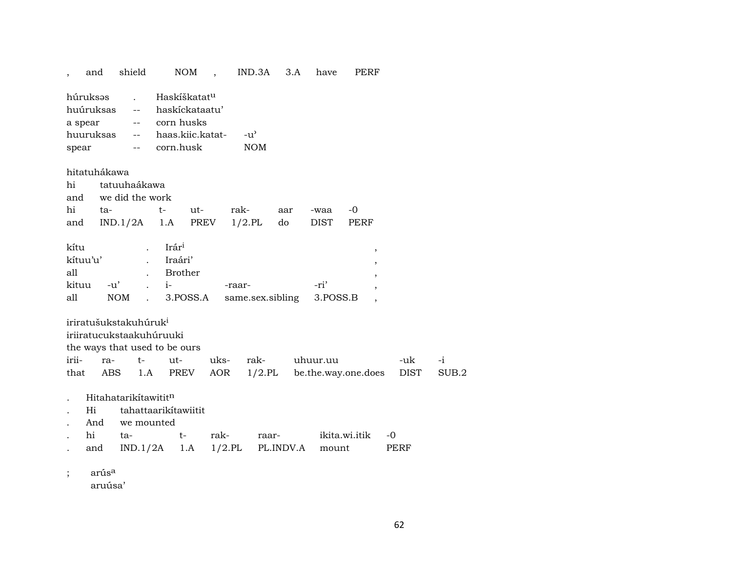|                  | and                                      |            | shield                                                                                                                                                                                                                                                                                                                                                                                                                                                                            |                                                                                           | <b>NOM</b> | $\ddot{\phantom{0}}$ | IND.3A                      |           | 3.A | have     | PERF                |             |
|------------------|------------------------------------------|------------|-----------------------------------------------------------------------------------------------------------------------------------------------------------------------------------------------------------------------------------------------------------------------------------------------------------------------------------------------------------------------------------------------------------------------------------------------------------------------------------|-------------------------------------------------------------------------------------------|------------|----------------------|-----------------------------|-----------|-----|----------|---------------------|-------------|
| a spear<br>spear | húruksəs<br>huúruksas<br>huuruksas       |            | --<br>$\frac{1}{2} \frac{1}{2} \left( \frac{1}{2} \right) \left( \frac{1}{2} \right) \left( \frac{1}{2} \right) \left( \frac{1}{2} \right) \left( \frac{1}{2} \right) \left( \frac{1}{2} \right) \left( \frac{1}{2} \right) \left( \frac{1}{2} \right) \left( \frac{1}{2} \right) \left( \frac{1}{2} \right) \left( \frac{1}{2} \right) \left( \frac{1}{2} \right) \left( \frac{1}{2} \right) \left( \frac{1}{2} \right) \left( \frac{1}{2} \right) \left( \frac{1}{2} \$<br>$--$ | Haskíškatat <sup>u</sup><br>haskíckataatu'<br>corn husks<br>haas.kiic.katat-<br>corn.husk |            |                      | $-u^{\prime}$<br><b>NOM</b> |           |     |          |                     |             |
|                  | hitatuhákawa                             |            |                                                                                                                                                                                                                                                                                                                                                                                                                                                                                   |                                                                                           |            |                      |                             |           |     |          |                     |             |
| hi               |                                          |            | tatuuhaákawa                                                                                                                                                                                                                                                                                                                                                                                                                                                                      |                                                                                           |            |                      |                             |           |     |          |                     |             |
| and              |                                          |            | we did the work                                                                                                                                                                                                                                                                                                                                                                                                                                                                   |                                                                                           |            |                      |                             |           |     |          |                     |             |
| hi               | ta-                                      |            |                                                                                                                                                                                                                                                                                                                                                                                                                                                                                   | $t-$                                                                                      | ut-        |                      | rak-                        | aar       |     | -waa     | $-0$                |             |
| and              |                                          |            | IND.1/2A                                                                                                                                                                                                                                                                                                                                                                                                                                                                          | 1.A                                                                                       | PREV       |                      | $1/2$ .PL                   | do        |     | DIST     | PERF                |             |
| kítu             |                                          |            |                                                                                                                                                                                                                                                                                                                                                                                                                                                                                   | Irár <sup>i</sup>                                                                         |            |                      |                             |           |     |          | ,                   |             |
|                  | kítuu'u'                                 |            |                                                                                                                                                                                                                                                                                                                                                                                                                                                                                   | Iraári'                                                                                   |            |                      |                             |           |     |          | ,                   |             |
| all              |                                          |            |                                                                                                                                                                                                                                                                                                                                                                                                                                                                                   | <b>Brother</b>                                                                            |            |                      |                             |           |     |          |                     |             |
| kituu            |                                          | $-u'$      |                                                                                                                                                                                                                                                                                                                                                                                                                                                                                   | $i-$                                                                                      |            |                      | -raar-                      |           |     | -ri'     |                     |             |
| all              |                                          | <b>NOM</b> | $\ddot{\phantom{a}}$                                                                                                                                                                                                                                                                                                                                                                                                                                                              |                                                                                           | 3.POSS.A   |                      | same.sex.sibling            |           |     | 3.POSS.B |                     |             |
| irii-<br>that    | iriratušukstakuhúruk <sup>i</sup><br>ra- | ABS        | $t-$<br>1.A                                                                                                                                                                                                                                                                                                                                                                                                                                                                       | iriiratucukstaakuhúruuki<br>the ways that used to be ours<br>ut-                          | PREV       | uks-<br>AOR          | rak-                        | $1/2$ .PL |     | uhuur.uu | be.the.way.one.does | -uk<br>DIST |
|                  | Hitahatarikítawititn                     |            |                                                                                                                                                                                                                                                                                                                                                                                                                                                                                   |                                                                                           |            |                      |                             |           |     |          |                     |             |
|                  | Hi                                       |            |                                                                                                                                                                                                                                                                                                                                                                                                                                                                                   | tahattaarikitawiitit                                                                      |            |                      |                             |           |     |          |                     |             |
|                  | And                                      |            | we mounted                                                                                                                                                                                                                                                                                                                                                                                                                                                                        |                                                                                           |            |                      |                             |           |     |          |                     |             |
|                  | hi                                       | ta-        |                                                                                                                                                                                                                                                                                                                                                                                                                                                                                   | $t-$                                                                                      |            | rak-                 |                             | raar-     |     |          | ikita.wi.itik       | -0          |
|                  | and                                      |            | IND.1/2A                                                                                                                                                                                                                                                                                                                                                                                                                                                                          |                                                                                           | 1.A        | $1/2$ .PL            |                             | PL.INDV.A |     | mount    |                     | PERF        |
|                  |                                          |            |                                                                                                                                                                                                                                                                                                                                                                                                                                                                                   |                                                                                           |            |                      |                             |           |     |          |                     |             |

arús<sup>a</sup>  $\ddot{ }$ 

 $a$ ruúsa'

 $-i$  $\rm SUB.2$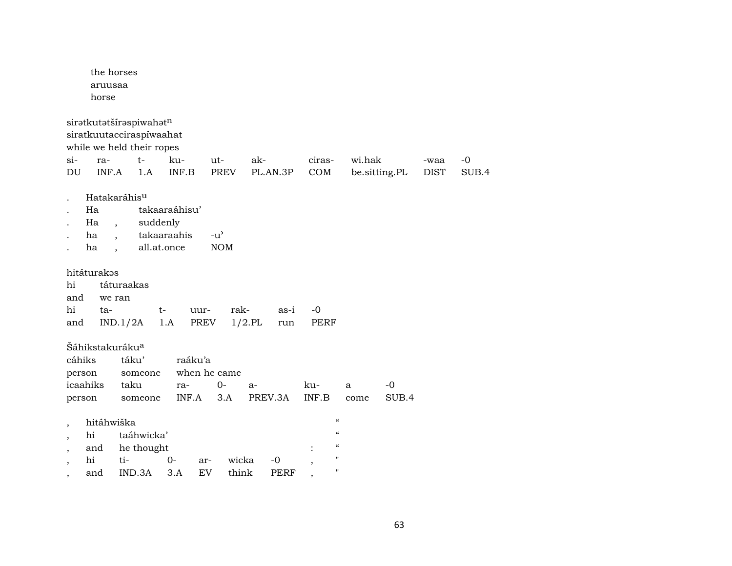|                                                                                  | the horses<br>aruusaa<br>horse                                        |                                                                                                                              |                                                                    |                                             |                          |                     |                                                                                                                       |               |             |       |
|----------------------------------------------------------------------------------|-----------------------------------------------------------------------|------------------------------------------------------------------------------------------------------------------------------|--------------------------------------------------------------------|---------------------------------------------|--------------------------|---------------------|-----------------------------------------------------------------------------------------------------------------------|---------------|-------------|-------|
| $si-$                                                                            | ra-                                                                   | siratkutatšíraspiwahatn<br>siratkuutacciraspiwaahat<br>while we held their ropes<br>$t-$                                     | ku-                                                                | ut-                                         | ak-                      | ciras-              | wi.hak                                                                                                                |               | -waa        | $-0$  |
| $\mathop{\rm DU}\nolimits$                                                       | INF.A                                                                 | 1.A                                                                                                                          | INF.B                                                              | <b>PREV</b>                                 | PL.AN.3P                 | COM                 |                                                                                                                       | be.sitting.PL | <b>DIST</b> | SUB.4 |
| hi<br>and<br>hi<br>and                                                           | Ha<br>Ha<br>ha<br>ha<br>hitáturakas<br>ta-                            | Hatakaráhis <sup>u</sup><br>suddenly<br>$\overline{\phantom{a}}$<br>$\ddot{\phantom{0}}$<br>táturaakas<br>we ran<br>IND.1/2A | takaaraáhisu'<br>takaaraahis<br>all.at.once<br>$t-$<br>uur-<br>1.A | $-u^{\prime}$<br><b>NOM</b><br>rak-<br>PREV | as-i<br>$1/2$ .PL<br>run | $-0$<br><b>PERF</b> |                                                                                                                       |               |             |       |
|                                                                                  | Šáhikstakuráku <sup>a</sup><br>cáhiks<br>person<br>icaahiks<br>person | táku'<br>someone<br>taku<br>someone                                                                                          | raáku'a<br>ra-<br>INF.A                                            | when he came<br>$0-$<br>3.A                 | $a-$<br>PREV.3A          | ku-<br>INF.B        | a<br>come                                                                                                             | $-0$<br>SUB.4 |             |       |
| $\overline{\phantom{a}}$<br>$\overline{\phantom{a}}$<br>$\overline{\phantom{a}}$ | hitáhwiška<br>hi<br>and<br>hi                                         | taáhwicka'<br>he thought<br>ti-                                                                                              | $0-$                                                               | wicka<br>ar-                                | $-0$                     | $\overline{ }$      | $\mathcal{C}\mathcal{C}$<br>$\pmb{\zeta}\pmb{\zeta}$<br>$\mathcal{C}\mathcal{C}$<br>$\pmb{\mathsf{H}}$<br>$\mathbf H$ |               |             |       |
|                                                                                  | and                                                                   | IND.3A                                                                                                                       | 3.A                                                                | EV<br>think                                 | <b>PERF</b>              |                     |                                                                                                                       |               |             |       |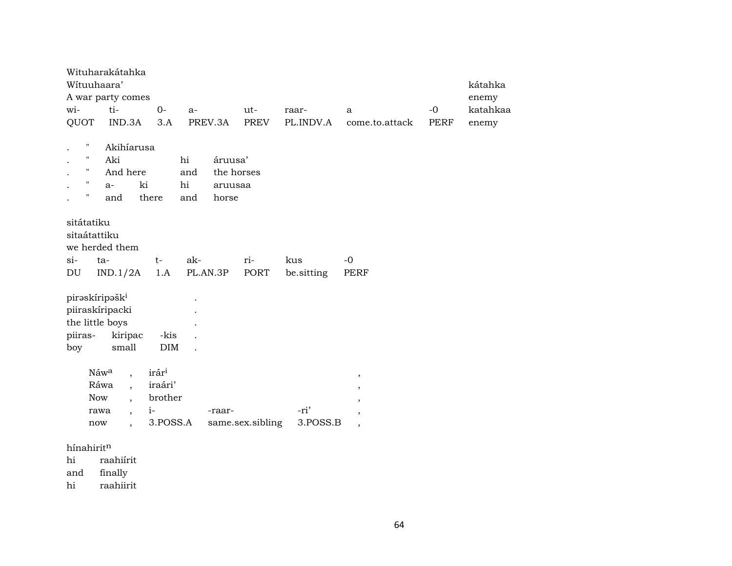| Wituuhaara'                                   | Wituharakátahka<br>A war party comes |                   |                 |                       |      |                    |                                |                     | kátahka<br>enemy  |
|-----------------------------------------------|--------------------------------------|-------------------|-----------------|-----------------------|------|--------------------|--------------------------------|---------------------|-------------------|
| wi-<br>QUOT                                   | ti-<br>IND.3A                        | $0-$<br>3.A       | $a-$<br>PREV.3A | ut-                   | PREV | raar-<br>PL.INDV.A | a<br>come.to.attack            | $-0$<br><b>PERF</b> | katahkaa<br>enemy |
|                                               |                                      |                   |                 |                       |      |                    |                                |                     |                   |
| Н                                             | Akihíarusa                           |                   |                 |                       |      |                    |                                |                     |                   |
| $\pmb{\mathsf{H}}$<br>$\pmb{\mathsf{H}}$      | Aki                                  |                   | hi              | áruusa'               |      |                    |                                |                     |                   |
| $\pmb{\mathsf{H}}$                            | And here<br>ki<br>$a-$               |                   | and<br>hi       | the horses<br>aruusaa |      |                    |                                |                     |                   |
| $\pmb{\mathsf{H}}$                            | and                                  | there             | and             | horse                 |      |                    |                                |                     |                   |
|                                               |                                      |                   |                 |                       |      |                    |                                |                     |                   |
| sitátatiku<br>sitaátattiku                    |                                      |                   |                 |                       |      |                    |                                |                     |                   |
|                                               | we herded them                       |                   |                 |                       |      |                    |                                |                     |                   |
| $\sin$                                        | $ta-$                                | $t-$              | ak-             | ri-                   |      | kus                | $-0$                           |                     |                   |
| DU                                            | IND.1/2A                             | 1.A               | PL.AN.3P        |                       | PORT | be.sitting         | <b>PERF</b>                    |                     |                   |
| piraskíripašk <sup>i</sup><br>piiraskíripacki |                                      |                   |                 |                       |      |                    |                                |                     |                   |
| the little boys                               |                                      |                   |                 |                       |      |                    |                                |                     |                   |
| piiras-                                       | kiripac                              | -kis              |                 |                       |      |                    |                                |                     |                   |
| boy                                           | small                                | <b>DIM</b>        |                 |                       |      |                    |                                |                     |                   |
|                                               | Náwa<br>$\ddot{\phantom{0}}$         | irár <sup>i</sup> |                 |                       |      |                    |                                |                     |                   |
|                                               | Ráwa<br>$\cdot$                      | iraári'           |                 |                       |      |                    | $^\mathrm{,}$<br>$^\mathrm{,}$ |                     |                   |
| Now                                           | $\ddot{\phantom{0}}$                 | brother           |                 |                       |      |                    | $\overline{\phantom{a}}$       |                     |                   |
|                                               | rawa<br>$\cdot$                      | $i-$              |                 | -raar-                |      | -ri'               | $\overline{\phantom{a}}$       |                     |                   |
| now                                           | $\ddot{\phantom{1}}$                 | 3.POSS.A          |                 | same.sex.sibling      |      | 3.POSS.B           | $\overline{\phantom{a}}$       |                     |                   |

 $h$ ínahirit $^n$ 

raahiírit  $hi$ 

and finally

raahiirit hi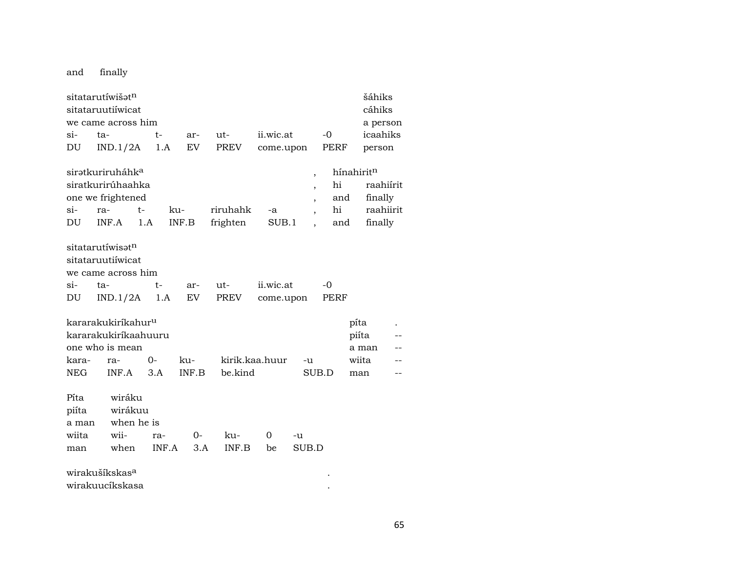and finally

|                                 | sitatarutíwišət <sup>n</sup><br>sitataruutiiwicat                         |           |           |                |           |                          |      | šáhiks<br>cáhiks       |  |
|---------------------------------|---------------------------------------------------------------------------|-----------|-----------|----------------|-----------|--------------------------|------|------------------------|--|
|                                 | we came across him                                                        |           |           |                |           |                          |      | a person               |  |
| $\sin$                          | ta-                                                                       | t-        | ar-       | $ut -$         | ii.wic.at |                          | -0   | icaahiks               |  |
| DU                              | IND.1/2A                                                                  | 1.A       | EV        | PREV           | come.upon |                          | PERF | person                 |  |
|                                 | sirətkuriruháhk <sup>a</sup>                                              |           |           |                |           | $\overline{ }$           |      | hínahiritn             |  |
|                                 | siratkurirúhaahka                                                         |           |           |                |           | $\overline{\phantom{a}}$ | hi   | raahiírit              |  |
|                                 | one we frightened                                                         |           |           |                |           | ,                        | and  | finally                |  |
| $\sin$                          | ra-                                                                       | ku-<br>t- |           | riruhahk       | -a        | $\overline{\phantom{a}}$ | hi   | raahiirit              |  |
| DU                              | INF.A                                                                     | 1.A       | INF.B     | frighten       | SUB.1     |                          | and  | finally                |  |
|                                 | sitatarutíwisət <sup>n</sup><br>sitataruutiíwicat<br>we came across him   |           |           |                |           |                          |      |                        |  |
| $\sin$ -                        | ta-                                                                       | t-        | ar-       | ut-            | ii.wic.at |                          | -0   |                        |  |
| DU                              | IND.1/2A                                                                  | 1.A       | <b>EV</b> | PREV           | come.upon |                          | PERF |                        |  |
|                                 | kararakukiríkahur <sup>u</sup><br>kararakukiríkaahuuru<br>one who is mean |           |           |                |           |                          |      | píta<br>piíta<br>a man |  |
| kara-                           | ra-                                                                       | $0-$      | ku-       | kirik.kaa.huur |           | -u                       |      | wiita                  |  |
| NEG                             | INF.A                                                                     | 3.A       | INF.B     | be.kind        |           | SUB.D                    |      | man                    |  |
| Píta<br>piíta<br>a man<br>wiita | wiráku<br>wirákuu<br>when he is<br>wii-                                   | ra-       | 0-        | ku-            | 0         | -u                       |      |                        |  |
| man                             | when                                                                      | INF.A     | 3.A       | INF.B          | be        | SUB.D                    |      |                        |  |
|                                 | wirakušíkskas <sup>a</sup><br>wirakuucíkskasa                             |           |           |                |           |                          |      |                        |  |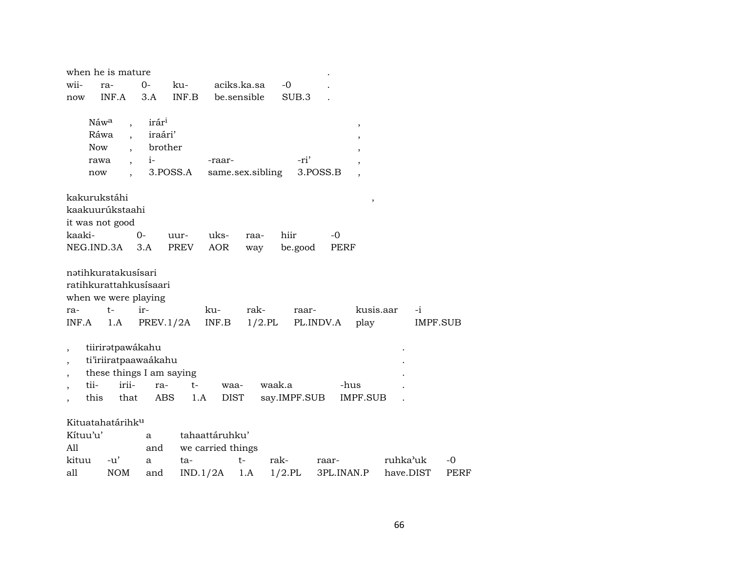| when he is mature                                                                     |                                                  |                                                             |          |                                     |                   |              |                    |            |                   |           |                         |      |
|---------------------------------------------------------------------------------------|--------------------------------------------------|-------------------------------------------------------------|----------|-------------------------------------|-------------------|--------------|--------------------|------------|-------------------|-----------|-------------------------|------|
| wii-                                                                                  | ra-                                              | $0 -$                                                       | ku-      |                                     | aciks.ka.sa       | $-0$         |                    |            |                   |           |                         |      |
| now                                                                                   | INF.A                                            | 3.A                                                         | INF.B    |                                     | be.sensible       | SUB.3        |                    |            |                   |           |                         |      |
| Náw <sup>a</sup><br>Ráwa<br>Now<br>rawa<br>now                                        | $\overline{\phantom{a}}$<br>$\ddot{\phantom{0}}$ | irár <sup>i</sup><br>iraári'<br>brother<br>$i-$<br>3.POSS.A |          | -raar-                              | same.sex.sibling  | -ri'         | 3.POSS.B           |            | ,                 |           |                         |      |
| kakurukstáhi                                                                          |                                                  |                                                             |          |                                     |                   |              |                    |            | ,                 |           |                         |      |
| kaakuurúkstaahi                                                                       |                                                  |                                                             |          |                                     |                   |              |                    |            |                   |           |                         |      |
| it was not good                                                                       |                                                  |                                                             |          |                                     |                   |              |                    |            |                   |           |                         |      |
| kaaki-                                                                                |                                                  | $0-$                                                        | uur-     | uks-                                | raa-              | hiir         |                    | -0         |                   |           |                         |      |
| NEG.IND.3A                                                                            |                                                  | 3.A                                                         | PREV     | <b>AOR</b>                          | way               | be.good      |                    | PERF       |                   |           |                         |      |
| nətihkuratakusisari<br>ratihkurattahkusisaari<br>when we were playing<br>ra-<br>INF.A | $t-$<br>1.A                                      | ir-<br>PREV.1/2A                                            |          | ku-<br>INF.B                        | rak-<br>$1/2$ .PL |              | raar-<br>PL.INDV.A |            | kusis.aar<br>play |           | $-i$<br><b>IMPF.SUB</b> |      |
| $\overline{\phantom{a}}$                                                              | tiiriratpawákahu                                 |                                                             |          |                                     |                   |              |                    |            |                   |           |                         |      |
|                                                                                       |                                                  | ti'iriiratpaawaákahu                                        |          |                                     |                   |              |                    |            |                   |           |                         |      |
|                                                                                       |                                                  | these things I am saying                                    |          |                                     |                   |              |                    |            |                   |           |                         |      |
| tii-                                                                                  | irii-                                            | ra-                                                         | t-       | waa-                                |                   | waak.a       |                    | -hus       |                   |           |                         |      |
| this                                                                                  | that                                             | <b>ABS</b>                                                  | 1.A      | <b>DIST</b>                         |                   | say.IMPF.SUB |                    |            | <b>IMPF.SUB</b>   |           |                         |      |
| Kituatahatárihk <sup>u</sup><br>Kítuu'u'<br>A11                                       |                                                  | a<br>and                                                    |          | tahaattáruhku'<br>we carried things |                   |              |                    |            |                   |           |                         |      |
| kituu                                                                                 | $-u'$                                            | a                                                           | ta-      |                                     | $t-$              | rak-         | raar-              |            |                   | ruhka'uk  |                         | $-0$ |
| all                                                                                   | <b>NOM</b>                                       | and                                                         | IND.1/2A |                                     | 1.A               | $1/2$ .PL    |                    | 3PL.INAN.P |                   | have.DIST |                         | PERF |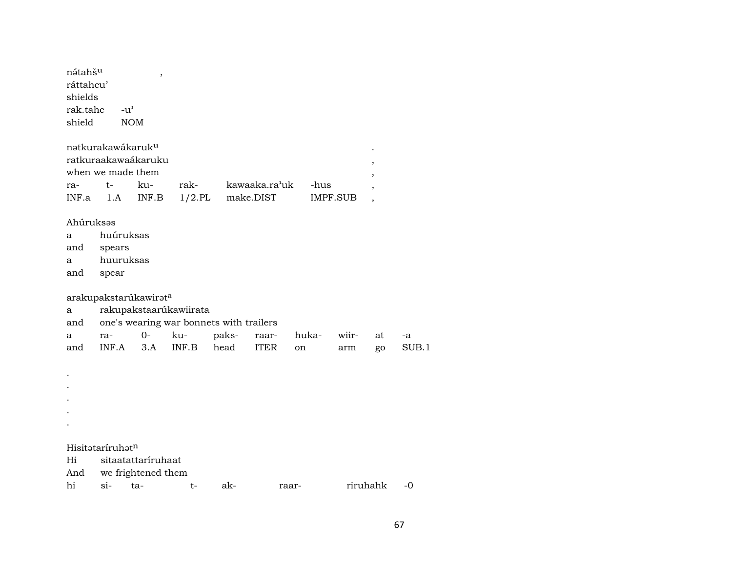| nətahš <sup>u</sup><br>ráttahcu'<br>shields<br>rak.tahc<br>shield | $-u^{\prime}$<br><b>NOM</b>                                               | $\overline{\phantom{a}}$                                                                            |                   |       |                            |       |                         |          |       |
|-------------------------------------------------------------------|---------------------------------------------------------------------------|-----------------------------------------------------------------------------------------------------|-------------------|-------|----------------------------|-------|-------------------------|----------|-------|
|                                                                   | natkurakawákaruk <sup>u</sup><br>ratkuraakawaákaruku<br>when we made them |                                                                                                     |                   |       |                            |       |                         |          |       |
| ra-<br>INF.a                                                      | $t-$<br>1.A                                                               | ku-<br>INF.B                                                                                        | rak-<br>$1/2$ .PL |       | kawaaka.ra'uk<br>make.DIST |       | -hus<br><b>IMPF.SUB</b> |          |       |
| Ahúruksəs<br>a<br>and<br>a<br>and                                 | huúruksas<br>spears<br>huuruksas<br>spear                                 |                                                                                                     |                   |       |                            |       |                         |          |       |
| a<br>and<br>a                                                     | ra-                                                                       | arakupakstarúkawirata<br>rakupakstaarúkawiirata<br>one's wearing war bonnets with trailers<br>$O -$ | ku-               | paks- | raar-                      | huka- | wiir-                   | at       | -a    |
| and                                                               | INF.A                                                                     | 3.A                                                                                                 | INF.B             | head  | <b>ITER</b>                | on    | arm                     | go       | SUB.1 |
|                                                                   |                                                                           |                                                                                                     |                   |       |                            |       |                         |          |       |
|                                                                   | Hisitataríruhat <sup>n</sup>                                              |                                                                                                     |                   |       |                            |       |                         |          |       |
| Hi                                                                |                                                                           | sitaatattaríruhaat                                                                                  |                   |       |                            |       |                         |          |       |
| And<br>hi                                                         | $si-$                                                                     | we frightened them<br>ta-                                                                           | t-                | ak-   | raar-                      |       |                         | riruhahk | $-0$  |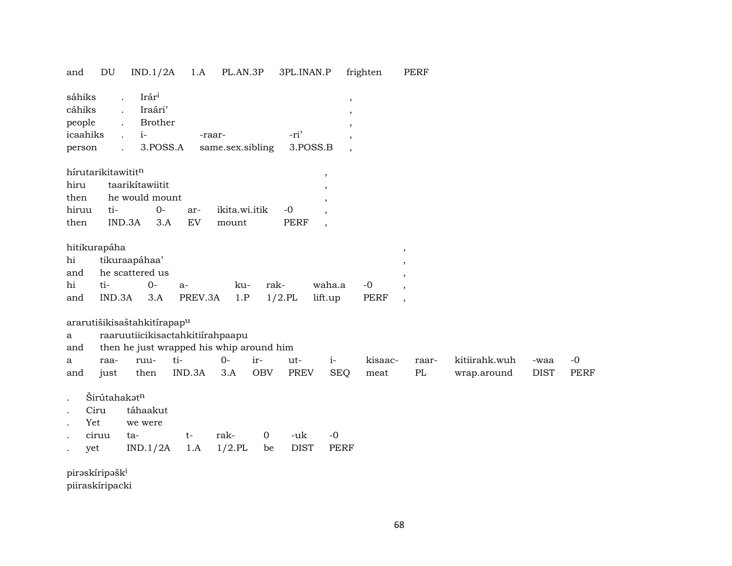| DU<br>and                                                  | IND.1/2A                                                                                                                                            | 1.A                               | PL.AN.3P                   |                | 3PL.INAN.P          |                                                                           | frighten            | PERF                                                                             |                              |                     |                     |
|------------------------------------------------------------|-----------------------------------------------------------------------------------------------------------------------------------------------------|-----------------------------------|----------------------------|----------------|---------------------|---------------------------------------------------------------------------|---------------------|----------------------------------------------------------------------------------|------------------------------|---------------------|---------------------|
| sáhiks<br>cáhiks<br>people<br>icaahiks<br>person           | Irár <sup>i</sup><br>$\ddot{\phantom{a}}$<br>Iraári'<br>$\mathbf{r}$<br>Brother<br>$\ddot{\phantom{a}}$<br>$i-$<br>$\ddot{\phantom{0}}$<br>3.POSS.A |                                   | -raar-<br>same.sex.sibling |                | -ri'<br>3.POSS.B    | $\, ,$<br>$\cdot$<br>$\overline{\phantom{a}}$<br>$\overline{\phantom{a}}$ |                     |                                                                                  |                              |                     |                     |
| hírutarikitawititn<br>hiru<br>then<br>hiruu<br>ti-<br>then | taarikítawiitit<br>he would mount<br>$0-$<br>IND.3A<br>3.A                                                                                          | ar-<br>$\mathop{\rm EV}\nolimits$ | ikita.wi.itik<br>mount     |                | $-0$<br><b>PERF</b> | $\,$<br>$\overline{\phantom{a}}$<br>,<br>$\overline{\phantom{a}}$         |                     |                                                                                  |                              |                     |                     |
| hitikurapáha<br>hi<br>and<br>hi<br>ti-<br>IND.3A<br>and    | tikuraapáhaa'<br>he scattered us<br>$0-$<br>3.A                                                                                                     | $a-$<br>PREV.3A                   | ku-<br>1.P                 | rak-           | $1/2.$ PL           | waha.a<br>lift.up                                                         | $-0$<br><b>PERF</b> | $\overline{\phantom{a}}$<br>$\overline{\phantom{a}}$<br>$\overline{\phantom{a}}$ |                              |                     |                     |
| ararutišikisaštahkitírapap <sup>u</sup><br>a               | raaruutiicikisactahkitiirahpaapu                                                                                                                    |                                   |                            |                |                     |                                                                           |                     |                                                                                  |                              |                     |                     |
| and                                                        | then he just wrapped his whip around him                                                                                                            |                                   |                            |                |                     |                                                                           |                     |                                                                                  |                              |                     |                     |
| raa-<br>a<br>and<br>just                                   | ruu-<br>then                                                                                                                                        | ti-<br>IND.3A                     | $O -$<br>3.A               | ir-<br>OBV     | ut-<br>PREV         | $i-$<br><b>SEQ</b>                                                        | kisaac-<br>meat     | raar-<br>$\rm PL$                                                                | kitiirahk.wuh<br>wrap.around | -waa<br><b>DIST</b> | $-0$<br><b>PERF</b> |
| Širútahakatn<br>Ciru<br>Yet<br>ciruu                       | táhaakut<br>we were<br>ta-                                                                                                                          | t-                                | rak-                       | $\overline{0}$ | -uk                 | $-0$                                                                      |                     |                                                                                  |                              |                     |                     |
| yet                                                        | IND.1/2A                                                                                                                                            | 1.A                               | $1/2$ .PL                  | be             | <b>DIST</b>         | <b>PERF</b>                                                               |                     |                                                                                  |                              |                     |                     |
| piraskíripašk <sup>i</sup>                                 |                                                                                                                                                     |                                   |                            |                |                     |                                                                           |                     |                                                                                  |                              |                     |                     |

piiraskíripacki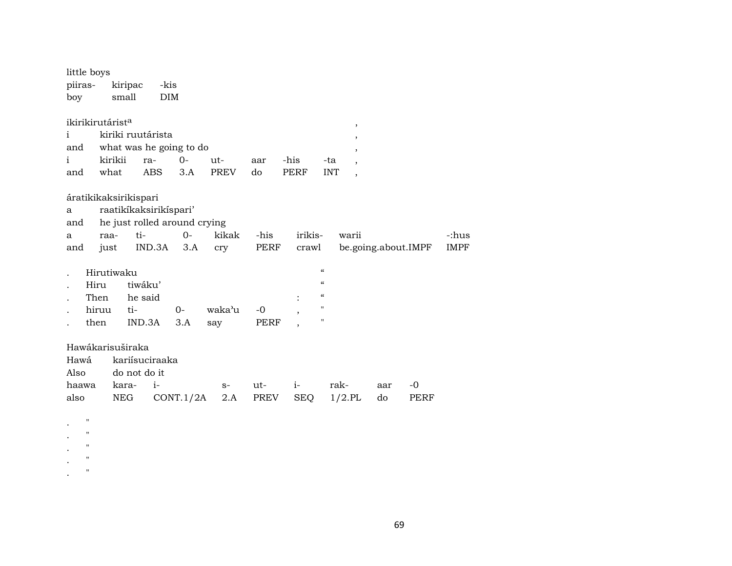| little boys                  |                              |                |           |             |      |             |                                        |     |                     |             |
|------------------------------|------------------------------|----------------|-----------|-------------|------|-------------|----------------------------------------|-----|---------------------|-------------|
| piiras-                      | kiripac                      | -kis           |           |             |      |             |                                        |     |                     |             |
| boy                          | small                        | <b>DIM</b>     |           |             |      |             |                                        |     |                     |             |
|                              |                              |                |           |             |      |             |                                        |     |                     |             |
| ikirikirutárist <sup>a</sup> |                              |                |           |             |      |             | $^\mathrm{,}$                          |     |                     |             |
| i                            | kiriki ruutárista            |                |           |             |      |             | $\,$                                   |     |                     |             |
| and                          | what was he going to do      |                |           |             |      |             | $\cdot$                                |     |                     |             |
| i                            | kirikii                      | ra-            | $0-$      | ut-         | aar  | -his        | -ta<br>$\overline{ }$                  |     |                     |             |
| and                          | what                         | <b>ABS</b>     | 3.A       | <b>PREV</b> | do   | <b>PERF</b> | <b>INT</b><br>$\overline{\phantom{a}}$ |     |                     |             |
|                              |                              |                |           |             |      |             |                                        |     |                     |             |
|                              | áratikikaksirikispari        |                |           |             |      |             |                                        |     |                     |             |
| a                            | raatikíkaksirikíspari'       |                |           |             |      |             |                                        |     |                     |             |
| and                          | he just rolled around crying |                |           |             |      |             |                                        |     |                     |             |
| a                            | raa-                         | ti-            | $0-$      | kikak       | -his | irikis-     | warii                                  |     |                     | -:hus       |
| and                          | just                         | IND.3A         | 3.A       | cry         | PERF | crawl       |                                        |     | be.going.about.IMPF | <b>IMPF</b> |
|                              | Hirutiwaku                   |                |           |             |      |             | $\boldsymbol{\zeta}\boldsymbol{\zeta}$ |     |                     |             |
| Hiru                         |                              | tiwáku'        |           |             |      |             | $\boldsymbol{\zeta}\boldsymbol{\zeta}$ |     |                     |             |
| Then                         |                              | he said        |           |             |      |             | $\pmb{\zeta}\pmb{\zeta}$               |     |                     |             |
| hiruu                        | ti-                          |                | $0-$      | waka'u      | $-0$ | $\cdot$     | $\pmb{\mathsf{H}}$                     |     |                     |             |
| then                         |                              | IND.3A         | 3.A       | say         | PERF |             | $\pmb{\mathsf{H}}$                     |     |                     |             |
|                              |                              |                |           |             |      |             |                                        |     |                     |             |
|                              | Hawákarisuširaka             |                |           |             |      |             |                                        |     |                     |             |
| Hawá                         |                              | kariísuciraaka |           |             |      |             |                                        |     |                     |             |
| Also                         |                              | do not do it   |           |             |      |             |                                        |     |                     |             |
| haawa                        | kara-                        | $i-$           |           | $S-$        | ut-  | $i-$        | rak-                                   | aar | $-0$                |             |
| also                         | <b>NEG</b>                   |                | CONT.1/2A | 2.A         | PREV | <b>SEQ</b>  | $1/2$ .PL                              | do  | PERF                |             |
|                              |                              |                |           |             |      |             |                                        |     |                     |             |
| $\pmb{\mathsf{H}}$           |                              |                |           |             |      |             |                                        |     |                     |             |

 $\cdot$  "  $\mathbf{.}$  "  $\cdot$  " .  $"$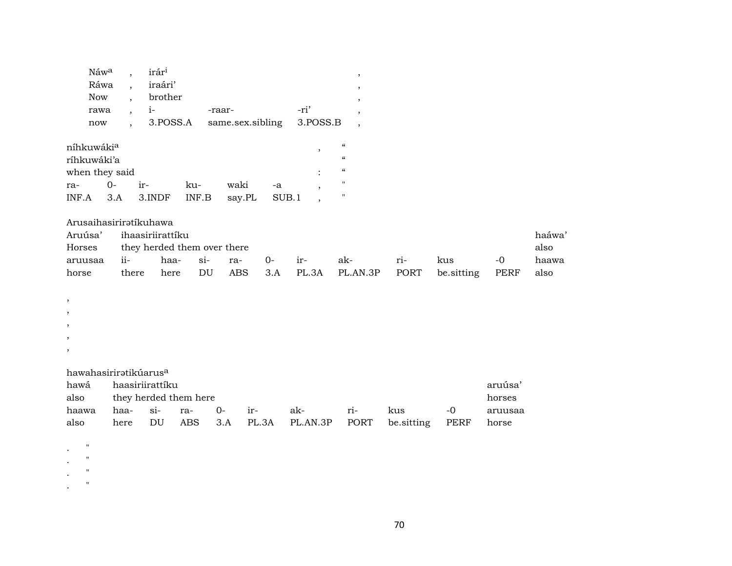| Náw <sup>a</sup> , |            | irár <sup>i</sup> |                                    |      |  |
|--------------------|------------|-------------------|------------------------------------|------|--|
| Ráwa ,             |            | iraári'           |                                    |      |  |
|                    |            | Now, brother      |                                    |      |  |
| rawa               | $\sim$ $1$ |                   | -raar-                             | -ri' |  |
| now                |            |                   | 3.POSS.A same.sex.sibling 3.POSS.B |      |  |
|                    |            |                   |                                    |      |  |

| níhkuwáki <sup>a</sup> |      |                        |     |              |    |  |
|------------------------|------|------------------------|-----|--------------|----|--|
| ríhkuwáki'a            |      |                        |     |              |    |  |
| when they said         |      |                        |     |              |    |  |
| ra-                    | . Q- | $ir-$                  | ku- | waki         | -a |  |
|                        |      | INF.A 3.A 3.INDF INF.B |     | say.PL SUB.1 |    |  |

Arusaihasiriratíkuhawa

|         | Aruúsa' ihaasiriirattíku      |                             |         |  |           |       |     |       |                                                |       |       |  |  |  |
|---------|-------------------------------|-----------------------------|---------|--|-----------|-------|-----|-------|------------------------------------------------|-------|-------|--|--|--|
| Horses  |                               | they herded them over there |         |  |           |       |     |       |                                                |       |       |  |  |  |
| aruusaa | $\overrightarrow{\textbf{i}}$ | haa-                        | si- ra- |  | <u>ດ-</u> | $ir-$ | ak- | $ri-$ | kus                                            | $-()$ | haawa |  |  |  |
| horse   | there                         | here                        |         |  |           |       |     |       | DU ABS 3.A PL.3A PL.AN.3P PORT be.sitting PERF |       | also  |  |  |  |

| hawahasirirətikuarus <sup>a</sup> |  |  |
|-----------------------------------|--|--|
|                                   |  |  |
|                                   |  |  |

| hawá  | haasiriirattíku       |  |  |          |  |     |       |                                            |      |         |  |
|-------|-----------------------|--|--|----------|--|-----|-------|--------------------------------------------|------|---------|--|
| also  | they herded them here |  |  |          |  |     |       |                                            |      |         |  |
| haawa | haa- si- ra-          |  |  | $O-$ ir- |  | ak- | $ri-$ | kus                                        | $-0$ | aruusaa |  |
| also  | here DU               |  |  |          |  |     |       | ABS 3.A PL.3A PL.AN.3P PORT besitting PERF |      | horse   |  |

 $\mathbf{.}$  "  $\mathbf{.}$  "

.  $"$  "

 $\mathbf{.}$  "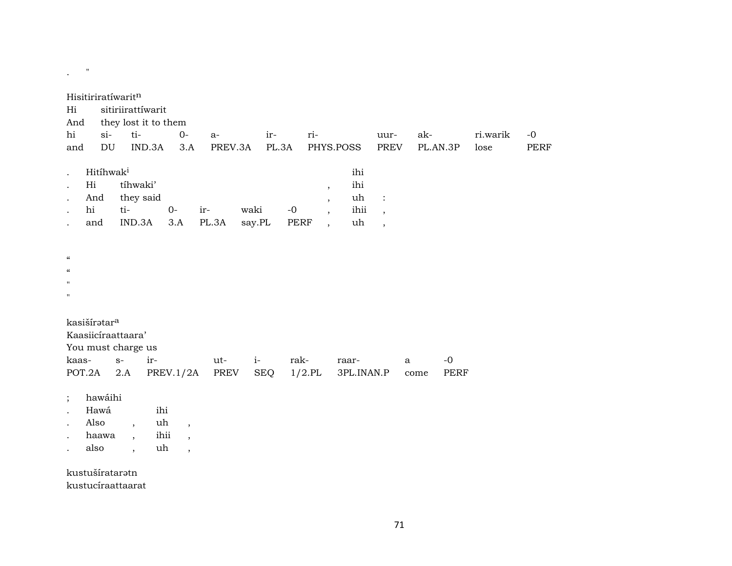| $\pmb{\mathsf{H}}$                                                                                     |                                                                                            |                                                                        |                |                                                                                                            |                                |                                                                        |                      |                     |                  |                     |
|--------------------------------------------------------------------------------------------------------|--------------------------------------------------------------------------------------------|------------------------------------------------------------------------|----------------|------------------------------------------------------------------------------------------------------------|--------------------------------|------------------------------------------------------------------------|----------------------|---------------------|------------------|---------------------|
| Hisitiriratíwaritn<br>Hi<br>And<br>$si$ -<br>hi<br>$\mathop{\rm DU}\nolimits$<br>and                   | sitiriirattíwarit<br>they lost it to them<br>ti-<br>IND.3A                                 | $0-$<br>$a-$<br>3.A<br>PREV.3A                                         | ir-<br>PL.3A   | ri-                                                                                                        | PHYS.POSS                      | uur-<br><b>PREV</b>                                                    | ak-                  | PL.AN.3P            | ri.warik<br>lose | $-0$<br><b>PERF</b> |
| Hitihwak <sup>i</sup><br>Hi<br>And<br>hi<br>ti-<br>and                                                 | tíhwaki'<br>they said<br>$0-$<br>IND.3A                                                    | ir-<br>PL.3A<br>3.A                                                    | waki<br>say.PL | $\, ,$<br>$\overline{\phantom{a}}$<br>$-0$<br>$\overline{\phantom{a}}$<br>PERF<br>$\overline{\phantom{a}}$ | ihi<br>ihi<br>uh<br>ihii<br>uh | $\ddot{\cdot}$<br>$\overline{\phantom{a}}$<br>$\overline{\phantom{a}}$ |                      |                     |                  |                     |
| $\mathcal{C}$<br>$\mathcal{C}$<br>$\mathbf{H}$<br>$\pmb{\mathsf{H}}$                                   |                                                                                            |                                                                        |                |                                                                                                            |                                |                                                                        |                      |                     |                  |                     |
| kasišíratar <sup>a</sup><br>Kaasiicíraattaara'<br>You must charge us<br>kaas-<br>$S-$<br>POT.2A<br>2.A | ir-<br>PREV.1/2A                                                                           | ut-<br>PREV                                                            | $i-$<br>SEQ    | rak-<br>$1/2$ .PL                                                                                          | raar-<br>3PL.INAN.P            |                                                                        | $\mathbf{a}$<br>come | $-0$<br><b>PERF</b> |                  |                     |
| hawáihi<br>$\vdots$<br>Hawá<br>Also<br>haawa<br>also                                                   | ihi<br>uh<br>$\cdot$<br>ihii<br>$\overline{\phantom{a}}$<br>uh<br>$\overline{\phantom{a}}$ | $\overline{\phantom{a}}$<br>$\overline{ }$<br>$\overline{\phantom{a}}$ |                |                                                                                                            |                                |                                                                        |                      |                     |                  |                     |

kustušírataratn

kustucíraattaarat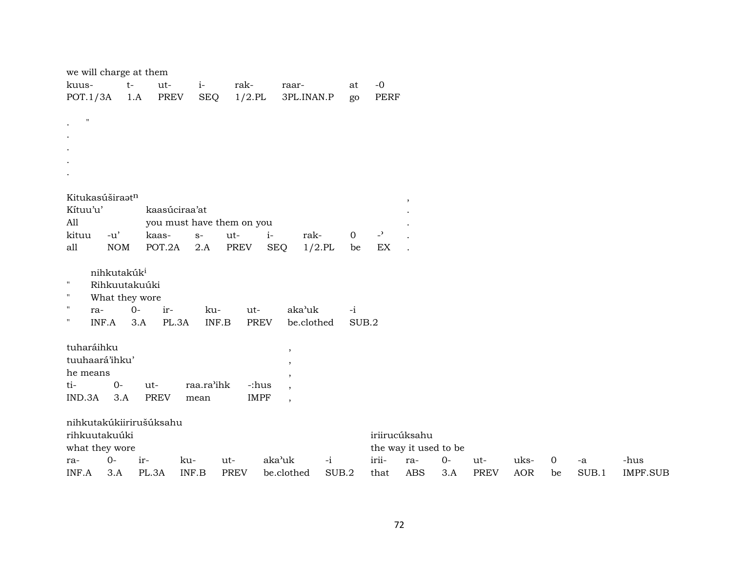| we will charge at them                 |                         |      |               |            |                           |                                         |           |       |                |                       |      |             |            |             |             |                 |
|----------------------------------------|-------------------------|------|---------------|------------|---------------------------|-----------------------------------------|-----------|-------|----------------|-----------------------|------|-------------|------------|-------------|-------------|-----------------|
| kuus-                                  |                         | $t-$ | ut-           | $i-$       | rak-                      | raar-                                   |           | at    | $-0$           |                       |      |             |            |             |             |                 |
| POT.1/3A                               |                         | 1.A  | <b>PREV</b>   | <b>SEQ</b> | $1/2$ .PL                 | 3PL.INAN.P                              |           | go    | <b>PERF</b>    |                       |      |             |            |             |             |                 |
| $\mathbf{H}$                           |                         |      |               |            |                           |                                         |           |       |                |                       |      |             |            |             |             |                 |
| $\bullet$                              |                         |      |               |            |                           |                                         |           |       |                |                       |      |             |            |             |             |                 |
| $\bullet$                              |                         |      |               |            |                           |                                         |           |       |                |                       |      |             |            |             |             |                 |
| $\blacksquare$<br>$\ddot{\phantom{a}}$ |                         |      |               |            |                           |                                         |           |       |                |                       |      |             |            |             |             |                 |
| $\ddot{\phantom{0}}$                   |                         |      |               |            |                           |                                         |           |       |                |                       |      |             |            |             |             |                 |
|                                        |                         |      |               |            |                           |                                         |           |       |                |                       |      |             |            |             |             |                 |
| Kitukasúširaatn                        |                         |      |               |            |                           |                                         |           |       |                |                       |      |             |            |             |             |                 |
| Kítuu'u'                               |                         |      | kaasúciraa'at |            |                           |                                         |           |       |                |                       |      |             |            |             |             |                 |
| All                                    |                         |      |               |            | you must have them on you |                                         |           |       |                |                       |      |             |            |             |             |                 |
| kituu                                  | $-u'$                   |      | kaas-         | $S-$       | ut-                       | rak-<br>$i-$                            |           | 0     | $\overline{a}$ |                       |      |             |            |             |             |                 |
| all                                    | <b>NOM</b>              |      | POT.2A        | 2.A        | <b>PREV</b>               | <b>SEQ</b>                              | $1/2$ .PL | be    | EX             |                       |      |             |            |             |             |                 |
|                                        | nihkutakúk <sup>i</sup> |      |               |            |                           |                                         |           |       |                |                       |      |             |            |             |             |                 |
| $\mathbf H$                            | Rihkuutakuúki           |      |               |            |                           |                                         |           |       |                |                       |      |             |            |             |             |                 |
| $\mathbf{H}$                           | What they wore          |      |               |            |                           |                                         |           |       |                |                       |      |             |            |             |             |                 |
| $\mathbf{H}$<br>ra-                    |                         | $0-$ | ir-           | ku-        | ut-                       | aka'uk                                  |           | $-i$  |                |                       |      |             |            |             |             |                 |
| $\mathbf{H}$                           | INF.A                   | 3.A  | PL.3A         | INF.B      |                           | <b>PREV</b><br>be.clothed               |           | SUB.2 |                |                       |      |             |            |             |             |                 |
|                                        |                         |      |               |            |                           |                                         |           |       |                |                       |      |             |            |             |             |                 |
| tuharáihku                             |                         |      |               |            |                           | $\cdot$                                 |           |       |                |                       |      |             |            |             |             |                 |
| tuuhaará'ihku'                         |                         |      |               |            |                           | $\cdot$                                 |           |       |                |                       |      |             |            |             |             |                 |
| he means                               |                         |      |               |            |                           | $\cdot$                                 |           |       |                |                       |      |             |            |             |             |                 |
| ti-                                    | $0-$                    |      | ut-           | raa.ra'ihk |                           | -:hus<br>$\overline{\phantom{a}}$       |           |       |                |                       |      |             |            |             |             |                 |
| IND.3A                                 | 3.A                     |      | <b>PREV</b>   | mean       |                           | <b>IMPF</b><br>$\overline{\phantom{a}}$ |           |       |                |                       |      |             |            |             |             |                 |
| nihkutakúkiirirušúksahu                |                         |      |               |            |                           |                                         |           |       |                |                       |      |             |            |             |             |                 |
| rihkuutakuúki                          |                         |      |               |            |                           |                                         |           |       | iriirucúksahu  |                       |      |             |            |             |             |                 |
| what they wore                         |                         |      |               |            |                           |                                         |           |       |                | the way it used to be |      |             |            |             |             |                 |
| ra-                                    | $0-$                    | ir-  |               | ku-        | ut-                       | aka'uk                                  | $-i$      |       | irii-          | ra-                   | $0-$ | ut-         | uks-       | $\mathbf 0$ | $\mbox{-a}$ | -hus            |
| INF.A                                  | 3.A                     |      | PL.3A         | INF.B      | <b>PREV</b>               | be.clothed                              | SUB.2     |       | that           | <b>ABS</b>            | 3.A  | <b>PREV</b> | <b>AOR</b> | be          | SUB.1       | <b>IMPF.SUB</b> |
|                                        |                         |      |               |            |                           |                                         |           |       |                |                       |      |             |            |             |             |                 |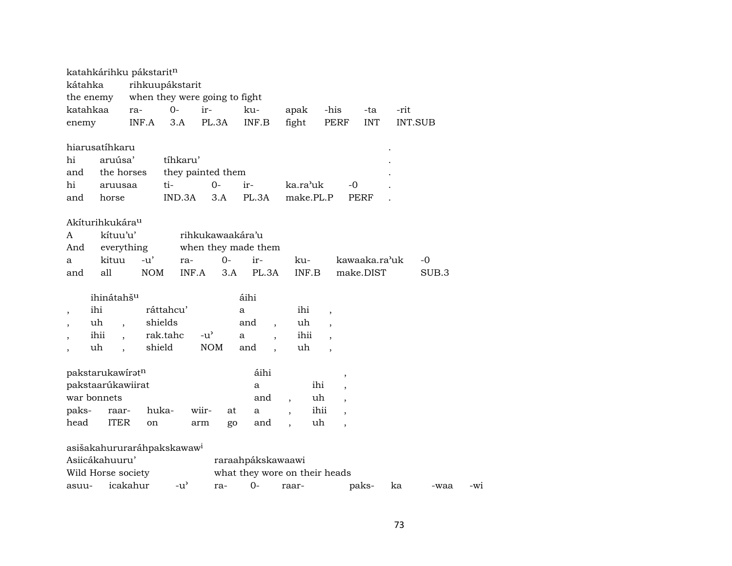|                                          |      |                                           | katahkárihku pákstarit <sup>n</sup> |                                        |                           |       |                                                    |                          |                       |                          |                     |               |      |         |       |
|------------------------------------------|------|-------------------------------------------|-------------------------------------|----------------------------------------|---------------------------|-------|----------------------------------------------------|--------------------------|-----------------------|--------------------------|---------------------|---------------|------|---------|-------|
| kátahka                                  |      |                                           |                                     | rihkuupákstarit                        |                           |       |                                                    |                          |                       |                          |                     |               |      |         |       |
| the enemy                                |      |                                           |                                     | when they were going to fight          |                           |       |                                                    |                          |                       |                          |                     |               |      |         |       |
| katahkaa                                 |      |                                           | ra-                                 | $0-$                                   | ir-                       |       | ku-                                                |                          | apak                  | -his                     |                     | -ta           | -rit |         |       |
| enemy                                    |      |                                           | INF.A                               | 3.A                                    | PL.3A                     |       | INF.B                                              | fight                    |                       | PERF                     |                     | <b>INT</b>    |      | INT.SUB |       |
| hiarusatíhkaru<br>hi<br>and<br>hi<br>and |      | aruúsa'<br>the horses<br>aruusaa<br>horse |                                     | tíhkaru'<br>ti-<br>IND.3A              | they painted them<br>$0-$ | 3.A   | ir-<br>PL.3A                                       |                          | ka.ra'uk<br>make.PL.P |                          | $-0$<br><b>PERF</b> |               |      |         |       |
| Akíturihkukára <sup>u</sup><br>A<br>And  |      | kítuu'u'<br>everything                    |                                     |                                        | rihkukawaakára'u          |       | when they made them                                |                          |                       |                          |                     |               |      |         |       |
| a                                        |      | kituu                                     | $-11'$                              | ra-                                    |                           | $O -$ | ir-                                                |                          | ku-                   |                          |                     | kawaaka.ra'uk |      | -0      |       |
| and                                      | all  |                                           | NOM                                 |                                        | INF.A                     | 3.A   | PL.3A                                              |                          | INF.B                 |                          |                     | make.DIST     |      | SUB.3   |       |
|                                          |      | ihinátahšu                                |                                     |                                        |                           |       | áihi                                               |                          |                       |                          |                     |               |      |         |       |
| $\overline{\phantom{a}}$                 | ihi  |                                           |                                     | ráttahcu'                              |                           |       | а                                                  |                          | ihi                   | $\overline{\phantom{a}}$ |                     |               |      |         |       |
|                                          | uh   | $\overline{\phantom{a}}$                  |                                     | shields                                |                           |       | and                                                |                          | uh                    | $\overline{\phantom{a}}$ |                     |               |      |         |       |
|                                          | ihii | $\overline{\phantom{a}}$                  |                                     | rak.tahc                               | $-u^{\prime}$             |       | a                                                  |                          | ihii                  |                          |                     |               |      |         |       |
| $\overline{ }$                           | uh   | $\ddot{\phantom{0}}$                      |                                     | shield                                 | <b>NOM</b>                |       | and                                                |                          | uh                    |                          |                     |               |      |         |       |
| pakstarukawiratn<br>pakstaarúkawiirat    |      |                                           |                                     |                                        |                           |       | áihi<br>a                                          |                          | ihi                   |                          | $\, ,$              |               |      |         |       |
| war bonnets                              |      |                                           |                                     |                                        |                           |       | and                                                | $\overline{\phantom{a}}$ | uh                    |                          |                     |               |      |         |       |
| paks-                                    |      | raar-                                     |                                     | huka-                                  | wiir-                     | at    | a                                                  | $\overline{\phantom{a}}$ | ihii                  |                          |                     |               |      |         |       |
| head                                     |      | <b>ITER</b>                               | on                                  |                                        | arm                       | go    | and                                                |                          | uh                    |                          |                     |               |      |         |       |
| Asiicákahuuru'<br>Wild Horse society     |      |                                           |                                     | asišakahururaráhpakskawaw <sup>i</sup> |                           |       | raraahpákskawaawi<br>what they wore on their heads |                          |                       |                          |                     |               |      |         |       |
| asuu-                                    |      | icakahur                                  |                                     | $-u^{\prime}$                          |                           | ra-   | $0-$                                               | raar-                    |                       |                          |                     | paks-         | ka   | -waa    | $-W1$ |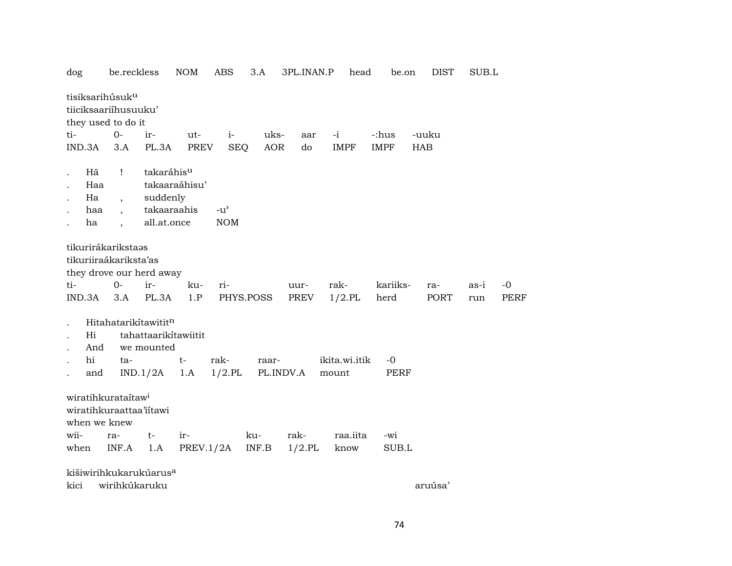| dog                                                                       | be.reckless              |                                                            | NOM           | ABS           | 3.A        | 3PL.INAN.P | head          | be.on       | DIST       | SUB.L |      |
|---------------------------------------------------------------------------|--------------------------|------------------------------------------------------------|---------------|---------------|------------|------------|---------------|-------------|------------|-------|------|
| tisiksarihúsuk <sup>u</sup><br>tiiciksaariíhusuuku'<br>they used to do it |                          |                                                            |               |               |            |            |               |             |            |       |      |
| ti-                                                                       | $O -$                    | ir-                                                        | ut-           | $i-$          | uks-       | aar        | $-i$          | -:hus       | -uuku      |       |      |
| IND.3A                                                                    | 3.A                      | PL.3A                                                      | <b>PREV</b>   | <b>SEQ</b>    | <b>AOR</b> | do         | <b>IMPF</b>   | <b>IMPF</b> | <b>HAB</b> |       |      |
|                                                                           |                          |                                                            |               |               |            |            |               |             |            |       |      |
| Hã                                                                        | $\mathbf{I}$             | takaráhisu                                                 |               |               |            |            |               |             |            |       |      |
| Haa                                                                       |                          |                                                            | takaaraáhisu' |               |            |            |               |             |            |       |      |
| Ha                                                                        | $\overline{\phantom{a}}$ | suddenly                                                   |               |               |            |            |               |             |            |       |      |
| haa                                                                       |                          | takaaraahis                                                |               | $-u^{\prime}$ |            |            |               |             |            |       |      |
| ha                                                                        |                          | all.at.once                                                |               | <b>NOM</b>    |            |            |               |             |            |       |      |
|                                                                           |                          |                                                            |               |               |            |            |               |             |            |       |      |
| tikurirákarikstaəs<br>tikuriiraákariksta'as<br>they drove our herd away   |                          |                                                            |               |               |            |            |               |             |            |       |      |
| ti-                                                                       | $0-$                     | ir-                                                        | ku-           | ri-           |            | uur-       | rak-          | kariiks-    | ra-        | as-i  | $-0$ |
| IND.3A                                                                    | 3.A                      | PL.3A                                                      | 1.P           |               | PHYS.POSS  | PREV       | $1/2$ .PL     | herd        | PORT       | run   | PERF |
|                                                                           |                          |                                                            |               |               |            |            |               |             |            |       |      |
| Hi<br>And                                                                 |                          | Hitahatarikítawititn<br>tahattaarikitawiitit<br>we mounted |               |               |            |            |               |             |            |       |      |
| hi                                                                        | ta-                      |                                                            | $t-$          | rak-          | raar-      |            | ikita.wi.itik | $-0$        |            |       |      |
| and                                                                       |                          | IND.1/2A                                                   | 1.A           | $1/2$ .PL     |            | PL.INDV.A  | mount         | <b>PERF</b> |            |       |      |
| wiratihkurataítaw <sup>i</sup><br>wiratihkuraattaa'iitawi<br>when we knew |                          |                                                            |               |               |            |            |               |             |            |       |      |
| wii-                                                                      | ra-                      | $t-$                                                       | ir-           |               | ku-        | rak-       | raa.iita      | -wi         |            |       |      |
| when                                                                      | INF.A                    | 1.A                                                        | PREV.1/2A     |               | INF.B      | $1/2$ .PL  | know          | SUB.L       |            |       |      |
|                                                                           |                          |                                                            |               |               |            |            |               |             |            |       |      |
| kišiwirihkukarukúarus <sup>a</sup>                                        |                          |                                                            |               |               |            |            |               |             |            |       |      |
| kici                                                                      | wirihkúkaruku            |                                                            |               |               |            |            |               |             | aruúsa'    |       |      |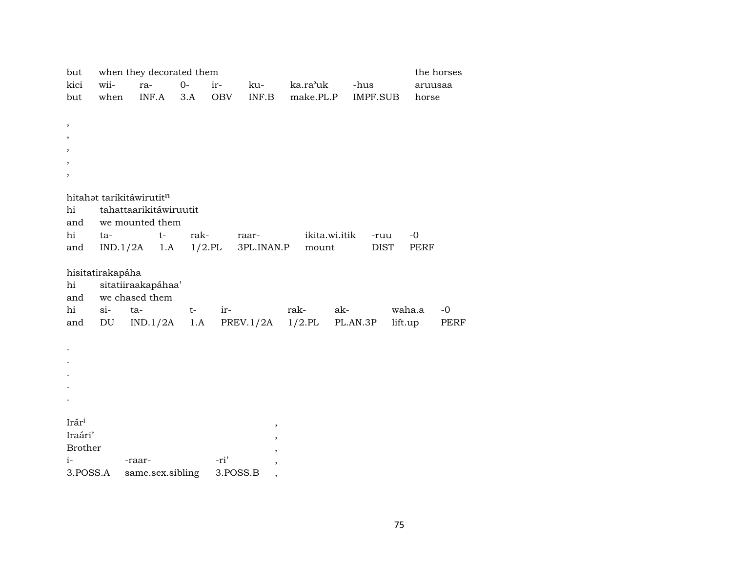| but            |                  | when they decorated them             |      |           |            |           |               |             |         | the horses  |
|----------------|------------------|--------------------------------------|------|-----------|------------|-----------|---------------|-------------|---------|-------------|
| kici           | wii-             | ra-                                  | $0-$ | ir-       | ku-        | ka.ra'uk  | -hus          |             | aruusaa |             |
| but            | when             | INF.A                                | 3.A  | OBV       | INF.B      | make.PL.P |               | IMPF.SUB    | horse   |             |
|                |                  |                                      |      |           |            |           |               |             |         |             |
| $\, ,$         |                  |                                      |      |           |            |           |               |             |         |             |
| ,              |                  |                                      |      |           |            |           |               |             |         |             |
|                |                  |                                      |      |           |            |           |               |             |         |             |
|                |                  |                                      |      |           |            |           |               |             |         |             |
|                |                  |                                      |      |           |            |           |               |             |         |             |
|                |                  |                                      |      |           |            |           |               |             |         |             |
|                |                  | hitahat tarikitáwirutitn             |      |           |            |           |               |             |         |             |
| hi             |                  | tahattaarikitáwiruutit               |      |           |            |           |               |             |         |             |
| and            |                  | we mounted them                      |      |           |            |           |               |             |         |             |
| hi             | ta-              | $t-$                                 | rak- |           | raar-      |           | ikita.wi.itik | -ruu        | $-0$    |             |
| and            |                  | $IND.1/2A$ 1.A                       |      | $1/2$ .PL | 3PL.INAN.P | mount     |               | <b>DIST</b> | PERF    |             |
|                |                  |                                      |      |           |            |           |               |             |         |             |
| hi             | hisitatirakapáha |                                      |      |           |            |           |               |             |         |             |
| and            |                  | sitatiiraakapáhaa'<br>we chased them |      |           |            |           |               |             |         |             |
| hi             | $si-$            | ta-                                  | $t-$ | ir-       |            | rak-      | ak-           |             | waha.a  | $-0$        |
| and            | DU               | IND.1/2A                             | 1.A  |           | PREV.1/2A  | $1/2$ .PL | PL.AN.3P      |             | lift.up | <b>PERF</b> |
|                |                  |                                      |      |           |            |           |               |             |         |             |
|                |                  |                                      |      |           |            |           |               |             |         |             |
|                |                  |                                      |      |           |            |           |               |             |         |             |
|                |                  |                                      |      |           |            |           |               |             |         |             |
|                |                  |                                      |      |           |            |           |               |             |         |             |
|                |                  |                                      |      |           |            |           |               |             |         |             |
|                |                  |                                      |      |           |            |           |               |             |         |             |
| Irári          |                  |                                      |      |           | $\,$       |           |               |             |         |             |
| Iraári'        |                  |                                      |      |           |            |           |               |             |         |             |
| <b>Brother</b> |                  |                                      |      |           |            |           |               |             |         |             |
| $i-$           |                  | -raar-                               |      | -ri'      |            |           |               |             |         |             |
| 3.POSS.A       |                  | same.sex.sibling                     |      | 3.POSS.B  |            |           |               |             |         |             |
|                |                  |                                      |      |           |            |           |               |             |         |             |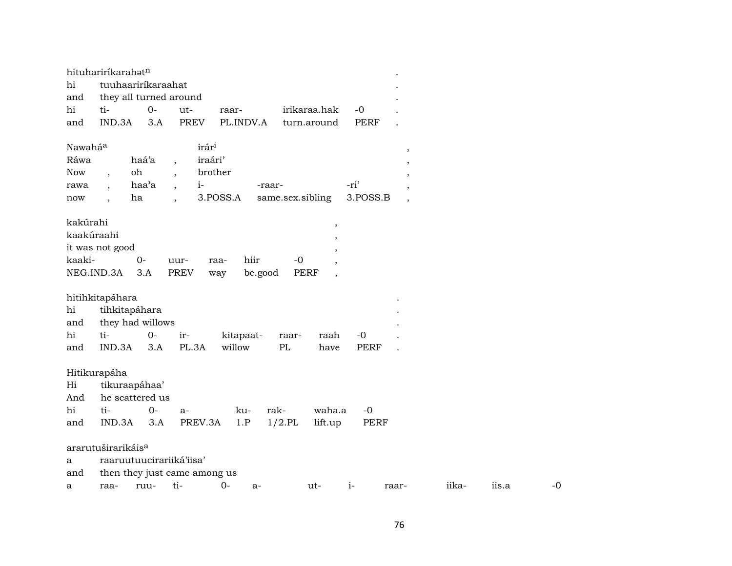|            | hituhariríkarahatn             |       |                                  |                |                  |                                  |             |                          |       |       |      |
|------------|--------------------------------|-------|----------------------------------|----------------|------------------|----------------------------------|-------------|--------------------------|-------|-------|------|
| hi         | tuuhaariríkaraahat             |       |                                  |                |                  |                                  |             |                          |       |       |      |
| and        | they all turned around         |       |                                  |                |                  |                                  |             |                          |       |       |      |
| hi         | ti-                            | $O -$ | ut-                              | raar-          |                  | irikaraa.hak                     | $-0$        |                          |       |       |      |
| and        | IND.3A                         | 3.A   | <b>PREV</b>                      | PL.INDV.A      |                  | turn.around                      | <b>PERF</b> |                          |       |       |      |
|            |                                |       |                                  |                |                  |                                  |             |                          |       |       |      |
| Nawaháa    |                                |       | irár <sup>i</sup>                |                |                  |                                  |             | $\,$                     |       |       |      |
| Ráwa       |                                | haá'a | $\ddot{\phantom{0}}$             | iraári'        |                  |                                  |             | $\overline{\phantom{a}}$ |       |       |      |
| Now        | oh<br>$\overline{\phantom{a}}$ |       |                                  | brother        |                  |                                  |             |                          |       |       |      |
| rawa       | $\overline{\phantom{a}}$       | haa'a | $i-$<br>$\overline{\phantom{a}}$ |                | -raar-           |                                  | -ri'        | $\overline{\phantom{a}}$ |       |       |      |
| now        | ha                             |       |                                  | 3.POSS.A       | same.sex.sibling |                                  | 3.POSS.B    | $\overline{\phantom{a}}$ |       |       |      |
|            |                                |       |                                  |                |                  |                                  |             |                          |       |       |      |
| kakúrahi   |                                |       |                                  |                |                  | $\overline{\phantom{a}}$         |             |                          |       |       |      |
| kaakúraahi |                                |       |                                  |                |                  | ,                                |             |                          |       |       |      |
|            | it was not good                |       |                                  |                |                  |                                  |             |                          |       |       |      |
| kaaki-     |                                | $O -$ | uur-                             | hiir<br>raa-   | $-0$             | $\overline{\phantom{a}}$         |             |                          |       |       |      |
|            | NEG.IND.3A                     | 3.A   | <b>PREV</b>                      | be.good<br>way |                  | PERF<br>$\overline{\phantom{a}}$ |             |                          |       |       |      |
|            |                                |       |                                  |                |                  |                                  |             |                          |       |       |      |
|            | hitihkitapáhara                |       |                                  |                |                  |                                  |             |                          |       |       |      |
| hi         | tihkitapáhara                  |       |                                  |                |                  |                                  |             |                          |       |       |      |
| and        | they had willows               |       |                                  |                |                  |                                  |             |                          |       |       |      |
| hi         | ti-                            | $0-$  | ir-                              | kitapaat-      | raar-            | raah                             | $-0$        |                          |       |       |      |
| and        | IND.3A                         | 3.A   | PL.3A                            | willow         | PL               | have                             | <b>PERF</b> |                          |       |       |      |
|            |                                |       |                                  |                |                  |                                  |             |                          |       |       |      |
|            | Hitikurapáha                   |       |                                  |                |                  |                                  |             |                          |       |       |      |
| Hi         | tikuraapáhaa'                  |       |                                  |                |                  |                                  |             |                          |       |       |      |
| And        | he scattered us                |       |                                  |                |                  |                                  |             |                          |       |       |      |
| hi         | ti-                            | $0-$  | a-                               | ku-            | rak-             | waha.a                           | $-0$        |                          |       |       |      |
| and        | IND.3A                         | 3.A   | PREV.3A                          | 1.P            | $1/2$ .PL        | lift.up                          | <b>PERF</b> |                          |       |       |      |
|            |                                |       |                                  |                |                  |                                  |             |                          |       |       |      |
|            | ararutuširarikáis <sup>a</sup> |       |                                  |                |                  |                                  |             |                          |       |       |      |
| a          |                                |       | raaruutuucirariiká'iisa'         |                |                  |                                  |             |                          |       |       |      |
| and        |                                |       | then they just came among us     |                |                  |                                  |             |                          |       |       |      |
| a          | raa-                           | ruu-  | ti-                              | $O -$<br>$a-$  |                  | ut-                              | $i-$        | raar-                    | iika- | iis.a | $-0$ |
|            |                                |       |                                  |                |                  |                                  |             |                          |       |       |      |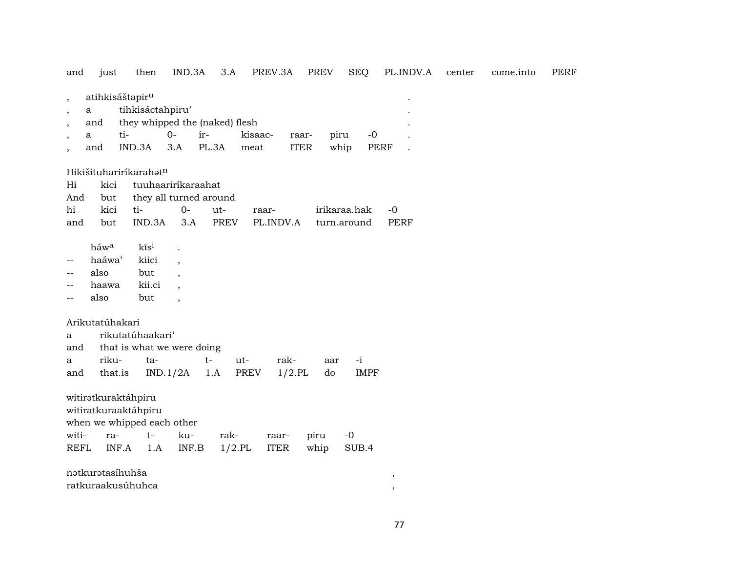and just then IND.3A 3.A PREV.3A PREV SEQ PL.INDV.A center come.into PERF , atihkisáštapir<sup>u</sup> a tihkisáctahpiru' and they whipped the (naked) flesh , a ti- 0- ir- kisaac- raar- piru -0 . , and IND.3A 3.A PL.3A meat ITER whip PERF . Hikišituharirí $k$ arah $\mathfrak{t}^n$ Hi kici tuuhaariríkaraahat And but they all turned around hi kici ti- 0- ut- raar- irikaraa.hak -0 and but IND.3A 3.A PREV PL.INDV.A turn.around PERF  $h$ áw<sup>a</sup> kĩs<sup>i</sup> . -- haáwa' kiici , -- also but , -- haawa kii.ci , -- also but , Arikutatúhakari a rikutatúhaakari' and that is what we were doing a riku- ta- t- ut- rak- aar -i and that.is IND.1/2A 1.A PREV 1/2.PL do IMPF witiratkuraktáhpiru witiratkuraaktáhpiru when we whipped each other witi- ra- t- ku- rak- raar- piru -0 REFL INF.A 1.A INF.B 1/2.PL ITER whip SUB.4 nŸtkurŸtasíhuhša ,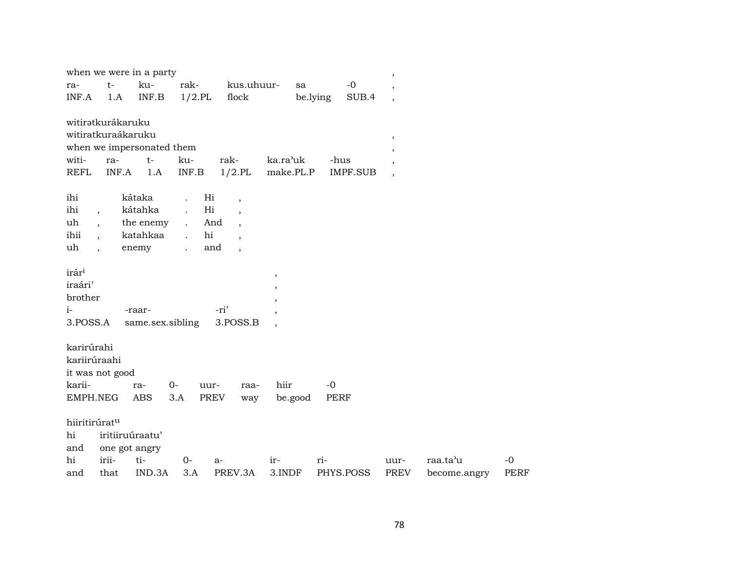|                                                                                                                                                     |                                                   | when we were in a party                                                                |                                                             |                                                                                                    |                                                            |                           | $\, ,$                                                                        |                          |                     |
|-----------------------------------------------------------------------------------------------------------------------------------------------------|---------------------------------------------------|----------------------------------------------------------------------------------------|-------------------------------------------------------------|----------------------------------------------------------------------------------------------------|------------------------------------------------------------|---------------------------|-------------------------------------------------------------------------------|--------------------------|---------------------|
| ra-<br>INF.A                                                                                                                                        | $t-$<br>1.A                                       | ku-<br>INF.B                                                                           | rak-<br>$1/2$ .PL                                           | kus.uhuur-<br>flock                                                                                | sa                                                         | $-0$<br>be.lying<br>SUB.4 | $\overline{\phantom{a}}$<br>$\overline{\phantom{a}}$                          |                          |                     |
| witiratkurákaruku<br>witiratkuraákaruku<br>witi-<br><b>REFL</b><br>ihi<br>ihi<br>$\overline{\phantom{a}}$<br>uh<br>$\overline{\phantom{a}}$<br>ihii | ra-<br>INF.A                                      | when we impersonated them<br>$t-$<br>1.A<br>kátaka<br>kátahka<br>the enemy<br>katahkaa | ku-<br>INF.B<br>$\mathcal{L}^{\pm}$<br>$\ddot{\phantom{a}}$ | rak-<br>$1/2$ .PL<br>Hi<br>$\overline{\phantom{a}}$<br>Hi<br>And<br>$\overline{\phantom{a}}$<br>hi | ka.ra'uk<br>make.PL.P                                      | -hus<br><b>IMPF.SUB</b>   | $^\mathrm{,}$<br>$\overline{ }$<br>$\overline{\phantom{a}}$<br>$\overline{ }$ |                          |                     |
| $\overline{ }$ ,<br>uh<br>$\ddot{\phantom{1}}$                                                                                                      |                                                   | enemy                                                                                  | $\ddot{\phantom{a}}$                                        | $\overline{\phantom{a}}$<br>and<br>$\cdot$                                                         |                                                            |                           |                                                                               |                          |                     |
| irár <sup>i</sup><br>iraári'<br>brother<br>$i-$<br>3.POSS.A                                                                                         |                                                   | -raar-<br>same.sex.sibling                                                             |                                                             | -ri'<br>3.POSS.B                                                                                   | $\, ,$<br>,<br>$\overline{ }$<br>$\overline{ }$<br>$\cdot$ |                           |                                                                               |                          |                     |
| karirúrahi<br>kariirúraahi<br>it was not good<br>karii-<br>EMPH.NEG                                                                                 |                                                   | ra-<br><b>ABS</b>                                                                      | $0-$<br>3.A                                                 | uur-<br>raa-<br>PREV<br>way                                                                        | hiir<br>be.good                                            | $-0$<br><b>PERF</b>       |                                                                               |                          |                     |
| hiiritirúratu<br>hi<br>and<br>hi<br>and                                                                                                             | iritiiruúraatu'<br>one got angry<br>irii-<br>that | ti-<br>IND.3A                                                                          | $0-$<br>3.A                                                 | $a-$<br>PREV.3A                                                                                    | ir-<br>3.INDF                                              | ri-<br>PHYS.POSS          | uur-<br><b>PREV</b>                                                           | raa.ta'u<br>become.angry | $-0$<br><b>PERF</b> |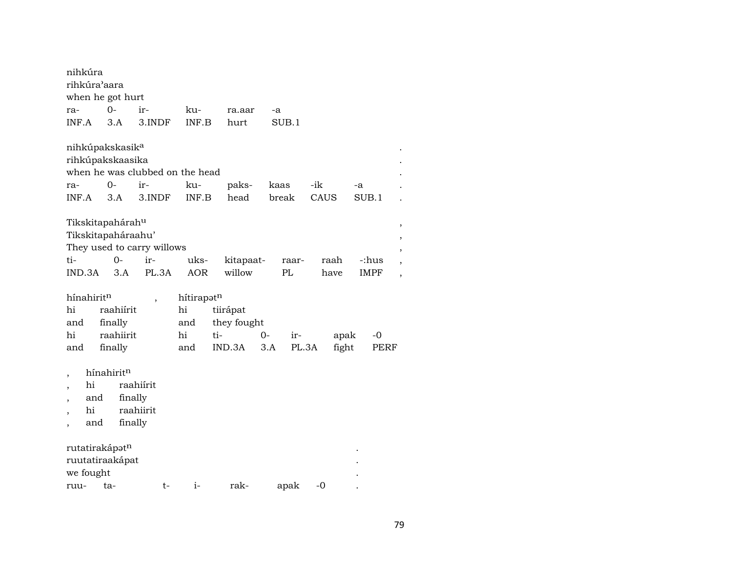| nihkúra                     |     |            |           |                                 |            |     |             |    |       |       |      |       |    |             |  |
|-----------------------------|-----|------------|-----------|---------------------------------|------------|-----|-------------|----|-------|-------|------|-------|----|-------------|--|
| rihkúra'aara                |     |            |           |                                 |            |     |             |    |       |       |      |       |    |             |  |
| when he got hurt            |     |            |           |                                 |            |     |             |    |       |       |      |       |    |             |  |
| ra-                         |     | 0-         |           | ir-                             | ku-        |     | ra.aar      |    | -a    |       |      |       |    |             |  |
| INF.A                       |     | 3.A        |           | 3.INDF                          | INF.B      |     | hurt        |    | SUB.1 |       |      |       |    |             |  |
| nihkúpakskasik <sup>a</sup> |     |            |           |                                 |            |     |             |    |       |       |      |       |    |             |  |
| rihkúpakskaasika            |     |            |           |                                 |            |     |             |    |       |       |      |       |    |             |  |
|                             |     |            |           | when he was clubbed on the head |            |     |             |    |       |       |      |       |    |             |  |
| ra-                         |     | 0-         |           | ir-                             | ku-        |     | paks-       |    | kaas  |       | -ik  |       | -a |             |  |
| INF.A                       |     | 3.A        |           | 3.INDF                          | INF.B      |     | head        |    | break |       | CAUS |       |    | SUB.1       |  |
|                             |     |            |           |                                 |            |     |             |    |       |       |      |       |    |             |  |
| Tikskitapahárahu            |     |            |           |                                 |            |     |             |    |       |       |      |       |    |             |  |
| Tikskitapaháraahu'          |     |            |           |                                 |            |     |             |    |       |       |      |       |    |             |  |
|                             |     |            |           | They used to carry willows      |            |     |             |    |       |       |      |       |    |             |  |
| ti-                         |     |            | 0-        | ir-                             | uks-       |     | kitapaat-   |    |       | raar- |      | raah  |    | -:hus       |  |
| IND.3A                      |     |            | 3.A       | PL.3A                           | <b>AOR</b> |     | willow      |    | PL    |       |      | have  |    | <b>IMPF</b> |  |
|                             |     |            |           |                                 |            |     |             |    |       |       |      |       |    |             |  |
| hínahiritn                  |     |            |           | $\, ,$                          | hítirapatn |     |             |    |       |       |      |       |    |             |  |
| hi                          |     |            | raahiírit |                                 | hi         |     | tiirápat    |    |       |       |      |       |    |             |  |
| and                         |     | finally    |           |                                 | and        |     | they fought |    |       |       |      |       |    |             |  |
| hi                          |     |            | raahiirit |                                 | hi         | ti- |             | 0- |       | ir-   |      | apak  |    | -0          |  |
| and                         |     | finally    |           |                                 | and        |     | IND.3A      |    | 3.A   | PL.3A |      | fight |    | PERF        |  |
|                             |     |            |           |                                 |            |     |             |    |       |       |      |       |    |             |  |
| $\overline{\phantom{a}}$    |     | hínahiritn |           |                                 |            |     |             |    |       |       |      |       |    |             |  |
|                             | hi  |            |           | raahiírit                       |            |     |             |    |       |       |      |       |    |             |  |
|                             | and |            | finally   |                                 |            |     |             |    |       |       |      |       |    |             |  |
|                             | hi  |            |           | raahiirit                       |            |     |             |    |       |       |      |       |    |             |  |
|                             | and |            | finally   |                                 |            |     |             |    |       |       |      |       |    |             |  |
| rutatirakápatn              |     |            |           |                                 |            |     |             |    |       |       |      |       |    |             |  |
| ruutatiraakápat             |     |            |           |                                 |            |     |             |    |       |       |      |       |    |             |  |
| we fought                   |     |            |           |                                 |            |     |             |    |       |       |      |       |    |             |  |
| ruu-                        |     | ta-        |           | t-                              | $i-$       |     | rak-        |    | apak  |       | -0   |       |    |             |  |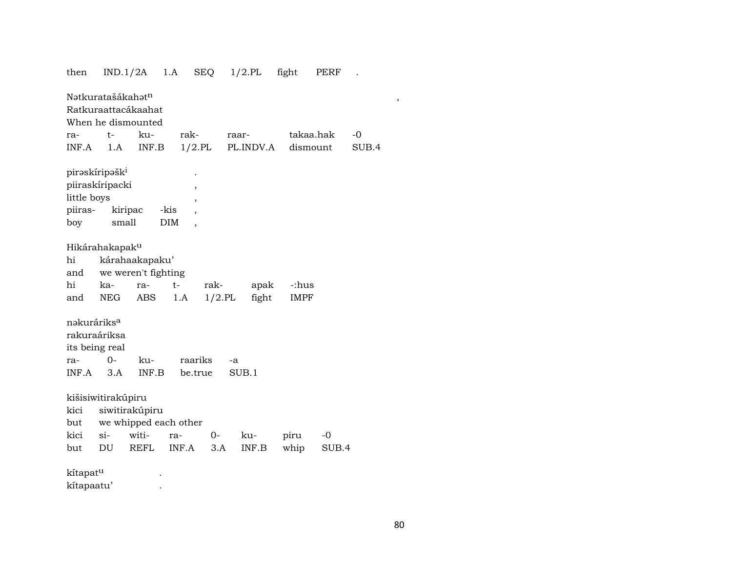# then IND.1/2A 1.A SEQ 1/2.PL fight PERF . NŸtkuratašákahŸt¶ , Ratkuraattacákaahat When he dismounted ra- t- ku- rak- raar- takaa.hak -0 INF.A 1.A INF.B 1/2.PL PL.INDV.A dismount SUB.4 pirəskíripəšk<sup>i</sup> piiraskíripacki , little boys , piiras- kiripac -kis , boy small DIM , Hikárahakapakµ hi kárahaakapaku' and we weren't fighting hi ka- ra- t- rak- apak -:hus and NEG ABS 1.A 1/2.PL fight IMPF nakuráriks<sup>a</sup> rakuraáriksa its being real ra- 0- ku- raariks -a INF.A 3.A INF.B be.true SUB.1 kišisiwitirakúpiru kici siwitirakúpiru but we whipped each other kici si- witi- ra- 0- ku- piru -0 but DU REFL INF.A 3.A INF.B whip SUB.4 kítapat<sup>u</sup> . kítapaatu' .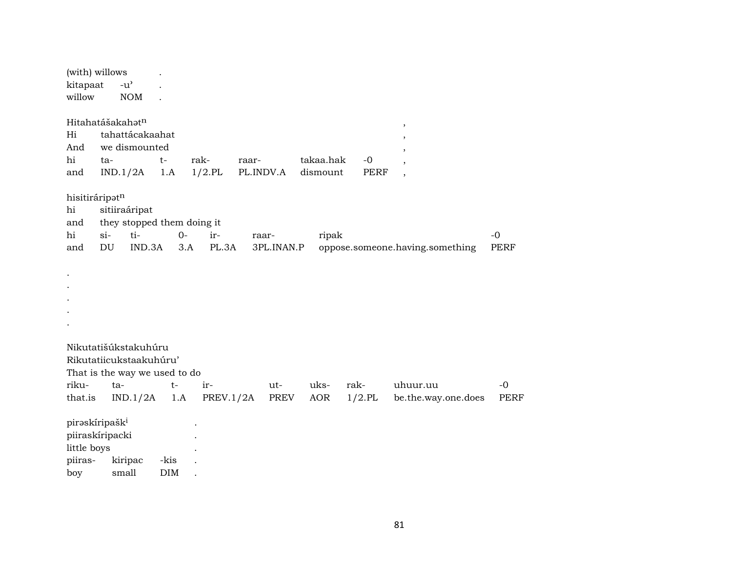| (with) willows<br>kitapaat<br>willow                                           |                                      | $-u$ <sup><math>\prime</math></sup><br><b>NOM</b>                                                   |                    |                     |                    |             |                       |                     |                                                                              |                     |
|--------------------------------------------------------------------------------|--------------------------------------|-----------------------------------------------------------------------------------------------------|--------------------|---------------------|--------------------|-------------|-----------------------|---------------------|------------------------------------------------------------------------------|---------------------|
| Hi<br>And<br>hi<br>and                                                         | ta-                                  | Hitahatášakahat <sup>n</sup><br>tahattácakaahat<br>we dismounted<br>IND.1/2A                        | $t-$<br>1.A        | rak-<br>$1/2$ .PL   | raar-<br>PL.INDV.A |             | takaa.hak<br>dismount | $-0$<br><b>PERF</b> | $\,$<br>,<br>$\cdot$<br>$\overline{\phantom{a}}$<br>$\overline{\phantom{a}}$ |                     |
| hisitiráripatn<br>hi<br>and<br>hi<br>and                                       | $si$ -<br>$\mathop{\rm DU}\nolimits$ | sitiiraáripat<br>they stopped them doing it<br>ti-<br>IND.3A                                        | $O -$              | ir-<br>PL.3A<br>3.A | raar-              | 3PL.INAN.P  | ripak                 |                     | oppose.someone.having.something                                              | $-0$<br><b>PERF</b> |
|                                                                                |                                      |                                                                                                     |                    |                     |                    |             |                       |                     |                                                                              |                     |
| riku-<br>that.is                                                               |                                      | Nikutatišúkstakuhúru<br>Rikutatiicukstaakuhúru'<br>That is the way we used to do<br>ta-<br>IND.1/2A | $t-$<br>1.A        | ir-<br>PREV.1/2A    |                    | ut-<br>PREV | uks-<br>AOR           | rak-<br>$1/2$ .PL   | uhuur.uu<br>be.the.way.one.does                                              | $-0$<br><b>PERF</b> |
| piraskíripašk <sup>i</sup><br>piiraskíripacki<br>little boys<br>piiras-<br>boy |                                      | kiripac<br>small                                                                                    | -kis<br><b>DIM</b> |                     |                    |             |                       |                     |                                                                              |                     |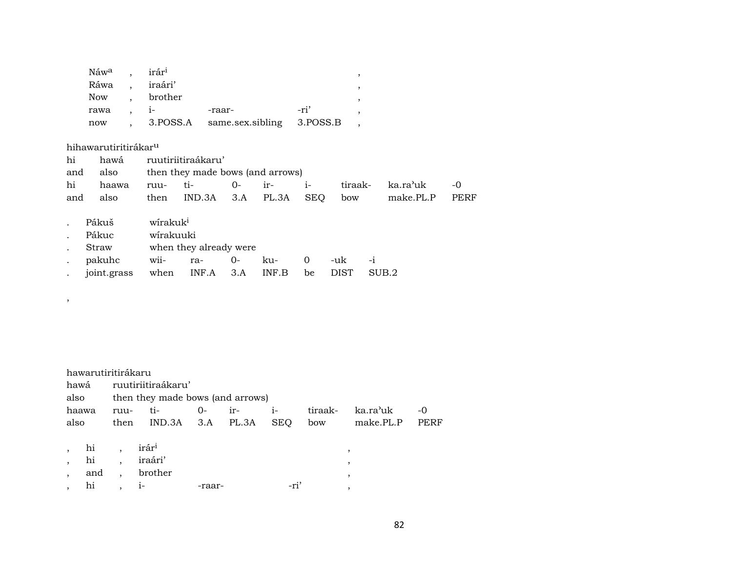| Náw <sup>a</sup> , | irár <sup>i</sup> |                                      |      |  |
|--------------------|-------------------|--------------------------------------|------|--|
|                    | Ráwa , iraári'    |                                      |      |  |
| Now.               | brother           |                                      |      |  |
| rawa               | $\sim$ 1-         | -raar-                               | -ri' |  |
| now                |                   | 3. POSS.A same.sex.sibling 3. POSS.B |      |  |

## hihawarutiritirákarµ

| hi  | hawá        |                      | ruutiriitiraákaru'               |      |       |            |             |       |           |             |
|-----|-------------|----------------------|----------------------------------|------|-------|------------|-------------|-------|-----------|-------------|
| and | also        |                      | then they made bows (and arrows) |      |       |            |             |       |           |             |
| hi  | haawa       | ruu-                 | ti-                              | $0-$ | ir-   | $i-$       | tiraak-     |       | ka.ra'uk  | -0          |
| and | also        | then                 | IND.3A                           | 3.A  | PL.3A | <b>SEQ</b> | bow         |       | make.PL.P | <b>PERF</b> |
|     |             |                      |                                  |      |       |            |             |       |           |             |
|     | Pákuš       | wirakuk <sup>i</sup> |                                  |      |       |            |             |       |           |             |
|     | Pákuc       | wirakuuki            |                                  |      |       |            |             |       |           |             |
|     | Straw       |                      | when they already were           |      |       |            |             |       |           |             |
|     | pakuhc      | wii-                 | ra-                              | 0-   | ku-   | 0          | -uk         | $-i$  |           |             |
|     | joint.grass | when                 | INF.A                            | 3.A  | INF.B | be         | <b>DIST</b> | SUB.2 |           |             |
|     |             |                      |                                  |      |       |            |             |       |           |             |

#### ,

|         |     | hawarutiritirákaru |                                  |        |       |            |         |           |      |
|---------|-----|--------------------|----------------------------------|--------|-------|------------|---------|-----------|------|
| hawá    |     |                    | ruutiriitiraákaru'               |        |       |            |         |           |      |
| also    |     |                    | then they made bows (and arrows) |        |       |            |         |           |      |
| haawa   |     | ruu-               | ti-                              | $O -$  | $ir-$ | $i-$       | tiraak- | ka.ra'uk  | -0   |
| also    |     | then               | $IND.3A$ $3.A$ $PL.3A$           |        |       | <b>SEQ</b> | bow     | make.PL.P | PERF |
|         |     |                    |                                  |        |       |            |         |           |      |
|         | hi  |                    | irár <sup>i</sup>                |        |       |            |         |           |      |
|         | hi  |                    | iraári'                          |        |       |            |         | ٠         |      |
| $\cdot$ | and |                    | brother                          |        |       |            |         | ٠         |      |
|         | hi  |                    | $1-$                             | -raar- |       | -ri'       |         |           |      |
|         |     |                    |                                  |        |       |            |         |           |      |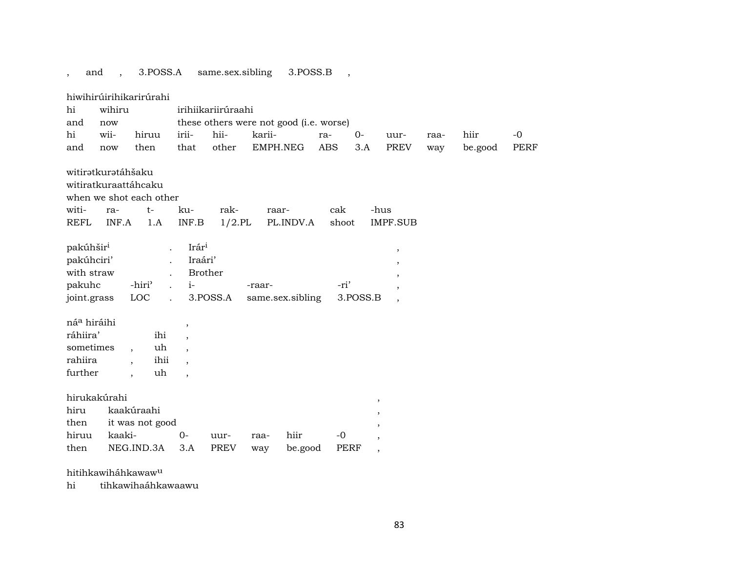, and , 3.POSS.A same.sex.sibling 3.POSS.B ,

|                                                                            |                                    | hiwihirúirihikarirúrahi                                        |                                                        |                    |          |                                         |              |                          |                                                                                |      |         |      |
|----------------------------------------------------------------------------|------------------------------------|----------------------------------------------------------------|--------------------------------------------------------|--------------------|----------|-----------------------------------------|--------------|--------------------------|--------------------------------------------------------------------------------|------|---------|------|
| hi                                                                         | wihiru                             |                                                                |                                                        | irihiikariirúraahi |          |                                         |              |                          |                                                                                |      |         |      |
| and                                                                        | now                                |                                                                |                                                        |                    |          | these others were not good (i.e. worse) |              |                          |                                                                                |      |         |      |
| hi                                                                         | wii-                               | hiruu                                                          | irii-                                                  | hii-               | karii-   |                                         | ra-          | $0-$                     | uur-                                                                           | raa- | hiir    | $-0$ |
| and                                                                        | now                                | then                                                           | that                                                   | other              | EMPH.NEG |                                         | <b>ABS</b>   | 3.A                      | PREV                                                                           | way  | be.good | PERF |
| witi-<br><b>REFL</b>                                                       | witiratkuratáhšaku<br>ra-<br>INF.A | witiratkuraattáhcaku<br>when we shot each other<br>$t-$<br>1.A | ku-<br>INF.B                                           | rak-<br>$1/2$ .PL  | raar-    | PL.INDV.A                               | cak<br>shoot |                          | -hus<br><b>IMPF.SUB</b>                                                        |      |         |      |
| pakúhšir <sup>i</sup><br>pakúhciri'<br>with straw<br>pakuhc<br>joint.grass |                                    | -hiri <sup>3</sup><br>LOC                                      | Irár <sup>i</sup><br>Iraári'<br><b>Brother</b><br>$i-$ | 3.POSS.A           | -raar-   | same.sex.sibling                        | -ri'         | 3.POSS.B                 | $^\mathrm{^\mathrm{o}}$<br>$\overline{\phantom{a}}$<br>,<br>$\cdot$<br>$\cdot$ |      |         |      |
| ná <sup>a</sup> hiráihi                                                    |                                    |                                                                | $\,$                                                   |                    |          |                                         |              |                          |                                                                                |      |         |      |
| ráhiira'                                                                   |                                    | ihi                                                            | $\cdot$                                                |                    |          |                                         |              |                          |                                                                                |      |         |      |
| sometimes                                                                  |                                    | uh<br>$\overline{\phantom{a}}$                                 |                                                        |                    |          |                                         |              |                          |                                                                                |      |         |      |
| rahiira                                                                    |                                    | ihii<br>$\overline{\phantom{a}}$                               | $\overline{\phantom{a}}$                               |                    |          |                                         |              |                          |                                                                                |      |         |      |
| further                                                                    |                                    | uh<br>$\overline{\phantom{a}}$                                 | $\cdot$                                                |                    |          |                                         |              |                          |                                                                                |      |         |      |
|                                                                            |                                    |                                                                |                                                        |                    |          |                                         |              |                          |                                                                                |      |         |      |
|                                                                            | hirukakúrahi                       |                                                                |                                                        |                    |          |                                         |              |                          | $\, ,$                                                                         |      |         |      |
| hiru                                                                       |                                    | kaakúraahi                                                     |                                                        |                    |          |                                         |              |                          | $\overline{\phantom{a}}$                                                       |      |         |      |
| then                                                                       |                                    | it was not good                                                |                                                        |                    |          |                                         |              | ,                        |                                                                                |      |         |      |
| hiruu                                                                      | kaaki-                             |                                                                | $0-$                                                   | uur-               | raa-     | hiir                                    | $-0$         |                          | $\overline{\phantom{a}}$                                                       |      |         |      |
| then                                                                       |                                    | NEG.IND.3A                                                     | 3.A                                                    | <b>PREV</b>        | way      | be.good                                 | <b>PERF</b>  | $\overline{\phantom{a}}$ |                                                                                |      |         |      |

hitihkawiháhkawawµ

hi tihkawihaáhkawaawu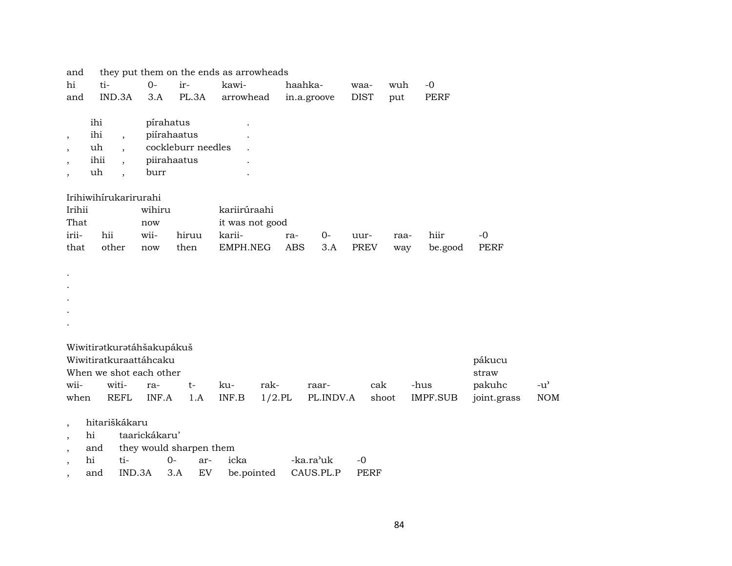| and                      |                                |           | they put them on the ends as arrowheads |              |                 |             |           |             |       |                 |             |               |
|--------------------------|--------------------------------|-----------|-----------------------------------------|--------------|-----------------|-------------|-----------|-------------|-------|-----------------|-------------|---------------|
| hi                       | ti-                            | $O -$     | ir-                                     | kawi-        |                 | haahka-     |           | waa-        | wuh   | $-0$            |             |               |
| and                      | IND.3A                         | 3.A       | PL.3A                                   | arrowhead    |                 | in.a.groove |           | <b>DIST</b> | put   | PERF            |             |               |
|                          | ihi                            | pírahatus |                                         |              |                 |             |           |             |       |                 |             |               |
| $^\mathrm{,}$            | ihi<br>$\cdot$                 |           | piírahaatus                             |              |                 |             |           |             |       |                 |             |               |
| $\overline{\phantom{a}}$ | uh<br>$\ddot{\phantom{0}}$     |           | cockleburr needles                      |              |                 |             |           |             |       |                 |             |               |
| $\overline{\phantom{a}}$ | ihii<br>$\ddot{\phantom{0}}$   |           | piirahaatus                             |              |                 |             |           |             |       |                 |             |               |
| $\overline{\phantom{a}}$ | uh<br>$\overline{\phantom{a}}$ | burr      |                                         |              |                 |             |           |             |       |                 |             |               |
|                          | Irihiwihirukarirurahi          |           |                                         |              |                 |             |           |             |       |                 |             |               |
| Irihii                   |                                | wihiru    |                                         | kariirúraahi |                 |             |           |             |       |                 |             |               |
| That                     |                                | now       |                                         |              | it was not good |             |           |             |       |                 |             |               |
| irii-                    | hii                            | wii-      | hiruu                                   | karii-       |                 | ra-         | $O -$     | uur-        | raa-  | hiir            | $-0$        |               |
| that                     | other                          | now       | then                                    | EMPH.NEG     |                 | <b>ABS</b>  | 3.A       | PREV        | way   | be.good         | PERF        |               |
|                          |                                |           |                                         |              |                 |             |           |             |       |                 |             |               |
|                          |                                |           |                                         |              |                 |             |           |             |       |                 |             |               |
|                          |                                |           |                                         |              |                 |             |           |             |       |                 |             |               |
|                          |                                |           |                                         |              |                 |             |           |             |       |                 |             |               |
|                          |                                |           |                                         |              |                 |             |           |             |       |                 |             |               |
|                          |                                |           |                                         |              |                 |             |           |             |       |                 |             |               |
|                          | Wiwitiratkuratáhšakupákuš      |           |                                         |              |                 |             |           |             |       |                 |             |               |
|                          | Wiwitiratkuraattáhcaku         |           |                                         |              |                 |             |           |             |       |                 | pákucu      |               |
|                          | When we shot each other        |           |                                         |              |                 |             |           |             |       |                 | straw       |               |
| wii-                     | witi-                          | ra-       | $t-$                                    | ku-          | rak-            |             | raar-     |             | cak   | -hus            | pakuhc      | $-u^{\prime}$ |
|                          | <b>REFL</b><br>when            | INF.A     | 1.A                                     | INF.B        | $1/2$ .PL       |             | PL.INDV.A |             | shoot | <b>IMPF.SUB</b> | joint.grass | <b>NOM</b>    |

- , hi taarickákaru'
- , and they would sharpen them
- , hi ti- 0- ar- icka -ka.ra"uk -0 , and IND.3A 3.A EV be.pointed CAUS.PL.P PERF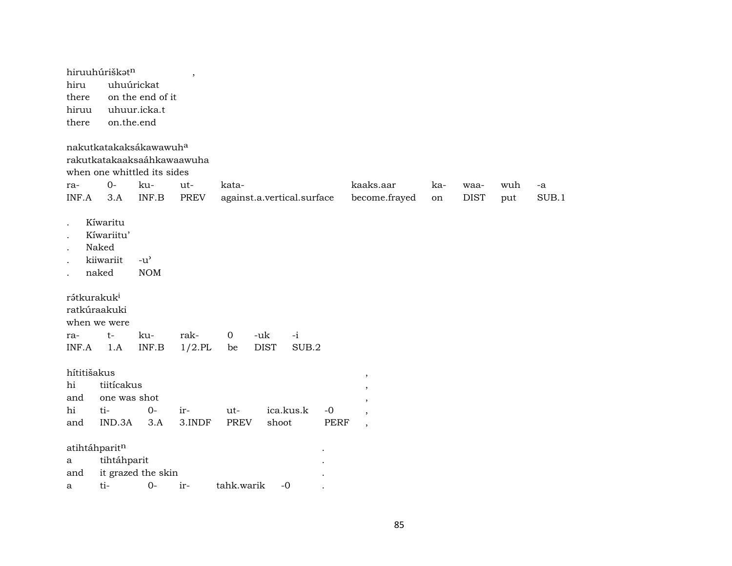| hiru                                  | hiruuhúriškatn                                        | uhuúrickat                                                                                             | $\overline{\phantom{a}}$ |                             |                                  |                                                                                                             |           |                     |            |             |
|---------------------------------------|-------------------------------------------------------|--------------------------------------------------------------------------------------------------------|--------------------------|-----------------------------|----------------------------------|-------------------------------------------------------------------------------------------------------------|-----------|---------------------|------------|-------------|
| there                                 |                                                       | on the end of it                                                                                       |                          |                             |                                  |                                                                                                             |           |                     |            |             |
| hiruu                                 |                                                       | uhuur.icka.t                                                                                           |                          |                             |                                  |                                                                                                             |           |                     |            |             |
| there                                 |                                                       | on.the.end                                                                                             |                          |                             |                                  |                                                                                                             |           |                     |            |             |
|                                       | $O -$                                                 | nakutkatakaksákawawuh <sup>a</sup><br>rakutkatakaaksaáhkawaawuha<br>when one whittled its sides<br>ku- |                          | kata-                       |                                  | kaaks.aar                                                                                                   |           |                     |            |             |
| ra-<br>INF.A                          | 3.A                                                   | INF.B                                                                                                  | ut-<br><b>PREV</b>       | against.a.vertical.surface  |                                  | become.frayed                                                                                               | ka-<br>on | waa-<br><b>DIST</b> | wuh<br>put | -a<br>SUB.1 |
|                                       | Kíwaritu<br>Kíwariitu'<br>Naked<br>kiiwariit<br>naked | $-u$ <sup><math>\prime</math></sup><br><b>NOM</b>                                                      |                          |                             |                                  |                                                                                                             |           |                     |            |             |
| rátkurakuk <sup>i</sup><br>ra-        | ratkúraakuki<br>when we were<br>$t-$                  | ku-                                                                                                    | rak-                     | $\overline{0}$<br>-uk       | $-i$                             |                                                                                                             |           |                     |            |             |
| INF.A                                 | 1.A                                                   | INF.B                                                                                                  | $1/2$ .PL                | <b>DIST</b><br>be           | SUB.2                            |                                                                                                             |           |                     |            |             |
| hítitišakus<br>hi<br>and<br>hi<br>and | tiitícakus<br>one was shot<br>ti-<br>IND.3A           | $0-$<br>3.A                                                                                            | ir-<br>3.INDF            | ut-<br><b>PREV</b><br>shoot | ica.kus.k<br>$-0$<br><b>PERF</b> | $^\mathrm{^\mathrm{o}}$<br>$\overline{\phantom{a}}$<br>$\overline{\phantom{a}}$<br>$\overline{\phantom{a}}$ |           |                     |            |             |
|                                       | atihtáhparitn                                         |                                                                                                        |                          |                             |                                  |                                                                                                             |           |                     |            |             |
| a                                     | tihtáhparit                                           |                                                                                                        |                          |                             |                                  |                                                                                                             |           |                     |            |             |
| and                                   |                                                       | it grazed the skin                                                                                     |                          |                             |                                  |                                                                                                             |           |                     |            |             |
| a                                     | ti-                                                   | $0-$                                                                                                   | ir-                      | tahk.warik                  | $-0$                             |                                                                                                             |           |                     |            |             |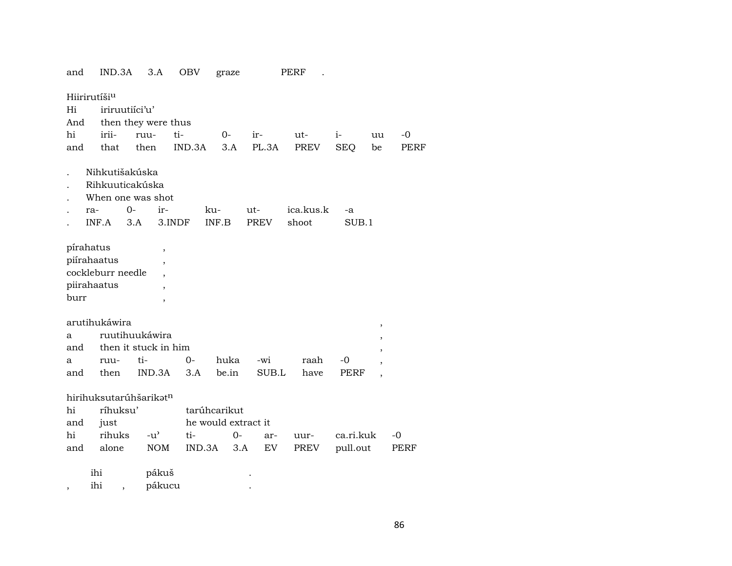| and     | IND.3A                   |                          | 3.A                      | OBV    | graze               |      |             | PERF      |            |                          |             |
|---------|--------------------------|--------------------------|--------------------------|--------|---------------------|------|-------------|-----------|------------|--------------------------|-------------|
|         | Hiirirutíši <sup>u</sup> |                          |                          |        |                     |      |             |           |            |                          |             |
| Hi      |                          | iriruutiici'u'           |                          |        |                     |      |             |           |            |                          |             |
| And     |                          |                          | then they were thus      |        |                     |      |             |           |            |                          |             |
| hi      | irii-                    | ruu-                     |                          | ti-    | $0-$                |      | ir-         | $ut-$     | $i-$       | uu                       | $-0$        |
| and     | that                     | then                     |                          | IND.3A |                     | 3.A  | PL.3A       | PREV      | <b>SEQ</b> | be                       | <b>PERF</b> |
|         |                          |                          |                          |        |                     |      |             |           |            |                          |             |
|         | Nihkutišakúska           |                          |                          |        |                     |      |             |           |            |                          |             |
|         | Rihkuuticakúska          |                          |                          |        |                     |      |             |           |            |                          |             |
|         | When one was shot        |                          |                          |        |                     |      |             |           |            |                          |             |
|         | ra-                      | $0-$                     | ir-                      |        | ku-                 |      | ut-         | ica.kus.k | -a         |                          |             |
|         | INF.A                    | 3.A                      |                          | 3.INDF | INF.B               |      | <b>PREV</b> | shoot     | SUB.1      |                          |             |
|         |                          |                          |                          |        |                     |      |             |           |            |                          |             |
|         | pirahatus                |                          | $\overline{\phantom{a}}$ |        |                     |      |             |           |            |                          |             |
|         | piírahaatus              |                          |                          |        |                     |      |             |           |            |                          |             |
|         | cockleburr needle        |                          |                          |        |                     |      |             |           |            |                          |             |
|         | piirahaatus              |                          |                          |        |                     |      |             |           |            |                          |             |
| burr    |                          |                          |                          |        |                     |      |             |           |            |                          |             |
|         |                          |                          |                          |        |                     |      |             |           |            |                          |             |
|         | arutihukáwira            |                          |                          |        |                     |      |             |           |            | $\, ,$                   |             |
| a       |                          | ruutihuukáwira           |                          |        |                     |      |             |           |            | $\overline{\phantom{a}}$ |             |
| and     |                          |                          | then it stuck in him     |        |                     |      |             |           |            | $\overline{\phantom{a}}$ |             |
| a       | ruu-                     | ti-                      |                          | 0-     | huka                |      | -wi         | raah      | -0         |                          |             |
| and     | then                     |                          | IND.3A                   | 3.A    | be.in               |      | SUB.L       | have      | PERF       | $\overline{\phantom{a}}$ |             |
|         | hirihuksutarúhšarikatn   |                          |                          |        |                     |      |             |           |            |                          |             |
|         |                          |                          |                          |        |                     |      |             |           |            |                          |             |
| hi      | ríhuksu'                 |                          |                          |        | tarúhcarikut        |      |             |           |            |                          |             |
| and     | just                     |                          |                          |        | he would extract it |      |             |           |            |                          |             |
| hi      | rihuks                   |                          | $-u^{\prime}$            | ti-    |                     | $0-$ | ar-         | uur-      | ca.ri.kuk  |                          | -0          |
| and     | alone                    |                          | NOM                      |        | IND.3A              | 3.A  | EV          | PREV      | pull.out   |                          | PERF        |
|         | ihi                      |                          | pákuš                    |        |                     |      |             |           |            |                          |             |
| $\cdot$ | ihi                      | $\overline{\phantom{a}}$ | pákucu                   |        |                     |      |             |           |            |                          |             |
|         |                          |                          |                          |        |                     |      |             |           |            |                          |             |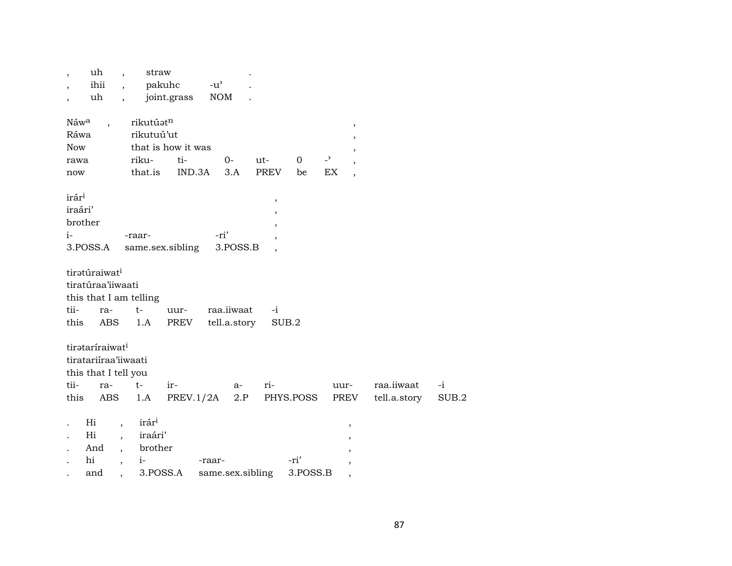| uh<br>$\overline{\phantom{a}}$<br>ihii<br>uh                                                       | $\overline{\phantom{a}}$<br>$\overline{\phantom{a}}$<br>$\ddot{\phantom{0}}$ | straw                                                       | pakuhc<br>joint.grass               | $-u^{\prime}$<br><b>NOM</b> |     |                                         |                   |                      |                                                          |                            |               |
|----------------------------------------------------------------------------------------------------|------------------------------------------------------------------------------|-------------------------------------------------------------|-------------------------------------|-----------------------------|-----|-----------------------------------------|-------------------|----------------------|----------------------------------------------------------|----------------------------|---------------|
| Náw <sup>a</sup><br>$\ddot{\phantom{0}}$<br>Ráwa<br><b>Now</b><br>rawa<br>now                      |                                                                              | rikutúatn<br>rikutuú'ut<br>riku-<br>that.is                 | that is how it was<br>ti-<br>IND.3A | $0 -$<br>3.A                | ut- | PREV                                    | $\mathbf 0$<br>be | $\overline{a}$<br>EX | $^\mathrm{^\mathrm{o}}$<br>,<br>$\overline{\phantom{a}}$ |                            |               |
| irár <sup>i</sup><br>iraári'<br>brother<br>$i-$<br>3.POSS.A                                        |                                                                              | -raar-                                                      | same.sex.sibling                    | -ri'<br>3.POSS.B            |     | $\, ,$<br>$\overline{\phantom{a}}$<br>, |                   |                      |                                                          |                            |               |
| tiratúraiwat <sup>i</sup><br>tiratúraa'iiwaati<br>this that I am telling<br>tii-<br>ra-<br>this    | ABS                                                                          | $t-$<br>1.A                                                 | uur-<br>PREV                        | raa.iiwaat<br>tell.a.story  |     | $-i$<br>SUB.2                           |                   |                      |                                                          |                            |               |
| tirataríraiwat <sup>i</sup><br>tiratariiraa'iiwaati<br>this that I tell you<br>tii-<br>ra-<br>this | ABS                                                                          | $t-$<br>1.A                                                 | ir-<br>PREV.1/2A                    | $a-$                        | 2.P | ri-<br>PHYS.POSS                        |                   | uur-<br>PREV         |                                                          | raa.iiwaat<br>tell.a.story | $-i$<br>SUB.2 |
| Hi<br>Hi<br>And<br>hi<br>and                                                                       | $\overline{\phantom{a}}$<br>$\overline{ }$<br>$\overline{\phantom{a}}$       | irár <sup>i</sup><br>iraári'<br>brother<br>$i-$<br>3.POSS.A |                                     | -raar-<br>same.sex.sibling  |     |                                         | -ri'<br>3.POSS.B  |                      | ,                                                        |                            |               |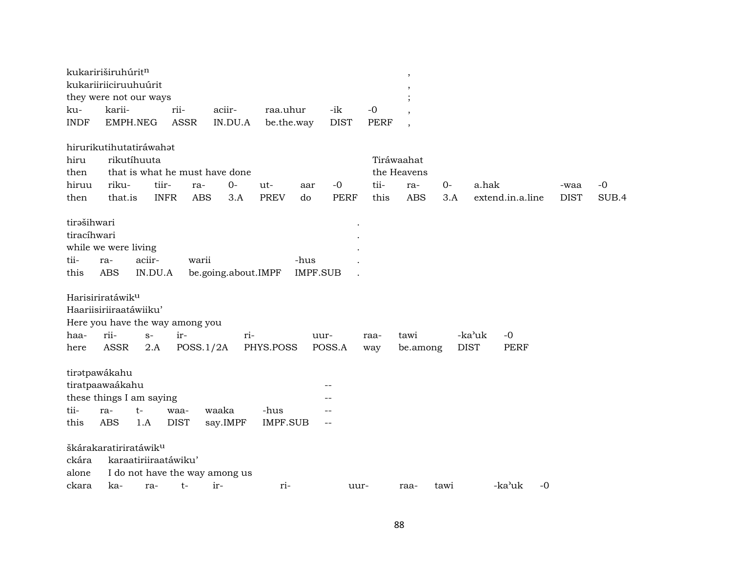|                                            | kukaririširuhúrit <sup>n</sup>                                                                   |                      |                                |                         |                 |             |                  |      |                            |             |       |
|--------------------------------------------|--------------------------------------------------------------------------------------------------|----------------------|--------------------------------|-------------------------|-----------------|-------------|------------------|------|----------------------------|-------------|-------|
|                                            | kukariiriiciruuhuúrit                                                                            |                      |                                |                         |                 |             |                  |      |                            |             |       |
|                                            | they were not our ways                                                                           |                      |                                |                         |                 |             |                  |      |                            |             |       |
| ku-                                        | karii-                                                                                           | rii-                 | aciir-                         | raa.uhur                | -ik             | $-0$        |                  |      |                            |             |       |
| <b>INDF</b>                                | EMPH.NEG                                                                                         | <b>ASSR</b>          | IN.DU.A                        | be.the.way              | <b>DIST</b>     | <b>PERF</b> |                  |      |                            |             |       |
|                                            | hirurikutihutatiráwahat                                                                          |                      |                                |                         |                 |             |                  |      |                            |             |       |
| hiru                                       | rikutíhuuta                                                                                      |                      |                                |                         |                 |             | Tiráwaahat       |      |                            |             |       |
| then                                       |                                                                                                  |                      | that is what he must have done |                         |                 |             | the Heavens      |      |                            |             |       |
| hiruu                                      | riku-                                                                                            | tiir-                | $0-$<br>ra-                    | ut-                     | $-0$<br>aar     | tii-        | ra-              | 0-   | a.hak                      | -waa        | $-0$  |
| then                                       | that.is                                                                                          | <b>INFR</b>          | <b>ABS</b><br>3.A              | <b>PREV</b><br>do       | <b>PERF</b>     | this        | <b>ABS</b>       | 3.A  | extend.in.a.line           | <b>DIST</b> | SUB.4 |
| tirašihwari<br>tiracíhwari<br>tii-<br>this | while we were living<br>aciir-<br>ra-<br><b>ABS</b>                                              | IN.DU.A              | warii<br>be.going.about.IMPF   | -hus                    | <b>IMPF.SUB</b> |             |                  |      |                            |             |       |
|                                            | Harisiriratáwik <sup>u</sup><br>Haariisiriiraatáwiiku'                                           |                      |                                |                         |                 |             |                  |      |                            |             |       |
|                                            | Here you have the way among you<br>rii-                                                          | ir-                  |                                |                         |                 |             |                  |      | -ka'uk<br>$-0$             |             |       |
| haa-<br>here                               | $S-$<br>ASSR                                                                                     | 2.A                  | ri-<br>POSS.1/2A               | PHYS.POSS               | uur-<br>POSS.A  | raa-<br>way | tawi<br>be.among |      | <b>DIST</b><br><b>PERF</b> |             |       |
| tii-<br>this                               | tiratpawákahu<br>tiratpaawaákahu<br>these things I am saying<br>$t-$<br>ra-<br><b>ABS</b><br>1.A | waa-<br><b>DIST</b>  | waaka<br>say.IMPF              | -hus<br><b>IMPF.SUB</b> |                 |             |                  |      |                            |             |       |
|                                            |                                                                                                  |                      |                                |                         |                 |             |                  |      |                            |             |       |
|                                            | škárakaratiriratáwik <sup>u</sup>                                                                |                      |                                |                         |                 |             |                  |      |                            |             |       |
| ckára                                      |                                                                                                  | karaatiriiraatáwiku' |                                |                         |                 |             |                  |      |                            |             |       |
| alone                                      |                                                                                                  |                      | I do not have the way among us |                         |                 |             |                  |      |                            |             |       |
| ckara                                      | ka-                                                                                              | t-<br>ra-            | $ir-$                          | ri-                     |                 | uur-        | raa-             | tawi | -ka'uk<br>$-0$             |             |       |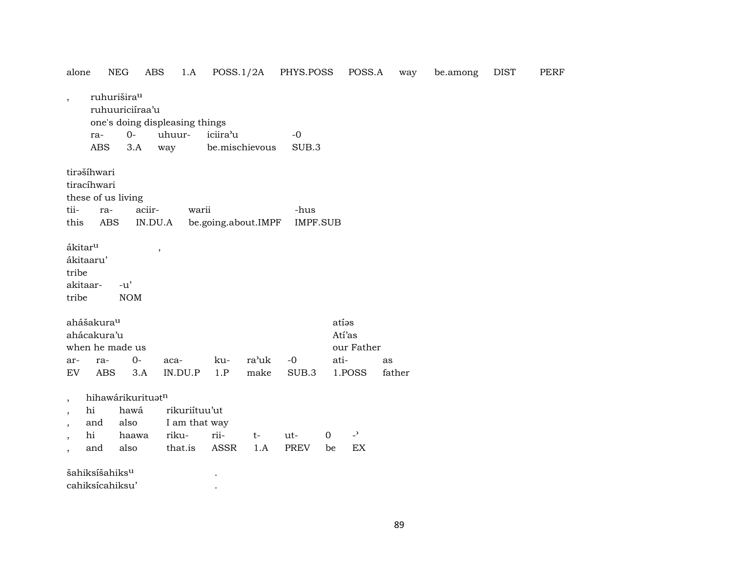| alone                    |                                              | <b>NEG</b>                                 | ABS                            |                     |                | 1.A POSS.1/2A PHYS.POSS |             | POSS.A         | way    | be.among | DIST | PERF |
|--------------------------|----------------------------------------------|--------------------------------------------|--------------------------------|---------------------|----------------|-------------------------|-------------|----------------|--------|----------|------|------|
| $\overline{\phantom{a}}$ |                                              | ruhurišira <sup>u</sup><br>ruhuuriciíraa'u | one's doing displeasing things |                     |                |                         |             |                |        |          |      |      |
|                          | ra-                                          | $0-$                                       | uhuur-                         | iciira'u            |                | $-0$                    |             |                |        |          |      |      |
|                          | <b>ABS</b>                                   | 3.A                                        | way                            |                     | be.mischievous | SUB.3                   |             |                |        |          |      |      |
|                          | tirašíhwari<br>tiracíhwari                   | these of us living                         |                                |                     |                |                         |             |                |        |          |      |      |
| tii-                     | ra-                                          | aciir-                                     |                                | warii               |                | -hus                    |             |                |        |          |      |      |
| this                     | ABS                                          |                                            | IN.DU.A                        | be.going.about.IMPF |                | <b>IMPF.SUB</b>         |             |                |        |          |      |      |
| tribe<br>tribe           | ákitar <sup>u</sup><br>ákitaaru'<br>akitaar- | $-u'$<br><b>NOM</b>                        | $\, ,$                         |                     |                |                         |             |                |        |          |      |      |
|                          | ahášakura <sup>u</sup>                       |                                            |                                |                     |                |                         |             | atías          |        |          |      |      |
|                          | ahácakura'u                                  |                                            |                                |                     |                |                         |             | Atí'as         |        |          |      |      |
|                          |                                              | when he made us                            |                                |                     |                |                         |             | our Father     |        |          |      |      |
| ar-                      | ra-                                          | $O -$                                      | aca-                           | ku-                 | ra'uk          | $-0$                    | ati-        |                | as     |          |      |      |
| EV                       | <b>ABS</b>                                   | 3.A                                        | IN.DU.P                        | 1.P                 | make           | SUB.3                   |             | 1.POSS         | father |          |      |      |
|                          |                                              |                                            |                                |                     |                |                         |             |                |        |          |      |      |
| $\overline{\phantom{a}}$ | hi                                           | hihawárikurituatn                          | rikuriítuu'ut                  |                     |                |                         |             |                |        |          |      |      |
| $\overline{\phantom{a}}$ |                                              | hawá<br>also                               |                                |                     |                |                         |             |                |        |          |      |      |
| $\overline{\phantom{a}}$ | and<br>hi                                    | haawa                                      | I am that way<br>riku-         | rii-                | $t-$           | ut-                     | $\mathbf 0$ | $\overline{a}$ |        |          |      |      |
| $\overline{\phantom{a}}$ | and                                          | also                                       | that.is                        | ASSR                | 1.A            | PREV                    | be          | EX             |        |          |      |      |
| $\overline{\phantom{a}}$ |                                              |                                            |                                |                     |                |                         |             |                |        |          |      |      |
|                          | šahiksíšahiks <sup>u</sup>                   |                                            |                                |                     |                |                         |             |                |        |          |      |      |
|                          | cahiksicahiksu'                              |                                            |                                |                     |                |                         |             |                |        |          |      |      |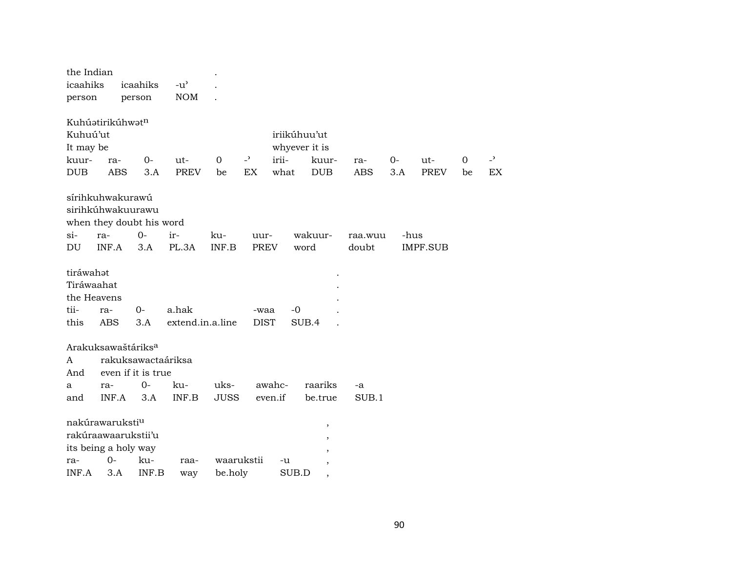| the Indian<br>icaahiks<br>person                       |                                                                                  | icaahiks<br>person         | $-u^{\prime}$<br><b>NOM</b> |                |                             |                                                |                                  |                   |             |                       |                |
|--------------------------------------------------------|----------------------------------------------------------------------------------|----------------------------|-----------------------------|----------------|-----------------------------|------------------------------------------------|----------------------------------|-------------------|-------------|-----------------------|----------------|
| Kuhuú'ut<br>It may be<br>kuur-<br><b>DUB</b>           | Kuhúatirikúhwatn<br>ra-<br><b>ABS</b>                                            | $0 -$<br>3.A               | ut-<br><b>PREV</b>          | $\Omega$<br>be | $\overline{a}$<br><b>EX</b> | iriikúhuu'ut<br>whyever it is<br>irii-<br>what | kuur-<br><b>DUB</b>              | ra-<br><b>ABS</b> | $0-$<br>3.A | $ut -$<br><b>PREV</b> | $\Omega$<br>be |
|                                                        | sírihkuhwakurawú<br>sirihkúhwakuurawu<br>when they doubt his word                |                            |                             |                |                             |                                                |                                  |                   |             |                       |                |
| $si-$<br>DU                                            | ra-<br>INF.A                                                                     | $0-$<br>3.A                | ir-<br>PL.3A                | ku-<br>INF.B   | uur-<br><b>PREV</b>         |                                                | wakuur-<br>word                  | raa.wuu<br>doubt  | -hus        | <b>IMPF.SUB</b>       |                |
| tiráwahat<br>Tiráwaahat<br>the Heavens<br>tii-<br>this | ra-<br><b>ABS</b>                                                                | 0-<br>3.A                  | a.hak<br>extend.in.a.line   |                | -waa<br><b>DIST</b>         | -0                                             | SUB.4                            |                   |             |                       |                |
|                                                        | Arakuksawaštáriks <sup>a</sup>                                                   |                            |                             |                |                             |                                                |                                  |                   |             |                       |                |
| A                                                      |                                                                                  | rakuksawactaáriksa         |                             |                |                             |                                                |                                  |                   |             |                       |                |
| And<br>а                                               | ra-                                                                              | even if it is true<br>$0-$ | ku-                         | uks-           |                             | awahc-                                         | raariks                          | -a                |             |                       |                |
| and                                                    | INF.A                                                                            | 3.A                        | INF.B                       | <b>JUSS</b>    |                             | even.if                                        | be.true                          | SUB.1             |             |                       |                |
| ra-                                                    | nakúrawaruksti <sup>u</sup><br>rakúraawaarukstii'u<br>its being a holy way<br>0- | ku-                        | raa-                        | waarukstii     |                             | -u                                             | $\,$<br>$\overline{\phantom{a}}$ |                   |             |                       |                |
| INF.A                                                  | 3.A                                                                              | INF.B                      | way                         | be.holy        |                             | SUB.D                                          | $^\mathrm{,}$                    |                   |             |                       |                |

 $\overline{\phantom{a}}$  $\mathop{\rm EX}\nolimits$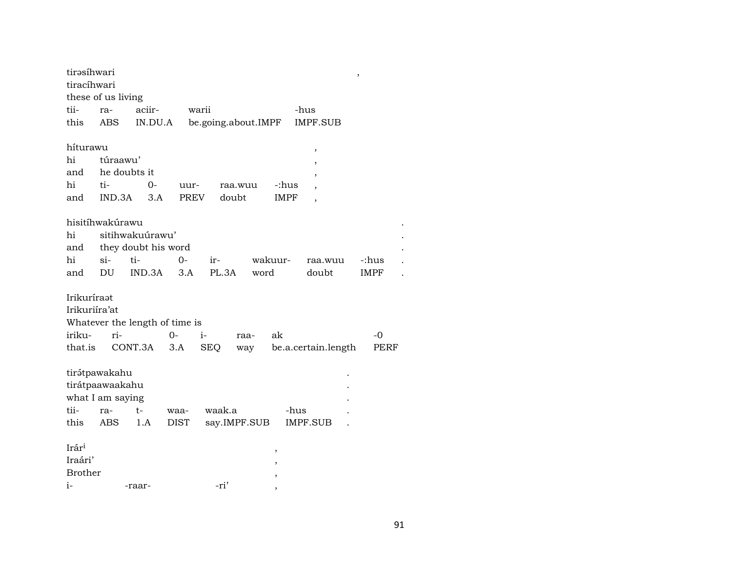| tirəsíhwari<br>tiracíhwari |              |                                |             |                     |              |             |                          | $\,$        |
|----------------------------|--------------|--------------------------------|-------------|---------------------|--------------|-------------|--------------------------|-------------|
| these of us living         |              |                                |             |                     |              |             |                          |             |
| tii-                       | ra-          | aciir-                         |             | warii               |              |             | -hus                     |             |
| this                       | ABS          | IN.DU.A                        |             | be.going.about.IMPF |              |             | <b>IMPF.SUB</b>          |             |
|                            |              |                                |             |                     |              |             |                          |             |
| híturawu                   |              |                                |             |                     |              |             | ,                        |             |
| hi                         | túraawu'     |                                |             |                     |              |             | ,                        |             |
| and                        | he doubts it |                                |             |                     |              |             | ,                        |             |
| hi                         | ti-          | $0-$                           | uur-        |                     | raa.wuu      | -:hus       |                          |             |
| and                        | IND.3A       | 3.A                            | <b>PREV</b> |                     | doubt        | <b>IMPF</b> | $\overline{\phantom{a}}$ |             |
|                            |              |                                |             |                     |              |             |                          |             |
| hisitíhwakúrawu            |              |                                |             |                     |              |             |                          |             |
| hi                         |              | sitihwakuúrawu'                |             |                     |              |             |                          |             |
| and                        |              | they doubt his word            |             |                     |              |             |                          |             |
| hi                         | $\sin$       | ti-                            | 0-          | ir-                 |              | wakuur-     | raa.wuu                  | -:hus       |
| and                        | DU.          | IND.3A                         | 3.A         | PL.3A               | word         |             | doubt                    | <b>IMPF</b> |
| Irikuríraat                |              |                                |             |                     |              |             |                          |             |
| Irikuriíra'at              |              |                                |             |                     |              |             |                          |             |
|                            |              | Whatever the length of time is |             |                     |              |             |                          |             |
| iriku-                     | ri-          |                                | $0-$        | $i-$                | raa-         | ak          |                          | -0          |
| that.is                    |              | CONT.3A                        | 3.A         | <b>SEQ</b>          | way          |             | be.a.certain.length      | PERF        |
|                            |              |                                |             |                     |              |             |                          |             |
| tirátpawakahu              |              |                                |             |                     |              |             |                          |             |
| tirátpaawaakahu            |              |                                |             |                     |              |             |                          |             |
| what I am saying           |              |                                |             |                     |              |             |                          |             |
| tii-                       | ra-          | t-                             | waa-        | waak.a              |              |             | -hus                     |             |
| this                       | ABS          | 1.A                            | <b>DIST</b> |                     | say.IMPF.SUB |             | <b>IMPF.SUB</b>          |             |
|                            |              |                                |             |                     |              |             |                          |             |
| $Ir$ ár <sup>i</sup>       |              |                                |             |                     |              | ,           |                          |             |
| Iraári'                    |              |                                |             |                     |              |             |                          |             |
| <b>Brother</b>             |              |                                |             |                     |              |             |                          |             |
| $i-$                       |              | -raar-                         |             | -ri'                |              |             |                          |             |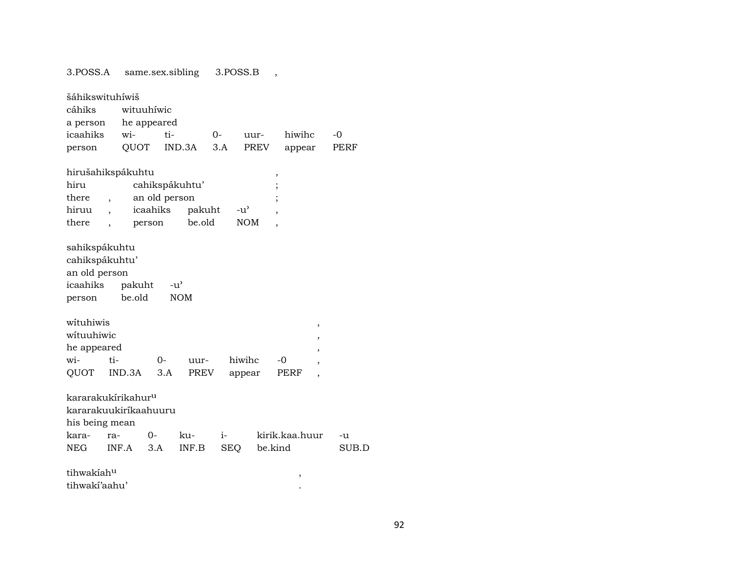3.POSS.A same.sex.sibling 3.POSS.B ,

| šáhikswituhíwiš<br>cáhiks<br>a person<br>icaahiks<br>person                               | wi-<br>QUOT      | wituuhiwic<br>he appeared<br>ti-    | IND.3A                             | $0-$<br>3.A      | uur-<br><b>PREV</b>         | hiwihc<br>appear          |                                  | $-0$<br>PERF |
|-------------------------------------------------------------------------------------------|------------------|-------------------------------------|------------------------------------|------------------|-----------------------------|---------------------------|----------------------------------|--------------|
| hirušahikspákuhtu<br>hiru<br>there<br>hiruu<br>there                                      | $\overline{ }$   | an old person<br>icaahiks<br>person | cahikspákuhtu'<br>pakuht<br>be.old |                  | $-u^{\prime}$<br><b>NOM</b> | ,                         |                                  |              |
| sahikspákuhtu<br>cahikspákuhtu'<br>an old person<br>icaahiks<br>person                    | pakuht<br>be.old |                                     | -u'<br><b>NOM</b>                  |                  |                             |                           |                                  |              |
| wituhiwis<br>wituuhiwic<br>he appeared<br>wi-<br>QUOT                                     | ti-<br>IND.3A    | 0-<br>3.A                           | uur-<br><b>PREV</b>                |                  | hiwihc<br>appear            | -0<br>PERF                | $\,$<br>,<br>,<br>$\overline{ }$ |              |
| kararakukírikahur <sup>u</sup><br>kararakuukiríkaahuuru<br>his being mean<br>kara-<br>NEG | ra-<br>INF.A     | 0-<br>3.A                           | ku-<br>INF.B                       | i-<br><b>SEQ</b> |                             | kirik.kaa.huur<br>be.kind |                                  | -u<br>SUB.D  |
| tihwakíah <sup>u</sup><br>tihwakí'aahu'                                                   |                  |                                     |                                    |                  |                             | ,                         |                                  |              |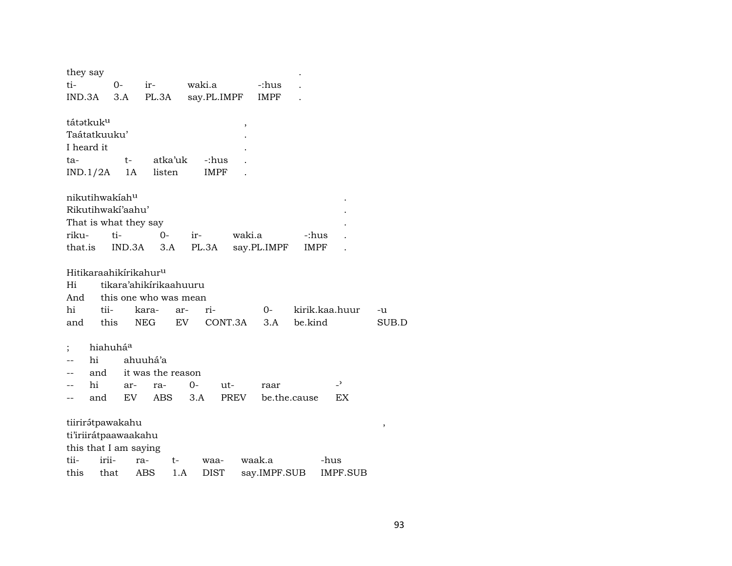| they say                          |          |        |            |                        |                   |         |                   |                |      |                          |        |
|-----------------------------------|----------|--------|------------|------------------------|-------------------|---------|-------------------|----------------|------|--------------------------|--------|
| ti-                               | 0-       |        | ir-        |                        | waki.a            |         | -:hus             |                |      |                          |        |
| $IND.3A$ $3.A$                    |          |        |            |                        | PL.3A say.PL.IMPF |         | IMPF              |                |      |                          |        |
| tátətkuk <sup>u</sup>             |          |        |            |                        |                   | ,       |                   |                |      |                          |        |
| Taátatkuuku'                      |          |        |            |                        |                   |         |                   |                |      |                          |        |
| I heard it                        |          |        |            |                        |                   |         |                   |                |      |                          |        |
| ta-                               |          | $t-$   | atka'uk    |                        | -:hus             |         |                   |                |      |                          |        |
| $IND.1/2A$ 1A                     |          |        | listen     |                        | IMPF              |         |                   |                |      |                          |        |
| nikutihwakiahu                    |          |        |            |                        |                   |         |                   |                |      |                          |        |
| Rikutihwakí'aahu'                 |          |        |            |                        |                   |         |                   |                |      |                          |        |
| That is what they say             |          |        |            |                        |                   |         |                   |                |      |                          |        |
| riku-                             | ti-      |        | 0-         |                        | $ir-$             | waki.a  |                   | -:hus          |      |                          |        |
| that.is                           |          | IND.3A |            | 3.A                    |                   |         | PL.3A say.PL.IMPF | IMPF           |      |                          |        |
| Hitikaraahikirikahur <sup>u</sup> |          |        |            |                        |                   |         |                   |                |      |                          |        |
| Hi                                |          |        |            | tikara'ahikirikaahuuru |                   |         |                   |                |      |                          |        |
| And                               |          |        |            | this one who was mean  |                   |         |                   |                |      |                          |        |
| hi                                | tii-     |        | kara-      | ar-                    | ri-               |         | $O-$              | kirik.kaa.huur |      |                          | -u     |
| and                               |          |        | this NEG   | EV                     |                   | CONT.3A | 3.A               | be.kind        |      |                          | SUB.D  |
| $\vdots$                          | hiahuháa |        |            |                        |                   |         |                   |                |      |                          |        |
| hi                                |          |        | ahuuhá'a   |                        |                   |         |                   |                |      |                          |        |
| --                                | and      |        |            | it was the reason      |                   |         |                   |                |      |                          |        |
| hi                                |          | ar-    | ra-        | 0-                     | ut-               |         | raar              |                |      | $\overline{\phantom{0}}$ |        |
| --                                | and      | EV     | ABS        |                        | 3.A               | PREV    | be.the.cause      |                |      | EX                       |        |
| tiirirátpawakahu                  |          |        |            |                        |                   |         |                   |                |      |                          | $\, ,$ |
| ti'iriirátpaawaakahu              |          |        |            |                        |                   |         |                   |                |      |                          |        |
| this that I am saying             |          |        |            |                        |                   |         |                   |                |      |                          |        |
| tii-                              | irii-    | ra-    |            | t-                     | waa-              |         | waak.a            |                | -hus |                          |        |
| this                              | that     |        | <b>ABS</b> | 1.A                    | <b>DIST</b>       |         | say.IMPF.SUB      |                |      | <b>IMPF.SUB</b>          |        |
|                                   |          |        |            |                        |                   |         |                   |                |      |                          |        |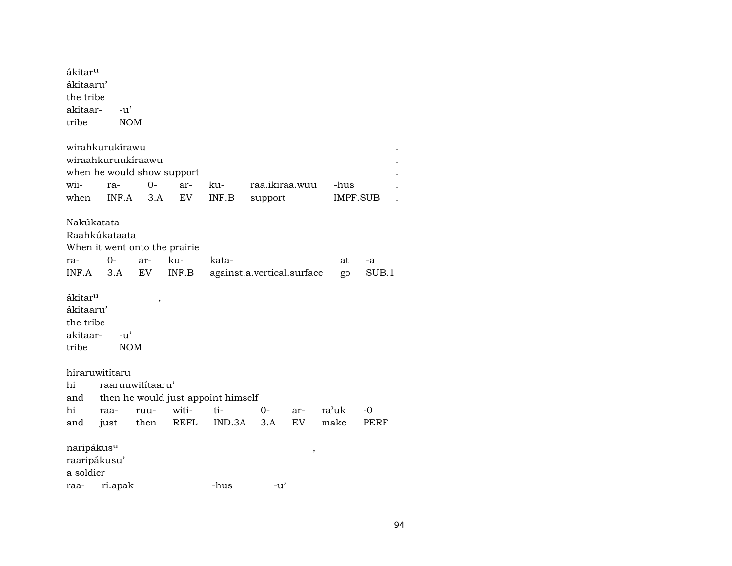| ákitar <sup>u</sup><br>ákitaaru'<br>the tribe<br>akitaar-<br>tribe |         | $-u'$<br><b>NOM</b>           |       |                                    |                            |        |       |          |  |
|--------------------------------------------------------------------|---------|-------------------------------|-------|------------------------------------|----------------------------|--------|-------|----------|--|
| wirahkurukírawu                                                    |         |                               |       |                                    |                            |        |       |          |  |
|                                                                    |         | wiraahkuruukíraawu            |       |                                    |                            |        |       |          |  |
|                                                                    |         | when he would show support    |       |                                    |                            |        |       |          |  |
| wii-                                                               | ra-     | $O -$                         | ar-   | ku-                                | raa.ikiraa.wuu             |        | -hus  |          |  |
| when                                                               | INF.A   | 3.A                           | EV    | INF.B                              | support                    |        |       | IMPF.SUB |  |
| Nakúkatata<br>Raahkúkataata                                        |         | When it went onto the prairie |       |                                    |                            |        |       |          |  |
| ra-                                                                | 0-      | ar-                           | ku-   | kata-                              |                            |        | at    | -a       |  |
| INF.A                                                              | 3.A     | EV                            | INF.B |                                    | against.a.vertical.surface |        | go    | SUB.1    |  |
| ákitar <sup>u</sup><br>ákitaaru'<br>the tribe<br>akitaar-<br>tribe |         | ,<br>-u'<br><b>NOM</b>        |       |                                    |                            |        |       |          |  |
| hiraruwitítaru                                                     |         |                               |       |                                    |                            |        |       |          |  |
| hi                                                                 |         | raaruuwitítaaru'              |       |                                    |                            |        |       |          |  |
| and                                                                |         |                               |       | then he would just appoint himself |                            |        |       |          |  |
| hi                                                                 | raa-    | ruu-                          | witi- | ti-                                | 0-                         | ar-    | ra'uk | -0       |  |
| and                                                                | just    | then                          | REFL  | IND.3A                             | 3.A                        | EV     | make  | PERF     |  |
| naripákus <sup>u</sup><br>raaripákusu'<br>a soldier                |         |                               |       |                                    |                            | $\, ,$ |       |          |  |
| raa-                                                               | ri.apak |                               |       | -hus                               | $-u^{\prime}$              |        |       |          |  |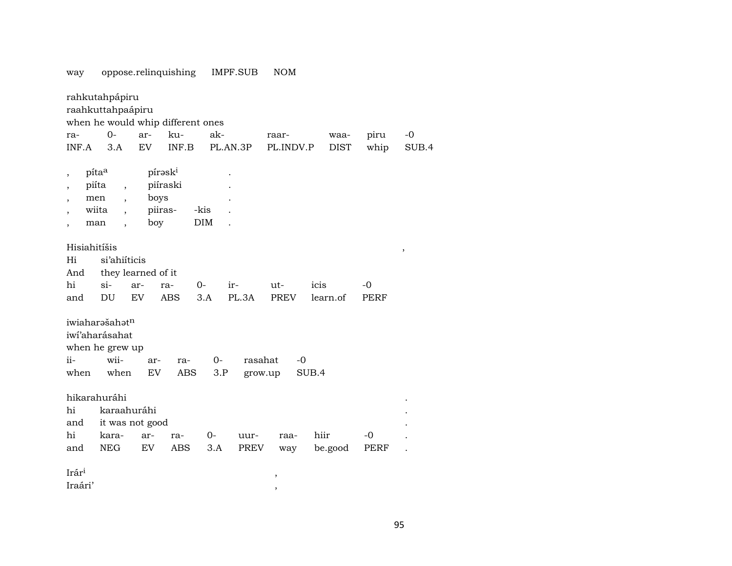|                                                                                                           | oppose.remiquisming                                                                                      |                                                           |            |             | 11111.001          |             |             |             |        |
|-----------------------------------------------------------------------------------------------------------|----------------------------------------------------------------------------------------------------------|-----------------------------------------------------------|------------|-------------|--------------------|-------------|-------------|-------------|--------|
|                                                                                                           | rahkutahpápiru<br>raahkuttahpaápiru<br>when he would whip different ones                                 |                                                           |            |             |                    |             |             |             |        |
| ra-                                                                                                       | $0-$                                                                                                     | ar-                                                       | ku-        | ak-         |                    | raar-       | waa-        | piru        | $-0$   |
| INF.A                                                                                                     | 3.A                                                                                                      | <b>EV</b>                                                 | INF.B      | PL.AN.3P    |                    | PL.INDV.P   | <b>DIST</b> | whip        | SUB.4  |
| pita <sup>a</sup><br>$\overline{\phantom{a}}$<br>piíta<br>$\overline{\phantom{a}}$<br>men<br>wiita<br>man | $\overline{\phantom{a}}$<br>$\overline{\phantom{a}}$<br>$\overline{\phantom{a}}$<br>$\ddot{\phantom{0}}$ | pírask <sup>i</sup><br>piíraski<br>boys<br>piiras-<br>boy |            | -kis<br>DIM |                    |             |             |             |        |
| Hisiahitíšis<br>Hi<br>And                                                                                 | si'ahiíticis<br>they learned of it                                                                       |                                                           |            |             |                    |             |             |             | $\, ,$ |
| hi                                                                                                        | $si-$                                                                                                    | ar-                                                       | 0-<br>ra-  |             | ir-                | ut-         | icis        | $-0$        |        |
| and                                                                                                       | DU                                                                                                       | EV                                                        | <b>ABS</b> | 3.A         | PL.3A              | <b>PREV</b> | learn.of    | <b>PERF</b> |        |
| ii-<br>when                                                                                               | iwiaharašahatn<br>iwi'aharásahat<br>when he grew up<br>wii-<br>when                                      | ar-<br>EV                                                 | ra-<br>ABS | 0-<br>3.P   | rasahat<br>grow.up | $-0$        | SUB.4       |             |        |
| hikarahuráhi                                                                                              |                                                                                                          |                                                           |            |             |                    |             |             |             |        |
| hi                                                                                                        | karaahuráhi                                                                                              |                                                           |            |             |                    |             |             |             |        |
| and                                                                                                       | it was not good                                                                                          |                                                           |            |             |                    |             |             |             |        |
| hi                                                                                                        | kara-                                                                                                    | ar-                                                       | ra-        | $0-$        | uur-               | raa-        | hiir        | -0          |        |
| and                                                                                                       | <b>NEG</b>                                                                                               | EV                                                        | ABS        | 3.A         | PREV               | way         | be.good     | PERF        |        |
| Irár <sup>i</sup><br>Iraári'                                                                              |                                                                                                          |                                                           |            |             |                    | ,           |             |             |        |

 $\overline{\phantom{a}}$ 

#### oppose relinquishing IMPF SUB **NOM** way

95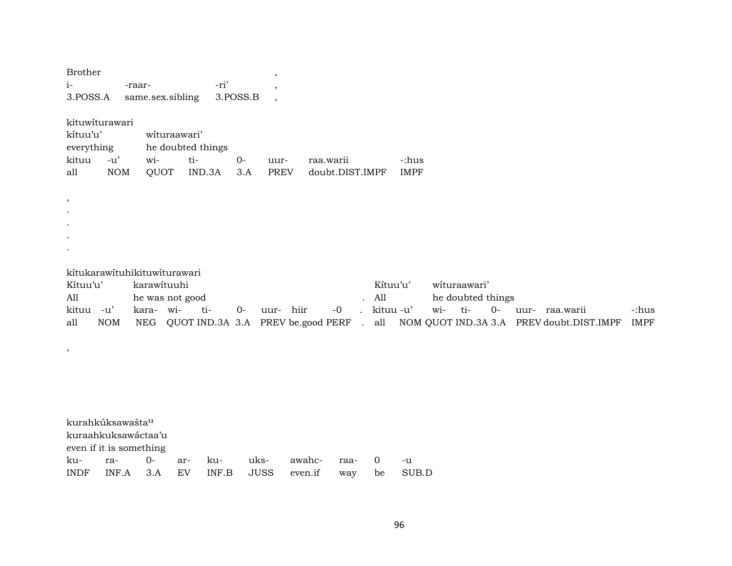| <b>Brother</b><br>$i-$<br>3.POSS.A                                             |                     | -raar-                   | same.sex.sibling                                | -ri'<br>3.POSS.B | $\overline{\phantom{a}}$<br>,<br>$\overline{\phantom{a}}$  |                   |                              |                                       |                      |                                                         |                                                            |                      |
|--------------------------------------------------------------------------------|---------------------|--------------------------|-------------------------------------------------|------------------|------------------------------------------------------------|-------------------|------------------------------|---------------------------------------|----------------------|---------------------------------------------------------|------------------------------------------------------------|----------------------|
| kituwiturawari<br>kítuu'u'<br>everything<br>kituu<br>all                       | $-u'$<br><b>NOM</b> | wi-<br>QUOT              | wituraawari'<br>he doubted things<br>ti-        | IND.3A           | $0-$<br>uur-<br><b>PREV</b><br>3.A                         |                   | raa.warii<br>doubt.DIST.IMPF |                                       | -:hus<br><b>IMPF</b> |                                                         |                                                            |                      |
| ,                                                                              |                     |                          |                                                 |                  |                                                            |                   |                              |                                       |                      |                                                         |                                                            |                      |
| Kítuu'u'<br>All<br>kituu -u'<br>all                                            | <b>NOM</b>          | karawituuhi<br>kara- wi- | kítukarawítuhikituwíturawari<br>he was not good | ti-              | uur- hiir<br>$0-$<br>NEG QUOT IND.3A 3.A PREV be.good PERF |                   | $-0$<br>$\mathbf{r}$         | Kítuu'u'<br>All<br>kituu -u'<br>. all |                      | wituraawari'<br>he doubted things<br>wi-<br>ti-<br>$0-$ | uur- raa.warii<br>NOM QUOT IND.3A 3.A PREV doubt.DIST.IMPF | -:hus<br><b>IMPF</b> |
| ,                                                                              |                     |                          |                                                 |                  |                                                            |                   |                              |                                       |                      |                                                         |                                                            |                      |
| kurahkúksawašta <sup>u</sup><br>kuraahkuksawáctaa'u<br>even if it is something |                     |                          |                                                 |                  |                                                            |                   |                              |                                       |                      |                                                         |                                                            |                      |
| ku-<br><b>INDF</b>                                                             | ra-<br>INF.A        | $O -$<br>3.A             | ar-<br>EV                                       | ku-<br>INF.B     | uks-<br><b>JUSS</b>                                        | awahc-<br>even.if | raa-<br>way                  | $\mathbf{0}$<br>be                    | $-u$<br>SUB.D        |                                                         |                                                            |                      |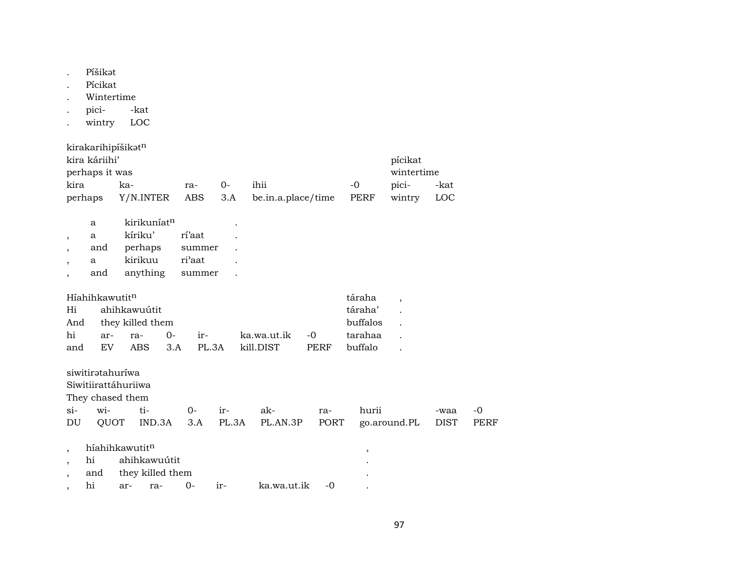| <sup>o</sup> íšikət |
|---------------------|
|                     |

- . Pícikat
- . Wintertime
- . pici- -kat
- . wintry LOC

| kirakarihipíšikət <sup>n</sup>                    |            |       |          |      |      |       |      |  |  |  |  |
|---------------------------------------------------|------------|-------|----------|------|------|-------|------|--|--|--|--|
| kira káriihi'<br>pícikat                          |            |       |          |      |      |       |      |  |  |  |  |
| perhaps it was                                    | wintertime |       |          |      |      |       |      |  |  |  |  |
| kira                                              | ka-        | $ra-$ | $\Omega$ | ihii | $-0$ | pici- | -kat |  |  |  |  |
| perhaps Y/N.INTER ABS 3.A be.in.a.place/time PERF | wintry     | LOC   |          |      |      |       |      |  |  |  |  |

| a   | kirikuníat <sup>n</sup> |        |  |
|-----|-------------------------|--------|--|
|     |                         |        |  |
| a   | kíriku'                 | rí'aat |  |
| and | perhaps                 | summer |  |
| a   | kirikuu                 | ri'aat |  |
| and | anything                | summer |  |

| Híahihkawutit <sup>n</sup> |     |                      | táraha   |           |      |         |  |
|----------------------------|-----|----------------------|----------|-----------|------|---------|--|
| Hi                         |     | ahihkawuútit         |          |           |      | táraha' |  |
|                            |     | And they killed them | buffalos |           |      |         |  |
| hi                         |     | ar- ra-<br><u>ດ-</u> | tarahaa  |           |      |         |  |
| and                        | EV. | ABS 3.A              | PL 3A    | kill DIST | PERF | buffalo |  |

| siwitirətahuriwa<br>Siwitiirattáhuriiwa<br>They chased them |     |                                                               |  |  |                 |             |                       |                     |                   |  |  |
|-------------------------------------------------------------|-----|---------------------------------------------------------------|--|--|-----------------|-------------|-----------------------|---------------------|-------------------|--|--|
| $\sin$<br>DU                                                | wi- | $ti-$<br>$0-$<br>ir-<br><b>OUOT</b><br>IND.3A<br>PL.3A<br>3.A |  |  | ak-<br>PL.AN.3P | ra-<br>PORT | hurii<br>go.around.PL | -waa<br><b>DIST</b> | -0<br><b>PERF</b> |  |  |
| $\cdot$                                                     |     | híahihkawutitn                                                |  |  |                 |             | ,                     |                     |                   |  |  |
| $\cdot$                                                     | hi  | ahihkawuútit<br>$\bullet$                                     |  |  |                 |             |                       |                     |                   |  |  |
|                                                             | and | they killed them<br>$\bullet$                                 |  |  |                 |             |                       |                     |                   |  |  |

, hi ar- ra- 0- ir- ka.wa.ut.ik -0 .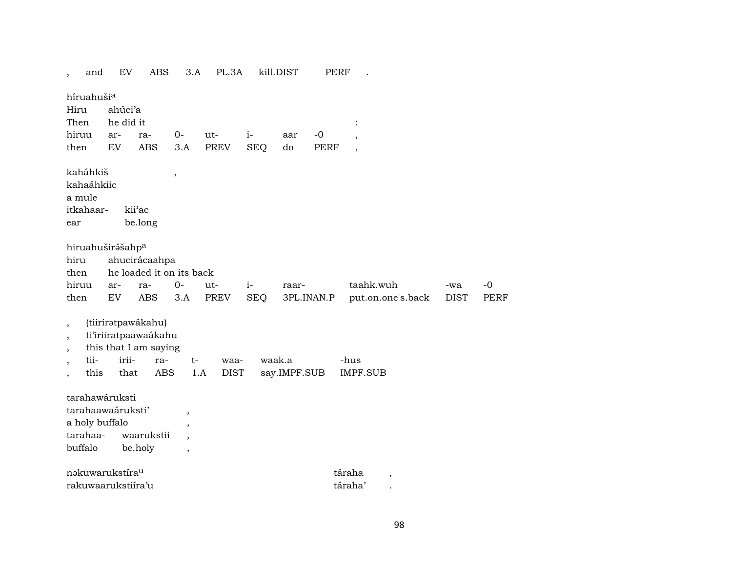| and                                                                                    | EV                                                                                             | ABS               | 3.A                                                                         | PL.3A               |                    | kill.DIST           | <b>PERF</b>         |                                            |                    |                     |
|----------------------------------------------------------------------------------------|------------------------------------------------------------------------------------------------|-------------------|-----------------------------------------------------------------------------|---------------------|--------------------|---------------------|---------------------|--------------------------------------------|--------------------|---------------------|
| híruahušia<br>Hiru<br>Then<br>hiruu<br>then                                            | ahúci'a<br>he did it<br>ar-<br><b>EV</b>                                                       | ra-<br><b>ABS</b> | $0-$<br>3.A                                                                 | ut-<br><b>PREV</b>  | $i-$<br><b>SEQ</b> | aar<br>do           | $-0$<br><b>PERF</b> | $\ddot{\cdot}$<br>$\overline{\phantom{a}}$ |                    |                     |
| kaháhkiš<br>kahaáhkiic<br>a mule<br>itkahaar-<br>ear                                   | kii'ac<br>be.long                                                                              |                   | $\, ,$                                                                      |                     |                    |                     |                     |                                            |                    |                     |
| hiru<br>then<br>hiruu<br>then                                                          | hiruahuširášahp <sup>a</sup><br>ahucirácaahpa<br>he loaded it on its back<br>ar-<br>${\rm EV}$ | ra-<br><b>ABS</b> | $O -$<br>3.A                                                                | ut-<br>PREV         | $i-$<br><b>SEQ</b> | raar-<br>3PL.INAN.P |                     | taahk.wuh<br>put.on.one's.back             | -wa<br><b>DIST</b> | $-0$<br><b>PERF</b> |
| $\overline{\phantom{a}}$<br>$\overline{ }$<br>$\overline{\phantom{a}}$<br>tii-<br>this | (tiiriratpawákahu)<br>ti'iriiratpaawaákahu<br>this that I am saying<br>irii-<br>that           | ra-<br><b>ABS</b> | $t-$<br>1.A                                                                 | waa-<br><b>DIST</b> | waak.a             | say.IMPF.SUB        |                     | -hus<br><b>IMPF.SUB</b>                    |                    |                     |
| a holy buffalo<br>tarahaa-<br>buffalo                                                  | tarahawáruksti<br>tarahaawaáruksti'<br>be.holy                                                 | waarukstii        | $\overline{ }$<br>,<br>$\overline{\phantom{a}}$<br>$\overline{\phantom{a}}$ |                     |                    |                     |                     |                                            |                    |                     |
|                                                                                        | nakuwarukstira <sup>u</sup><br>rakuwaarukstiira'u                                              |                   |                                                                             |                     |                    |                     |                     | táraha<br>,<br>táraha'                     |                    |                     |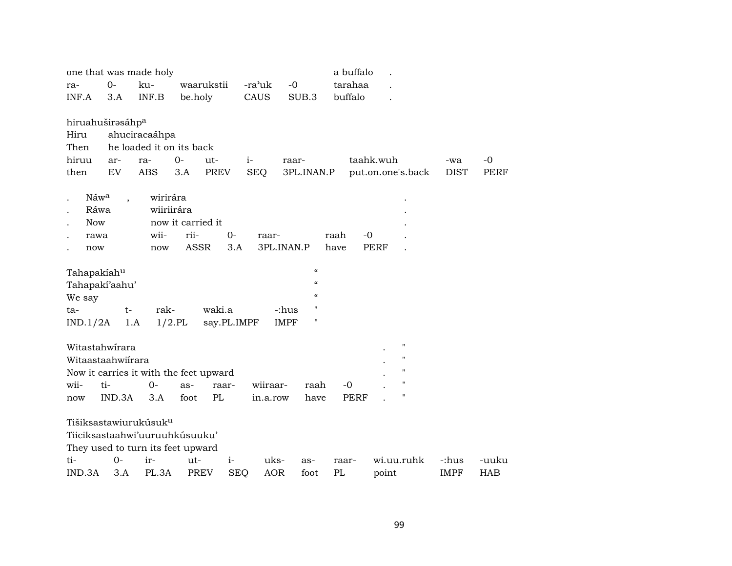| one that was made holy                                                                                   |        |               |                          |             |            | a buffalo                              |             |                    |             |             |
|----------------------------------------------------------------------------------------------------------|--------|---------------|--------------------------|-------------|------------|----------------------------------------|-------------|--------------------|-------------|-------------|
| ra-                                                                                                      | $O -$  | ku-           | waarukstii               |             | -ra'uk     | $-0$                                   | tarahaa     |                    |             |             |
| INF.A                                                                                                    | 3.A    | INF.B         | be.holy                  |             | CAUS       | SUB.3                                  | buffalo     |                    |             |             |
|                                                                                                          |        |               |                          |             |            |                                        |             |                    |             |             |
| hiruahuširasáhpa                                                                                         |        |               |                          |             |            |                                        |             |                    |             |             |
| Hiru                                                                                                     |        | ahuciracaáhpa |                          |             |            |                                        |             |                    |             |             |
| Then                                                                                                     |        |               | he loaded it on its back |             |            |                                        |             |                    |             |             |
| hiruu                                                                                                    | ar-    | ra-           | $0-$                     | ut-         | $i-$       | raar-                                  |             | taahk.wuh          | -wa         | $-0$        |
| then                                                                                                     | EV     | <b>ABS</b>    | 3.A                      | <b>PREV</b> | <b>SEQ</b> | 3PL.INAN.P                             |             | put.on.one's.back  | <b>DIST</b> | <b>PERF</b> |
|                                                                                                          |        |               |                          |             |            |                                        |             |                    |             |             |
| Náw <sup>a</sup>                                                                                         |        | wirirára      |                          |             |            |                                        |             |                    |             |             |
| Ráwa                                                                                                     |        |               | wiiriirára               |             |            |                                        |             |                    |             |             |
| <b>Now</b>                                                                                               |        |               | now it carried it        |             |            |                                        |             |                    |             |             |
| rawa                                                                                                     |        | wii-          | rii-                     | $0-$        | raar-      |                                        | raah        | $-0$               |             |             |
| now                                                                                                      |        | now           | ASSR                     | 3.A         |            | 3PL.INAN.P                             | have        | <b>PERF</b>        |             |             |
| Tahapakiahu                                                                                              |        |               |                          |             |            | $\boldsymbol{\zeta}\boldsymbol{\zeta}$ |             |                    |             |             |
| Tahapakí'aahu'                                                                                           |        |               |                          |             |            | $\epsilon$                             |             |                    |             |             |
| We say                                                                                                   |        |               |                          |             |            | $\epsilon$                             |             |                    |             |             |
| ta-                                                                                                      | t-     | rak-          |                          | waki.a      |            | $^{\prime}$<br>-:hus                   |             |                    |             |             |
| IND.1/2A                                                                                                 | 1.A    |               | $1/2$ .PL                | say.PL.IMPF |            | $\pmb{\mathsf{H}}$<br><b>IMPF</b>      |             |                    |             |             |
|                                                                                                          |        |               |                          |             |            |                                        |             |                    |             |             |
| Witastahwirara                                                                                           |        |               |                          |             |            |                                        |             | $\mathbf{H}$       |             |             |
| Witaastaahwiirara                                                                                        |        |               |                          |             |            |                                        |             | $\mathbf{H}$       |             |             |
| Now it carries it with the feet upward                                                                   |        |               |                          |             |            |                                        |             | Н                  |             |             |
| wii-                                                                                                     | ti-    | $0-$          | as-                      | raar-       | wiiraar-   | raah                                   | $-0$        | $\pmb{\mathsf{H}}$ |             |             |
| now                                                                                                      | IND.3A | 3.A           | foot                     | PL          | in.a.row   | have                                   | <b>PERF</b> | $\pmb{\mathsf{H}}$ |             |             |
| Tišiksastawiurukúsuk <sup>u</sup><br>Tiiciksastaahwi'uuruuhkúsuuku'<br>They used to turn its feet upward |        |               |                          |             |            |                                        |             |                    |             |             |
| ti-                                                                                                      | $0-$   | ir-           | ut-                      | $i-$        | uks-       | as-                                    | raar-       | wi.uu.ruhk         | -:hus       | -uuku       |
| IND.3A                                                                                                   | 3.A    | PL.3A         | <b>PREV</b>              | <b>SEQ</b>  | <b>AOR</b> | foot                                   | PL          | point              | <b>IMPF</b> | HAB         |
|                                                                                                          |        |               |                          |             |            |                                        |             |                    |             |             |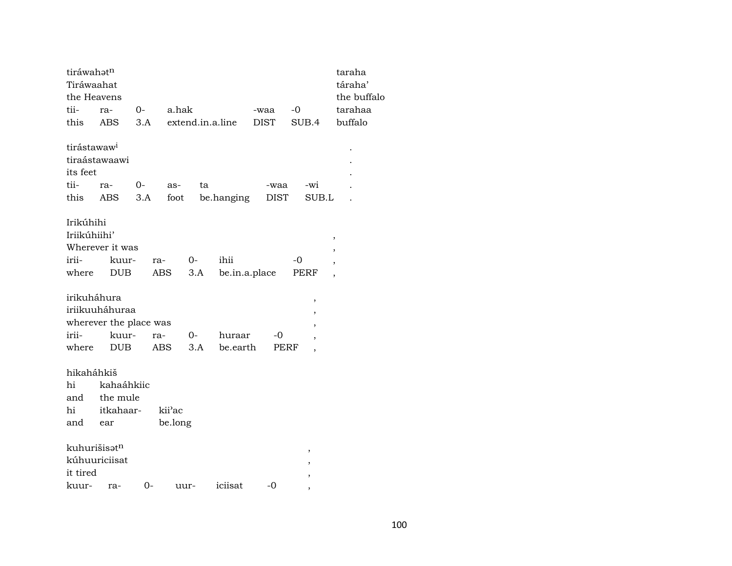| tiráwahatn              |                        |      |         |                  |               |             |                          | taraha                   |
|-------------------------|------------------------|------|---------|------------------|---------------|-------------|--------------------------|--------------------------|
| Tiráwaahat              |                        |      |         |                  |               |             |                          | táraha'                  |
| the Heavens             |                        |      |         |                  |               |             |                          | the buffalo              |
| tii-                    | ra-                    | $0-$ | a.hak   |                  |               | -waa        | $-0$                     | tarahaa                  |
| this                    | ABS                    | 3.A  |         | extend.in.a.line |               | <b>DIST</b> | SUB.4                    | buffalo                  |
| tirástawaw <sup>i</sup> |                        |      |         |                  |               |             |                          |                          |
|                         | tiraástawaawi          |      |         |                  |               |             |                          |                          |
| its feet                |                        |      |         |                  |               |             |                          |                          |
| tii-                    | ra-                    | 0-   | as-     | ta               |               | -waa        | $-wi$                    |                          |
| this                    | ABS                    | 3.A  | foot    |                  | be.hanging    | <b>DIST</b> | SUB.L                    |                          |
| Irikúhihi               |                        |      |         |                  |               |             |                          |                          |
| Iriikúhiihi'            |                        |      |         |                  |               |             |                          | ,                        |
|                         | Wherever it was        |      |         |                  |               |             |                          | ,                        |
| irii-                   | kuur-                  | ra-  |         | 0-               | ihii          |             | -0                       | $\overline{ }$           |
| where                   | DUB                    |      | ABS     | 3.A              | be.in.a.place |             | PERF                     | $\overline{\phantom{a}}$ |
| irikuháhura             |                        |      |         |                  |               |             | ,                        |                          |
|                         | iriikuuháhuraa         |      |         |                  |               |             | ,                        |                          |
|                         | wherever the place was |      |         |                  |               |             |                          |                          |
| irii-                   | kuur-                  | ra-  |         | 0-               | huraar        | -0          |                          |                          |
| where                   | <b>DUB</b>             |      | ABS     | 3.A              | be.earth      | PERF        | $\overline{\phantom{a}}$ |                          |
| hikaháhkiš              |                        |      |         |                  |               |             |                          |                          |
| hi                      | kahaáhkiic             |      |         |                  |               |             |                          |                          |
| and                     | the mule               |      |         |                  |               |             |                          |                          |
| hi                      | itkahaar-              |      | kii'ac  |                  |               |             |                          |                          |
| and                     | ear                    |      | be.long |                  |               |             |                          |                          |
| kuhurišisatn            |                        |      |         |                  |               |             | $\, ,$                   |                          |
| kúhuuriciisat           |                        |      |         |                  |               |             | ,                        |                          |
| it tired                |                        |      |         |                  |               |             | $\, ,$                   |                          |
| kuur-                   | ra-                    | 0-   | uur-    |                  | iciisat       | $-0$        |                          |                          |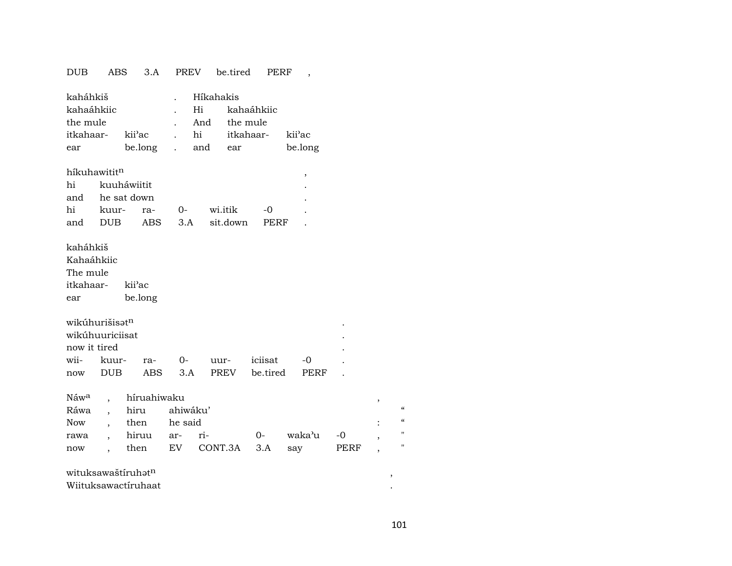## DUB ABS 3.A PREV be.tired PERF ,

| kaháhkiš                      |               | Híkahakis |                                    |         |
|-------------------------------|---------------|-----------|------------------------------------|---------|
| kahaáhkiic                    |               |           | . Hi kahaáhkiic                    |         |
| the mule                      |               |           | And the mule                       |         |
| itkahaar- kii <sup>3</sup> ac |               |           | . hi itkahaar- kii <sup>y</sup> ac |         |
| ear                           | be.long . and |           | ear                                | be.long |
|                               |               |           |                                    |         |

### $h$ íkuhawitit $^{\rm n}$ hi kuuháwiitit . and he sat down . hi kuur- ra- 0- wi.itik -0 . and DUB ABS 3.A sit.down PERF .

#### kaháhkiš

Kahaáhkiic The mule

itkahaar- kii"ac ear be.long

| wikuhurišisət <sup>n</sup> |                                |  |  |  |                       |           |  |  |  |  |  |  |
|----------------------------|--------------------------------|--|--|--|-----------------------|-----------|--|--|--|--|--|--|
| wikúhuuriciisat            |                                |  |  |  |                       |           |  |  |  |  |  |  |
| now it tired               |                                |  |  |  |                       |           |  |  |  |  |  |  |
|                            | wii- kuur- ra- 0- uur- iciisat |  |  |  |                       | $ \Omega$ |  |  |  |  |  |  |
| now                        | DUB -                          |  |  |  | ABS 3.A PREV be.tired | PERF      |  |  |  |  |  |  |

|  |                   | Náw <sup>a</sup> , híruahiwaku |                                           |  |  |  |  |              |  |  |  |
|--|-------------------|--------------------------------|-------------------------------------------|--|--|--|--|--------------|--|--|--|
|  |                   | Ráwa , hiru ahiwáku'           |                                           |  |  |  |  |              |  |  |  |
|  | Now, then he-said |                                |                                           |  |  |  |  |              |  |  |  |
|  |                   |                                | rawa , hiruu ar- ri-     0-  waka'u -0  , |  |  |  |  | $\mathbf{H}$ |  |  |  |
|  |                   |                                | now, then EV CONT.3A 3.A say PERF,        |  |  |  |  | $\mathbf{H}$ |  |  |  |

## wituksawaštíruhŸt¶ ,

Wiituksawactíruhaat .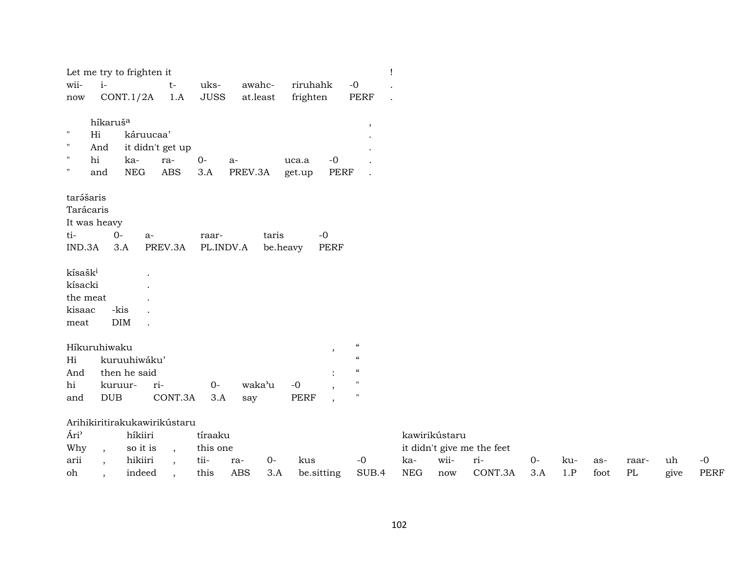|                                                |                          | Let me try to frighten it |                              |                     |                         |                   |                                         |                            |            |               |                            |      |     |      |          |      |             |
|------------------------------------------------|--------------------------|---------------------------|------------------------------|---------------------|-------------------------|-------------------|-----------------------------------------|----------------------------|------------|---------------|----------------------------|------|-----|------|----------|------|-------------|
| wii-<br>now                                    | $i-$                     | CONT.1/2A                 | $t-$<br>1.A                  | uks-<br><b>JUSS</b> | awahc-<br>$\,$ at.least |                   | riruhahk<br>frighten                    | $-o$<br>PERF               |            |               |                            |      |     |      |          |      |             |
|                                                |                          |                           |                              |                     |                         |                   |                                         |                            |            |               |                            |      |     |      |          |      |             |
|                                                | híkaruš <sup>a</sup>     |                           |                              |                     |                         |                   |                                         | $^\mathrm{,}$              |            |               |                            |      |     |      |          |      |             |
| $\pmb{\mathsf{H}}$<br>Hi<br>$\pmb{\mathsf{H}}$ |                          | káruucaa'                 |                              |                     |                         |                   |                                         |                            |            |               |                            |      |     |      |          |      |             |
| hi<br>$\mathbf{H}$                             | And                      | ka-                       | it didn't get up             |                     |                         |                   | $-0$                                    |                            |            |               |                            |      |     |      |          |      |             |
| $\pmb{\mathsf{H}}$                             | and                      | <b>NEG</b>                | ra-<br><b>ABS</b>            | $0-$<br>3.A         | a-<br>PREV.3A           |                   | uca.a<br><b>PERF</b><br>get.up          |                            |            |               |                            |      |     |      |          |      |             |
|                                                |                          |                           |                              |                     |                         |                   |                                         |                            |            |               |                            |      |     |      |          |      |             |
| tarášaris                                      |                          |                           |                              |                     |                         |                   |                                         |                            |            |               |                            |      |     |      |          |      |             |
| Tarácaris                                      |                          |                           |                              |                     |                         |                   |                                         |                            |            |               |                            |      |     |      |          |      |             |
| It was heavy                                   |                          |                           |                              |                     |                         |                   |                                         |                            |            |               |                            |      |     |      |          |      |             |
| ti-<br>IND.3A                                  | $0-$<br>3.A              | $a-$                      | PREV.3A                      | raar-<br>PL.INDV.A  |                         | taris<br>be.heavy | $-0$<br><b>PERF</b>                     |                            |            |               |                            |      |     |      |          |      |             |
|                                                |                          |                           |                              |                     |                         |                   |                                         |                            |            |               |                            |      |     |      |          |      |             |
| kísašk <sup>i</sup>                            |                          |                           |                              |                     |                         |                   |                                         |                            |            |               |                            |      |     |      |          |      |             |
| kísacki                                        |                          |                           |                              |                     |                         |                   |                                         |                            |            |               |                            |      |     |      |          |      |             |
| the meat                                       |                          |                           |                              |                     |                         |                   |                                         |                            |            |               |                            |      |     |      |          |      |             |
| kisaac                                         | -kis                     |                           |                              |                     |                         |                   |                                         |                            |            |               |                            |      |     |      |          |      |             |
| meat                                           | <b>DIM</b>               |                           |                              |                     |                         |                   |                                         |                            |            |               |                            |      |     |      |          |      |             |
| Híkuruhiwaku                                   |                          |                           |                              |                     |                         |                   |                                         | $\mathcal{C}\mathcal{C}$   |            |               |                            |      |     |      |          |      |             |
| Hi                                             |                          | kuruuhiwáku'              |                              |                     |                         |                   | $\overline{\phantom{a}}$                | $\boldsymbol{\mathcal{C}}$ |            |               |                            |      |     |      |          |      |             |
| And                                            |                          | then he said              |                              |                     |                         |                   |                                         | $\boldsymbol{\mathcal{C}}$ |            |               |                            |      |     |      |          |      |             |
| hi                                             | kuruur-                  |                           | ri-                          | $0-$                | waka'u                  |                   | $-0$                                    |                            |            |               |                            |      |     |      |          |      |             |
| and                                            | <b>DUB</b>               |                           | CONT.3A                      | 3.A                 | say                     |                   | <b>PERF</b><br>$\overline{\phantom{a}}$ | $^{\prime}$                |            |               |                            |      |     |      |          |      |             |
|                                                |                          |                           | Arihikiritirakukawirikústaru |                     |                         |                   |                                         |                            |            |               |                            |      |     |      |          |      |             |
| Ári <sup>3</sup>                               |                          | híkiiri                   |                              | tíraaku             |                         |                   |                                         |                            |            | kawirikústaru |                            |      |     |      |          |      |             |
| Why                                            | $\overline{\phantom{a}}$ | so it is                  | $\overline{\phantom{a}}$     | this one            |                         |                   |                                         |                            |            |               | it didn't give me the feet |      |     |      |          |      |             |
| arii                                           | $\cdot$                  | hikiiri                   |                              | tii-                | ra-                     | $0-$              | kus                                     | $-0$                       | ka-        | wii-          | ri-                        | $0-$ | ku- | as-  | raar-    | uh   | $-0$        |
| oh                                             | $\cdot$                  | indeed                    | $\overline{\phantom{a}}$     | this                | <b>ABS</b>              | 3.A               | be.sitting                              | SUB.4                      | <b>NEG</b> | now           | CONT.3A                    | 3.A  | 1.P | foot | $\rm PL$ | give | <b>PERF</b> |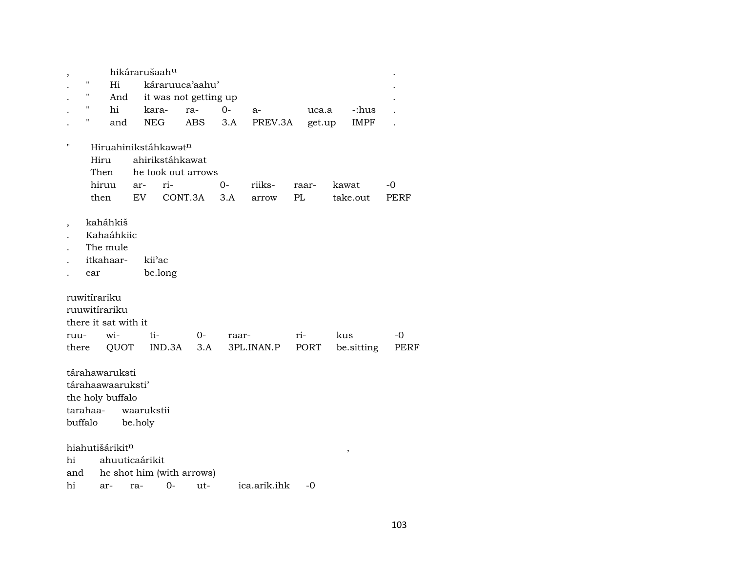|          |     |                                  | hikárarušaah <sup>u</sup> |                 |                           |       |              |       |        |            |      |
|----------|-----|----------------------------------|---------------------------|-----------------|---------------------------|-------|--------------|-------|--------|------------|------|
|          | 11  | Hi                               |                           |                 | káraruuca'aahu'           |       |              |       |        |            |      |
|          | "   | And                              |                           |                 | it was not getting up     |       |              |       |        |            |      |
|          | 11  | hi                               |                           | kara-           | ra-                       | $0 -$ | $a-$         |       | uca.a  | -:hus      |      |
|          | Η   | and                              | <b>NEG</b>                |                 | ABS.                      | 3.A   | PREV.3A      |       | get.up | IMPF       |      |
|          |     |                                  |                           |                 |                           |       |              |       |        |            |      |
| П        |     | Hiruahinikstáhkawat <sup>n</sup> |                           |                 |                           |       |              |       |        |            |      |
|          |     | Hiru                             |                           | ahirikstáhkawat |                           |       |              |       |        |            |      |
|          |     | Then                             |                           |                 | he took out arrows        |       |              |       |        |            |      |
|          |     | hiruu                            | ar-                       | ri-             |                           | 0-    | riiks-       | raar- |        | kawat      | -0   |
|          |     | then                             | EV.                       |                 | CONT.3A                   | 3.A   | arrow        | PL    |        | take.out   | PERF |
|          |     |                                  |                           |                 |                           |       |              |       |        |            |      |
|          |     | kaháhkiš                         |                           |                 |                           |       |              |       |        |            |      |
|          |     | Kahaáhkiic                       |                           |                 |                           |       |              |       |        |            |      |
|          |     | The mule                         |                           |                 |                           |       |              |       |        |            |      |
|          |     | itkahaar-                        |                           | kii'ac          |                           |       |              |       |        |            |      |
|          | ear |                                  |                           | be.long         |                           |       |              |       |        |            |      |
|          |     |                                  |                           |                 |                           |       |              |       |        |            |      |
|          |     | ruwitírariku                     |                           |                 |                           |       |              |       |        |            |      |
|          |     | ruuwitírariku                    |                           |                 |                           |       |              |       |        |            |      |
|          |     | there it sat with it             |                           |                 |                           |       |              |       |        |            |      |
| ruu-     |     | wi-                              | ti-                       |                 | 0-                        | raar- |              | ri-   |        | kus        | -0   |
| there    |     | QUOT                             |                           | IND.3A          | 3.A                       |       | 3PL.INAN.P   |       | PORT   | be.sitting | PERF |
|          |     |                                  |                           |                 |                           |       |              |       |        |            |      |
|          |     | tárahawaruksti                   |                           |                 |                           |       |              |       |        |            |      |
|          |     | tárahaawaaruksti'                |                           |                 |                           |       |              |       |        |            |      |
|          |     |                                  |                           |                 |                           |       |              |       |        |            |      |
|          |     | the holy buffalo                 |                           |                 |                           |       |              |       |        |            |      |
| tarahaa- |     |                                  | waarukstii                |                 |                           |       |              |       |        |            |      |
| buffalo  |     |                                  | be.holy                   |                 |                           |       |              |       |        |            |      |
|          |     |                                  |                           |                 |                           |       |              |       |        |            |      |
|          |     | hiahutišárikitn                  |                           |                 |                           |       |              |       |        | ,          |      |
| hi       |     | ahuuticaárikit                   |                           |                 |                           |       |              |       |        |            |      |
| and      |     |                                  |                           |                 | he shot him (with arrows) |       |              |       |        |            |      |
| hi       |     | ar-                              | ra-                       | $0-$            | ut-                       |       | ica.arik.ihk |       | $-0$   |            |      |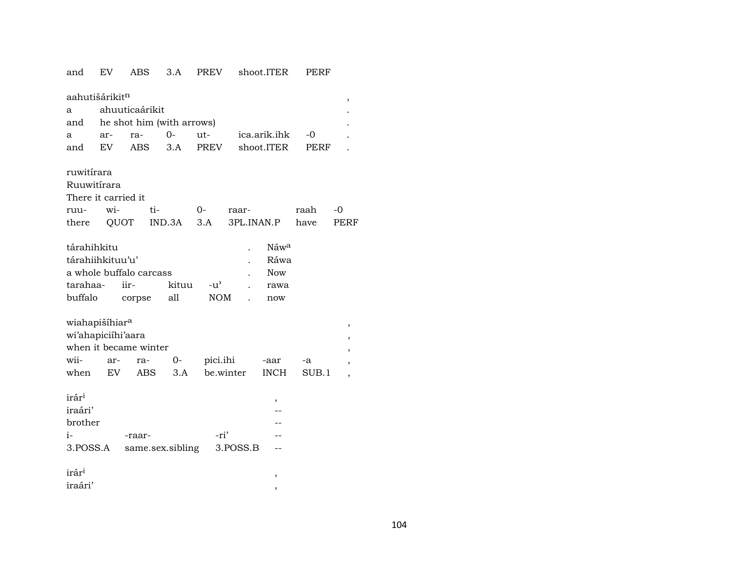| and                        | ΕV   | ABS                       | 3.A    | <b>PREV</b>   |            | shoot.ITER   | <b>LEKF</b> |      |
|----------------------------|------|---------------------------|--------|---------------|------------|--------------|-------------|------|
| aahutišárikitn             |      |                           |        |               |            |              |             | ,    |
| a                          |      | ahuuticaárikit            |        |               |            |              |             |      |
| and                        |      | he shot him (with arrows) |        |               |            |              |             |      |
| a                          | ar-  | ra-                       | $O -$  | ut-           |            | ica.arik.ihk | $-0$        |      |
| and                        | EV.  | <b>ABS</b>                | 3.A    | <b>PREV</b>   |            | shoot.ITER   | PERF        |      |
|                            |      |                           |        |               |            |              |             |      |
| ruwitírara                 |      |                           |        |               |            |              |             |      |
| Ruuwitírara                |      |                           |        |               |            |              |             |      |
| There it carried it        |      |                           |        |               |            |              |             |      |
| ruu-                       | wi-  | ti-                       |        | 0-            | raar-      |              | raah        | -0   |
| there                      | QUOT |                           | IND.3A | 3.A           | 3PL.INAN.P |              | have        | PERF |
|                            |      |                           |        |               |            |              |             |      |
| tárahihkitu                |      |                           |        |               |            | Náwa         |             |      |
| tárahiihkituu'u'           |      |                           |        |               |            | Ráwa         |             |      |
|                            |      | a whole buffalo carcass   |        |               |            | <b>Now</b>   |             |      |
| tarahaa-                   |      | iir-                      | kituu  | $-u^{\prime}$ |            | rawa         |             |      |
| buffalo                    |      | corpse                    | all    | <b>NOM</b>    |            | now          |             |      |
|                            |      |                           |        |               |            |              |             |      |
| wiahapišíhiar <sup>a</sup> |      |                           |        |               |            |              |             |      |
| wi'ahapiciíhi'aara         |      |                           |        |               |            |              |             | ,    |
|                            |      | when it became winter     |        |               |            |              |             |      |
| wii-                       | ar-  | ra-                       | 0-     | pici.ihi      |            | -aar         | -a          |      |
| when                       | EV.  | ABS                       | 3.A    |               | be.winter  | <b>INCH</b>  | SUB.1       |      |
|                            |      |                           |        |               |            |              |             |      |
| irár <sup>i</sup>          |      |                           |        |               |            |              |             |      |
| iraári'                    |      |                           |        |               |            | ,            |             |      |
| brother                    |      |                           |        |               |            |              |             |      |
| i-                         |      | -raar-                    |        | -ri'          |            |              |             |      |
| 3.POSS.A                   |      | same.sex.sibling          |        |               | 3.POSS.B   |              |             |      |
|                            |      |                           |        |               |            |              |             |      |
| irár <sup>i</sup>          |      |                           |        |               |            | ,            |             |      |
| iraári'                    |      |                           |        |               |            |              |             |      |
|                            |      |                           |        |               |            |              |             |      |

 $\overline{a}$ 

 $-\cdot$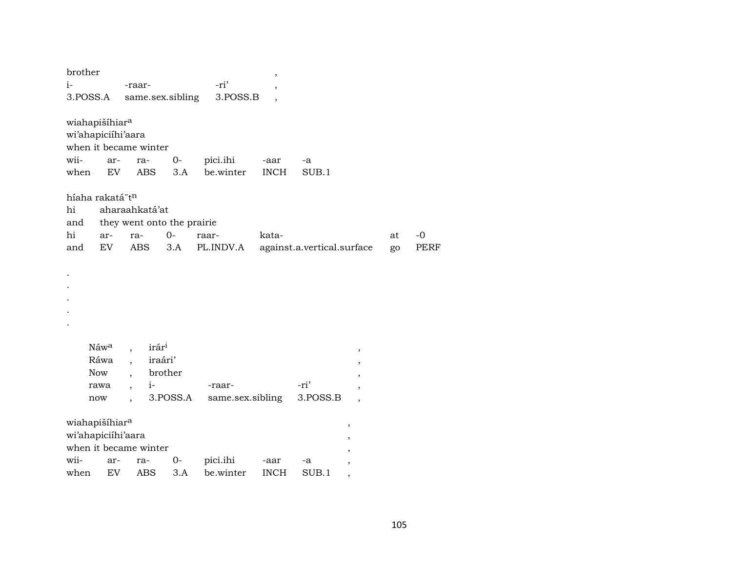| brother  |                             |                                 |          |                  | $\overline{\phantom{a}}$ |                            |                          |    |      |
|----------|-----------------------------|---------------------------------|----------|------------------|--------------------------|----------------------------|--------------------------|----|------|
| i-       |                             | -raar-                          |          | -ri'             |                          |                            |                          |    |      |
| 3.POSS.A |                             | same.sex.sibling                |          | 3.POSS.B         |                          |                            |                          |    |      |
|          |                             |                                 |          |                  |                          |                            |                          |    |      |
|          | wiahapišíhiar <sup>a</sup>  |                                 |          |                  |                          |                            |                          |    |      |
|          | wi'ahapiciíhi'aara          |                                 |          |                  |                          |                            |                          |    |      |
|          |                             | when it became winter           |          |                  |                          |                            |                          |    |      |
| wii-     | ar-                         | ra-                             | $0-$     | pici.ihi         | -aar                     | -a                         |                          |    |      |
| when     | EV.                         | <b>ABS</b>                      | 3.A      | be.winter        | <b>INCH</b>              | SUB.1                      |                          |    |      |
|          | híaha rakatá"t <sup>n</sup> |                                 |          |                  |                          |                            |                          |    |      |
| hi       |                             | aharaahkatá'at                  |          |                  |                          |                            |                          |    |      |
| and      |                             | they went onto the prairie      |          |                  |                          |                            |                          |    |      |
| hi       | ar-                         | ra-                             | $O -$    | raar-            | kata-                    |                            |                          | at | $-0$ |
| and      | EV                          | <b>ABS</b>                      | 3.A      | PL.INDV.A        |                          | against.a.vertical.surface |                          | go | PERF |
|          |                             |                                 |          |                  |                          |                            |                          |    |      |
|          |                             |                                 |          |                  |                          |                            |                          |    |      |
|          |                             |                                 |          |                  |                          |                            |                          |    |      |
|          |                             |                                 |          |                  |                          |                            |                          |    |      |
|          |                             |                                 |          |                  |                          |                            |                          |    |      |
|          |                             |                                 |          |                  |                          |                            |                          |    |      |
|          | Náw <sup>a</sup>            | irár <sup>i</sup>               |          |                  |                          |                            |                          |    |      |
|          | Ráwa                        | iraári'<br>$\ddot{\phantom{0}}$ |          |                  |                          |                            | $\pmb{\mathcal{I}}$      |    |      |
|          | <b>Now</b>                  | $\overline{\phantom{a}}$        | brother  |                  |                          |                            |                          |    |      |
|          | rawa                        | $1-$<br>$\overline{ }$ ,        |          | -raar-           |                          | -ri'                       |                          |    |      |
|          | now                         |                                 | 3.POSS.A | same.sex.sibling |                          | 3.POSS.B                   |                          |    |      |
|          |                             | $\overline{\phantom{a}}$        |          |                  |                          |                            |                          |    |      |
|          | wiahapišíhiar <sup>a</sup>  |                                 |          |                  |                          |                            | $\, ,$                   |    |      |
|          | wi'ahapiciíhi'aara          |                                 |          |                  |                          |                            | ,                        |    |      |
|          |                             | when it became winter           |          |                  |                          |                            |                          |    |      |
| wii-     | ar-                         | ra-                             | $0-$     | pici.ihi         | -aar                     | -a                         |                          |    |      |
| when     | EV.                         | ABS                             | 3.A      | be.winter        | <b>INCH</b>              | SUB.1                      | $\overline{\phantom{a}}$ |    |      |
|          |                             |                                 |          |                  |                          |                            |                          |    |      |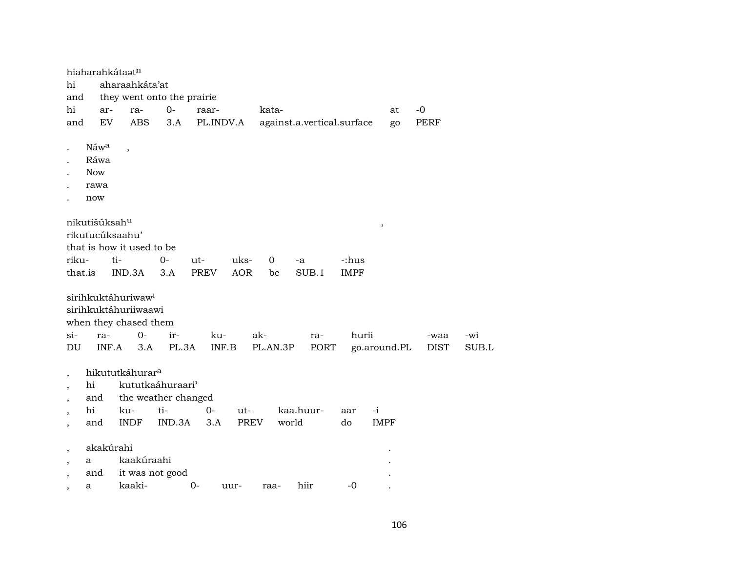|                                                                                                              |                                                       | hiaharahkátaatn                                                                                          |              |              |            |                 |                            |             |                         |                     |              |
|--------------------------------------------------------------------------------------------------------------|-------------------------------------------------------|----------------------------------------------------------------------------------------------------------|--------------|--------------|------------|-----------------|----------------------------|-------------|-------------------------|---------------------|--------------|
| hi                                                                                                           |                                                       | aharaahkáta'at                                                                                           |              |              |            |                 |                            |             |                         |                     |              |
| and                                                                                                          |                                                       | they went onto the prairie                                                                               |              |              |            |                 |                            |             |                         |                     |              |
| hi                                                                                                           | ar-                                                   | ra-                                                                                                      | $O -$        | raar-        |            | kata-           |                            |             | at                      | $-0$                |              |
| and                                                                                                          | ${\rm EV}$                                            | <b>ABS</b>                                                                                               | 3.A          | PL.INDV.A    |            |                 | against.a.vertical.surface |             | go                      | PERF                |              |
| $\ddot{\phantom{0}}$                                                                                         | Náw <sup>a</sup><br>Ráwa<br><b>Now</b><br>rawa<br>now | $\overline{\phantom{a}}$                                                                                 |              |              |            |                 |                            |             |                         |                     |              |
|                                                                                                              | nikutišúksah <sup>u</sup>                             |                                                                                                          |              |              |            |                 |                            |             | $^\mathrm{^\mathrm{o}}$ |                     |              |
|                                                                                                              |                                                       | rikutucúksaahu'                                                                                          |              |              |            |                 |                            |             |                         |                     |              |
|                                                                                                              |                                                       | that is how it used to be                                                                                |              |              |            |                 |                            |             |                         |                     |              |
| riku-                                                                                                        |                                                       | ti-                                                                                                      | $0-$         | ut-          | uks-       | $\overline{0}$  | -a                         | -:hus       |                         |                     |              |
| that.is                                                                                                      |                                                       | IND.3A                                                                                                   | 3.A          | <b>PREV</b>  | <b>AOR</b> | be              | SUB.1                      | <b>IMPF</b> |                         |                     |              |
| $\sin$<br>DU                                                                                                 | ra-                                                   | sirihkuktáhuriwaw <sup>i</sup><br>sirihkuktáhuriiwaawi<br>when they chased them<br>$O -$<br>INF.A<br>3.A | ir-<br>PL.3A | ku-<br>INF.B |            | ak-<br>PL.AN.3P | ra-<br>PORT                | hurii       | go.around.PL            | -waa<br><b>DIST</b> | -wi<br>SUB.L |
| $\overline{\phantom{a}}$                                                                                     |                                                       | hikututkáhurar <sup>a</sup>                                                                              |              |              |            |                 |                            |             |                         |                     |              |
| $\overline{\phantom{a}}$                                                                                     | hi                                                    | kututkaáhuraari <sup>3</sup>                                                                             |              |              |            |                 |                            |             |                         |                     |              |
| $\overline{\phantom{a}}$                                                                                     | and                                                   | the weather changed                                                                                      |              |              |            |                 |                            |             |                         |                     |              |
| $\overline{\phantom{a}}$                                                                                     | hi                                                    | ku-                                                                                                      | $ti-$        | 0-           | ut-        |                 | kaa.huur-                  | aar         | $-i$                    |                     |              |
| $\overline{\phantom{a}}$                                                                                     | and                                                   | <b>INDF</b>                                                                                              | IND.3A       | 3.A          | PREV       |                 | world                      | do          | <b>IMPF</b>             |                     |              |
| $\overline{\phantom{a}}$<br>$\overline{\phantom{a}}$<br>$\overline{\phantom{a}}$<br>$\overline{\phantom{a}}$ | akakúrahi<br>a<br>and<br>a                            | kaakúraahi<br>it was not good<br>kaaki-                                                                  |              | $O-$         | uur-       | raa-            | hiir                       | $-0$        |                         |                     |              |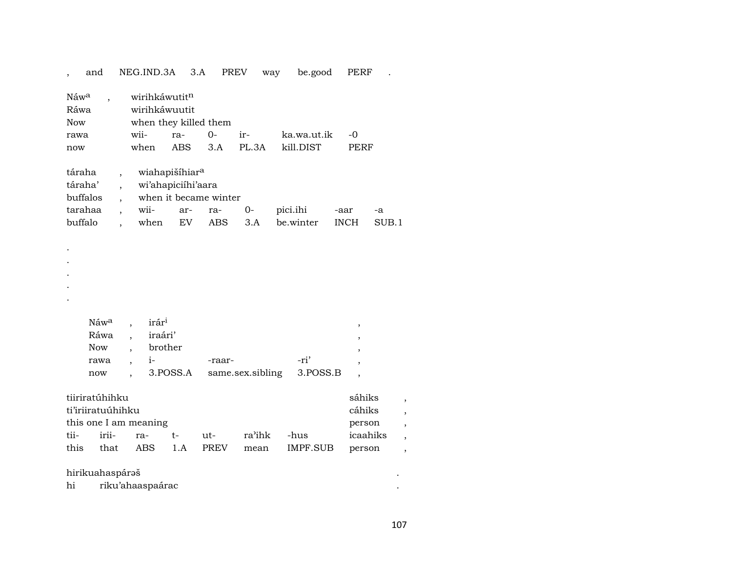, and NEG.IND.3A 3.A PREV way be.good PERF .

| Náw <sup>a</sup> | wirihkáwutit <sup>n</sup> |                            |      |       |             |             |       |
|------------------|---------------------------|----------------------------|------|-------|-------------|-------------|-------|
| Ráwa             | wirihkáwuutit             |                            |      |       |             |             |       |
| <b>Now</b>       | when they killed them     |                            |      |       |             |             |       |
| rawa             | wii-                      | ra-                        | $0-$ | ir-   | ka.wa.ut.ik | -0          |       |
| now              | when                      | <b>ABS</b>                 | 3.A  | PL.3A | kill.DIST   | PERF        |       |
|                  |                           |                            |      |       |             |             |       |
| táraha           |                           | wiahapišíhiar <sup>a</sup> |      |       |             |             |       |
| táraha'          |                           | wi'ahapiciihi'aara         |      |       |             |             |       |
| buffalos         |                           | when it became winter      |      |       |             |             |       |
| tarahaa          | $\overline{\text{wii}}$   | ar-                        | ra-  | 0-    | pici.ihi    | -aar        | $-a$  |
| buffalo          | when                      | EV                         | ABS  | 3.A   | be.winter   | <b>INCH</b> | SUB.1 |
|                  |                           |                            |      |       |             |             |       |

 $N$ áw $\alpha$  , irár $\iota$  ,  $\iota$ Ráwa , iraári' , Now , brother rawa , i- -raar- -ri' , now , 3.POSS.A same.sex.sibling 3.POSS.B ,

|      | tiiriratúhihku    |                       |                       |             |                                 | sáhiks   |  |
|------|-------------------|-----------------------|-----------------------|-------------|---------------------------------|----------|--|
|      | ti'iriiratuúhihku |                       |                       |             |                                 | cáhiks   |  |
|      |                   | this one I am meaning |                       |             |                                 | person   |  |
|      |                   |                       | tii- irii- ra- t- ut- | ra'ihk -hus |                                 | icaahiks |  |
| this |                   |                       |                       |             | that ABS 1.A PREV mean IMPF.SUB | person   |  |

#### hirikuahaspárŸš .

. . . . .

| hi | rıku′ahaaspaarac |  |
|----|------------------|--|
|    |                  |  |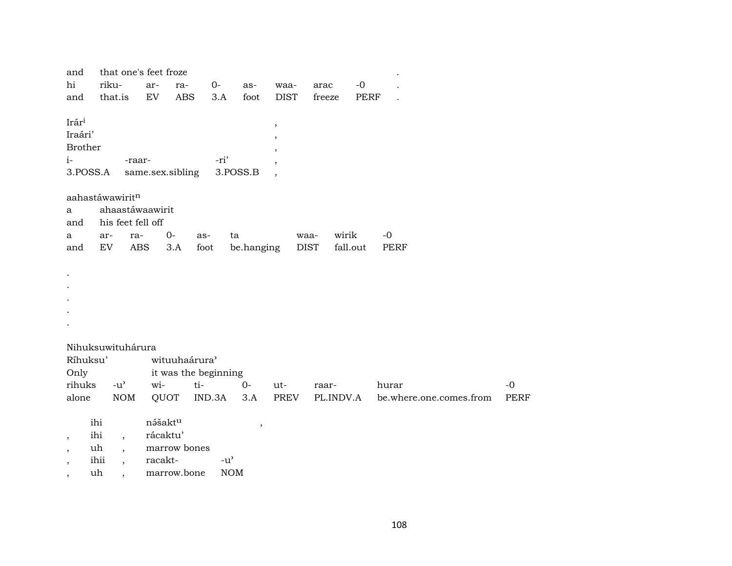| and                      |                                     | that one's feet froze |                      |               |            |             |               |             |                         |             |
|--------------------------|-------------------------------------|-----------------------|----------------------|---------------|------------|-------------|---------------|-------------|-------------------------|-------------|
| hi                       | riku-                               | ar-                   | ra-                  | $0-$          | as-        | waa-        | arac          | $-0$        |                         |             |
| and                      | that.is                             | ${\rm EV}$            | <b>ABS</b>           | 3.A           | foot       | <b>DIST</b> | freeze        | <b>PERF</b> |                         |             |
|                          |                                     |                       |                      |               |            |             |               |             |                         |             |
| Irári                    |                                     |                       |                      |               |            | $\,$        |               |             |                         |             |
| Iraári'                  |                                     |                       |                      |               |            | ,           |               |             |                         |             |
| Brother                  |                                     |                       |                      |               |            |             |               |             |                         |             |
| $i-$                     |                                     | -raar-                |                      | -ri'          |            |             |               |             |                         |             |
| 3.POSS.A                 |                                     | same.sex.sibling      |                      |               | 3.POSS.B   |             |               |             |                         |             |
|                          |                                     |                       |                      |               |            |             |               |             |                         |             |
|                          | aahastáwawiritn                     |                       |                      |               |            |             |               |             |                         |             |
| a                        |                                     | ahaastáwaawirit       |                      |               |            |             |               |             |                         |             |
| and                      |                                     | his feet fell off     |                      |               |            |             |               |             |                         |             |
| a                        | ar-                                 | ra-                   | $0-$                 | as-           | ta         |             | wirik<br>waa- |             | $-0$                    |             |
| and                      | EV                                  | ABS                   | 3.A                  | foot          | be.hanging |             | <b>DIST</b>   | fall.out    | PERF                    |             |
|                          |                                     |                       |                      |               |            |             |               |             |                         |             |
|                          |                                     |                       |                      |               |            |             |               |             |                         |             |
|                          |                                     |                       |                      |               |            |             |               |             |                         |             |
|                          |                                     |                       |                      |               |            |             |               |             |                         |             |
|                          |                                     |                       |                      |               |            |             |               |             |                         |             |
|                          |                                     |                       |                      |               |            |             |               |             |                         |             |
|                          |                                     |                       |                      |               |            |             |               |             |                         |             |
|                          | Nihuksuwituhárura                   |                       |                      |               |            |             |               |             |                         |             |
| Ríhuksu'                 |                                     |                       | wituuhaárura'        |               |            |             |               |             |                         |             |
| Only                     |                                     |                       | it was the beginning |               |            |             |               |             |                         |             |
| rihuks                   | $-u$ <sup><math>\prime</math></sup> | wi-                   | ti-                  |               | $0-$       | ut-         | raar-         |             | hurar                   | $-0$        |
| alone                    | $\rm{NOM}$                          | QUOT                  |                      | IND.3A        | 3.A        | PREV        | PL.INDV.A     |             | be.where.one.comes.from | <b>PERF</b> |
|                          |                                     |                       |                      |               |            |             |               |             |                         |             |
|                          | ihi                                 | nášaktu               |                      |               | $\, ,$     |             |               |             |                         |             |
| $\overline{\phantom{a}}$ | ihi<br>$\overline{\phantom{a}}$     | rácaktu'              |                      |               |            |             |               |             |                         |             |
| $\cdot$                  | uh<br>$\overline{\phantom{a}}$      |                       | marrow bones         |               |            |             |               |             |                         |             |
| $\overline{\phantom{a}}$ | ihii<br>$\overline{\phantom{a}}$    | racakt-               |                      | $-u^{\prime}$ |            |             |               |             |                         |             |
| $\overline{\phantom{a}}$ | uh<br>$\ddot{\phantom{0}}$          |                       | marrow.bone          | <b>NOM</b>    |            |             |               |             |                         |             |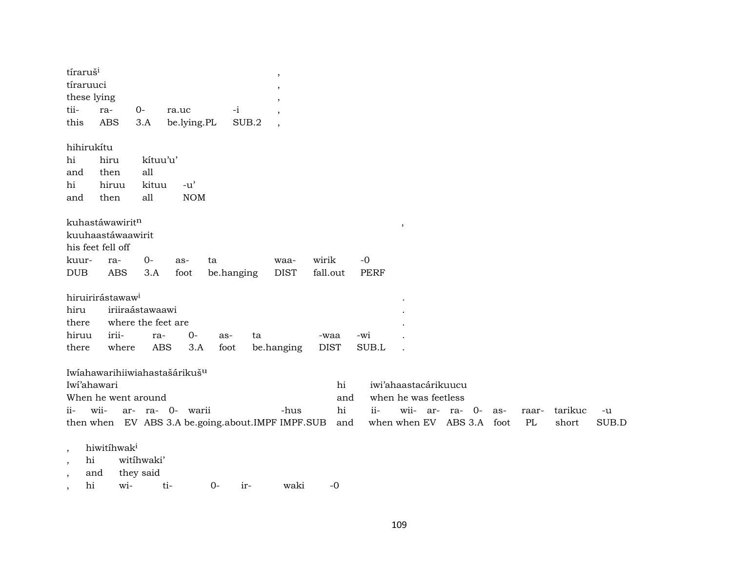| tíraruš <sup>i</sup><br>tíraruuci<br>these lying                                          |                                |                                 |                                                               |                                                   |       |                          |                        |             |                                                                                              |     |             |                  |               |
|-------------------------------------------------------------------------------------------|--------------------------------|---------------------------------|---------------------------------------------------------------|---------------------------------------------------|-------|--------------------------|------------------------|-------------|----------------------------------------------------------------------------------------------|-----|-------------|------------------|---------------|
| tii-                                                                                      | ra-                            | $0-$                            | ra.uc                                                         | $-i$                                              |       |                          |                        |             |                                                                                              |     |             |                  |               |
| this                                                                                      | <b>ABS</b>                     | 3.A                             | be.lying.PL                                                   |                                                   | SUB.2 | $\overline{\phantom{a}}$ |                        |             |                                                                                              |     |             |                  |               |
| hihirukítu<br>hi<br>and<br>hi<br>and                                                      | hiru<br>then<br>hiruu<br>then  | kítuu'u'<br>all<br>kituu<br>all | $-u'$<br><b>NOM</b>                                           |                                                   |       |                          |                        |             |                                                                                              |     |             |                  |               |
|                                                                                           | kuhastáwawiritn                |                                 |                                                               |                                                   |       |                          |                        |             | $^\mathrm{,}$                                                                                |     |             |                  |               |
|                                                                                           | kuuhaastáwaawirit              |                                 |                                                               |                                                   |       |                          |                        |             |                                                                                              |     |             |                  |               |
|                                                                                           | his feet fell off              |                                 |                                                               |                                                   |       |                          |                        |             |                                                                                              |     |             |                  |               |
| kuur-                                                                                     | ra-                            | $0-$                            | as-                                                           | ta                                                |       | waa-                     | wirik                  | $-0$        |                                                                                              |     |             |                  |               |
| <b>DUB</b>                                                                                | <b>ABS</b>                     | 3.A                             | foot                                                          | be.hanging                                        |       | <b>DIST</b>              | fall.out               | <b>PERF</b> |                                                                                              |     |             |                  |               |
|                                                                                           | hiruirirástawaw <sup>i</sup>   |                                 |                                                               |                                                   |       |                          |                        |             |                                                                                              |     |             |                  |               |
| hiru                                                                                      |                                | iriiraástawaawi                 |                                                               |                                                   |       |                          |                        |             |                                                                                              |     |             |                  |               |
| there                                                                                     |                                | where the feet are              |                                                               |                                                   |       |                          |                        |             |                                                                                              |     |             |                  |               |
| hiruu                                                                                     | irii-                          | ra-                             | 0-                                                            | as-                                               | ta    |                          | -waa                   | -wi         |                                                                                              |     |             |                  |               |
| there                                                                                     | where                          |                                 | <b>ABS</b><br>3.A                                             | foot                                              |       | be.hanging               | <b>DIST</b>            | SUB.L       |                                                                                              |     |             |                  |               |
| Iwi'ahawari<br>$ii-$                                                                      | When he went around<br>wii-    |                                 | Iwiahawarihiiwiahastašárikuš <sup>u</sup><br>ar- ra- 0- warii | then when EV ABS 3.A be.going.about.IMPF IMPF.SUB |       | -hus                     | hi<br>and<br>hi<br>and | ii-         | iwi'ahaastacárikuucu<br>when he was feetless<br>wii- ar- ra- 0-<br>when when EV ABS 3.A foot | as- | raar-<br>PL | tarikuc<br>short | $-u$<br>SUB.D |
| $\,$<br>hi<br>$^\mathrm{^\mathrm{o}}$<br>and<br>$\overline{\phantom{a}}$<br>hi<br>$\cdot$ | hiwitihwak <sup>i</sup><br>wi- | witihwaki'<br>they said         | ti-                                                           | $0-$                                              | ir-   | waki                     | $-0$                   |             |                                                                                              |     |             |                  |               |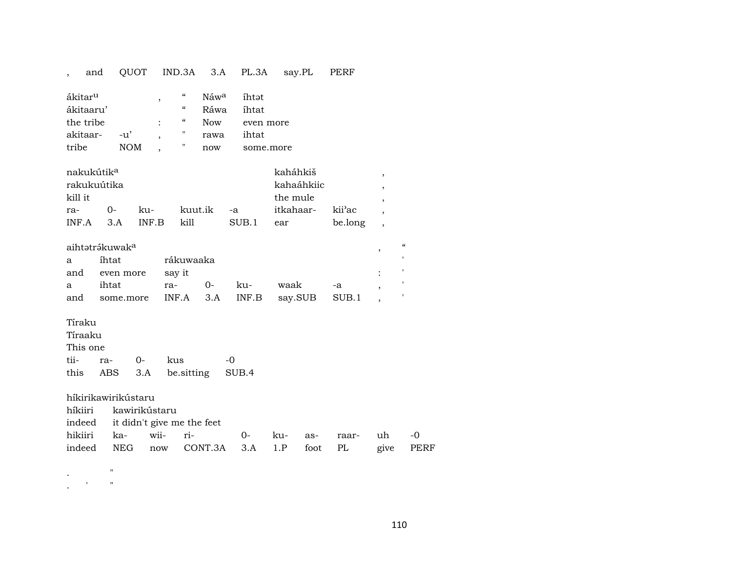## , and QUOT IND.3A 3.A PL.3A say.PL PERF

| ákitar <sup>u</sup> |     | "          | Náw <sup>a</sup> | ihtət     |
|---------------------|-----|------------|------------------|-----------|
| ákitaaru'           |     | $\epsilon$ | Ráwa             | íhtat     |
| the tribe           |     | $\epsilon$ | <b>Now</b>       | even more |
| akitaar- -u'        |     | "          | rawa             | ihtat     |
| tribe               | NOM | 11         | now              | some more |

| nakukútik <sup>a</sup> |        |       |         | kaháhkiš         |           |                     |  |
|------------------------|--------|-------|---------|------------------|-----------|---------------------|--|
| rakukuútika            |        |       |         | kahaáhkiic       |           |                     |  |
| kill it                |        |       |         |                  | the mule  |                     |  |
| ra-                    | $()$ - | ku-   | kuut.ik | $-a$             | itkahaar- | kii <sup>3</sup> ac |  |
| INF A                  | 3 A    | INF B | kill    | SUB <sub>1</sub> | ear       | be.long             |  |

| aihtətrəkuwak <sup>a</sup> |                                             |        |      |     |      |    |  |  |  |  |
|----------------------------|---------------------------------------------|--------|------|-----|------|----|--|--|--|--|
| a —                        | íhtat<br>rákuwaaka                          |        |      |     |      |    |  |  |  |  |
|                            | and even more                               | say it |      |     |      |    |  |  |  |  |
| a                          | ihtat                                       | ra-    | $O-$ | -ku | waak | -a |  |  |  |  |
|                            | and some.more INF.A 3.A INF.B say.SUB SUB.1 |        |      |     |      |    |  |  |  |  |

## Tíraku

|          | Tíraaku     |  |                               |                |  |  |  |  |  |  |  |  |
|----------|-------------|--|-------------------------------|----------------|--|--|--|--|--|--|--|--|
| This one |             |  |                               |                |  |  |  |  |  |  |  |  |
|          | tii- ra- 0- |  | kus                           | $\overline{a}$ |  |  |  |  |  |  |  |  |
|          |             |  | this ABS 3.A be sitting SUB.4 |                |  |  |  |  |  |  |  |  |

| híkirikawirikústaru |                       |                                            |  |  |  |  |  |    |  |  |
|---------------------|-----------------------|--------------------------------------------|--|--|--|--|--|----|--|--|
|                     | híkiiri kawirikústaru |                                            |  |  |  |  |  |    |  |  |
|                     |                       | indeed it didn't give me the feet          |  |  |  |  |  |    |  |  |
|                     |                       | hikiiri ka- wii- ri-   0- ku- as- raar- uh |  |  |  |  |  | -0 |  |  |

|  |  |  | indeed NEG now CONT.3A 3.A 1.P foot PL give PERF |  |  |  |  |  |  |
|--|--|--|--------------------------------------------------|--|--|--|--|--|--|
|--|--|--|--------------------------------------------------|--|--|--|--|--|--|

. "

. ' "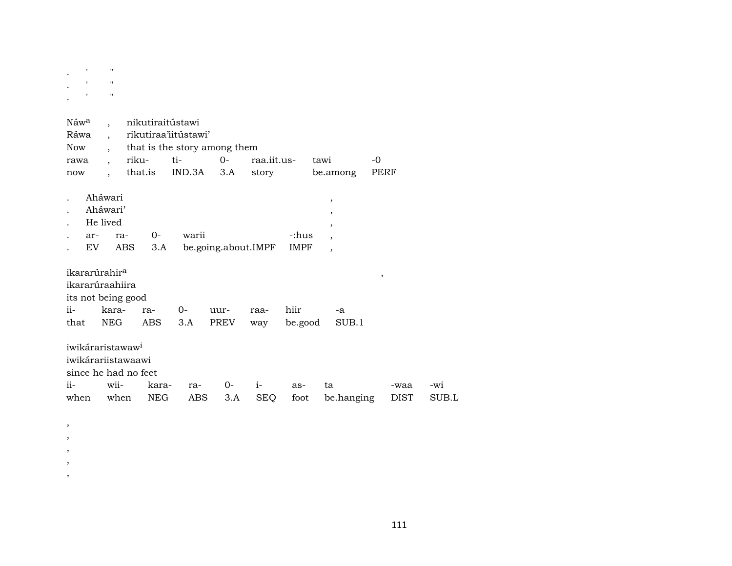| $\ddot{\phantom{a}}$ | $\mathbf{r} = \mathbf{r}$               |  |
|----------------------|-----------------------------------------|--|
| $\cdot$              | $\mathbf{r} = \mathbf{r} = -\mathbf{u}$ |  |
|                      | $\mathbf{r} = \mathbf{r} = \mathbf{r}$  |  |

 $\,$  ,  $\, ,$  $\,$  ,  $\,$ ,  $\,$  ,

| Náw <sup>a</sup><br>Ráwa<br>Now<br>rawa<br>now                                                              | $\ddot{\phantom{0}}$<br>$\ddot{\phantom{0}}$<br>$\overline{\phantom{a}}$<br>$\overline{\phantom{a}}$<br>$\overline{\phantom{a}}$ | nikutiraitústawi<br>rikutiraa'iitústawi'<br>that is the story among them<br>riku-<br>that.is | ti-<br>IND.3A | $0-$<br>3.A         | raa.iit.us-<br>story |                      | tawi<br>be.among                                                                                       | -0<br>PERF   |              |
|-------------------------------------------------------------------------------------------------------------|----------------------------------------------------------------------------------------------------------------------------------|----------------------------------------------------------------------------------------------|---------------|---------------------|----------------------|----------------------|--------------------------------------------------------------------------------------------------------|--------------|--------------|
| ar-<br>EV                                                                                                   | Aháwari<br>Aháwari'<br>He lived<br>ra-                                                                                           | $0-$<br>ABS<br>3.A                                                                           | warii         | be.going.about.IMPF |                      | -:hus<br><b>IMPF</b> | $^\mathrm{,}$<br>,<br>$\overline{\phantom{a}}$<br>$\overline{\phantom{a}}$<br>$\overline{\phantom{a}}$ |              |              |
| ikararúrahir <sup>a</sup><br>ikararúraahiira<br>its not being good<br>$i$ <sup><math>i</math></sup><br>that | kara-<br>NEG                                                                                                                     | ra-<br>ABS                                                                                   | $O -$<br>3.A  | uur-<br>PREV        | raa-<br>way          | hiir<br>be.good      | -a<br>SUB.1                                                                                            | ,            |              |
| iwikáraristawaw <sup>i</sup><br>iwikárariistawaawi<br>ii-<br>when                                           | wii-<br>when                                                                                                                     | since he had no feet<br>kara-<br><b>NEG</b>                                                  | ra-<br>ABS    | 0-<br>3.A           | $i-$<br><b>SEQ</b>   | as-<br>foot          | ta<br>be.hanging                                                                                       | -waa<br>DIST | -wi<br>SUB.L |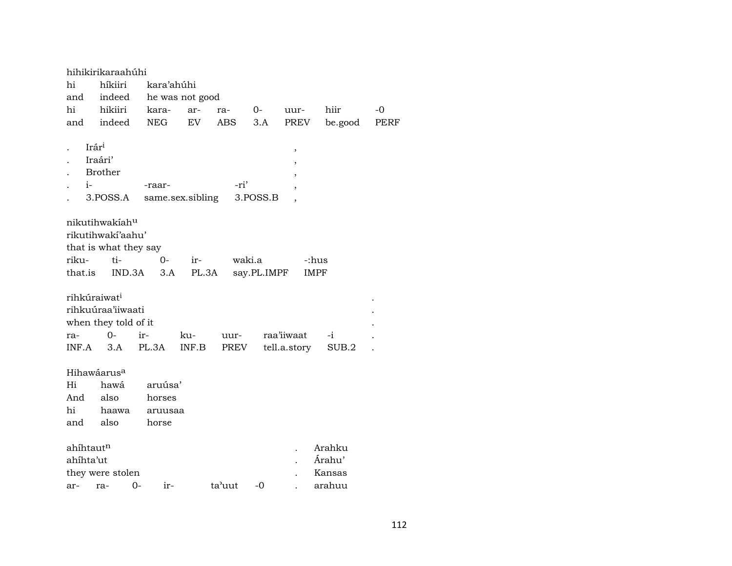|                           | hihikirikaraahúhi                                                                                                                                               |                                       |                  |        |          |                  |         |      |  |  |
|---------------------------|-----------------------------------------------------------------------------------------------------------------------------------------------------------------|---------------------------------------|------------------|--------|----------|------------------|---------|------|--|--|
| hi                        | híkiiri                                                                                                                                                         | kara'ahúhi                            |                  |        |          |                  |         |      |  |  |
| and                       | indeed                                                                                                                                                          |                                       | he was not good  |        |          |                  |         |      |  |  |
| hi                        | hikiiri                                                                                                                                                         | kara-                                 | ar-              | ra-    | $O-$     | uur-             | hiir    | $-0$ |  |  |
| and                       | indeed                                                                                                                                                          | NEG                                   | EV               | ABS    | 3.A      | PREV             | be.good | PERF |  |  |
| Irár <sup>i</sup><br>$i-$ | Iraári'<br><b>Brother</b><br>3.POSS.A                                                                                                                           | -raar-                                | same.sex.sibling | -ri'   | 3.POSS.B | ,<br>,<br>,<br>, |         |      |  |  |
| riku-                     | nikutihwakíahu<br>rikutihwakí'aahu'<br>that is what they say<br>ti-<br>waki.a<br>0-<br>-:hus<br>ir-<br>that.is<br>IND.3A<br>3.A<br>PL.3A<br>say.PL.IMPF<br>IMPF |                                       |                  |        |          |                  |         |      |  |  |
| rihkúraiwat <sup>i</sup>  | rihkuúraa'iiwaati<br>when they told of it                                                                                                                       |                                       |                  |        |          |                  |         |      |  |  |
| ra-                       | $0-$                                                                                                                                                            | ir-                                   | ku-              | uur-   |          | raa'iiwaat       | -i      |      |  |  |
| INF.A                     | 3.A                                                                                                                                                             | PL.3A                                 | INF.B            | PREV   |          | tell.a.story     | SUB.2   |      |  |  |
| Hi<br>And<br>hi<br>and    | Hihawáarus <sup>a</sup><br>hawá<br>also<br>haawa<br>also                                                                                                        | aruúsa'<br>horses<br>aruusaa<br>horse |                  |        |          |                  |         |      |  |  |
| ahíhtaut <sup>n</sup>     |                                                                                                                                                                 |                                       |                  |        |          |                  | Arahku  |      |  |  |
| ahíhta'ut                 |                                                                                                                                                                 |                                       |                  |        |          |                  | Árahu'  |      |  |  |
|                           | they were stolen                                                                                                                                                |                                       |                  |        |          |                  | Kansas  |      |  |  |
| ar-                       | ra-                                                                                                                                                             | 0-<br>$ir-$                           |                  | ta'uut | -0       |                  | arahuu  |      |  |  |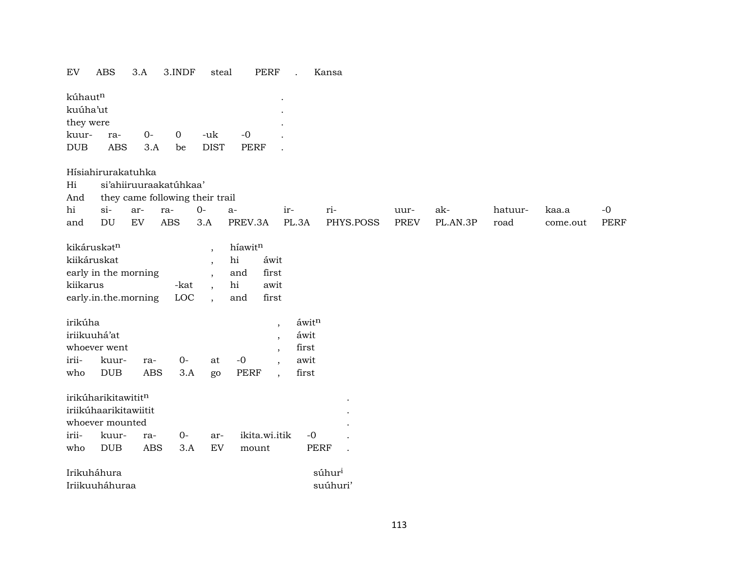#### EV ABS 3.A 3.INDF steal PERF . Kansa

| kúhaut <sup>n</sup> |     |     |          |             |      |  |  |  |  |
|---------------------|-----|-----|----------|-------------|------|--|--|--|--|
| kuúha'ut            |     |     |          |             |      |  |  |  |  |
| they were           |     |     |          |             |      |  |  |  |  |
| kuur-               | ra- | O-  | $\Omega$ | -uk         | $-0$ |  |  |  |  |
| <b>DUB</b>          | ABS | 3.A | be       | <b>DIST</b> | PERF |  |  |  |  |

#### Hísiahirurakatuhka

- Hi si'ahiiruuraakatúhkaa'
- And they came following their trail

| hi  |     |     |     |         |       |           | uur-        | ak·      | hatuur- | kaa s    |      |
|-----|-----|-----|-----|---------|-------|-----------|-------------|----------|---------|----------|------|
| and | FV) | ABS | 3.A | PREV 3A | PI.3A | PHYS POSS | <b>PREV</b> | PL AN 3P | road    | come out | PERF |

| kikáruskət <sup>n</sup> |            | híawitn |       |
|-------------------------|------------|---------|-------|
| kiikáruskat             |            | hi      | áwit  |
| early in the morning    |            | and     | first |
| kiikarus                | -kat       | hi      | awit  |
| early.in.the.morning    | <b>LOC</b> | and     | first |

| irikúha      |                 |            |      |       |       | áwitn |
|--------------|-----------------|------------|------|-------|-------|-------|
| iriikuuhá'at | áwit            |            |      |       |       |       |
|              | whoever went    |            |      |       |       | first |
|              | irii- kuur- ra- |            | $O-$ | at -0 |       | awit  |
| who          | DUB             | ABS 3.A go |      |       | PERF, | first |

| irikúharikitawitit <sup>n</sup> |  |                                         |      |  |
|---------------------------------|--|-----------------------------------------|------|--|
| iriikúhaarikitawiitit           |  |                                         |      |  |
| whoever mounted                 |  |                                         |      |  |
|                                 |  | irii- kuur- ra- 0- ar- ikita.wi.itik -0 |      |  |
|                                 |  | who DUB ABS 3.A EV mount                | PERF |  |

| Irikuháhura    | súhur <sup>i</sup> |
|----------------|--------------------|
| Iriikuuháhuraa | suúhuri            |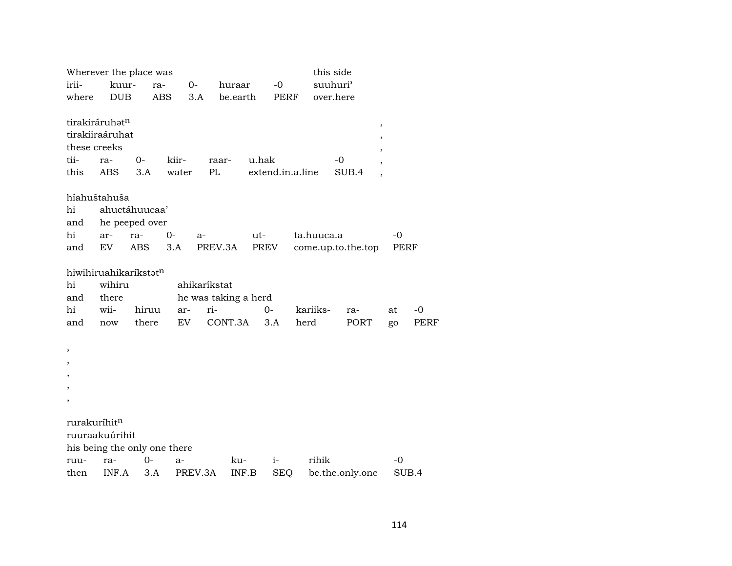|                          |            | Wherever the place was            |                              |                      |          |                  |            | this side          |      |             |
|--------------------------|------------|-----------------------------------|------------------------------|----------------------|----------|------------------|------------|--------------------|------|-------------|
| irii-                    | kuur-      | ra-                               | $0-$                         | huraar               |          | $-0$             |            | suuhuri'           |      |             |
| where                    | <b>DUB</b> |                                   | <b>ABS</b>                   | 3.A                  | be.earth | PERF             |            | over.here          |      |             |
| tirakiráruhatn           |            |                                   |                              |                      |          |                  |            | ,                  |      |             |
| tirakiiraáruhat          |            |                                   |                              |                      |          |                  |            | ,                  |      |             |
| these creeks             |            |                                   |                              |                      |          |                  |            |                    |      |             |
| tii-                     | ra-        | 0-                                | kiir-                        | raar-                | u.hak    |                  |            | -0                 |      |             |
| this                     | <b>ABS</b> | 3.A                               | water                        | PL                   |          | extend.in.a.line |            | SUB.4              |      |             |
| híahuštahuša             |            |                                   |                              |                      |          |                  |            |                    |      |             |
| hi                       |            | ahuctáhuucaa'                     |                              |                      |          |                  |            |                    |      |             |
| and                      |            | he peeped over                    |                              |                      |          |                  |            |                    |      |             |
| hi                       | ar-        | ra-                               | $0-$                         | a-                   | ut-      |                  | ta.huuca.a |                    | -0   |             |
| and                      | EV         | ABS                               | 3.A                          | PREV.3A              |          | PREV             |            | come.up.to.the.top | PERF |             |
|                          |            | hiwihiruahikaríkstat <sup>n</sup> |                              |                      |          |                  |            |                    |      |             |
| hi                       | wihiru     |                                   |                              | ahikaríkstat         |          |                  |            |                    |      |             |
| and                      | there      |                                   |                              | he was taking a herd |          |                  |            |                    |      |             |
| hi                       | wii-       | hiruu                             | ar-                          | ri-                  |          | $0-$             | kariiks-   | ra-                | at   | -0          |
| and                      | now        | there                             | EV                           | CONT.3A              |          | 3.A              | herd       | PORT               | go   | <b>PERF</b> |
| $\, ,$                   |            |                                   |                              |                      |          |                  |            |                    |      |             |
| $\, ,$                   |            |                                   |                              |                      |          |                  |            |                    |      |             |
| $\overline{\phantom{a}}$ |            |                                   |                              |                      |          |                  |            |                    |      |             |
| ,                        |            |                                   |                              |                      |          |                  |            |                    |      |             |
| $\overline{\phantom{a}}$ |            |                                   |                              |                      |          |                  |            |                    |      |             |
| rurakuríhit <sup>n</sup> |            |                                   |                              |                      |          |                  |            |                    |      |             |
| ruuraakuúrihit           |            |                                   |                              |                      |          |                  |            |                    |      |             |
|                          |            |                                   | his being the only one there |                      |          |                  |            |                    |      |             |
| ruu-                     | ra-        | 0-                                | a-                           |                      | ku-      | $i-$             | rihik      |                    | -0   |             |
| then                     | INF.A      | 3.A                               |                              | PREV.3A              | INF.B    | <b>SEQ</b>       |            | be.the.only.one    |      | SUB.4       |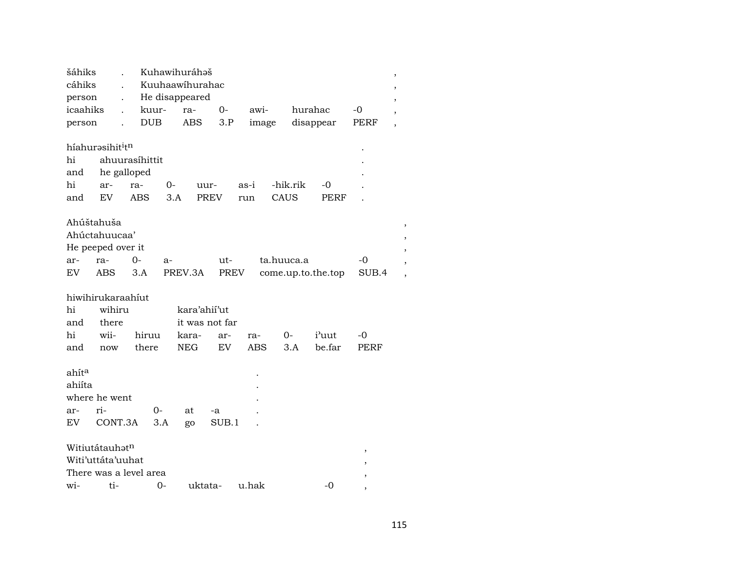| cáhiks            | šáhiks                                   |            |       | Kuhawihuráhaš   |                |            |            |                    |       | $\, ,$ |
|-------------------|------------------------------------------|------------|-------|-----------------|----------------|------------|------------|--------------------|-------|--------|
|                   |                                          |            |       | Kuuhaawihurahac |                |            |            |                    |       | ,      |
| person            |                                          |            |       | He disappeared  |                |            |            |                    |       |        |
| icaahiks          |                                          |            | kuur- | ra-             | 0-             | awi-       |            | hurahac            | -0    |        |
| person            |                                          | <b>DUB</b> |       | ABS             | 3.P            | image      |            | disappear          | PERF  |        |
|                   |                                          |            |       |                 |                |            |            |                    |       |        |
|                   | híahurəsihit <sup>i</sup> t <sup>n</sup> |            |       |                 |                |            |            |                    |       |        |
| hi                | ahuurasíhittit                           |            |       |                 |                |            |            |                    |       |        |
| and               | he galloped                              |            |       |                 |                |            |            |                    |       |        |
| hi                | ar-                                      | ra-        | 0-    |                 | uur-           | as-i       | -hik.rik   | -0                 |       |        |
| and               | <b>EV</b>                                | ABS        | 3.A   |                 | <b>PREV</b>    | run        | CAUS       | PERF               |       |        |
|                   |                                          |            |       |                 |                |            |            |                    |       |        |
| Ahúštahuša        |                                          |            |       |                 |                |            |            |                    |       |        |
|                   | Ahúctahuucaa'                            |            |       |                 |                |            |            |                    |       |        |
|                   | He peeped over it                        |            |       |                 |                |            |            |                    |       |        |
| ar-               | ra-                                      | 0-         | $a-$  |                 | ut-            |            | ta.huuca.a |                    | $-0$  |        |
| EV                | <b>ABS</b>                               | 3.A        |       | PREV.3A         | PREV           |            |            | come.up.to.the.top | SUB.4 |        |
|                   |                                          |            |       |                 |                |            |            |                    |       |        |
|                   | hiwihirukaraahiut                        |            |       |                 |                |            |            |                    |       |        |
| hi                | wihiru                                   |            |       | kara'ahii'ut    |                |            |            |                    |       |        |
| and               | there                                    |            |       |                 | it was not far |            |            |                    |       |        |
|                   | wii-                                     | hiruu      |       |                 |                |            |            |                    |       |        |
| hi                |                                          |            |       | kara-           | ar-            | ra-        | 0-         | i'uut              | -0    |        |
| and               | now                                      | there      |       | <b>NEG</b>      | EV             | <b>ABS</b> | 3.A        | be.far             | PERF  |        |
|                   |                                          |            |       |                 |                |            |            |                    |       |        |
|                   |                                          |            |       |                 |                |            |            |                    |       |        |
| ahít <sup>a</sup> |                                          |            |       |                 |                |            |            |                    |       |        |
| ahiíta            |                                          |            |       |                 |                |            |            |                    |       |        |
|                   | where he went                            |            |       |                 |                |            |            |                    |       |        |
| ar-               | ri-                                      |            | 0-    | at              | -a             |            |            |                    |       |        |
| EV                | CONT.3A                                  |            | 3.A   | go              | SUB.1          |            |            |                    |       |        |
|                   |                                          |            |       |                 |                |            |            |                    |       |        |
|                   | Witiutátauhatn                           |            |       |                 |                |            |            |                    | ,     |        |
|                   | Witi'uttáta'uuhat                        |            |       |                 |                |            |            |                    |       |        |
|                   | There was a level area                   |            |       |                 |                |            |            |                    |       |        |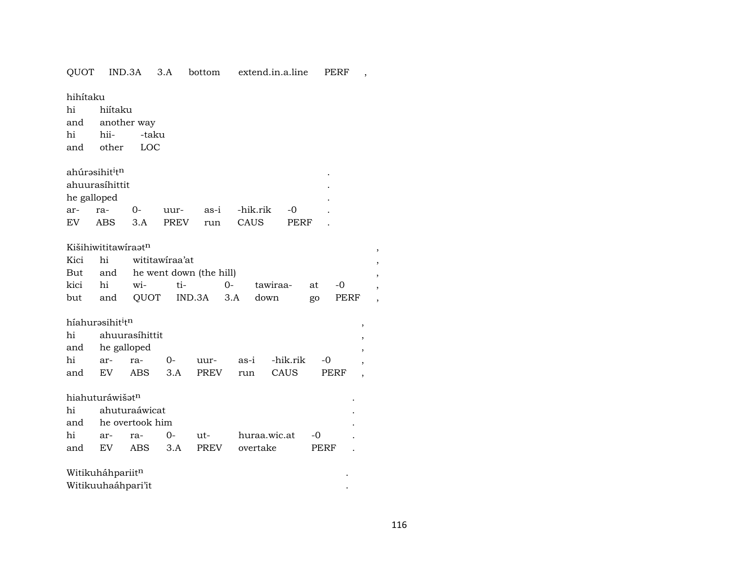## QUOT IND.3A 3.A bottom extend.in.a.line PERF ,

hihítaku

hi hiítaku and another way hi hii- -taku and other LOC

ahúrŸsihit³t¶ .

|             | ahuurasíhittit |     |                    |      |           | ٠ |
|-------------|----------------|-----|--------------------|------|-----------|---|
| he galloped |                |     |                    |      |           | ٠ |
| ar- ra-     |                | ິດ- | uur- as-i -hik.rik |      | $-\Omega$ |   |
| EV          | ABS 3.A        |     | PREV run           | CAUS | PERF      |   |

## KišihiwititawíraŸt¶ ,

|  | Kici hi wititawiraa'at |                                 |  |                                       |  |  |  |  |
|--|------------------------|---------------------------------|--|---------------------------------------|--|--|--|--|
|  |                        | But and he went down (the hill) |  |                                       |  |  |  |  |
|  |                        |                                 |  | kici hi wi- ti-  0- tawiraa- at -0    |  |  |  |  |
|  |                        |                                 |  | but and QUOT IND.3A 3.A down go PERF, |  |  |  |  |

## híahur<br/>əsihit $\mathfrak{i}^{\text{th}}$

|                 | hi ahuurasihittit |  |                                     |  |
|-----------------|-------------------|--|-------------------------------------|--|
| and he galloped |                   |  |                                     |  |
|                 |                   |  | hi ar- ra- 0- uur- as-i -hik.rik -0 |  |
|                 |                   |  | and EV ABS 3.A PREV run CAUS PERF   |  |

#### $h$ iahuturáwiš $\mathfrak{z}^{\mathrm{n}}$

| and he overtook him |  |  |                  |  |                              |                                           |  |  |
|---------------------|--|--|------------------|--|------------------------------|-------------------------------------------|--|--|
|                     |  |  |                  |  |                              |                                           |  |  |
|                     |  |  |                  |  |                              |                                           |  |  |
|                     |  |  | hi ahuturaáwicat |  | and EV ABS 3.A PREV overtake | hi ar- ra- 0- ut- huraa.wic.at -0<br>PERF |  |  |

# $\text{Witikuháhpariit}^{\text{n}}$

| Witikuuhaáhpari'it |  |
|--------------------|--|
|--------------------|--|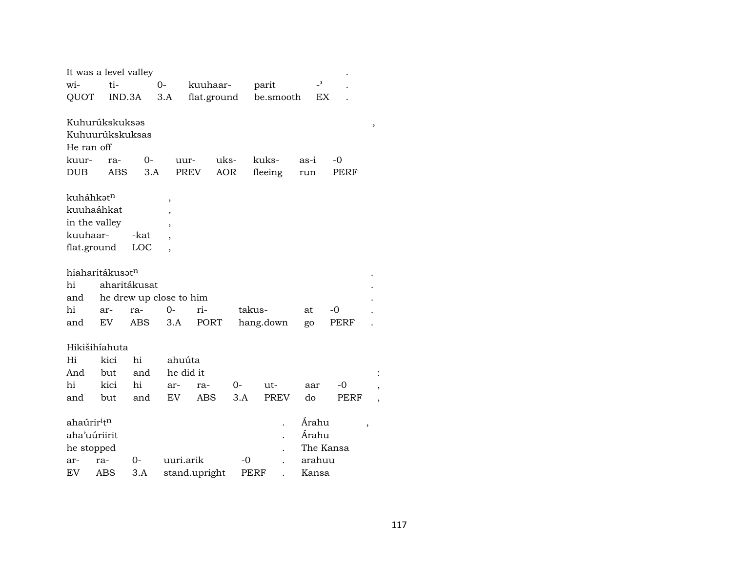| It was a level valley               |        |              |                         |               |      |             |                          |           |   |
|-------------------------------------|--------|--------------|-------------------------|---------------|------|-------------|--------------------------|-----------|---|
| wi-                                 | ti-    |              | $O -$                   | kuuhaar-      |      | parit       | $\overline{\phantom{a}}$ |           |   |
| QUOT                                | IND.3A |              | 3.A                     | flat.ground   |      | be.smooth   | EX                       |           |   |
|                                     |        |              |                         |               |      |             |                          |           |   |
| Kuhurúkskuksəs                      |        |              |                         |               |      |             |                          |           | , |
| Kuhuurúkskuksas                     |        |              |                         |               |      |             |                          |           |   |
| He ran off                          |        |              |                         |               |      |             |                          |           |   |
| kuur-                               | ra-    | $0-$         | uur-                    | uks-          |      | kuks-       | as-i                     | -0        |   |
| <b>DUB</b>                          | ABS    | 3.A          | <b>PREV</b>             | <b>AOR</b>    |      | fleeing     | run                      | PERF      |   |
| kuháhkatn                           |        |              |                         |               |      |             |                          |           |   |
| kuuhaáhkat                          |        |              | $\,$                    |               |      |             |                          |           |   |
| in the valley                       |        |              |                         |               |      |             |                          |           |   |
| kuuhaar-                            |        | -kat         |                         |               |      |             |                          |           |   |
| flat.ground                         |        | LOC          |                         |               |      |             |                          |           |   |
|                                     |        |              |                         |               |      |             |                          |           |   |
| hiaharitákusət <sup>n</sup>         |        |              |                         |               |      |             |                          |           |   |
| hi                                  |        | aharitákusat |                         |               |      |             |                          |           |   |
| and                                 |        |              | he drew up close to him |               |      |             |                          |           |   |
| hi                                  | ar-    | ra-          | 0-                      | ri-           |      | takus-      | at                       | -0        |   |
| and                                 | EV     | ABS          | 3.A                     | PORT          |      | hang.down   | go                       | PERF      |   |
|                                     |        |              |                         |               |      |             |                          |           |   |
| Hikišihíahuta                       |        |              |                         |               |      |             |                          |           |   |
| Hi                                  | kici   | hi           | ahuúta                  |               |      |             |                          |           |   |
| And                                 | but    | and          | he did it               |               |      |             |                          |           |   |
| hi                                  | kici   | hi           | ar-                     | ra-           | $0-$ | ut-         | aar                      | -0        |   |
| and                                 | but    | and          | EV                      | ABS           | 3.A  | <b>PREV</b> | do                       | PERF      |   |
| ahaúrir <sup>i</sup> t <sup>n</sup> |        |              |                         |               |      |             | Árahu                    |           |   |
| aha'uúriirit                        |        |              |                         |               |      |             | Árahu                    | ,         |   |
| he stopped                          |        |              |                         |               |      |             |                          | The Kansa |   |
| ar-                                 | ra-    | 0-           | uuri.arik               |               | -0   |             | arahuu                   |           |   |
| EV                                  | ABS    | 3.A          |                         | stand.upright |      | PERF        | Kansa                    |           |   |

 $\ddot{\cdot}$  $\, ,$  $\overline{\phantom{a}}$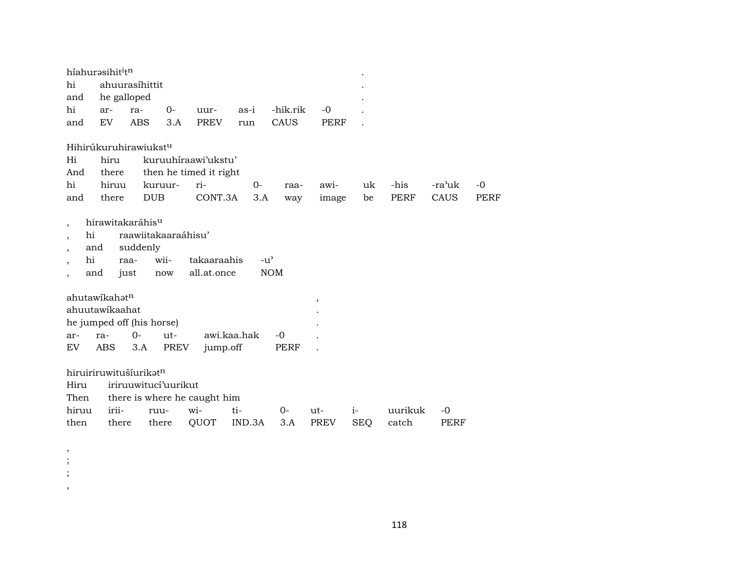|                          |      | híahurasihititn           |                                   |                           |                              |             |               |                         |            |             |        |             |
|--------------------------|------|---------------------------|-----------------------------------|---------------------------|------------------------------|-------------|---------------|-------------------------|------------|-------------|--------|-------------|
| hi                       |      |                           | ahuurasíhittit                    |                           |                              |             |               |                         |            |             |        |             |
| and                      |      |                           | he galloped                       |                           |                              |             |               |                         |            |             |        |             |
| hi                       |      | ar-                       | ra-                               | $0-$                      | uur-                         | as-i        | -hik.rik      | $-0$                    |            |             |        |             |
| and                      |      | EV                        | ABS                               | 3.A                       | PREV                         | run         | CAUS          | PERF                    |            |             |        |             |
|                          |      |                           |                                   |                           |                              |             |               |                         |            |             |        |             |
|                          |      |                           | Hihirúkuruhirawiukst <sup>u</sup> |                           |                              |             |               |                         |            |             |        |             |
| Hi                       |      | hiru                      |                                   |                           | kuruuhiraawi'ukstu'          |             |               |                         |            |             |        |             |
| And                      |      | there                     |                                   |                           | then he timed it right       |             |               |                         |            |             |        |             |
| hi                       |      | hiruu                     |                                   | kuruur-                   | ri-                          | 0-          | raa-          | awi-                    | uk         | -his        | -ra'uk | $-0$        |
| and                      |      | there                     |                                   | <b>DUB</b>                | CONT.3A                      | 3.A         | way           | image                   | be         | <b>PERF</b> | CAUS   | <b>PERF</b> |
|                          |      |                           |                                   |                           |                              |             |               |                         |            |             |        |             |
| $\overline{\phantom{a}}$ |      |                           | hirawitakaráhis <sup>u</sup>      |                           |                              |             |               |                         |            |             |        |             |
| $\cdot$                  | hi   |                           |                                   | raawiitakaaraáhisu'       |                              |             |               |                         |            |             |        |             |
| $\cdot$                  | and  |                           | suddenly                          |                           |                              |             |               |                         |            |             |        |             |
| $\overline{\phantom{a}}$ | hi   |                           | raa-                              | wii-                      | takaaraahis                  |             | $-u^{\prime}$ |                         |            |             |        |             |
|                          | and  |                           | just                              | now                       | all.at.once                  |             | <b>NOM</b>    |                         |            |             |        |             |
|                          |      |                           |                                   |                           |                              |             |               |                         |            |             |        |             |
|                          |      | ahutawikahat <sup>n</sup> |                                   |                           |                              |             |               | $^\mathrm{^\mathrm{o}}$ |            |             |        |             |
|                          |      | ahuutawikaahat            |                                   |                           |                              |             |               |                         |            |             |        |             |
|                          |      |                           |                                   | he jumped off (his horse) |                              |             |               |                         |            |             |        |             |
| ar-                      | ra-  |                           | $O -$                             | ut-                       |                              | awi.kaa.hak | $-0$          |                         |            |             |        |             |
| EV <sub></sub>           |      | <b>ABS</b>                | 3.A                               | PREV                      | jump.off                     |             | PERF          |                         |            |             |        |             |
|                          |      |                           |                                   |                           |                              |             |               |                         |            |             |        |             |
|                          |      |                           | hiruiriruwitušíurikatn            |                           |                              |             |               |                         |            |             |        |             |
| Hiru                     |      |                           |                                   | iriruuwitucí'uurikut      |                              |             |               |                         |            |             |        |             |
| Then                     |      |                           |                                   |                           | there is where he caught him |             |               |                         |            |             |        |             |
| hiruu                    |      | irii-                     |                                   | ruu-                      | wi-                          | ti-         | $0-$          | ut-                     | $i-$       | uurikuk     | $-0$   |             |
|                          | then | there                     |                                   | there                     | QUOT                         | IND.3A      | 3.A           | <b>PREV</b>             | <b>SEQ</b> | catch       | PERF   |             |

, ; ; ,

118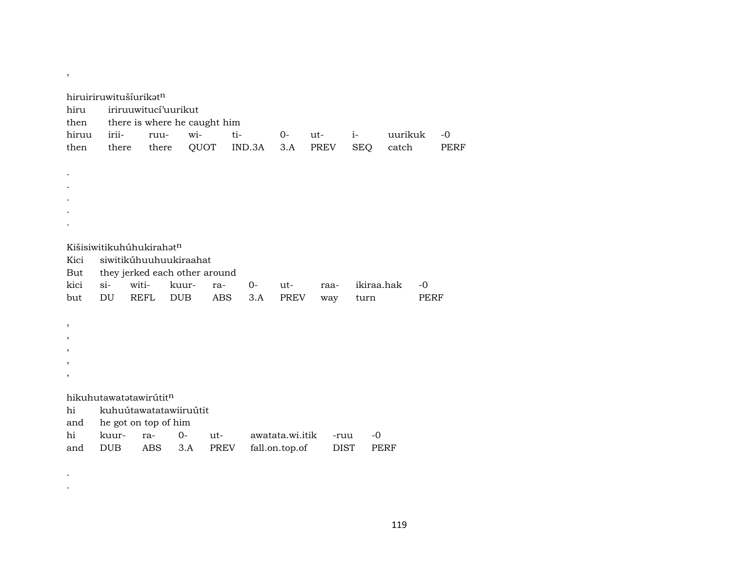| hiru<br>then<br>hiruu<br>then                                  | hiruiriruwitušíurikatn<br>irii-<br>there                              | iriruuwitucí'uurikut<br>ruu-<br>there | there is where he caught him<br>wi-<br>QUOT                                    | ti-                | IND.3A    | $O -$<br>3.A                      | $ut-$<br>PREV       | $i-$<br><b>SEQ</b> | uurikuk<br>catch |              | $-0$<br>PERF |
|----------------------------------------------------------------|-----------------------------------------------------------------------|---------------------------------------|--------------------------------------------------------------------------------|--------------------|-----------|-----------------------------------|---------------------|--------------------|------------------|--------------|--------------|
|                                                                |                                                                       |                                       |                                                                                |                    |           |                                   |                     |                    |                  |              |              |
| Kici<br>But<br>kici<br>but                                     | Kišisiwitikuhuhkirahat <sup>n</sup><br>$si-$<br>DU                    | witi-<br><b>REFL</b>                  | siwitikúhuuhuukiraahat<br>they jerked each other around<br>kuur-<br><b>DUB</b> | ra-<br><b>ABS</b>  | 0-<br>3.A | $ut-$<br><b>PREV</b>              | raa-<br>way         | ikiraa.hak<br>turn |                  | $-0$<br>PERF |              |
| ,<br>$\overline{\phantom{a}}$<br>$\overline{\phantom{a}}$<br>, |                                                                       |                                       |                                                                                |                    |           |                                   |                     |                    |                  |              |              |
| hi<br>and<br>hi<br>and                                         | hikuhutawatatawirútitn<br>he got on top of him<br>kuur-<br><b>DUB</b> | ra-<br><b>ABS</b>                     | kuhuútawatatawiiruútit<br>$0-$<br>3.A                                          | ut-<br><b>PREV</b> |           | awatata.wi.itik<br>fall.on.top.of | -ruu<br><b>DIST</b> | $-0$               | PERF             |              |              |

. .

 $\overline{\phantom{a}}$ 

119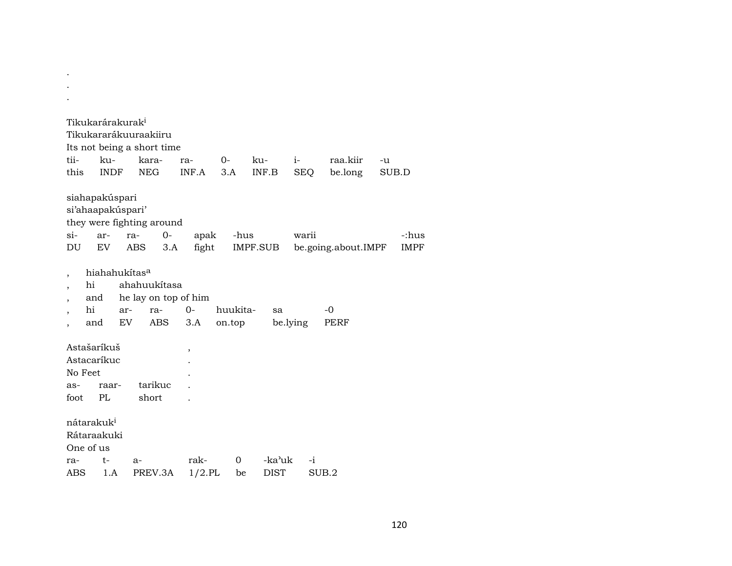|                                                                  | Tikukarárakurak <sup>i</sup>                         | Tikukararákuuraakiiru<br>Its not being a short time |                   |                    |                       |                    |                     |             |             |
|------------------------------------------------------------------|------------------------------------------------------|-----------------------------------------------------|-------------------|--------------------|-----------------------|--------------------|---------------------|-------------|-------------|
| tii-<br>this                                                     | ku-<br><b>INDF</b>                                   | kara-<br><b>NEG</b>                                 | ra-<br>INF.A      | $0-$<br>3.A        | ku-<br>INF.B          | $i-$<br><b>SEQ</b> | raa.kiir<br>be.long | -u<br>SUB.D |             |
| $\sin$                                                           | siahapakúspari<br>si'ahaapakúspari'<br>ar-           | they were fighting around<br>$O -$<br>ra-           | apak              | -hus               |                       | warii              |                     |             | -:hus       |
| DU                                                               | EV                                                   | ABS<br>3.A                                          | fight             |                    | IMPF.SUB              |                    | be.going.about.IMPF |             | <b>IMPF</b> |
| $\overline{ }$<br>hi<br>$\overline{\phantom{a}}$<br>hi           | hiahahukítas <sup>a</sup><br>and<br>ar-<br>EV<br>and | ahahuukítasa<br>he lay on top of him<br>ra-<br>ABS  | $O -$<br>3.A      | huukita-<br>on.top | sa                    | be.lying           | $-0$<br>PERF        |             |             |
| Astašaríkuš<br>Astacaríkuc<br>No Feet<br>as-<br>foot             | raar-<br>PL                                          | tarikuc<br>short                                    | ,                 |                    |                       |                    |                     |             |             |
| nátarakuk <sup>i</sup><br>Rátaraakuki<br>One of us<br>ra-<br>ABS | $t-$<br>1.A                                          | $a-$<br>PREV.3A                                     | rak-<br>$1/2$ .PL | $\Omega$<br>be     | -ka'uk<br><b>DIST</b> | $-i$               | SUB.2               |             |             |
|                                                                  |                                                      |                                                     |                   |                    |                       |                    |                     |             |             |

. .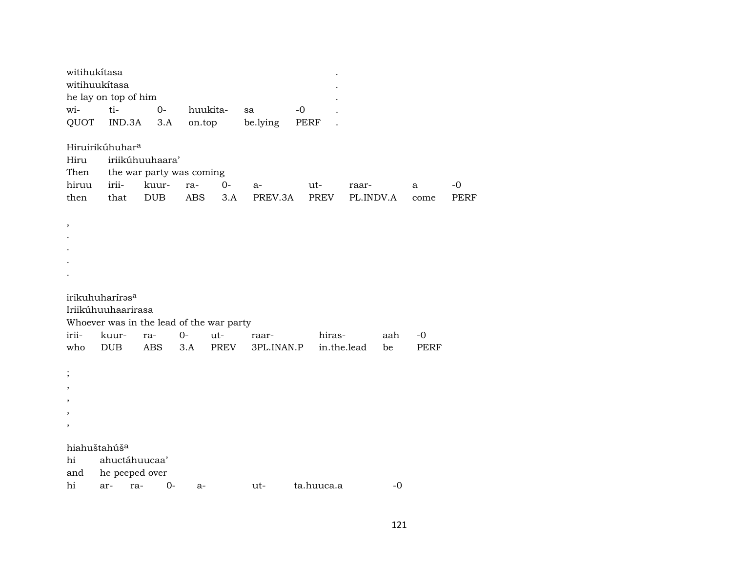| witihukítasa                  | witihuukítasa<br>he lay on top of him                                                         |                                                                    |                   |             |                 |             |                    |      |             |                     |
|-------------------------------|-----------------------------------------------------------------------------------------------|--------------------------------------------------------------------|-------------------|-------------|-----------------|-------------|--------------------|------|-------------|---------------------|
| wi-                           | ti-                                                                                           | $0-$                                                               | huukita-          |             | sa              | $-0$        |                    |      |             |                     |
| QUOT                          | IND.3A                                                                                        | 3.A                                                                | on.top            |             | be.lying        | PERF        |                    |      |             |                     |
| Hiru<br>Then<br>hiruu<br>then | Hiruirikúhuhar <sup>a</sup><br>irii-<br>that                                                  | iriikúhuuhaara'<br>the war party was coming<br>kuur-<br><b>DUB</b> | ra-<br><b>ABS</b> | $0-$<br>3.A | $a-$<br>PREV.3A | ut-<br>PREV | raar-<br>PL.INDV.A |      | a<br>come   | $-0$<br><b>PERF</b> |
| ,                             |                                                                                               |                                                                    |                   |             |                 |             |                    |      |             |                     |
|                               | irikuhuharíras <sup>a</sup><br>Iriikúhuuhaarirasa<br>Whoever was in the lead of the war party |                                                                    |                   |             |                 |             |                    |      |             |                     |
| irii-                         | kuur-                                                                                         | ra-                                                                | $0-$              | ut-         | raar-           | hiras-      |                    | aah  | $-0$        |                     |
| who                           | <b>DUB</b>                                                                                    | ABS                                                                | 3.A               | PREV        | 3PL.INAN.P      |             | in.the.lead        | be   | <b>PERF</b> |                     |
| $\cdot$                       |                                                                                               |                                                                    |                   |             |                 |             |                    |      |             |                     |
|                               |                                                                                               |                                                                    |                   |             |                 |             |                    |      |             |                     |
|                               |                                                                                               |                                                                    |                   |             |                 |             |                    |      |             |                     |
| hi                            | hiahuštahúš <sup>a</sup><br>ahuctáhuucaa'                                                     |                                                                    |                   |             |                 |             |                    |      |             |                     |
| and                           | he peeped over                                                                                |                                                                    |                   |             |                 |             |                    |      |             |                     |
| hi                            | ar-                                                                                           | $O -$<br>ra-                                                       | a-                |             | ut-             | ta.huuca.a  |                    | $-0$ |             |                     |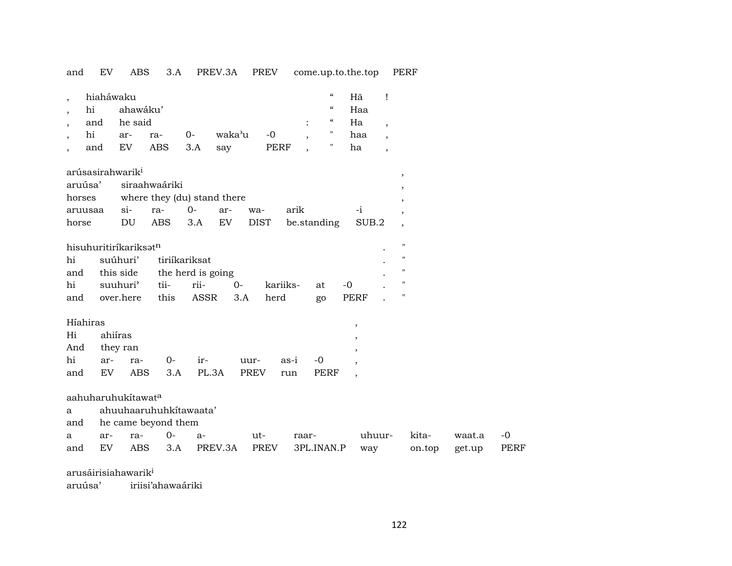and EV ABS 3.A PREV.3A PREV come.up.to.the.top PERF

| $\cdot$<br>$\cdot$     | hiaháwaku<br>hi<br>and<br>hi<br>and                | ahawáku'<br>he said<br>ar-<br>EV               | ra-<br><b>ABS</b>                                                 | $0-$<br>3.A                                        | waka'u<br>say | $-0$<br><b>PERF</b> |                     |                     | $\mathcal{C}$<br>$\mathcal{C}\mathcal{C}$<br>$\epsilon\epsilon$<br>11 | Hã<br>Haa<br>Ha<br>haa<br>ha                                                                         | 1<br>$\overline{\phantom{a}}$<br>$\overline{\phantom{a}}$<br>$\overline{\phantom{a}}$ |                                                                                                     |                  |                     |
|------------------------|----------------------------------------------------|------------------------------------------------|-------------------------------------------------------------------|----------------------------------------------------|---------------|---------------------|---------------------|---------------------|-----------------------------------------------------------------------|------------------------------------------------------------------------------------------------------|---------------------------------------------------------------------------------------|-----------------------------------------------------------------------------------------------------|------------------|---------------------|
| horses<br>horse        | arúsasirahwarik <sup>i</sup><br>aruúsa'<br>aruusaa | $si-$<br>DU                                    | siraahwaáriki<br>where they (du) stand there<br>ra-<br><b>ABS</b> | $0-$<br>3.A                                        | ar-<br>EV     | wa-<br><b>DIST</b>  | arik<br>be.standing |                     |                                                                       | -i<br>SUB.2                                                                                          |                                                                                       | $\overline{\phantom{a}}$<br>$\overline{\phantom{a}}$<br>$\overline{\phantom{a}}$                    |                  |                     |
| hi<br>and<br>hi<br>and | hisuhuritiríkariksatn                              | suúhuri'<br>this side<br>suuhuri'<br>over.here | tii-<br>this                                                      | tiriíkariksat<br>the herd is going<br>rii-<br>ASSR | $0-$<br>3.A   | kariiks-<br>herd    |                     | at<br>go            |                                                                       | $-0$<br><b>PERF</b>                                                                                  |                                                                                       | $\pmb{\mathsf{H}}$<br>$\pmb{\mathsf{H}}$<br>$\pmb{\mathsf{H}}$<br>$\mathbf H$<br>$\pmb{\mathsf{H}}$ |                  |                     |
| Hi<br>And<br>hi<br>and | Híahiras<br>ar-<br>EV                              | ahiíras<br>they ran<br>ra-<br><b>ABS</b>       | $0-$<br>3.A                                                       | ir-<br>PL.3A                                       |               | uur-<br><b>PREV</b> | as-i<br>run         | $-0$<br><b>PERF</b> |                                                                       | $\, ,$<br>$\, ,$<br>$\overline{\phantom{a}}$<br>$\overline{\phantom{a}}$<br>$\overline{\phantom{a}}$ |                                                                                       |                                                                                                     |                  |                     |
| a<br>and<br>a<br>and   | aahuharuhukitawata<br>ar-<br>EV                    | ra-<br><b>ABS</b>                              | ahuuhaaruhuhkitawaata'<br>he came beyond them<br>$0-$<br>3.A      | $a-$                                               | PREV.3A       | ut-<br>PREV         | raar-               | 3PL.INAN.P          |                                                                       | way                                                                                                  | uhuur-                                                                                | kita-<br>on.top                                                                                     | waat.a<br>get.up | $-0$<br><b>PERF</b> |
|                        | arusáirisiahawarik <sup>i</sup>                    |                                                |                                                                   |                                                    |               |                     |                     |                     |                                                                       |                                                                                                      |                                                                                       |                                                                                                     |                  |                     |

aruúsa' iriisi'ahawaáriki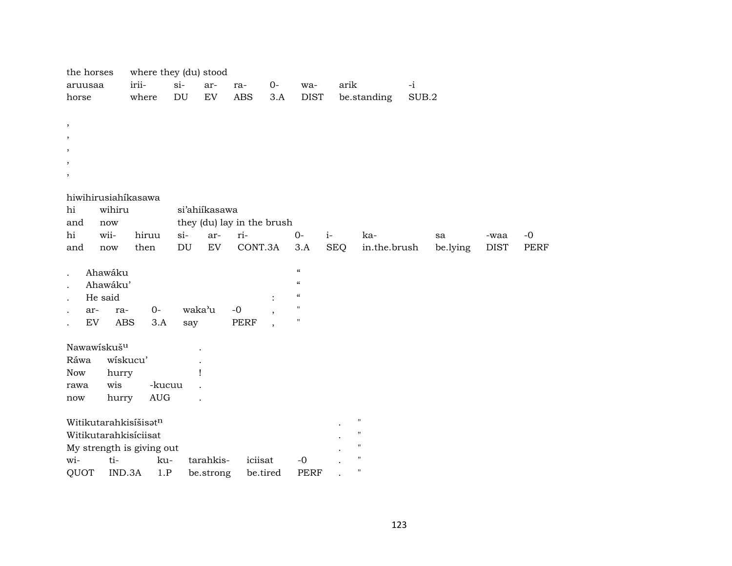| the horses                 |              | where they (du) stood       |                            |               |                            |      |                                        |            |                    |       |          |             |             |
|----------------------------|--------------|-----------------------------|----------------------------|---------------|----------------------------|------|----------------------------------------|------------|--------------------|-------|----------|-------------|-------------|
| aruusaa                    | irii-        |                             | $si-$                      | ar-           | ra-                        | $O-$ | wa-                                    | arik       |                    | $-i$  |          |             |             |
| horse                      | where        |                             | DU                         | ${\rm EV}$    | <b>ABS</b>                 | 3.A  | <b>DIST</b>                            |            | be.standing        | SUB.2 |          |             |             |
|                            |              |                             |                            |               |                            |      |                                        |            |                    |       |          |             |             |
| $\, ,$                     |              |                             |                            |               |                            |      |                                        |            |                    |       |          |             |             |
| $\cdot$                    |              |                             |                            |               |                            |      |                                        |            |                    |       |          |             |             |
|                            |              |                             |                            |               |                            |      |                                        |            |                    |       |          |             |             |
|                            |              |                             |                            |               |                            |      |                                        |            |                    |       |          |             |             |
| ,                          |              |                             |                            |               |                            |      |                                        |            |                    |       |          |             |             |
|                            |              |                             |                            |               |                            |      |                                        |            |                    |       |          |             |             |
| hiwihirusiahíkasawa        |              |                             |                            |               |                            |      |                                        |            |                    |       |          |             |             |
| hi                         | wihiru       |                             |                            | si'ahiikasawa |                            |      |                                        |            |                    |       |          |             |             |
| and                        | now          |                             |                            |               | they (du) lay in the brush |      |                                        |            |                    |       |          |             |             |
| hi<br>wii-                 |              | hiruu                       | $si$ -                     | ar-           | ri-                        |      | $0-$                                   | $i-$       | ka-                |       | sa       | -waa        | $-0$        |
| and                        | now          | then                        | $\mathop{\rm DU}\nolimits$ | ${\rm EV}$    | CONT.3A                    |      | 3.A                                    | <b>SEQ</b> | in.the.brush       |       | be.lying | <b>DIST</b> | <b>PERF</b> |
|                            |              |                             |                            |               |                            |      | $\boldsymbol{\mathcal{C}}$             |            |                    |       |          |             |             |
| Ahawáku                    |              |                             |                            |               |                            |      | $\boldsymbol{\mathcal{C}}$             |            |                    |       |          |             |             |
|                            | Ahawáku'     |                             |                            |               |                            |      | $\boldsymbol{\zeta}\boldsymbol{\zeta}$ |            |                    |       |          |             |             |
| He said                    |              |                             |                            |               |                            |      | $\mathbf{H}$                           |            |                    |       |          |             |             |
| ar-                        | ra-          | $0-$                        | waka'u                     |               | $-0$                       |      | $\pmb{\mathsf{H}}$                     |            |                    |       |          |             |             |
| $\mathop{\rm EV}\nolimits$ | ABS          | 3.A                         | say                        |               | PERF                       |      |                                        |            |                    |       |          |             |             |
| Nawawiskuš <sup>u</sup>    |              |                             |                            |               |                            |      |                                        |            |                    |       |          |             |             |
| Ráwa                       | wiskucu'     |                             |                            |               |                            |      |                                        |            |                    |       |          |             |             |
| Now                        |              |                             |                            |               |                            |      |                                        |            |                    |       |          |             |             |
|                            | hurry<br>wis | -kucuu                      |                            |               |                            |      |                                        |            |                    |       |          |             |             |
| rawa<br>now                | hurry        | $\mathop{\rm AUG}\nolimits$ |                            |               |                            |      |                                        |            |                    |       |          |             |             |
|                            |              |                             |                            |               |                            |      |                                        |            |                    |       |          |             |             |
| Witikutarahkisíšisatn      |              |                             |                            |               |                            |      |                                        |            | $\pmb{\mathsf{H}}$ |       |          |             |             |
| Witikutarahkisíciisat      |              |                             |                            |               |                            |      |                                        |            | $\pmb{\mathsf{H}}$ |       |          |             |             |
| My strength is giving out  |              |                             |                            |               |                            |      |                                        |            | $\pmb{\mathsf{H}}$ |       |          |             |             |
| wi-                        | ti-          | ku-                         |                            | tarahkis-     | iciisat                    |      | $-0$                                   |            | $\mathbf H$        |       |          |             |             |
| QUOT                       | IND.3A       | 1.P                         |                            | be.strong     | be.tired                   |      | <b>PERF</b>                            |            | $\pmb{\mathsf{H}}$ |       |          |             |             |
|                            |              |                             |                            |               |                            |      |                                        |            |                    |       |          |             |             |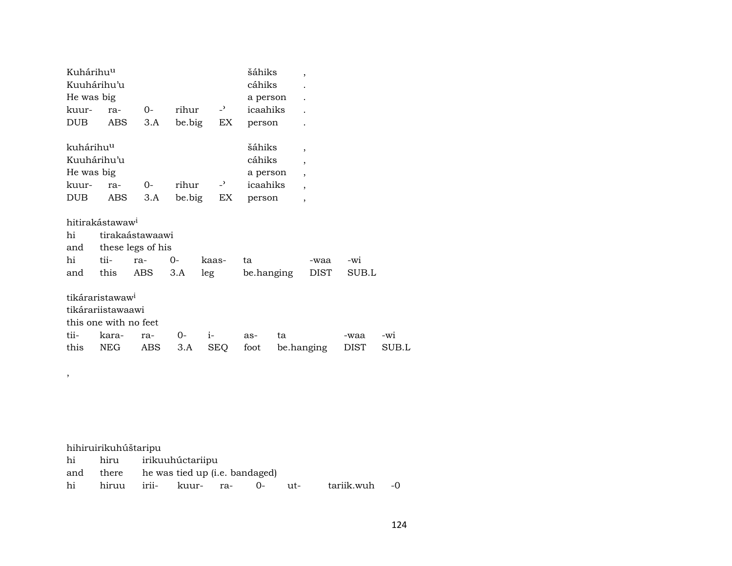| Kuhárihu <sup>u</sup> |                             |                   |        |                | šáhiks     | $\overline{ }$           |       |       |
|-----------------------|-----------------------------|-------------------|--------|----------------|------------|--------------------------|-------|-------|
|                       | Kuuhárihu'u                 |                   |        |                | cáhiks     |                          |       |       |
| He was big            |                             |                   |        |                | a person   |                          |       |       |
| kuur-                 | ra-                         | $0-$              | rihur  | $-2$           | icaahiks   |                          |       |       |
| DUB.                  | ABS                         | 3.A               | be.big | EX             | person     |                          |       |       |
| kuhárihu <sup>u</sup> |                             |                   |        |                | šáhiks     | $\overline{ }$           |       |       |
|                       | Kuuhárihu'u                 |                   |        |                | cáhiks     | $\overline{ }$           |       |       |
| He was big            |                             |                   |        |                | a person   | $\overline{\phantom{a}}$ |       |       |
| kuur-                 | ra-                         | $0-$              | rihur  | $\overline{z}$ | icaahiks   | $\overline{ }$           |       |       |
| DUB.                  | ABS                         | 3.A               |        | be.big<br>EX   | person     | $\overline{ }$           |       |       |
|                       | hitirakástawaw <sup>i</sup> |                   |        |                |            |                          |       |       |
| hi                    |                             | tirakaástawaawi   |        |                |            |                          |       |       |
| and                   |                             | these legs of his |        |                |            |                          |       |       |
| hi                    | tii-                        | ra-               | $0-$   | kaas-          | ta         | -waa                     | -wi   |       |
| and                   | this                        | ABS               | 3.A    | leg            | be.hanging | <b>DIST</b>              | SUB.L |       |
|                       |                             |                   |        |                |            |                          |       |       |
|                       | tikáraristawaw <sup>i</sup> |                   |        |                |            |                          |       |       |
|                       | tikárariistawaawi           |                   |        |                |            |                          |       |       |
|                       | this one with no feet       |                   |        |                |            |                          |       |       |
| tii-                  | kara-                       | ra-               | 0-     | $i-$           | as-        | ta                       | -waa  | -wi   |
| this                  | <b>NEG</b>                  | ABS               | 3.A    | <b>SEQ</b>     | foot       | be.hanging               | DIST  | SUB.L |

| hihiruirikuhúštaripu |                                          |  |                                               |  |
|----------------------|------------------------------------------|--|-----------------------------------------------|--|
|                      | hi hiru irikuuhúctariipu                 |  |                                               |  |
|                      | and there he was tied up (i.e. bandaged) |  |                                               |  |
|                      |                                          |  | hi hiruu irii- kuur- ra- 0- ut- tariik.wuh -0 |  |

,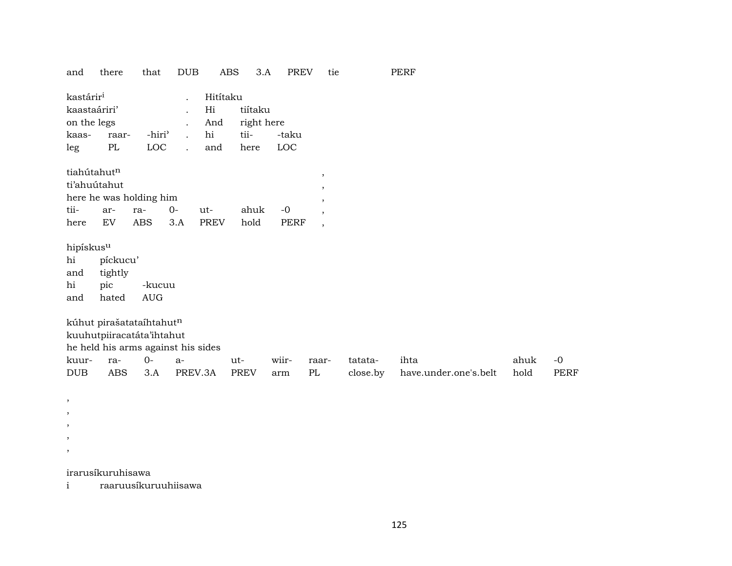| and                                                                  | there                                                                                       | that                      | <b>DUB</b>           | <b>ABS</b>                         | 3.A                                   | <b>PREV</b>         | tie                                                                        |                     | <b>PERF</b>                   |              |                     |
|----------------------------------------------------------------------|---------------------------------------------------------------------------------------------|---------------------------|----------------------|------------------------------------|---------------------------------------|---------------------|----------------------------------------------------------------------------|---------------------|-------------------------------|--------------|---------------------|
| kastárir <sup>i</sup><br>kaastaáriri'<br>on the legs<br>kaas-<br>leg | raar-<br>PL                                                                                 | -hiri <sup>3</sup><br>LOC | $\ddot{\phantom{a}}$ | Hitítaku<br>Hi<br>And<br>hi<br>and | tiítaku<br>right here<br>tii-<br>here | -taku<br>LOC        |                                                                            |                     |                               |              |                     |
| tiahútahutn<br>tii-<br>here                                          | ti'ahuútahut<br>here he was holding him<br>ar-<br>EV                                        | ra-<br><b>ABS</b>         | $0-$<br>3.A          | ut-<br><b>PREV</b>                 | ahuk<br>hold                          | $-0$<br><b>PERF</b> | $^\mathrm{,}$<br>$\cdot$<br>$\cdot$<br>$\cdot$<br>$\overline{\phantom{a}}$ |                     |                               |              |                     |
| hipískus $\rm ^u$<br>hi<br>and<br>hi<br>and                          | píckucu'<br>tightly<br>pic<br>hated                                                         | -kucuu<br><b>AUG</b>      |                      |                                    |                                       |                     |                                                                            |                     |                               |              |                     |
|                                                                      | kúhut pirašatataíhtahutn<br>kuuhutpiiracatáta'ihtahut<br>he held his arms against his sides |                           |                      |                                    |                                       |                     |                                                                            |                     |                               |              |                     |
| kuur-<br><b>DUB</b>                                                  | ra-<br><b>ABS</b>                                                                           | $0-$<br>3.A               | $a-$<br>PREV.3A      |                                    | ut-<br><b>PREV</b>                    | wiir-<br>arm        | raar-<br>PL                                                                | tatata-<br>close.by | ihta<br>have.under.one's.belt | ahuk<br>hold | $-0$<br><b>PERF</b> |
| $\cdot$                                                              |                                                                                             |                           |                      |                                    |                                       |                     |                                                                            |                     |                               |              |                     |

irarusíkuruhisawa

, , , ,

i raaruusíkuruuhiisawa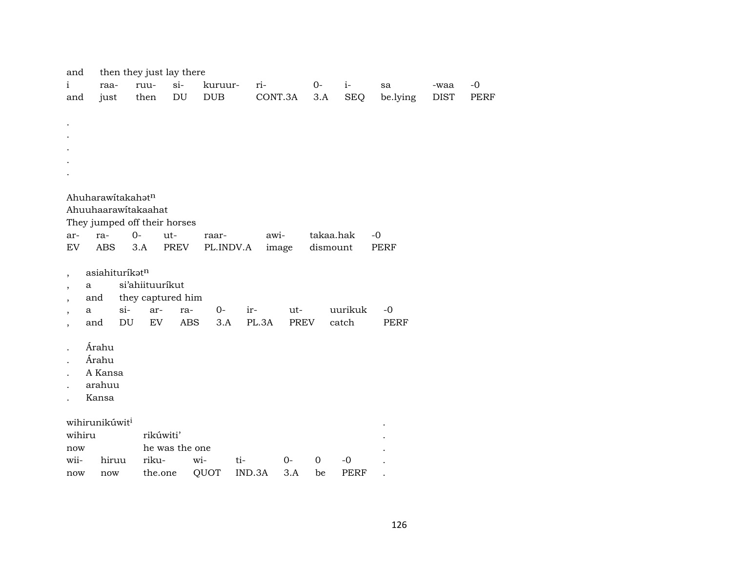| and          |                                   | then they just lay there |                            |              |         |             |           |             |             |             |             |
|--------------|-----------------------------------|--------------------------|----------------------------|--------------|---------|-------------|-----------|-------------|-------------|-------------|-------------|
| $\mathbf{i}$ | raa-                              | ruu-                     | $si-$                      | kuruur-      | ri-     |             | $0-$      | $i-$        | sa          | -waa        | $-0$        |
| and          | just                              | then                     | $\mathop{\rm DU}\nolimits$ | $_{\rm DUB}$ | CONT.3A |             | $3.A$     | <b>SEQ</b>  | be.lying    | <b>DIST</b> | <b>PERF</b> |
|              |                                   |                          |                            |              |         |             |           |             |             |             |             |
|              |                                   |                          |                            |              |         |             |           |             |             |             |             |
|              |                                   |                          |                            |              |         |             |           |             |             |             |             |
|              |                                   |                          |                            |              |         |             |           |             |             |             |             |
|              |                                   |                          |                            |              |         |             |           |             |             |             |             |
|              |                                   |                          |                            |              |         |             |           |             |             |             |             |
|              |                                   |                          |                            |              |         |             |           |             |             |             |             |
|              | Ahuharawitakahatn                 |                          |                            |              |         |             |           |             |             |             |             |
|              | Ahuuhaarawitakaahat               |                          |                            |              |         |             |           |             |             |             |             |
|              | They jumped off their horses      |                          |                            |              |         |             |           |             |             |             |             |
| ar-          | ra-                               | $O -$                    | ut-                        | raar-        | awi-    |             | takaa.hak |             | $-0$        |             |             |
| EV           | <b>ABS</b>                        | 3.A                      | PREV                       | PL.INDV.A    |         | image       | dismount  |             | PERF        |             |             |
|              |                                   |                          |                            |              |         |             |           |             |             |             |             |
|              | asiahituríkatn                    |                          |                            |              |         |             |           |             |             |             |             |
| a            |                                   | si'ahiituuríkut          |                            |              |         |             |           |             |             |             |             |
|              | and                               | they captured him        |                            |              |         |             |           |             |             |             |             |
| a            | $si$ -                            | ar-                      | ra-                        | $0-$         | ir-     | ut-         |           | uurikuk     | $-0$        |             |             |
|              | $\mathop{\rm DU}\nolimits$<br>and | EV                       | <b>ABS</b>                 | 3.A          | PL.3A   | <b>PREV</b> |           | catch       | <b>PERF</b> |             |             |
|              |                                   |                          |                            |              |         |             |           |             |             |             |             |
|              | Árahu                             |                          |                            |              |         |             |           |             |             |             |             |
|              | Árahu                             |                          |                            |              |         |             |           |             |             |             |             |
|              | A Kansa                           |                          |                            |              |         |             |           |             |             |             |             |
|              | arahuu                            |                          |                            |              |         |             |           |             |             |             |             |
|              | Kansa                             |                          |                            |              |         |             |           |             |             |             |             |
|              |                                   |                          |                            |              |         |             |           |             |             |             |             |
|              | wihirunikúwit <sup>i</sup>        |                          |                            |              |         |             |           |             |             |             |             |
| wihiru       |                                   | rikúwiti'                |                            |              |         |             |           |             |             |             |             |
| now          |                                   |                          | he was the one             |              |         |             |           |             |             |             |             |
| wii-         | hiruu                             | riku-                    | wi-                        | ti-          |         | $0-$        | 0         | $-0$        |             |             |             |
| now          | now                               | the.one                  |                            | QUOT         | IND.3A  | 3.A         | be        | <b>PERF</b> |             |             |             |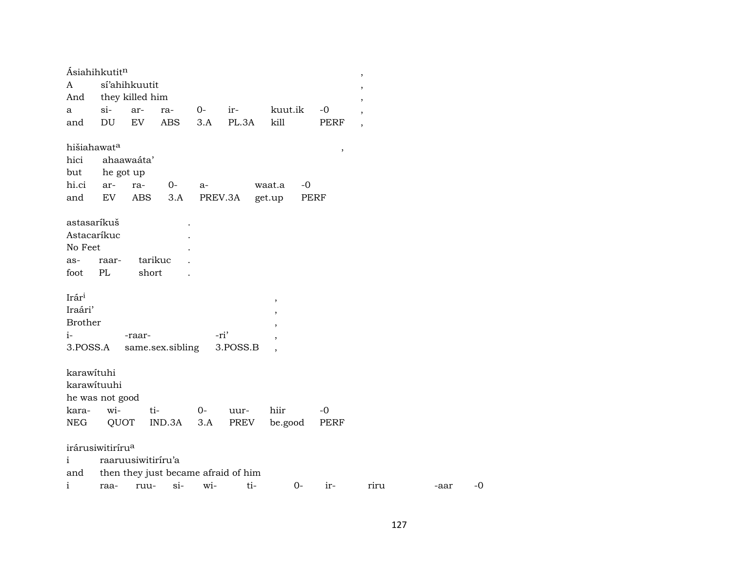|                | Ásiahihkutit <sup>n</sup>    |                    |                  |      |                                     |                          |             | $\overline{\phantom{a}}$ |      |
|----------------|------------------------------|--------------------|------------------|------|-------------------------------------|--------------------------|-------------|--------------------------|------|
| A              |                              | sí'ahihkuutit      |                  |      |                                     |                          |             | $\overline{\phantom{a}}$ |      |
| And            |                              | they killed him    |                  |      |                                     |                          |             |                          |      |
| a              | si-                          | ar-                | ra-              | $0-$ | $ir-$                               | kuut.ik                  | $-0$        | $\overline{\phantom{a}}$ |      |
| and            | DU                           | EV                 | <b>ABS</b>       | 3.A  | PL.3A                               | kill                     | <b>PERF</b> | $\overline{\phantom{a}}$ |      |
|                | hišiahawat <sup>a</sup>      |                    |                  |      |                                     |                          | $\, ,$      |                          |      |
| hici           |                              | ahaawaáta'         |                  |      |                                     |                          |             |                          |      |
| but            | he got up                    |                    |                  |      |                                     |                          |             |                          |      |
| hi.ci          | ar-                          | ra-                | $0-$             | $a-$ |                                     | waat.a<br>$-0$           |             |                          |      |
| and            | EV                           | ABS                | 3.A              |      | PREV.3A                             | get.up                   | PERF        |                          |      |
| astasaríkuš    |                              |                    |                  |      |                                     |                          |             |                          |      |
|                | Astacaríkuc                  |                    |                  |      |                                     |                          |             |                          |      |
| No Feet        |                              |                    |                  |      |                                     |                          |             |                          |      |
| as-            | raar-                        |                    | tarikuc          |      |                                     |                          |             |                          |      |
| foot           | PL                           | short              |                  |      |                                     |                          |             |                          |      |
|                |                              |                    |                  |      |                                     |                          |             |                          |      |
| Irári          |                              |                    |                  |      |                                     | $^\mathrm{^\mathrm{o}}$  |             |                          |      |
| Iraári'        |                              |                    |                  |      |                                     | $\overline{ }$           |             |                          |      |
| <b>Brother</b> |                              |                    |                  |      |                                     | $\cdot$                  |             |                          |      |
| $i-$           |                              | -raar-             |                  |      | -ri'                                |                          |             |                          |      |
| 3.POSS.A       |                              |                    | same.sex.sibling |      | 3.POSS.B                            | $\overline{\phantom{a}}$ |             |                          |      |
|                |                              |                    |                  |      |                                     |                          |             |                          |      |
| karawituhi     |                              |                    |                  |      |                                     |                          |             |                          |      |
|                | karawituuhi                  |                    |                  |      |                                     |                          |             |                          |      |
|                | he was not good              |                    |                  |      |                                     |                          |             |                          |      |
| kara-          | wi-                          |                    | ti-              | $0-$ | uur-                                | hiir                     | $-0$        |                          |      |
| <b>NEG</b>     |                              | QUOT               | IND.3A           | 3.A  | PREV                                | be.good                  | <b>PERF</b> |                          |      |
|                | irárusiwitiríru <sup>a</sup> |                    |                  |      |                                     |                          |             |                          |      |
| $\mathbf{i}$   |                              | raaruusiwitiriru'a |                  |      |                                     |                          |             |                          |      |
| and            |                              |                    |                  |      | then they just became afraid of him |                          |             |                          |      |
| $\mathbf{i}$   | raa-                         | ruu-               | $\sin$           | wi-  | ti-                                 | $0 -$                    | ir-         | riru                     | -aar |

 $\mbox{-}0$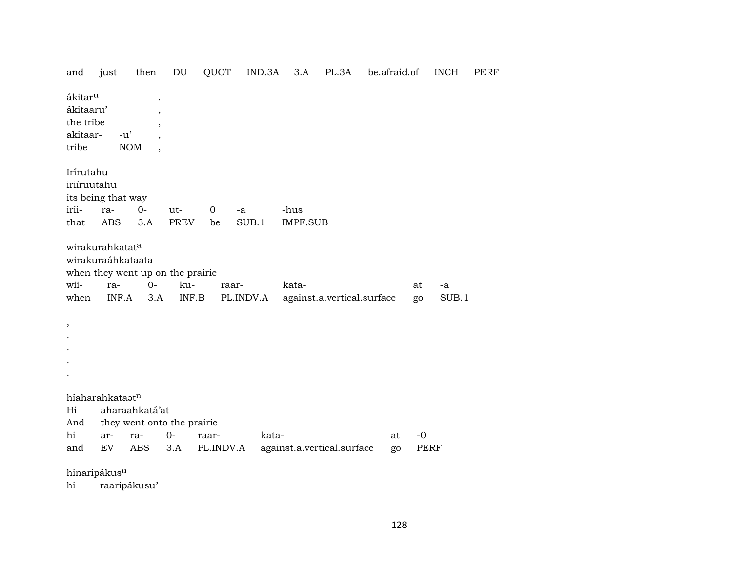| and                                                                | just                                                 | then                                                     | DU                                                                   | QUOT               | IND.3A | 3.A             | PL.3A                      | be.afraid.of |          | <b>INCH</b>   | <b>PERF</b> |
|--------------------------------------------------------------------|------------------------------------------------------|----------------------------------------------------------|----------------------------------------------------------------------|--------------------|--------|-----------------|----------------------------|--------------|----------|---------------|-------------|
| ákitar <sup>u</sup><br>ákitaaru'<br>the tribe<br>akitaar-<br>tribe | $-u'$                                                | $\overline{ }$<br>$\overline{\phantom{a}}$<br><b>NOM</b> |                                                                      |                    |        |                 |                            |              |          |               |             |
| Irírutahu<br>iriíruutahu                                           | its being that way                                   |                                                          |                                                                      |                    |        |                 |                            |              |          |               |             |
| irii-                                                              | ra-                                                  | $0-$                                                     | ut-                                                                  | $\mathbf 0$<br>-a  |        | -hus            |                            |              |          |               |             |
| that                                                               | <b>ABS</b>                                           | 3.A                                                      | <b>PREV</b>                                                          | be                 | SUB.1  | <b>IMPF.SUB</b> |                            |              |          |               |             |
| wii-<br>when<br>$^\mathrm{,}$                                      | wirakurahkatata<br>wirakuraáhkataata<br>ra-<br>INF.A | $0-$<br>3.A                                              | when they went up on the prairie<br>ku-<br>$\textsf{INF}.\textsf{B}$ | raar-<br>PL.INDV.A |        | kata-           | against.a.vertical.surface |              | at<br>go | $-a$<br>SUB.1 |             |
|                                                                    |                                                      |                                                          |                                                                      |                    |        |                 |                            |              |          |               |             |
|                                                                    |                                                      |                                                          |                                                                      |                    |        |                 |                            |              |          |               |             |
|                                                                    |                                                      |                                                          |                                                                      |                    |        |                 |                            |              |          |               |             |
| Hi<br>And                                                          | híaharahkataatn                                      | aharaahkatá'at                                           | they went onto the prairie                                           |                    |        |                 |                            |              |          |               |             |
| hi                                                                 | ar-                                                  | ra-                                                      | $0-$                                                                 | raar-              | kata-  |                 |                            | at           | $-0$     |               |             |
| and                                                                | EV                                                   | <b>ABS</b>                                               | 3.A                                                                  | PL.INDV.A          |        |                 | against.a.vertical.surface | go           | PERF     |               |             |
| $\sim$                                                             | $\cdot$ $\cdot$ $\cdot$                              |                                                          |                                                                      |                    |        |                 |                            |              |          |               |             |

hinaripákus<sup>u</sup>

 $\hbox{hi}$ raaripákusu'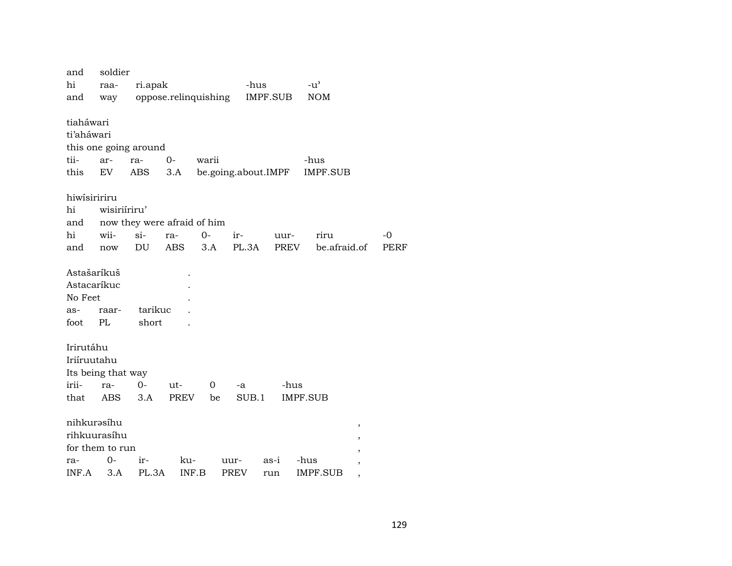| and                | soldier      |                             |                      |       |                     |          |                 |   |      |
|--------------------|--------------|-----------------------------|----------------------|-------|---------------------|----------|-----------------|---|------|
| hi                 | raa-         | ri.apak                     |                      |       | -hus                |          | $-u^{\prime}$   |   |      |
| and                | way          |                             | oppose.relinquishing |       |                     | IMPF.SUB | <b>NOM</b>      |   |      |
|                    |              |                             |                      |       |                     |          |                 |   |      |
| tiaháwari          |              |                             |                      |       |                     |          |                 |   |      |
| ti'aháwari         |              |                             |                      |       |                     |          |                 |   |      |
|                    |              | this one going around       |                      |       |                     |          |                 |   |      |
| tii-               | ar-          | ra-                         | $0-$                 | warii |                     |          | -hus            |   |      |
| this               | EV           | ABS                         | 3.A                  |       | be.going.about.IMPF |          | IMPF.SUB        |   |      |
| hiwisiririru       |              |                             |                      |       |                     |          |                 |   |      |
| hi                 | wisiriiriru' |                             |                      |       |                     |          |                 |   |      |
| and                |              | now they were afraid of him |                      |       |                     |          |                 |   |      |
| hi                 | wii-         | $si-$                       | ra-                  | $O -$ | ir-                 | uur-     | riru            |   | $-0$ |
| and                | now          | DU                          | ABS                  | 3.A   | PL.3A               | PREV     | be.afraid.of    |   | PERF |
|                    |              |                             |                      |       |                     |          |                 |   |      |
| Astašaríkuš        |              |                             |                      |       |                     |          |                 |   |      |
| Astacaríkuc        |              |                             |                      |       |                     |          |                 |   |      |
| No Feet            |              |                             |                      |       |                     |          |                 |   |      |
| as-                | raar-        | tarikuc                     |                      |       |                     |          |                 |   |      |
| foot               | PL           | short                       |                      |       |                     |          |                 |   |      |
|                    |              |                             |                      |       |                     |          |                 |   |      |
| Irirutáhu          |              |                             |                      |       |                     |          |                 |   |      |
| Iriíruutahu        |              |                             |                      |       |                     |          |                 |   |      |
| Its being that way |              |                             |                      |       |                     |          |                 |   |      |
| irii-              | ra-          | $0-$                        | ut-                  | 0     | -a                  | -hus     |                 |   |      |
| that               | ABS          | 3.A                         | PREV                 | be    | SUB.1               |          | <b>IMPF.SUB</b> |   |      |
|                    |              |                             |                      |       |                     |          |                 |   |      |
| nihkurəsíhu        |              |                             |                      |       |                     |          |                 | , |      |
| rihkuurasíhu       |              |                             |                      |       |                     |          |                 |   |      |
| for them to run    |              |                             |                      |       |                     |          |                 |   |      |
| ra-                | $O -$        | ir-                         | ku-                  |       | uur-                | as-i     | -hus            |   |      |
| INF.A              | 3.A          | PL.3A                       | INF.B                |       | PREV                | run      | IMPF.SUB        |   |      |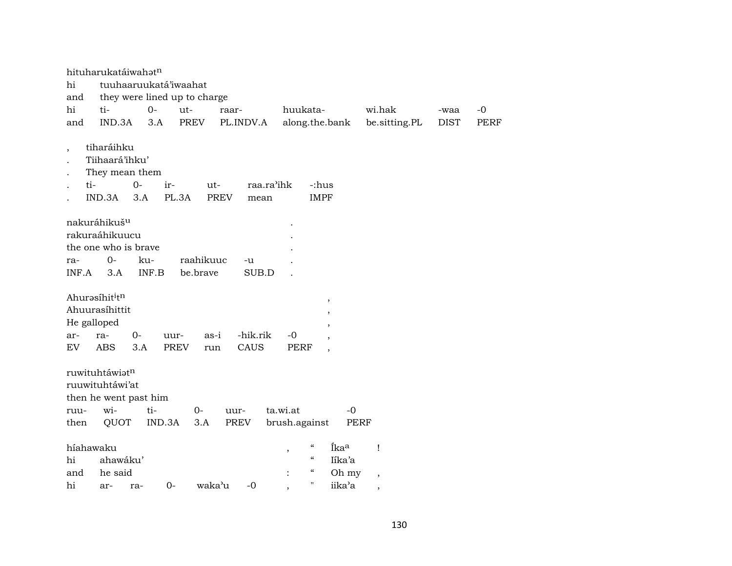|                          | hituharukatáiwahatn                                                               |                              |                       |                     |                        |                                                                          |                |                          |             |             |
|--------------------------|-----------------------------------------------------------------------------------|------------------------------|-----------------------|---------------------|------------------------|--------------------------------------------------------------------------|----------------|--------------------------|-------------|-------------|
| hi                       |                                                                                   | tuuhaaruukatá'iwaahat        |                       |                     |                        |                                                                          |                |                          |             |             |
| and                      |                                                                                   | they were lined up to charge |                       |                     |                        |                                                                          |                |                          |             |             |
| hi                       | ti-                                                                               | $0-$                         | ut-                   | raar-               |                        | huukata-                                                                 |                | wi.hak                   | -waa        | -0          |
| and                      | IND.3A                                                                            | 3.A                          | <b>PREV</b>           | PL.INDV.A           |                        | along.the.bank                                                           |                | be.sitting.PL            | <b>DIST</b> | <b>PERF</b> |
| $\overline{\phantom{a}}$ | tiharáihku<br>Tiihaará'ihku'<br>They mean them<br>ti-<br>IND.3A                   | $O -$<br>ir-<br>3.A          | PL.3A                 | ut-<br><b>PREV</b>  | raa.ra'ihk<br>mean     | -:hus<br><b>IMPF</b>                                                     |                |                          |             |             |
| ra-<br>INF.A             | nakuráhikuš <sup>u</sup><br>rakuraáhikuucu<br>the one who is brave<br>$0-$<br>3.A | ku-<br>INF.B                 | raahikuuc<br>be.brave | -u                  | SUB.D                  |                                                                          |                |                          |             |             |
| ar-<br>EV                | Ahurasíhititn<br>Ahuurasíhittit<br>He galloped<br>ra-<br>ABS                      | $0-$<br>3.A                  | uur-<br>PREV          | as-i<br>CAUS<br>run | -hik.rik<br>-0<br>PERF | $\, ,$<br>,<br>,<br>$\overline{\phantom{a}}$<br>$\overline{\phantom{a}}$ |                |                          |             |             |
|                          | ruwituhtáwiatn<br>ruuwituhtáwi'at<br>then he went past him                        |                              |                       |                     |                        |                                                                          |                |                          |             |             |
| ruu-                     | wi-                                                                               | ti-                          | $0-$                  | uur-                | ta.wi.at               |                                                                          | $-0$           |                          |             |             |
| then                     | QUOT                                                                              | IND.3A                       | 3.A                   | PREV                | brush.against          |                                                                          | PERF           |                          |             |             |
| hi                       | híahawaku<br>ahawáku'                                                             |                              |                       |                     | ,                      | $\epsilon\epsilon$<br>$\epsilon$<br>$\mathcal{C}\mathcal{C}$             | Íkaa<br>Iíka'a | Ţ                        |             |             |
| and                      | he said                                                                           |                              |                       |                     |                        | $\mathbf H$                                                              | Oh my          | $\overline{\phantom{a}}$ |             |             |
| hi                       | ar-                                                                               | ra-                          | $0-$                  | waka'u<br>-0        |                        |                                                                          | iika'a         | ,                        |             |             |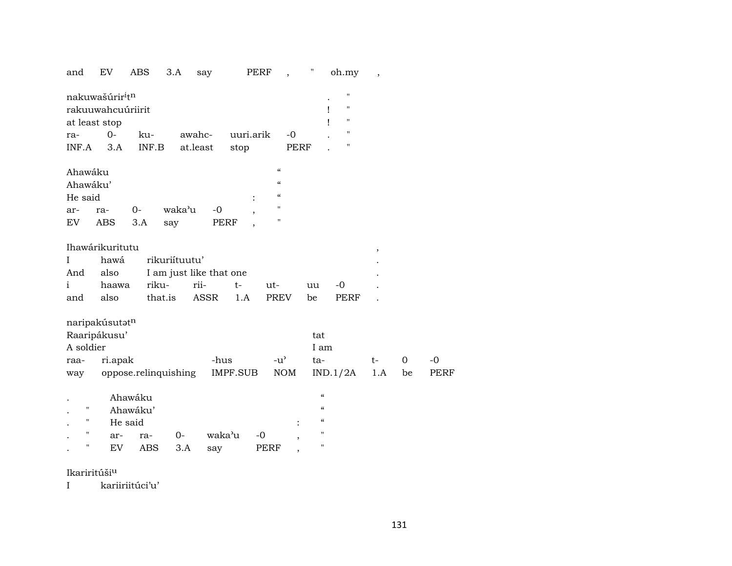| and          | EV                | <b>ABS</b>           | 3.A           | say                     | PERF      | $\overline{\phantom{a}}$ | $\pmb{\mathsf{H}}$ | oh.my                   | $\overline{\phantom{a}}$ |             |             |
|--------------|-------------------|----------------------|---------------|-------------------------|-----------|--------------------------|--------------------|-------------------------|--------------------------|-------------|-------------|
|              | nakuwašúriritn    |                      |               |                         |           |                          |                    | $\pmb{\mathsf{H}}$      |                          |             |             |
|              | rakuuwahcuúriirit |                      |               |                         |           |                          |                    | $\pmb{\mathsf{H}}$<br>Ţ |                          |             |             |
|              | at least stop     |                      |               |                         |           |                          |                    | $\pmb{\mathsf{H}}$<br>ı |                          |             |             |
| ra-          | $0-$              | ku-                  |               | awahc-                  | uuri.arik | $-0$                     |                    | $\pmb{\mathsf{H}}$      |                          |             |             |
| INF.A        | 3.A               | INF.B                |               | at.least                | stop      |                          | <b>PERF</b>        | н                       |                          |             |             |
| Ahawáku      |                   |                      |               |                         |           | $\mathcal{C}$            |                    |                         |                          |             |             |
| Ahawáku'     |                   |                      |               |                         |           | $\mathcal{C}\mathcal{C}$ |                    |                         |                          |             |             |
| He said      |                   |                      |               |                         |           | $\mathcal{C}\mathcal{C}$ |                    |                         |                          |             |             |
| ar-          | ra-               | $0-$                 | waka'u        | $-0$                    |           | $\mathbf{H}$             |                    |                         |                          |             |             |
| EV           | <b>ABS</b>        | 3.A                  | say           |                         | PERF      | $\pmb{\mathsf{H}}$       |                    |                         |                          |             |             |
|              |                   |                      |               |                         |           |                          |                    |                         |                          |             |             |
|              | Ihawárikuritutu   |                      |               |                         |           |                          |                    |                         | ,                        |             |             |
| Ι            | hawá              |                      | rikuriítuutu' |                         |           |                          |                    |                         |                          |             |             |
| And          | also              |                      |               | I am just like that one |           |                          |                    |                         |                          |             |             |
| $\mathbf{i}$ | haawa             |                      | riku-         | rii-                    | $t-$      | ut-                      | uu                 | -0                      |                          |             |             |
| and          | also              |                      | that.is       | <b>ASSR</b>             | 1.A       | PREV                     | be                 | <b>PERF</b>             |                          |             |             |
|              | naripakúsutatn    |                      |               |                         |           |                          |                    |                         |                          |             |             |
|              | Raaripákusu'      |                      |               |                         |           |                          | tat                |                         |                          |             |             |
| A soldier    |                   |                      |               |                         |           |                          | I am               |                         |                          |             |             |
| raa-         | ri.apak           |                      |               | -hus                    |           | $-u^{\prime}$            | ta-                |                         | t-                       | $\mathbf 0$ | $-0$        |
| way          |                   | oppose.relinquishing |               |                         | IMPF.SUB  | <b>NOM</b>               |                    | IND.1/2A                | 1.A                      | be          | <b>PERF</b> |
|              |                   |                      |               |                         |           |                          |                    |                         |                          |             |             |
|              |                   | Ahawáku              |               |                         |           |                          | $\epsilon$         |                         |                          |             |             |
| п            |                   | Ahawáku'             |               |                         |           |                          | $\epsilon$         |                         |                          |             |             |
| н            |                   | He said              |               |                         |           |                          | $\epsilon\epsilon$ |                         |                          |             |             |
| п            | ar-               | ra-                  | 0-            |                         | waka'u    | $-0$                     | 11                 |                         |                          |             |             |
| п            | EV                | ABS                  | 3.A           | say                     |           | <b>PERF</b>              | П                  |                         |                          |             |             |
|              |                   |                      |               |                         |           |                          |                    |                         |                          |             |             |

Ikariritúšiµ

I kariiriitúci'u'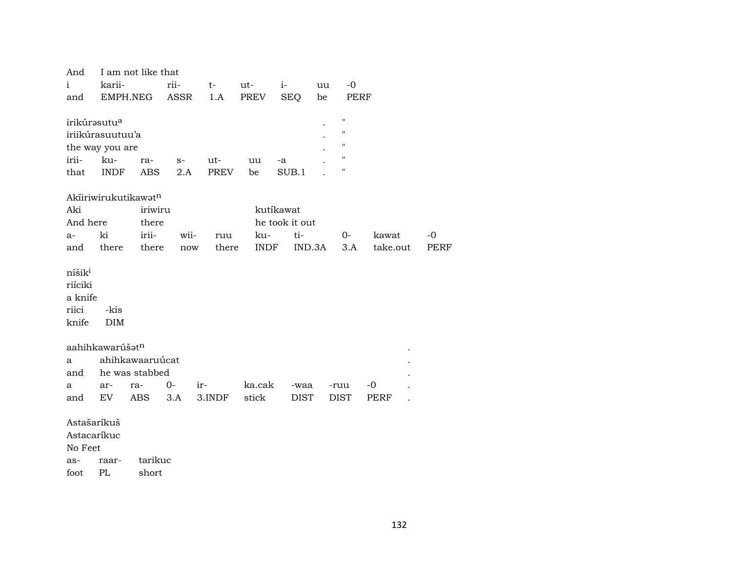| And                                                        |                             | I am not like that |                      |             |             |                |        |             |          |      |  |
|------------------------------------------------------------|-----------------------------|--------------------|----------------------|-------------|-------------|----------------|--------|-------------|----------|------|--|
| $\mathbf{i}$                                               | karii-                      |                    | rii-                 | $t-$        | ut-         | $i-$           | uu     | $-0$        |          |      |  |
| and                                                        | EMPH.NEG                    |                    | ASSR                 | 1.A         | PREV        | <b>SEQ</b>     | be     | PERF        |          |      |  |
|                                                            |                             |                    |                      |             |             |                |        |             |          |      |  |
|                                                            | irikúrasutu <sup>a</sup>    |                    |                      |             |             |                |        | 11          |          |      |  |
|                                                            | iriikúrasuutuu'a            |                    |                      |             |             |                |        | 11          |          |      |  |
|                                                            | the way you are             |                    |                      |             |             |                |        | 11          |          |      |  |
| irii-                                                      | ku-                         | ra-                | $S-$                 | ut-         | uu          | -a             |        | 11          |          |      |  |
| that                                                       | <b>INDF</b>                 | ABS                | 2.A                  | <b>PREV</b> | be          | SUB.1          |        | "           |          |      |  |
|                                                            |                             |                    |                      |             |             |                |        |             |          |      |  |
|                                                            | Akiiriwirukutikawatn        |                    |                      |             |             |                |        |             |          |      |  |
| Aki                                                        |                             | iriwiru            |                      |             |             | kutíkawat      |        |             |          |      |  |
| And here                                                   |                             | there              |                      |             |             | he took it out |        |             |          |      |  |
| a-                                                         | ki                          | irii-              | wii-                 | ruu         | ku-         | ti-            |        | 0-          | kawat    | $-0$ |  |
| and                                                        | there                       | there              | $\operatorname{now}$ | there       | <b>INDF</b> |                | IND.3A | 3.A         | take.out | PERF |  |
| níšik <sup>i</sup><br>riíciki<br>a knife<br>riici<br>knife | -kis<br><b>DIM</b>          |                    |                      |             |             |                |        |             |          |      |  |
|                                                            | aahihkawarúšat <sup>n</sup> |                    |                      |             |             |                |        |             |          |      |  |
| a                                                          |                             | ahihkawaaruúcat    |                      |             |             |                |        |             |          |      |  |
| and                                                        |                             | he was stabbed     |                      |             |             |                |        |             |          |      |  |
| a                                                          | ar-                         | ra-                | $0-$                 | ir-         | ka.cak      | -waa           |        | -ruu        | $-0$     |      |  |
| and                                                        | EV                          | <b>ABS</b>         | 3.A                  | 3.INDF      | stick       | <b>DIST</b>    |        | <b>DIST</b> | PERF     |      |  |
|                                                            |                             |                    |                      |             |             |                |        |             |          |      |  |
| Astašaríkuš                                                |                             |                    |                      |             |             |                |        |             |          |      |  |
| Astacaríkuc                                                |                             |                    |                      |             |             |                |        |             |          |      |  |
| No Feet                                                    |                             |                    |                      |             |             |                |        |             |          |      |  |
| as-                                                        | raar-                       | tarikuc            |                      |             |             |                |        |             |          |      |  |

foot PL  ${\tt short}$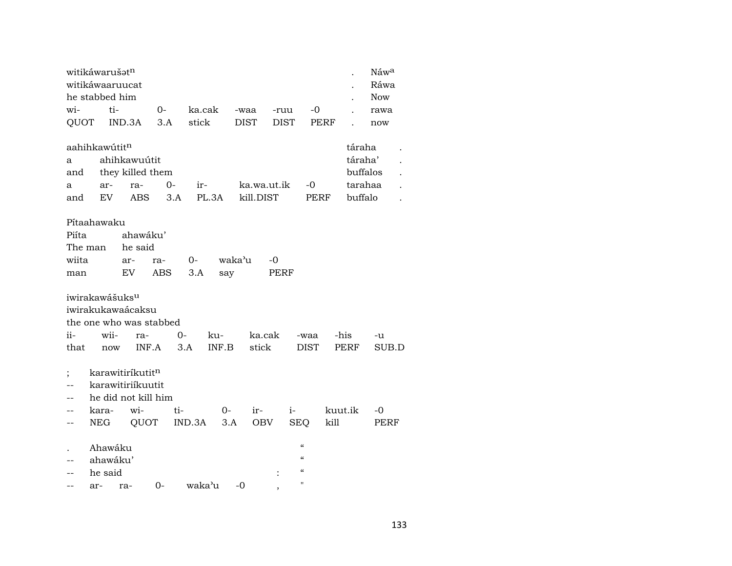|                          | witikáwarušatn             |                              |            |        |        |             |             |                            |         | Náwa       |  |
|--------------------------|----------------------------|------------------------------|------------|--------|--------|-------------|-------------|----------------------------|---------|------------|--|
|                          | witikáwaaruucat            |                              |            |        |        |             |             |                            |         | Ráwa       |  |
|                          | he stabbed him             |                              |            |        |        |             |             |                            |         | <b>Now</b> |  |
| wi-                      | ti-                        |                              | $0-$       | ka.cak |        | -waa        | -ruu        | $-0$                       |         | rawa       |  |
| QUOT                     |                            | IND.3A                       | 3.A        | stick  |        | <b>DIST</b> | <b>DIST</b> | <b>PERF</b>                |         | now        |  |
|                          |                            |                              |            |        |        |             |             |                            |         |            |  |
|                          | aahihkawútit <sup>n</sup>  |                              |            |        |        |             |             |                            |         | táraha     |  |
| a                        |                            | ahihkawuútit                 |            |        |        |             |             |                            |         | táraha'    |  |
| and                      |                            | they killed them             |            |        |        |             |             |                            |         | buffalos   |  |
| a                        | ar-                        | ra-                          | $0 -$      | ir-    |        | ka.wa.ut.ik |             | $-0$                       |         | tarahaa    |  |
| and                      | EV.                        | ABS                          | 3.A        | PL.3A  |        | kill.DIST   |             | PERF                       |         | buffalo    |  |
|                          |                            |                              |            |        |        |             |             |                            |         |            |  |
|                          | Pítaahawaku                |                              |            |        |        |             |             |                            |         |            |  |
| Piíta                    |                            | ahawáku'                     |            |        |        |             |             |                            |         |            |  |
| The man                  |                            | he said                      |            |        |        |             |             |                            |         |            |  |
| wiita                    |                            | ar-                          | ra-        | $0-$   | waka'u | $-0$        |             |                            |         |            |  |
| man                      |                            | EV                           | <b>ABS</b> | 3.A    | say    |             | PERF        |                            |         |            |  |
|                          |                            |                              |            |        |        |             |             |                            |         |            |  |
|                          | iwirakawášuks <sup>u</sup> |                              |            |        |        |             |             |                            |         |            |  |
|                          |                            | iwirakukawaácaksu            |            |        |        |             |             |                            |         |            |  |
|                          |                            | the one who was stabbed      |            |        |        |             |             |                            |         |            |  |
| ii-                      | wii-                       | ra-                          | $0-$       | ku-    |        | ka.cak      |             | -waa                       | -his    | -u         |  |
| that                     | now                        | INF.A                        |            | 3.A    | INF.B  | stick       |             | <b>DIST</b>                | PERF    | SUB.D      |  |
|                          |                            |                              |            |        |        |             |             |                            |         |            |  |
| $\vdots$                 |                            | karawitiríkutit <sup>n</sup> |            |        |        |             |             |                            |         |            |  |
| $\overline{\phantom{a}}$ |                            | karawitiriíkuutit            |            |        |        |             |             |                            |         |            |  |
| $\overline{\phantom{a}}$ |                            | he did not kill him          |            |        |        |             |             |                            |         |            |  |
| --                       | kara-                      | wi-                          | ti-        |        | 0-     | ir-         | $i-$        |                            | kuut.ik | -0         |  |
| --                       | NEG                        | QUOT                         |            | IND.3A | 3.A    | OBV         | <b>SEQ</b>  |                            | kill    | PERF       |  |
|                          |                            |                              |            |        |        |             |             |                            |         |            |  |
|                          | Ahawáku                    |                              |            |        |        |             |             | $\pmb{\zeta}\pmb{\zeta}$   |         |            |  |
| $\qquad \qquad -$        | ahawáku'                   |                              |            |        |        |             |             | $\boldsymbol{\mathcal{C}}$ |         |            |  |
| --                       | he said                    |                              |            |        |        |             |             | $\boldsymbol{\mathcal{C}}$ |         |            |  |
| $- -$                    | ar-                        | ra-                          | $0-$       | waka'u | $-0$   |             |             | $\mathbf{H}$               |         |            |  |
|                          |                            |                              |            |        |        |             |             |                            |         |            |  |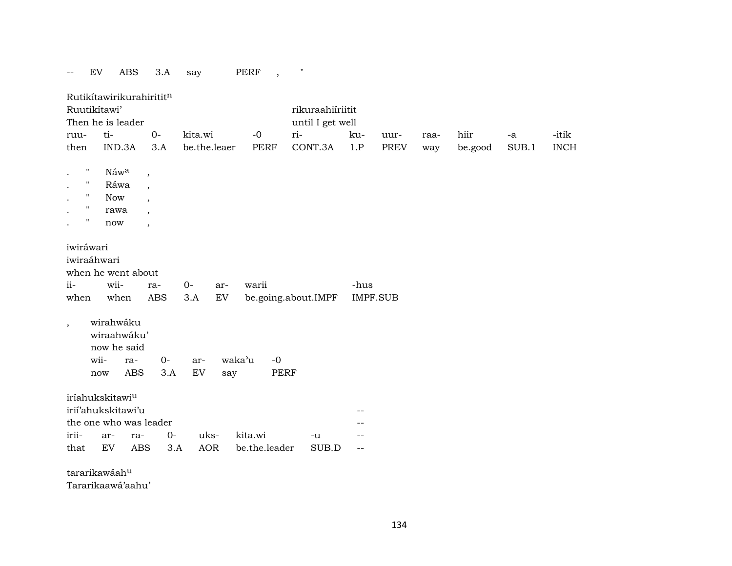|                                                                                                            | $\mathop{\rm EV}\nolimits$<br><b>ABS</b>                                    | 3.A                                                                                                        | say                       |                    | <b>PERF</b>                   | $\pmb{\mathsf{H}}$                          |          |                 |      |         |       |             |
|------------------------------------------------------------------------------------------------------------|-----------------------------------------------------------------------------|------------------------------------------------------------------------------------------------------------|---------------------------|--------------------|-------------------------------|---------------------------------------------|----------|-----------------|------|---------|-------|-------------|
| Ruutikítawi'<br>ruu-                                                                                       | Rutikítawirikurahirititn<br>Then he is leader<br>ti-                        | $0-$                                                                                                       | kita.wi                   |                    | $-0$                          | rikuraahiíriitit<br>until I get well<br>ri- | ku-      | uur-            | raa- | hiir    | -a    | -itik       |
| then                                                                                                       | IND.3A                                                                      | 3.A                                                                                                        |                           | be.the.leaer       | <b>PERF</b>                   | CONT.3A                                     | 1.P      | <b>PREV</b>     | way  | be.good | SUB.1 | <b>INCH</b> |
| $\pmb{\mathsf{H}}$<br>$\pmb{\mathsf{H}}$<br>$\pmb{\mathsf{H}}$<br>$\pmb{\mathsf{H}}$<br>$\pmb{\mathsf{H}}$ | Náw <sup>a</sup><br>Ráwa<br>Now<br>rawa<br>now                              | $\,$<br>$\overline{\phantom{a}}$<br>$\overline{\phantom{a}}$<br>$\overline{\phantom{a}}$<br>$\overline{ }$ |                           |                    |                               |                                             |          |                 |      |         |       |             |
| iwiráwari<br>iwiraáhwari<br>$ii -$<br>when                                                                 | when he went about<br>wii-<br>when                                          | ra-<br>ABS                                                                                                 | $O -$<br>3.A              | ar-<br>EV          | warii                         | be.going.about.IMPF                         | -hus     | <b>IMPF.SUB</b> |      |         |       |             |
| $\overline{\phantom{a}}$                                                                                   | wirahwáku<br>wiraahwáku'<br>now he said<br>wii-<br>now                      | ra-<br><b>ABS</b>                                                                                          | $O -$<br>ar-<br>EV<br>3.A | say                | waka'u<br>$-0$<br><b>PERF</b> |                                             |          |                 |      |         |       |             |
|                                                                                                            | iríahukskitawi <sup>u</sup><br>irií'ahukskitawi'u<br>the one who was leader |                                                                                                            |                           |                    |                               |                                             |          |                 |      |         |       |             |
| irii-<br>that                                                                                              | ar-<br>${\rm EV}$                                                           | ra-<br><b>ABS</b>                                                                                          | $0 -$<br>3.A              | uks-<br><b>AOR</b> | kita.wi<br>be.the.leader      | -u<br>SUB.D                                 | --<br>-- |                 |      |         |       |             |
| $\cdots$                                                                                                   | $\sim$ $\sim$ $\sim$                                                        |                                                                                                            |                           |                    |                               |                                             |          |                 |      |         |       |             |

tararikawáah $^{\rm u}$ 

Tararikaawá'aahu'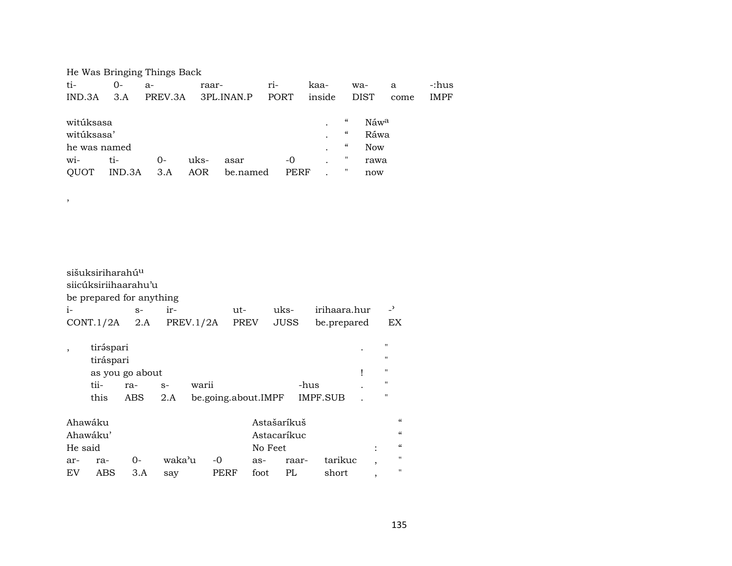He Was Bringing Things Back

,

| ti-               | 0-     | $a-$    | raar- |            | $ri-$       | kaa-   | wa-                |                  | a    | -:hus       |
|-------------------|--------|---------|-------|------------|-------------|--------|--------------------|------------------|------|-------------|
| IND.3A            | 3.A    | PREV.3A |       | 3PL.INAN.P | <b>PORT</b> | inside |                    | <b>DIST</b>      | come | <b>IMPF</b> |
|                   |        |         |       |            |             |        |                    |                  |      |             |
| witúksasa         |        |         |       |            |             | ٠      | "                  | Náw <sup>a</sup> |      |             |
| witúksasa'        |        |         |       |            |             | ٠      | $\epsilon\epsilon$ | Ráwa             |      |             |
| he was named      |        |         |       |            |             |        | $\mu$              | <b>Now</b>       |      |             |
| $\overline{wi}$ - | ti-    | $() -$  | uks-  | asar       | -0          |        | Π                  | rawa             |      |             |
| <b>OUOT</b>       | IND.3A | 3.A     | AOR   | be.named   | PERF        |        |                    | now              |      |             |

sišuksiriharahú<sup>u</sup> siicúksiriihaarahu'u be prepared for anything i- s- ir- ut- uks- irihaara.hur -" CONT.1/2A 2.A PREV.1/2A PREV JUSS be.prepared EX , tir<br/>ə́spari . " tiráspari " as you go about  $\blacksquare$ tii- ra- s- warii -hus . " this ABS 2.A be.going.about.IMPF IMPF.SUB . " Ahawáku Astašaríkuš " Ahawáku' (and a shekari Astacaríkuc (and a shekari 1999) a shekari Astacaríkuc (and a shekari 1991) a shekari He said is a set to see that the No Feet that is set to see the set of the set of the set of the set of the se ar- ra- 0- waka"u -0 as- raar- tarikuc , " EV ABS 3.A say PERF foot PL short , "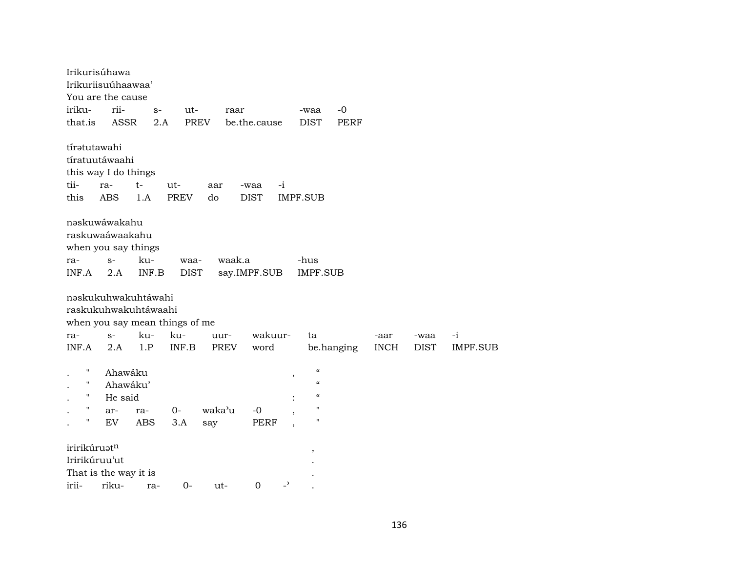|               | Irikurisúhawa                  |       |             |             |              |                          |                            |             |             |             |                 |
|---------------|--------------------------------|-------|-------------|-------------|--------------|--------------------------|----------------------------|-------------|-------------|-------------|-----------------|
|               | Irikuriisuúhaawaa'             |       |             |             |              |                          |                            |             |             |             |                 |
|               | You are the cause              |       |             |             |              |                          |                            |             |             |             |                 |
| iriku-        | rii-                           | $S-$  | ut-         | raar        |              |                          | -waa                       | $-0$        |             |             |                 |
| that.is       | <b>ASSR</b>                    | 2.A   |             | <b>PREV</b> | be.the.cause |                          | <b>DIST</b>                | <b>PERF</b> |             |             |                 |
| tírətutawahi  |                                |       |             |             |              |                          |                            |             |             |             |                 |
|               | tíratuutáwaahi                 |       |             |             |              |                          |                            |             |             |             |                 |
|               | this way I do things           |       |             |             |              |                          |                            |             |             |             |                 |
| tii-          | ra-                            | $t-$  | ut-         | aar         | -waa         | $-i$                     |                            |             |             |             |                 |
| this          | ABS                            | 1.A   | <b>PREV</b> | do          | <b>DIST</b>  |                          | <b>IMPF.SUB</b>            |             |             |             |                 |
|               | nəskuwáwakahu                  |       |             |             |              |                          |                            |             |             |             |                 |
|               | raskuwaáwaakahu                |       |             |             |              |                          |                            |             |             |             |                 |
|               | when you say things            |       |             |             |              |                          |                            |             |             |             |                 |
| ra-           | $S-$                           | ku-   | waa-        | waak.a      |              |                          | -hus                       |             |             |             |                 |
| INF.A         | 2.A                            | INF.B | <b>DIST</b> |             | say.IMPF.SUB |                          | <b>IMPF.SUB</b>            |             |             |             |                 |
|               | nəskukuhwakuhtáwahi            |       |             |             |              |                          |                            |             |             |             |                 |
|               | raskukuhwakuhtáwaahi           |       |             |             |              |                          |                            |             |             |             |                 |
|               | when you say mean things of me |       |             |             |              |                          |                            |             |             |             |                 |
| ra-           | $S-$                           | ku-   | ku-         | uur-        | wakuur-      |                          | ta                         |             | -aar        | -waa        | $-i$            |
| INF.A         | 2.A                            | 1.P   | INF.B       | PREV        | word         |                          |                            | be.hanging  | <b>INCH</b> | <b>DIST</b> | <b>IMPF.SUB</b> |
| Н             | Ahawáku                        |       |             |             |              | $\overline{\phantom{a}}$ | $\mathcal{C}$              |             |             |             |                 |
| 11            | Ahawáku'                       |       |             |             |              |                          | $\boldsymbol{\mathcal{C}}$ |             |             |             |                 |
| 11            | He said                        |       |             |             |              |                          | $\mathcal{C}\mathcal{C}$   |             |             |             |                 |
| $\mathbf{H}$  | ar-                            | ra-   | $0-$        | waka'u      | $-0$         |                          | $\pmb{\mathsf{H}}$         |             |             |             |                 |
| н             | EV                             | ABS   | 3.A         | say         | PERF         |                          | $\blacksquare$             |             |             |             |                 |
| iririkúruatn  |                                |       |             |             |              |                          | $\overline{\phantom{a}}$   |             |             |             |                 |
| Iririkúruu'ut |                                |       |             |             |              |                          |                            |             |             |             |                 |
|               | That is the way it is          |       |             |             |              |                          |                            |             |             |             |                 |
| irii-         | riku-                          | ra-   | $0-$        | ut-         | $\mathbf 0$  | $\overline{\phantom{a}}$ |                            |             |             |             |                 |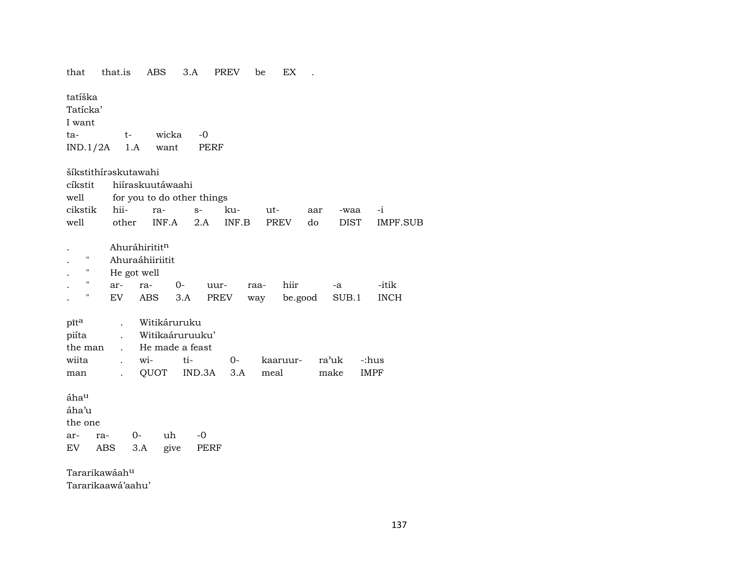| that                                     | that.is                                                                                |                                                               | ABS                              | 3.A                                       | <b>PREV</b>  | be<br>ЕX            |               |                     |                      |
|------------------------------------------|----------------------------------------------------------------------------------------|---------------------------------------------------------------|----------------------------------|-------------------------------------------|--------------|---------------------|---------------|---------------------|----------------------|
| tatíška<br>Tatícka'<br>I want<br>ta-     | $IND.1/2A$ 1.A                                                                         | $t-$                                                          | wicka<br>want                    | $-0$<br>PERF                              |              |                     |               |                     |                      |
| cíkstit<br>well<br>cikstik<br>well       | šíkstithírəskutawahi<br>other                                                          | hii-                                                          | hiíraskuutáwaahi<br>ra-<br>INF.A | for you to do other things<br>$S-$<br>2.A | ku-<br>INF.B | ut-<br>PREV         | aar<br>do     | -waa<br><b>DIST</b> | $-i$<br>IMPF.SUB     |
| п<br>Н<br>н<br>п                         | ar-<br>EV                                                                              | Ahuráhirititn<br>Ahuraáhiiriitit<br>He got well<br>ra-<br>ABS | $O-$<br>3.A                      | uur-<br>PREV                              |              | hiir<br>raa-<br>way | be.good       | -a<br>SUB.1         | -itik<br><b>INCH</b> |
| pīta<br>piíta<br>the man<br>wiita<br>man | $\ddot{\phantom{a}}$<br>$\ddot{\phantom{a}}$<br>$\ddot{\phantom{a}}$<br>$\overline{a}$ | wi-<br>QUOT                                                   | Witikáruruku<br>He made a feast  | Witikaáruruuku'<br>ti-<br>IND.3A          | $O-$<br>3.A  | kaaruur-<br>meal    | ra'uk<br>make |                     | -:hus<br><b>IMPF</b> |
| áhau<br>áha'u<br>the one<br>ar-<br>EV    | ra-<br>ABS                                                                             | $0-$<br>3.A                                                   | uh<br>give                       | -0<br>PERF                                |              |                     |               |                     |                      |
|                                          | Tararikawáahu                                                                          |                                                               |                                  |                                           |              |                     |               |                     |                      |

Tararikaawá'aahu'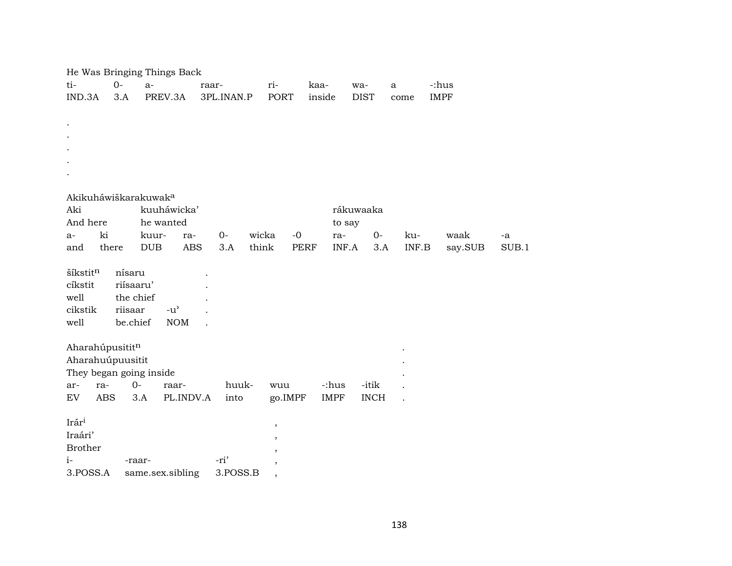|                                     |           | He Was Bringing Things Back         |            |               |               |             |              |             |       |
|-------------------------------------|-----------|-------------------------------------|------------|---------------|---------------|-------------|--------------|-------------|-------|
| ti-                                 | $0-$      | $a-$                                | raar-      | ri-           | kaa-          | wa-         | $\mathbf{a}$ | -:hus       |       |
| IND.3A                              | 3.A       | PREV.3A                             | 3PL.INAN.P | <b>PORT</b>   | inside        | <b>DIST</b> | come         | <b>IMPF</b> |       |
|                                     |           |                                     |            |               |               |             |              |             |       |
|                                     |           |                                     |            |               |               |             |              |             |       |
|                                     |           |                                     |            |               |               |             |              |             |       |
|                                     |           |                                     |            |               |               |             |              |             |       |
|                                     |           |                                     |            |               |               |             |              |             |       |
|                                     |           |                                     |            |               |               |             |              |             |       |
| Akikuháwiškarakuwak <sup>a</sup>    |           |                                     |            |               |               |             |              |             |       |
| Aki                                 |           | kuuháwicka'                         |            |               |               | rákuwaaka   |              |             |       |
| And here                            |           | he wanted                           |            |               | to say        |             |              |             |       |
| ki<br>$a-$                          |           | kuur-<br>ra-                        | $0-$       | wicka<br>$-0$ | ra-           | $O-$        | ku-          | waak        | $-a$  |
| and                                 | there     | $_{\rm DUB}$<br><b>ABS</b>          | 3.A        | think         | PERF<br>INF.A | 3.A         | INF.B        | say.SUB     | SUB.1 |
|                                     |           |                                     |            |               |               |             |              |             |       |
| šíkstitn                            | nísaru    |                                     |            |               |               |             |              |             |       |
| cíkstit                             | riísaaru' |                                     |            |               |               |             |              |             |       |
| well                                | the chief |                                     |            |               |               |             |              |             |       |
| cikstik                             | riisaar   | $-u$ <sup><math>\prime</math></sup> |            |               |               |             |              |             |       |
| well                                | be.chief  | <b>NOM</b>                          |            |               |               |             |              |             |       |
|                                     |           |                                     |            |               |               |             |              |             |       |
| Aharahúpusititn<br>Aharahuúpuusitit |           |                                     |            |               |               |             |              |             |       |
| They began going inside             |           |                                     |            |               |               |             |              |             |       |
| ra-<br>ar-                          |           | $0 -$<br>raar-                      | huuk-      | wuu           | -:hus         | -itik       |              |             |       |
| ${\rm EV}$<br><b>ABS</b>            |           | 3.A<br>PL.INDV.A                    | into       | go.IMPF       | <b>IMPF</b>   | <b>INCH</b> |              |             |       |
|                                     |           |                                     |            |               |               |             |              |             |       |
| Irári                               |           |                                     |            | $\, ,$        |               |             |              |             |       |
| Iraári'                             |           |                                     |            | ,             |               |             |              |             |       |
| <b>Brother</b>                      |           |                                     |            |               |               |             |              |             |       |
| $i-$                                |           | -raar-                              | -ri'       |               |               |             |              |             |       |
| 3.POSS.A                            |           | same.sex.sibling                    | 3.POSS.B   | $^\mathrm{,}$ |               |             |              |             |       |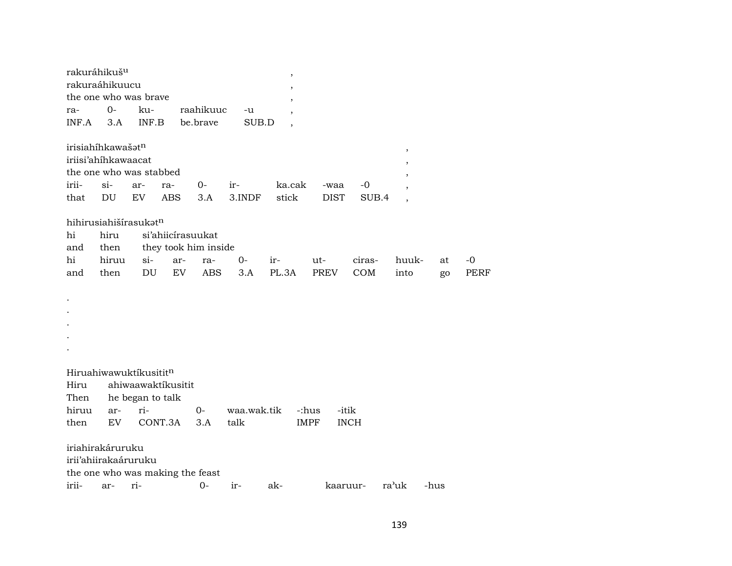| rakuráhikuš <sup>u</sup><br>rakuraáhikuucu<br>the one who was brave                  |             |                  |                                  |             |               | $\,$                     |                     |               |                          |      |             |
|--------------------------------------------------------------------------------------|-------------|------------------|----------------------------------|-------------|---------------|--------------------------|---------------------|---------------|--------------------------|------|-------------|
|                                                                                      |             |                  |                                  |             |               |                          |                     |               |                          |      |             |
| ra-                                                                                  | $0-$        | ku-              |                                  | raahikuuc   | -u            | $\overline{ }$           |                     |               |                          |      |             |
| INF.A                                                                                | 3.A         | INF.B            |                                  | be.brave    | SUB.D         | $\overline{\phantom{a}}$ |                     |               |                          |      |             |
| irisiahíhkawašatn<br>iriisi'ahíhkawaacat<br>the one who was stabbed<br>irii-<br>that | $si-$<br>DU | ar-<br>EV        | ra-<br><b>ABS</b>                | $0-$<br>3.A | ir-<br>3.INDF | ka.cak<br>stick          | -waa<br><b>DIST</b> | $-0$<br>SUB.4 | $^\mathrm{,}$<br>$\cdot$ |      |             |
| hihirusiahišírasukatn                                                                |             |                  |                                  |             |               |                          |                     |               |                          |      |             |
| hi                                                                                   | hiru        |                  | si'ahiicirasuukat                |             |               |                          |                     |               |                          |      |             |
| and                                                                                  | then        |                  | they took him inside             |             |               |                          |                     |               |                          |      |             |
| hi                                                                                   | hiruu       | $\sin$           | ar-                              | ra-         | $0-$          | ir-                      | ut-                 | ciras-        | huuk-                    | at   | $-0$        |
| and                                                                                  | then        | DU               | EV                               | <b>ABS</b>  | 3.A           | PL.3A                    | <b>PREV</b>         | COM           | into                     | go   | <b>PERF</b> |
|                                                                                      |             |                  |                                  |             |               |                          |                     |               |                          |      |             |
|                                                                                      |             |                  |                                  |             |               |                          |                     |               |                          |      |             |
|                                                                                      |             |                  |                                  |             |               |                          |                     |               |                          |      |             |
|                                                                                      |             |                  |                                  |             |               |                          |                     |               |                          |      |             |
|                                                                                      |             |                  |                                  |             |               |                          |                     |               |                          |      |             |
|                                                                                      |             |                  |                                  |             |               |                          |                     |               |                          |      |             |
|                                                                                      |             |                  |                                  |             |               |                          |                     |               |                          |      |             |
| Hiruahiwawuktíkusititn                                                               |             |                  |                                  |             |               |                          |                     |               |                          |      |             |
| Hiru                                                                                 |             |                  | ahiwaawaktikusitit               |             |               |                          |                     |               |                          |      |             |
| Then                                                                                 |             | he began to talk |                                  |             |               |                          |                     |               |                          |      |             |
| hiruu                                                                                | ar-         | ri-              |                                  | $0-$        | waa.wak.tik   |                          | -:hus<br>-itik      |               |                          |      |             |
|                                                                                      | EV          |                  | CONT.3A                          | 3.A         | talk          |                          | <b>IMPF</b>         | <b>INCH</b>   |                          |      |             |
| then                                                                                 |             |                  |                                  |             |               |                          |                     |               |                          |      |             |
| iriahirakáruruku<br>irii'ahiirakaáruruku                                             |             |                  |                                  |             |               |                          |                     |               |                          |      |             |
|                                                                                      |             |                  | the one who was making the feast |             |               |                          |                     |               |                          |      |             |
| irii-                                                                                | ar-         | ri-              |                                  | $O -$       | ir-           | ak-                      | kaaruur-            |               | ra'uk                    | -hus |             |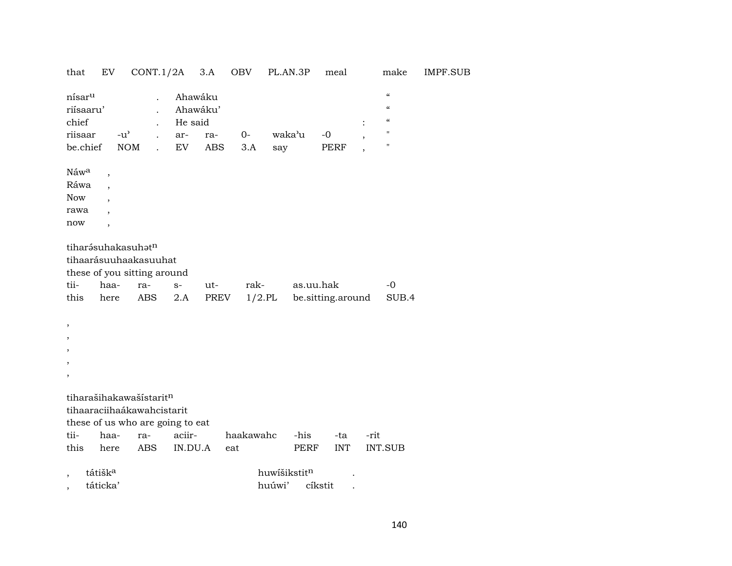| that                                                                                  | EV                                                   | $CONT.1/2A$ 3.A                                                                           |                                             |                   | OBV          | PL.AN.3P      | meal                           |      | make                                                                                                                        | IMPF.SUB |
|---------------------------------------------------------------------------------------|------------------------------------------------------|-------------------------------------------------------------------------------------------|---------------------------------------------|-------------------|--------------|---------------|--------------------------------|------|-----------------------------------------------------------------------------------------------------------------------------|----------|
| nísar <sup>u</sup><br>riísaaru'<br>chief<br>riisaar<br>be.chief                       | $-u^{\prime}$<br><b>NOM</b>                          | $\ddot{\phantom{a}}$<br>$\ddot{\phantom{a}}$                                              | Ahawáku<br>Ahawáku'<br>He said<br>ar-<br>EV | ra-<br><b>ABS</b> | $O -$<br>3.A | waka'u<br>say | $-0$<br><b>PERF</b>            |      | $\boldsymbol{\mathcal{C}}$<br>$\pmb{\mathcal{C}}$<br>$\boldsymbol{\mathcal{C}}$<br>$\pmb{\mathsf{H}}$<br>$\pmb{\mathsf{H}}$ |          |
| Náw <sup>a</sup><br>Ráwa<br>Now<br>rawa<br>now                                        | $\overline{\phantom{a}}$<br>$\overline{\phantom{a}}$ |                                                                                           |                                             |                   |              |               |                                |      |                                                                                                                             |          |
|                                                                                       | tiharásuhakasuhatn                                   | tihaarásuuhaakasuuhat<br>these of you sitting around                                      |                                             |                   |              |               |                                |      |                                                                                                                             |          |
| tii-<br>this                                                                          | haa-<br>here                                         | ra-<br><b>ABS</b>                                                                         | $S-$<br>2.A                                 | ut-<br>PREV       | rak-         | $1/2$ .PL     | as.uu.hak<br>be.sitting.around |      | $-0$<br>SUB.4                                                                                                               |          |
| $\overline{\phantom{a}}$<br>$\overline{\phantom{a}}$<br>,<br>$\overline{\phantom{a}}$ |                                                      |                                                                                           |                                             |                   |              |               |                                |      |                                                                                                                             |          |
| $\overline{\phantom{a}}$                                                              |                                                      |                                                                                           |                                             |                   |              |               |                                |      |                                                                                                                             |          |
|                                                                                       |                                                      | tiharašihakawašístaritn<br>tihaaraciihaákawahcistarit<br>these of us who are going to eat |                                             |                   |              |               |                                |      |                                                                                                                             |          |
| tii-                                                                                  | haa-                                                 | ra-                                                                                       | aciir-                                      |                   | haakawahc    | -his          | -ta                            | -rit |                                                                                                                             |          |
| this                                                                                  | here                                                 | <b>ABS</b>                                                                                | IN.DU.A                                     | eat               |              | <b>PERF</b>   | <b>INT</b>                     |      | <b>INT.SUB</b>                                                                                                              |          |
|                                                                                       | tátišk <sup>a</sup>                                  |                                                                                           |                                             |                   |              | huwíšikstitn  |                                |      |                                                                                                                             |          |
| $\overline{\phantom{a}}$                                                              | táticka'                                             |                                                                                           |                                             |                   | huúwi'       |               |                                |      |                                                                                                                             |          |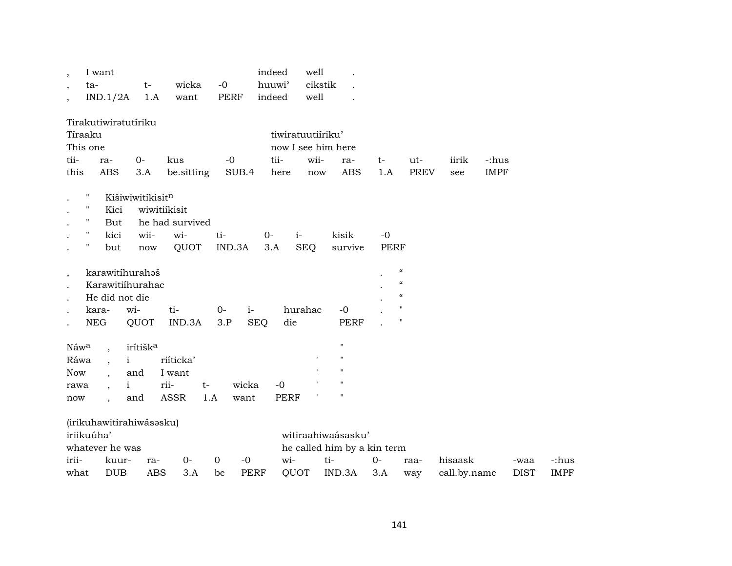| $\overline{\phantom{a}}$<br>$\overline{\phantom{a}}$<br>$\overline{\phantom{a}}$ | I want<br>ta-<br>IND.1/2A       |                      | $t-$<br>1.A          | wicka<br>want   | $-0$ | PERF        | indeed<br>huuwi'<br>indeed | well<br>cikstik<br>well |                    |             |                                        |              |             |             |
|----------------------------------------------------------------------------------|---------------------------------|----------------------|----------------------|-----------------|------|-------------|----------------------------|-------------------------|--------------------|-------------|----------------------------------------|--------------|-------------|-------------|
|                                                                                  | Tirakutiwiratutíriku<br>Tíraaku |                      |                      |                 |      |             |                            | tiwiratuutiíriku'       |                    |             |                                        |              |             |             |
|                                                                                  | This one                        |                      |                      |                 |      |             |                            |                         | now I see him here |             |                                        |              |             |             |
| tii-                                                                             | ra-                             | $0-$                 |                      | kus             |      | $-0$        | tii-                       | wii-                    | ra-                | $t-$        | ut-                                    | iirik        | -:hus       |             |
| this                                                                             | <b>ABS</b>                      |                      | 3.A                  | be.sitting      |      | SUB.4       | here                       | now                     | <b>ABS</b>         | 1.A         | <b>PREV</b>                            | see          | <b>IMPF</b> |             |
|                                                                                  | $\pmb{\mathsf{H}}$              | Kišiwiwitíkisitn     |                      |                 |      |             |                            |                         |                    |             |                                        |              |             |             |
|                                                                                  | $\pmb{\mathsf{H}}$<br>Kici      |                      | wiwitiíkisit         |                 |      |             |                            |                         |                    |             |                                        |              |             |             |
|                                                                                  | $\pmb{\mathsf{H}}$<br>But       |                      |                      | he had survived |      |             |                            |                         |                    |             |                                        |              |             |             |
|                                                                                  | $\pmb{\mathsf{H}}$<br>kici      |                      | wii-                 | wi-             | ti-  |             | $0-$                       | $i-$                    | kisik              | $-0$        |                                        |              |             |             |
|                                                                                  | $\mathbf{H}$<br>but             |                      | $\operatorname{now}$ | QUOT            |      | IND.3A      | 3.A                        | <b>SEQ</b>              | survive            | <b>PERF</b> |                                        |              |             |             |
| $\, ,$                                                                           | karawitíhurahoš                 |                      |                      |                 |      |             |                            |                         |                    |             | $\boldsymbol{\mathcal{C}}$             |              |             |             |
|                                                                                  | Karawitiihurahac                |                      |                      |                 |      |             |                            |                         |                    |             | $\boldsymbol{\zeta}\boldsymbol{\zeta}$ |              |             |             |
|                                                                                  | He did not die                  |                      |                      |                 |      |             |                            |                         |                    |             | $\boldsymbol{\zeta}\boldsymbol{\zeta}$ |              |             |             |
|                                                                                  | kara-                           | wi-                  |                      | ti-             | $0-$ | $i-$        |                            | hurahac                 | $-0$               |             | $\pmb{\mathsf{H}}$                     |              |             |             |
|                                                                                  | <b>NEG</b>                      | QUOT                 |                      | IND.3A          | 3.P  | <b>SEQ</b>  | die                        |                         | <b>PERF</b>        |             | $\pmb{\mathsf{H}}$                     |              |             |             |
| Náwa                                                                             |                                 | irítišk <sup>a</sup> |                      |                 |      |             |                            |                         | 11                 |             |                                        |              |             |             |
| Ráwa                                                                             | $\overline{\phantom{a}}$        | $\mathbf{i}$         |                      | riíticka'       |      |             |                            |                         | $^{\prime\prime}$  |             |                                        |              |             |             |
| <b>Now</b>                                                                       | $\ddot{\phantom{0}}$            | and                  |                      | I want          |      |             |                            |                         | $^{\prime}$        |             |                                        |              |             |             |
| rawa                                                                             |                                 | $\mathbf{i}$         | rii-                 |                 | $t-$ | wicka       | $-0$                       |                         |                    |             |                                        |              |             |             |
| now                                                                              | $\overline{\phantom{a}}$        | and                  |                      | <b>ASSR</b>     | 1.A  | want        | <b>PERF</b>                |                         |                    |             |                                        |              |             |             |
|                                                                                  | (irikuhawitirahiwásasku)        |                      |                      |                 |      |             |                            |                         |                    |             |                                        |              |             |             |
|                                                                                  | iriikuúha'                      |                      |                      |                 |      |             |                            |                         | witiraahiwaásasku' |             |                                        |              |             |             |
| whatever he was<br>he called him by a kin term                                   |                                 |                      |                      |                 |      |             |                            |                         |                    |             |                                        |              |             |             |
| irii-                                                                            |                                 | kuur-                | ra-                  | $0-$            | 0    | $-0$        | wi-                        |                         | ti-                | $0-$        | raa-                                   | hisaask      |             | -waa        |
| what                                                                             | <b>DUB</b>                      |                      | <b>ABS</b>           | 3.A             | be   | <b>PERF</b> |                            | QUOT                    | IND.3A             | 3.A         | way                                    | call.by.name |             | <b>DIST</b> |

-:hus IMPF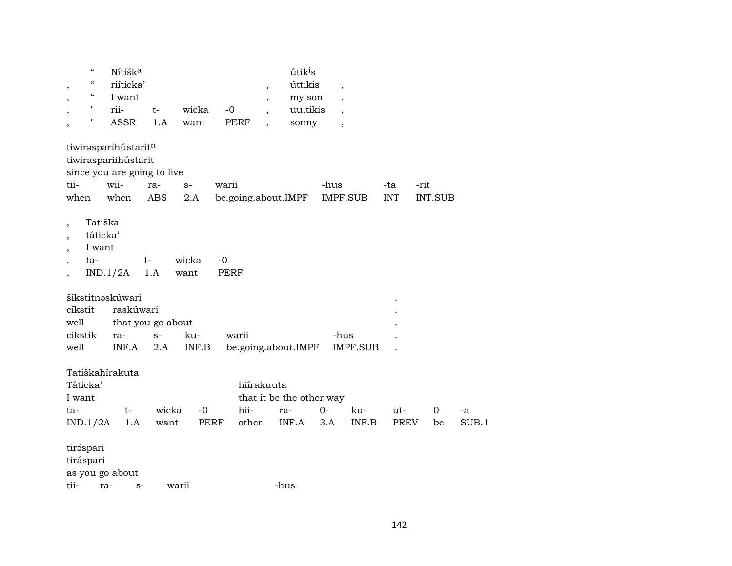|                                            | $\boldsymbol{\zeta}\boldsymbol{\zeta}$ | Nítišk <sup>a</sup>            |                   |                     |                     |                          | útik <sup>i</sup> s                      |                          |                                  |                    |                   |             |
|--------------------------------------------|----------------------------------------|--------------------------------|-------------------|---------------------|---------------------|--------------------------|------------------------------------------|--------------------------|----------------------------------|--------------------|-------------------|-------------|
|                                            | $\boldsymbol{\zeta}\boldsymbol{\zeta}$ | riíticka'                      |                   |                     |                     | $\overline{\phantom{a}}$ | úttikis                                  | $\overline{\phantom{a}}$ |                                  |                    |                   |             |
|                                            | $\mathcal{C}\mathcal{C}$               | I want                         |                   |                     |                     | $\overline{\phantom{a}}$ | my son                                   | $\overline{\phantom{a}}$ |                                  |                    |                   |             |
|                                            | $\pmb{\mathsf{H}}$                     | rii-                           | $t-$              | wicka               | $-0$                | $\overline{\phantom{a}}$ | uu.tikis                                 | $\overline{\phantom{a}}$ |                                  |                    |                   |             |
|                                            | $\mathbf{H}$                           | <b>ASSR</b>                    | 1.A               | want                | <b>PERF</b>         | $\ddot{\phantom{0}}$     | sonny                                    | $\overline{\phantom{a}}$ |                                  |                    |                   |             |
|                                            |                                        | tiwirasparihústaritn           |                   |                     |                     |                          |                                          |                          |                                  |                    |                   |             |
|                                            |                                        | tiwiraspariihústarit           |                   |                     |                     |                          |                                          |                          |                                  |                    |                   |             |
|                                            |                                        | since you are going to live    |                   |                     |                     |                          |                                          |                          |                                  |                    |                   |             |
| tii-                                       |                                        | wii-                           | ra-               | $S-$                | warii               |                          |                                          | -hus                     |                                  | -ta                | -rit              |             |
| when                                       |                                        | when                           | ABS               | 2.A                 | be.going.about.IMPF |                          |                                          | IMPF.SUB                 |                                  | <b>INT</b>         | <b>INT.SUB</b>    |             |
| $\overline{\phantom{a}}$<br>$\overline{ }$ | Tatiška<br>táticka'<br>I want<br>ta-   | IND.1/2A<br>šikstitnaskúwari   | t-<br>1.A         | wicka<br>want       | $-0$<br><b>PERF</b> |                          |                                          |                          |                                  |                    |                   |             |
| cíkstit                                    |                                        | raskúwari                      |                   |                     |                     |                          |                                          |                          |                                  |                    |                   |             |
| well                                       |                                        |                                | that you go about |                     |                     |                          |                                          |                          |                                  |                    |                   |             |
| cikstik                                    |                                        | ra-                            | $S-$              | ku-                 | warii               |                          |                                          | -hus                     |                                  |                    |                   |             |
| well                                       |                                        | INF.A                          | 2.A               | INF.B               |                     |                          | be.going.about.IMPF                      |                          | <b>IMPF.SUB</b>                  |                    |                   |             |
| Táticka'<br>I want<br>ta-<br>IND.1/2A      |                                        | Tatiškahírakuta<br>$t-$<br>1.A | wicka<br>want     | $-0$<br><b>PERF</b> | hii-<br>other       | hiírakuuta               | that it be the other way<br>ra-<br>INF.A | $O -$<br>3.A             | ku-<br>$\textsf{INF}.\textsf{B}$ | ut-<br><b>PREV</b> | $\mathbf 0$<br>be | -a<br>SUB.1 |
|                                            |                                        |                                |                   |                     |                     |                          |                                          |                          |                                  |                    |                   |             |
| tiráspari<br>tiráspari<br>tii-             | ra-                                    | as you go about<br>$S-$        |                   | warii               |                     |                          | -hus                                     |                          |                                  |                    |                   |             |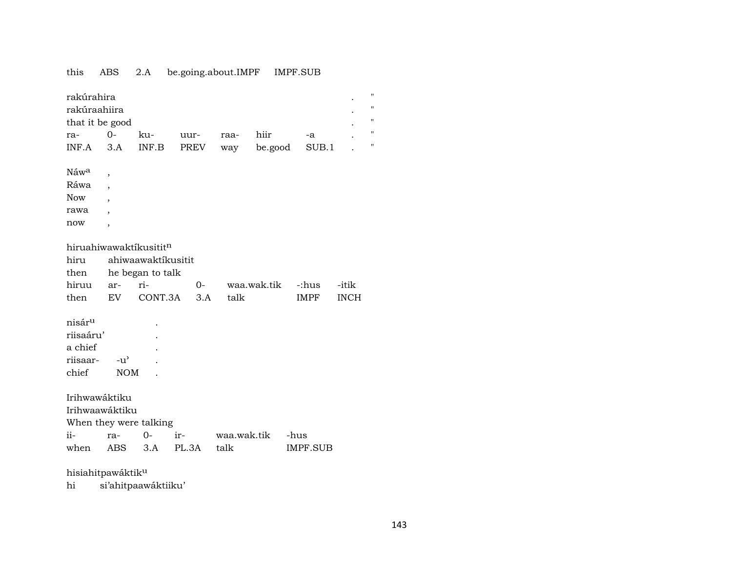## this ABS 2.A be.going.about.IMPF IMPF.SUB

| н<br>rakúrahira<br>11<br>rakúraahiira<br>$\pmb{\mathsf{H}}$<br>that it be good |                   |                  |       |             |             |             |             |                         |  |  |  |  |
|--------------------------------------------------------------------------------|-------------------|------------------|-------|-------------|-------------|-------------|-------------|-------------------------|--|--|--|--|
| ra-                                                                            | $O -$             | ku-              | uur-  | raa-        | hiir        | -a          |             | $\pmb{\mathsf{H}}$<br>Ħ |  |  |  |  |
| INF.A                                                                          | 3.A               | INF.B            | PREV  | way         | be.good     | SUB.1       |             |                         |  |  |  |  |
| Náw <sup>a</sup>                                                               |                   |                  |       |             |             |             |             |                         |  |  |  |  |
| Ráwa                                                                           | ,                 |                  |       |             |             |             |             |                         |  |  |  |  |
| <b>Now</b>                                                                     |                   |                  |       |             |             |             |             |                         |  |  |  |  |
| rawa                                                                           |                   |                  |       |             |             |             |             |                         |  |  |  |  |
| now                                                                            |                   |                  |       |             |             |             |             |                         |  |  |  |  |
|                                                                                | ,                 |                  |       |             |             |             |             |                         |  |  |  |  |
| hiruahiwawaktíkusititn                                                         |                   |                  |       |             |             |             |             |                         |  |  |  |  |
| hiru<br>ahiwaawaktíkusitit                                                     |                   |                  |       |             |             |             |             |                         |  |  |  |  |
| then                                                                           |                   | he began to talk |       |             |             |             |             |                         |  |  |  |  |
| hiruu                                                                          | ar-               | ri-              | $O-$  |             | waa.wak.tik | -:hus       | -itik       |                         |  |  |  |  |
| then                                                                           | EV                | CONT.3A          | 3.A   | talk        |             | <b>IMPF</b> | <b>INCH</b> |                         |  |  |  |  |
|                                                                                |                   |                  |       |             |             |             |             |                         |  |  |  |  |
| nisár <sup>u</sup>                                                             |                   |                  |       |             |             |             |             |                         |  |  |  |  |
| riisaáru'                                                                      |                   |                  |       |             |             |             |             |                         |  |  |  |  |
| a chief                                                                        |                   |                  |       |             |             |             |             |                         |  |  |  |  |
| riisaar-                                                                       | $-u^{\prime}$     |                  |       |             |             |             |             |                         |  |  |  |  |
| chief                                                                          | <b>NOM</b>        |                  |       |             |             |             |             |                         |  |  |  |  |
|                                                                                |                   |                  |       |             |             |             |             |                         |  |  |  |  |
| Irihwawáktiku                                                                  |                   |                  |       |             |             |             |             |                         |  |  |  |  |
| Irihwaawáktiku                                                                 |                   |                  |       |             |             |             |             |                         |  |  |  |  |
| When they were talking                                                         |                   |                  |       |             |             |             |             |                         |  |  |  |  |
| ii-                                                                            | ra-               | $0-$             | ir-   | waa.wak.tik |             | -hus        |             |                         |  |  |  |  |
| when                                                                           | <b>ABS</b>        | 3.A              | PL.3A | talk        |             | IMPF.SUB    |             |                         |  |  |  |  |
|                                                                                | hisiahitpawáktiku |                  |       |             |             |             |             |                         |  |  |  |  |

hi si'ahitpaawáktiiku'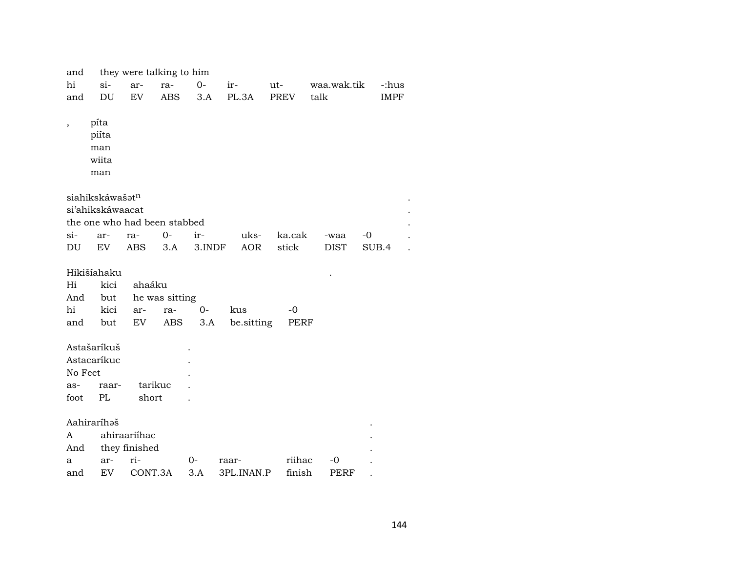| and               |                              | they were talking to him |                |        |            |             |             |             |  |  |  |
|-------------------|------------------------------|--------------------------|----------------|--------|------------|-------------|-------------|-------------|--|--|--|
| hi                | $si-$                        | ar-                      | ra-            | $0-$   | ir-        | ut-         | waa.wak.tik | -:hus       |  |  |  |
| and               | DU                           | EV                       | <b>ABS</b>     | 3.A    | PL.3A      | <b>PREV</b> | talk        | <b>IMPF</b> |  |  |  |
|                   |                              |                          |                |        |            |             |             |             |  |  |  |
| $^\mathrm{,}$     | píta                         |                          |                |        |            |             |             |             |  |  |  |
|                   | piíta                        |                          |                |        |            |             |             |             |  |  |  |
|                   | man                          |                          |                |        |            |             |             |             |  |  |  |
|                   | wiita                        |                          |                |        |            |             |             |             |  |  |  |
|                   | man                          |                          |                |        |            |             |             |             |  |  |  |
|                   |                              |                          |                |        |            |             |             |             |  |  |  |
|                   | siahikskáwašatn              |                          |                |        |            |             |             |             |  |  |  |
|                   | si'ahikskáwaacat             |                          |                |        |            |             |             |             |  |  |  |
|                   | the one who had been stabbed |                          |                |        |            |             |             |             |  |  |  |
| $\sin$            | ar-                          | ra-                      | $0-$           | ir-    | uks-       | ka.cak      | -waa        | -0          |  |  |  |
| DU                | EV                           | <b>ABS</b>               | 3.A            | 3.INDF | <b>AOR</b> | stick       | <b>DIST</b> | SUB.4       |  |  |  |
|                   |                              |                          |                |        |            |             |             |             |  |  |  |
|                   | Hikišíahaku                  |                          |                |        |            |             |             |             |  |  |  |
| Hi                | kici                         | ahaáku                   |                |        |            |             |             |             |  |  |  |
| And               | but                          |                          | he was sitting |        |            |             |             |             |  |  |  |
| hi                | kici                         | ar-                      | ra-            | $0-$   | kus        | $-0$        |             |             |  |  |  |
| and               | but                          | EV                       | ABS            | 3.A    | be.sitting | PERF        |             |             |  |  |  |
|                   |                              |                          |                |        |            |             |             |             |  |  |  |
|                   | Astašaríkuš                  |                          |                |        |            |             |             |             |  |  |  |
|                   | Astacaríkuc                  |                          |                |        |            |             |             |             |  |  |  |
| No Feet           |                              |                          |                |        |            |             |             |             |  |  |  |
| as-               | raar-                        | tarikuc                  |                |        |            |             |             |             |  |  |  |
| foot              | $\mathbf{P}\mathbf{L}$       | short                    |                |        |            |             |             |             |  |  |  |
|                   |                              |                          |                |        |            |             |             |             |  |  |  |
| Aahiraríhəš       |                              |                          |                |        |            |             |             |             |  |  |  |
| ahiraariíhac<br>A |                              |                          |                |        |            |             |             |             |  |  |  |
| And               | they finished                |                          |                |        |            |             |             |             |  |  |  |
| a                 | ar-                          | ri-                      |                | 0-     | raar-      | riihac      | -0          |             |  |  |  |
| and               | EV                           | CONT.3A                  |                | 3.A    | 3PL.INAN.P | finish      | PERF        |             |  |  |  |
|                   |                              |                          |                |        |            |             |             |             |  |  |  |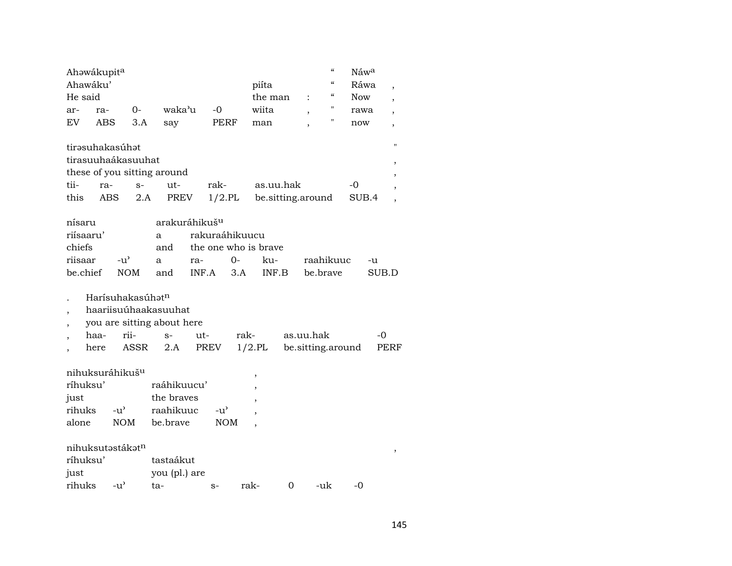| Ahawákupita                                                                                 |                                                 |                                                                   |                                                        |             |              |                                | $\boldsymbol{\zeta}\boldsymbol{\zeta}$ | Náw <sup>a</sup> |               |             |
|---------------------------------------------------------------------------------------------|-------------------------------------------------|-------------------------------------------------------------------|--------------------------------------------------------|-------------|--------------|--------------------------------|----------------------------------------|------------------|---------------|-------------|
| Ahawáku'                                                                                    |                                                 |                                                                   |                                                        |             | piíta        |                                | $\boldsymbol{\zeta}\boldsymbol{\zeta}$ | Ráwa             |               |             |
| He said                                                                                     |                                                 |                                                                   |                                                        |             | the man      | $\ddot{\cdot}$                 | "                                      | <b>Now</b>       |               |             |
| ar-<br>ra-                                                                                  | $0-$                                            | waka'u                                                            | $-0$                                                   |             | wiita        | ,                              | П                                      | rawa             |               |             |
| EV<br>ABS                                                                                   | 3.A                                             | say                                                               | PERF                                                   |             | man          |                                | П                                      | now              |               | ,           |
| tirasuhakasúhat<br>tirasuuhaákasuuhat<br>these of you sitting around<br>tii-<br>ra-<br>this | $S-$<br>ABS<br>2.A                              | ut-<br>PREV                                                       | rak-<br>$1/2$ .PL                                      |             | as.uu.hak    | be.sitting.around              |                                        | -0<br>SUB.4      |               | $^{\prime}$ |
|                                                                                             |                                                 |                                                                   |                                                        |             |              |                                |                                        |                  |               |             |
| nísaru<br>riísaaru'<br>chiefs<br>riisaar<br>be.chief                                        | $-u$ <sup><math>\sim</math></sup><br><b>NOM</b> | arakuráhikuš <sup>u</sup><br>a<br>and<br>a<br>and                 | rakuraáhikuucu<br>the one who is brave<br>ra-<br>INF.A | $0-$<br>3.A | ku-<br>INF.B |                                | raahikuuc<br>be.brave                  |                  | $-u$<br>SUB.D |             |
| haa-<br>here                                                                                | Harísuhakasúhat <sup>n</sup><br>rii-<br>ASSR    | haariisuúhaakasuuhat<br>you are sitting about here<br>$S-$<br>2.A | ut-<br>PREV                                            | rak-        | $1/2$ .PL    | as.uu.hak<br>be.sitting.around |                                        |                  | -0            | PERF        |
| nihuksuráhikuš <sup>u</sup><br>ríhuksu'<br>just<br>rihuks<br>alone                          | $-u^{\prime}$<br><b>NOM</b>                     | raáhikuucu'<br>the braves<br>raahikuuc<br>be.brave                | $-u^{\prime}$                                          | <b>NOM</b>  | $\,$         |                                |                                        |                  |               |             |
| nihuksutəstákət <sup>n</sup><br>ríhuksu'<br>just<br>rihuks                                  | $-u^{\prime}$                                   | tastaákut<br>you (pl.) are<br>ta-                                 | $S-$                                                   |             | rak-         | 0                              | -uk                                    | -0               |               |             |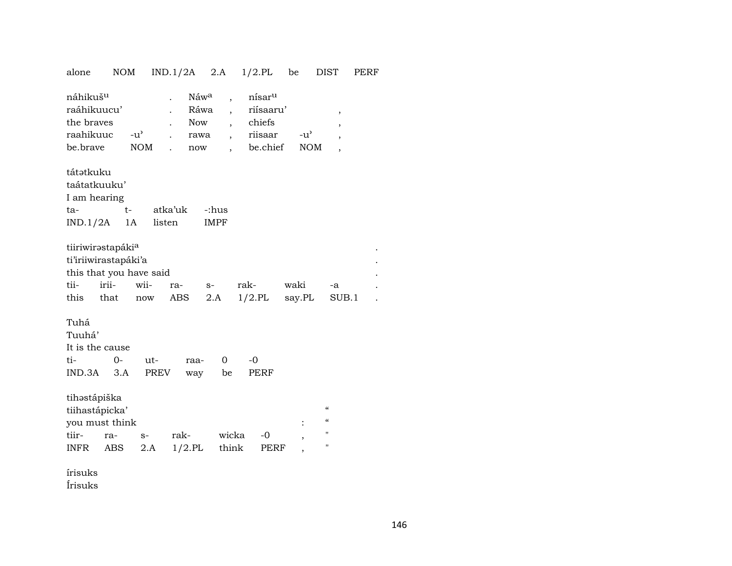| alone                                                                                                     | <b>NOM</b>    |                | $IND.1/2A$ 2.A                                                                     |                                                                                                                                      | $1/2$ .PL                                                        | be                          | <b>DIST</b>                                                                                      | PERF |
|-----------------------------------------------------------------------------------------------------------|---------------|----------------|------------------------------------------------------------------------------------|--------------------------------------------------------------------------------------------------------------------------------------|------------------------------------------------------------------|-----------------------------|--------------------------------------------------------------------------------------------------|------|
| náhikuš <sup>u</sup><br>raáhikuucu'<br>the braves<br>raahikuuc<br>be.brave                                | $-u^{\prime}$ | NOM            | Náwa<br>Ráwa<br>$\ddot{\phantom{0}}$<br>Now<br>rawa<br>now<br>$\ddot{\phantom{0}}$ | $\overline{\phantom{a}}$<br>$\overline{\phantom{a}}$<br>$\ddot{\phantom{0}}$<br>$\overline{\phantom{a}}$<br>$\overline{\phantom{a}}$ | nísar <sup>u</sup><br>riísaaru'<br>chiefs<br>riisaar<br>be.chief | $-u^{\prime}$<br><b>NOM</b> | ,<br>,<br>$\overline{\phantom{a}}$                                                               |      |
| tátətkuku<br>taátatkuuku'<br>I am hearing<br>ta-<br>IND.1/2A                                              | $t-$<br>1A    | listen         | atka'uk                                                                            | -:hus<br><b>IMPF</b>                                                                                                                 |                                                                  |                             |                                                                                                  |      |
| tiiriwirastapáki <sup>a</sup><br>ti'iriiwirastapáki'a<br>this that you have said<br>irii-<br>tii-<br>this | that          | wii-<br>now    | ra-<br>ABS                                                                         | $S-$<br>2.A                                                                                                                          | rak-<br>$1/2$ .PL                                                | waki<br>say.PL              | -a<br>SUB.1                                                                                      |      |
| Tuhá<br>Tuuhá'<br>It is the cause<br>ti-<br>$IND.3A$ $3.A$                                                | $O -$         | $ut -$<br>PREV | raa-<br>way                                                                        | $\mathbf 0$<br>be                                                                                                                    | $-0$<br>PERF                                                     |                             |                                                                                                  |      |
| tihostápiška<br>tiihastápicka'<br>you must think<br>tiir-<br>INFR                                         | ra-<br>ABS    | $S-$<br>2.A    | rak-<br>$1/2$ .PL                                                                  | wicka<br>think                                                                                                                       | $-0$<br>PERF                                                     |                             | $\pmb{\zeta}\pmb{\zeta}$<br>$\pmb{\zeta}\pmb{\zeta}$<br>$\pmb{\mathsf{H}}$<br>$\pmb{\mathsf{H}}$ |      |

írisuks Írisuks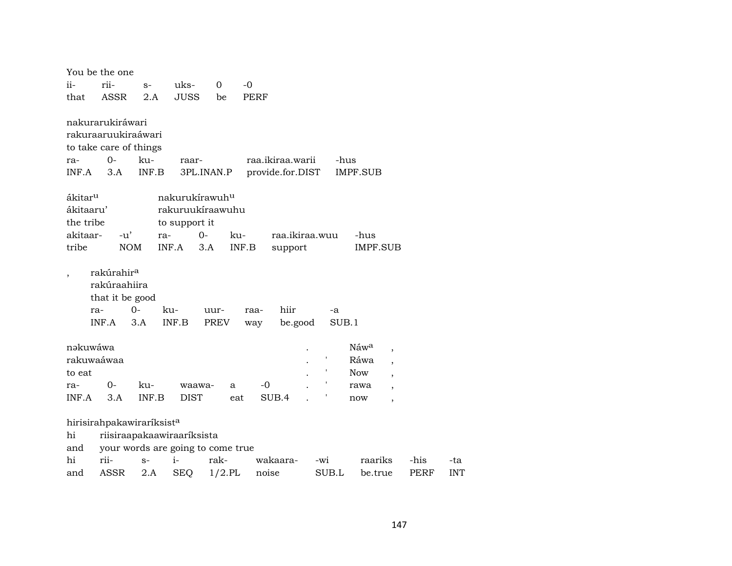|                     | You be the one                                                            |             |                                                                 |              |             |                  |     |             |                  |                          |      |            |
|---------------------|---------------------------------------------------------------------------|-------------|-----------------------------------------------------------------|--------------|-------------|------------------|-----|-------------|------------------|--------------------------|------|------------|
| ii-                 | rii-                                                                      | $S-$        | uks-                                                            | 0            | $-0$        |                  |     |             |                  |                          |      |            |
| that                | ASSR                                                                      | 2.A         | <b>JUSS</b>                                                     | be           | <b>PERF</b> |                  |     |             |                  |                          |      |            |
|                     |                                                                           |             |                                                                 |              |             |                  |     |             |                  |                          |      |            |
|                     | nakurarukiráwari                                                          |             |                                                                 |              |             |                  |     |             |                  |                          |      |            |
|                     | rakuraaruukiraáwari                                                       |             |                                                                 |              |             |                  |     |             |                  |                          |      |            |
|                     | to take care of things                                                    |             |                                                                 |              |             |                  |     |             |                  |                          |      |            |
| ra-                 | 0-                                                                        | ku-         | raar-                                                           |              |             | raa.ikiraa.warii |     | -hus        |                  |                          |      |            |
| INF.A               | 3.A                                                                       | INF.B       |                                                                 | 3PL.INAN.P   |             | provide.for.DIST |     |             | IMPF.SUB         |                          |      |            |
|                     |                                                                           |             |                                                                 |              |             |                  |     |             |                  |                          |      |            |
| ákitar <sup>u</sup> |                                                                           |             | nakurukírawuh <sup>u</sup>                                      |              |             |                  |     |             |                  |                          |      |            |
| ákitaaru'           |                                                                           |             | rakuruukíraawuhu                                                |              |             |                  |     |             |                  |                          |      |            |
| the tribe           |                                                                           |             | to support it                                                   |              |             |                  |     |             |                  |                          |      |            |
| akitaar-            | $-u'$                                                                     | ra-         | $O -$                                                           |              | ku-         | raa.ikiraa.wuu   |     |             | -hus             |                          |      |            |
| tribe               | <b>NOM</b>                                                                |             | INF.A                                                           | 3.A          | INF.B       | support          |     |             | <b>IMPF.SUB</b>  |                          |      |            |
|                     | rakúrahir <sup>a</sup><br>rakúraahiira<br>that it be good<br>ra-<br>INF.A | $0-$<br>3.A | ku-<br>$\ensuremath{\mathsf{INF}.\mathsf{B}}$                   | uur-<br>PREV | raa-<br>way | hiir<br>be.good  |     | -a<br>SUB.1 |                  |                          |      |            |
| nəkuwáwa            |                                                                           |             |                                                                 |              |             |                  |     |             | Náw <sup>a</sup> | $\overline{\phantom{a}}$ |      |            |
| rakuwaáwaa          |                                                                           |             |                                                                 |              |             |                  |     |             | Ráwa             | $\overline{\phantom{a}}$ |      |            |
| to eat              |                                                                           |             |                                                                 |              |             |                  |     |             | Now.             | $\overline{\phantom{a}}$ |      |            |
| ra-                 | 0-                                                                        | ku-         | waawa-                                                          | a            | $-0$        |                  |     |             | rawa             |                          |      |            |
| INF.A               | 3.A                                                                       | INF.B       | <b>DIST</b>                                                     |              | eat         | SUB.4            |     |             | now              | $\overline{\phantom{a}}$ |      |            |
|                     |                                                                           |             |                                                                 |              |             |                  |     |             |                  |                          |      |            |
| hi<br>and           | hirisirahpakawiraríksist <sup>a</sup>                                     |             | riisiraapakaawiraaríksista<br>your words are going to come true |              |             |                  |     |             |                  |                          |      |            |
| hi                  | rii-                                                                      | $S-$        | $i-$                                                            | rak-         |             | wakaara-         | -wi |             | raariks          |                          | -his | -ta        |
| and                 | ASSR                                                                      | 2.A         | <b>SEQ</b>                                                      | $1/2$ .PL    |             | noise            |     | SUB.L       | be.true          |                          | PERF | <b>INT</b> |
|                     |                                                                           |             |                                                                 |              |             |                  |     |             |                  |                          |      |            |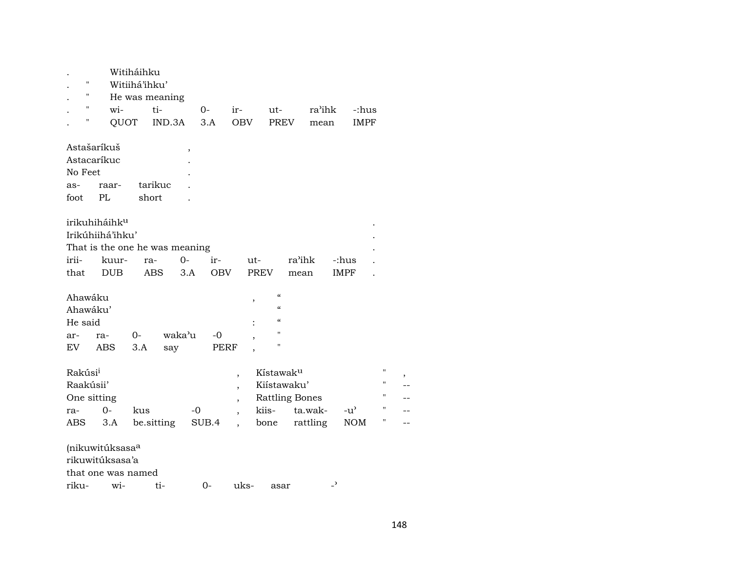| П<br>11<br>$\pmb{\mathsf{H}}$<br>П                            | wi-<br>QUOT                                                                 | Witiháihku<br>Witiihá'ihku'<br>He was meaning<br>ti-<br>IND.3A |                          | $0-$<br>3.A       | ir-<br><b>OBV</b>                                                                                            | $ut-$<br><b>PREV</b>                                                           | ra'ihk<br>mean           | -:hus<br><b>IMPF</b>                                  |   |
|---------------------------------------------------------------|-----------------------------------------------------------------------------|----------------------------------------------------------------|--------------------------|-------------------|--------------------------------------------------------------------------------------------------------------|--------------------------------------------------------------------------------|--------------------------|-------------------------------------------------------|---|
| Astašaríkuš<br>Astacaríkuc<br>No Feet<br>as-<br>foot          | raar-<br>PL                                                                 | tarikuc<br>short                                               | $\overline{\phantom{a}}$ |                   |                                                                                                              |                                                                                |                          |                                                       |   |
| irii-<br>that                                                 | irikuhiháihku<br>Irikúhiihá'ihku'<br>kuur-<br><b>DUB</b>                    | That is the one he was meaning<br>ra-<br><b>ABS</b>            | $0 -$<br>3.A             | ir-<br><b>OBV</b> | ut-<br><b>PREV</b>                                                                                           | ra'ihk<br>mean                                                                 | -:hus<br><b>IMPF</b>     |                                                       |   |
| Ahawáku<br>Ahawáku'<br>He said<br>ar-<br>EV                   | ra-<br><b>ABS</b>                                                           | 0-<br>3.A                                                      | waka'u<br>say            | -0<br>PERF        | ,<br>$\overline{\phantom{a}}$                                                                                | $\mathcal{C}\mathcal{C}$<br>$\mathcal{C}$<br>$\mathcal{C}$<br>Ħ<br>11          |                          |                                                       |   |
| Rakúsi <sup>i</sup><br>Raakúsii'<br>One sitting<br>ra-<br>ABS | $0 -$<br>3.A                                                                | kus<br>be.sitting                                              | $-0$                     | SUB.4             | $\overline{\phantom{a}}$<br>$\overline{\phantom{a}}$<br>$\overline{\phantom{a}}$<br>$\overline{\phantom{a}}$ | Kístawak <sup>u</sup><br>Kiístawaku'<br><b>Rattling Bones</b><br>kiis-<br>bone | ta.wak-<br>rattling      | Ħ<br>11<br>п<br>Н<br>$-u^{\prime}$<br>П<br>$\rm{NOM}$ | , |
| riku-                                                         | (nikuwitúksasa <sup>a</sup><br>rikuwitúksasa'a<br>that one was named<br>wi- | ti-                                                            |                          | 0-                | uks-                                                                                                         | asar                                                                           | $\overline{\phantom{0}}$ |                                                       |   |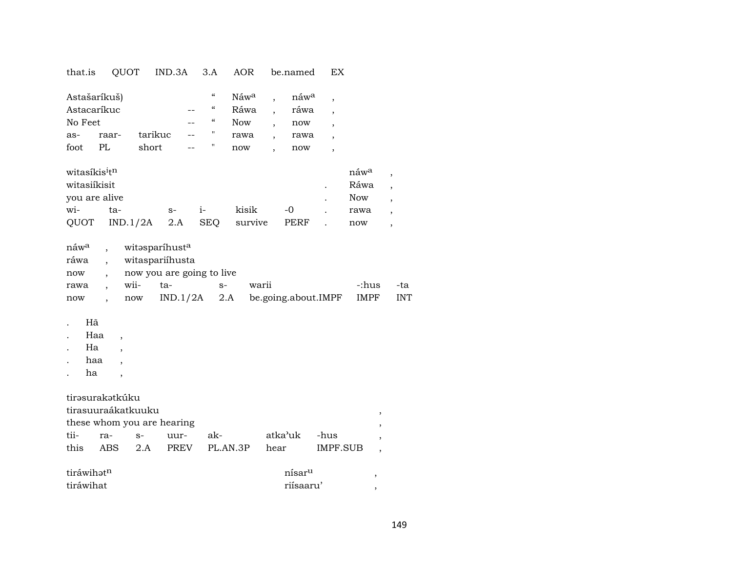| that.is                                                                                        |                                                                                                               | QUOT                                           | IND.3A                                                          | 3.A                                                                 | AOR                                                   |                                                                                   | be.named                           | ЕX              |                          |                          |
|------------------------------------------------------------------------------------------------|---------------------------------------------------------------------------------------------------------------|------------------------------------------------|-----------------------------------------------------------------|---------------------------------------------------------------------|-------------------------------------------------------|-----------------------------------------------------------------------------------|------------------------------------|-----------------|--------------------------|--------------------------|
| Astašaríkuš)<br>Astacaríkuc<br>No Feet<br>as-<br>foot<br>witasíkis <sup>i</sup> t <sup>n</sup> | raar-<br>PL                                                                                                   | tarikuc<br>short                               |                                                                 | $\pmb{\zeta}\pmb{\zeta}$<br>$\zeta\zeta$<br>$\zeta\zeta$<br>11<br>П | Náw <sup>a</sup><br>Ráwa<br><b>Now</b><br>rawa<br>now | $\ddot{\phantom{0}}$<br>$\overline{\phantom{a}}$<br>$\overline{\phantom{a}}$<br>, | náwa<br>ráwa<br>now<br>rawa<br>now | ,               | náw <sup>a</sup>         |                          |
| witasiíkisit                                                                                   |                                                                                                               |                                                |                                                                 |                                                                     |                                                       |                                                                                   |                                    |                 | Ráwa                     |                          |
| you are alive                                                                                  |                                                                                                               |                                                |                                                                 |                                                                     |                                                       |                                                                                   |                                    |                 | <b>Now</b>               |                          |
| wi-                                                                                            | ta-                                                                                                           |                                                | $S-$                                                            | $i-$                                                                | kisik                                                 |                                                                                   | $-0$                               |                 | rawa                     |                          |
| QUOT                                                                                           |                                                                                                               | IND.1/2A                                       | 2.A                                                             | <b>SEQ</b>                                                          | survive                                               |                                                                                   | PERF                               |                 | now                      | $\overline{\phantom{a}}$ |
| náw <sup>a</sup><br>ráwa<br>now<br>rawa<br>now<br>Hã<br>Haa<br>Ha<br>haa<br>ha                 | $\overline{\phantom{a}}$<br>$\overline{\phantom{a}}$<br>$\overline{\phantom{a}}$<br>$\ddot{\phantom{0}}$<br>, | witəsparíhusta<br>wii-<br>$\operatorname{now}$ | witaspariíhusta<br>now you are going to live<br>ta-<br>IND.1/2A | $S-$                                                                | 2.A                                                   | warii                                                                             | be.going.about.IMPF                |                 | -:hus<br><b>IMPF</b>     |                          |
| tirəsurakətkúku                                                                                |                                                                                                               | tirasuuraákatkuuku                             |                                                                 |                                                                     |                                                       |                                                                                   |                                    |                 |                          |                          |
|                                                                                                |                                                                                                               |                                                | these whom you are hearing                                      |                                                                     |                                                       |                                                                                   |                                    |                 | ,<br>,                   |                          |
| tii-                                                                                           | ra-                                                                                                           | $S-$                                           | uur-                                                            | ak-                                                                 |                                                       |                                                                                   | atka'uk                            | -hus            | $\overline{\phantom{a}}$ |                          |
| this                                                                                           | <b>ABS</b>                                                                                                    | 2.A                                            | <b>PREV</b>                                                     |                                                                     | PL.AN.3P                                              | hear                                                                              |                                    | <b>IMPF.SUB</b> | ,                        |                          |
| tiráwihatn                                                                                     |                                                                                                               |                                                |                                                                 |                                                                     |                                                       |                                                                                   | nísar <sup>u</sup>                 |                 | $\,$                     |                          |
| tiráwihat                                                                                      |                                                                                                               |                                                |                                                                 |                                                                     |                                                       |                                                                                   | riísaaru'                          |                 | $\, ,$                   |                          |

 $\mbox{-}\mathrm{ta}$ INT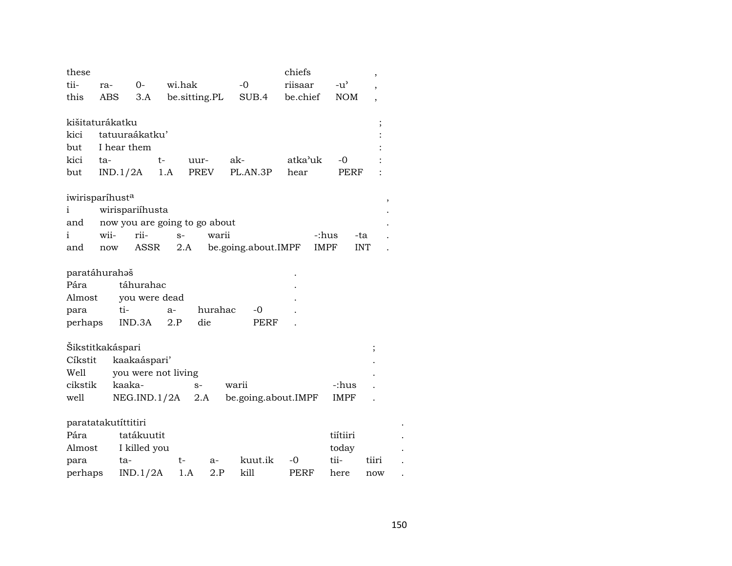| these<br>tii-<br>this | ra-<br>ABS          | $0 -$<br>3.A        | wi.hak<br>be.sitting.PL       |         | $-0$<br>SUB.4       | chiefs<br>riisaar<br>be.chief | $-u$ <sup><math>\sim</math></sup><br><b>NOM</b> |            |
|-----------------------|---------------------|---------------------|-------------------------------|---------|---------------------|-------------------------------|-------------------------------------------------|------------|
|                       | kišitaturákatku     |                     |                               |         |                     |                               |                                                 |            |
| kici                  |                     | tatuuraákatku'      |                               |         |                     |                               |                                                 |            |
|                       | I hear them         |                     |                               |         |                     |                               |                                                 |            |
| but                   |                     |                     |                               |         |                     |                               |                                                 |            |
| kici                  | ta-                 | $t-$                | uur-                          |         | ak-                 | atka'uk                       | $-0$                                            |            |
| but                   | IND.1/2A            |                     | PREV<br>1.A                   |         | PL.AN.3P            | hear                          | PERF                                            |            |
|                       | iwirisparíhusta     |                     |                               |         |                     |                               |                                                 | ,          |
| i                     |                     | wirispariíhusta     |                               |         |                     |                               |                                                 |            |
| and                   |                     |                     | now you are going to go about |         |                     |                               |                                                 |            |
| i                     | wii-                | rii-                | $S-$                          | warii   |                     | -:hus                         |                                                 | -ta        |
| and                   | now                 | ASSR                | 2.A                           |         | be.going.about.IMPF | <b>IMPF</b>                   |                                                 | <b>INT</b> |
|                       |                     |                     |                               |         |                     |                               |                                                 |            |
|                       | paratáhurahaš       |                     |                               |         |                     |                               |                                                 |            |
| Pára                  |                     | táhurahac           |                               |         |                     |                               |                                                 |            |
| Almost                |                     | you were dead       |                               |         |                     |                               |                                                 |            |
| para                  | ti-                 |                     | $a-$                          | hurahac | -0                  |                               |                                                 |            |
| perhaps               |                     | IND.3A              | die<br>2.P                    |         | PERF                |                               |                                                 |            |
|                       |                     |                     |                               |         |                     |                               |                                                 |            |
|                       | Šikstitkakáspari    |                     |                               |         |                     |                               |                                                 |            |
| Cíkstit               |                     | kaakaáspari'        |                               |         |                     |                               |                                                 |            |
| Well                  |                     | you were not living |                               |         |                     |                               |                                                 |            |
| cikstik               |                     | kaaka-              | $S-$                          |         | warii               |                               | -:hus                                           |            |
| well                  |                     | NEG.ID.1/2A         | 2.A                           |         | be.going.about.IMPF |                               | <b>IMPF</b>                                     |            |
|                       |                     |                     |                               |         |                     |                               |                                                 |            |
|                       | paratatakutíttitiri |                     |                               |         |                     |                               |                                                 |            |
| Pára                  |                     | tatákuutit          |                               |         |                     |                               | tiítiiri                                        |            |
| Almost                |                     | I killed you        |                               |         |                     |                               | today                                           |            |
| para                  | ta-                 |                     | t-                            | $a-$    | kuut.ik             | -0                            | tii-                                            | tiiri      |
| perhaps               |                     | IND.1/2A            | 1.A                           | 2.P     | kill                | PERF                          | here                                            | now        |

 $\langle \cdot \rangle$ 

 $\cdot$  $\cdot$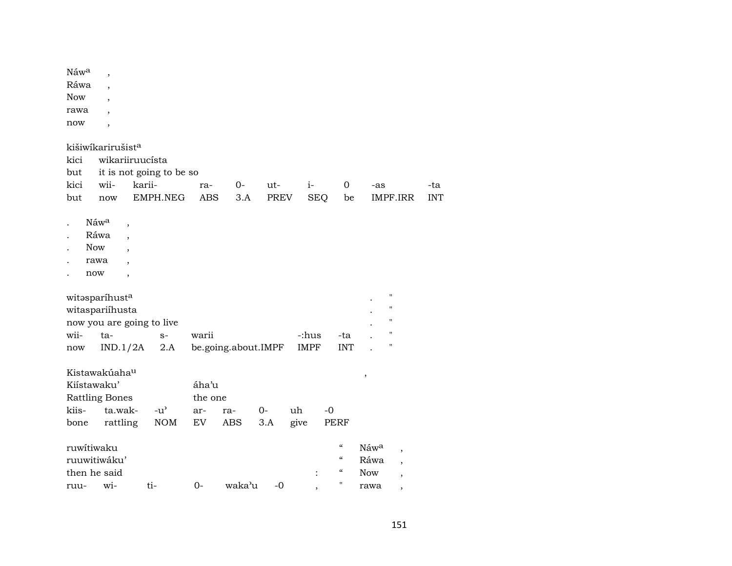| Náwa         | $\overline{ }$            |        |                                     |            |                     |      |             |                          |                            |                    |                          |            |
|--------------|---------------------------|--------|-------------------------------------|------------|---------------------|------|-------------|--------------------------|----------------------------|--------------------|--------------------------|------------|
| Ráwa         | $\overline{\phantom{a}}$  |        |                                     |            |                     |      |             |                          |                            |                    |                          |            |
| <b>Now</b>   | $\overline{\phantom{a}}$  |        |                                     |            |                     |      |             |                          |                            |                    |                          |            |
| rawa         |                           |        |                                     |            |                     |      |             |                          |                            |                    |                          |            |
| now          | $\overline{\phantom{a}}$  |        |                                     |            |                     |      |             |                          |                            |                    |                          |            |
|              |                           |        |                                     |            |                     |      |             |                          |                            |                    |                          |            |
|              | kišiwikarirušista         |        |                                     |            |                     |      |             |                          |                            |                    |                          |            |
| kici         | wikariiruucísta           |        |                                     |            |                     |      |             |                          |                            |                    |                          |            |
| but          |                           |        | it is not going to be so            |            |                     |      |             |                          |                            |                    |                          |            |
| kici         | wii-                      | karii- |                                     | ra-        | $0-$                | ut-  | $i-$        |                          | $\mathbf 0$                | -as                |                          | -ta        |
| but          | now                       |        | EMPH.NEG                            | <b>ABS</b> | 3.A                 | PREV |             | <b>SEQ</b>               | be                         | IMPF.IRR           |                          | <b>INT</b> |
|              |                           |        |                                     |            |                     |      |             |                          |                            |                    |                          |            |
|              | Náwa<br>,                 |        |                                     |            |                     |      |             |                          |                            |                    |                          |            |
|              | Ráwa<br>$\bullet$         |        |                                     |            |                     |      |             |                          |                            |                    |                          |            |
| <b>Now</b>   | $\bullet$                 |        |                                     |            |                     |      |             |                          |                            |                    |                          |            |
|              | rawa                      |        |                                     |            |                     |      |             |                          |                            |                    |                          |            |
| now          | $\overline{\phantom{a}}$  |        |                                     |            |                     |      |             |                          |                            |                    |                          |            |
|              | witasparíhusta            |        |                                     |            |                     |      |             |                          |                            | $\pmb{\mathsf{H}}$ |                          |            |
|              | witaspariíhusta           |        |                                     |            |                     |      |             |                          |                            | $\pmb{\mathsf{H}}$ |                          |            |
|              |                           |        |                                     |            |                     |      |             |                          |                            | $\pmb{\mathsf{H}}$ |                          |            |
| wii-         | now you are going to live |        |                                     |            |                     |      |             |                          |                            | $\pmb{\mathsf{H}}$ |                          |            |
|              | ta-                       |        | $S-$                                | warii      |                     |      | -:hus       |                          | -ta                        | $\pmb{\mathsf{H}}$ |                          |            |
| now          | IND.1/2A                  |        | 2.A                                 |            | be.going.about.IMPF |      | <b>IMPF</b> |                          | <b>INT</b>                 |                    |                          |            |
|              | Kistawakúaha <sup>u</sup> |        |                                     |            |                     |      |             |                          |                            |                    |                          |            |
| Kiístawaku'  |                           |        |                                     | áha'u      |                     |      |             |                          |                            | ,                  |                          |            |
|              | <b>Rattling Bones</b>     |        |                                     | the one    |                     |      |             |                          |                            |                    |                          |            |
| kiis-        | ta.wak-                   |        | $-u$ <sup><math>\prime</math></sup> | ar-        | ra-                 | $0-$ | uh          | $-0$                     |                            |                    |                          |            |
| bone         | rattling                  |        | <b>NOM</b>                          | EV         | ABS                 | 3.A  | give        |                          | <b>PERF</b>                |                    |                          |            |
|              |                           |        |                                     |            |                     |      |             |                          |                            |                    |                          |            |
| ruwitiwaku   |                           |        |                                     |            |                     |      |             |                          | $\boldsymbol{\mathcal{C}}$ | Náwa               | $\overline{ }$           |            |
|              | ruuwitiwáku'              |        |                                     |            |                     |      |             |                          | $\epsilon$                 | Ráwa               | $\overline{\phantom{a}}$ |            |
| then he said |                           |        |                                     |            |                     |      |             | $\ddot{\cdot}$           | $\epsilon\epsilon$         | <b>Now</b>         |                          |            |
| ruu-         | wi-                       |        | ti-                                 | $0-$       | waka'u              | $-0$ |             |                          | $\pmb{\mathsf{H}}$         | rawa               |                          |            |
|              |                           |        |                                     |            |                     |      |             | $\overline{\phantom{a}}$ |                            |                    | $\overline{\phantom{a}}$ |            |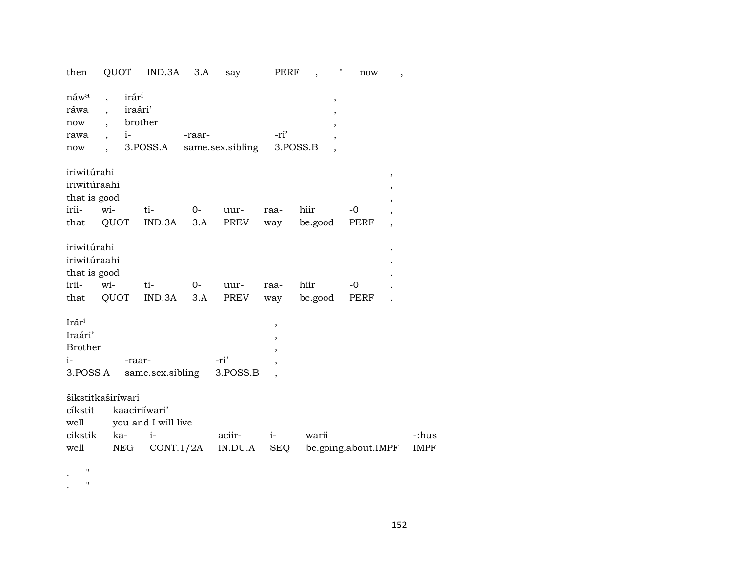| then                                                             | QUOT                                                                                         | IND.3A                                                    | 3.A         | say               | PERF               | $\pmb{\mathsf{H}}$<br>$\overline{\phantom{a}}$ | now                 | $\overline{\phantom{a}}$                                                                                   |
|------------------------------------------------------------------|----------------------------------------------------------------------------------------------|-----------------------------------------------------------|-------------|-------------------|--------------------|------------------------------------------------|---------------------|------------------------------------------------------------------------------------------------------------|
| náw <sup>a</sup><br>ráwa<br>now<br>rawa<br>now                   | irár <sup>i</sup><br>iraári'<br>$i-$<br>$\overline{\phantom{a}}$<br>$\overline{\phantom{a}}$ | brother<br>3.POSS.A                                       | -raar-      | same.sex.sibling  | -ri'               | $\, ,$<br>3.POSS.B                             |                     |                                                                                                            |
| iriwitúrahi<br>iriwitúraahi<br>that is good<br>irii-<br>that     | wi-<br>QUOT                                                                                  | ti-<br>IND.3A                                             | $O-$<br>3.A | uur-<br>PREV      | raa-<br>way        | hiir<br>be.good                                | $-0$<br>PERF        | $\overline{\phantom{a}}$<br>$\overline{ }$<br>$\overline{\phantom{a}}$<br>$\overline{ }$<br>$\overline{ }$ |
| iriwitúrahi<br>iriwitúraahi<br>that is good<br>irii-<br>that     | wi-<br>QUOT                                                                                  | ti-<br>IND.3A                                             | $O-$<br>3.A | uur-<br>PREV      | raa-<br>way        | hiir<br>be.good                                | $-0$<br>PERF        |                                                                                                            |
| Irár <sup>i</sup><br>Iraári'<br><b>Brother</b><br>i-<br>3.POSS.A | -raar-                                                                                       | same.sex.sibling                                          |             | -ri'<br>3.POSS.B  | ,<br>,             |                                                |                     |                                                                                                            |
| cíkstit<br>well<br>cikstik<br>well                               | šikstitkaširíwari<br>ka-<br><b>NEG</b>                                                       | kaaciriíwari'<br>you and I will live<br>$i-$<br>CONT.1/2A |             | aciir-<br>IN.DU.A | $i-$<br><b>SEQ</b> | warii                                          | be.going.about.IMPF | -:hus<br><b>IMPF</b>                                                                                       |

. "

. "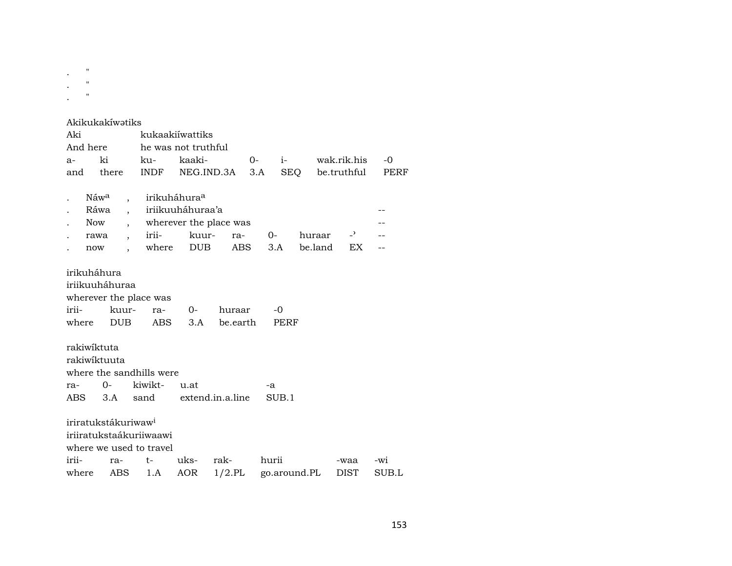|           | $^{\prime\prime}$ |  |  |
|-----------|-------------------|--|--|
| $\bullet$ |                   |  |  |
|           | $^{\prime\prime}$ |  |  |
| $\bullet$ |                   |  |  |

.  $\mathbb{R}^{m \times m}$ 

# Akikukakíwatiks

| And here<br>he was not truthful<br>ki<br>kaaki-<br>$i$ - $i$<br>wak.rik.his<br>ku-<br>$0-$<br>$-0$<br>a-<br>SEQ<br>there<br>INDF NEG.IND.3A<br>3.A<br>be.truthful<br>and<br>irikuháhura <sup>a</sup><br>Náw <sup>a</sup><br>iriikuuháhuraa'a<br>Ráwa<br>wherever the place was<br>Now<br>$\mathbf{P}$<br>irii-<br>kuur-<br>ra-<br>$0-$<br>huraar<br>rawa<br>where DUB<br>be.land<br>EX<br>ABS<br>3.A<br>now<br>irikuháhura | PERF |
|----------------------------------------------------------------------------------------------------------------------------------------------------------------------------------------------------------------------------------------------------------------------------------------------------------------------------------------------------------------------------------------------------------------------------|------|
|                                                                                                                                                                                                                                                                                                                                                                                                                            |      |
|                                                                                                                                                                                                                                                                                                                                                                                                                            |      |
|                                                                                                                                                                                                                                                                                                                                                                                                                            |      |
|                                                                                                                                                                                                                                                                                                                                                                                                                            |      |
|                                                                                                                                                                                                                                                                                                                                                                                                                            |      |
|                                                                                                                                                                                                                                                                                                                                                                                                                            |      |
|                                                                                                                                                                                                                                                                                                                                                                                                                            |      |
|                                                                                                                                                                                                                                                                                                                                                                                                                            |      |
| iriikuuháhuraa<br>wherever the place was<br>irii-<br>kuur-<br>0-<br>huraar<br>ra-<br>-0<br><b>DUB</b><br>3.A be.earth<br>where<br>ABS<br>PERF<br>rakiwiktuta                                                                                                                                                                                                                                                               |      |
| rakiwiktuuta                                                                                                                                                                                                                                                                                                                                                                                                               |      |
| where the sandhills were                                                                                                                                                                                                                                                                                                                                                                                                   |      |
| kiwikt-<br>$0-$<br>u.at<br>ra-<br>-a                                                                                                                                                                                                                                                                                                                                                                                       |      |
| 3.A sand extend.in.a.line<br>SUB.1<br>ABS                                                                                                                                                                                                                                                                                                                                                                                  |      |
| iriratukstákuriwaw <sup>i</sup><br>iriiratukstaákuriiwaawi<br>where we used to travel                                                                                                                                                                                                                                                                                                                                      |      |
|                                                                                                                                                                                                                                                                                                                                                                                                                            |      |
| irii-<br>uks-<br>hurii<br>rak-<br>t-<br>ra-<br>-waa<br>-wi                                                                                                                                                                                                                                                                                                                                                                 |      |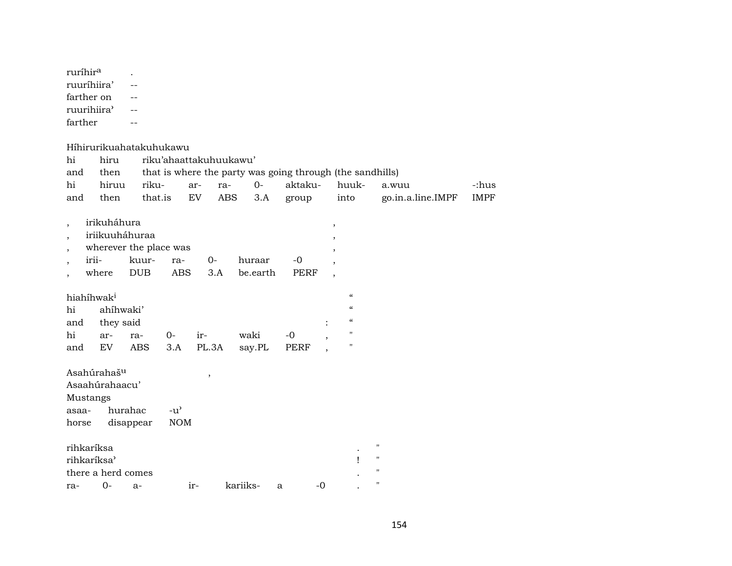| ruríhir <sup>a</sup> |  |
|----------------------|--|
| ruurihiira'          |  |
| farther on           |  |
| ruurihiira'          |  |
| farther              |  |

#### Híhirurikuahatakuhukawu

| hi                                               | hiru                                            |                                               | riku'ahaattakuhuukawu'      |              |                    |                                                           |                                                                  |                                                                                                             |                                                            |             |
|--------------------------------------------------|-------------------------------------------------|-----------------------------------------------|-----------------------------|--------------|--------------------|-----------------------------------------------------------|------------------------------------------------------------------|-------------------------------------------------------------------------------------------------------------|------------------------------------------------------------|-------------|
| and                                              | then                                            |                                               |                             |              |                    | that is where the party was going through (the sandhills) |                                                                  |                                                                                                             |                                                            |             |
| hi                                               | hiruu                                           | riku-                                         |                             | ar-<br>ra-   | $0-$               | aktaku-                                                   |                                                                  | huuk-                                                                                                       | a.wuu                                                      | -:hus       |
| and                                              | then                                            | that.is                                       |                             | EV           | ABS<br>3.A         | group                                                     |                                                                  | into                                                                                                        | go.in.a.line.IMPF                                          | <b>IMPF</b> |
| $\overline{ }$<br>$\overline{ }$                 | irikuháhura<br>iriikuuháhuraa<br>irii-<br>where | wherever the place was<br>kuur-<br><b>DUB</b> | ra-<br>ABS                  | $0-$<br>3.A  | huraar<br>be.earth | $-0$<br>PERF                                              | $^\mathrm{o}$<br>,<br>$\overline{\phantom{a}}$<br>$\overline{ }$ |                                                                                                             |                                                            |             |
| hiahíhwak <sup>i</sup><br>hi<br>and<br>hi<br>and | ahíhwaki'<br>they said<br>ar-<br>EV             | ra-<br><b>ABS</b>                             | 0-<br>3.A                   | ir-<br>PL.3A | waki<br>say.PL     | $-0$<br><b>PERF</b>                                       | $\overline{ }$<br>$\cdot$                                        | $\epsilon$<br>$\boldsymbol{\mathcal{C}}$<br>$\boldsymbol{\mathcal{C}}$<br>$\mathbf H$<br>$\pmb{\mathsf{H}}$ |                                                            |             |
| Mustangs<br>asaa-<br>horse                       | Asahúrahaš <sup>u</sup><br>Asaahúrahaacu'       | hurahac<br>disappear                          | $-u^{\prime}$<br><b>NOM</b> | ,            |                    |                                                           |                                                                  |                                                                                                             |                                                            |             |
| rihkaríksa<br>rihkaríksa'                        | there a herd comes                              |                                               |                             |              |                    |                                                           |                                                                  |                                                                                                             | $\pmb{\mathsf{H}}$<br>$\pmb{\mathsf{H}}$<br>$\blacksquare$ |             |
| ra-                                              | $O -$                                           | $a-$                                          | ir-                         |              | kariiks-           | a                                                         | $-0$                                                             |                                                                                                             | $\blacksquare$                                             |             |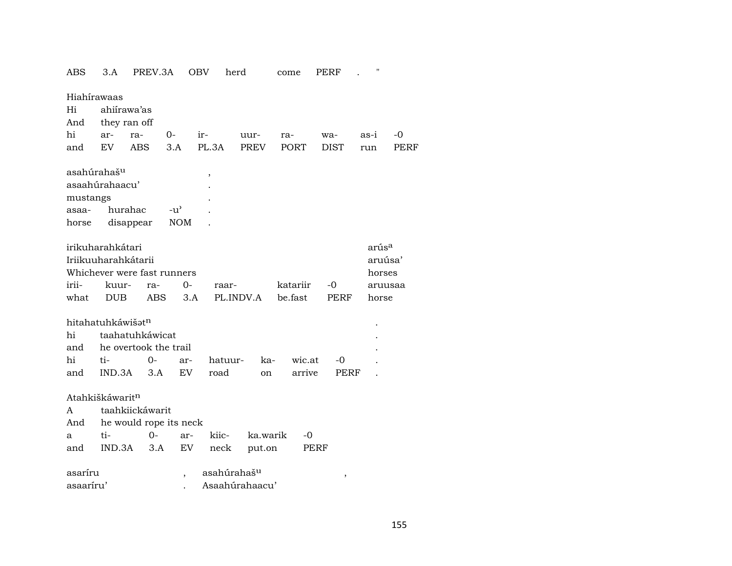| ABS                         | 3.A          | PREV.3A                     | OBV                      |             | herd           | come        | PERF        | .,                |      |
|-----------------------------|--------------|-----------------------------|--------------------------|-------------|----------------|-------------|-------------|-------------------|------|
| Hiahírawaas                 |              |                             |                          |             |                |             |             |                   |      |
| Hi                          | ahiírawa'as  |                             |                          |             |                |             |             |                   |      |
| And                         | they ran off |                             |                          |             |                |             |             |                   |      |
| hi                          | ar-          | ra-                         | 0-                       | ir-         | uur-           | ra-         | wa-         | as-i              | -0   |
| and                         | EV.          | <b>ABS</b>                  | 3.A                      | PL.3A       | <b>PREV</b>    | <b>PORT</b> | <b>DIST</b> | run               | PERF |
|                             |              |                             |                          |             |                |             |             |                   |      |
| asahúrahaš <sup>u</sup>     |              |                             |                          | ,           |                |             |             |                   |      |
| asaahúrahaacu'              |              |                             |                          |             |                |             |             |                   |      |
| mustangs                    |              |                             |                          |             |                |             |             |                   |      |
| asaa-                       | hurahac      |                             | $-u^{\prime}$            |             |                |             |             |                   |      |
| horse                       |              | disappear                   | <b>NOM</b>               |             |                |             |             |                   |      |
|                             |              |                             |                          |             |                |             |             |                   |      |
| irikuharahkátari            |              |                             |                          |             |                |             |             | arús <sup>a</sup> |      |
| Iriikuuharahkátarii         |              |                             |                          |             |                |             |             | aruúsa'           |      |
|                             |              | Whichever were fast runners |                          |             |                |             |             | horses            |      |
| irii-                       | kuur-        | ra-                         | $0-$                     | raar-       |                | katariir    | -0          | aruusaa           |      |
| what                        | <b>DUB</b>   | <b>ABS</b>                  | 3.A                      |             | PL.INDV.A      | be.fast     | PERF        | horse             |      |
|                             |              |                             |                          |             |                |             |             |                   |      |
| hitahatuhkáwišatn           |              |                             |                          |             |                |             |             |                   |      |
| hi                          |              | taahatuhkáwicat             |                          |             |                |             |             |                   |      |
| and                         |              | he overtook the trail       |                          |             |                |             |             |                   |      |
| hi                          | ti-          | $0 -$                       | ar-                      | hatuur-     | ka-            | wic.at      | -0          |                   |      |
| and                         | IND.3A       | 3.A                         | <b>EV</b>                | road        | on             | arrive      | PERF        |                   |      |
|                             |              |                             |                          |             |                |             |             |                   |      |
| Atahkiškáwarit <sup>n</sup> |              |                             |                          |             |                |             |             |                   |      |
| A                           |              | taahkiickáwarit             |                          |             |                |             |             |                   |      |
| And                         |              |                             | he would rope its neck   |             |                |             |             |                   |      |
| a                           | ti-          | $0 -$                       | ar-                      | kiic-       | ka.warik       | -0          |             |                   |      |
| and                         | IND.3A       | 3.A                         | EV                       | neck        | put.on         |             | PERF        |                   |      |
| asaríru                     |              |                             |                          | asahúrahašu |                |             |             |                   |      |
| asaaríru'                   |              |                             | $\overline{\phantom{a}}$ |             | Asaahúrahaacu' |             | ,           |                   |      |
|                             |              |                             |                          |             |                |             |             |                   |      |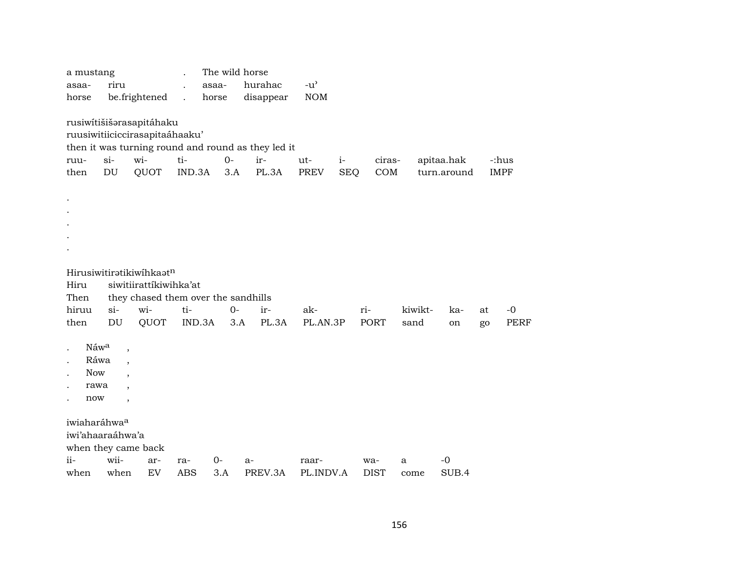| a mustang<br>asaa-<br>horse                                    | riru                                                                                        | be.frightened                                                                                            | $\ddot{\phantom{a}}$ | The wild horse<br>asaa-<br>horse | hurahac<br>disappear                                               | $-u$ <sup><math>\prime</math></sup><br><b>NOM</b> |                    |               |                 |                           |             |                     |
|----------------------------------------------------------------|---------------------------------------------------------------------------------------------|----------------------------------------------------------------------------------------------------------|----------------------|----------------------------------|--------------------------------------------------------------------|---------------------------------------------------|--------------------|---------------|-----------------|---------------------------|-------------|---------------------|
| ruu-<br>then                                                   | $si-$<br>DU                                                                                 | rusiwítišišarasapitáhaku<br>ruusiwitiiciccirasapitaáhaaku'<br>wi-<br>QUOT                                | ti-<br>IND.3A        | $O -$<br>3.A                     | then it was turning round and round as they led it<br>ir-<br>PL.3A | ut-<br>PREV                                       | $i-$<br><b>SEQ</b> | ciras-<br>COM |                 | apitaa.hak<br>turn.around | <b>IMPF</b> | -:hus               |
| $\bullet$                                                      |                                                                                             |                                                                                                          |                      |                                  |                                                                    |                                                   |                    |               |                 |                           |             |                     |
| Hiru<br>Then<br>hiruu<br>then                                  | $si-$<br>DU                                                                                 | Hirusiwitiratikiwihkaatn<br>siwitiirattíkiwihka'at<br>they chased them over the sandhills<br>wi-<br>QUOT | ti-<br>IND.3A        | $0-$<br>3.A                      | ir-<br>PL.3A                                                       | ak-<br>PL.AN.3P                                   |                    | ri-<br>PORT   | kiwikt-<br>sand | ka-<br>on                 | at<br>go    | $-0$<br><b>PERF</b> |
| Náwa<br>$\cdot$<br>Ráwa<br><b>Now</b><br>rawa<br>now           | $\overline{\phantom{a}}$<br>$\overline{\phantom{a}}$<br>$\cdot$<br>$\overline{\phantom{a}}$ |                                                                                                          |                      |                                  |                                                                    |                                                   |                    |               |                 |                           |             |                     |
| iwiaharáhwaa<br>iwi'ahaaraáhwa'a<br>when they came back<br>ii- | wii-                                                                                        | ar-                                                                                                      | ra-                  | 0-                               | $a-$                                                               | raar-                                             |                    | wa-           | a               | $-0$                      |             |                     |
| when                                                           | when                                                                                        | EV                                                                                                       | <b>ABS</b>           | 3.A                              | PREV.3A                                                            | PL.INDV.A                                         |                    | <b>DIST</b>   | come            | SUB.4                     |             |                     |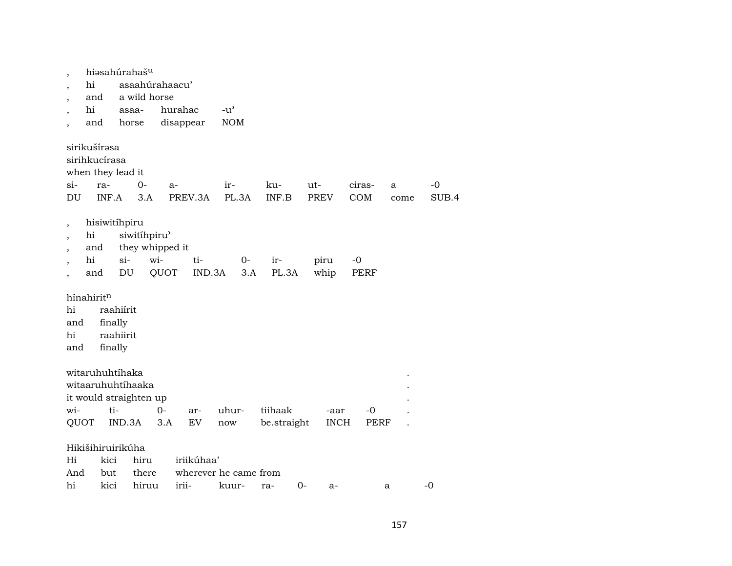|                          | hiəsahúrahaš <sup>u</sup>                                          |                                   |                 |         |            |                       |              |                    |               |           |               |
|--------------------------|--------------------------------------------------------------------|-----------------------------------|-----------------|---------|------------|-----------------------|--------------|--------------------|---------------|-----------|---------------|
|                          | hi                                                                 |                                   | asaahúrahaacu'  |         |            |                       |              |                    |               |           |               |
|                          | and                                                                |                                   | a wild horse    |         |            |                       |              |                    |               |           |               |
|                          | hi                                                                 |                                   | asaa-           | hurahac |            | $-u^{\prime}$         |              |                    |               |           |               |
|                          | and                                                                |                                   | horse           |         | disappear  | <b>NOM</b>            |              |                    |               |           |               |
| $si-$<br>DU              | sirikušírasa<br>sirihkucírasa<br>when they lead it<br>ra-<br>INF.A |                                   | $0 -$<br>3.A    | a-      | PREV.3A    | ir-<br>PL.3A          | ku-<br>INF.B | ut-<br><b>PREV</b> | ciras-<br>COM | a<br>come | $-0$<br>SUB.4 |
|                          | hisiwitihpiru                                                      |                                   |                 |         |            |                       |              |                    |               |           |               |
| $\overline{\phantom{a}}$ | hi                                                                 |                                   | siwitíhpiru'    |         |            |                       |              |                    |               |           |               |
|                          | and                                                                |                                   | they whipped it |         |            |                       |              |                    |               |           |               |
|                          | hi                                                                 | $si$ -                            | wi-             |         | ti-        | $O -$                 | ir-          | piru               | $-0$          |           |               |
|                          | and                                                                | DU                                |                 | QUOT    | IND.3A     | 3.A                   | PL.3A        | whip               | PERF          |           |               |
| hi<br>and<br>hi          | hínahiritn                                                         | raahiírit<br>finally<br>raahiirit |                 |         |            |                       |              |                    |               |           |               |
| and                      |                                                                    | finally                           |                 |         |            |                       |              |                    |               |           |               |
|                          | witaruhuhtíhaka<br>witaaruhuhtíhaaka<br>it would straighten up     |                                   |                 |         |            |                       |              |                    |               |           |               |
| wi-                      |                                                                    | ti-                               |                 | $O -$   | ar-        | uhur-                 | tiihaak      | -aar               | $-0$          |           |               |
| QUOT                     |                                                                    | IND.3A                            |                 | 3.A     | EV         | now                   | be.straight  | <b>INCH</b>        | PERF          |           |               |
|                          | Hikišihiruirikúha                                                  |                                   |                 |         |            |                       |              |                    |               |           |               |
| Hi                       | kici                                                               |                                   | hiru            |         | iriikúhaa' |                       |              |                    |               |           |               |
| And                      | but                                                                |                                   | there           |         |            | wherever he came from |              |                    |               |           |               |
| hi                       | kici                                                               |                                   | hiruu           |         | irii-      | kuur-                 | 0-<br>ra-    | $a-$               |               | a         | $-0$          |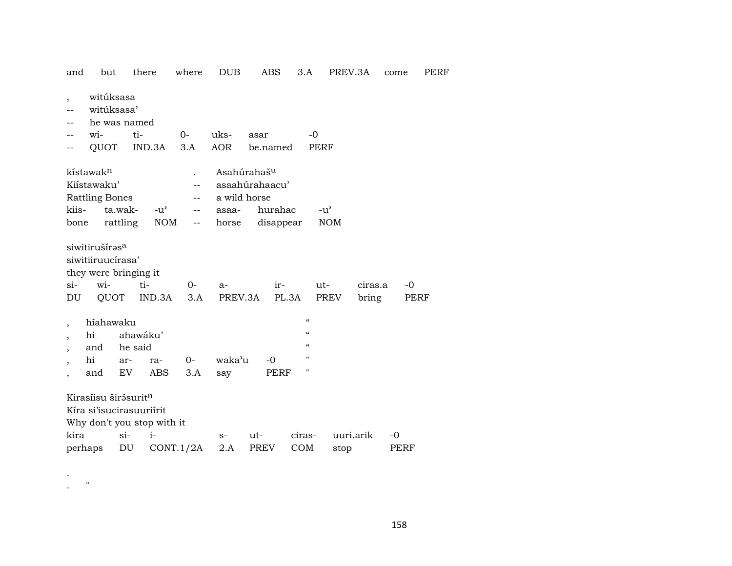| and                      | but                                                                                     |                     | there                              | where                                                                  | <b>DUB</b>                                                                  |      | ABS                  |                                        | 3.A                         | PREV.3A   |                  | come | PERF |
|--------------------------|-----------------------------------------------------------------------------------------|---------------------|------------------------------------|------------------------------------------------------------------------|-----------------------------------------------------------------------------|------|----------------------|----------------------------------------|-----------------------------|-----------|------------------|------|------|
| $\overline{\phantom{a}}$ | witúksasa<br>witúksasa'<br>he was named                                                 |                     |                                    |                                                                        |                                                                             |      |                      |                                        |                             |           |                  |      |      |
|                          | wi-                                                                                     | ti-                 |                                    | $0-$                                                                   | uks-                                                                        | asar |                      |                                        | $-0$                        |           |                  |      |      |
|                          | QUOT                                                                                    |                     | IND.3A                             | 3.A                                                                    | AOR                                                                         |      | be.named             |                                        | PERF                        |           |                  |      |      |
| kiis-<br>bone            | kístawak <sup>n</sup><br>Kiístawaku'<br><b>Rattling Bones</b>                           | ta.wak-<br>rattling | $-u^{\prime}$<br>NOM               | $-$<br>$\overline{\phantom{a}}$<br>$\overline{\phantom{a}}$<br>$-\, -$ | Asahúrahaš <sup>u</sup><br>asaahúrahaacu'<br>a wild horse<br>asaa-<br>horse |      | hurahac<br>disappear |                                        | $-u^{\prime}$<br><b>NOM</b> |           |                  |      |      |
| si-<br>DU                | siwitirušíras <sup>a</sup><br>siwitiiruucírasa'<br>they were bringing it<br>wi-<br>QUOT |                     | ti-<br>IND.3A                      | $0-$<br>3.A                                                            | a-<br>PREV.3A                                                               |      | ir-<br>PL.3A         |                                        | $ut-$<br>PREV               |           | ciras.a<br>bring | -0   | PERF |
|                          | híahawaku                                                                               |                     |                                    |                                                                        |                                                                             |      |                      | $\boldsymbol{\zeta}\boldsymbol{\zeta}$ |                             |           |                  |      |      |
| $\overline{\phantom{a}}$ | hi                                                                                      | ahawáku'            |                                    |                                                                        |                                                                             |      |                      | $\boldsymbol{\mathcal{C}}$             |                             |           |                  |      |      |
|                          | and                                                                                     | he said             |                                    |                                                                        |                                                                             |      |                      | $\epsilon$                             |                             |           |                  |      |      |
| $\overline{\phantom{a}}$ | hi                                                                                      | ar-                 | ra-                                | $0-$                                                                   | waka'u                                                                      |      | $-0$                 | "                                      |                             |           |                  |      |      |
|                          | and                                                                                     | EV.                 | ABS                                | 3.A                                                                    | say                                                                         |      | PERF                 | "                                      |                             |           |                  |      |      |
| kira                     | Kirasíisu širásurit <sup>n</sup><br>Kíra si'isucirasuuriírit                            | $si-$               | Why don't you stop with it<br>$i-$ |                                                                        | $S-$                                                                        | ut-  |                      | ciras-                                 |                             | uuri.arik |                  | -0   |      |
| perhaps                  |                                                                                         | DU                  |                                    | CONT.1/2A                                                              | 2.A                                                                         |      | PREV                 | <b>COM</b>                             |                             | stop      |                  | PERF |      |

. "

.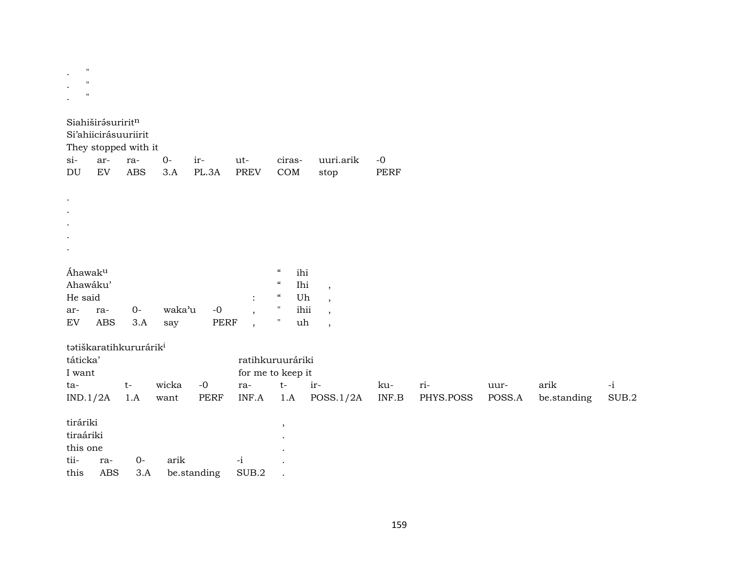| $\pmb{\mathsf{H}}$<br>$\pmb{\mathsf{H}}$<br>$\pmb{\mathsf{H}}$ |                   |                                                                   |               |                            |                                                      |                                                                                                            |                                                      |              |                  |                |                     |               |
|----------------------------------------------------------------|-------------------|-------------------------------------------------------------------|---------------|----------------------------|------------------------------------------------------|------------------------------------------------------------------------------------------------------------|------------------------------------------------------|--------------|------------------|----------------|---------------------|---------------|
| Siahiširásuriritn<br>$si$ -<br>$\mathop{\rm DU}\nolimits$      | ar-<br>EV         | Si'ahiicirásuuriirit<br>They stopped with it<br>ra-<br><b>ABS</b> | $0-$<br>3.A   | ir-<br>PL.3A               | ut-<br>PREV                                          | ciras-<br>$\mathop{\rm COM}\nolimits$                                                                      | uuri.arik<br>stop                                    | $-0$<br>PERF |                  |                |                     |               |
| $\cdot$                                                        |                   |                                                                   |               |                            |                                                      |                                                                                                            |                                                      |              |                  |                |                     |               |
| Áhawaku<br>Ahawáku'<br>He said                                 |                   |                                                                   |               |                            | $\ddot{\cdot}$                                       | $\boldsymbol{\mathcal{C}}$<br>ihi<br>Ihi<br>$\boldsymbol{\mathcal{C}}$<br>$\boldsymbol{\mathcal{C}}$<br>Uh | $\overline{\phantom{a}}$<br>$\,$                     |              |                  |                |                     |               |
| ar-<br>$\mathop{\rm EV}\nolimits$                              | ra-<br><b>ABS</b> | $O -$<br>3.A                                                      | waka'u<br>say | $\mbox{-}0$<br><b>PERF</b> | $\overline{\phantom{a}}$<br>$\overline{\phantom{a}}$ | ihii<br>$\pmb{\mathsf{H}}$<br>$\blacksquare$<br>uh                                                         | $\overline{\phantom{a}}$<br>$\overline{\phantom{a}}$ |              |                  |                |                     |               |
| táticka'<br>I want                                             |                   | tatiškaratihkururárik <sup>i</sup>                                |               |                            |                                                      | ratihkuruuráriki<br>for me to keep it                                                                      |                                                      |              |                  |                |                     |               |
| ta-<br>IND.1/2A                                                |                   | $\mathsf{t}\text{-}$<br>1.A                                       | wicka<br>want | $-0$<br><b>PERF</b>        | ra-<br>INF.A                                         | $t-$<br>1.A                                                                                                | ir-<br>POSS.1/2A                                     | ku-<br>INF.B | ri-<br>PHYS.POSS | uur-<br>POSS.A | arik<br>be.standing | $-i$<br>SUB.2 |
| tiráriki<br>tiraáriki<br>this one                              |                   |                                                                   |               |                            |                                                      | $\, ,$                                                                                                     |                                                      |              |                  |                |                     |               |
| tii-<br>this                                                   | ra-<br><b>ABS</b> | $O -$<br>3.A                                                      | arik          | be.standing                | $-i$<br>SUB.2                                        |                                                                                                            |                                                      |              |                  |                |                     |               |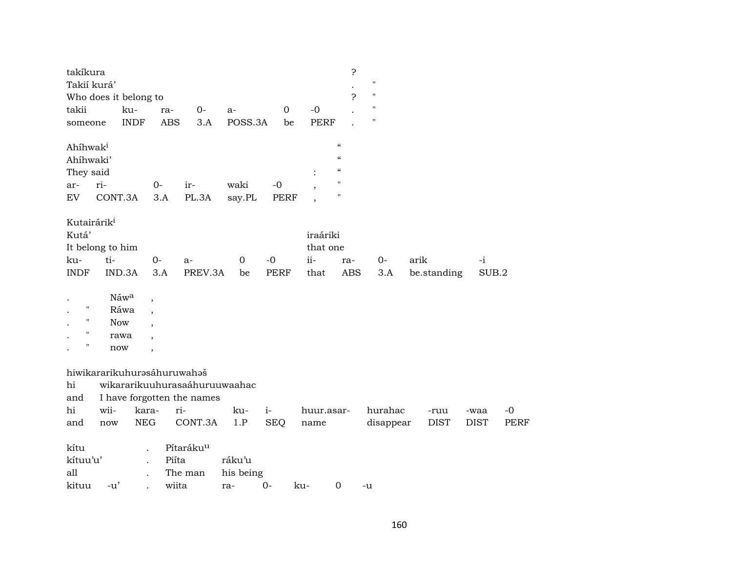| takíkura<br>Takií kurá'<br>Who does it belong to<br>takii |            | ku-         | ra-                      | $0-$                              | a-        | $\boldsymbol{0}$ | $-0$        | 5.<br>5.                   | $\pmb{\mathsf{H}}$<br>$\pmb{\mathsf{H}}$<br>П |                     |                     |      |
|-----------------------------------------------------------|------------|-------------|--------------------------|-----------------------------------|-----------|------------------|-------------|----------------------------|-----------------------------------------------|---------------------|---------------------|------|
|                                                           |            | <b>INDF</b> | <b>ABS</b>               | 3.A                               | POSS.3A   | be               | <b>PERF</b> |                            | $\pmb{\mathsf{H}}$                            |                     |                     |      |
| someone                                                   |            |             |                          |                                   |           |                  |             |                            |                                               |                     |                     |      |
| Ahíhwak <sup>i</sup>                                      |            |             |                          |                                   |           |                  |             | $\boldsymbol{\mathcal{C}}$ |                                               |                     |                     |      |
| Ahíhwaki'                                                 |            |             |                          |                                   |           |                  |             | $\epsilon$                 |                                               |                     |                     |      |
| They said                                                 |            |             |                          |                                   |           |                  |             | $\epsilon$                 |                                               |                     |                     |      |
| ar-                                                       | ri-        |             | $0-$                     | ir-                               | waki      | $-0$             |             | $\blacksquare$             |                                               |                     |                     |      |
| EV                                                        | CONT.3A    |             | 3.A                      | PL.3A                             | say.PL    | <b>PERF</b>      |             | 11                         |                                               |                     |                     |      |
|                                                           |            |             |                          |                                   |           |                  |             |                            |                                               |                     |                     |      |
| Kutairárik <sup>i</sup>                                   |            |             |                          |                                   |           |                  |             |                            |                                               |                     |                     |      |
| Kutá'                                                     |            |             |                          |                                   |           |                  | iraáriki    |                            |                                               |                     |                     |      |
| It belong to him                                          |            |             |                          |                                   |           |                  | that one    |                            |                                               |                     |                     |      |
| ku-                                                       | ti-        |             | $0-$                     | a-                                | 0         | $-0$             | $ii -$      | ra-                        | $0-$                                          | arik                | $-i$                |      |
| <b>INDF</b>                                               |            | IND.3A      | 3.A                      | PREV.3A                           | be        | <b>PERF</b>      | that        | <b>ABS</b>                 | 3.A                                           | be.standing         | SUB.2               |      |
|                                                           |            |             |                          |                                   |           |                  |             |                            |                                               |                     |                     |      |
|                                                           |            | Náwa        | $\,$                     |                                   |           |                  |             |                            |                                               |                     |                     |      |
| $\pmb{\mathsf{H}}$                                        |            | Ráwa        |                          |                                   |           |                  |             |                            |                                               |                     |                     |      |
| $\pmb{\mathsf{H}}$                                        | <b>Now</b> |             |                          |                                   |           |                  |             |                            |                                               |                     |                     |      |
| $\pmb{\mathsf{H}}$                                        |            | rawa        |                          |                                   |           |                  |             |                            |                                               |                     |                     |      |
| $\pmb{\mathsf{H}}$                                        | now        |             | $\overline{\phantom{a}}$ |                                   |           |                  |             |                            |                                               |                     |                     |      |
|                                                           |            |             |                          | hiwikararikuhurasáhuruwahaš       |           |                  |             |                            |                                               |                     |                     |      |
| hi                                                        |            |             |                          | wikararikuuhurasaáhuruuwaahac     |           |                  |             |                            |                                               |                     |                     |      |
|                                                           |            |             |                          |                                   |           |                  |             |                            |                                               |                     |                     |      |
| and<br>hi                                                 | wii-       | kara-       |                          | I have forgotten the names<br>ri- | ku-       | $i-$             | huur.asar-  |                            | hurahac                                       |                     |                     | $-0$ |
|                                                           |            | ${\rm NEG}$ |                          | CONT.3A                           | 1.P       | <b>SEQ</b>       |             |                            |                                               | -ruu<br><b>DIST</b> | -waa<br><b>DIST</b> | PERF |
| and                                                       | now        |             |                          |                                   |           |                  | name        |                            | disappear                                     |                     |                     |      |
| kítu                                                      |            |             |                          | Pítaráku <sup>u</sup>             |           |                  |             |                            |                                               |                     |                     |      |
| kítuu'u'                                                  |            |             | Piíta                    |                                   | ráku'u    |                  |             |                            |                                               |                     |                     |      |
| all                                                       |            |             |                          | The man                           | his being |                  |             |                            |                                               |                     |                     |      |
| kituu                                                     |            |             |                          |                                   |           |                  |             |                            |                                               |                     |                     |      |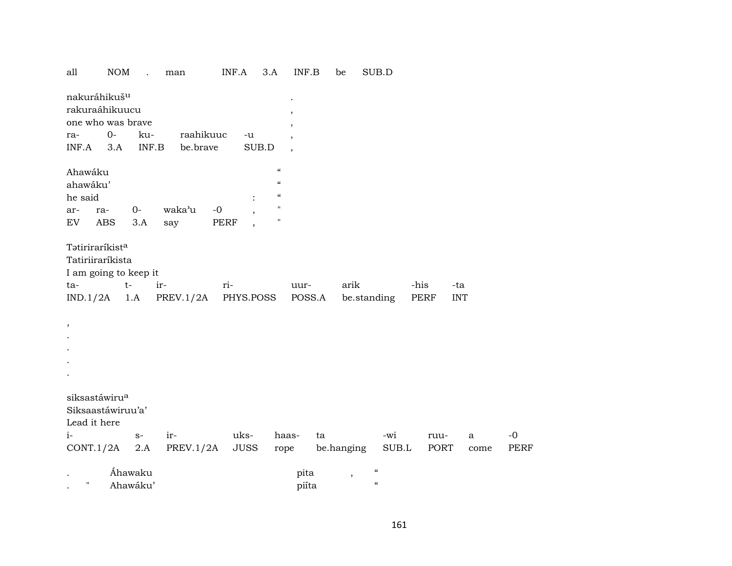| all                         | <b>NOM</b>     | man               | INF.A       | 3.A                        | INF.B  | be         |             | SUB.D                    |      |            |      |             |
|-----------------------------|----------------|-------------------|-------------|----------------------------|--------|------------|-------------|--------------------------|------|------------|------|-------------|
| nakuráhikuš <sup>u</sup>    |                |                   |             |                            |        |            |             |                          |      |            |      |             |
| rakuraáhikuucu              |                |                   |             |                            |        |            |             |                          |      |            |      |             |
| one who was brave           |                |                   |             |                            |        |            |             |                          |      |            |      |             |
| $O-$<br>ra-                 | ku-            | raahikuuc         | -u          |                            |        |            |             |                          |      |            |      |             |
| INF.A<br>3.A                |                | INF.B<br>be.brave |             | SUB.D                      |        |            |             |                          |      |            |      |             |
| Ahawáku                     |                |                   |             | $\boldsymbol{\mathcal{C}}$ |        |            |             |                          |      |            |      |             |
| ahawáku'                    |                |                   |             | $\mathcal{C}$              |        |            |             |                          |      |            |      |             |
| he said                     |                |                   |             | $\mathcal{C}\mathcal{C}$   |        |            |             |                          |      |            |      |             |
| ar-<br>ra-                  | $O -$          | waka'u<br>$-0$    |             | 11                         |        |            |             |                          |      |            |      |             |
| <b>ABS</b><br>EV            | 3.A            | say               | PERF        | $\pmb{\mathsf{H}}$         |        |            |             |                          |      |            |      |             |
| Tatiriraríkist <sup>a</sup> |                |                   |             |                            |        |            |             |                          |      |            |      |             |
| Tatiriiraríkista            |                |                   |             |                            |        |            |             |                          |      |            |      |             |
| I am going to keep it       |                |                   |             |                            |        |            |             |                          |      |            |      |             |
| ta-                         | $t-$           | ir-               | ri-         |                            | uur-   |            | arik        |                          | -his | -ta        |      |             |
| IND.1/2A                    | 1.A            | PREV.1/2A         | PHYS.POSS   |                            | POSS.A |            | be.standing |                          | PERF | <b>INT</b> |      |             |
| $\, ,$                      |                |                   |             |                            |        |            |             |                          |      |            |      |             |
|                             |                |                   |             |                            |        |            |             |                          |      |            |      |             |
|                             |                |                   |             |                            |        |            |             |                          |      |            |      |             |
|                             |                |                   |             |                            |        |            |             |                          |      |            |      |             |
|                             |                |                   |             |                            |        |            |             |                          |      |            |      |             |
|                             |                |                   |             |                            |        |            |             |                          |      |            |      |             |
| siksastáwiru <sup>a</sup>   |                |                   |             |                            |        |            |             |                          |      |            |      |             |
| Siksaastáwiruu'a'           |                |                   |             |                            |        |            |             |                          |      |            |      |             |
| Lead it here                |                |                   |             |                            |        |            |             |                          |      |            |      |             |
| $i-$                        | $\mathbf{S}^-$ | ir-               | uks-        |                            | haas-  | ta         |             | -wi                      |      | ruu-       | a    | $-0$        |
| CONT.1/2A                   | 2.A            | PREV.1/2A         | <b>JUSS</b> | rope                       |        | be.hanging |             | $\rm SUB.L$              |      | PORT       | come | <b>PERF</b> |
|                             | Áhawaku        |                   |             |                            | pita   |            | $\, ,$      | $\mathcal{C}\mathcal{C}$ |      |            |      |             |
| $\pmb{\mathsf{H}}$          | Ahawáku'       |                   |             |                            | piíta  |            |             | $\mathcal{C}\mathcal{C}$ |      |            |      |             |
|                             |                |                   |             |                            |        |            |             |                          |      |            |      |             |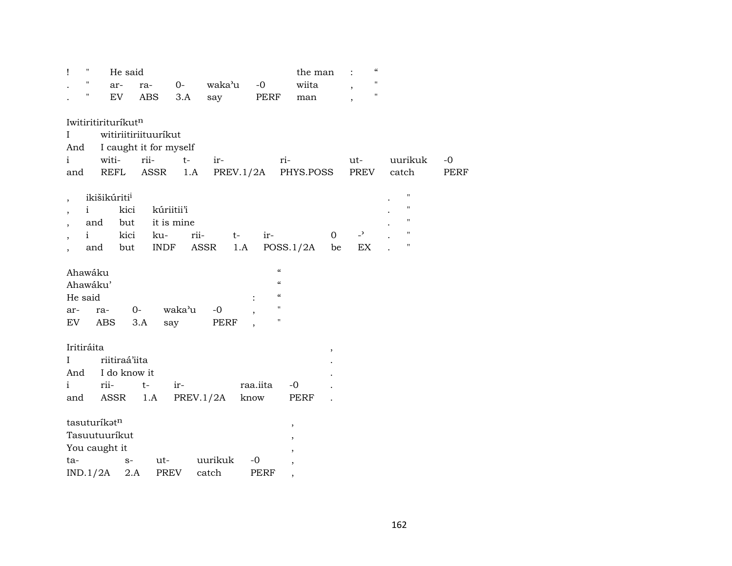| $\pmb{\mathsf{H}}$<br>Ţ                  |                          | He said       |                        |      |             |          |                          | the man                  |                          |                            | $\mathcal{C}$ |                    |      |
|------------------------------------------|--------------------------|---------------|------------------------|------|-------------|----------|--------------------------|--------------------------|--------------------------|----------------------------|---------------|--------------------|------|
| Η                                        | ar-                      | ra-           |                        |      | 0- waka'u   | $-0$     |                          | wiita                    |                          |                            | $\mathbf H$   |                    |      |
| н.                                       | EV                       |               | ABS                    | 3.A  | say         |          | PERF                     | man                      |                          |                            | $\mathbf{H}$  |                    |      |
|                                          |                          |               |                        |      |             |          |                          |                          |                          |                            |               |                    |      |
|                                          | Iwitiritirituríkutn      |               |                        |      |             |          |                          |                          |                          |                            |               |                    |      |
| L                                        |                          |               | witiriitiriituuríkut   |      |             |          |                          |                          |                          |                            |               |                    |      |
| And                                      |                          |               | I caught it for myself |      |             |          |                          |                          |                          |                            |               |                    |      |
| $\mathbf{i}$                             |                          | witi- rii-    |                        | $t-$ | ir-         |          | ri-                      |                          |                          | ut-                        |               | uurikuk            | $-0$ |
| and                                      |                          | REFL          | ASSR                   | 1.A  |             |          |                          | PREV.1/2A PHYS.POSS      |                          | PREV                       |               | catch              | PERF |
|                                          |                          |               |                        |      |             |          |                          |                          |                          |                            |               |                    |      |
| $\overline{\phantom{a}}$                 | ikišikúriti <sup>i</sup> |               |                        |      |             |          |                          |                          |                          |                            |               | $\pmb{\mathsf{H}}$ |      |
| $\overline{\phantom{a}}$                 | i.                       | kici          | kúriitii'i             |      |             |          |                          |                          |                          |                            |               | $\pmb{\mathsf{H}}$ |      |
| $\overline{\phantom{a}}$                 | and                      | but           | it is mine             |      |             |          |                          |                          |                          |                            |               | $\pmb{\mathsf{H}}$ |      |
| $\mathbf{i}$<br>$\overline{\phantom{a}}$ |                          | kici          | ku-                    | rii- |             | $t-$     | ir-                      |                          | $\overline{0}$           | $\overline{a}$             |               | $\pmb{\mathsf{H}}$ |      |
|                                          | and                      | but           | INDF                   |      | ASSR        | 1.A      |                          | POSS.1/2A                | be                       | $\mathop{\rm EX}\nolimits$ |               | $\pmb{\mathsf{H}}$ |      |
|                                          |                          |               |                        |      |             |          |                          |                          |                          |                            |               |                    |      |
| Ahawáku                                  |                          |               |                        |      |             |          | $\mathcal{C}\mathcal{C}$ |                          |                          |                            |               |                    |      |
| Ahawáku'                                 |                          |               |                        |      |             |          | $\mathcal{C}$            |                          |                          |                            |               |                    |      |
| He said                                  |                          |               |                        |      |             |          | $\mathcal{C}$            |                          |                          |                            |               |                    |      |
| ar-                                      | ra-                      | 0-            | waka'u                 |      | $-0$        |          | $\pmb{\mathsf{H}}$       |                          |                          |                            |               |                    |      |
| EV                                       | ABS                      | 3.A           | say                    |      | PERF        |          | Ħ                        |                          |                          |                            |               |                    |      |
|                                          |                          |               |                        |      |             |          |                          |                          |                          |                            |               |                    |      |
| Iritiráita                               |                          |               |                        |      |             |          |                          |                          | $\overline{\phantom{a}}$ |                            |               |                    |      |
| $\mathbf I$                              |                          | riitiraá'iita |                        |      |             |          |                          |                          |                          |                            |               |                    |      |
| And                                      |                          | I do know it  |                        |      |             |          |                          |                          |                          |                            |               |                    |      |
| $\mathbf{i}$                             | rii-                     | $t-$          | ir-                    |      |             | raa.iita |                          | $-0$                     |                          |                            |               |                    |      |
| and                                      | ASSR                     |               | 1.A                    |      | PREV.1/2A   | know     |                          | PERF                     |                          |                            |               |                    |      |
|                                          | tasuturíkatn             |               |                        |      |             |          |                          |                          |                          |                            |               |                    |      |
|                                          | Tasuutuuríkut            |               |                        |      |             |          |                          | $\, ,$                   |                          |                            |               |                    |      |
|                                          |                          |               |                        |      |             |          |                          |                          |                          |                            |               |                    |      |
|                                          | You caught it            |               |                        |      |             |          |                          |                          |                          |                            |               |                    |      |
| ta-                                      |                          | $S-$          |                        |      | ut- uurikuk | $-0$     |                          | $\overline{\phantom{a}}$ |                          |                            |               |                    |      |
| IND.1/2A                                 |                          | 2.A           | PREV                   |      | catch       | PERF     |                          | ,                        |                          |                            |               |                    |      |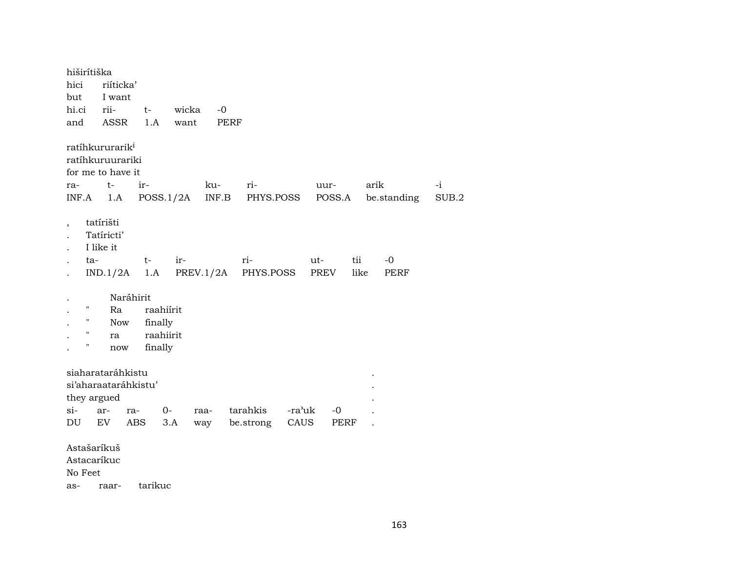hiširítiška riíticka' hici but I want hi.ci rii $t$ wicka  $-0$ and **ASSR**  $1.A$ want **PERF** ratíhkururarik<sup>i</sup> ratíhkuruurariki for me to have it arik  $t$  $ir$ kuri- $-i$ rauur-INF.A  $1.A$  POSS.  $1/2A$ INF.B be.standing  $SUB.2$ PHYS.POSS POSS.A tatírišti  $\overline{\phantom{a}}$ Tatíricti'  $\overline{a}$ I like it  $\bullet$ ta $t$ irritii  $-0$ ut- $IND.1/2A$  1.A  $PREV.1/2A$ PHYS.POSS PREV like PERF Naráhirit  $\bullet$ raahiírit  $\mathbf{u}$ Ra  $\mathbf{H}$ **Now** finally raahiirit  $\boldsymbol{\mathsf{H}}$ ra  $\cdot$  $\mathbf{H}$ finally now  $\cdot$ siaharataráhkistu si'aharaataráhkistu' they argued  $si 0$ tarahkis -ra'uk  $-0$ arraraa-DU EV ABS  $3.A$ be.strong CAUS PERF way  $\ddot{\phantom{a}}$ Astašaríkuš Astacaríkuc No Feet tarikuc raaras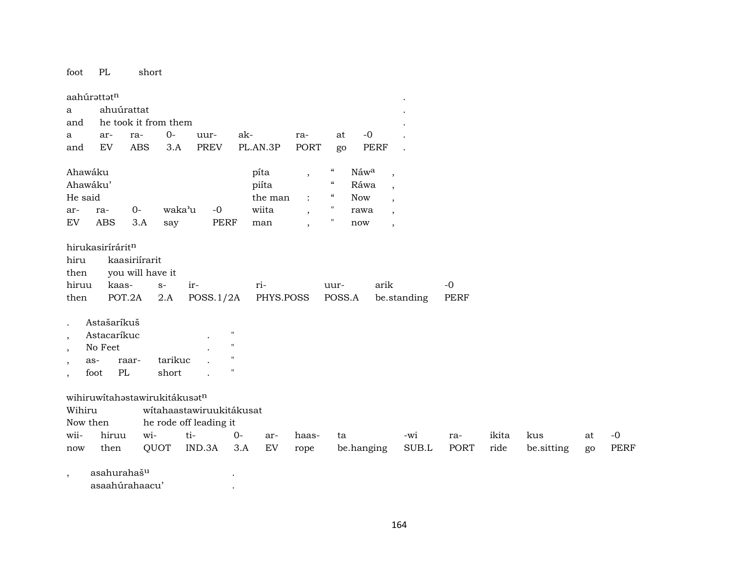foot PL short

|                          | aahúrattatn                   |                  |                      |                          |           |           |                          |                          |             |                          |             |             |       |            |    |             |
|--------------------------|-------------------------------|------------------|----------------------|--------------------------|-----------|-----------|--------------------------|--------------------------|-------------|--------------------------|-------------|-------------|-------|------------|----|-------------|
| a                        | ahuúrattat                    |                  |                      |                          |           |           |                          |                          |             |                          |             |             |       |            |    |             |
| and                      |                               |                  | he took it from them |                          |           |           |                          |                          |             |                          |             |             |       |            |    |             |
| a                        | ar-                           | ra-              | $0-$                 | uur-                     | ak-       |           | ra-                      | at                       | $-0$        |                          |             |             |       |            |    |             |
| and                      | EV.                           | <b>ABS</b>       | 3.A                  | <b>PREV</b>              |           | PL.AN.3P  | <b>PORT</b>              | go                       | <b>PERF</b> |                          |             |             |       |            |    |             |
| Ahawáku                  |                               |                  |                      |                          |           | pita      | $\overline{\phantom{a}}$ | $\mathcal{C}\mathcal{C}$ | Náwa        | $\cdot$                  |             |             |       |            |    |             |
| Ahawáku'                 |                               |                  |                      |                          |           | piíta     |                          | "                        | Ráwa        | $\cdot$                  |             |             |       |            |    |             |
| He said                  |                               |                  |                      |                          |           | the man   | $\ddot{\cdot}$           | 4                        | <b>Now</b>  | $\overline{\phantom{a}}$ |             |             |       |            |    |             |
| ar-                      | ra-                           | $O -$            | waka'u               | $-0$                     |           | wiita     | $\overline{\phantom{a}}$ | 11                       | rawa        | $\cdot$                  |             |             |       |            |    |             |
| <b>EV</b>                | <b>ABS</b>                    | 3.A              | say                  | <b>PERF</b>              |           | man       | $\overline{\phantom{a}}$ |                          | now         | $\cdot$                  |             |             |       |            |    |             |
|                          | hirukasiríráritn              |                  |                      |                          |           |           |                          |                          |             |                          |             |             |       |            |    |             |
| hiru                     |                               | kaasiriírarit    |                      |                          |           |           |                          |                          |             |                          |             |             |       |            |    |             |
| then<br>hiruu            | kaas-                         | you will have it | $S-$                 | ir-                      |           | ri-       |                          | uur-                     | arik        |                          |             | $-0$        |       |            |    |             |
| then                     | POT.2A                        |                  | 2.A                  | POSS.1/2A                |           | PHYS.POSS |                          | POSS.A                   |             |                          | be.standing | <b>PERF</b> |       |            |    |             |
|                          |                               |                  |                      |                          |           |           |                          |                          |             |                          |             |             |       |            |    |             |
| $\ddot{\phantom{a}}$     | Astašaríkuš                   |                  |                      |                          |           |           |                          |                          |             |                          |             |             |       |            |    |             |
| $\overline{\phantom{a}}$ | Astacaríkuc                   |                  |                      |                          | "         |           |                          |                          |             |                          |             |             |       |            |    |             |
| $\cdot$                  | No Feet                       |                  |                      |                          |           |           |                          |                          |             |                          |             |             |       |            |    |             |
| $\overline{\phantom{a}}$ | as-                           | raar-            | tarikuc              |                          |           |           |                          |                          |             |                          |             |             |       |            |    |             |
| $\overline{\phantom{a}}$ | PL<br>foot                    |                  | short                |                          |           |           |                          |                          |             |                          |             |             |       |            |    |             |
|                          | wihiruwítahastawirukitákusatn |                  |                      |                          |           |           |                          |                          |             |                          |             |             |       |            |    |             |
| Wihiru                   |                               |                  |                      | wítahaastawiruukitákusat |           |           |                          |                          |             |                          |             |             |       |            |    |             |
| Now then                 |                               |                  |                      | he rode off leading it   |           |           |                          |                          |             |                          |             |             |       |            |    |             |
| wii-                     | hiruu                         | wi-              |                      | ti-                      | $O -$     | ar-       | haas-                    | ta                       |             |                          | -wi         | ra-         | ikita | kus        | at | $-0$        |
| now                      | then                          |                  | QUOT                 | IND.3A                   | 3.A       | EV        | rope                     |                          | be.hanging  |                          | SUB.L       | PORT        | ride  | be.sitting | go | <b>PERF</b> |
| $\overline{ }$           | asahurahaš <sup>u</sup>       |                  |                      |                          | $\bullet$ |           |                          |                          |             |                          |             |             |       |            |    |             |
|                          |                               |                  |                      |                          |           |           |                          |                          |             |                          |             |             |       |            |    |             |

asaahúrahaacu' .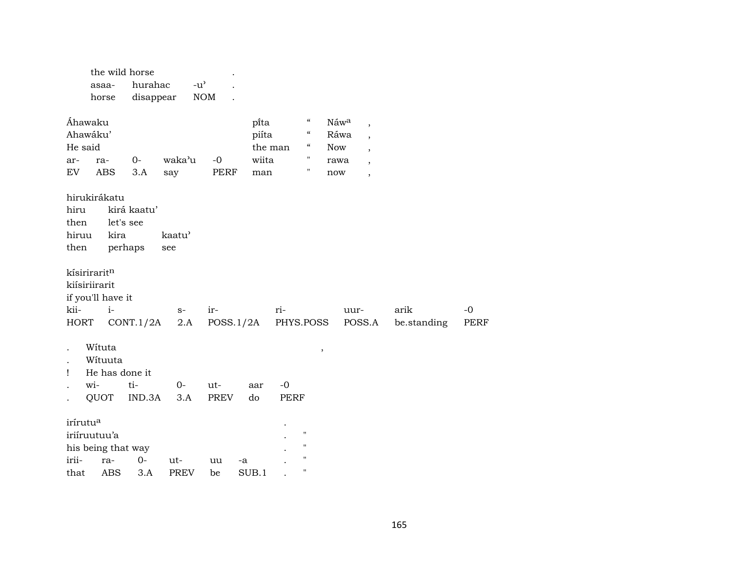| hurahac<br>$-u^{\prime}$<br>asaa-                                                       |  |
|-----------------------------------------------------------------------------------------|--|
|                                                                                         |  |
| <b>NOM</b><br>disappear<br>horse                                                        |  |
|                                                                                         |  |
| $\mathcal{C}\mathcal{C}$<br>Áhawaku<br>pi̇̃ta<br>Náwa<br>$\overline{ }$                 |  |
| Ahawáku'<br>$\epsilon$<br>Ráwa<br>piíta<br>$\overline{\phantom{a}}$                     |  |
| He said<br>$\epsilon\epsilon$<br>the man<br><b>Now</b><br>$\overline{ }$                |  |
| П<br>waka'u<br>$-0$<br>$O -$<br>wiita<br>ar-<br>ra-<br>rawa<br>$\overline{\phantom{a}}$ |  |
| $\mathbf{H}$<br><b>ABS</b><br>EV<br>3.A<br>PERF<br>say<br>man<br>now<br>$\,$            |  |
|                                                                                         |  |
| hirukirákatu                                                                            |  |
| hiru<br>kirá kaatu'<br>let's see<br>then                                                |  |
| kaatu'<br>hiruu<br>kira                                                                 |  |
| perhaps<br>then<br>see                                                                  |  |
|                                                                                         |  |
| kísiriraritn                                                                            |  |
| kiísiriirarit                                                                           |  |
| if you'll have it                                                                       |  |
| kii-<br>$i-$<br>ir-<br>ri-<br>arik<br>$-0$<br>uur-<br>$S-$                              |  |
| PHYS.POSS<br>CONT.1/2A<br>2.A<br>POSS.1/2A<br>POSS.A<br>be.standing<br>HORT<br>PERF     |  |
|                                                                                         |  |
| Wituta<br>$\,$                                                                          |  |
| Wituuta                                                                                 |  |
| He has done it<br>Ţ                                                                     |  |
| wi-<br>ti-<br>$0-$<br>$-0$<br>ut-<br>aar                                                |  |
| QUOT<br>IND.3A<br><b>PREV</b><br>3.A<br>do<br><b>PERF</b>                               |  |
| irírutu <sup>a</sup>                                                                    |  |
| $\pmb{\mathsf{H}}$                                                                      |  |
| iriíruutuu'a<br>$\pmb{\mathsf{H}}$<br>his being that way                                |  |
| $\pmb{\mathsf{H}}$<br>irii-<br>$0-$<br>ra-<br>ut-<br>uu<br>-a                           |  |
| $\pmb{\mathsf{H}}$<br><b>ABS</b><br>3.A<br><b>PREV</b><br>SUB.1<br>that<br>be           |  |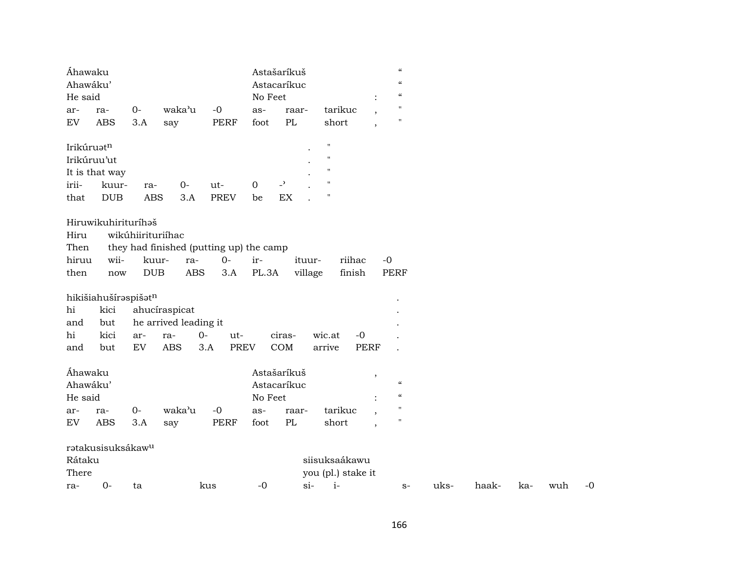| Áhawaku<br>Ahawáku'<br>He said |                                    |                          |                                                                       |                    | No Feet      | Astašaríkuš<br>Astacaríkuc |                                     |                          | $\boldsymbol{\zeta}\boldsymbol{\zeta}$<br>$\pmb{\zeta}\pmb{\zeta}$<br>$\boldsymbol{\zeta}\boldsymbol{\zeta}$ |      |       |     |     |    |
|--------------------------------|------------------------------------|--------------------------|-----------------------------------------------------------------------|--------------------|--------------|----------------------------|-------------------------------------|--------------------------|--------------------------------------------------------------------------------------------------------------|------|-------|-----|-----|----|
| ar-                            | ra-                                | $O -$                    | waka'u                                                                | $-0$               | as-          | raar-                      | tarikuc                             |                          | $\pmb{\mathsf{H}}$                                                                                           |      |       |     |     |    |
| ${\rm EV}$                     | <b>ABS</b>                         | 3.A                      | say                                                                   | <b>PERF</b>        | foot         | $\rm PL$                   | short                               | $\overline{\phantom{a}}$ | $\pmb{\mathsf{H}}$                                                                                           |      |       |     |     |    |
| Irikúruatn                     |                                    |                          |                                                                       |                    |              |                            | $\pmb{\mathsf{H}}$                  |                          |                                                                                                              |      |       |     |     |    |
|                                | Irikúruu'ut                        |                          |                                                                       |                    |              |                            | $\pmb{\mathsf{H}}$                  |                          |                                                                                                              |      |       |     |     |    |
|                                | It is that way                     |                          |                                                                       |                    |              |                            | $\pmb{\mathsf{H}}$                  |                          |                                                                                                              |      |       |     |     |    |
| irii-                          | kuur-                              | ra-                      | $0 -$                                                                 | ut-                | $\mathbf{0}$ | $\overline{\phantom{a}}$   | $\pmb{\mathsf{H}}$                  |                          |                                                                                                              |      |       |     |     |    |
| that                           | <b>DUB</b>                         | <b>ABS</b>               | 3.A                                                                   | <b>PREV</b>        | be           | EX                         | $\pmb{\mathsf{H}}$                  |                          |                                                                                                              |      |       |     |     |    |
| Hiru<br>Then<br>hiruu<br>then  | Hiruwikuhirituríhaš<br>wii-<br>now | wikúhiirituriíhac<br>DUB | they had finished (putting up) the camp<br>kuur-<br>ra-<br><b>ABS</b> | $0-$<br>3.A        | ir-<br>PL.3A | ituur-<br>village          | riihac<br>finish                    | $-0$                     | PERF                                                                                                         |      |       |     |     |    |
|                                |                                    |                          |                                                                       |                    |              |                            |                                     |                          |                                                                                                              |      |       |     |     |    |
| hi                             | hikišiahušíraspišatn<br>kici       |                          | ahucíraspicat                                                         |                    |              |                            |                                     |                          |                                                                                                              |      |       |     |     |    |
| and                            | but                                |                          | he arrived leading it                                                 |                    |              |                            |                                     |                          |                                                                                                              |      |       |     |     |    |
| hi                             | kici                               | ar-                      | ra-                                                                   | $0-$<br>ut-        |              | ciras-                     | wic.at<br>$-0$                      |                          |                                                                                                              |      |       |     |     |    |
| and                            | but                                | ${\rm EV}$               | <b>ABS</b>                                                            | 3.A<br><b>PREV</b> |              | COM                        | arrive                              | <b>PERF</b>              |                                                                                                              |      |       |     |     |    |
| Áhawaku                        |                                    |                          |                                                                       |                    |              | Astašaríkuš                |                                     |                          |                                                                                                              |      |       |     |     |    |
| Ahawáku'                       |                                    |                          |                                                                       |                    |              | Astacaríkuc                |                                     | $\,$                     | $\epsilon\epsilon$                                                                                           |      |       |     |     |    |
| He said                        |                                    |                          |                                                                       |                    | No Feet      |                            |                                     |                          | $\mathcal{C}$                                                                                                |      |       |     |     |    |
| ar-                            | ra-                                | $O -$                    | waka'u                                                                | $-0$               | as-          | raar-                      | tarikuc                             | ۰,                       | $\blacksquare$                                                                                               |      |       |     |     |    |
| EV                             | <b>ABS</b>                         | 3.A                      | say                                                                   | <b>PERF</b>        | foot         | PL                         | short                               | $\cdot$                  | 11                                                                                                           |      |       |     |     |    |
| Rátaku<br>There                | ratakusisuksákaw <sup>u</sup>      |                          |                                                                       |                    |              |                            | siisuksaákawu<br>you (pl.) stake it |                          |                                                                                                              |      |       |     |     |    |
| ra-                            | $0 -$                              | ta                       |                                                                       | kus                | $-0$         | $si-$                      | $i-$                                |                          | $S-$                                                                                                         | uks- | haak- | ka- | wuh | -0 |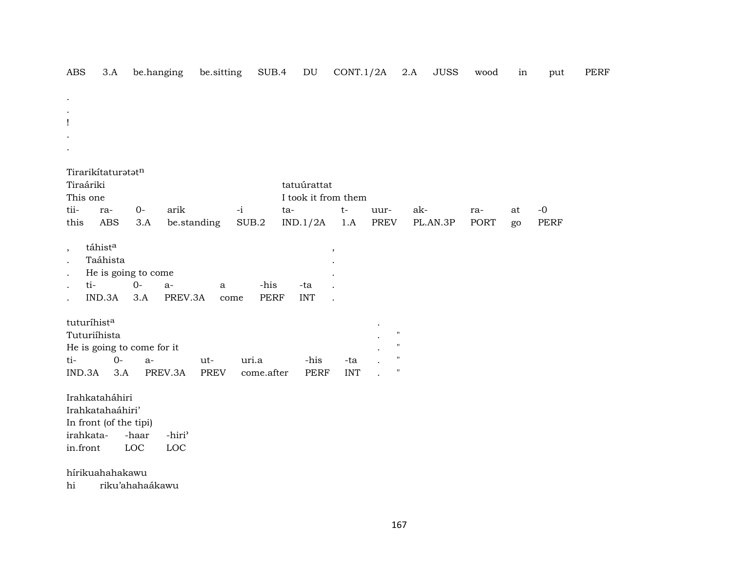| <b>ABS</b>               |                                                                                       | 3.A        |                                    | be.hanging                | be.sitting           | SUB.4               | $\mathop{\rm DU}\nolimits$ | CONT.1/2A                |              | 2.A<br><b>JUSS</b> | wood        | in       | put          | <b>PERF</b> |
|--------------------------|---------------------------------------------------------------------------------------|------------|------------------------------------|---------------------------|----------------------|---------------------|----------------------------|--------------------------|--------------|--------------------|-------------|----------|--------------|-------------|
|                          |                                                                                       |            |                                    |                           |                      |                     |                            |                          |              |                    |             |          |              |             |
| Ţ                        |                                                                                       |            |                                    |                           |                      |                     |                            |                          |              |                    |             |          |              |             |
|                          | Tirarikítaturatatn<br>Tiraáriki                                                       |            |                                    |                           |                      |                     | tatuúrattat                |                          |              |                    |             |          |              |             |
|                          | This one                                                                              |            |                                    |                           |                      |                     | I took it from them        |                          |              |                    |             |          |              |             |
| tii-<br>this             |                                                                                       | ra-<br>ABS | $O -$<br>3.A                       | arik                      | be.standing          | $-i$<br>SUB.2       | ta-<br>IND.1/2A            | $t-$<br>1.A              | uur-<br>PREV | ak-<br>PL.AN.3P    | ra-<br>PORT | at<br>go | $-0$<br>PERF |             |
| $^\mathrm{,}$<br>$\cdot$ | táhista<br>ti-<br>IND.3A                                                              | Taáhista   | He is going to come<br>$0-$<br>3.A | $a-$<br>PREV.3A           | $\mathbf{a}$<br>come | -his<br><b>PERF</b> | -ta<br><b>INT</b>          | $\overline{\phantom{a}}$ |              |                    |             |          |              |             |
|                          | tuturíhista<br>Tuturiíhista                                                           |            | He is going to come for it         |                           |                      |                     |                            |                          | Ħ<br>H.      |                    |             |          |              |             |
| ti-                      |                                                                                       | $0-$       | $a-$                               |                           | ut-                  | uri.a               | -his                       | -ta                      | 11           |                    |             |          |              |             |
|                          | IND.3A                                                                                | 3.A        |                                    | PREV.3A                   | <b>PREV</b>          | come.after          | <b>PERF</b>                | <b>INT</b>               | Ħ            |                    |             |          |              |             |
|                          | Irahkataháhiri<br>Irahkatahaáhiri'<br>In front (of the tipi)<br>irahkata-<br>in.front |            | -haar<br>$_{\mathrm{LOC}}$         | -hiri <sup>3</sup><br>LOC |                      |                     |                            |                          |              |                    |             |          |              |             |
| hi                       | hírikuahahakawu                                                                       |            | riku'ahahaákawu                    |                           |                      |                     |                            |                          |              |                    |             |          |              |             |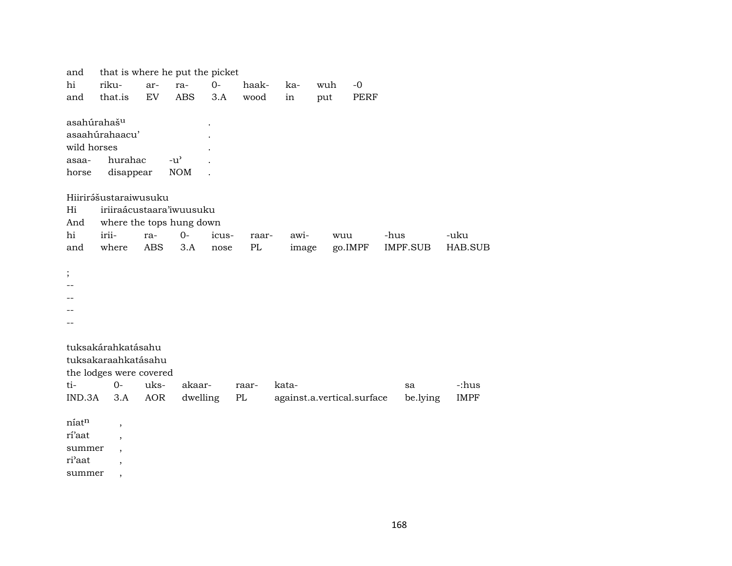that is where he put the picket and riku- $O -0$ hi haakarrakawuh and that.is EV **ABS**  $3.A$ wood in put **PERF** asahúrahaš<sup>u</sup>  $\ddot{\phantom{a}}$ asaahúrahaacu' wild horses hurahac  $-u^{\prime}$ asaa- $\mathbb{R}^2$ **NOM** horse disappear  $\ddot{\phantom{a}}$ Hiirirášustaraiwusuku iriiraácustaara'iwuusuku Hi where the tops hung down And iriiawihi ra- $0$ icusraarwuu -hus -uku where  $3.A$ image go.IMPF and **ABS**  $PL$ **IMPF.SUB** HAB.SUB nose  $\vdots$  $\sim$   $\sim$  $\overline{\phantom{a}}$ tuksakárahkatásahu tuksakaraahkatásahu the lodges were covered  $t_{i-}$  $O$ uksakaarkata--:hus raarsa dwelling  $PL$ against.a.vertical.surface  $IND.3A$  $3.A$ **AOR** be.lying **IMPF**  $\rm n$ íatn  $\overline{\phantom{a}}$ rí'aat  $\cdot$ summer  $\cdot$ ri'aat  $\overline{\phantom{a}}$ summer  $\overline{\phantom{a}}$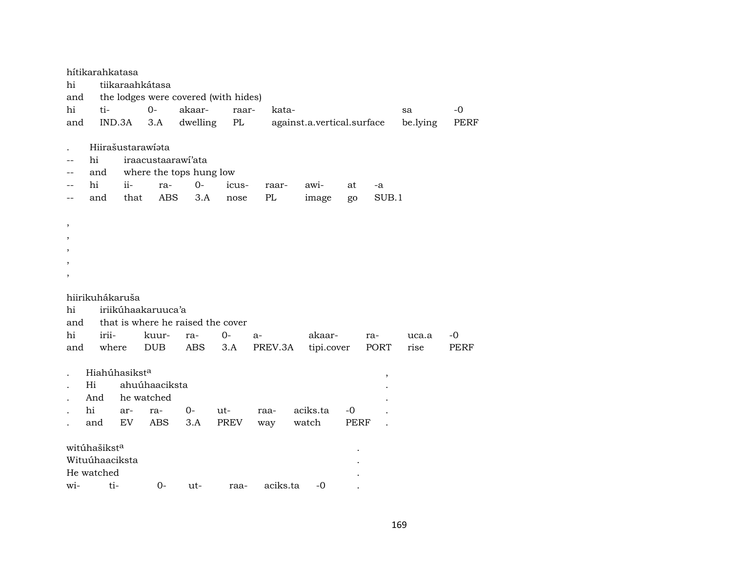|                          | hítikarahkatasa   |      |                    |                                      |               |          |                            |      |       |          |             |
|--------------------------|-------------------|------|--------------------|--------------------------------------|---------------|----------|----------------------------|------|-------|----------|-------------|
| hi                       |                   |      | tiikaraahkátasa    |                                      |               |          |                            |      |       |          |             |
| and                      |                   |      |                    | the lodges were covered (with hides) |               |          |                            |      |       |          |             |
| hi                       | ti-               |      | $0-$               | akaar-                               | raar-         | kata-    |                            |      |       | sa       | $-0$        |
| and                      | IND.3A            |      | 3.A                | dwelling                             | $\mathbf{PL}$ |          | against.a.vertical.surface |      |       | be.lying | <b>PERF</b> |
|                          |                   |      |                    |                                      |               |          |                            |      |       |          |             |
|                          | Hiirašustarawiata |      |                    |                                      |               |          |                            |      |       |          |             |
|                          | hi                |      |                    | iraacustaarawi'ata                   |               |          |                            |      |       |          |             |
|                          | and               |      |                    | where the tops hung low              |               |          |                            |      |       |          |             |
|                          | hi                | ii-  | ra-                | $0-$                                 | icus-         | raar-    | awi-                       | at   | -a    |          |             |
|                          | and               | that | ABS                | 3.A                                  | nose          | PL       | image                      | go   | SUB.1 |          |             |
|                          |                   |      |                    |                                      |               |          |                            |      |       |          |             |
| $\overline{\phantom{a}}$ |                   |      |                    |                                      |               |          |                            |      |       |          |             |
| $\overline{\phantom{a}}$ |                   |      |                    |                                      |               |          |                            |      |       |          |             |
|                          |                   |      |                    |                                      |               |          |                            |      |       |          |             |
|                          |                   |      |                    |                                      |               |          |                            |      |       |          |             |
|                          |                   |      |                    |                                      |               |          |                            |      |       |          |             |
|                          |                   |      |                    |                                      |               |          |                            |      |       |          |             |
|                          | hiirikuhákaruša   |      |                    |                                      |               |          |                            |      |       |          |             |
| hi                       |                   |      | iriikúhaakaruuca'a |                                      |               |          |                            |      |       |          |             |
| and                      |                   |      |                    | that is where he raised the cover    |               |          |                            |      |       |          |             |
| hi                       | irii-             |      | kuur-              | ra-                                  | $0-$          | $a-$     | akaar-                     |      | ra-   | uca.a    | -0          |
| and                      | where             |      | <b>DUB</b>         | ABS                                  | 3.A           | PREV.3A  | tipi.cover                 |      | PORT  | rise     | PERF        |
|                          |                   |      |                    |                                      |               |          |                            |      |       |          |             |
|                          | Hiahúhasiksta     |      |                    |                                      |               |          |                            |      |       |          |             |
|                          | Hi                |      | ahuúhaaciksta      |                                      |               |          |                            |      | ,     |          |             |
|                          |                   |      |                    |                                      |               |          |                            |      |       |          |             |
|                          | And               |      | he watched         |                                      |               |          |                            |      |       |          |             |
|                          | hi                | ar-  | ra-                | $O -$                                | ut-           | raa-     | aciks.ta                   | $-0$ |       |          |             |
|                          | and               | EV   | <b>ABS</b>         | 3.A                                  | <b>PREV</b>   | way      | watch                      | PERF |       |          |             |
|                          |                   |      |                    |                                      |               |          |                            |      |       |          |             |
|                          | witúhašiksta      |      |                    |                                      |               |          |                            |      |       |          |             |
|                          | Wituúhaaciksta    |      |                    |                                      |               |          |                            |      |       |          |             |
|                          | He watched        |      |                    |                                      |               |          |                            |      |       |          |             |
| wi-                      | ti-               |      | $0-$               | ut-                                  | raa-          | aciks.ta | $-0$                       |      |       |          |             |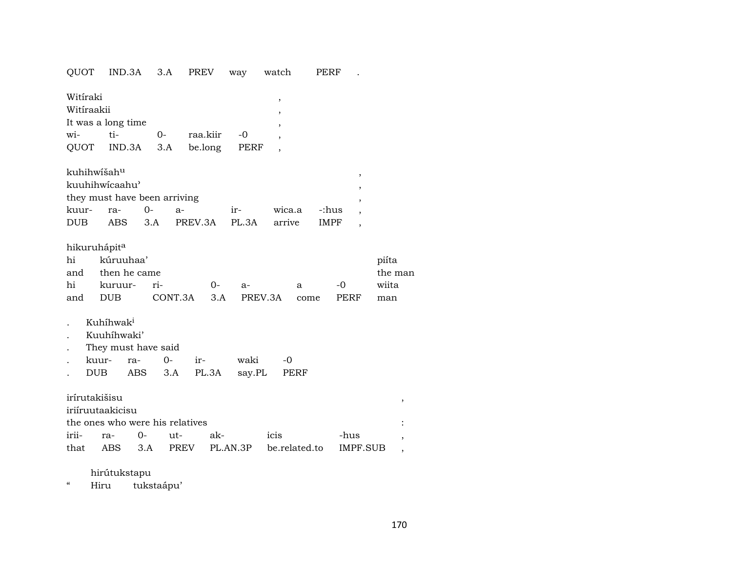QUOT IND.3A 3.A PREV way watch PERF .

| Witíraki   |                    |          |              |  |
|------------|--------------------|----------|--------------|--|
| Witíraakii |                    |          |              |  |
|            | It was a long time |          |              |  |
| wi-        | ti-                | $\Omega$ | raa.kiir -0  |  |
|            | QUOT IND.3A 3.A    |          | be.long PERF |  |

| kuhihwíšah <sup>u</sup>      |  |                |                                   |    |              |  |  |  |  |  |  |
|------------------------------|--|----------------|-----------------------------------|----|--------------|--|--|--|--|--|--|
| kuuhihwicaahu'               |  |                |                                   |    |              |  |  |  |  |  |  |
| they must have been arriving |  |                |                                   |    |              |  |  |  |  |  |  |
| kuur- ra- 0-                 |  | $\overline{a}$ |                                   | ir | wica.a -:hus |  |  |  |  |  |  |
| DUB <sub>1</sub>             |  |                | ABS 3.A PREV.3A PL.3A arrive IMPF |    |              |  |  |  |  |  |  |

# hikuruhápit $^{\rm a}$

| hi kúruuhaa' |                                       |  |                                             |  |      |       |  |  |  |  |
|--------------|---------------------------------------|--|---------------------------------------------|--|------|-------|--|--|--|--|
|              | and then he came                      |  |                                             |  |      |       |  |  |  |  |
|              | hi kuruur- ri-        0-              |  | $\overline{a}$ and $\overline{a}$<br>$-$ a- |  | $-0$ | wiita |  |  |  |  |
|              | and DUB CONT.3A 3.A PREV.3A come PERF |  |                                             |  |      | man   |  |  |  |  |

- . Kuhíhwak<sup>i</sup>
- . Kuuhíhwaki'
- . They must have said
- . kuur- ra- 0- ir- waki -0
- . DUB ABS 3.A PL.3A say.PL PERF

# irírutakišisu ,

| iriíruutaakicisu |                                 |                                                   |      |  |
|------------------|---------------------------------|---------------------------------------------------|------|--|
|                  | the ones who were his relatives |                                                   |      |  |
|                  | irii- ra- 0- ut- ak-            | icis                                              | -hus |  |
|                  |                                 | that ABS 3.A PREV PL.AN.3P be.related.to IMPF.SUB |      |  |

## hirútukstapu

" Hiru tukstaápu'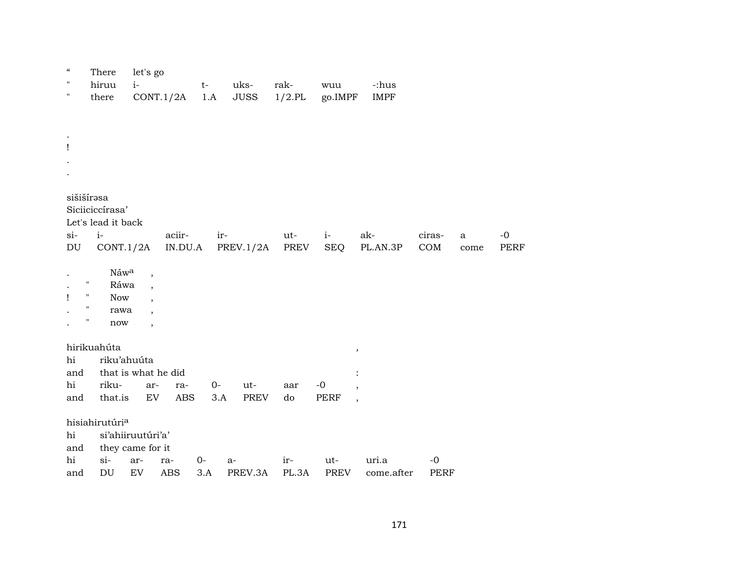| $\mathcal{C}\mathcal{C}$<br>"<br>11 | There<br>hiruu<br>there                                                   | let's go<br>$i-$                                                | CONT.1/2A         | $t-$<br>1.A  | uks-<br><b>JUSS</b> | rak-<br>$1/2$ .PL | wuu<br>go.IMPF      | -:hus<br><b>IMPF</b> |                     |                      |                     |
|-------------------------------------|---------------------------------------------------------------------------|-----------------------------------------------------------------|-------------------|--------------|---------------------|-------------------|---------------------|----------------------|---------------------|----------------------|---------------------|
| Ţ                                   |                                                                           |                                                                 |                   |              |                     |                   |                     |                      |                     |                      |                     |
| $si-$<br>$\mathop{\rm DU}\nolimits$ | sišišírəsa<br>Siciiciccírasa'<br>Let's lead it back<br>$i-$<br>CONT.1/2A  |                                                                 | aciir-<br>IN.DU.A | ir-          | PREV.1/2A           | ut-<br>PREV       | $i-$<br><b>SEQ</b>  | ak-<br>PL.AN.3P      | ciras-<br>COM       | $\mathbf{a}$<br>come | $-0$<br><b>PERF</b> |
| Ţ                                   | Náwa<br>Ħ<br>Ráwa<br><b>Now</b><br>Ħ<br>rawa<br>Ħ<br>$\operatorname{now}$ | $\overline{\phantom{a}}$<br>$\overline{\phantom{a}}$<br>$\cdot$ |                   |              |                     |                   |                     |                      |                     |                      |                     |
| hi<br>and<br>hi<br>and              | hirikuahúta<br>riku'ahuúta<br>riku-<br>that.is                            | that is what he did<br>ar-<br>EV                                | ra-<br><b>ABS</b> | $O -$<br>3.A | ut-<br>PREV         | aar<br>do         | $-0$<br><b>PERF</b> | $\, ,$<br>$\cdot$    |                     |                      |                     |
| hi<br>and<br>hi<br>and              | hisiahirutúri <sup>a</sup><br>$si-$<br>$\mathop{\rm DU}\nolimits$         | si'ahiiruutúri'a'<br>they came for it<br>ar-<br>${\rm EV}$      | ra-<br><b>ABS</b> | $0-$<br>3.A  | a-<br>PREV.3A       | ir-<br>PL.3A      | ut-<br>PREV         | uri.a<br>come.after  | $-0$<br><b>PERF</b> |                      |                     |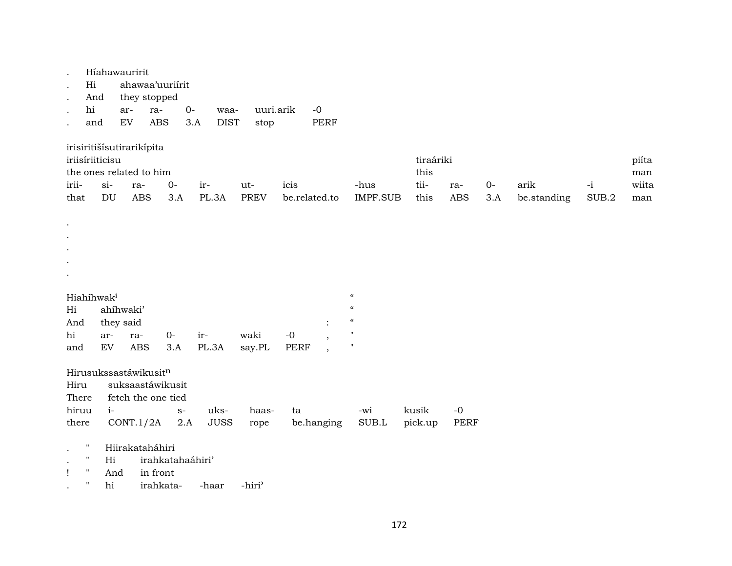|               |                                                                                        | Híahawauririt                          |                       |                  |                    |                    |             |                          |                            |                                   |                   |             |                     |               |                              |
|---------------|----------------------------------------------------------------------------------------|----------------------------------------|-----------------------|------------------|--------------------|--------------------|-------------|--------------------------|----------------------------|-----------------------------------|-------------------|-------------|---------------------|---------------|------------------------------|
|               | Hi                                                                                     |                                        |                       | ahawaa'uuriírit  |                    |                    |             |                          |                            |                                   |                   |             |                     |               |                              |
|               | And                                                                                    |                                        | they stopped          |                  |                    |                    |             |                          |                            |                                   |                   |             |                     |               |                              |
|               | hi                                                                                     | ar-                                    | ra-                   | $0-$             | waa-               | uuri.arik          |             | $-0$                     |                            |                                   |                   |             |                     |               |                              |
|               | and                                                                                    | ${\rm EV}$                             | <b>ABS</b>            |                  | <b>DIST</b><br>3.A | stop               |             | PERF                     |                            |                                   |                   |             |                     |               |                              |
| irii-<br>that | irisiritišísutirarikípita<br>iriisíriiticisu<br>the ones related to him<br>$si-$<br>DU |                                        | ra-<br><b>ABS</b>     | $0-$<br>3.A      | ir-<br>PL.3A       | ut-<br><b>PREV</b> | icis        | be.related.to            | -hus<br><b>IMPF.SUB</b>    | tiraáriki<br>this<br>tii-<br>this | ra-<br><b>ABS</b> | $0-$<br>3.A | arik<br>be.standing | $-i$<br>SUB.2 | piíta<br>man<br>wiita<br>man |
|               |                                                                                        |                                        |                       |                  |                    |                    |             |                          |                            |                                   |                   |             |                     |               |                              |
|               |                                                                                        |                                        |                       |                  |                    |                    |             |                          |                            |                                   |                   |             |                     |               |                              |
|               |                                                                                        |                                        |                       |                  |                    |                    |             |                          |                            |                                   |                   |             |                     |               |                              |
|               |                                                                                        |                                        |                       |                  |                    |                    |             |                          |                            |                                   |                   |             |                     |               |                              |
|               | Hiahíhwak <sup>i</sup>                                                                 |                                        |                       |                  |                    |                    |             |                          | $\boldsymbol{\mathcal{C}}$ |                                   |                   |             |                     |               |                              |
| Hi            |                                                                                        | ahíhwaki'                              |                       |                  |                    |                    |             |                          | $\boldsymbol{\mathcal{C}}$ |                                   |                   |             |                     |               |                              |
| And           |                                                                                        | they said                              |                       |                  |                    |                    |             |                          | $\boldsymbol{\mathcal{C}}$ |                                   |                   |             |                     |               |                              |
| hi            | ar-                                                                                    | ra-                                    |                       | $O -$            | ir-                | waki               | $-0$        |                          | $\pmb{\mathsf{H}}$         |                                   |                   |             |                     |               |                              |
| and           | ${\rm EV}$                                                                             |                                        | <b>ABS</b>            | 3.A              | PL.3A              | say.PL             | <b>PERF</b> | $\overline{\phantom{a}}$ | $\pmb{\mathsf{H}}$         |                                   |                   |             |                     |               |                              |
| Hiru<br>There | Hirusukssastáwikusit <sup>n</sup>                                                      | suksaastáwikusit<br>fetch the one tied |                       |                  |                    |                    |             |                          |                            |                                   |                   |             |                     |               |                              |
| hiruu         |                                                                                        | $i-$                                   |                       | $\mathbf{S}^-$   | uks-               | haas-              | ta          |                          | -wi                        | kusik                             | $-0$              |             |                     |               |                              |
| there         |                                                                                        | CONT.1/2A                              |                       | 2.A              | <b>JUSS</b>        | rope               |             | be.hanging               | SUB.L                      | pick.up                           | PERF              |             |                     |               |                              |
| $\mathbf{I}$  | $\pmb{\mathsf{H}}$<br>$\pmb{\mathsf{H}}$<br>$\pmb{\mathsf{H}}$<br>$\pmb{\mathsf{H}}$   | Hiirakataháhiri<br>Hi<br>And<br>hi     | in front<br>irahkata- | irahkatahaáhiri' | -haar              | -hiri <sup>3</sup> |             |                          |                            |                                   |                   |             |                     |               |                              |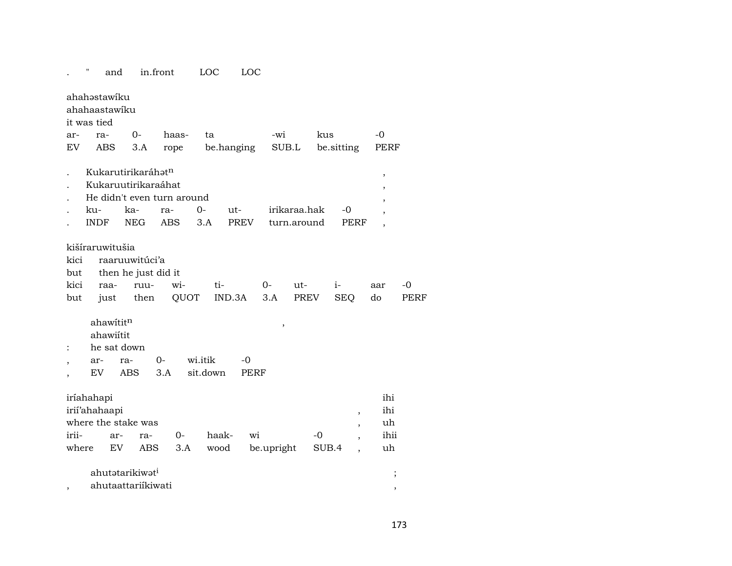#### $\mathbb{R}^{n\times n}$ in.front LOC LOC and

|                          | ahahəstawiku    |             |                             |                            |                     |             |              |       |            |                                                      |                           |             |
|--------------------------|-----------------|-------------|-----------------------------|----------------------------|---------------------|-------------|--------------|-------|------------|------------------------------------------------------|---------------------------|-------------|
|                          | ahahaastawiku   |             |                             |                            |                     |             |              |       |            |                                                      |                           |             |
|                          | it was tied     |             |                             |                            |                     |             |              |       |            |                                                      |                           |             |
| ar-                      | ra-             |             | $0-$                        | haas-                      | ta                  |             | -wi          |       | kus        |                                                      | $-0$                      |             |
| EV                       | ABS             |             | 3.A                         | rope                       |                     | be.hanging  | SUB.L        |       | be.sitting |                                                      | PERF                      |             |
|                          |                 |             | Kukarutirikaráhatn          |                            |                     |             |              |       |            |                                                      |                           |             |
| $\cdot$                  |                 |             | Kukaruutirikaraáhat         |                            |                     |             |              |       |            |                                                      | $\, ,$                    |             |
|                          |                 |             |                             | He didn't even turn around |                     |             |              |       |            |                                                      | $\overline{\phantom{a}}$  |             |
|                          | ku-             |             | ka-                         | ra-                        | $0 -$               | ut-         | irikaraa.hak |       |            | $-0$                                                 | $\overline{\phantom{a}}$  |             |
|                          | <b>INDF</b>     |             | <b>NEG</b>                  | <b>ABS</b>                 | 3.A                 | <b>PREV</b> | turn.around  |       |            | PERF                                                 | $\cdot$<br>$\overline{ }$ |             |
|                          |                 |             |                             |                            |                     |             |              |       |            |                                                      |                           |             |
|                          | kišíraruwitušia |             |                             |                            |                     |             |              |       |            |                                                      |                           |             |
| kici                     |                 |             | raaruuwitúci'a              |                            |                     |             |              |       |            |                                                      |                           |             |
| but                      |                 |             | then he just did it         |                            |                     |             |              |       |            |                                                      |                           |             |
| kici                     | raa-            |             | ruu-                        | wi-                        | ti-                 |             | $0-$         | $ut-$ | $i-$       |                                                      | aar                       | $-0$        |
| but                      | just            |             | then                        | QUOT                       |                     | IND.3A      | 3.A          | PREV  |            | <b>SEQ</b>                                           | do                        | <b>PERF</b> |
|                          |                 |             |                             |                            |                     |             |              |       |            |                                                      |                           |             |
|                          |                 | ahawititn   |                             |                            |                     |             | ,            |       |            |                                                      |                           |             |
|                          |                 | ahawiítit   |                             |                            |                     |             |              |       |            |                                                      |                           |             |
| :                        |                 | he sat down |                             |                            |                     |             |              |       |            |                                                      |                           |             |
| $\overline{\phantom{a}}$ | ar-             | ra-         |                             | $0-$                       | wi.itik<br>sit.down | -0          |              |       |            |                                                      |                           |             |
|                          | EV              | <b>ABS</b>  |                             | 3.A                        |                     | PERF        |              |       |            |                                                      |                           |             |
|                          | iríahahapi      |             |                             |                            |                     |             |              |       |            |                                                      | ihi                       |             |
|                          | irii'ahahaapi   |             |                             |                            |                     |             |              |       |            |                                                      | ihi                       |             |
|                          |                 |             | where the stake was         |                            |                     |             |              |       |            | $\overline{\phantom{a}}$                             | uh                        |             |
| irii-                    |                 | ar-         | ra-                         | $0-$                       | haak-               | wi          |              |       | -0         | $\overline{\phantom{a}}$<br>$\overline{\phantom{a}}$ | ihii                      |             |
| where                    |                 | EV          | ABS                         | 3.A                        | wood                |             | be.upright   |       | SUB.4      |                                                      | uh                        |             |
|                          |                 |             |                             |                            |                     |             |              |       |            |                                                      |                           |             |
|                          |                 |             | ahutatarikiwat <sup>i</sup> |                            |                     |             |              |       |            |                                                      | ;                         |             |
|                          |                 |             | ahutaattariikiwati          |                            |                     |             |              |       |            |                                                      | ,                         |             |
|                          |                 |             |                             |                            |                     |             |              |       |            |                                                      |                           |             |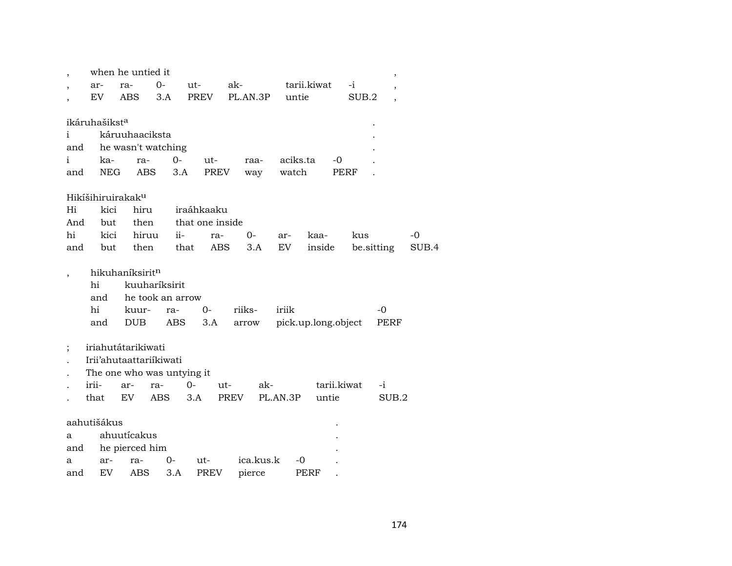|          |                           | when he untied it             |                  |                    |            |          |                     |            | $\overline{\phantom{a}}$ |       |
|----------|---------------------------|-------------------------------|------------------|--------------------|------------|----------|---------------------|------------|--------------------------|-------|
|          | ar-                       | ra-                           | $0-$             | ut-                | ak-        |          | tarii.kiwat         | $-i$       |                          |       |
|          | EV                        | <b>ABS</b>                    | 3.A              | PREV               | PL.AN.3P   | untie    |                     | SUB.2      |                          |       |
|          |                           |                               |                  |                    |            |          |                     |            |                          |       |
|          | ikáruhašikst <sup>a</sup> |                               |                  |                    |            |          |                     |            |                          |       |
| i        |                           | káruuhaaciksta                |                  |                    |            |          |                     |            |                          |       |
| and      |                           | he wasn't watching            |                  |                    |            |          |                     |            |                          |       |
| i        | ka-                       | ra-                           | $0-$             | ut-                | raa-       | aciks.ta | -0                  |            |                          |       |
| and      | <b>NEG</b>                | <b>ABS</b>                    | 3.A              | <b>PREV</b>        | way        | watch    | PERF                |            |                          |       |
|          |                           |                               |                  |                    |            |          |                     |            |                          |       |
|          |                           | Hikíšihiruirakak <sup>u</sup> |                  |                    |            |          |                     |            |                          |       |
| Hi       | kici                      | hiru                          |                  | iraáhkaaku         |            |          |                     |            |                          |       |
| And      | but                       | then                          |                  | that one inside    |            |          |                     |            |                          |       |
| hi       | kici                      | hiruu                         | $ii-$            | ra-                | 0-         | ar-      | kaa-                | kus        |                          | -0    |
| and      | but                       | then                          |                  | <b>ABS</b><br>that | 3.A        | EV       | inside              | be sitting |                          | SUB.4 |
|          |                           |                               |                  |                    |            |          |                     |            |                          |       |
|          |                           | hikuhaníksirit <sup>n</sup>   |                  |                    |            |          |                     |            |                          |       |
|          | hi                        |                               | kuuharíksirit    |                    |            |          |                     |            |                          |       |
|          | and                       |                               | he took an arrow |                    |            |          |                     |            |                          |       |
|          | hi                        | kuur-                         | ra-              | $0-$               | riiks-     | iriik    |                     |            | $-0$                     |       |
|          | and                       | <b>DUB</b>                    | <b>ABS</b>       | 3.A                | arrow      |          | pick.up.long.object |            | PERF                     |       |
|          |                           |                               |                  |                    |            |          |                     |            |                          |       |
| $\vdots$ |                           | iriahutátarikiwati            |                  |                    |            |          |                     |            |                          |       |
|          |                           | Irii'ahutaattariikiwati       |                  |                    |            |          |                     |            |                          |       |
|          |                           | The one who was untying it    |                  |                    |            |          |                     |            |                          |       |
|          | irii-                     | ar-                           | ra-              | $O -$              | ak-<br>ut- |          | tarii.kiwat         |            | $-i$                     |       |
|          | that                      | EV                            | ABS              | 3.A                | PREV       | PL.AN.3P | untie               |            | SUB.2                    |       |
|          |                           |                               |                  |                    |            |          |                     |            |                          |       |
|          | aahutišákus               |                               |                  |                    |            |          |                     |            |                          |       |
| a        |                           | ahuutícakus                   |                  |                    |            |          |                     |            |                          |       |
| and      |                           | he pierced him                |                  |                    |            |          |                     |            |                          |       |
| a        | ar-                       | ra-                           | 0-               | ut-                | ica.kus.k  | -0       |                     |            |                          |       |
| and      | EV                        | ABS                           | 3.A              | <b>PREV</b>        | pierce     |          | PERF                |            |                          |       |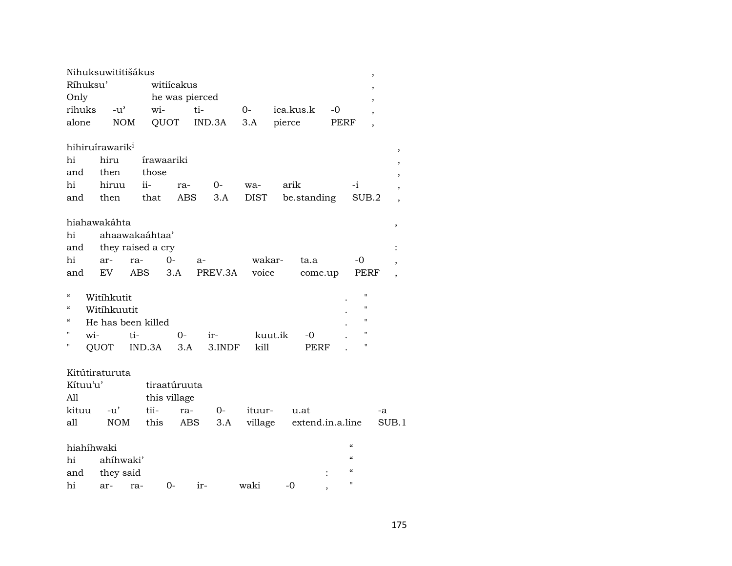|                          |     | Nihuksuwititišákus          |     |                   |                |      |         |         |         |                  |      | ,                                      |       |
|--------------------------|-----|-----------------------------|-----|-------------------|----------------|------|---------|---------|---------|------------------|------|----------------------------------------|-------|
| Ríhuksu'                 |     |                             |     | witiícakus        |                |      |         |         |         |                  |      | $\overline{ }$                         |       |
| Only                     |     |                             |     |                   | he was pierced |      |         |         |         |                  |      | ,                                      |       |
| rihuks                   |     | $-u^{\prime}$               |     |                   | $W$ i-         | ti-  |         | 0-      |         | ica.kus.k        | -0   | $\overline{ }$                         |       |
| alone                    |     | <b>NOM</b>                  |     |                   | QUOT           |      | IND.3A  | 3.A     | pierce  |                  | PERF | $\overline{\phantom{a}}$               |       |
|                          |     |                             |     |                   |                |      |         |         |         |                  |      |                                        |       |
|                          |     | hihiruírawarik <sup>i</sup> |     |                   |                |      |         |         |         |                  |      |                                        |       |
| hi                       |     | hiru                        |     | <i>irawaariki</i> |                |      |         |         |         |                  |      |                                        |       |
| and                      |     | then                        |     | those             |                |      |         |         |         |                  |      |                                        |       |
| hi                       |     | hiruu                       |     | ii-               | ra-            |      | $0-$    | wa-     |         | arik             |      | -i                                     |       |
| and                      |     | then                        |     | that              |                | ABS  | 3.A     | DIST    |         | be.standing      |      | SUB.2                                  |       |
|                          |     |                             |     |                   |                |      |         |         |         |                  |      |                                        |       |
|                          |     | hiahawakáhta                |     |                   |                |      |         |         |         |                  |      |                                        | ,     |
| hi                       |     | ahaawakaáhtaa'              |     |                   |                |      |         |         |         |                  |      |                                        |       |
| and                      |     | they raised a cry           |     |                   |                |      |         |         |         |                  |      |                                        |       |
| hi                       |     | ar-                         | ra- |                   | $0-$           | $a-$ |         | wakar-  |         | ta.a             |      | -0                                     |       |
| and                      |     | EV                          |     | ABS               | 3.A            |      | PREV.3A | voice   |         | come.up          |      | PERF                                   |       |
|                          |     |                             |     |                   |                |      |         |         |         |                  |      |                                        |       |
| $\mathcal{C}$            |     | Witihkutit                  |     |                   |                |      |         |         |         |                  |      | $\blacksquare$                         |       |
| $\mathcal{C}\mathcal{C}$ |     | Witihkuutit                 |     |                   |                |      |         |         |         |                  |      | 11                                     |       |
| $\epsilon$               |     | He has been killed          |     |                   |                |      |         |         |         |                  |      | 11                                     |       |
| п                        | wi- |                             | ti- |                   | $0-$           |      | ir-     |         | kuut.ik | -0               |      | $\mathbf{H}$                           |       |
| н                        |     | QUOT                        |     | IND.3A            | 3.A            |      | 3.INDF  | kill    |         | <b>PERF</b>      |      | $\mathbf{H}$                           |       |
|                          |     |                             |     |                   |                |      |         |         |         |                  |      |                                        |       |
|                          |     | Kitútiraturuta              |     |                   |                |      |         |         |         |                  |      |                                        |       |
| Kítuu'u'                 |     |                             |     | tiraatúruuta      |                |      |         |         |         |                  |      |                                        |       |
| All                      |     |                             |     | this village      |                |      |         |         |         |                  |      |                                        |       |
| kituu                    |     | -u'                         |     | tii-              | ra-            |      | $0-$    | ituur-  |         | u.at             |      |                                        | -a    |
| all                      |     | <b>NOM</b>                  |     | this              | ABS            |      | 3.A     | village |         | extend.in.a.line |      |                                        | SUB.1 |
|                          |     |                             |     |                   |                |      |         |         |         |                  |      |                                        |       |
| hiahíhwaki               |     |                             |     |                   |                |      |         |         |         |                  |      | $\alpha$                               |       |
| hi                       |     | ahíhwaki'                   |     |                   |                |      |         |         |         |                  |      | $\alpha$                               |       |
| and                      |     | they said                   |     |                   |                |      |         |         |         |                  |      | $\boldsymbol{\zeta}\boldsymbol{\zeta}$ |       |
| hi                       |     | ar-                         | ra- |                   | $0-$           | ir-  |         | waki    |         | $-0$             |      | п                                      |       |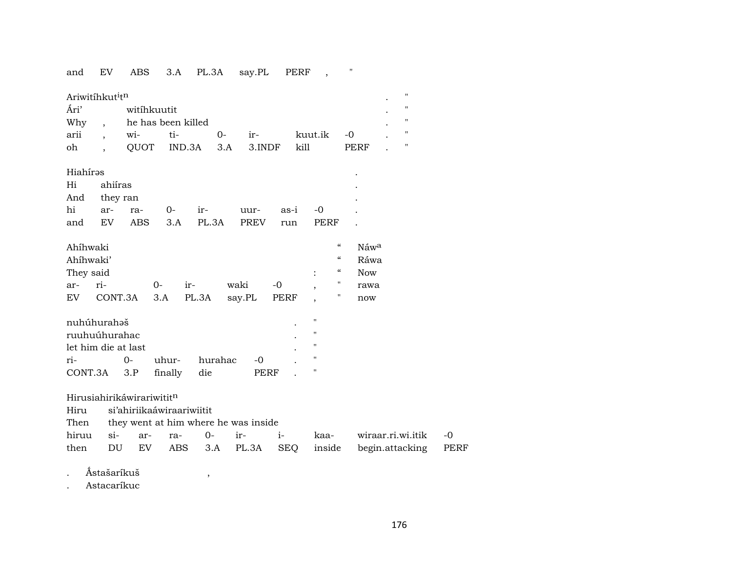## and EV ABS 3.A PL.3A say.PL PERF , "

| Ariwitihkut <sup>i</sup> tn |  |             |                        |      |       |         |      |  |                   |  |
|-----------------------------|--|-------------|------------------------|------|-------|---------|------|--|-------------------|--|
| Ári'                        |  | witihkuutit |                        |      |       |         |      |  | $^{\prime\prime}$ |  |
| Why                         |  |             | he has been killed     |      |       |         |      |  | $^{\prime\prime}$ |  |
| arii                        |  | wi- ti-     |                        | $0-$ | $ir-$ | kuut.ik | $-0$ |  | п                 |  |
| oh                          |  |             | QUOT IND.3A 3.A 3.INDF |      |       | kill    | PERF |  |                   |  |
|                             |  |             |                        |      |       |         |      |  |                   |  |

| Hiahírəs     |         |       |                           |     |      | $\bullet$ |
|--------------|---------|-------|---------------------------|-----|------|-----------|
| Hi           | ahiíras |       |                           |     |      | $\bullet$ |
| And they ran |         |       |                           |     |      | ٠         |
| hi ar- ra-   |         | $O -$ | ir- uur- as-i -0          |     |      |           |
|              |         |       | and EV ABS 3.A PL.3A PREV | run | PERF |           |

| Ahíhwaki  |                                   |          |           |  | "        | Náw <sup>a</sup> |
|-----------|-----------------------------------|----------|-----------|--|----------|------------------|
| Ahíhwaki' |                                   |          |           |  | $\alpha$ | Ráwa             |
| They said |                                   |          |           |  | $\alpha$ | Now              |
| ar- ri-   |                                   | $0-$ ir- | waki -0 , |  |          | rawa             |
|           | EV CONT.3A 3.A PL.3A say.PL PERF, |          |           |  |          | now              |

| nuhúhurahəš          | ٠    |               |     |       |  |  |  |  |  |  |
|----------------------|------|---------------|-----|-------|--|--|--|--|--|--|
| ruuhuúhurahac        |      |               |     |       |  |  |  |  |  |  |
| let him die at last. |      |               |     |       |  |  |  |  |  |  |
| ri-                  | $O-$ | uhur- hurahac |     | $-()$ |  |  |  |  |  |  |
| CONT.3A 3.P          |      | finally       | die | PERF  |  |  |  |  |  |  |

Hirusiahirikáwirariwitit<sup>n</sup><br>Hiru si'ahiriikaáwiraa

si'ahiriikaáwiraariwiitit

| Then |  |  | they went at him where he was inside |
|------|--|--|--------------------------------------|
|------|--|--|--------------------------------------|

|  |  |  |  | hiruu si- ar- ra- 0- ir- i- kaa- wiraar.ri.wi.itik -0    |  |
|--|--|--|--|----------------------------------------------------------|--|
|  |  |  |  | then DU EV ABS 3.A PL.3A SEQ inside begin.attacking PERF |  |

. Ñstašaríkuš ,

. Astacaríkuc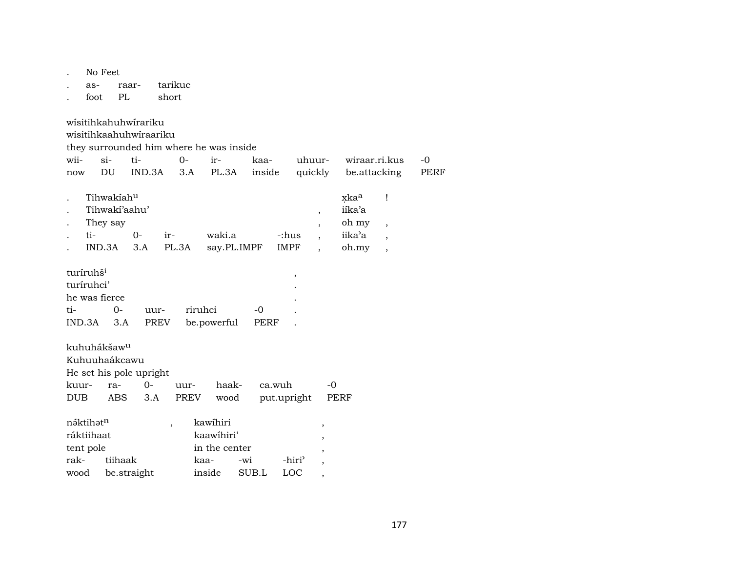|            | No Feet                 |               |                         |                |         |                                         |             |             |         |                          |                  |                          |             |
|------------|-------------------------|---------------|-------------------------|----------------|---------|-----------------------------------------|-------------|-------------|---------|--------------------------|------------------|--------------------------|-------------|
|            | as-                     |               | raar-                   | tarikuc        |         |                                         |             |             |         |                          |                  |                          |             |
|            | foot                    | PL            |                         | short          |         |                                         |             |             |         |                          |                  |                          |             |
|            |                         |               |                         |                |         |                                         |             |             |         |                          |                  |                          |             |
|            |                         |               | wisitihkahuhwirariku    |                |         |                                         |             |             |         |                          |                  |                          |             |
|            |                         |               | wisitihkaahuhwiraariku  |                |         |                                         |             |             |         |                          |                  |                          |             |
|            |                         |               |                         |                |         | they surrounded him where he was inside |             |             |         |                          |                  |                          |             |
| wii-       | $\sin$                  |               | ti-                     |                | $0 -$   | ir-                                     | kaa-        |             | uhuur-  |                          | wiraar.ri.kus    |                          | $-0$        |
| now        |                         | DU            | IND.3A                  |                | 3.A     | PL.3A                                   |             | inside      | quickly |                          | be.attacking     |                          | <b>PERF</b> |
|            |                         | Tihwakiahu    |                         |                |         |                                         |             |             |         |                          | xka <sup>a</sup> | Ţ                        |             |
|            |                         | Tihwaki'aahu' |                         |                |         |                                         |             |             |         | $\overline{\phantom{a}}$ | iíka'a           |                          |             |
|            | They say                |               |                         |                |         |                                         |             |             |         |                          | oh my            | $\overline{\phantom{a}}$ |             |
|            | ti-                     |               | $0 -$                   | ir-            |         | waki.a                                  |             | -:hus       |         |                          | iika'a           | $\overline{\phantom{a}}$ |             |
|            | IND.3A                  |               | 3.A                     |                | PL.3A   |                                         | say.PL.IMPF | IMPF        |         |                          | oh.my            | $\overline{\phantom{a}}$ |             |
|            |                         |               |                         |                |         |                                         |             |             |         |                          |                  |                          |             |
|            | turíruhš <sup>i</sup>   |               |                         |                |         |                                         |             |             | ,       |                          |                  |                          |             |
|            | turíruhci'              |               |                         |                |         |                                         |             |             |         |                          |                  |                          |             |
|            | he was fierce           |               |                         |                |         |                                         |             |             |         |                          |                  |                          |             |
| ti-        |                         | $0-$          |                         | uur-           | riruhci |                                         | $-0$        |             |         |                          |                  |                          |             |
|            | IND.3A                  | 3.A           |                         | PREV           |         | be.powerful                             |             | PERF        |         |                          |                  |                          |             |
|            |                         |               |                         |                |         |                                         |             |             |         |                          |                  |                          |             |
|            | kuhuhákšaw <sup>u</sup> |               |                         |                |         |                                         |             |             |         |                          |                  |                          |             |
|            | Kuhuuhaákcawu           |               |                         |                |         |                                         |             |             |         |                          |                  |                          |             |
|            |                         |               | He set his pole upright |                |         |                                         |             |             |         |                          |                  |                          |             |
| kuur-      |                         | ra-           | $0-$                    |                | uur-    | haak-                                   |             | ca.wuh      |         | -0                       |                  |                          |             |
| <b>DUB</b> |                         | ABS           | 3.A                     |                | PREV    | wood                                    |             | put.upright |         |                          | PERF             |                          |             |
|            |                         |               |                         |                |         |                                         |             |             |         |                          |                  |                          |             |
|            | náktihatn               |               |                         | $\overline{ }$ |         | kawihiri                                |             |             |         | ,                        |                  |                          |             |
|            | ráktiihaat              |               |                         |                |         | kaawihiri'                              |             |             |         | ,                        |                  |                          |             |
|            | tent pole               |               |                         |                |         | in the center                           |             |             |         | ,                        |                  |                          |             |
|            | rak-<br>tiihaak<br>kaa- |               |                         |                |         |                                         | $-wi$       |             | -hiri'  |                          |                  |                          |             |
| wood       |                         |               | be.straight             |                |         | inside                                  | SUB.L       |             | LOC     | ,                        |                  |                          |             |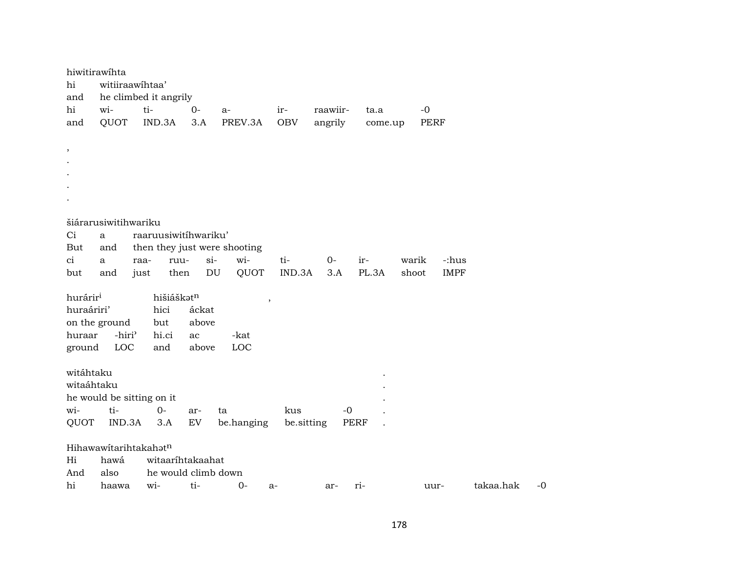|            | hiwitirawihta        |                           |                     |                              |                          |          |             |             |             |           |    |
|------------|----------------------|---------------------------|---------------------|------------------------------|--------------------------|----------|-------------|-------------|-------------|-----------|----|
| hi         |                      | witiiraawihtaa'           |                     |                              |                          |          |             |             |             |           |    |
| and        |                      | he climbed it angrily     |                     |                              |                          |          |             |             |             |           |    |
| hi         | wi-                  | ti-                       | $0-$                | a-                           | ir-                      | raawiir- | ta.a        | $-0$        |             |           |    |
| and        | QUOT                 | IND.3A                    | 3.A                 | PREV.3A                      | <b>OBV</b>               | angrily  | come.up     | <b>PERF</b> |             |           |    |
|            |                      |                           |                     |                              |                          |          |             |             |             |           |    |
| $\,$       |                      |                           |                     |                              |                          |          |             |             |             |           |    |
|            |                      |                           |                     |                              |                          |          |             |             |             |           |    |
|            |                      |                           |                     |                              |                          |          |             |             |             |           |    |
|            |                      |                           |                     |                              |                          |          |             |             |             |           |    |
|            |                      |                           |                     |                              |                          |          |             |             |             |           |    |
|            | šiárarusiwitihwariku |                           |                     |                              |                          |          |             |             |             |           |    |
| Ci         | a                    | raaruusiwitihwariku'      |                     |                              |                          |          |             |             |             |           |    |
| But        | and                  |                           |                     | then they just were shooting |                          |          |             |             |             |           |    |
| ci         | a                    | raa-                      | $si-$<br>ruu-       | wi-                          | ti-                      | $0-$     | ir-         | warik       | -:hus       |           |    |
| but        | and                  | just                      | DU<br>then          | QUOT                         | IND.3A                   | 3.A      | PL.3A       | shoot       | <b>IMPF</b> |           |    |
|            |                      |                           |                     |                              |                          |          |             |             |             |           |    |
| huráriri   |                      |                           | hišiáškatn          |                              | $\overline{\phantom{a}}$ |          |             |             |             |           |    |
| huraáriri' |                      | hici                      | áckat               |                              |                          |          |             |             |             |           |    |
|            | on the ground        | but                       | above               |                              |                          |          |             |             |             |           |    |
| huraar     | -hiri <sup>3</sup>   | hi.ci<br>and              | ac<br>above         | -kat<br>LOC                  |                          |          |             |             |             |           |    |
| ground     | LOC                  |                           |                     |                              |                          |          |             |             |             |           |    |
| witáhtaku  |                      |                           |                     |                              |                          |          |             |             |             |           |    |
| witaáhtaku |                      |                           |                     |                              |                          |          |             |             |             |           |    |
|            |                      | he would be sitting on it |                     |                              |                          |          |             |             |             |           |    |
| wi-        | ti-                  | $O -$                     | ar-                 | ta                           | kus                      | $-0$     |             |             |             |           |    |
| QUOT       | IND.3A               | 3.A                       | EV                  | be.hanging                   | be.sitting               |          | <b>PERF</b> |             |             |           |    |
|            |                      |                           |                     |                              |                          |          |             |             |             |           |    |
|            |                      | Hihawawitarihtakahatn     |                     |                              |                          |          |             |             |             |           |    |
| Hi         | hawá                 |                           | witaarihtakaahat    |                              |                          |          |             |             |             |           |    |
| And        | also                 |                           | he would climb down |                              |                          |          |             |             |             |           |    |
| hi         | haawa                | wi-                       | ti-                 | $0-$                         | a-                       | ar-      | ri-         | uur-        |             | takaa.hak | -0 |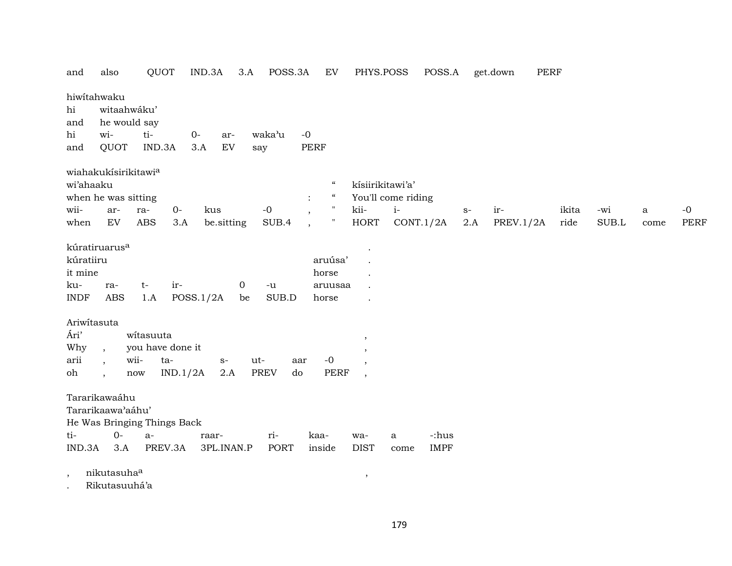| and                      | also                      | QUOT                        | IND.3A      | 3.A         | POSS.3A           | EV                             | PHYS.POSS                |                    | POSS.A      |      | <b>PERF</b><br>get.down |       |       |      |             |
|--------------------------|---------------------------|-----------------------------|-------------|-------------|-------------------|--------------------------------|--------------------------|--------------------|-------------|------|-------------------------|-------|-------|------|-------------|
|                          | hiwitahwaku               |                             |             |             |                   |                                |                          |                    |             |      |                         |       |       |      |             |
| hi                       | witaahwáku'               |                             |             |             |                   |                                |                          |                    |             |      |                         |       |       |      |             |
| and                      | he would say              |                             |             |             |                   |                                |                          |                    |             |      |                         |       |       |      |             |
| hi                       | wi-                       | ti-                         | $0-$        | ar-         | waka'u            | $-0$                           |                          |                    |             |      |                         |       |       |      |             |
| and                      | QUOT                      | IND.3A                      | 3.A         | EV          | say               | <b>PERF</b>                    |                          |                    |             |      |                         |       |       |      |             |
|                          | wiahakukísirikitawia      |                             |             |             |                   |                                |                          |                    |             |      |                         |       |       |      |             |
| wi'ahaaku                |                           |                             |             |             |                   | $\epsilon$                     | kísiirikitawi'a'         |                    |             |      |                         |       |       |      |             |
|                          | when he was sitting       |                             |             |             |                   | $\boldsymbol{\mathcal{G}}$     |                          | You'll come riding |             |      |                         |       |       |      |             |
| wii-                     | ar-                       | ra-                         | $0-$<br>kus |             | $-0$              | $\pmb{\mathsf{H}}$             | kii-                     | $i-$               |             | $S-$ | ir-                     | ikita | -wi   | a    | $-0$        |
| when                     | EV                        | ABS                         | 3.A         | be.sitting  | SUB.4             | 11<br>$\overline{\phantom{a}}$ | <b>HORT</b>              | CONT.1/2A          |             | 2.A  | PREV.1/2A               | ride  | SUB.L | come | <b>PERF</b> |
|                          | kúratiruarus <sup>a</sup> |                             |             |             |                   |                                |                          |                    |             |      |                         |       |       |      |             |
| kúratiiru                |                           |                             |             |             |                   | aruúsa'                        |                          |                    |             |      |                         |       |       |      |             |
| it mine                  |                           |                             |             |             |                   | horse                          |                          |                    |             |      |                         |       |       |      |             |
| ku-                      | ra-                       | $t-$                        | ir-         | 0           | $-u$              | aruusaa                        |                          |                    |             |      |                         |       |       |      |             |
| <b>INDF</b>              | <b>ABS</b>                | 1.A                         | POSS.1/2A   | be          | SUB.D             | horse                          |                          |                    |             |      |                         |       |       |      |             |
| Ariwitasuta              |                           |                             |             |             |                   |                                |                          |                    |             |      |                         |       |       |      |             |
| Ári'                     |                           | witasuuta                   |             |             |                   |                                | ,                        |                    |             |      |                         |       |       |      |             |
| Why                      | $\overline{ }$ ,          | you have done it            |             |             |                   |                                |                          |                    |             |      |                         |       |       |      |             |
| arii                     | $\overline{\phantom{a}}$  | wii-<br>ta-                 |             | ut-<br>$S-$ | aar               | $-0$                           |                          |                    |             |      |                         |       |       |      |             |
| oh                       |                           | now                         | IND.1/2A    | 2.A         | <b>PREV</b><br>do | PERF                           | $\overline{\phantom{a}}$ |                    |             |      |                         |       |       |      |             |
|                          | Tararikawaáhu             |                             |             |             |                   |                                |                          |                    |             |      |                         |       |       |      |             |
|                          | Tararikaawa'aáhu'         |                             |             |             |                   |                                |                          |                    |             |      |                         |       |       |      |             |
|                          |                           | He Was Bringing Things Back |             |             |                   |                                |                          |                    |             |      |                         |       |       |      |             |
| ti-                      | $O -$                     | $a-$                        | raar-       |             | ri-               | kaa-                           | wa-                      | a                  | -:hus       |      |                         |       |       |      |             |
| IND.3A                   | 3.A                       | PREV.3A                     |             | 3PL.INAN.P  | PORT              | inside                         | <b>DIST</b>              | come               | <b>IMPF</b> |      |                         |       |       |      |             |
| $\overline{\phantom{a}}$ | nikutasuha <sup>a</sup>   |                             |             |             |                   |                                | $\,$                     |                    |             |      |                         |       |       |      |             |
|                          | $-0.01$ $+0.01$ $+0.01$   |                             |             |             |                   |                                |                          |                    |             |      |                         |       |       |      |             |

. Rikutasuuhá'a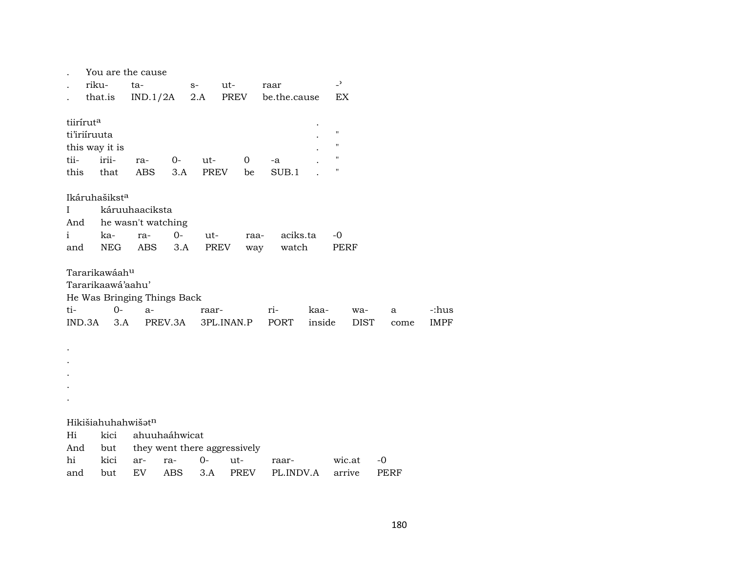|                       | You are the cause           |                    |               |       |                              |              |        |                    |             |      |       |
|-----------------------|-----------------------------|--------------------|---------------|-------|------------------------------|--------------|--------|--------------------|-------------|------|-------|
|                       | riku-<br>ta-                |                    |               | $S-$  | ut-                          | raar         |        | $\overline{a}$     |             |      |       |
|                       | that.is                     | IND.1/2A           |               | 2.A   | PREV                         | be.the.cause |        | EX                 |             |      |       |
|                       |                             |                    |               |       |                              |              |        |                    |             |      |       |
| tiirírut <sup>a</sup> |                             |                    |               |       |                              |              |        |                    |             |      |       |
|                       | ti'iriiruuta                |                    |               |       |                              |              |        | $\pmb{\mathsf{H}}$ |             |      |       |
|                       | this way it is              |                    |               |       |                              |              |        | $\pmb{\mathsf{H}}$ |             |      |       |
| tii-                  | irii-                       | ra-                | $0-$          | ut-   | $\overline{O}$               | -a           |        | $\pmb{\mathsf{H}}$ |             |      |       |
| this                  | that                        | ABS                | 3.A           | PREV  | be                           | SUB.1        |        | $\pmb{\mathsf{H}}$ |             |      |       |
|                       | Ikáruhašikst <sup>a</sup>   |                    |               |       |                              |              |        |                    |             |      |       |
| $\mathbf I$           |                             | káruuhaaciksta     |               |       |                              |              |        |                    |             |      |       |
| And                   |                             | he wasn't watching |               |       |                              |              |        |                    |             |      |       |
| $\mathbf{i}$          | ka-                         | ra-                | $O-$          | ut-   | raa-                         | aciks.ta     |        | $-0$               |             |      |       |
| and                   | NEG                         | ABS                | 3.A           | PREV  | way                          | watch        |        | PERF               |             |      |       |
|                       |                             |                    |               |       |                              |              |        |                    |             |      |       |
|                       | Tararikawáah <sup>u</sup>   |                    |               |       |                              |              |        |                    |             |      |       |
|                       | Tararikaawá'aahu'           |                    |               |       |                              |              |        |                    |             |      |       |
|                       | He Was Bringing Things Back |                    |               |       |                              |              |        |                    |             |      |       |
| ti-                   | $0-$                        | $a-$               |               | raar- |                              | $ri-$        | kaa-   | wa-                |             | a    | -:hus |
|                       | IND.3A<br>3.A               |                    | PREV.3A       |       | 3PL.INAN.P                   | PORT         | inside |                    | <b>DIST</b> | come | IMPF  |
|                       |                             |                    |               |       |                              |              |        |                    |             |      |       |
|                       |                             |                    |               |       |                              |              |        |                    |             |      |       |
|                       |                             |                    |               |       |                              |              |        |                    |             |      |       |
|                       |                             |                    |               |       |                              |              |        |                    |             |      |       |
|                       |                             |                    |               |       |                              |              |        |                    |             |      |       |
|                       |                             |                    |               |       |                              |              |        |                    |             |      |       |
|                       | Hikišiahuhahwišatn          |                    |               |       |                              |              |        |                    |             |      |       |
| Hi                    | kici                        |                    | ahuuhaáhwicat |       |                              |              |        |                    |             |      |       |
| And                   | but                         |                    |               |       | they went there aggressively |              |        |                    |             |      |       |
| hi                    | kici                        | ar-                | ra-           | $0-$  | ut-                          | raar-        |        | wic.at             | $-0$        |      |       |
| and                   | but                         | EV                 | ABS           | 3.A   | PREV                         | PL.INDV.A    |        | arrive             |             | PERF |       |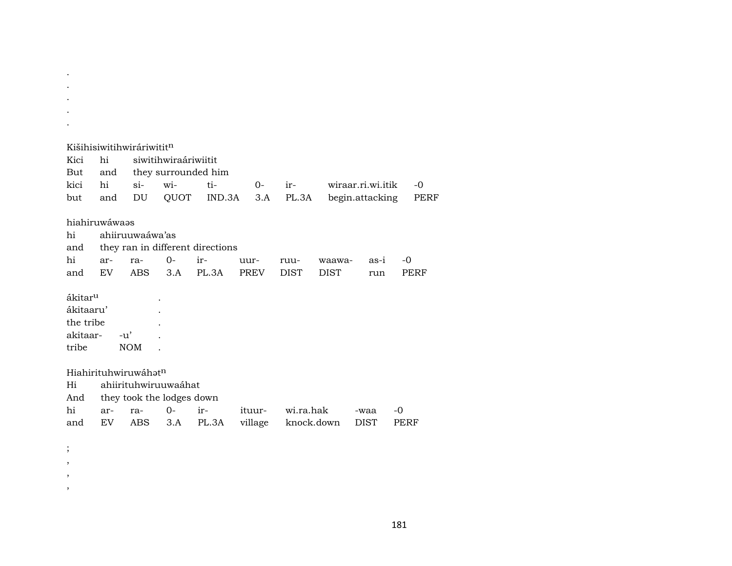|                     |                | Kišihisiwitihwiráriwitit <sup>n</sup> |                           |                                  |         |             |             |                   |             |
|---------------------|----------------|---------------------------------------|---------------------------|----------------------------------|---------|-------------|-------------|-------------------|-------------|
| Kici                | hi             |                                       | siwitihwiraáriwiitit      |                                  |         |             |             |                   |             |
| But                 | and            |                                       |                           | they surrounded him              |         |             |             |                   |             |
| kici                | hi             | $si$ -                                | wi-                       | ti-                              | $0-$    | ir-         |             | wiraar.ri.wi.itik | $-0$        |
| but                 | and            | DU                                    | QUOT                      | IND.3A                           | 3.A     | PL.3A       |             | begin.attacking   | PERF        |
|                     | hiahiruwáwaas  |                                       |                           |                                  |         |             |             |                   |             |
| hi                  |                | ahiiruuwaáwa'as                       |                           |                                  |         |             |             |                   |             |
| and                 |                |                                       |                           | they ran in different directions |         |             |             |                   |             |
| hi                  | ar-            | ra-                                   | $0-$                      | ir-                              | uur-    | ruu-        | waawa-      | as-i              | -0          |
| and                 | EV.            | <b>ABS</b>                            | 3.A                       | PL.3A                            | PREV    | <b>DIST</b> | <b>DIST</b> | run               | <b>PERF</b> |
| ákitar <sup>u</sup> |                |                                       |                           |                                  |         |             |             |                   |             |
| ákitaaru'           |                |                                       |                           |                                  |         |             |             |                   |             |
| the tribe           |                |                                       |                           |                                  |         |             |             |                   |             |
| akitaar-            |                | $-u'$                                 |                           |                                  |         |             |             |                   |             |
| tribe               |                | <b>NOM</b>                            |                           |                                  |         |             |             |                   |             |
|                     |                | Hiahirituhwiruwáhat <sup>n</sup>      |                           |                                  |         |             |             |                   |             |
| Hi                  |                |                                       | ahiirituhwiruuwaáhat      |                                  |         |             |             |                   |             |
| And                 |                |                                       | they took the lodges down |                                  |         |             |             |                   |             |
| hi                  | $ar-$          | ra-                                   | $O -$                     | ir-                              | ituur-  | wi.ra.hak   |             | -waa              | -0          |
| and                 | EV <sub></sub> | <b>ABS</b>                            | 3.A                       | PL.3A                            | village | knock.down  |             | <b>DIST</b>       | PERF        |
|                     |                |                                       |                           |                                  |         |             |             |                   |             |
| $\vdots$            |                |                                       |                           |                                  |         |             |             |                   |             |

. . .

, , ,

181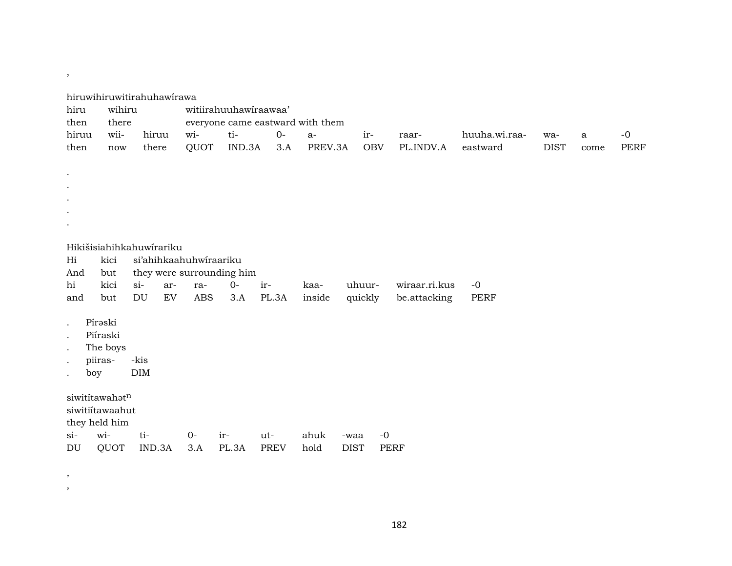| hiru<br>then                                                         | wihiru<br>there                                                          | hiruwihiruwitirahuhawirawa                                  |                                             | witiirahuuhawiraawaa'                     | everyone came eastward with them |                 |                     |                               |                           |                    |              |                     |
|----------------------------------------------------------------------|--------------------------------------------------------------------------|-------------------------------------------------------------|---------------------------------------------|-------------------------------------------|----------------------------------|-----------------|---------------------|-------------------------------|---------------------------|--------------------|--------------|---------------------|
| hiruu<br>then                                                        | wii-<br>now                                                              | hiruu<br>there                                              | wi-<br>QUOT                                 | ti-<br>IND.3A                             | $0-$<br>3.A                      | $a-$<br>PREV.3A | ir-<br><b>OBV</b>   | raar-<br>PL.INDV.A            | huuha.wi.raa-<br>eastward | wa-<br><b>DIST</b> | $\mathbf{a}$ | $-0$<br><b>PERF</b> |
| $\cdot$<br>$\bullet$<br>Hi<br>And<br>hi<br>and                       | kici<br>but<br>kici<br>but                                               | Hikišisiahihkahuwirariku<br>$si-$<br>ar-<br><b>DU</b><br>EV | si'ahihkaahuhwiraariku<br>ra-<br><b>ABS</b> | they were surrounding him<br>$O -$<br>3.A | ir-<br>PL.3A                     | kaa-<br>inside  | uhuur-<br>quickly   | wiraar.ri.kus<br>be.attacking | $-0$<br><b>PERF</b>       |                    | come         |                     |
| $\bullet$<br>$\bullet$<br>$\bullet$<br>$\bullet$<br>boy<br>$\bullet$ | Pírəski<br>Piíraski<br>The boys<br>piiras-                               | -kis<br>DIM                                                 |                                             |                                           |                                  |                 |                     |                               |                           |                    |              |                     |
| $\sin$<br>DU                                                         | siwititawahatn<br>siwitiítawaahut<br>they held him<br>wi-<br><b>QUOT</b> | ti-<br>IND.3A                                               | $0-$<br>3.A                                 | ir-<br>PL.3A                              | ut-<br><b>PREV</b>               | ahuk<br>hold    | -waa<br><b>DIST</b> | $-0$<br><b>PERF</b>           |                           |                    |              |                     |

,

,

,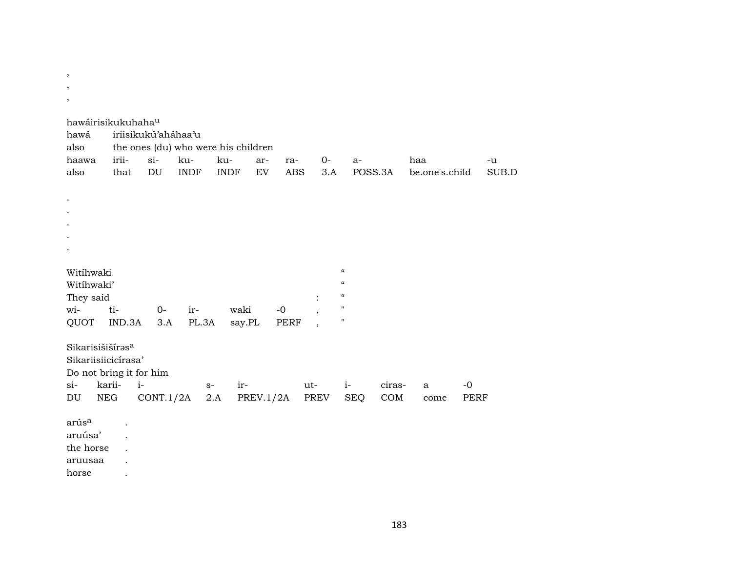$\,$  ,

- $\,$  ,
- $\,$

| hawáirisikukuhaha <sup>u</sup><br>hawá                                                                |                                        | iriisikukú'aháhaa'u |                                                           |                      |           |                   |                                            |                                                                                                   |               |                       |                     |             |
|-------------------------------------------------------------------------------------------------------|----------------------------------------|---------------------|-----------------------------------------------------------|----------------------|-----------|-------------------|--------------------------------------------|---------------------------------------------------------------------------------------------------|---------------|-----------------------|---------------------|-------------|
| also<br>haawa<br>also                                                                                 | irii-<br>that                          | $si$ -<br>DU        | the ones (du) who were his children<br>ku-<br><b>INDF</b> | ku-<br><b>INDF</b>   | ar-<br>EV | ra-<br><b>ABS</b> | 0-<br>3.A                                  | $a-$                                                                                              | POSS.3A       | haa<br>be.one's.child |                     | -u<br>SUB.D |
|                                                                                                       |                                        |                     |                                                           |                      |           |                   |                                            |                                                                                                   |               |                       |                     |             |
|                                                                                                       |                                        |                     |                                                           |                      |           |                   |                                            |                                                                                                   |               |                       |                     |             |
| Witihwaki<br>Witihwaki'<br>They said<br>wi-                                                           | ti-                                    | $O -$               | ir-                                                       | waki                 |           | $-0$              | $\ddot{\cdot}$<br>$\overline{\phantom{a}}$ | $\boldsymbol{\zeta}\boldsymbol{\zeta}$<br>$\epsilon$<br>$\boldsymbol{\mathcal{C}}$<br>$\mathbf H$ |               |                       |                     |             |
| QUOT<br>Sikarisišišíras <sup>a</sup><br>Sikariisiicicírasa'<br>Do not bring it for him<br>$si-$<br>DU | IND.3A<br>karii-<br>$i-$<br><b>NEG</b> | 3.A<br>CONT.1/2A    | PL.3A<br>$S-$                                             | say.PL<br>ir-<br>2.A | PREV.1/2A | PERF              | ut-<br>PREV                                | $\mathbf H$<br>$i-$<br><b>SEQ</b>                                                                 | ciras-<br>COM | $\mathbf{a}$<br>come  | $-0$<br><b>PERF</b> |             |
| arús <sup>a</sup><br>aruúsa'<br>the horse<br>aruusaa                                                  | $\ddot{\phantom{0}}$<br>$\bullet$      |                     |                                                           |                      |           |                   |                                            |                                                                                                   |               |                       |                     |             |

horse  $\sim 100$   $\mu$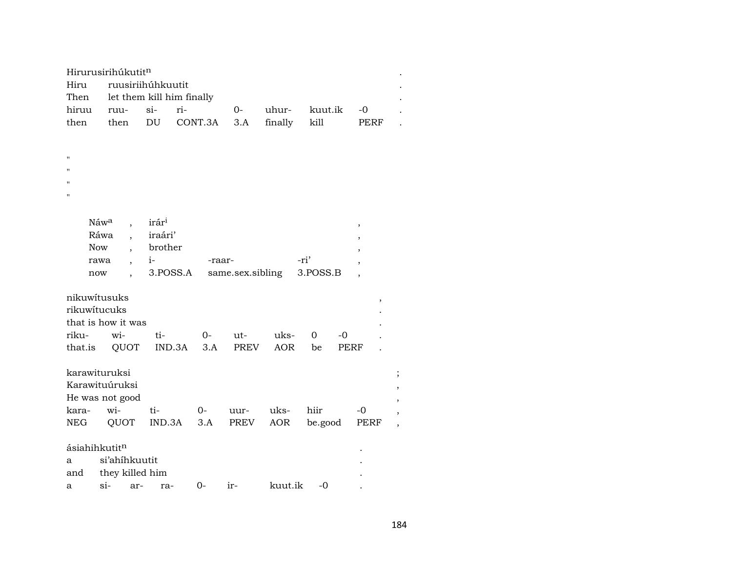|                           | Hirurusirihúkutitn               |                            |         |                  |         |          |                          |                |
|---------------------------|----------------------------------|----------------------------|---------|------------------|---------|----------|--------------------------|----------------|
| Hiru                      |                                  | ruusiriihúhkuutit          |         |                  |         |          |                          |                |
| Then                      |                                  | let them kill him finally  |         |                  |         |          |                          |                |
| hiruu                     | ruu-                             | ri-<br>si-                 |         | $0-$             | uhur-   | kuut.ik  | $-0$                     |                |
| then                      | then                             | $\mathop{\rm DU}\nolimits$ | CONT.3A | 3.A              | finally | kill     | PERF                     |                |
|                           |                                  |                            |         |                  |         |          |                          |                |
|                           |                                  |                            |         |                  |         |          |                          |                |
| $\mathbf{H}$              |                                  |                            |         |                  |         |          |                          |                |
| $\blacksquare$            |                                  |                            |         |                  |         |          |                          |                |
|                           |                                  |                            |         |                  |         |          |                          |                |
| $\mathbf{H}$              |                                  |                            |         |                  |         |          |                          |                |
|                           |                                  |                            |         |                  |         |          |                          |                |
|                           | Náw <sup>a</sup>                 | irár <sup>i</sup>          |         |                  |         |          | $\, ,$                   |                |
|                           | Ráwa<br>$\ddot{\phantom{0}}$     | iraári'                    |         |                  |         |          | $\overline{\phantom{a}}$ |                |
|                           | Now                              | brother                    |         |                  |         |          |                          |                |
|                           | rawa<br>$\overline{\phantom{a}}$ | $i-$                       | -raar-  |                  |         | -ri'     | $\overline{ }$           |                |
|                           | now                              | 3.POSS.A                   |         | same.sex.sibling |         | 3.POSS.B | $\ddot{\phantom{0}}$     |                |
|                           |                                  |                            |         |                  |         |          |                          |                |
|                           | nikuwitusuks                     |                            |         |                  |         |          | $^\mathrm{^\mathrm{o}}$  |                |
| rikuwitucuks              |                                  |                            |         |                  |         |          |                          |                |
|                           | that is how it was               |                            |         |                  |         |          |                          |                |
| riku-                     | wi-                              | ti-                        | 0-      | ut-              | uks-    | 0<br>-0  |                          |                |
| that.is                   | QUOT                             | IND.3A                     | 3.A     | PREV             | AOR     | be       | PERF                     |                |
|                           |                                  |                            |         |                  |         |          |                          |                |
|                           | karawituruksi                    |                            |         |                  |         |          |                          | ,              |
|                           | Karawituúruksi                   |                            |         |                  |         |          |                          | $\overline{ }$ |
|                           | He was not good                  |                            |         |                  |         |          |                          |                |
| kara-                     | wi-                              | ti-                        | $0-$    | uur-             | uks-    | hiir     | $-0$                     |                |
| NEG                       | QUOT                             | IND.3A                     | 3.A     | PREV             | AOR     | be.good  | PERF                     | $\overline{ }$ |
|                           |                                  |                            |         |                  |         |          |                          |                |
| ásiahihkutit <sup>n</sup> |                                  |                            |         |                  |         |          |                          |                |
| a                         | si'ahihkuutit                    |                            |         |                  |         |          |                          |                |
| and                       | they killed him                  |                            |         |                  |         |          |                          |                |
| a                         | $si-$                            | ar-<br>ra-                 | $0-$    | ir-              | kuut.ik | -0       |                          |                |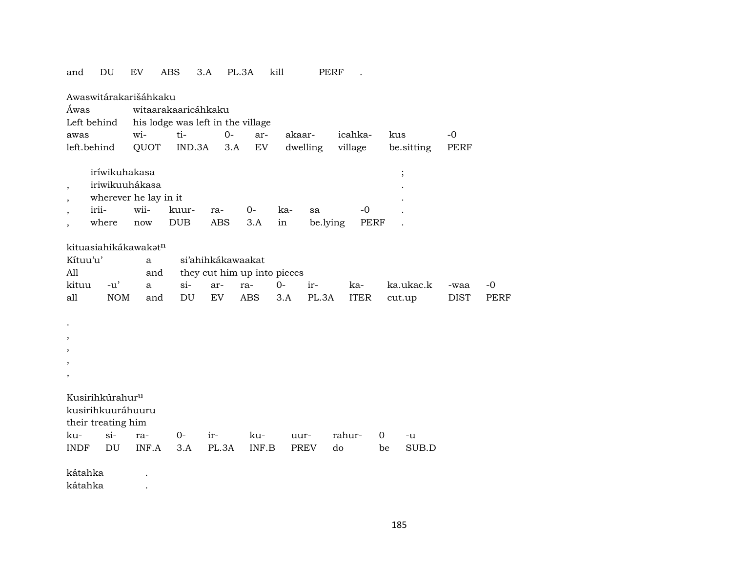| and                      | DU                              | EV   |       | ABS                               | 3.A                         | PL.3A | kill       |          |          | PERF |             |     |            |      |             |
|--------------------------|---------------------------------|------|-------|-----------------------------------|-----------------------------|-------|------------|----------|----------|------|-------------|-----|------------|------|-------------|
| Áwas                     | Awaswitárakarišáhkaku           |      |       | witaarakaaricáhkaku               |                             |       |            |          |          |      |             |     |            |      |             |
|                          | Left behind                     |      |       | his lodge was left in the village |                             |       |            |          |          |      |             |     |            |      |             |
| awas                     |                                 | wi-  |       | ti-                               |                             | $0-$  | ar-        | akaar-   |          |      | icahka-     | kus |            | $-0$ |             |
|                          | left.behind                     |      | QUOT  | IND.3A                            |                             | 3.A   | ${\rm EV}$ | dwelling |          |      | village     |     | be.sitting | PERF |             |
|                          | iríwikuhakasa<br>iriwikuuhákasa |      |       |                                   |                             |       |            |          |          |      |             |     | $\vdots$   |      |             |
| $\overline{\phantom{a}}$ | wherever he lay in it           |      |       |                                   |                             |       |            |          |          |      |             |     |            |      |             |
| $\overline{\phantom{a}}$ | irii-                           | wii- |       | kuur-                             | ra-                         | $0-$  |            | ka-      | sa       |      | $-0$        |     |            |      |             |
| $\overline{\phantom{a}}$ | where                           | now  |       | <b>DUB</b>                        | <b>ABS</b>                  | 3.A   | in         |          | be.lying |      | <b>PERF</b> |     |            |      |             |
| $\overline{\phantom{a}}$ |                                 |      |       |                                   |                             |       |            |          |          |      |             |     |            |      |             |
|                          | kituasiahikákawakatn            |      |       |                                   |                             |       |            |          |          |      |             |     |            |      |             |
| Kítuu'u'                 |                                 |      | a     |                                   | si'ahihkákawaakat           |       |            |          |          |      |             |     |            |      |             |
| All                      |                                 |      | and   |                                   | they cut him up into pieces |       |            |          |          |      |             |     |            |      |             |
| kituu                    | $-u'$                           |      | a     | $si$ -                            | ar-                         | ra-   | $0 -$      |          | ir-      |      | ka-         |     | ka.ukac.k  | -waa | $-0$        |
| all                      | <b>NOM</b>                      |      | and   | DU                                | <b>EV</b>                   | ABS   |            | 3.A      | PL.3A    |      | <b>ITER</b> |     | cut.up     | DIST | <b>PERF</b> |
|                          |                                 |      |       |                                   |                             |       |            |          |          |      |             |     |            |      |             |
| $\cdot$                  |                                 |      |       |                                   |                             |       |            |          |          |      |             |     |            |      |             |
| $\overline{\phantom{a}}$ |                                 |      |       |                                   |                             |       |            |          |          |      |             |     |            |      |             |
| $\overline{\phantom{a}}$ |                                 |      |       |                                   |                             |       |            |          |          |      |             |     |            |      |             |
| ,                        |                                 |      |       |                                   |                             |       |            |          |          |      |             |     |            |      |             |
| $\overline{\phantom{a}}$ |                                 |      |       |                                   |                             |       |            |          |          |      |             |     |            |      |             |
|                          |                                 |      |       |                                   |                             |       |            |          |          |      |             |     |            |      |             |
|                          | Kusirihkúrahur <sup>u</sup>     |      |       |                                   |                             |       |            |          |          |      |             |     |            |      |             |
|                          | kusirihkuuráhuuru               |      |       |                                   |                             |       |            |          |          |      |             |     |            |      |             |
|                          | their treating him              |      |       |                                   |                             |       |            |          |          |      |             |     |            |      |             |
| ku-                      | $si-$                           | ra-  |       | $0-$                              | ir-                         |       | ku-        | uur-     |          |      | rahur-      | 0   | -u         |      |             |
| <b>INDF</b>              | $\mathop{\rm DU}\nolimits$      |      | INF.A | 3.A                               | PL.3A                       |       | INF.B      | PREV     |          | do   |             | be  | SUB.D      |      |             |
|                          |                                 |      |       |                                   |                             |       |            |          |          |      |             |     |            |      |             |
| kátahka                  |                                 |      |       |                                   |                             |       |            |          |          |      |             |     |            |      |             |
| kátahka                  |                                 |      |       |                                   |                             |       |            |          |          |      |             |     |            |      |             |

185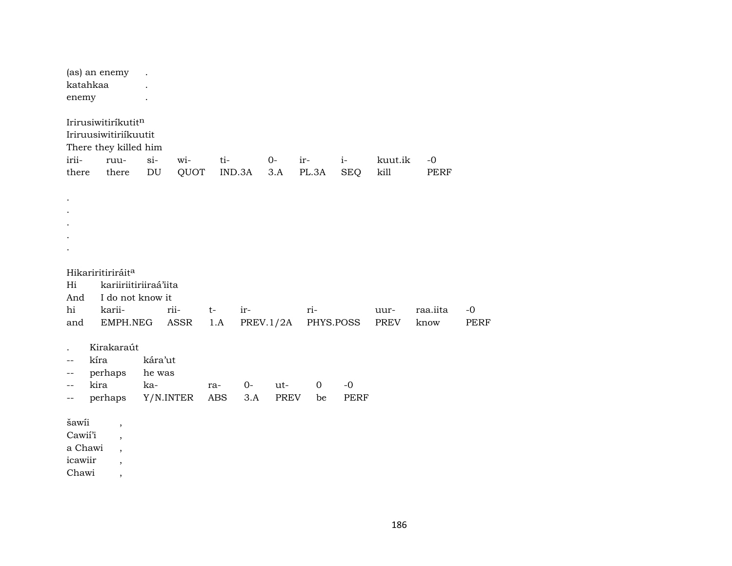| enemy                       | (as) an enemy<br>katahkaa                                                                           |                                     |              |             |             |               |                      |                    |                 |                     |                     |
|-----------------------------|-----------------------------------------------------------------------------------------------------|-------------------------------------|--------------|-------------|-------------|---------------|----------------------|--------------------|-----------------|---------------------|---------------------|
| irii-<br>there              | Irirusiwitiríkutitn<br>Iriruusiwitiriíkuutit<br>There they killed him<br>ruu-<br>there              | $si-$<br>$\mathop{\rm DU}\nolimits$ | wi-<br>QUOT  | ti-         | IND.3A      | $0-$<br>3.A   | ir-<br>PL.3A         | $i-$<br><b>SEQ</b> | kuut.ik<br>kill | $-0$<br><b>PERF</b> |                     |
|                             |                                                                                                     |                                     |              |             |             |               |                      |                    |                 |                     |                     |
| Hi<br>And<br>hi<br>and      | Hikariritiriráit <sup>a</sup><br>kariiriitiriiraá'iita<br>I do not know it<br>karii-<br>EMPH.NEG    |                                     | rii-<br>ASSR | $t-$<br>1.A | ir-         | PREV.1/2A     | ri-<br>PHYS.POSS     |                    | uur-<br>PREV    | raa.iita<br>know    | $-0$<br><b>PERF</b> |
| $- -$<br>$-$<br>--          | Kirakaraút<br>kíra<br>perhaps<br>kira<br>perhaps                                                    | kára'ut<br>he was<br>ka-            | Y/N.INTER    | ra-<br>ABS  | $0-$<br>3.A | $ut-$<br>PREV | $\overline{0}$<br>be | $-0$<br>PERF       |                 |                     |                     |
| šawii<br>Cawií'i<br>icawiir | $\,$<br>$\overline{\phantom{a}}$<br>a Chawi<br>$\overline{\phantom{a}}$<br>$\overline{\phantom{a}}$ |                                     |              |             |             |               |                      |                    |                 |                     |                     |

Chawi

 $\overline{\phantom{a}}$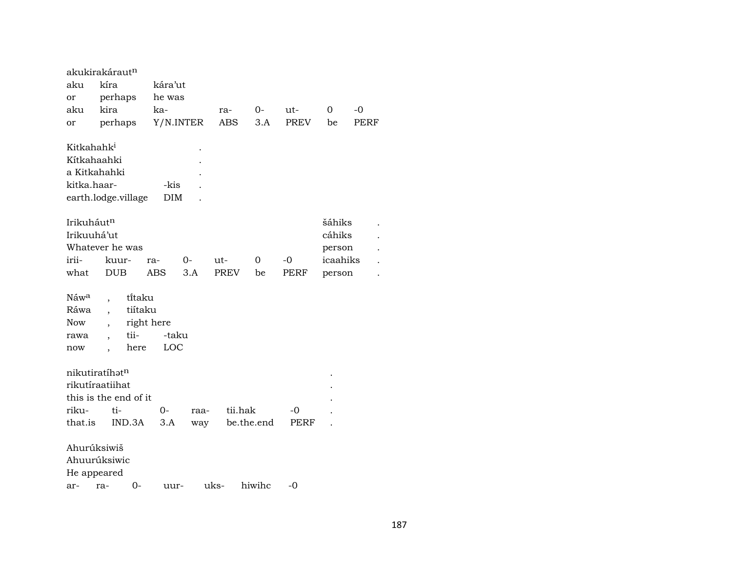|                        | akukirakáraut <sup>n</sup> |         |            |      |             |            |             |      |          |      |
|------------------------|----------------------------|---------|------------|------|-------------|------------|-------------|------|----------|------|
| aku                    | kíra                       |         | kára'ut    |      |             |            |             |      |          |      |
| or                     | perhaps                    |         | he was     |      |             |            |             |      |          |      |
| aku                    | kira                       |         | ka-        |      | ra-         | 0-         | ut-         |      | $\Omega$ | $-0$ |
| or                     | perhaps                    |         | Y/N.INTER  |      | ABS         | 3.A        | <b>PREV</b> |      | be       | PERF |
| Kitkahahk <sup>i</sup> |                            |         |            |      |             |            |             |      |          |      |
|                        | Kítkahaahki                |         |            |      |             |            |             |      |          |      |
|                        | a Kitkahahki               |         |            |      |             |            |             |      |          |      |
| kitka.haar-            |                            |         | -kis       |      |             |            |             |      |          |      |
|                        | earth.lodge.village        |         | DIM        |      |             |            |             |      |          |      |
|                        |                            |         |            |      |             |            |             |      |          |      |
| Irikuháutn             |                            |         |            |      |             |            |             |      | šáhiks   |      |
| Irikuuhá'ut            |                            |         |            |      |             |            |             |      | cáhiks   |      |
|                        | Whatever he was            |         |            |      |             |            |             |      | person   |      |
| irii-                  | kuur-                      |         | ra-        | 0-   | ut-         | 0          | -0          |      | icaahiks |      |
| what                   | <b>DUB</b>                 |         | <b>ABS</b> | 3.A  | <b>PREV</b> | be         | <b>PERF</b> |      | person   |      |
|                        |                            |         |            |      |             |            |             |      |          |      |
| Náw <sup>a</sup>       |                            | titaku  |            |      |             |            |             |      |          |      |
| Ráwa                   |                            | tiítaku |            |      |             |            |             |      |          |      |
| <b>Now</b>             |                            |         | right here |      |             |            |             |      |          |      |
| rawa                   |                            | tii-    | -taku      |      |             |            |             |      |          |      |
| now                    | $\overline{\phantom{a}}$   | here    | LOC        |      |             |            |             |      |          |      |
|                        |                            |         |            |      |             |            |             |      |          |      |
|                        | nikutiratíhatn             |         |            |      |             |            |             |      |          |      |
|                        | rikutíraatiihat            |         |            |      |             |            |             |      |          |      |
|                        | this is the end of it      |         |            |      |             |            |             |      |          |      |
| riku-                  | ti-                        |         | 0-         | raa- |             | tii.hak    | -0          |      |          |      |
| that.is                |                            | IND.3A  | 3.A        | way  |             | be.the.end |             | PERF |          |      |
|                        | Ahurúksiwiš                |         |            |      |             |            |             |      |          |      |
|                        | Ahuurúksiwic               |         |            |      |             |            |             |      |          |      |
|                        | He appeared                |         |            |      |             |            |             |      |          |      |
| ar-                    | ra-                        | 0-      | uur-       |      | uks-        | hiwihc     | -0          |      |          |      |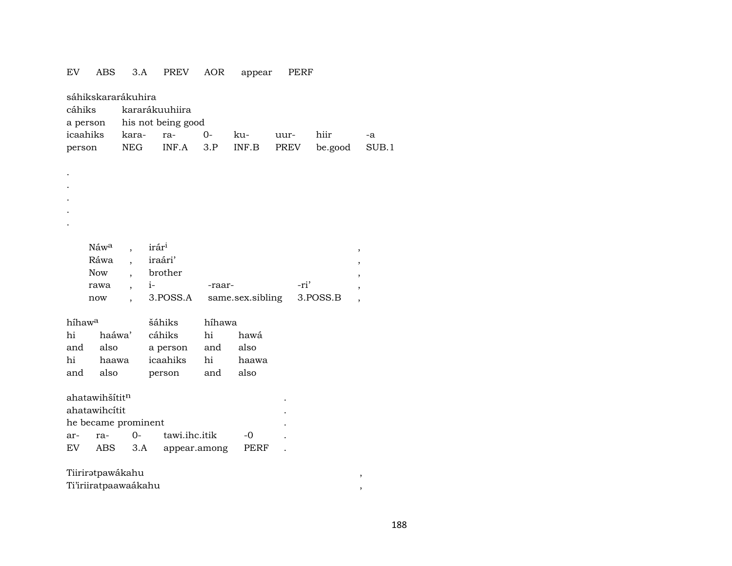## $EV$  ABS 3.A PREV AOR appear PERF

| sáhikskararákuhira<br>cáhiks<br>a person |                  |                      | kararákuuhiira<br>his not being good |              |                  |      |          |                |
|------------------------------------------|------------------|----------------------|--------------------------------------|--------------|------------------|------|----------|----------------|
| icaahiks                                 |                  | kara-                | ra-                                  | $O -$        | ku-              | uur- | hiir     | -a             |
| person                                   |                  | <b>NEG</b>           | INF.A                                | 3.P          | INF.B            | PREV | be.good  | SUB.1          |
|                                          |                  |                      |                                      |              |                  |      |          |                |
|                                          |                  |                      |                                      |              |                  |      |          |                |
|                                          |                  |                      |                                      |              |                  |      |          |                |
|                                          |                  |                      |                                      |              |                  |      |          |                |
|                                          |                  |                      |                                      |              |                  |      |          |                |
|                                          |                  |                      |                                      |              |                  |      |          |                |
|                                          |                  |                      |                                      |              |                  |      |          |                |
|                                          | Náw <sup>a</sup> |                      | irár <sup>i</sup>                    |              |                  |      |          | $\, ,$         |
|                                          | Ráwa             |                      | iraári'                              |              |                  |      |          | $\overline{ }$ |
|                                          | <b>Now</b>       |                      | brother                              |              |                  |      |          |                |
|                                          | rawa             | $\ddot{\phantom{0}}$ | $i-$                                 | -raar-       |                  | -ri' |          | ,              |
|                                          | now              |                      | 3.POSS.A                             |              | same.sex.sibling |      | 3.POSS.B | $\overline{ }$ |
|                                          |                  |                      |                                      |              |                  |      |          |                |
| híhaw <sup>a</sup>                       |                  |                      | šáhiks                               | híhawa       |                  |      |          |                |
| hi                                       | haáwa'           |                      | cáhiks                               | hi           | hawá             |      |          |                |
| and                                      | also             |                      | a person                             | and          | also             |      |          |                |
| hi                                       | haawa            |                      | icaahiks                             | hi           | haawa            |      |          |                |
| and                                      | also             |                      | person                               | and          | also             |      |          |                |
|                                          |                  |                      |                                      |              |                  |      |          |                |
| ahatawihšítit <sup>n</sup>               |                  |                      |                                      |              |                  |      |          |                |
| ahatawihcitit                            |                  |                      |                                      |              |                  |      |          |                |
| he became prominent                      |                  |                      |                                      |              |                  |      |          |                |
| ar-                                      | ra-              | $O -$                | tawi.ihc.itik                        |              | $-0$             |      |          |                |
| EV                                       | ABS              | 3.A                  |                                      | appear.among | PERF             |      |          |                |
| Tiiriratpawákahu                         |                  |                      |                                      |              |                  |      |          | ,              |
|                                          |                  |                      |                                      |              |                  |      |          |                |

Ti'iriiratpaawaákahu

 $\overline{\phantom{a}}$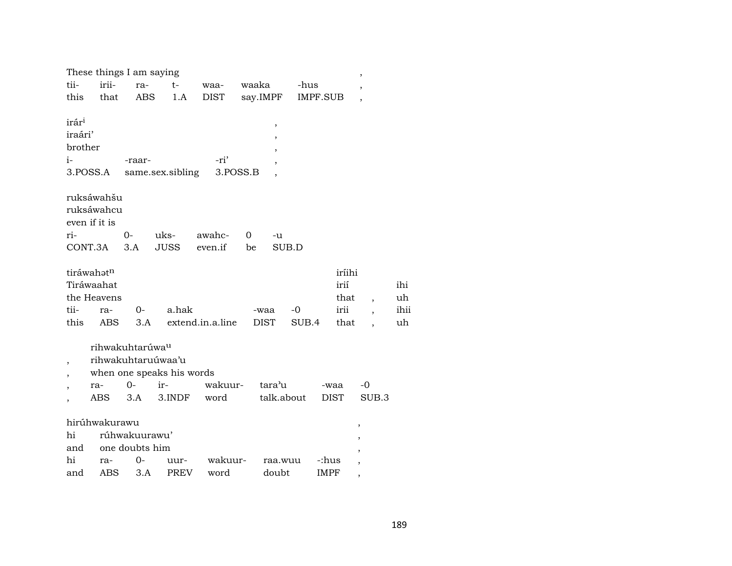|                                                 | These things I am saying                       |                                                                  |                                            |                  |             |                                                                          |                                | $\overline{\phantom{a}}$ |                   |
|-------------------------------------------------|------------------------------------------------|------------------------------------------------------------------|--------------------------------------------|------------------|-------------|--------------------------------------------------------------------------|--------------------------------|--------------------------|-------------------|
| tii-                                            | irii-                                          | ra-                                                              | $t-$                                       | waa-             | waaka       | -hus                                                                     |                                | ,                        |                   |
| this                                            | that                                           | ABS                                                              | 1.A                                        | <b>DIST</b>      | say.IMPF    |                                                                          | IMPF.SUB                       |                          |                   |
| irár <sup>i</sup><br>iraári'<br>brother<br>$i-$ | 3.POSS.A                                       | -raar-                                                           | same.sex.sibling                           | -ri'<br>3.POSS.B |             | $\, ,$<br>,<br>,<br>$\overline{\phantom{a}}$<br>$\overline{\phantom{a}}$ |                                |                          |                   |
|                                                 | ruksáwahšu<br>ruksáwahcu<br>even if it is      |                                                                  |                                            |                  |             |                                                                          |                                |                          |                   |
| ri-                                             |                                                | 0-                                                               | uks-                                       | awahc-           | 0           | -u                                                                       |                                |                          |                   |
| CONT.3A                                         |                                                | 3.A                                                              | <b>JUSS</b>                                | even.if          | be          | SUB.D                                                                    |                                |                          |                   |
| tii-                                            | tiráwahatn<br>Tiráwaahat<br>the Heavens<br>ra- | $0-$                                                             | a.hak                                      |                  | -waa        | -0                                                                       | iríihi<br>irií<br>that<br>irii |                          | ihi<br>uh<br>ihii |
| this                                            | ABS                                            | 3.A                                                              |                                            | extend.in.a.line | <b>DIST</b> | SUB.4                                                                    | that                           |                          | uh                |
|                                                 | ra-<br>ABS                                     | rihwakuhtarúwa <sup>u</sup><br>rihwakuhtaruúwaa'u<br>$0-$<br>3.A | when one speaks his words<br>ir-<br>3.INDF | wakuur-<br>word  | tara'u      | talk.about                                                               | -waa<br><b>DIST</b>            | $-0$<br>SUB.3            |                   |
|                                                 | hirúhwakurawu                                  |                                                                  |                                            |                  |             |                                                                          |                                | ,                        |                   |
| hi                                              |                                                | rúhwakuurawu'                                                    |                                            |                  |             |                                                                          |                                | ,                        |                   |
| and                                             |                                                | one doubts him                                                   |                                            |                  |             |                                                                          |                                |                          |                   |
| hi                                              | ra-                                            | 0-                                                               | uur-                                       | wakuur-          |             | raa.wuu                                                                  | -:hus                          |                          |                   |
| and                                             | ABS                                            | 3.A                                                              | <b>PREV</b>                                | word             |             | doubt                                                                    | IMPF                           | $\overline{ }$           |                   |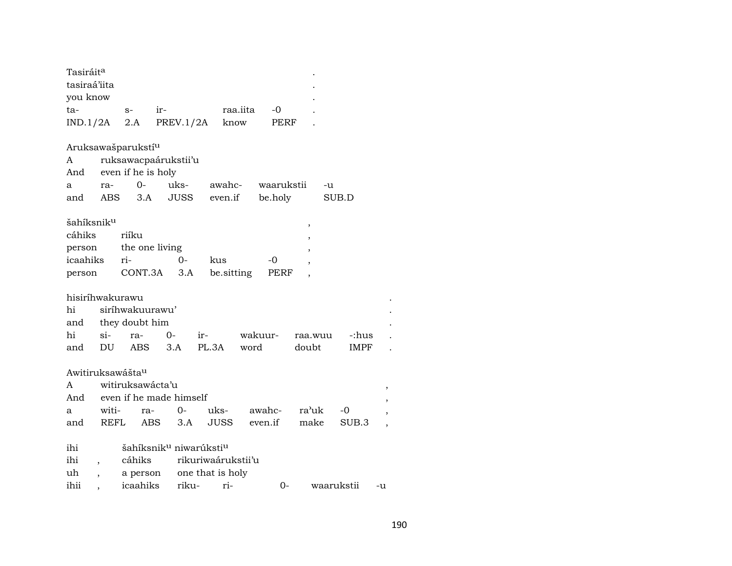| Tasiráit <sup>a</sup><br>tasiraá'iita |            |                                                                     |                                                |       |                    |                       |         |             |    |
|---------------------------------------|------------|---------------------------------------------------------------------|------------------------------------------------|-------|--------------------|-----------------------|---------|-------------|----|
| you know                              |            |                                                                     |                                                |       |                    |                       |         |             |    |
| ta-                                   |            | $S-$                                                                | ir-                                            |       | raa.iita           | -0                    |         |             |    |
| IND.1/2A                              |            | 2.A                                                                 | PREV.1/2A                                      |       | know               | PERF                  |         |             |    |
| A<br>And<br>a<br>and                  | ra-<br>ABS | Aruksawašparukstí <sup>u</sup><br>even if he is holy<br>$0-$<br>3.A | ruksawacpaárukstii'u<br>uks-<br>JUSS           |       | awahc-<br>even.if  | waarukstii<br>be.holy | -u      | SUB.D       |    |
| šahíksnik <sup>u</sup>                |            |                                                                     |                                                |       |                    |                       | ,       |             |    |
| cáhiks                                |            | riíku                                                               |                                                |       |                    |                       |         |             |    |
| person                                |            | the one living                                                      |                                                |       |                    |                       |         |             |    |
| icaahiks                              |            | ri-                                                                 | 0-                                             |       | kus                | -0                    |         |             |    |
| person                                |            | CONT.3A                                                             | 3.A                                            |       | be sitting         | PERF                  |         |             |    |
|                                       |            |                                                                     |                                                |       |                    |                       |         |             |    |
| hisiríhwakurawu                       |            |                                                                     |                                                |       |                    |                       |         |             |    |
| hi                                    |            | siríhwakuurawu'                                                     |                                                |       |                    |                       |         |             |    |
| and                                   |            | they doubt him                                                      |                                                |       |                    |                       |         |             |    |
| hi                                    | $\sin$     | ra-                                                                 | $0 -$                                          | $ir-$ |                    | wakuur-               | raa.wuu | -:hus       |    |
| and                                   | DU         | <b>ABS</b>                                                          | 3.A                                            | PL.3A |                    | word                  | doubt   | <b>IMPF</b> |    |
|                                       |            | Awitiruksawášta <sup>u</sup>                                        |                                                |       |                    |                       |         |             |    |
| A                                     |            | witiruksawácta'u                                                    |                                                |       |                    |                       |         |             |    |
|                                       |            |                                                                     | And even if he made himself                    |       |                    |                       |         |             |    |
| a                                     | witi-      | ra-                                                                 | $O -$                                          |       | uks-               | awahc-                | ra'uk   | -0          |    |
| and                                   |            | REFL<br><b>ABS</b>                                                  | 3.A                                            |       | <b>JUSS</b>        | even.if               | make    | SUB.3       |    |
|                                       |            |                                                                     |                                                |       |                    |                       |         |             |    |
| ihi                                   |            |                                                                     | šahíksnik <sup>u</sup> niwarúksti <sup>u</sup> |       |                    |                       |         |             |    |
| ihi                                   |            | cáhiks                                                              |                                                |       | rikuriwaárukstii'u |                       |         |             |    |
| uh                                    |            | a person                                                            |                                                |       | one that is holy   |                       |         |             |    |
| ihii                                  |            | icaahiks                                                            | riku-                                          |       | ri-                | $0-$                  |         | waarukstii  | -u |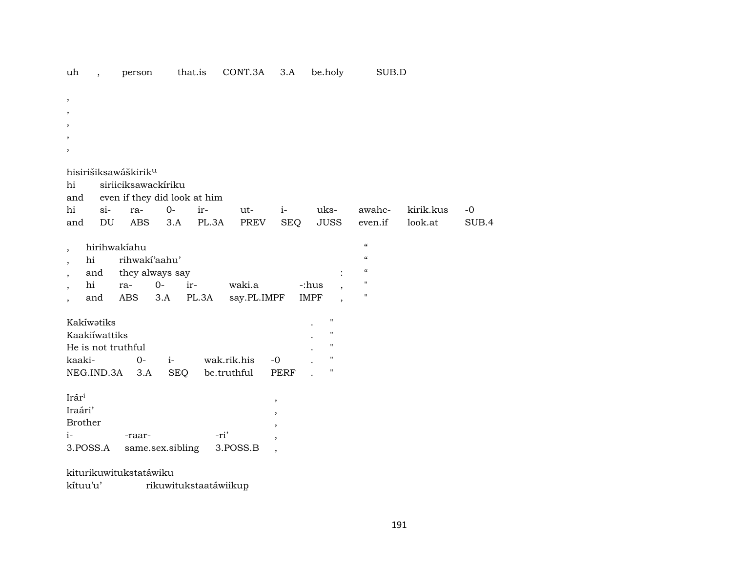| $^\mathrm{,}$                    |                              |              |             |                          |                                          |                                        |           |       |
|----------------------------------|------------------------------|--------------|-------------|--------------------------|------------------------------------------|----------------------------------------|-----------|-------|
| ,                                |                              |              |             |                          |                                          |                                        |           |       |
|                                  |                              |              |             |                          |                                          |                                        |           |       |
|                                  |                              |              |             |                          |                                          |                                        |           |       |
| $\overline{\phantom{a}}$         |                              |              |             |                          |                                          |                                        |           |       |
|                                  |                              |              |             |                          |                                          |                                        |           |       |
| hisirišiksawáškirik <sup>u</sup> |                              |              |             |                          |                                          |                                        |           |       |
| hi                               | siriiciksawackíriku          |              |             |                          |                                          |                                        |           |       |
| and                              | even if they did look at him |              |             |                          |                                          |                                        |           |       |
| hi<br>$si$ -                     | $0-$<br>ra-                  | ir-          | ut-         | $i-$                     | uks-                                     | awahc-                                 | kirik.kus | $-0$  |
| DU<br>and                        | <b>ABS</b>                   | 3.A<br>PL.3A | PREV        | <b>SEQ</b>               | <b>JUSS</b>                              | even.if                                | look.at   | SUB.4 |
|                                  |                              |              |             |                          |                                          |                                        |           |       |
| hirihwakíahu<br>$\overline{ }$   |                              |              |             |                          |                                          | $\pmb{\zeta}\pmb{\zeta}$               |           |       |
| hi<br>$\cdot$                    | rihwaki'aahu'                |              |             |                          |                                          | $\pmb{\zeta}\pmb{\zeta}$               |           |       |
| and                              | they always say              |              |             |                          |                                          | $\boldsymbol{\zeta}\boldsymbol{\zeta}$ |           |       |
| hi                               | $0-$<br>ra-                  | ir-          | waki.a      |                          | -:hus                                    | $\pmb{\mathsf{H}}$                     |           |       |
| and                              | <b>ABS</b><br>3.A            | PL.3A        | say.PL.IMPF |                          | <b>IMPF</b>                              | $\pmb{\mathsf{H}}$                     |           |       |
|                                  |                              |              |             |                          |                                          |                                        |           |       |
| Kakíwatiks                       |                              |              |             |                          | $\pmb{\mathsf{H}}$                       |                                        |           |       |
| Kaakiíwattiks                    |                              |              |             |                          | $\pmb{\mathsf{H}}$<br>$\pmb{\mathsf{H}}$ |                                        |           |       |
| He is not truthful               |                              |              |             |                          | $\pmb{\mathsf{H}}$                       |                                        |           |       |
| kaaki-                           | $i-$<br>$0-$                 |              | wak.rik.his | $-0$                     | $\pmb{\mathsf{H}}$                       |                                        |           |       |
| NEG.IND.3A                       | 3.A                          | <b>SEQ</b>   | be.truthful | <b>PERF</b>              |                                          |                                        |           |       |
| Irári                            |                              |              |             |                          |                                          |                                        |           |       |
| Iraári'                          |                              |              |             | $\,$                     |                                          |                                        |           |       |
| <b>Brother</b>                   |                              |              |             | $\overline{ }$           |                                          |                                        |           |       |
|                                  |                              | -ri'         |             | $\overline{\phantom{a}}$ |                                          |                                        |           |       |
| $i-$                             | -raar-                       |              |             | $\overline{ }$           |                                          |                                        |           |       |
| 3.POSS.A                         | same.sex.sibling             |              | 3.POSS.B    | $\overline{\phantom{a}}$ |                                          |                                        |           |       |
| kiturikuwitukstatáwiku           |                              |              |             |                          |                                          |                                        |           |       |

that.is CONT.3A 3.A be.holy

kítuu'u' rikuwitukstaatáwiikup

uh , person

SUB.D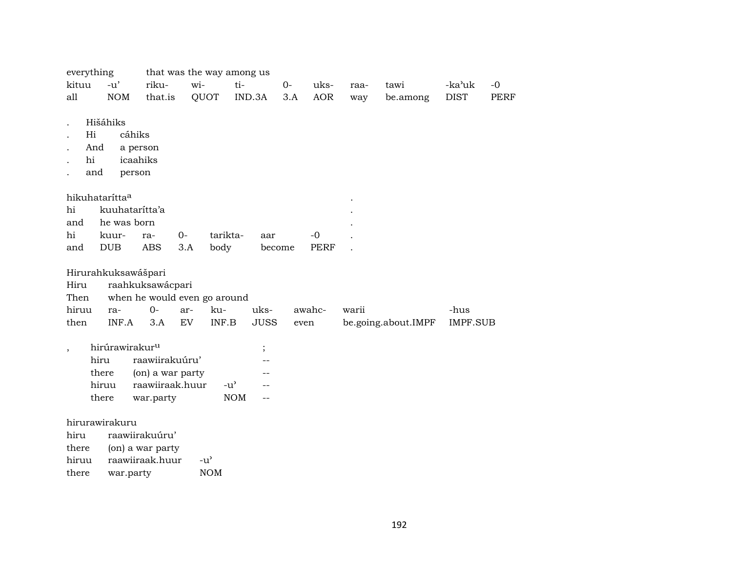| everything                 |                            |                  |            | that was the way among us           |             |      |             |       |                     |             |             |
|----------------------------|----------------------------|------------------|------------|-------------------------------------|-------------|------|-------------|-------|---------------------|-------------|-------------|
| kituu                      | $-u'$                      | riku-            | wi-        | ti-                                 |             | $O-$ | uks-        | raa-  | tawi                | -ka'uk      | $-0$        |
| all                        | <b>NOM</b>                 | that.is          |            | QUOT                                | IND.3A      | 3.A  | <b>AOR</b>  | way   | be.among            | <b>DIST</b> | <b>PERF</b> |
|                            |                            |                  |            |                                     |             |      |             |       |                     |             |             |
|                            | Hišáhiks                   |                  |            |                                     |             |      |             |       |                     |             |             |
| Hi                         | cáhiks                     |                  |            |                                     |             |      |             |       |                     |             |             |
| And                        |                            | a person         |            |                                     |             |      |             |       |                     |             |             |
| hi                         |                            | icaahiks         |            |                                     |             |      |             |       |                     |             |             |
| and                        | person                     |                  |            |                                     |             |      |             |       |                     |             |             |
|                            |                            |                  |            |                                     |             |      |             |       |                     |             |             |
| hikuhatarítta <sup>a</sup> |                            |                  |            |                                     |             |      |             |       |                     |             |             |
| hi                         | kuuhatarítta'a             |                  |            |                                     |             |      |             |       |                     |             |             |
| and                        | he was born                |                  |            |                                     |             |      |             |       |                     |             |             |
| hi                         | kuur-                      | ra-              | $0-$       | tarikta-                            | aar         |      | $-0$        |       |                     |             |             |
| and                        | DUB                        | <b>ABS</b>       | 3.A        | body                                | become      |      | <b>PERF</b> |       |                     |             |             |
|                            |                            |                  |            |                                     |             |      |             |       |                     |             |             |
|                            | Hirurahkuksawášpari        |                  |            |                                     |             |      |             |       |                     |             |             |
| Hiru                       |                            | raahkuksawácpari |            |                                     |             |      |             |       |                     |             |             |
| Then                       |                            |                  |            | when he would even go around        |             |      |             |       |                     |             |             |
| hiruu                      | ra-                        | $0-$             | ar-        | ku-                                 | uks-        |      | awahc-      | warii |                     | -hus        |             |
| then                       | INF.A                      | 3.A              | ${\rm EV}$ | INF.B                               | <b>JUSS</b> | even |             |       | be.going.about.IMPF | IMPF.SUB    |             |
|                            |                            |                  |            |                                     |             |      |             |       |                     |             |             |
| $\cdot$                    | hirúrawirakur <sup>u</sup> |                  |            |                                     | $\vdots$    |      |             |       |                     |             |             |
|                            | hiru                       | raawiirakuúru'   |            |                                     |             |      |             |       |                     |             |             |
|                            | there                      | (on) a war party |            |                                     |             |      |             |       |                     |             |             |
|                            | hiruu                      | raawiiraak.huur  |            | $-u^{\prime}$                       | --          |      |             |       |                     |             |             |
|                            | there                      | war.party        |            | $\rm{NOM}$                          | $-$         |      |             |       |                     |             |             |
|                            |                            |                  |            |                                     |             |      |             |       |                     |             |             |
|                            | hirurawirakuru             |                  |            |                                     |             |      |             |       |                     |             |             |
| hiru                       |                            | raawiirakuúru'   |            |                                     |             |      |             |       |                     |             |             |
| there                      |                            | (on) a war party |            |                                     |             |      |             |       |                     |             |             |
| hiruu                      |                            | raawiiraak.huur  |            | $-u$ <sup><math>\prime</math></sup> |             |      |             |       |                     |             |             |
| there                      | war.party                  |                  |            | <b>NOM</b>                          |             |      |             |       |                     |             |             |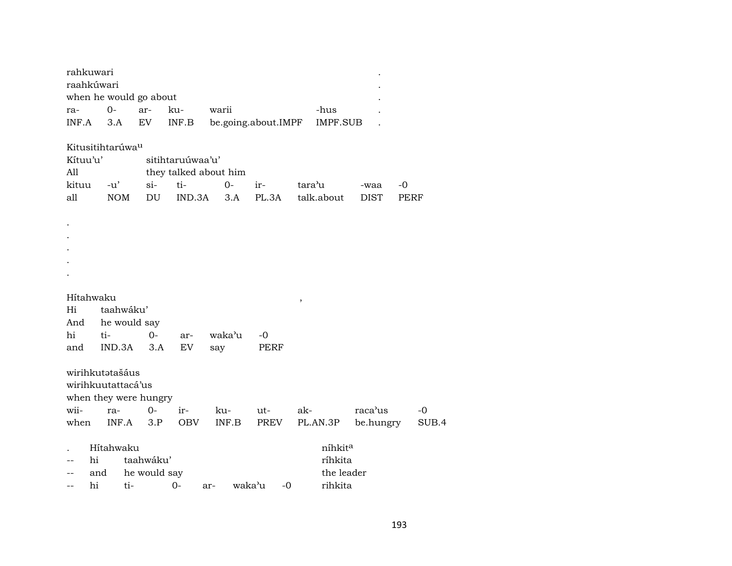| rahkuwari<br>raahkúwari |                              |              |                  |                       |                     |        |                 |             |      |       |
|-------------------------|------------------------------|--------------|------------------|-----------------------|---------------------|--------|-----------------|-------------|------|-------|
|                         | when he would go about       |              |                  |                       |                     |        |                 |             |      |       |
| ra-                     | $0-$                         | ar-          | ku-              | warii                 |                     |        | -hus            |             |      |       |
| INF.A                   | 3.A                          | EV.          | INF.B            |                       | be.going.about.IMPF |        | <b>IMPF.SUB</b> |             |      |       |
|                         | Kitusitihtarúwa <sup>u</sup> |              |                  |                       |                     |        |                 |             |      |       |
| Kítuu'u'                |                              |              | sitihtaruúwaa'u' |                       |                     |        |                 |             |      |       |
| All                     |                              |              |                  | they talked about him |                     |        |                 |             |      |       |
| kituu                   | $-u'$                        | si           | ti-              | $0-$                  | ir-                 | tara'u |                 | -waa        | $-0$ |       |
| all                     | <b>NOM</b>                   | DU           | IND.3A           | 3.A                   | PL.3A               |        | talk.about      | <b>DIST</b> | PERF |       |
|                         |                              |              |                  |                       |                     |        |                 |             |      |       |
|                         |                              |              |                  |                       |                     |        |                 |             |      |       |
|                         |                              |              |                  |                       |                     |        |                 |             |      |       |
|                         |                              |              |                  |                       |                     |        |                 |             |      |       |
|                         |                              |              |                  |                       |                     |        |                 |             |      |       |
|                         |                              |              |                  |                       |                     |        |                 |             |      |       |
| Hítahwaku               |                              |              |                  |                       |                     | $\, ,$ |                 |             |      |       |
| Hi                      | taahwáku'                    |              |                  |                       |                     |        |                 |             |      |       |
| And                     | he would say                 |              |                  |                       |                     |        |                 |             |      |       |
| hi                      | ti-                          | $0-$         | ar-              | waka'u                | -0                  |        |                 |             |      |       |
| and                     | IND.3A                       | 3.A          | EV               | say                   | PERF                |        |                 |             |      |       |
|                         |                              |              |                  |                       |                     |        |                 |             |      |       |
|                         | wirihkutatašáus              |              |                  |                       |                     |        |                 |             |      |       |
|                         | wirihkuutattacá'us           |              |                  |                       |                     |        |                 |             |      |       |
|                         | when they were hungry        |              |                  |                       |                     |        |                 |             |      |       |
| wii-                    | ra-                          | $0-$         | ir-              | ku-                   | ut-                 | ak-    |                 | raca'us     |      | $-0$  |
| when                    | INF.A                        | 3.P          | <b>OBV</b>       | INF.B                 | PREV                |        | PL.AN.3P        | be.hungry   |      | SUB.4 |
|                         |                              |              |                  |                       |                     |        |                 |             |      |       |
|                         | Hítahwaku                    |              |                  |                       |                     |        | níhkita         |             |      |       |
| hi                      |                              | taahwáku'    |                  |                       |                     |        | ríhkita         |             |      |       |
| --                      | and                          | he would say |                  |                       |                     |        | the leader      |             |      |       |
| hi<br>$-$               | ti-                          |              | 0-               | ar-                   | waka'u<br>-0        |        | rihkita         |             |      |       |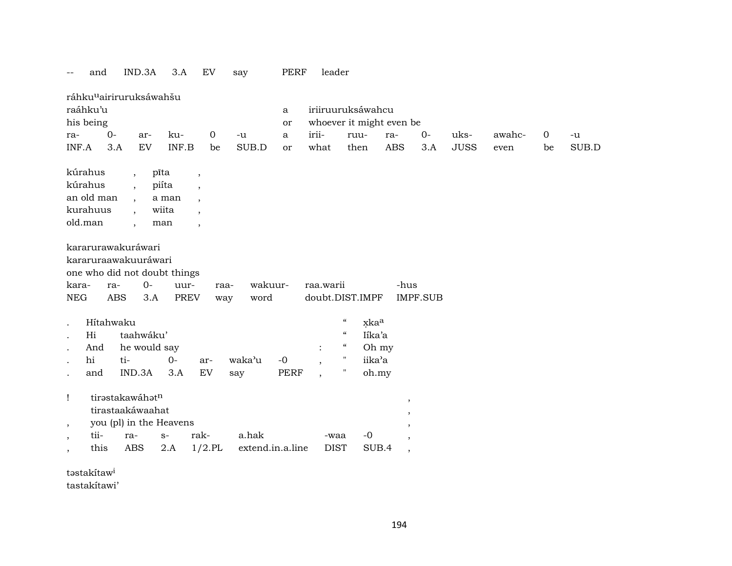|                               | and                            | IND.3A                                                                                                       | 3.A                                    | EV                                                         | say                       | PERF                | leader              |                                                       |                                                                                  |                 |             |        |                |       |
|-------------------------------|--------------------------------|--------------------------------------------------------------------------------------------------------------|----------------------------------------|------------------------------------------------------------|---------------------------|---------------------|---------------------|-------------------------------------------------------|----------------------------------------------------------------------------------|-----------------|-------------|--------|----------------|-------|
| ra-                           | raáhku'u<br>his being<br>$0 -$ | ráhku <sup>u</sup> airiruruksáwahšu<br>ar-                                                                   | ku-                                    | $\mathbf 0$                                                | $-u$                      | a<br>or<br>a        | irii-               | iriiruuruksáwahcu<br>whoever it might even be<br>ruu- | ra-                                                                              | $0-$            | uks-        | awahc- | $\overline{0}$ | $-u$  |
| INF.A                         | 3.A                            | EV                                                                                                           | INF.B                                  | be                                                         | SUB.D                     | or                  | what                | then                                                  | <b>ABS</b>                                                                       | 3.A             | <b>JUSS</b> | even   | be             | SUB.D |
| kúrahus<br>kúrahus<br>old.man | an old man<br>kurahuus         | $\overline{\phantom{a}}$<br>$\overline{\phantom{a}}$<br>$\overline{\phantom{a}}$<br>$\overline{\phantom{a}}$ | pīta<br>piíta<br>a man<br>wiita<br>man | $\cdot$<br>$\cdot$<br>$\cdot$<br>$\overline{ }$<br>$\cdot$ |                           |                     |                     |                                                       |                                                                                  |                 |             |        |                |       |
| kara-<br><b>NEG</b>           | ra-<br><b>ABS</b>              | kararurawakuráwari<br>kararuraawakuuráwari<br>one who did not doubt things<br>$O -$<br>3.A                   | uur-<br><b>PREV</b>                    | raa-<br>way                                                | wakuur-<br>word           |                     | raa.warii           | doubt.DIST.IMPF                                       | -hus                                                                             | <b>IMPF.SUB</b> |             |        |                |       |
|                               | Hítahwaku                      |                                                                                                              |                                        |                                                            |                           |                     |                     | $\boldsymbol{\mathcal{C}}$<br>xkaa                    |                                                                                  |                 |             |        |                |       |
|                               | Hi                             | taahwáku'                                                                                                    |                                        |                                                            |                           |                     |                     | $\boldsymbol{\zeta}\boldsymbol{\zeta}$<br>Iíka'a      |                                                                                  |                 |             |        |                |       |
|                               | And                            | he would say                                                                                                 |                                        |                                                            |                           |                     | $\ddot{\cdot}$      | $\boldsymbol{\mathcal{G}}$<br>Oh my                   |                                                                                  |                 |             |        |                |       |
|                               | hi                             | ti-<br>IND.3A                                                                                                | $O -$<br>3.A                           | ar-<br>EV                                                  | waka'u                    | $-0$<br><b>PERF</b> |                     | $\pmb{\mathsf{H}}$<br>iika'a<br>$\pmb{\mathsf{H}}$    |                                                                                  |                 |             |        |                |       |
|                               | and                            |                                                                                                              |                                        |                                                            | say                       |                     |                     | oh.my                                                 |                                                                                  |                 |             |        |                |       |
| Ţ<br>$\cdot$                  |                                | tirastakawáhatn<br>tirastaakáwaahat<br>you (pl) in the Heavens                                               |                                        |                                                            |                           |                     |                     |                                                       | $\overline{\phantom{a}}$<br>$\overline{\phantom{a}}$<br>$\overline{\phantom{a}}$ |                 |             |        |                |       |
| $\cdot$<br>$\cdot$            | tii-<br>this                   | ra-<br><b>ABS</b>                                                                                            | $S-$<br>$2.A$                          | rak-<br>$1/2$ .PL                                          | a.hak<br>extend.in.a.line |                     | -waa<br><b>DIST</b> | $-0$<br>SUB.4                                         | $\overline{\phantom{a}}$<br>$\overline{\phantom{a}}$                             |                 |             |        |                |       |

təstakítaw<sup>i</sup>

tastakítawi'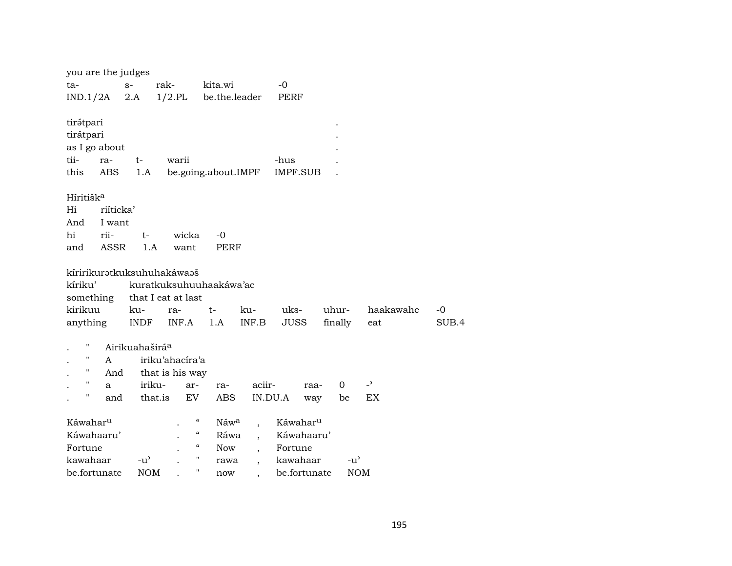| rak-<br>$-0$<br>ta-<br>$S-$<br>kita.wi<br>$1/2$ .PL<br>be.the.leader<br>2.A<br>IND.1/2A<br>PERF<br>tirátpari<br>tirátpari<br>as I go about<br>tii-<br>$t-$<br>warii<br>-hus<br>ra-<br>this<br>ABS<br>be.going.about.IMPF<br><b>IMPF.SUB</b><br>1.A<br>Híritišk <sup>a</sup> |
|-----------------------------------------------------------------------------------------------------------------------------------------------------------------------------------------------------------------------------------------------------------------------------|
|                                                                                                                                                                                                                                                                             |
|                                                                                                                                                                                                                                                                             |
|                                                                                                                                                                                                                                                                             |
|                                                                                                                                                                                                                                                                             |
|                                                                                                                                                                                                                                                                             |
|                                                                                                                                                                                                                                                                             |
|                                                                                                                                                                                                                                                                             |
|                                                                                                                                                                                                                                                                             |
|                                                                                                                                                                                                                                                                             |
|                                                                                                                                                                                                                                                                             |
| Hi<br>riíticka'                                                                                                                                                                                                                                                             |
| And<br>I want                                                                                                                                                                                                                                                               |
| hi<br>rii-<br>wicka<br>$-0$<br>t-                                                                                                                                                                                                                                           |
| ASSR<br>1.A<br>want<br><b>PERF</b><br>and                                                                                                                                                                                                                                   |
|                                                                                                                                                                                                                                                                             |
| kíririkurətkuksuhuhakáwaəš                                                                                                                                                                                                                                                  |
| kíriku'<br>kuratkuksuhuuhaakáwa'ac                                                                                                                                                                                                                                          |
| something that I eat at last                                                                                                                                                                                                                                                |
| kirikuu<br>uks-<br>ku-<br>ku-<br>uhur-<br>haakawahc<br>-0<br>ra-<br>$t-$                                                                                                                                                                                                    |
| INF.B<br>SU.<br>anything<br>INDF<br>INF.A<br>JUSS<br>finally<br>1.A<br>eat                                                                                                                                                                                                  |
| н                                                                                                                                                                                                                                                                           |
| Airikuahaširá <sup>a</sup><br>iriku'ahacíra'a<br>A                                                                                                                                                                                                                          |
| $\pmb{\mathsf{H}}$<br>And                                                                                                                                                                                                                                                   |
| that is his way<br>$\mathbf H$<br>$\overline{a}$<br>iriku-<br>aciir-<br>0<br>ar-                                                                                                                                                                                            |
| ra-<br>raa-<br>a<br>н<br>that.is<br>EV<br>ABS<br>IN.DU.A<br>EX<br>and<br>be                                                                                                                                                                                                 |
| way                                                                                                                                                                                                                                                                         |
| "<br>Káwahar <sup>u</sup><br>Náw <sup>a</sup><br>Káwahar <sup>u</sup><br>$\ddot{\phantom{0}}$                                                                                                                                                                               |
| Káwahaaru'<br>$\epsilon\epsilon$<br>Ráwa<br>Káwahaaru'                                                                                                                                                                                                                      |
| $\zeta\zeta$<br>Fortune<br><b>Now</b><br>Fortune<br>$\overline{\phantom{a}}$                                                                                                                                                                                                |
| $\pmb{\mathsf{H}}$<br>kawahaar<br>$-u^{\prime}$<br>kawahaar<br>$-u^{\prime}$<br>rawa<br>$\overline{\phantom{a}}$                                                                                                                                                            |
| н<br><b>NOM</b><br>be.fortunate<br>be.fortunate<br><b>NOM</b><br>now                                                                                                                                                                                                        |

SUB.4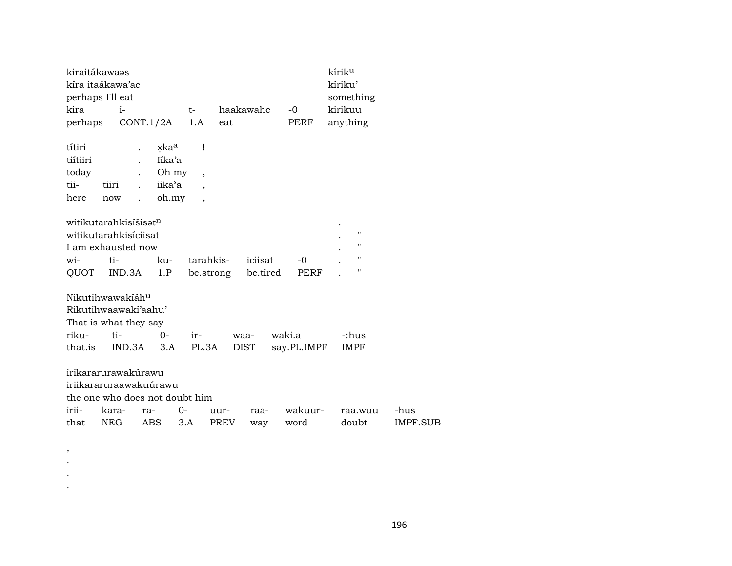| kiraitákawaas    |       |                                   |                  |                          |           |           |             | kírik <sup>u</sup> |          |
|------------------|-------|-----------------------------------|------------------|--------------------------|-----------|-----------|-------------|--------------------|----------|
| kíra itaákawa'ac |       |                                   |                  |                          |           |           |             | kíriku'            |          |
| perhaps I'll eat |       |                                   |                  |                          |           |           |             | something          |          |
| kira             |       | $i-$                              |                  | t-                       |           | haakawahc | $-0$        | kirikuu            |          |
| perhaps          |       | CONT.1/2A                         |                  | 1.A                      | eat       |           | PERF        | anything           |          |
| títiri           |       |                                   | xka <sup>a</sup> | Ţ                        |           |           |             |                    |          |
| tiítiiri         |       |                                   | Iíka'a           |                          |           |           |             |                    |          |
| today            |       |                                   | Oh my            |                          |           |           |             |                    |          |
| tii-             | tiiri |                                   | iika'a           | $\overline{\phantom{a}}$ |           |           |             |                    |          |
|                  |       |                                   |                  |                          |           |           |             |                    |          |
| here             | now   | $\ddot{\phantom{a}}$              | oh.my            |                          |           |           |             |                    |          |
|                  |       | witikutarahkisíšisat <sup>n</sup> |                  |                          |           |           |             |                    |          |
|                  |       | witikutarahkisíciisat             |                  |                          |           |           |             | $\pmb{\mathsf{H}}$ |          |
|                  |       | I am exhausted now                |                  |                          |           |           |             | $\pmb{\mathsf{H}}$ |          |
| wi-              | ti-   |                                   | ku-              | tarahkis-                |           | iciisat   | $-0$        | $\pmb{\mathsf{H}}$ |          |
| QUOT             |       | IND.3A                            | 1.P              |                          | be.strong | be.tired  | PERF        | н                  |          |
|                  |       |                                   |                  |                          |           |           |             |                    |          |
|                  |       | Nikutihwawakiáh <sup>u</sup>      |                  |                          |           |           |             |                    |          |
|                  |       | Rikutihwaawaki'aahu'              |                  |                          |           |           |             |                    |          |
|                  |       | That is what they say             |                  |                          |           |           |             |                    |          |
| riku-            | ti    |                                   | $0 -$            | ir-                      |           | waa-      | waki.a      | -:hus              |          |
| that.is          |       | $IND.3A$ $3.A$                    |                  | PL.3A                    |           | DIST      | say.PL.IMPF | <b>IMPF</b>        |          |
|                  |       |                                   |                  |                          |           |           |             |                    |          |
|                  |       | irikararurawakúrawu               |                  |                          |           |           |             |                    |          |
|                  |       | iriikararuraawakuúrawu            |                  |                          |           |           |             |                    |          |
|                  |       | the one who does not doubt him    |                  |                          |           |           |             |                    |          |
| irii-            | kara- | ra-                               |                  | $O -$                    | uur-      | raa-      | wakuur-     | raa.wuu            | -hus     |
| that             | NEG   | ABS                               |                  | 3.A                      | PREV      | way       | word        | doubt              | IMPF.SUB |
|                  |       |                                   |                  |                          |           |           |             |                    |          |

, . . .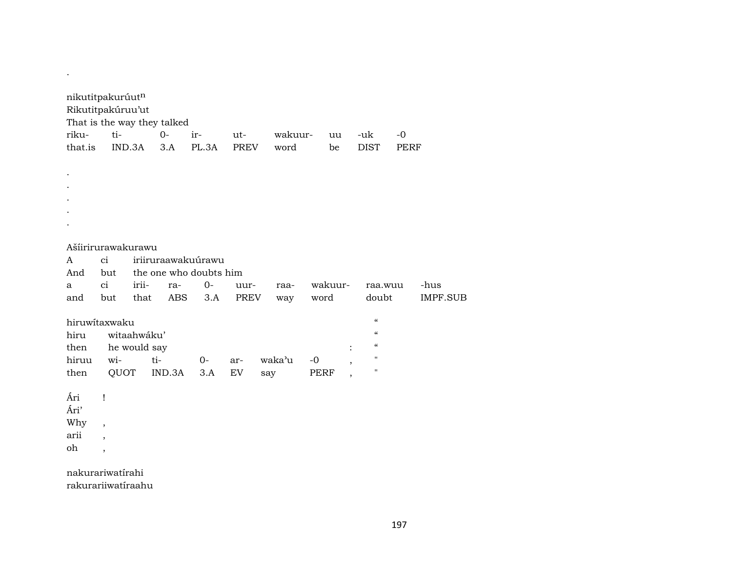| nikutitpakurúutn<br>Rikutitpakúruu'ut  |                          |              | That is the way they talked |                        |      |        |         |                |                                        |             |                 |
|----------------------------------------|--------------------------|--------------|-----------------------------|------------------------|------|--------|---------|----------------|----------------------------------------|-------------|-----------------|
| riku-                                  | ti-                      |              | $O -$                       | ir-                    | ut-  |        | wakuur- | uu             | -uk                                    | $-0$        |                 |
| that.is                                |                          | IND.3A       | 3.A                         | PL.3A                  | PREV | word   |         | be             | <b>DIST</b>                            | <b>PERF</b> |                 |
|                                        |                          |              |                             |                        |      |        |         |                |                                        |             |                 |
|                                        |                          |              |                             |                        |      |        |         |                |                                        |             |                 |
|                                        |                          |              |                             |                        |      |        |         |                |                                        |             |                 |
|                                        |                          |              |                             |                        |      |        |         |                |                                        |             |                 |
|                                        |                          |              |                             |                        |      |        |         |                |                                        |             |                 |
|                                        |                          |              |                             |                        |      |        |         |                |                                        |             |                 |
| Ašíirirurawakurawu                     |                          |              |                             |                        |      |        |         |                |                                        |             |                 |
| A                                      | ci                       |              |                             | iriiruraawakuúrawu     |      |        |         |                |                                        |             |                 |
| And                                    | but                      |              |                             | the one who doubts him |      |        |         |                |                                        |             |                 |
| a                                      | ci                       | irii-        | ra-                         | $0-$                   | uur- | raa-   |         | wakuur-        | raa.wuu                                |             | -hus            |
| and                                    | but                      | that         | ABS                         | 3.A                    | PREV | way    |         | word           | doubt                                  |             | <b>IMPF.SUB</b> |
|                                        |                          |              |                             |                        |      |        |         |                |                                        |             |                 |
| hiruwitaxwaku                          |                          |              |                             |                        |      |        |         |                | $\mathcal{C}$                          |             |                 |
| hiru                                   |                          | witaahwáku'  |                             |                        |      |        |         |                | $\epsilon\epsilon$                     |             |                 |
| then                                   |                          | he would say |                             |                        |      |        |         | $\ddot{\cdot}$ | $\boldsymbol{\zeta}\boldsymbol{\zeta}$ |             |                 |
| hiruu                                  | wi-                      |              | ti-                         | $0-$                   | ar-  | waka'u | $-0$    |                | 11                                     |             |                 |
| then                                   |                          | QUOT         | IND.3A                      | 3.A                    | EV   | say    | PERF    | $\overline{ }$ | $\mathbf{H}$                           |             |                 |
| Ári                                    | $\mathbf{I}$             |              |                             |                        |      |        |         |                |                                        |             |                 |
| Ári'                                   |                          |              |                             |                        |      |        |         |                |                                        |             |                 |
| Why                                    | $\overline{\phantom{a}}$ |              |                             |                        |      |        |         |                |                                        |             |                 |
| arii                                   | $\overline{\phantom{a}}$ |              |                             |                        |      |        |         |                |                                        |             |                 |
| oh                                     | $\overline{\phantom{a}}$ |              |                             |                        |      |        |         |                |                                        |             |                 |
| nakurariwatirahi<br>rakurariiwatíraahu |                          |              |                             |                        |      |        |         |                |                                        |             |                 |

 $\mathcal{L}(\mathcal{A})$  . The  $\mathcal{L}(\mathcal{A})$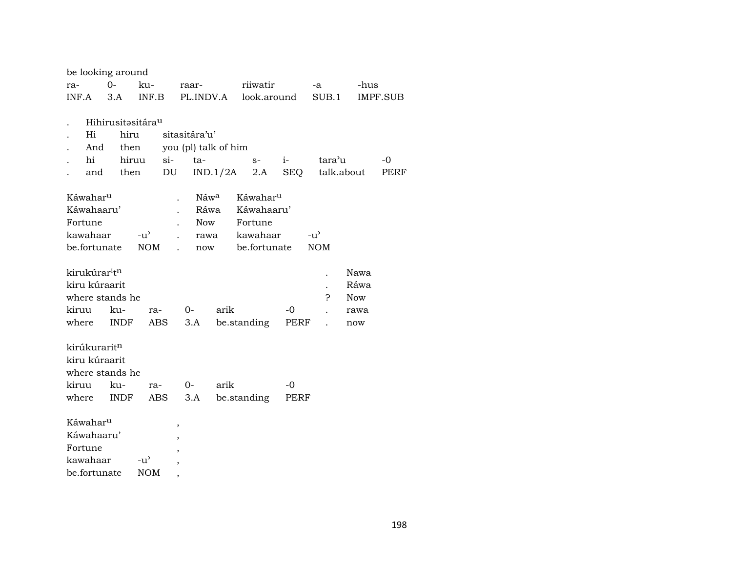| be looking around                     |                               |               |                      |          |                      |            |                      |            |             |
|---------------------------------------|-------------------------------|---------------|----------------------|----------|----------------------|------------|----------------------|------------|-------------|
| ra-                                   | $0-$                          | ku-           | raar-                |          | riiwatir             |            | -a                   | -hus       |             |
| INF.A                                 | 3.A                           | INF.B         | PL.INDV.A            |          | look.around          |            | SUB.1                |            | IMPF.SUB    |
|                                       |                               |               |                      |          |                      |            |                      |            |             |
|                                       | Hihirusitəsitára <sup>u</sup> |               |                      |          |                      |            |                      |            |             |
| Hi                                    | hiru                          |               | sitasitára'u'        |          |                      |            |                      |            |             |
| And                                   | then                          |               | you (pl) talk of him |          |                      |            |                      |            |             |
| hi                                    | hiruu                         | $si-$         | ta-                  |          | $S-$                 | $i-$       | tara'u               |            | $-0$        |
| and                                   | then                          | DU            |                      | IND.1/2A | 2.A                  | <b>SEQ</b> |                      | talk.about | <b>PERF</b> |
| Káwahar <sup>u</sup>                  |                               |               | Náwa                 |          | Káwahar <sup>u</sup> |            |                      |            |             |
| Káwahaaru'                            |                               |               | Ráwa                 |          | Káwahaaru'           |            |                      |            |             |
| Fortune                               |                               |               | <b>Now</b>           |          | Fortune              |            |                      |            |             |
| kawahaar                              |                               | $-u^{\prime}$ | rawa                 |          | kawahaar             |            | $-u^{\prime}$        |            |             |
| be.fortunate                          |                               | <b>NOM</b>    | now                  |          | be.fortunate         |            | <b>NOM</b>           |            |             |
|                                       |                               |               |                      |          |                      |            |                      |            |             |
| kirukúrar <sup>i</sup> t <sup>n</sup> |                               |               |                      |          |                      |            |                      | Nawa       |             |
| kiru kúraarit                         |                               |               |                      |          |                      |            | $\ddot{\phantom{0}}$ | Ráwa       |             |
| where stands he                       |                               |               |                      |          |                      |            | 5.                   | <b>Now</b> |             |
| kiruu                                 | ku-                           | ra-           | $0-$                 | arik     |                      | $-0$       |                      | rawa       |             |
| where                                 | <b>INDF</b>                   | ABS           | 3.A                  |          | be.standing          | PERF       |                      | now        |             |
| kirúkuraritn                          |                               |               |                      |          |                      |            |                      |            |             |
| kiru kúraarit                         |                               |               |                      |          |                      |            |                      |            |             |
| where stands he                       |                               |               |                      |          |                      |            |                      |            |             |
| kiruu                                 | ku-                           | ra-           | $0-$                 | arik     |                      | $-0$       |                      |            |             |
| where                                 | <b>INDF</b>                   | ABS           | 3.A                  |          | be.standing          | PERF       |                      |            |             |
| Káwahar <sup>u</sup>                  |                               |               |                      |          |                      |            |                      |            |             |
| Káwahaaru'                            |                               |               | $\,$                 |          |                      |            |                      |            |             |
| Fortune                               |                               |               | ,                    |          |                      |            |                      |            |             |
| kawahaar                              |                               | $-u^{\prime}$ | $\overline{ }$       |          |                      |            |                      |            |             |
| be.fortunate                          |                               | <b>NOM</b>    | ,                    |          |                      |            |                      |            |             |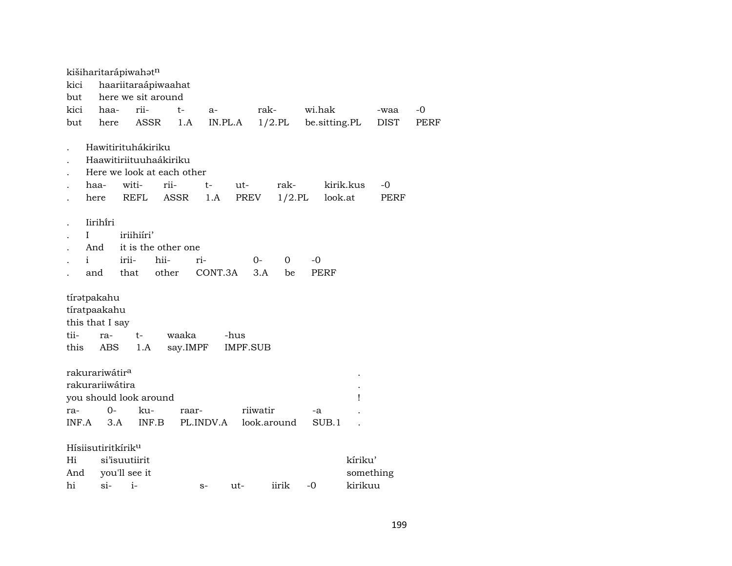|                 |                                                        | kišiharitarápiwahatn                                                                |                                      |                   |                |                         |           |                      |        |               |                                 |             |      |
|-----------------|--------------------------------------------------------|-------------------------------------------------------------------------------------|--------------------------------------|-------------------|----------------|-------------------------|-----------|----------------------|--------|---------------|---------------------------------|-------------|------|
| kici            |                                                        | haariitaraápiwaahat                                                                 |                                      |                   |                |                         |           |                      |        |               |                                 |             |      |
| but             |                                                        | here we sit around                                                                  |                                      |                   |                |                         |           |                      |        |               |                                 |             |      |
| kici            | haa-                                                   |                                                                                     | rii-                                 | t-                | $a-$           |                         | rak-      |                      | wi.hak |               |                                 | -waa        | $-0$ |
| but             |                                                        | here                                                                                | ASSR                                 | 1.A               |                | IN.PL.A                 |           | $1/2$ .PL            |        | be.sitting.PL |                                 | <b>DIST</b> | PERF |
|                 | haa-                                                   | Hawitirituhákiriku<br>Haawitiriituuhaákiriku<br>Here we look at each other<br>witi- | rii-                                 |                   | t-             | ut-                     |           | rak-                 |        | kirik.kus     |                                 | -0          |      |
|                 | here                                                   | <b>REFL</b>                                                                         |                                      | <b>ASSR</b>       | 1.A            | PREV                    |           | $1/2$ .PL            |        | look.at       |                                 | PERF        |      |
|                 | Iirihiri<br>L<br>And<br>$\mathbf{i}$<br>and            | iriihiíri'<br>irii-<br>that                                                         | it is the other one<br>hii-<br>other |                   | ri-<br>CONT.3A |                         | 0-<br>3.A | $\overline{0}$<br>be | -0     | PERF          |                                 |             |      |
| tii-<br>this    | tíratpakahu<br>tíratpaakahu<br>this that I say<br>ra-  | $t-$<br>ABS                                                                         | 1.A                                  | waaka<br>say.IMPF |                | -hus<br><b>IMPF.SUB</b> |           |                      |        |               |                                 |             |      |
| ra-             | rakurariwátir <sup>a</sup><br>rakurariiwátira<br>INF.A | you should look around<br>$0-$<br>3.A                                               | ku-<br>INF.B                         | raar-             | PL.INDV.A      |                         | riiwatir  | look.around          | -a     | SUB.1         | Ţ                               |             |      |
| Hi<br>And<br>hi | $\sin$                                                 | Hísiisutiritkírik <sup>u</sup><br>si'isuutiirit<br>you'll see it<br>$i-$            |                                      |                   | $S-$           | ut-                     |           | iirik                | -0     |               | kíriku'<br>something<br>kirikuu |             |      |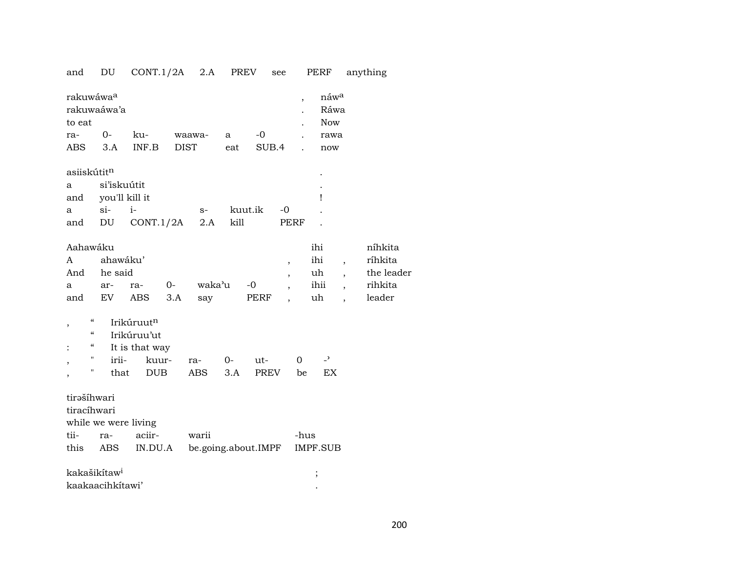## and DU CONT.1/2A 2.A PREV see PERF anything

| rakuwáwa <sup>a</sup><br>to eat |                                        | rakuwaáwa'a              |                |      |                     |      |         |                          | $\overline{\phantom{a}}$ | náwa<br>Ráwa<br><b>Now</b> |                          |            |
|---------------------------------|----------------------------------------|--------------------------|----------------|------|---------------------|------|---------|--------------------------|--------------------------|----------------------------|--------------------------|------------|
| ra-                             |                                        | $0-$                     | ku-            |      | waawa-              | a    | $-0$    |                          | $\ddot{\phantom{a}}$     | rawa                       |                          |            |
| <b>ABS</b>                      |                                        | 3.A                      | INF.B          |      | <b>DIST</b>         | eat  | SUB.4   |                          |                          | now                        |                          |            |
| asiiskútit <sup>n</sup>         |                                        |                          |                |      |                     |      |         |                          |                          |                            |                          |            |
| a                               |                                        | si'iskuútit              |                |      |                     |      |         |                          |                          |                            |                          |            |
| and                             |                                        | you'll kill it           |                |      |                     |      |         |                          |                          | Ţ                          |                          |            |
| a                               |                                        | $si$ -                   | $i-$           |      | $S-$                |      | kuut.ik | $-0$                     |                          |                            |                          |            |
| and                             |                                        | DU                       | CONT.1/2A      |      | 2.A                 | kill |         | PERF                     |                          |                            |                          |            |
| Aahawáku                        |                                        |                          |                |      |                     |      |         |                          |                          | ihi                        |                          | níhkita    |
| A                               |                                        | ahawáku'                 |                |      |                     |      |         | $\, ,$                   |                          | ihi                        | $\overline{ }$ ,         | ríhkita    |
| And                             |                                        | he said                  |                |      |                     |      |         | ,                        |                          | uh                         |                          | the leader |
| a                               |                                        | ar-                      | ra-            | $O-$ | waka'u              |      | $-0$    | $\overline{\phantom{a}}$ |                          | ihii                       | $\overline{\phantom{a}}$ | rihkita    |
| and                             |                                        | EV                       | ABS            | 3.A  | say                 |      | PERF    |                          |                          | uh                         |                          | leader     |
| $\,$                            | $\boldsymbol{\zeta}\boldsymbol{\zeta}$ |                          | Irikúruutn     |      |                     |      |         |                          |                          |                            |                          |            |
|                                 | "                                      |                          | Irikúruu'ut    |      |                     |      |         |                          |                          |                            |                          |            |
| $\ddot{\cdot}$                  | $\epsilon\epsilon$                     |                          | It is that way |      |                     |      |         |                          |                          |                            |                          |            |
| ,                               | Ħ                                      | irii-                    | kuur-          |      | ra-                 | $0-$ | ut-     |                          | $\mathbf 0$              | $\overline{\phantom{a}}$   |                          |            |
| ,                               | П                                      | that                     | <b>DUB</b>     |      | <b>ABS</b>          | 3.A  | PREV    |                          | be                       | EX                         |                          |            |
| tirašíhwari                     |                                        |                          |                |      |                     |      |         |                          |                          |                            |                          |            |
| tiracíhwari                     |                                        |                          |                |      |                     |      |         |                          |                          |                            |                          |            |
|                                 |                                        | while we were living     |                |      |                     |      |         |                          |                          |                            |                          |            |
| tii-                            |                                        | ra-                      | aciir-         |      | warii               |      |         |                          | -hus                     |                            |                          |            |
| this                            |                                        | ABS                      | IN.DU.A        |      | be.going.about.IMPF |      |         |                          |                          | IMPF.SUB                   |                          |            |
|                                 |                                        | kakašikítaw <sup>i</sup> |                |      |                     |      |         |                          |                          | $\vdots$                   |                          |            |
|                                 |                                        | kaakaacihkítawi'         |                |      |                     |      |         |                          |                          |                            |                          |            |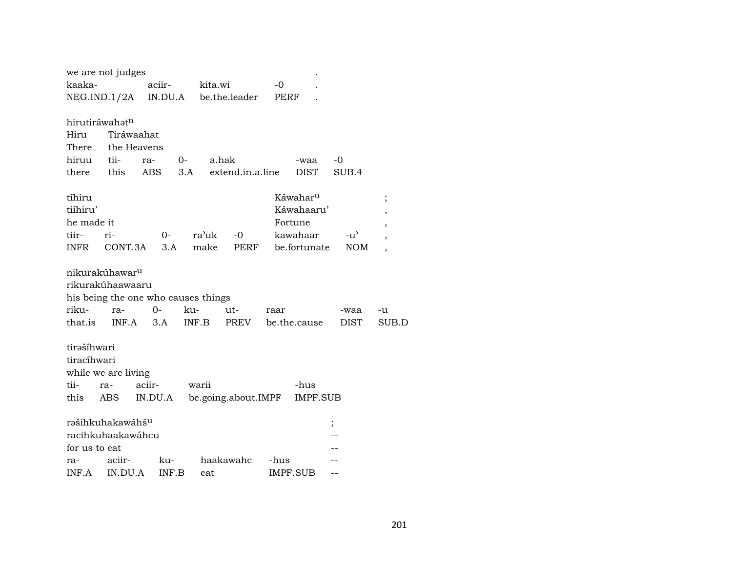|               | we are not judges            |         |                                     |                     |      |                      |               |                          |
|---------------|------------------------------|---------|-------------------------------------|---------------------|------|----------------------|---------------|--------------------------|
| kaaka-        |                              | aciir-  | kita.wi                             |                     | $-0$ |                      |               |                          |
|               | NEG.IND.1/2A                 | IN.DU.A |                                     | be.the.leader       | PERF |                      |               |                          |
|               |                              |         |                                     |                     |      |                      |               |                          |
|               | hirutiráwahatn               |         |                                     |                     |      |                      |               |                          |
| Hiru          | Tiráwaahat                   |         |                                     |                     |      |                      |               |                          |
| There         | the Heavens                  |         |                                     |                     |      |                      |               |                          |
| hiruu         | tii-                         | ra-     | $0-$                                | a.hak               |      | -waa                 | $-0$          |                          |
| there         | this                         | ABS     | 3.A                                 | extend.in.a.line    |      | <b>DIST</b>          | SUB.4         |                          |
| tíhiru        |                              |         |                                     |                     |      | Káwahar <sup>u</sup> |               | $\vdots$                 |
| tiíhiru'      |                              |         |                                     |                     |      | Káwahaaru'           |               |                          |
| he made it    |                              |         |                                     |                     |      | Fortune              |               | ,                        |
| tiir-         | ri-                          | 0-      | ra'uk                               | $-0$                |      | kawahaar             | $-u^{\prime}$ | ,                        |
| <b>INFR</b>   | CONT.3A                      | 3.A     | make                                | PERF                |      | be.fortunate         | <b>NOM</b>    | $\overline{\phantom{a}}$ |
|               |                              |         |                                     |                     |      |                      |               |                          |
|               | nikurakúhawar <sup>u</sup>   |         |                                     |                     |      |                      |               |                          |
|               | rikurakúhaawaaru             |         |                                     |                     |      |                      |               |                          |
|               |                              |         | his being the one who causes things |                     |      |                      |               |                          |
| riku-         | ra-                          | $0-$    | ku-                                 | ut-                 | raar |                      | -waa          | -u                       |
| that.is       | INF.A                        | 3.A     | INF.B                               | PREV                |      | be.the.cause         | <b>DIST</b>   | SUB.D                    |
|               |                              |         |                                     |                     |      |                      |               |                          |
| tirašíhwari   |                              |         |                                     |                     |      |                      |               |                          |
| tiracíhwari   |                              |         |                                     |                     |      |                      |               |                          |
|               | while we are living          |         |                                     |                     |      |                      |               |                          |
| tii-          | ra-                          | aciir-  | warii                               |                     |      | -hus                 |               |                          |
| this          | ABS                          | IN.DU.A |                                     | be.going.about.IMPF |      | <b>IMPF.SUB</b>      |               |                          |
|               |                              |         |                                     |                     |      |                      |               |                          |
|               | rəšihkuhakawáhš <sup>u</sup> |         |                                     |                     |      |                      | $\vdots$      |                          |
|               | racihkuhaakawáhcu            |         |                                     |                     |      |                      |               |                          |
| for us to eat |                              |         |                                     |                     |      |                      |               |                          |
| ra-           | aciir-                       | ku-     |                                     | haakawahc           | -hus |                      |               |                          |
| INF.A         | IN.DU.A                      | INF.B   | eat                                 |                     |      | IMPF.SUB             |               |                          |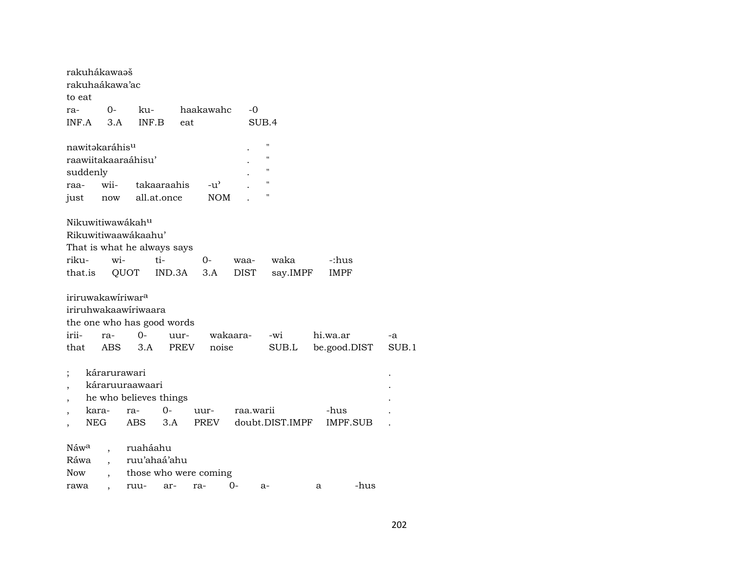|                          | rakuhákawaəš               |                          |                               |             |                       |           |                 |              |          |       |
|--------------------------|----------------------------|--------------------------|-------------------------------|-------------|-----------------------|-----------|-----------------|--------------|----------|-------|
|                          | rakuhaákawa'ac             |                          |                               |             |                       |           |                 |              |          |       |
| to eat                   |                            |                          |                               |             |                       |           |                 |              |          |       |
| ra-                      |                            | 0-                       | ku-                           |             | haakawahc             | $-0$      |                 |              |          |       |
| INF.A                    |                            | 3.A                      | INF.B                         | eat         |                       |           | SUB.4           |              |          |       |
|                          | nawitəkaráhis <sup>u</sup> |                          |                               |             |                       |           | п               |              |          |       |
|                          |                            |                          | raawiitakaaraáhisu'           |             |                       |           | п               |              |          |       |
|                          | suddenly                   |                          |                               |             |                       |           | п               |              |          |       |
| raa-                     |                            | wii-                     |                               | takaaraahis | $-u^{\prime}$         |           | п               |              |          |       |
| just                     |                            | now                      |                               | all.at.once | <b>NOM</b>            |           | п               |              |          |       |
|                          |                            |                          | Nikuwitiwawákahu              |             |                       |           |                 |              |          |       |
|                          |                            |                          | Rikuwitiwaawákaahu'           |             |                       |           |                 |              |          |       |
|                          |                            |                          | That is what he always says   |             |                       |           |                 |              |          |       |
| riku-                    |                            | wi-                      |                               | ti-         | $O -$                 | waa-      | waka            | -:hus        |          |       |
| that.is                  |                            |                          | QUOT                          | IND.3A      | 3.A                   | DIST      | say.IMPF        | IMPF         |          |       |
|                          |                            |                          |                               |             |                       |           |                 |              |          |       |
|                          |                            |                          | iriruwakawiriwar <sup>a</sup> |             |                       |           |                 |              |          |       |
|                          |                            |                          | iriruhwakaawiriwaara          |             |                       |           |                 |              |          |       |
|                          |                            |                          | the one who has good words    |             |                       |           |                 |              |          |       |
| irii-                    |                            | ra-                      | $0-$                          | uur-        |                       | wakaara-  | -wi             | hi.wa.ar     |          | -a    |
| that                     |                            | <b>ABS</b>               | 3.A                           | <b>PREV</b> | noise                 |           | SUB.L           | be.good.DIST |          | SUB.1 |
|                          |                            |                          |                               |             |                       |           |                 |              |          |       |
| ;                        |                            | kárarurawari             |                               |             |                       |           |                 |              |          |       |
|                          |                            |                          |                               |             |                       |           |                 |              |          |       |
|                          | káraruuraawaari            |                          |                               |             |                       |           |                 |              |          |       |
| $\overline{\phantom{a}}$ |                            |                          | he who believes things        |             |                       |           |                 |              |          |       |
| $\overline{ }$           | kara-                      |                          | ra-                           | $O -$       | uur-                  | raa.warii |                 | -hus         |          |       |
| $\overline{\phantom{a}}$ | <b>NEG</b>                 |                          | <b>ABS</b>                    | 3.A         | PREV                  |           | doubt.DIST.IMPF |              | IMPF.SUB |       |
|                          |                            |                          |                               |             |                       |           |                 |              |          |       |
| Náw <sup>a</sup>         |                            |                          | ruaháahu                      |             |                       |           |                 |              |          |       |
| Ráwa<br><b>Now</b>       |                            | $\overline{\phantom{a}}$ | ruu'ahaá'ahu                  |             | those who were coming |           |                 |              |          |       |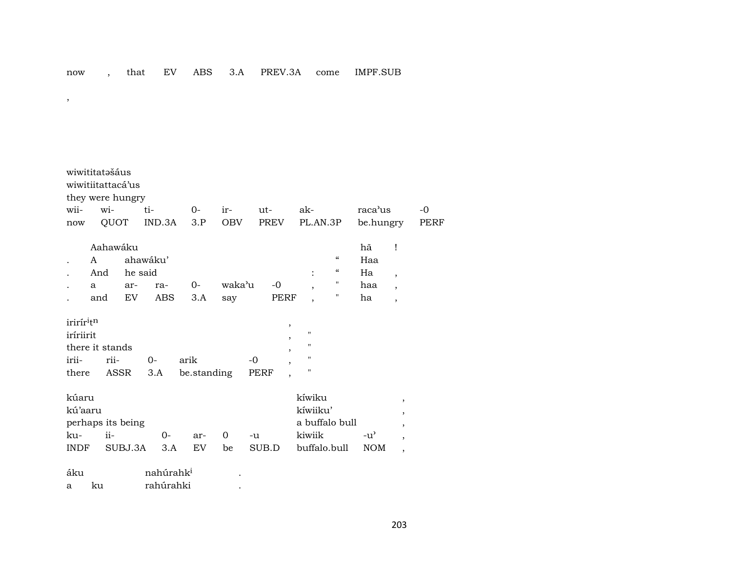| $\cdot$ |  |  |  |
|---------|--|--|--|

| wiwititatašáus<br>wiwitiitattacá'us<br>they were hungry                  |               |              |                            |                       |                     |         |               |                                                                    |                                              |                                                                    |                             |                                                                  |      |
|--------------------------------------------------------------------------|---------------|--------------|----------------------------|-----------------------|---------------------|---------|---------------|--------------------------------------------------------------------|----------------------------------------------|--------------------------------------------------------------------|-----------------------------|------------------------------------------------------------------|------|
| wii-                                                                     |               | wi-          |                            | ti-                   | $O -$               | ir-     | $ut -$        |                                                                    | ak-                                          |                                                                    | raca'us                     |                                                                  | -0   |
| now                                                                      |               | QUOT         |                            | IND.3A                | 3.P                 | OBV     | PREV          |                                                                    | PL.AN.3P                                     |                                                                    | be.hungry                   |                                                                  | PERF |
| $\bullet$                                                                | A<br>And<br>a |              | Aahawáku<br>he said<br>ar- | ahawáku'<br>ra-       | $0-$                | waka'u  | $-0$          |                                                                    |                                              | $\boldsymbol{\zeta}\boldsymbol{\zeta}$<br>$\epsilon\epsilon$<br>11 | hã<br>Haa<br>Ha<br>haa      | Ţ<br>$\overline{\phantom{a}}$<br>$\overline{\phantom{a}}$        |      |
|                                                                          | and           |              | EV                         | ABS                   | 3.A                 | say     | PERF          |                                                                    |                                              | н                                                                  | ha                          | $\overline{ }$                                                   |      |
| irirír <sup>i</sup> tn<br>iríriirit<br>there it stands<br>irii-<br>there |               | rii-<br>ASSR |                            | $O -$<br>3.A          | arik<br>be.standing |         | $-0$<br>PERF  | $^\mathrm{^\mathrm{o}}$<br>,<br>,<br>,<br>$\overline{\phantom{a}}$ | п<br>$\pmb{\mathsf{H}}$<br>п<br>П            |                                                                    |                             |                                                                  |      |
| kúaru<br>kú'aaru<br>perhaps its being<br>ku-<br><b>INDF</b>              |               | $ii-$        | SUBJ.3A                    | $0-$<br>3.A           | ar-<br>EV.          | 0<br>be | $-u$<br>SUB.D |                                                                    | kíwiku<br>kíwiiku'<br>kiwiik<br>buffalo.bull | a buffalo bull                                                     | $-u^{\prime}$<br><b>NOM</b> | $\cdot$<br>,<br>$\cdot$<br>$\bullet$<br>$\overline{\phantom{a}}$ |      |
| áku                                                                      |               |              |                            | nahúrahk <sup>i</sup> |                     |         |               |                                                                    |                                              |                                                                    |                             |                                                                  |      |

| -------- | ----------------- |  |
|----------|-------------------|--|
|          | rahírahki         |  |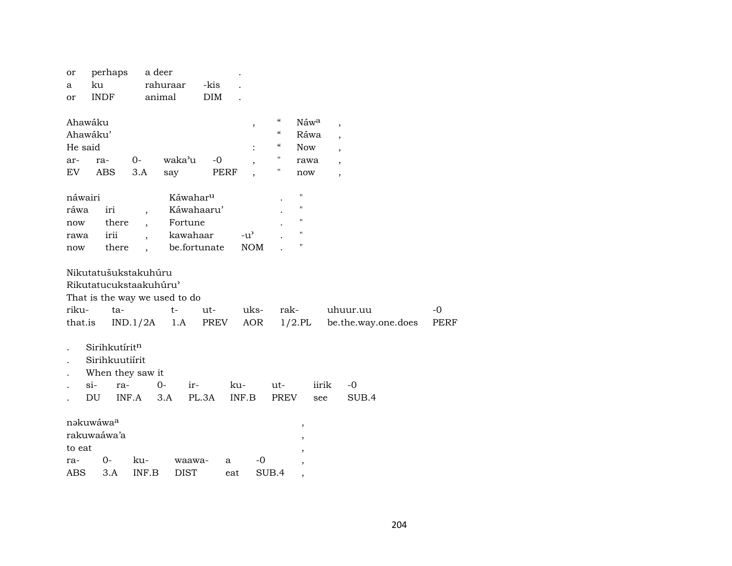| or<br>a             | perhaps<br>ku                                              | a deer   | rahuraar                      | -kis       |               |                    |                    |                     |             |
|---------------------|------------------------------------------------------------|----------|-------------------------------|------------|---------------|--------------------|--------------------|---------------------|-------------|
| or                  | <b>INDF</b>                                                |          | animal                        | <b>DIM</b> |               |                    |                    |                     |             |
| Ahawáku             |                                                            |          |                               |            | ,             | $\epsilon\epsilon$ | Náwa               | ,                   |             |
| Ahawáku'            |                                                            |          |                               |            |               | $\epsilon\epsilon$ | Ráwa               |                     |             |
| He said             |                                                            |          |                               |            |               | $\epsilon$         | <b>Now</b>         | $\cdot$             |             |
| ar-                 | ra-                                                        | $0-$     | waka'u                        | $-0$       |               | Н                  | rawa               |                     |             |
| EV                  | ABS                                                        | $3.A$    | say                           | PERF       |               | 11                 | now                | $\overline{ }$      |             |
| náwairi             |                                                            |          | Káwahar <sup>u</sup>          |            |               |                    | $\pmb{\mathsf{H}}$ |                     |             |
| ráwa                | iri                                                        |          | Káwahaaru'                    |            |               |                    | $\pmb{\mathsf{H}}$ |                     |             |
| now                 | there                                                      |          | Fortune                       |            |               |                    | $\mathbf H$        |                     |             |
| rawa                | irii                                                       |          | kawahaar                      |            | $-u^{\prime}$ |                    | $\mathbf{H}$       |                     |             |
| now                 | there                                                      |          | be.fortunate                  |            | <b>NOM</b>    |                    | $\pmb{\mathsf{H}}$ |                     |             |
|                     | Nikutatušukstakuhúru<br>Rikutatucukstaakuhúru'             |          |                               |            |               |                    |                    |                     |             |
|                     |                                                            |          | That is the way we used to do |            |               |                    |                    |                     |             |
| riku-               | ta-                                                        |          | $t-$                          | ut-        | uks-          | rak-               |                    | uhuur.uu            | $-0$        |
| that.is             |                                                            | IND.1/2A | 1.A                           | PREV       | AOR           |                    | $1/2$ .PL          | be.the.way.one.does | <b>PERF</b> |
| $si-$<br>DU         | Sirihkutíritn<br>Sirihkuutiírit<br>When they saw it<br>ra- | INF.A    | $0-$<br>ir-<br>3.A            | PL.3A      | ku-<br>INF.B  | ut-<br><b>PREV</b> | iirik<br>see       | -0<br>SUB.4         |             |
| nakuwáwaa<br>to eat | rakuwaáwa'a                                                |          |                               |            |               |                    | $^\mathrm{,}$      |                     |             |
| ra-                 | 0-                                                         | ku-      | waawa-                        | a          | -0            |                    |                    |                     |             |
| ABS                 | 3.A                                                        | INF.B    | <b>DIST</b>                   | eat        |               | SUB.4              | ,                  |                     |             |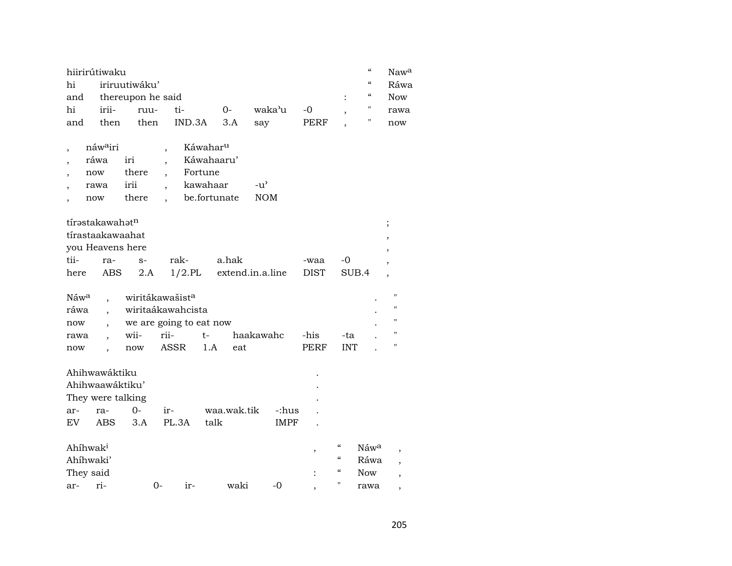|     | "<br>hiirirútiwaku                     |                                     |                 |  |           |       |  |  |      |  |  |  |
|-----|----------------------------------------|-------------------------------------|-----------------|--|-----------|-------|--|--|------|--|--|--|
|     | $\epsilon\epsilon$<br>hi iriruutiwáku' |                                     |                 |  |           |       |  |  |      |  |  |  |
|     |                                        | $\epsilon$<br>and thereupon he said |                 |  |           |       |  |  |      |  |  |  |
| hi  | irii- ruu- ti-                         |                                     | $\overline{O}$  |  | waka'u -0 |       |  |  | rawa |  |  |  |
| and | then                                   |                                     | then IND.3A 3.A |  | sav       | PERF. |  |  | now  |  |  |  |

| náw <sup>a</sup> iri |       | Káwahar <sup>u</sup> |        |  |  |  |
|----------------------|-------|----------------------|--------|--|--|--|
| ráwa                 | iri   | Káwahaaru'           |        |  |  |  |
| now                  | there | Fortune              |        |  |  |  |
| rawa                 | 1r11  | kawahaar             | $-11'$ |  |  |  |
| now                  | there | be.fortunate         | NOM    |  |  |  |

|                  | tírəstakawahət <sup>n</sup> |  |      |                                                 |         |  |  |  |  |  |  |  |
|------------------|-----------------------------|--|------|-------------------------------------------------|---------|--|--|--|--|--|--|--|
| tírastaakawaahat |                             |  |      |                                                 |         |  |  |  |  |  |  |  |
|                  | you Heavens here            |  |      |                                                 |         |  |  |  |  |  |  |  |
|                  | tii- ra- s-                 |  | rak- | a hak                                           | -waa -0 |  |  |  |  |  |  |  |
|                  |                             |  |      | here ABS 2.A 1/2.PL extend.in.a.line DIST SUB.4 |         |  |  |  |  |  |  |  |

|      |      | Náw <sup>a</sup> , wiritákawašist <sup>a</sup> |     |           |      |            |  |   |  |  |  |
|------|------|------------------------------------------------|-----|-----------|------|------------|--|---|--|--|--|
| ráwa |      | wiritaákawahcista                              |     |           |      |            |  |   |  |  |  |
| now  |      | we are going to eat now                        |     |           |      |            |  |   |  |  |  |
| rawa | wii- | rii-                                           | t-  | haakawahc | -his | -ta        |  | " |  |  |  |
| now  | now  | ASSR                                           | 1.A | eat       | PERF | <b>INT</b> |  | Π |  |  |  |

|                      | Ahihwawáktiku     |      |       |       |             |       | ٠              |                                        |                  |  |
|----------------------|-------------------|------|-------|-------|-------------|-------|----------------|----------------------------------------|------------------|--|
|                      | Ahihwaawáktiku'   |      |       |       |             |       | ٠              |                                        |                  |  |
|                      | They were talking |      |       |       |             |       | $\bullet$      |                                        |                  |  |
| ar-                  | ra-               | $0-$ | $ir-$ |       | waa.wak.tik | -:hus |                |                                        |                  |  |
| EV                   | ABS               | 3.A  | PL.3A |       | talk        | IMPF  |                |                                        |                  |  |
|                      |                   |      |       |       |             |       |                |                                        |                  |  |
| Ahihwak <sup>i</sup> |                   |      |       |       |             |       |                | $\epsilon$                             | Náw <sup>a</sup> |  |
|                      | Ahíhwaki'         |      |       |       |             |       |                | $\boldsymbol{\zeta}\boldsymbol{\zeta}$ | Ráwa             |  |
| They said            |                   |      |       |       |             |       | $\ddot{\cdot}$ | $\epsilon$                             | <b>Now</b>       |  |
| ar-                  | $ri-$             |      | 0-    | $ir-$ | waki        | -0    |                | 11                                     | rawa             |  |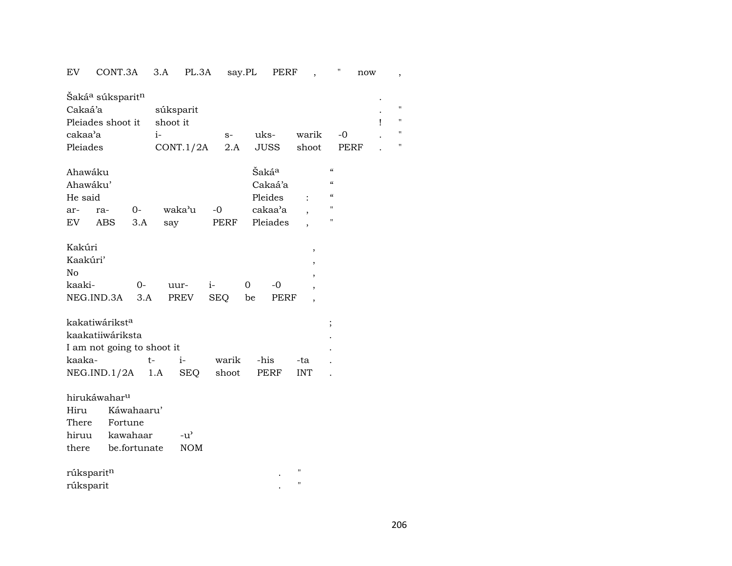| EV | CONT.3A |  | PL 3A | say PL | ÆRF<br>סם |  | now |  |
|----|---------|--|-------|--------|-----------|--|-----|--|
|----|---------|--|-------|--------|-----------|--|-----|--|

| Šaká <sup>a</sup> súksparit <sup>n</sup><br>Cakaá'a<br>Pleiades shoot it<br>cakaa'a<br>Pleiades |            |            | súksparit<br>shoot it<br>$i-$ | CONT.1/2A     |            | $S-$<br>2.A |      | uks-<br>JUSS | warik<br>shoot     |                          | $-0$<br>PERF       | ï | $\blacksquare$<br>$\blacksquare$<br>$\blacksquare$<br>11 |
|-------------------------------------------------------------------------------------------------|------------|------------|-------------------------------|---------------|------------|-------------|------|--------------|--------------------|--------------------------|--------------------|---|----------------------------------------------------------|
| Ahawáku                                                                                         |            |            |                               |               |            |             |      | Šakáª        |                    |                          | $\mathcal{C}$      |   |                                                          |
| Ahawáku'                                                                                        |            |            |                               |               |            |             |      | Cakaá'a      |                    |                          | $\epsilon\epsilon$ |   |                                                          |
| He said                                                                                         |            |            |                               |               |            |             |      | Pleides      |                    |                          | $\mathcal{C}$      |   |                                                          |
| ar-                                                                                             | ra-        | $O-$       |                               | waka'u        | $-0$       |             |      | cakaa'a      |                    |                          | $\pmb{\mathsf{H}}$ |   |                                                          |
| EV.                                                                                             | <b>ABS</b> | 3.A        | say                           |               |            | PERF        |      | Pleiades     |                    |                          | п                  |   |                                                          |
|                                                                                                 |            |            |                               |               |            |             |      |              |                    |                          |                    |   |                                                          |
| Kakúri                                                                                          |            |            |                               |               |            |             |      |              |                    | $^\mathrm{^{^\circ}}$    |                    |   |                                                          |
| Kaakúri'                                                                                        |            |            |                               |               |            |             |      |              |                    | $\overline{\phantom{a}}$ |                    |   |                                                          |
| No                                                                                              |            |            |                               |               |            |             |      |              |                    | $\overline{\phantom{a}}$ |                    |   |                                                          |
| kaaki-                                                                                          |            | $0-$       |                               | uur-          | $i-$       |             | 0    | -0           |                    |                          |                    |   |                                                          |
| NEG.IND.3A                                                                                      |            | 3.A        |                               | PREV          | <b>SEQ</b> |             | be   | <b>PERF</b>  |                    |                          |                    |   |                                                          |
| kakatiwárikst <sup>a</sup>                                                                      |            |            |                               |               |            |             |      |              |                    |                          |                    |   |                                                          |
| kaakatiiwáriksta                                                                                |            |            |                               |               |            |             |      |              |                    | $\vdots$                 |                    |   |                                                          |
| I am not going to shoot it                                                                      |            |            |                               |               |            |             |      |              |                    |                          |                    |   |                                                          |
| kaaka-                                                                                          |            | $t-$       |                               | $i-$          |            | warik       | -his |              | -ta                |                          |                    |   |                                                          |
| NEG.ID.1/2A 1.A                                                                                 |            |            |                               | SEQ           |            | shoot       |      | PERF         | <b>INT</b>         |                          |                    |   |                                                          |
|                                                                                                 |            |            |                               |               |            |             |      |              |                    |                          |                    |   |                                                          |
| hirukáwahar <sup>u</sup>                                                                        |            |            |                               |               |            |             |      |              |                    |                          |                    |   |                                                          |
| Hiru                                                                                            |            | Káwahaaru' |                               |               |            |             |      |              |                    |                          |                    |   |                                                          |
| There                                                                                           | Fortune    |            |                               |               |            |             |      |              |                    |                          |                    |   |                                                          |
| hiruu kawahaar                                                                                  |            |            |                               | $-u^{\prime}$ |            |             |      |              |                    |                          |                    |   |                                                          |
| there be.fortunate                                                                              |            |            |                               | <b>NOM</b>    |            |             |      |              |                    |                          |                    |   |                                                          |
|                                                                                                 |            |            |                               |               |            |             |      |              |                    |                          |                    |   |                                                          |
| rúksparitn                                                                                      |            |            |                               |               |            |             |      |              | $\pmb{\mathsf{H}}$ |                          |                    |   |                                                          |

| 1 uite put te |  |
|---------------|--|
| rúksparit     |  |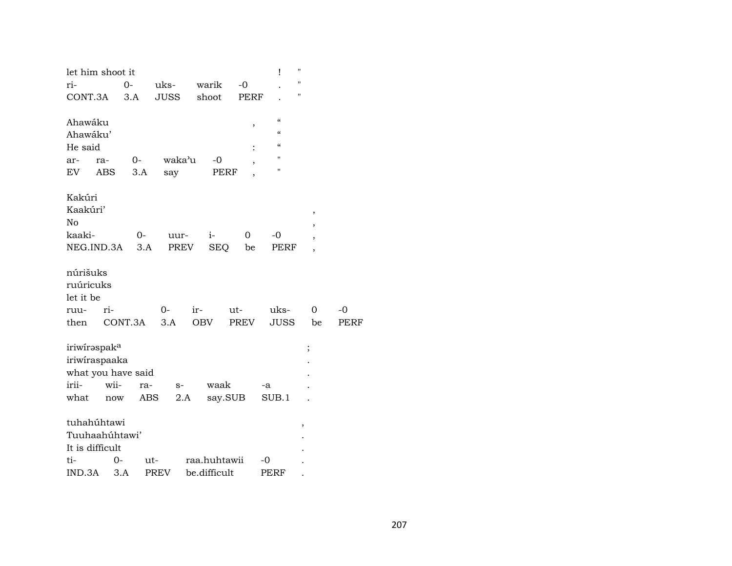| let him shoot it         |      |         |             |              |         |                | Ĩ                                      | П |                          |             |
|--------------------------|------|---------|-------------|--------------|---------|----------------|----------------------------------------|---|--------------------------|-------------|
| ri-                      |      | $O -$   | uks-        | warik        |         | $-0$           |                                        | П |                          |             |
| CONT.3A                  |      | 3.A     | <b>JUSS</b> | shoot        |         | <b>PERF</b>    |                                        | " |                          |             |
| Ahawáku                  |      |         |             |              |         | ,              | $\epsilon\epsilon$                     |   |                          |             |
| Ahawáku'                 |      |         |             |              |         |                | $\epsilon\epsilon$                     |   |                          |             |
| He said                  |      |         |             |              |         | $\ddot{\cdot}$ | $\boldsymbol{\zeta}\boldsymbol{\zeta}$ |   |                          |             |
| ar-                      | ra-  | $0-$    | waka'u      |              | -0      |                | п                                      |   |                          |             |
| EV                       | ABS  | 3.A     | say         |              | PERF    |                | п                                      |   |                          |             |
| Kakúri                   |      |         |             |              |         |                |                                        |   |                          |             |
| Kaakúri'                 |      |         |             |              |         |                |                                        |   | $\,$                     |             |
| No                       |      |         |             |              |         |                |                                        |   |                          |             |
| kaaki-                   |      | 0-      | uur-        | $i-$         |         | 0              | $-0$                                   |   | $\overline{\phantom{a}}$ |             |
| NEG.IND.3A               |      | 3.A     | PREV        |              | SEQ     | be             | PERF                                   |   |                          |             |
| núrišuks                 |      |         |             |              |         |                |                                        |   |                          |             |
| ruúricuks                |      |         |             |              |         |                |                                        |   |                          |             |
| let it be                |      |         |             |              |         |                |                                        |   |                          |             |
| ruu-                     | ri-  |         | 0-          | ir-          |         | ut-            | uks-                                   |   | 0                        | $-0$        |
| then                     |      | CONT.3A | 3.A         | <b>OBV</b>   |         | PREV           | JUSS                                   |   | be                       | <b>PERF</b> |
| iriwiraspak <sup>a</sup> |      |         |             |              |         |                |                                        | ; |                          |             |
| iriwiraspaaka            |      |         |             |              |         |                |                                        |   |                          |             |
| what you have said       |      |         |             |              |         |                |                                        |   |                          |             |
| irii-                    | wii- | ra-     | $S-$        |              | waak    |                | -a                                     |   |                          |             |
| what                     | now  | ABS     |             | 2.A          | say.SUB |                | SUB.1                                  |   |                          |             |
| tuhahúhtawi              |      |         |             |              |         |                |                                        | , |                          |             |
| Tuuhaahúhtawi'           |      |         |             |              |         |                |                                        |   |                          |             |
| It is difficult          |      |         |             |              |         |                |                                        |   |                          |             |
| ti-                      | 0-   | ut-     |             | raa.huhtawii |         |                | -0                                     |   |                          |             |
| IND.3A                   | 3.A  |         | <b>PREV</b> | be.difficult |         |                | PERF                                   |   |                          |             |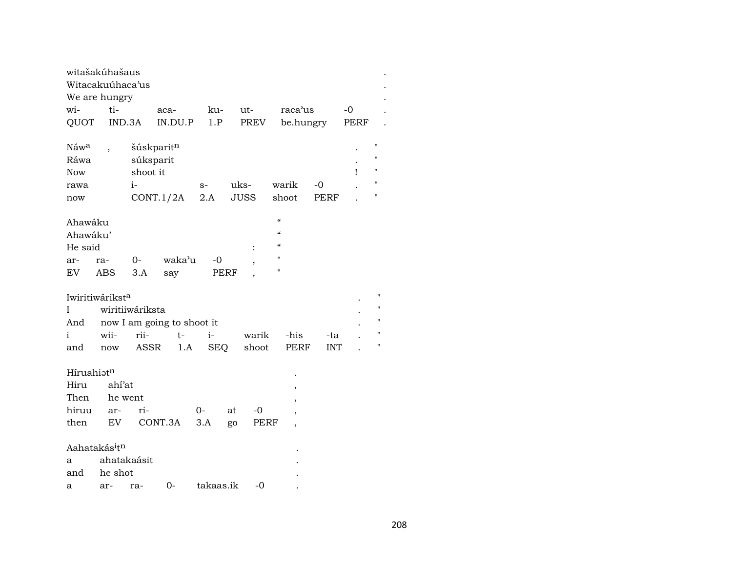|                  | witašakúhašaus<br>Witacakuúhaca'us    |                 |                            |           |      |       |                          |             |      |                    |
|------------------|---------------------------------------|-----------------|----------------------------|-----------|------|-------|--------------------------|-------------|------|--------------------|
|                  | We are hungry                         |                 |                            |           |      |       |                          |             |      |                    |
| wi-              | ti-                                   |                 | aca-                       | ku-       |      | ut-   | raca'us                  |             | -0   |                    |
| QUOT             | IND.3A                                |                 | IN.DU.P                    | 1.P       |      | PREV  | be.hungry                |             | PERF |                    |
|                  |                                       |                 |                            |           |      |       |                          |             |      |                    |
| Náw <sup>a</sup> |                                       |                 | šúskparitn                 |           |      |       |                          |             |      |                    |
| Ráwa             |                                       |                 | súksparit                  |           |      |       |                          |             |      | $^{\prime\prime}$  |
| Now              |                                       | shoot it        |                            |           |      |       |                          |             | ı    |                    |
| rawa             |                                       | $i-$            |                            | $S-$      | uks- |       | warik                    | $-0$        |      |                    |
| now              |                                       |                 | CONT.1/2A                  | 2.A       |      | JUSS  | shoot                    | <b>PERF</b> |      | Ħ                  |
|                  |                                       |                 |                            |           |      |       |                          |             |      |                    |
| Ahawáku          |                                       |                 |                            |           |      |       | $\mathcal{C}$<br>$\mu$   |             |      |                    |
| Ahawáku'         |                                       |                 |                            |           |      |       |                          |             |      |                    |
| He said          |                                       |                 |                            |           |      |       | $\alpha$                 |             |      |                    |
| ar-              | ra-                                   | $0-$            | waka'u                     | -0        |      |       | П                        |             |      |                    |
| EV               | ABS                                   | 3.A             | say                        | PERF      |      |       | Ħ                        |             |      |                    |
|                  | Iwiritiwáriksta                       |                 |                            |           |      |       |                          |             |      | $\blacksquare$     |
| I                |                                       | wiritiiwáriksta |                            |           |      |       |                          |             |      | $\pmb{\mathsf{H}}$ |
| And              |                                       |                 | now I am going to shoot it |           |      |       |                          |             |      | н                  |
| i                | wii-                                  | rii-            | $t-$                       | $i-$      |      | warik | -his                     | -ta         |      | $\pmb{\mathsf{H}}$ |
| and              | now                                   | ASSR            | 1.A                        | SEQ       |      | shoot | <b>PERF</b>              | <b>INT</b>  |      |                    |
|                  |                                       |                 |                            |           |      |       |                          |             |      |                    |
| Híruahiatn       |                                       |                 |                            |           |      |       |                          |             |      |                    |
| Hiru             | ahí'at                                |                 |                            |           |      |       |                          |             |      |                    |
| Then             | he went                               |                 |                            |           |      |       |                          |             |      |                    |
| hiruu            | ar-                                   | ri-             |                            | $0-$      | at   | $-0$  |                          |             |      |                    |
| then             | EV                                    |                 | CONT.3A                    | 3.A       | go   | PERF  |                          |             |      |                    |
|                  |                                       |                 |                            |           |      |       | $\overline{\phantom{a}}$ |             |      |                    |
|                  | Aahatakás <sup>i</sup> t <sup>n</sup> |                 |                            |           |      |       |                          |             |      |                    |
| a                | ahatakaásit                           |                 |                            |           |      |       |                          |             |      |                    |
| and              | he shot                               |                 |                            |           |      |       |                          |             |      |                    |
| а                | ar-                                   | ra-             | 0-                         | takaas.ik |      | -0    |                          |             |      |                    |

 $\cdot$  $\cdot$  $\ddot{\phantom{0}}$  $\cdot$  $\bullet$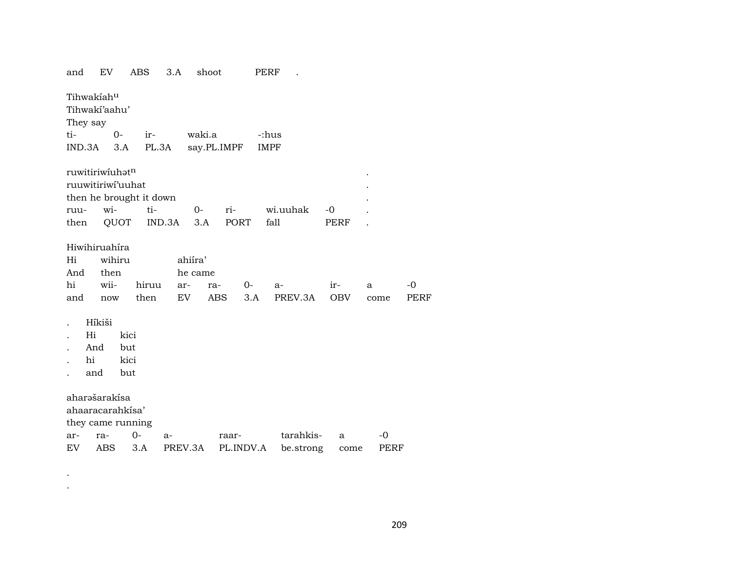| and      | EV                |        | <b>ABS</b>              | 3.A    | shoot       |       | PERF      |             |            |      |      |  |
|----------|-------------------|--------|-------------------------|--------|-------------|-------|-----------|-------------|------------|------|------|--|
|          | Tihwakiahu        |        |                         |        |             |       |           |             |            |      |      |  |
|          | Tihwaki'aahu'     |        |                         |        |             |       |           |             |            |      |      |  |
| They say |                   |        |                         |        |             |       |           |             |            |      |      |  |
| ti-      |                   | $0-$   | ir-                     |        | waki.a      |       |           | -:hus       |            |      |      |  |
| IND.3A   |                   | 3.A    | PL.3A                   |        | say.PL.IMPF |       |           | <b>IMPF</b> |            |      |      |  |
|          | ruwitiriwiuhatn   |        |                         |        |             |       |           |             |            |      |      |  |
|          | ruuwitiriwi'uuhat |        |                         |        |             |       |           |             |            |      |      |  |
|          |                   |        | then he brought it down |        |             |       |           |             |            |      |      |  |
| ruu-     | wi-               |        | ti-                     |        | $O-$        | ri-   |           | wi.uuhak    | $-0$       |      |      |  |
| then     |                   | QUOT   |                         | IND.3A | 3.A         | PORT  |           | fall        | PERF       |      |      |  |
|          |                   |        |                         |        |             |       |           |             |            |      |      |  |
|          | Hiwihiruahíra     |        |                         |        |             |       |           |             |            |      |      |  |
| Hi       |                   | wihiru |                         |        | ahiíra'     |       |           |             |            |      |      |  |
| And      | then              |        |                         |        | he came     |       |           |             |            |      |      |  |
| hi       | wii-              |        | hiruu                   |        | ar-<br>ra-  |       | $O-$      | a-          | ir-        | a    | -0   |  |
| and      | now               |        | then                    |        | EV          | ABS   | 3.A       | PREV.3A     | <b>OBV</b> | come | PERF |  |
|          | Híkiši            |        |                         |        |             |       |           |             |            |      |      |  |
|          | Hi                | kici   |                         |        |             |       |           |             |            |      |      |  |
|          | And               | but    |                         |        |             |       |           |             |            |      |      |  |
|          | hi                | kici   |                         |        |             |       |           |             |            |      |      |  |
|          | and               | but    |                         |        |             |       |           |             |            |      |      |  |
|          | aharəšarakísa     |        |                         |        |             |       |           |             |            |      |      |  |
|          | ahaaracarahkisa'  |        |                         |        |             |       |           |             |            |      |      |  |
|          | they came running |        |                         |        |             |       |           |             |            |      |      |  |
| ar-      | ra-               |        | $0-$                    | a-     |             | raar- |           | tarahkis-   | a          | -0   |      |  |
| EV       | ABS               |        | 3.A                     |        | PREV.3A     |       | PL.INDV.A | be.strong   | come       | PERF |      |  |
|          |                   |        |                         |        |             |       |           |             |            |      |      |  |

. .

209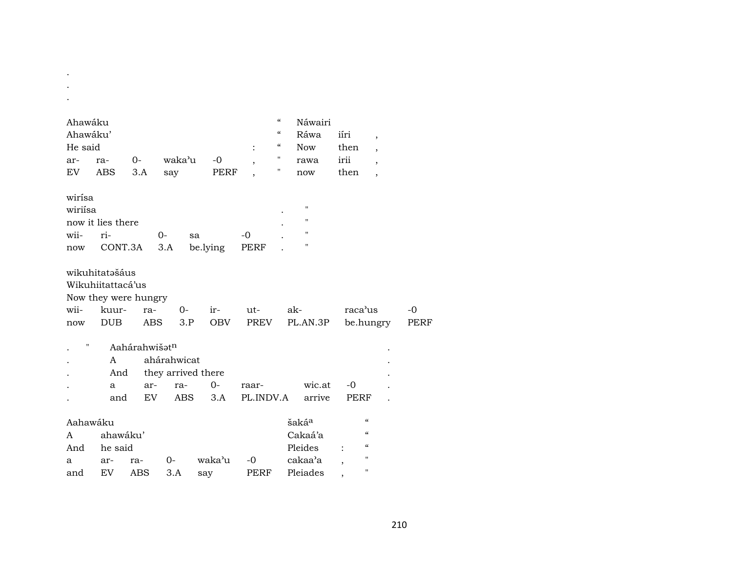| Ahawáku  |                   |                      |             |                    |                | $\mathcal{C}$            | Náwairi            |                                        |                          |             |
|----------|-------------------|----------------------|-------------|--------------------|----------------|--------------------------|--------------------|----------------------------------------|--------------------------|-------------|
| Ahawáku' |                   |                      |             |                    |                | $\pmb{\zeta}\pmb{\zeta}$ | Ráwa               | iíri                                   | $\overline{ }$           |             |
| He said  |                   |                      |             |                    | $\ddot{\cdot}$ | $\mathcal{C}\mathcal{C}$ | <b>Now</b>         | then                                   | $\overline{\phantom{a}}$ |             |
| ar-      | ra-               | $0-$                 | waka'u      | $-0$               |                | $\pmb{\mathsf{H}}$       | rawa               | irii                                   | $\overline{\phantom{a}}$ |             |
| EV       | <b>ABS</b>        | 3.A                  | say         | PERF               |                | 11                       | now                | then                                   | $\overline{\phantom{a}}$ |             |
|          |                   |                      |             |                    |                |                          |                    |                                        |                          |             |
| wirísa   |                   |                      |             |                    |                |                          |                    |                                        |                          |             |
| wiriísa  |                   |                      |             |                    |                |                          | $\pmb{\mathsf{H}}$ |                                        |                          |             |
|          | now it lies there |                      |             |                    |                |                          | $\mathbf{H}$       |                                        |                          |             |
| wii-     | ri-               |                      | $0-$        | sa                 | $-0$           |                          | $\mathbf H$        |                                        |                          |             |
| now      | CONT.3A           |                      | 3.A         | be.lying           | PERF           |                          | п                  |                                        |                          |             |
|          |                   |                      |             |                    |                |                          |                    |                                        |                          |             |
|          | wikuhitatəšáus    |                      |             |                    |                |                          |                    |                                        |                          |             |
|          | Wikuhiitattacá'us |                      |             |                    |                |                          |                    |                                        |                          |             |
|          |                   | Now they were hungry |             |                    |                |                          |                    |                                        |                          |             |
| wii-     | kuur-             | ra-                  | $0-$        | ir-                | ut-            |                          | ak-                | raca'us                                |                          | $-0$        |
| now      | <b>DUB</b>        | <b>ABS</b>           | 3.P         | <b>OBV</b>         | <b>PREV</b>    |                          | PL.AN.3P           | be.hungry                              |                          | <b>PERF</b> |
| п        |                   | Aahárahwišatn        |             |                    |                |                          |                    |                                        |                          |             |
|          | A                 |                      | ahárahwicat |                    |                |                          |                    |                                        |                          |             |
|          | And               |                      |             | they arrived there |                |                          |                    |                                        |                          |             |
|          | a                 | ar-                  | ra-         | $0-$               | raar-          |                          | wic.at             | $-0$                                   |                          |             |
|          | and               | EV                   | ABS         | 3.A                | PL.INDV.A      |                          | arrive             | <b>PERF</b>                            |                          |             |
|          |                   |                      |             |                    |                |                          |                    |                                        |                          |             |
| Aahawáku |                   |                      |             |                    |                |                          | šaká <sup>a</sup>  | $\boldsymbol{\mathcal{C}}$             |                          |             |
| A        | ahawáku'          |                      |             |                    |                |                          | Cakaá'a            | $\boldsymbol{\zeta}\boldsymbol{\zeta}$ |                          |             |
| And      | he said           |                      |             |                    |                |                          | Pleides            | $\boldsymbol{\zeta}\boldsymbol{\zeta}$ |                          |             |
| a        | ar-               | ra-                  | $0-$        | waka'u             | -0             |                          | cakaa'a            | "                                      |                          |             |
| and      | <b>EV</b>         | ABS                  | 3.A         | say                | PERF           |                          | Pleiades           | $\pmb{\mathsf{H}}$                     |                          |             |

. .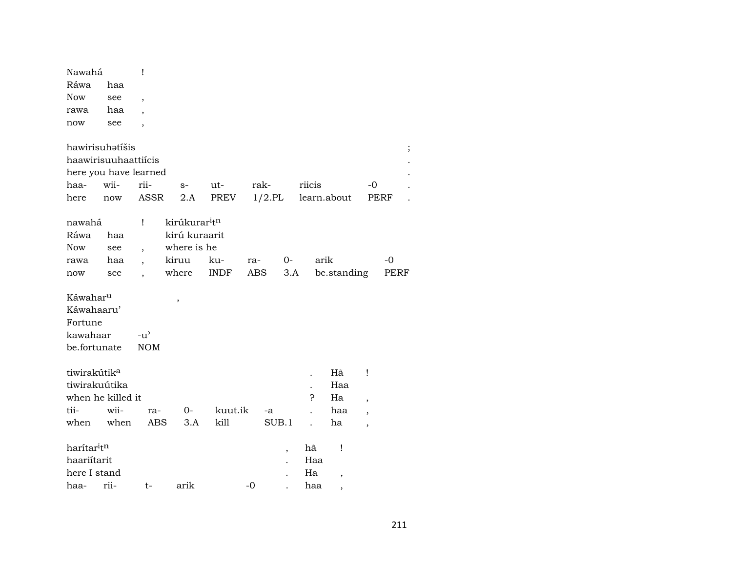| Nawahá                   |      | Ţ                        |                                       |             |           |                          |             |             |                          |      |
|--------------------------|------|--------------------------|---------------------------------------|-------------|-----------|--------------------------|-------------|-------------|--------------------------|------|
| Ráwa                     | haa  |                          |                                       |             |           |                          |             |             |                          |      |
| <b>Now</b>               | see  | ,                        |                                       |             |           |                          |             |             |                          |      |
| rawa                     | haa  |                          |                                       |             |           |                          |             |             |                          |      |
| now                      | see  | $\overline{\phantom{a}}$ |                                       |             |           |                          |             |             |                          |      |
| hawirisuhatíšis          |      |                          |                                       |             |           |                          |             |             |                          |      |
| haawirisuuhaattiícis     |      |                          |                                       |             |           |                          |             |             |                          |      |
| here you have learned    |      |                          |                                       |             |           |                          |             |             |                          |      |
| haa-                     | wii- | rii-                     | $S-$                                  | ut-         | rak-      |                          | riicis      |             | $-0$                     |      |
| here                     | now  | <b>ASSR</b>              | 2.A                                   | PREV        | $1/2$ .PL |                          | learn.about |             |                          | PERF |
| nawahá                   |      | Ţ                        | kirúkurar <sup>i</sup> t <sup>n</sup> |             |           |                          |             |             |                          |      |
| Ráwa                     | haa  |                          | kirú kuraarit                         |             |           |                          |             |             |                          |      |
| <b>Now</b>               | see  | ,                        | where is he                           |             |           |                          |             |             |                          |      |
| rawa                     | haa  |                          | kiruu                                 | ku-         | ra-       | $0-$                     | arik        |             |                          | $-0$ |
| now                      | see  |                          | where                                 | <b>INDF</b> | ABS       | 3.A                      |             | be.standing |                          | PERF |
| Káwahar <sup>u</sup>     |      |                          | ,                                     |             |           |                          |             |             |                          |      |
| Káwahaaru'               |      |                          |                                       |             |           |                          |             |             |                          |      |
| Fortune                  |      |                          |                                       |             |           |                          |             |             |                          |      |
| kawahaar                 |      | $-u^{\prime}$            |                                       |             |           |                          |             |             |                          |      |
| be.fortunate             |      | <b>NOM</b>               |                                       |             |           |                          |             |             |                          |      |
| tiwirakútik <sup>a</sup> |      |                          |                                       |             |           |                          |             | Hã          | Ţ                        |      |
| tiwirakuútika            |      |                          |                                       |             |           |                          |             | Haa         |                          |      |
| when he killed it        |      |                          |                                       |             |           |                          | ?           | Ha          | $\overline{\phantom{a}}$ |      |
| tii-                     | wii- | ra-                      | 0-                                    | kuut.ik     | -a        |                          |             | haa         | $\overline{\phantom{a}}$ |      |
| when                     | when | <b>ABS</b>               | 3.A                                   | kill        |           | SUB.1                    |             | ha          | ,                        |      |
| harítar <sup>i</sup> tn  |      |                          |                                       |             |           | $\overline{\phantom{a}}$ | hã          | Ţ           |                          |      |
| haariítarit              |      |                          |                                       |             |           |                          | Haa         |             |                          |      |
| here I stand             |      |                          |                                       |             |           |                          | Ha          |             |                          |      |
| haa-                     | rii- | t-                       | arik                                  |             | -0        |                          | haa         |             |                          |      |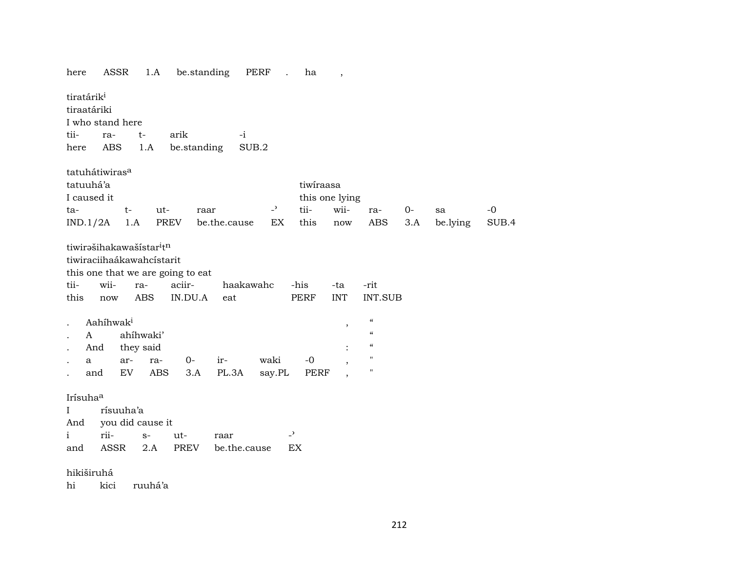| ASSR<br>here                                                                                                                                                                                      | 1.A                                                                           | be.standing                      | PERF                             | $\ddot{\phantom{a}}$ | ha                                         | $\cdot$                     |                                                                                                                                                                               |     |          |       |
|---------------------------------------------------------------------------------------------------------------------------------------------------------------------------------------------------|-------------------------------------------------------------------------------|----------------------------------|----------------------------------|----------------------|--------------------------------------------|-----------------------------|-------------------------------------------------------------------------------------------------------------------------------------------------------------------------------|-----|----------|-------|
| tiratárik <sup>i</sup><br>tiraatáriki<br>I who stand here<br>tii-<br>ra-<br>ABS<br>here                                                                                                           | $t-$<br>1.A                                                                   | arik<br>be.standing              | $-i$<br>SUB.2                    |                      |                                            |                             |                                                                                                                                                                               |     |          |       |
| tatuhátiwiras <sup>a</sup><br>tatuuhá'a<br>I caused it                                                                                                                                            |                                                                               |                                  |                                  |                      | tiwiraasa                                  | this one lying              |                                                                                                                                                                               |     |          |       |
| ta-                                                                                                                                                                                               | t-<br>ut-                                                                     | raar                             |                                  | $-$ <sup>2</sup>     | tii-                                       | wii-                        | ra-                                                                                                                                                                           | 0-  | sa       | $-0$  |
| IND.1/2A                                                                                                                                                                                          | 1.A                                                                           | PREV                             | be.the.cause                     | EX                   | this                                       | $\operatorname{now}$        | ABS                                                                                                                                                                           | 3.A | be.lying | SUB.4 |
| tiwirašihakawašístar <sup>i</sup> tn<br>tiwiraciihaákawahcístarit<br>this one that we are going to eat<br>tii-<br>wii-<br>this<br>now<br>Aahihwak <sup>i</sup><br>$\mathbf{A}$<br>And<br>a<br>and | ra-<br><b>ABS</b><br>ahíhwaki'<br>they said<br>ar-<br>ra-<br>EV<br><b>ABS</b> | aciir-<br>IN.DU.A<br>$0-$<br>3.A | haakawahc<br>eat<br>ir-<br>PL.3A | waki<br>say.PL       | -his<br><b>PERF</b><br>$-0$<br><b>PERF</b> | -ta<br><b>INT</b><br>$\, ,$ | -rit<br><b>INT.SUB</b><br>$\boldsymbol{\zeta}\boldsymbol{\zeta}$<br>$\pmb{\mathcal{C}}$<br>$\boldsymbol{\zeta}\boldsymbol{\zeta}$<br>$\pmb{\mathsf{H}}$<br>$\pmb{\mathsf{H}}$ |     |          |       |
| Irísuhaa<br>$\mathbf I$<br>And<br>rii-<br>i                                                                                                                                                       | rísuuha'a<br>you did cause it<br>$S-$                                         | ut-                              | raar                             |                      | $\overline{\phantom{0}}$                   |                             |                                                                                                                                                                               |     |          |       |
| ASSR<br>and                                                                                                                                                                                       | 2.A                                                                           | PREV                             | be.the.cause                     |                      | EX                                         |                             |                                                                                                                                                                               |     |          |       |
| hikiširuhá<br>hi<br>kici                                                                                                                                                                          | ruuhá'a                                                                       |                                  |                                  |                      |                                            |                             |                                                                                                                                                                               |     |          |       |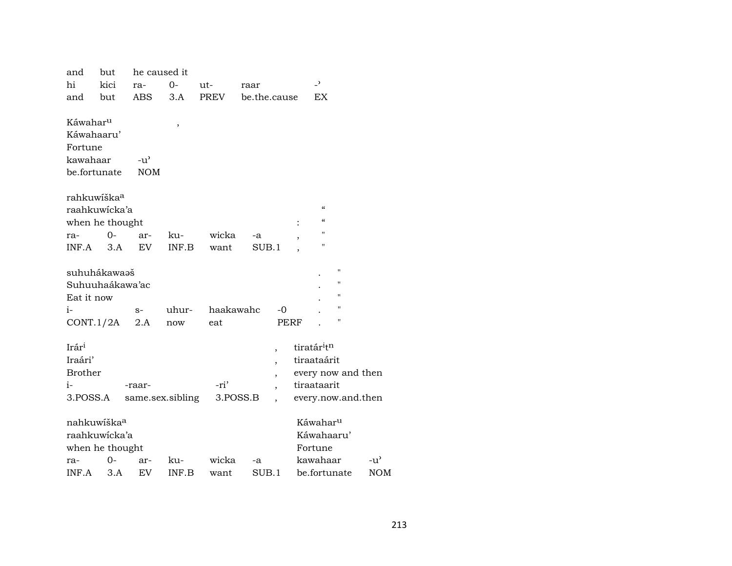| and                  | but                     | he caused it     |        |             |          |                          |                                        |                |               |
|----------------------|-------------------------|------------------|--------|-------------|----------|--------------------------|----------------------------------------|----------------|---------------|
| hi                   | kici                    | ra-              | 0-     | ut-         | raar     |                          | $\overline{\phantom{a}}$               |                |               |
| and                  | but                     | <b>ABS</b>       | 3.A    | <b>PREV</b> |          | be.the.cause             | <b>EX</b>                              |                |               |
| Káwahar <sup>u</sup> |                         |                  |        |             |          |                          |                                        |                |               |
| Káwahaaru'           |                         |                  | $\, ,$ |             |          |                          |                                        |                |               |
| Fortune              |                         |                  |        |             |          |                          |                                        |                |               |
| kawahaar             |                         | $-u^{\prime}$    |        |             |          |                          |                                        |                |               |
|                      | be.fortunate            | <b>NOM</b>       |        |             |          |                          |                                        |                |               |
|                      | rahkuwíška <sup>a</sup> |                  |        |             |          |                          |                                        |                |               |
|                      | raahkuwicka'a           |                  |        |             |          |                          | $\boldsymbol{\zeta}\boldsymbol{\zeta}$ |                |               |
|                      | when he thought         |                  |        |             |          |                          | $\boldsymbol{\zeta}\boldsymbol{\zeta}$ |                |               |
| ra-                  | $0-$                    | ar-              | ku-    | wicka       | -a       |                          | п                                      |                |               |
| INF.A                | 3.A                     | <b>EV</b>        | INF.B  | want        | SUB.1    |                          | п                                      |                |               |
|                      | suhuhákawaəš            |                  |        |             |          |                          |                                        | $\blacksquare$ |               |
|                      | Suhuuhaákawa'ac         |                  |        |             |          |                          |                                        | $\blacksquare$ |               |
| Eat it now           |                         |                  |        |             |          |                          |                                        | "              |               |
| i-                   |                         | $S-$             | uhur-  | haakawahc   |          | -0                       |                                        | "              |               |
| CONT.1/2A            |                         | 2.A              | now    | eat         |          | <b>PERF</b>              |                                        | $\blacksquare$ |               |
|                      |                         |                  |        |             |          |                          |                                        |                |               |
| Irár <sup>i</sup>    |                         |                  |        |             |          | $\overline{\phantom{a}}$ | tiratáritn                             |                |               |
| Iraári'              |                         |                  |        |             |          |                          | tiraataárit                            |                |               |
| <b>Brother</b>       |                         |                  |        |             |          | $\overline{\phantom{a}}$ | every now and then                     |                |               |
| i-                   |                         | -raar-           |        | -ri'        |          | $\overline{\phantom{a}}$ | tiraataarit                            |                |               |
| 3.POSS.A             |                         | same.sex.sibling |        |             | 3.POSS.B |                          | every.now.and.then                     |                |               |
|                      | nahkuwíška <sup>a</sup> |                  |        |             |          |                          | Káwahar <sup>u</sup>                   |                |               |
|                      | raahkuwícka'a           |                  |        |             |          |                          | Káwahaaru'                             |                |               |
|                      | when he thought         |                  |        |             |          |                          | Fortune                                |                |               |
| ra-                  | 0-                      | ar-              | ku-    | wicka       | -a       |                          | kawahaar                               |                | $-u^{\prime}$ |
| INF.A                | 3.A                     | EV               | INF.B  | want        | SUB.1    |                          | be.fortunate                           |                | <b>NOM</b>    |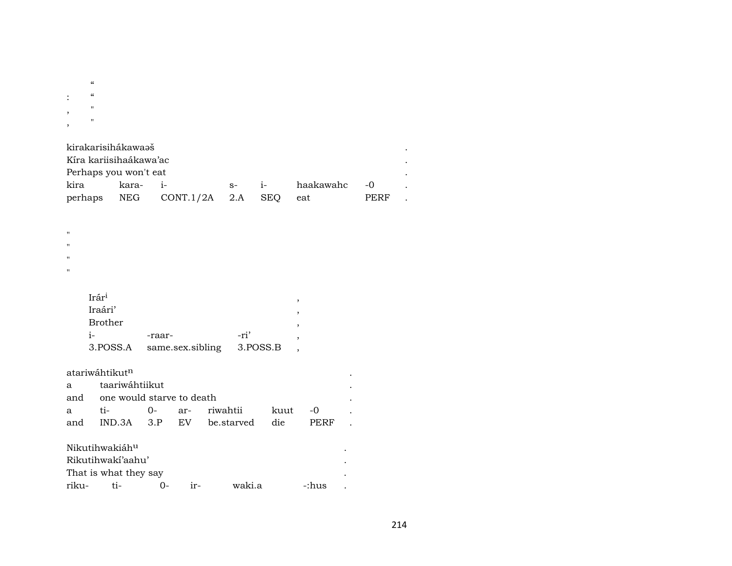|                        | $\epsilon$              |
|------------------------|-------------------------|
| $\bullet$<br>$\bullet$ | $\epsilon$              |
| ,                      | $^{\prime\prime}$       |
| ,                      | $\blacksquare$          |
|                        | kirakarisihákawaaš<br>٠ |

| Kíra kariisihaákawa'ac |                               |         |              |             |  |
|------------------------|-------------------------------|---------|--------------|-------------|--|
| Perhaps you won't eat  |                               |         |              |             |  |
| kira kara- i-          |                               | $s-$ i- | haakawahc -0 |             |  |
|                        | perhaps NEG CONT.1/2A 2.A SEQ |         | eat          | <b>PERF</b> |  |

| Ħ<br>Ħ |                |   |
|--------|----------------|---|
| Ħ      |                |   |
|        | Irári          | , |
|        | Iraári'        | , |
|        | <b>Brother</b> | , |

 $\mathbf{u}$ 

| -raar-                               | -ri' |  |
|--------------------------------------|------|--|
| 3. POSS.A same.sex.sibling 3. POSS.B |      |  |

|     | atariwáhtikut <sup>n</sup>    |                          |  |                 |      |       |  |
|-----|-------------------------------|--------------------------|--|-----------------|------|-------|--|
| a   | taariwáhtiikut                |                          |  |                 |      |       |  |
|     | and one would starve to death |                          |  |                 |      |       |  |
| a   | ti-                           |                          |  | 0- ar- riwahtii | kuut | $-0$  |  |
| and |                               | IND.3A 3.P EV be.starved |  | die             | PERF |       |  |
|     | Nikutihwakiáh <sup>u</sup>    |                          |  |                 |      |       |  |
|     | Rikutihwaki'aahu'             |                          |  |                 |      |       |  |
|     | That is what they say         |                          |  |                 |      |       |  |
|     | riku- ti-                     |                          |  | waki.a          |      | -:hus |  |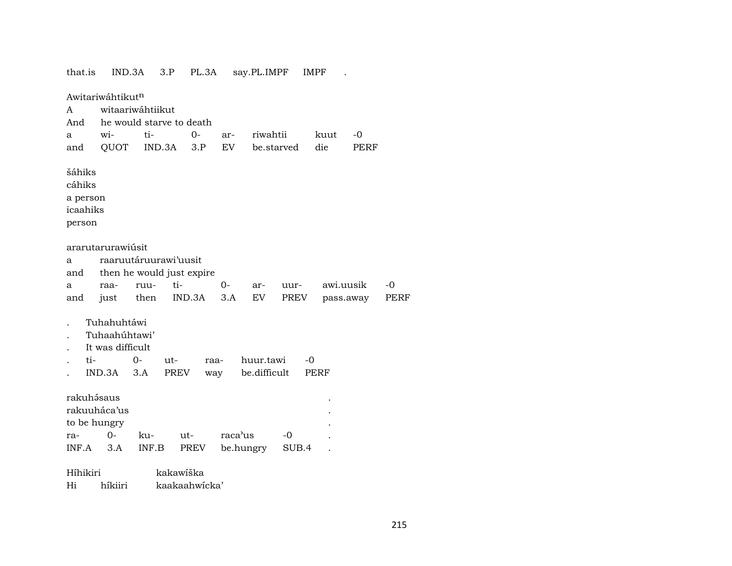| that.is                                            | IND.3A                                                     |             | 3.P           | PL.3A       |         | say.PL.IMPF               |       | <b>IMPF</b> |      |      |
|----------------------------------------------------|------------------------------------------------------------|-------------|---------------|-------------|---------|---------------------------|-------|-------------|------|------|
|                                                    | Awitariwáhtikutn                                           |             |               |             |         |                           |       |             |      |      |
| A                                                  | witaariwáhtiikut                                           |             |               |             |         |                           |       |             |      |      |
| And                                                | he would starve to death                                   |             |               |             |         |                           |       |             |      |      |
| a                                                  | wi-                                                        | ti-         |               | $0-$        | ar-     | riwahtii                  |       | kuut        | -0   |      |
| and                                                | QUOT                                                       |             | IND.3A        | 3.P         | EV      | be.starved                |       | die         | PERF |      |
| šáhiks<br>cáhiks<br>a person<br>icaahiks<br>person |                                                            |             |               |             |         |                           |       |             |      |      |
|                                                    | ararutarurawiúsit                                          |             |               |             |         |                           |       |             |      |      |
| a                                                  | raaruutáruurawi'uusit                                      |             |               |             |         |                           |       |             |      |      |
| and                                                | then he would just expire                                  |             |               |             |         |                           |       |             |      |      |
| a                                                  | raa-                                                       | ruu-        | ti-           |             | $O -$   | ar-                       | uur-  | awi.uusik   |      | -0   |
| and                                                | just                                                       | then        |               | IND.3A      | 3.A     | EV                        | PREV  | pass.away   |      | PERF |
| ti-                                                | Tuhahuhtáwi<br>Tuhaahúhtawi'<br>It was difficult<br>IND.3A | $0-$<br>3.A | $ut-$<br>PREV | raa-<br>way |         | huur.tawi<br>be.difficult |       | -0<br>PERF  |      |      |
| rakuhásaus<br>to be hungry                         | rakuuháca'us                                               |             |               |             |         |                           |       |             |      |      |
| ra-                                                | $O -$                                                      | ku-         | ut-           |             | raca'us |                           | -0    |             |      |      |
| INF.A                                              | 3.A                                                        | INF.B       |               | PREV        |         | be.hungry                 | SUB.4 |             |      |      |
| Híhikiri                                           |                                                            |             | kakawiška     |             |         |                           |       |             |      |      |
| Hi                                                 | híkiiri                                                    |             | kaakaahwicka' |             |         |                           |       |             |      |      |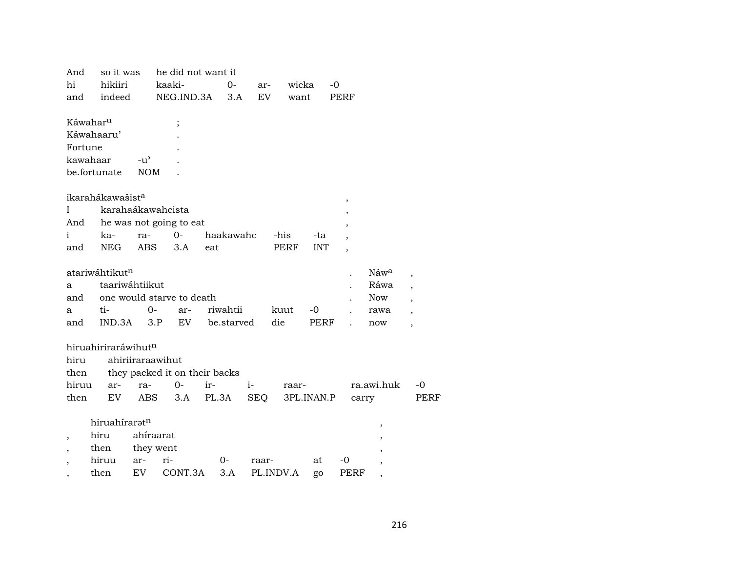| And                      | so it was                    |                                     | he did not want it            |     |            |       |           |             |      |       |                          |                          |
|--------------------------|------------------------------|-------------------------------------|-------------------------------|-----|------------|-------|-----------|-------------|------|-------|--------------------------|--------------------------|
| hi                       | hikiiri                      |                                     | kaaki-                        |     | $\Omega$   | ar-   |           | wicka       | -0   |       |                          |                          |
| and                      | indeed                       |                                     | NEG.IND.3A                    |     | 3.A        | EV.   |           | want        | PERF |       |                          |                          |
| Káwahar <sup>u</sup>     |                              |                                     | $\vdots$                      |     |            |       |           |             |      |       |                          |                          |
|                          | Káwahaaru'                   |                                     |                               |     |            |       |           |             |      |       |                          |                          |
| Fortune                  |                              |                                     |                               |     |            |       |           |             |      |       |                          |                          |
| kawahaar                 |                              | $-u$ <sup><math>\prime</math></sup> |                               |     |            |       |           |             |      |       |                          |                          |
|                          | be.fortunate                 | <b>NOM</b>                          |                               |     |            |       |           |             |      |       |                          |                          |
|                          | ikarahákawašist <sup>a</sup> |                                     |                               |     |            |       |           |             | $\,$ |       |                          |                          |
| $\mathbf{I}$             |                              |                                     | karahaákawahcista             |     |            |       |           |             |      |       |                          |                          |
| And                      |                              |                                     | he was not going to eat       |     |            |       |           |             |      |       |                          |                          |
| $\mathbf{i}$             | ka-                          | ra-                                 | $0-$                          |     | haakawahc  |       | -his      | -ta         |      |       |                          |                          |
| and                      | <b>NEG</b>                   | <b>ABS</b>                          | 3.A                           | eat |            |       | PERF      | <b>INT</b>  |      |       |                          |                          |
|                          | atariwáhtikutn               |                                     |                               |     |            |       |           |             |      |       | Náw <sup>a</sup>         | $\overline{\phantom{a}}$ |
| a                        | taariwáhtiikut               |                                     |                               |     |            |       |           |             |      |       | Ráwa                     | $\overline{\phantom{a}}$ |
| and                      |                              |                                     | one would starve to death     |     |            |       |           |             |      |       | <b>Now</b>               | $\overline{\phantom{a}}$ |
| a                        | ti-                          | $0-$                                | ar-                           |     | riwahtii   |       | kuut      | $-0$        |      |       | rawa                     | $\overline{\phantom{a}}$ |
| and                      | IND.3A                       |                                     | EV.<br>3.P                    |     | be.starved |       | die       | <b>PERF</b> |      |       | now                      | $\overline{\phantom{a}}$ |
|                          | hiruahiriraráwihutn          |                                     |                               |     |            |       |           |             |      |       |                          |                          |
| hiru                     |                              |                                     | ahiriiraraawihut              |     |            |       |           |             |      |       |                          |                          |
| then                     |                              |                                     | they packed it on their backs |     |            |       |           |             |      |       |                          |                          |
| hiruu                    | ar-                          | ra-                                 | $0-$                          | ir- |            | $i-$  |           | raar-       |      |       | ra.awi.huk               | $-0$                     |
| then                     | EV                           | <b>ABS</b>                          | 3.A                           |     | PL.3A      | SEQ   |           | 3PL.INAN.P  |      | carry |                          | <b>PERF</b>              |
|                          | hiruahíraratn                |                                     |                               |     |            |       |           |             |      |       | $\, ,$                   |                          |
| $\overline{\phantom{a}}$ | hiru                         | ahíraarat                           |                               |     |            |       |           |             |      |       |                          |                          |
| $\overline{ }$           | then                         | they went                           |                               |     |            |       |           |             |      |       |                          |                          |
|                          | hiruu                        | ar-                                 | ri-                           |     | 0-         | raar- |           | at          | -0   |       |                          |                          |
| $\overline{ }$           | then                         | EV                                  | CONT.3A                       |     | 3.A        |       | PL.INDV.A | go          | PERF |       | $\overline{\phantom{a}}$ |                          |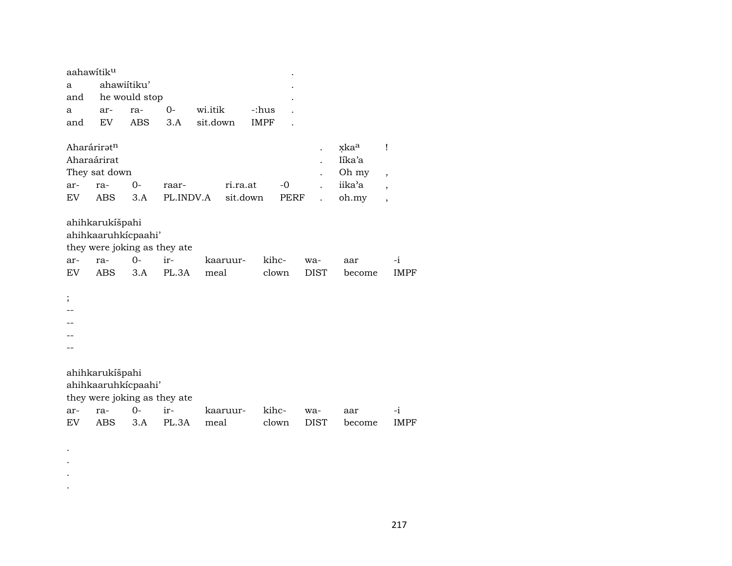| aahawitik <sup>u</sup>     |                                                                                             |               |              |                  |             |                |                    |                         |                               |
|----------------------------|---------------------------------------------------------------------------------------------|---------------|--------------|------------------|-------------|----------------|--------------------|-------------------------|-------------------------------|
| а                          | ahawiitiku'                                                                                 |               |              |                  |             |                |                    |                         |                               |
| and                        |                                                                                             | he would stop |              |                  |             |                |                    |                         |                               |
| a                          | ar-                                                                                         | ra-           | $0-$         | wi.itik          | -:hus       |                |                    |                         |                               |
| and                        | EV                                                                                          | <b>ABS</b>    | 3.A          | sit.down         | <b>IMPF</b> |                |                    |                         |                               |
| Aharáriratn<br>Aharaárirat | They sat down                                                                               |               |              |                  |             |                |                    | xkaa<br>Iíka'a<br>Oh my | Ţ<br>$\overline{\phantom{a}}$ |
| ar-                        | ra-                                                                                         | $0-$          | raar-        |                  | ri.ra.at    | -0             |                    | iika'a                  | $\overline{\phantom{a}}$      |
| EV                         | <b>ABS</b>                                                                                  | 3.A           | PL.INDV.A    |                  | sit.down    | PERF           |                    | oh.my                   | $\overline{\phantom{a}}$      |
| ar-<br>EV <sub></sub><br>; | ahihkarukíšpahi<br>ahihkaaruhkicpaahi'<br>they were joking as they ate<br>ra-<br><b>ABS</b> | $O -$<br>3.A  | ir-<br>PL.3A | kaaruur-<br>meal |             | kihc-<br>clown | wa-<br><b>DIST</b> | aar<br>become           | -i<br><b>IMPF</b>             |
|                            | ahihkarukíšpahi<br>ahihkaaruhkicpaahi'                                                      |               |              |                  |             |                |                    |                         |                               |
| ar-<br>EV                  | they were joking as they ate<br>ra-<br>ABS                                                  | $O -$<br>3.A  | ir-<br>PL.3A | kaaruur-<br>meal |             | kihc-<br>clown | wa-<br>DIST        | aar<br>become           | -i<br>IMPF                    |
|                            |                                                                                             |               |              |                  |             |                |                    |                         |                               |

 $\bullet$  $\langle \cdot \rangle$  $\langle \cdot \rangle$  $\ddot{\phantom{a}}$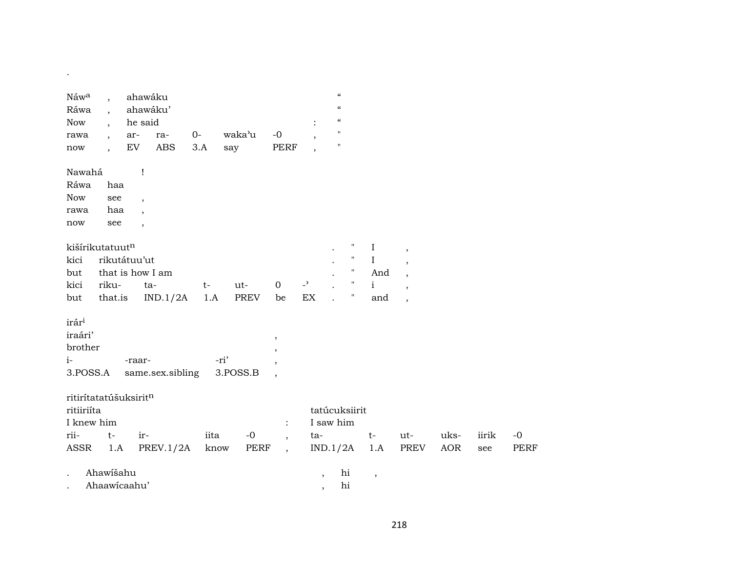| Náwa<br>Ráwa<br>Now                                         | $\overline{\phantom{a}}$<br>$\overline{\phantom{a}}$<br>$\overline{\phantom{a}}$ | ahawáku<br>ahawáku'<br>he said |             |                  |                          | $\ddot{\cdot}$                                       | $\boldsymbol{\mathcal{C}}$<br>$\pmb{\zeta}\pmb{\zeta}$<br>$\boldsymbol{\zeta}\boldsymbol{\zeta}$ |                    |              |                          |      |       |             |
|-------------------------------------------------------------|----------------------------------------------------------------------------------|--------------------------------|-------------|------------------|--------------------------|------------------------------------------------------|--------------------------------------------------------------------------------------------------|--------------------|--------------|--------------------------|------|-------|-------------|
| rawa<br>$\operatorname{now}$                                | $\overline{\phantom{a}}$<br>$\ddot{\phantom{0}}$                                 | ar-<br>ra-<br>ABS<br>EV        | $0-$<br>3.A | waka'u<br>say    | $-0$<br><b>PERF</b>      | $\overline{\phantom{a}}$<br>$\overline{\phantom{a}}$ | $\pmb{\mathsf{H}}$<br>$\pmb{\mathsf{H}}$                                                         |                    |              |                          |      |       |             |
| Nawahá                                                      |                                                                                  | $\mathbf{I}$                   |             |                  |                          |                                                      |                                                                                                  |                    |              |                          |      |       |             |
| Ráwa                                                        | haa                                                                              |                                |             |                  |                          |                                                      |                                                                                                  |                    |              |                          |      |       |             |
| Now                                                         | see                                                                              | $\overline{ }$                 |             |                  |                          |                                                      |                                                                                                  |                    |              |                          |      |       |             |
| rawa                                                        | haa                                                                              | $\cdot$                        |             |                  |                          |                                                      |                                                                                                  |                    |              |                          |      |       |             |
| $\operatorname{now}$                                        | see                                                                              | $\overline{\phantom{a}}$       |             |                  |                          |                                                      |                                                                                                  |                    |              |                          |      |       |             |
|                                                             | kišírikutatuutn                                                                  |                                |             |                  |                          |                                                      |                                                                                                  | 11                 | $\mathbf I$  | $\,$                     |      |       |             |
| kici                                                        | rikutátuu'ut                                                                     |                                |             |                  |                          |                                                      |                                                                                                  | $\pmb{\mathsf{H}}$ | $\rm I$      |                          |      |       |             |
| but                                                         |                                                                                  | that is how I am               |             |                  |                          |                                                      |                                                                                                  | $\pmb{\mathsf{H}}$ | And          |                          |      |       |             |
| kici                                                        | riku-                                                                            | ta-                            | $t-$        | ut-              | $\mathbf 0$              | $\overline{a}$                                       |                                                                                                  | $\pmb{\mathsf{H}}$ | $\mathbf{i}$ | $\overline{\phantom{a}}$ |      |       |             |
| but                                                         | that.is                                                                          | IND.1/2A                       | 1.A         | <b>PREV</b>      | be                       | EX                                                   |                                                                                                  | $\pmb{\cdot}$      | and          | $\overline{\phantom{a}}$ |      |       |             |
| irár <sup>i</sup><br>iraári'<br>brother<br>$i-$<br>3.POSS.A |                                                                                  | -raar-<br>same.sex.sibling     |             | -ri'<br>3.POSS.B | $^\mathrm{^{^\circ}}$    |                                                      |                                                                                                  |                    |              |                          |      |       |             |
|                                                             | ritirítatatúšuksiritn                                                            |                                |             |                  |                          |                                                      |                                                                                                  |                    |              |                          |      |       |             |
| ritiiriíta                                                  |                                                                                  |                                |             |                  |                          |                                                      | tatúcuksiirit                                                                                    |                    |              |                          |      |       |             |
| I knew him                                                  |                                                                                  |                                |             |                  | $\ddot{\cdot}$           |                                                      | I saw him                                                                                        |                    |              |                          |      |       |             |
| rii-                                                        | $t-$                                                                             | ir-                            | iita        | $-0$             | $\overline{\phantom{a}}$ | ta-                                                  |                                                                                                  |                    | $t-$         | ut-                      | uks- | iirik | $-0$        |
| ASSR                                                        | 1.A                                                                              | PREV.1/2A                      | know        | PERF             | $\overline{\phantom{a}}$ |                                                      | IND.1/2A                                                                                         |                    | 1.A          | PREV                     | AOR  | see   | <b>PERF</b> |
|                                                             | Ahawišahu                                                                        |                                |             |                  |                          | $\cdot$                                              | hi                                                                                               |                    | $\, ,$       |                          |      |       |             |
|                                                             | Ahaawicaahu'                                                                     |                                |             |                  |                          | $\, ,$                                               | hi                                                                                               |                    |              |                          |      |       |             |

 $\mathcal{L}^{\mathcal{L}}(\mathcal{L}^{\mathcal{L}}(\mathcal{L}^{\mathcal{L}}(\mathcal{L}^{\mathcal{L}}(\mathcal{L}^{\mathcal{L}}(\mathcal{L}^{\mathcal{L}}(\mathcal{L}^{\mathcal{L}}(\mathcal{L}^{\mathcal{L}}(\mathcal{L}^{\mathcal{L}}(\mathcal{L}^{\mathcal{L}}(\mathcal{L}^{\mathcal{L}}(\mathcal{L}^{\mathcal{L}}(\mathcal{L}^{\mathcal{L}}(\mathcal{L}^{\mathcal{L}}(\mathcal{L}^{\mathcal{L}}(\mathcal{L}^{\mathcal{L}}(\mathcal{L}^{\mathcal{L$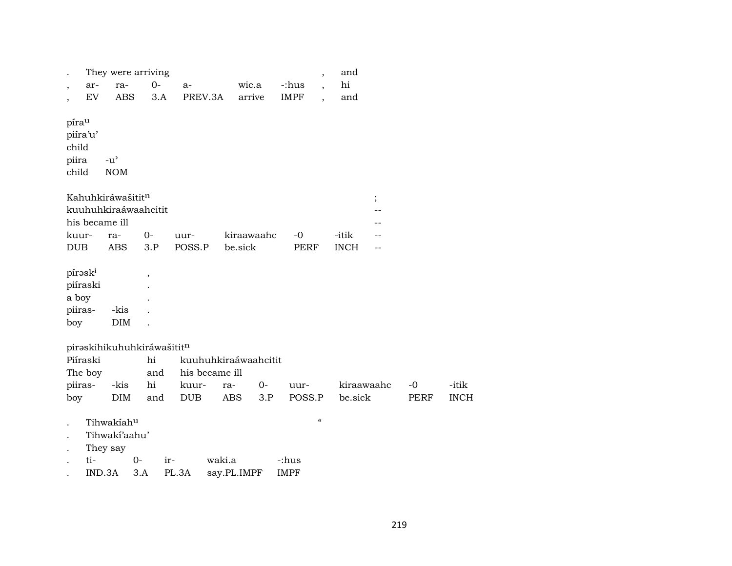|                                                 |        |                                     | They were arriving         |                      |             |      |             | $\overline{ }$                         | and         |     |      |             |
|-------------------------------------------------|--------|-------------------------------------|----------------------------|----------------------|-------------|------|-------------|----------------------------------------|-------------|-----|------|-------------|
| $\, ,$                                          | ar-    | ra-                                 | $O -$                      | $a-$                 | wic.a       |      | -:hus       |                                        | hi          |     |      |             |
| $\overline{\phantom{a}}$                        | EV     | <b>ABS</b>                          | 3.A                        | PREV.3A              | arrive      |      | <b>IMPF</b> | $\overline{\phantom{a}}$               | and         |     |      |             |
| píra <sup>u</sup><br>piíra'u'<br>child<br>piira |        | $-u^{\prime}$                       |                            |                      |             |      |             |                                        |             |     |      |             |
| child                                           |        | <b>NOM</b>                          |                            |                      |             |      |             |                                        |             |     |      |             |
|                                                 |        | Kahuhkiráwašititn<br>his became ill | kuuhuhkiraáwaahcitit       |                      |             |      |             |                                        | $\vdots$    | --  |      |             |
| kuur-                                           |        | ra-                                 | 0-                         | uur-                 | kiraawaahc  |      | -0          |                                        | -itik       |     |      |             |
| <b>DUB</b>                                      |        | ABS                                 | 3.P                        | POSS.P               | be.sick     |      | <b>PERF</b> |                                        | <b>INCH</b> | $-$ |      |             |
| pírask <sup>i</sup>                             |        |                                     | $\overline{\phantom{a}}$   |                      |             |      |             |                                        |             |     |      |             |
| piíraski                                        |        |                                     |                            |                      |             |      |             |                                        |             |     |      |             |
| a boy                                           |        |                                     |                            |                      |             |      |             |                                        |             |     |      |             |
| piiras-                                         |        | -kis                                |                            |                      |             |      |             |                                        |             |     |      |             |
| boy                                             |        | <b>DIM</b>                          |                            |                      |             |      |             |                                        |             |     |      |             |
|                                                 |        |                                     | piraskihikuhuhkiráwašititn |                      |             |      |             |                                        |             |     |      |             |
| Piíraski                                        |        |                                     | hi                         | kuuhuhkiraáwaahcitit |             |      |             |                                        |             |     |      |             |
| The boy                                         |        |                                     | and                        | his became ill       |             |      |             |                                        |             |     |      |             |
| piiras-                                         |        | -kis                                | hi                         | kuur-                | ra-         | $0-$ | uur-        |                                        | kiraawaahc  |     | $-0$ | -itik       |
| boy                                             |        | <b>DIM</b>                          | and                        | <b>DUB</b>           | ABS         | 3.P  | POSS.P      |                                        | be.sick     |     | PERF | <b>INCH</b> |
| $\overline{\phantom{a}}$                        |        | Tihwakiahu                          |                            |                      |             |      |             | $\boldsymbol{\zeta}\boldsymbol{\zeta}$ |             |     |      |             |
| $\ddot{\phantom{a}}$                            |        | Tihwakí'aahu'                       |                            |                      |             |      |             |                                        |             |     |      |             |
| $\cdot$                                         |        | They say                            |                            |                      |             |      |             |                                        |             |     |      |             |
|                                                 | ti-    |                                     | $0-$                       | ir-                  | waki.a      |      | -:hus       |                                        |             |     |      |             |
|                                                 | IND.3A |                                     | 3.A                        | PL.3A                | say.PL.IMPF |      | <b>IMPF</b> |                                        |             |     |      |             |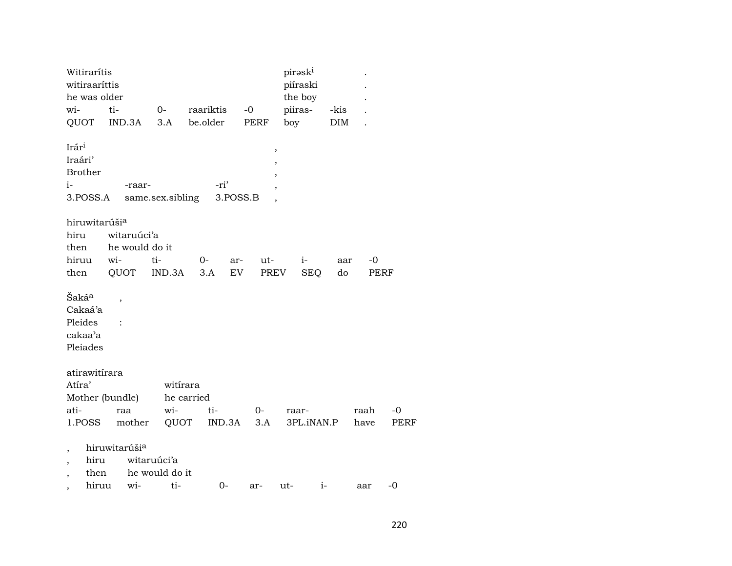| Witirarítis<br>witiraaríttis<br>he was older                   |       |                           |                               |            |            | pirəski<br>piíraski<br>the boy |            |             |             |
|----------------------------------------------------------------|-------|---------------------------|-------------------------------|------------|------------|--------------------------------|------------|-------------|-------------|
| wi-                                                            | ti-   |                           | $0-$                          | raariktis  | $-0$       | piiras-                        | -kis       |             |             |
| QUOT                                                           |       | IND.3A                    | 3.A                           | be.older   | PERF       | boy                            | DIM        |             |             |
| Irári<br>Iraári'<br><b>Brother</b><br>$i-$<br>3.POSS.A         |       | -raar-                    | same.sex.sibling              | -ri'       | 3.POSS.B   | $\, ,$<br>$\overline{ }$       |            |             |             |
| hiruwitarúši <sup>a</sup>                                      |       |                           |                               |            |            |                                |            |             |             |
| hiru                                                           |       | witaruúci'a               |                               |            |            |                                |            |             |             |
| then                                                           |       | he would do it            |                               |            |            |                                |            |             |             |
| hiruu                                                          | wi-   |                           | ti-                           | 0-         | ut-<br>ar- | $i-$                           | aar        | -0          |             |
| then                                                           |       | QUOT                      | IND.3A                        | 3.A        | EV         | PREV<br><b>SEQ</b>             | do         | <b>PERF</b> |             |
| Šaká <sup>a</sup><br>Cakaá'a<br>Pleides<br>cakaa'a<br>Pleiades |       | ,                         |                               |            |            |                                |            |             |             |
| atirawitírara                                                  |       |                           |                               |            |            |                                |            |             |             |
| Atíra'                                                         |       |                           | witirara                      |            |            |                                |            |             |             |
| Mother (bundle)                                                |       |                           |                               | he carried |            |                                |            |             |             |
| ati-                                                           |       | raa                       | wi-                           | ti-        | $0-$       | raar-                          |            | raah        | $-0$        |
| 1.POSS                                                         |       | mother                    | QUOT                          | IND.3A     | 3.A        |                                | 3PL.iNAN.P | have        | <b>PERF</b> |
| ,<br>hiru<br>,                                                 | then  | hiruwitarúši <sup>a</sup> | witaruúci'a<br>he would do it |            |            |                                |            |             |             |
|                                                                | hiruu | wi-                       | ti-                           | $0-$       | ar-        | ut-                            | $i-$       | aar         | $-0$        |
| $\overline{\phantom{a}}$                                       |       |                           |                               |            |            |                                |            |             |             |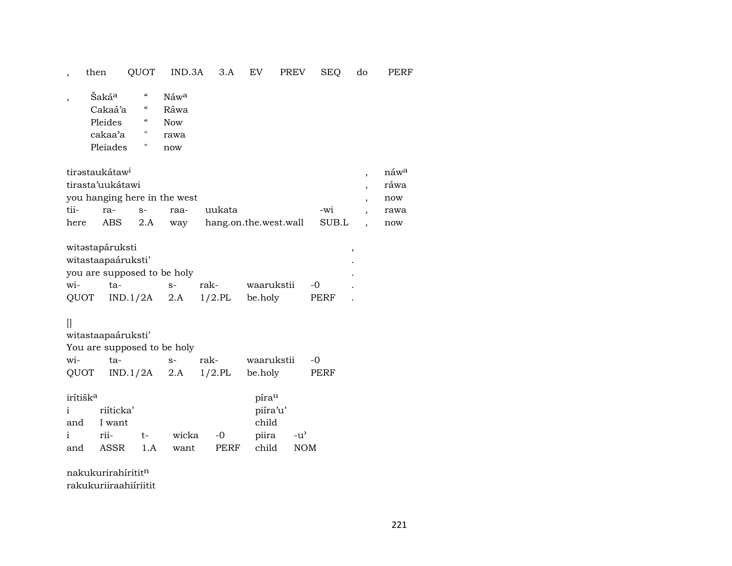## , then QUOT IND.3A 3.A EV PREV SEQ do PERF

- , Šaká<sup>a "</sup> Náw<sup>a</sup> Cakaá'a " Ráwa<br>Pleides " Now Pleides " Now cakaa"a " rawa
	- Pleiades " now

| tirəstaukátaw <sup>i</sup>   |         |      |      |                                 |       |  | náw <sup>a</sup> |  |  |  |
|------------------------------|---------|------|------|---------------------------------|-------|--|------------------|--|--|--|
| tirasta'uukátawi             |         |      |      |                                 |       |  |                  |  |  |  |
| you hanging here in the west |         |      |      |                                 |       |  |                  |  |  |  |
| tii-                         | ra-     | $S-$ | raa- | uukata                          | $-wi$ |  | rawa             |  |  |  |
| here                         | ABS 2.A |      |      | way hang.on.the.west.wall SUB.L |       |  | now              |  |  |  |

| witəstapáruksti |                             |      |      |            |       |  |
|-----------------|-----------------------------|------|------|------------|-------|--|
|                 | witastaapaáruksti'          |      |      |            |       |  |
|                 | you are supposed to be holy |      |      |            |       |  |
| wi-             | ta-                         | $S-$ | rak- | waarukstii | $-()$ |  |
| QUOT            | $IND.1/2A$ 2.A $1/2.PL$     |      |      | be.holy    | PERF  |  |

## $[] \centering \includegraphics[width=0.47\textwidth]{images/TrDiM-Architecture.png} \caption{The first two different values of $M=1000$ and $M=1000$ and $M=1000$ and $M=1000$ and $M=1000$ and $M=1000$ and $M=1000$ and $M=1000$ and $M=1000$ and $M=1000$ and $M=1000$ and $M=1000$ and $M=1000$ and $M=1000$ and $M=1000$ and $M=1000$ and $M=1000$ and $M=1000$ and $M=1000$ and $M=1000$ and $M=$

witastaapaáruksti'

| You are supposed to be holy |                                  |  |  |                    |      |  |  |  |  |  |  |
|-----------------------------|----------------------------------|--|--|--------------------|------|--|--|--|--|--|--|
|                             | wi- ta- s-                       |  |  | rak- waarukstii -0 |      |  |  |  |  |  |  |
|                             | QUOT IND.1/2A 2.A 1/2.PL be.holy |  |  |                    | PERF |  |  |  |  |  |  |

| irítišk <sup>a</sup>      |            |      |       |      | píra <sup>u</sup> |      |
|---------------------------|------------|------|-------|------|-------------------|------|
| $\mathbf{i}$ $\mathbf{j}$ | riíticka'  |      |       |      | piíra'u'          |      |
|                           | and I want |      |       |      | child             |      |
| $\mathbf{i}$              | rii-       | $t-$ | wicka | $-0$ | piira -u'         |      |
| and                       | ASSR 1.A   |      | want  | PERF | child             | NOM. |

nakukurirahíritit $^{\rm n}$ rakukuriiraahiíriitit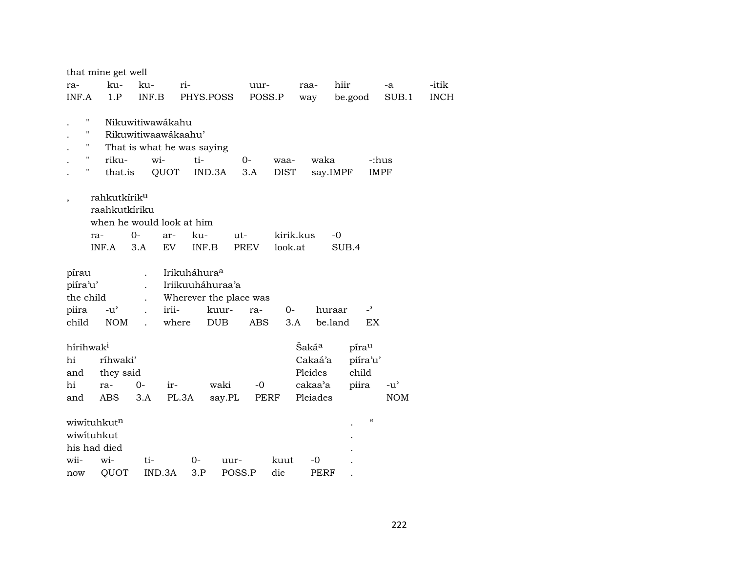| that mine get well        |                            |                    |                   |                            |               |       |
|---------------------------|----------------------------|--------------------|-------------------|----------------------------|---------------|-------|
| ku-<br>ku-<br>ra-         | ri-                        | uur-               | hiir<br>raa-      |                            | -a            | -itik |
| INF.A<br>1.P<br>INF.B     | PHYS.POSS                  | POSS.P             | way               | be.good                    | SUB.1         | INCH  |
|                           |                            |                    |                   |                            |               |       |
| н<br>Nikuwitiwawákahu     |                            |                    |                   |                            |               |       |
| н<br>Rikuwitiwaawákaahu'  |                            |                    |                   |                            |               |       |
|                           | That is what he was saying |                    |                   |                            |               |       |
| Ħ<br>riku-                | ti-<br>wi-                 | $0 -$<br>waa-      | waka              | -:hus                      |               |       |
| н<br>that.is              | QUOT<br>IND.3A             | <b>DIST</b><br>3.A | say.IMPF          | <b>IMPF</b>                |               |       |
| rahkutkírik <sup>u</sup>  |                            |                    |                   |                            |               |       |
| raahkutkíriku             |                            |                    |                   |                            |               |       |
| when he would look at him |                            |                    |                   |                            |               |       |
| $0-$<br>ra-               | ku-<br>ar-                 | kirik.kus<br>$ut-$ | -0                |                            |               |       |
| 3.A<br>INF.A              | EV<br>INF.B                | look.at<br>PREV    |                   | SUB.4                      |               |       |
|                           |                            |                    |                   |                            |               |       |
| pírau                     | Irikuháhura <sup>a</sup>   |                    |                   |                            |               |       |
| piíra'u'                  | Iriikuuháhuraa'a           |                    |                   |                            |               |       |
| the child                 | Wherever the place was     |                    |                   |                            |               |       |
| piira<br>$-u^{\prime}$    | irii-<br>kuur-             | $0-$<br>ra-        | huraar            | $\overline{\phantom{a}}$   |               |       |
| child<br><b>NOM</b>       | where<br><b>DUB</b>        | <b>ABS</b><br>3.A  | be.land           | EX                         |               |       |
|                           |                            |                    |                   |                            |               |       |
| hírihwak <sup>i</sup>     |                            |                    | Šaká <sup>a</sup> | pírau                      |               |       |
| ríhwaki'<br>hi            |                            |                    | Cakaá'a           | piíra'u'                   |               |       |
| they said<br>and          |                            |                    | Pleides           | child                      |               |       |
| hi<br>$0-$<br>ra-         | waki<br>ir-                | $-0$               | cakaa'a           | piira                      | $-u^{\prime}$ |       |
| ABS<br>3.A<br>and         | PL.3A<br>say.PL            | PERF               | Pleiades          |                            | <b>NOM</b>    |       |
| wiwituhkutn               |                            |                    |                   | $\boldsymbol{\mathcal{C}}$ |               |       |
| wiwituhkut                |                            |                    |                   |                            |               |       |
| his had died              |                            |                    |                   |                            |               |       |
| wii-<br>wi-<br>ti-        | $0-$<br>uur-               | kuut               | -0                |                            |               |       |
| QUOT                      | 3.P<br>IND.3A<br>POSS.P    | die                | PERF              |                            |               |       |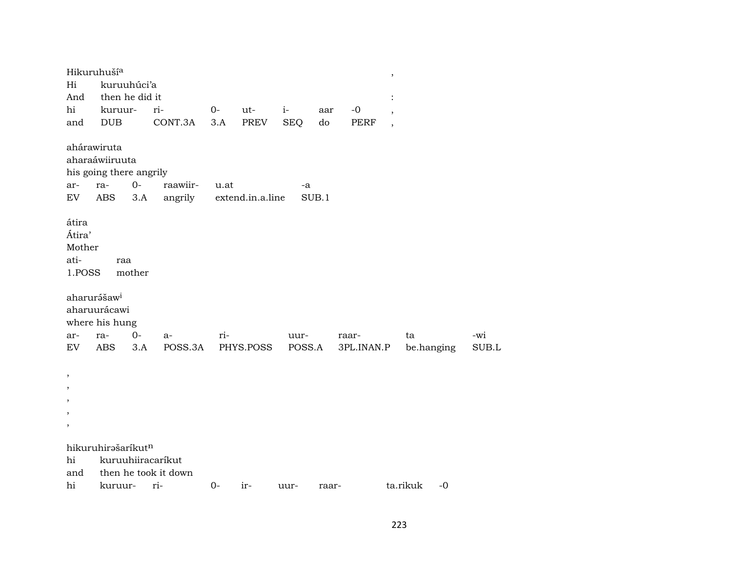|                                                                               | Hikuruhuší <sup>a</sup>                                   |        |                                           |          |                  |            |       |            | $\, ,$                   |            |       |
|-------------------------------------------------------------------------------|-----------------------------------------------------------|--------|-------------------------------------------|----------|------------------|------------|-------|------------|--------------------------|------------|-------|
| Hi<br>And                                                                     | kuruuhúci'a<br>then he did it                             |        |                                           |          |                  |            |       |            |                          |            |       |
| hi                                                                            | kuruur-                                                   |        | ri-                                       | $O -$    | ut-              | $i-$       | aar   | $-0$       |                          |            |       |
| and                                                                           | <b>DUB</b>                                                |        | CONT.3A                                   | 3.A      | PREV             | <b>SEQ</b> | do    | PERF       | $\overline{\phantom{a}}$ |            |       |
|                                                                               | ahárawiruta                                               |        |                                           |          |                  |            |       |            |                          |            |       |
|                                                                               | aharaáwiiruuta                                            |        |                                           |          |                  |            |       |            |                          |            |       |
|                                                                               | his going there angrily                                   |        |                                           |          |                  |            |       |            |                          |            |       |
| ar-                                                                           | ra-                                                       | $0 -$  | raawiir-                                  | u.at     |                  | -a         |       |            |                          |            |       |
| EV                                                                            | <b>ABS</b>                                                | 3.A    | angrily                                   |          | extend.in.a.line |            | SUB.1 |            |                          |            |       |
| átira<br>Átira'<br>Mother<br>ati-<br>1.POSS                                   | raa                                                       | mother |                                           |          |                  |            |       |            |                          |            |       |
|                                                                               | aharurášaw <sup>i</sup><br>aharuurácawi<br>where his hung |        |                                           |          |                  |            |       |            |                          |            |       |
| ar-                                                                           | ra-                                                       | $O -$  | $a-$                                      | ri-      |                  | uur-       |       | raar-      | ta                       |            | -wi   |
| EV                                                                            | <b>ABS</b>                                                | 3.A    | POSS.3A                                   |          | PHYS.POSS        | POSS.A     |       | 3PL.INAN.P |                          | be.hanging | SUB.L |
| $\, ,$<br>$\overline{\phantom{a}}$<br>,<br>$\overline{\phantom{a}}$<br>$\, ,$ |                                                           |        |                                           |          |                  |            |       |            |                          |            |       |
| hi<br>and                                                                     | hikuruhirašaríkutn                                        |        | kuruuhiiracaríkut<br>then he took it down |          |                  |            |       |            |                          |            |       |
| hi                                                                            | kuruur- ri-                                               |        |                                           | $0-$ ir- |                  | $1111r -$  | raar- |            | ta rikuk                 | $-0$       |       |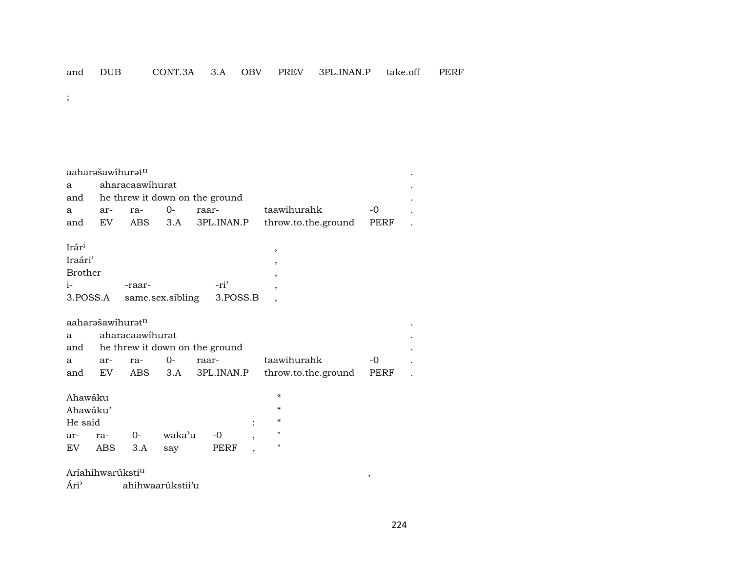$\vdots$ 

aaharašawihuratn aharacaawihurat a he threw it down on the ground and  $O$ taawihurahk  $-0$ raar- $\mathbf{a}$ arra-3PL.INAN.P throw.to.the.ground PERF EV ABS  $3.A$ and  $\ddot{\phantom{a}}$ Irár<sup>i</sup> Iraári' **Brother**  $i-$ -ri' -raar-3.POSS.A same.sex.sibling 3.POSS.B aaharəšawihurətn aharacaawihurat a he threw it down on the ground and  $O$ taawihurahk  $-0$ arraraara  $3.A$ throw.to.the.ground EV **ABS** 3PL.INAN.P PERF and  $\alpha$ Ahawáku Ahawáku'  $\alpha$  $\boldsymbol{\mathcal{C}}$ He said  $\ddot{\cdot}$  $-0$  $O$ waka'u  $\boldsymbol{\mathsf{H}}$ arra- ${\rm EV}$ ABS  $3.A$ say PERF  $^{\prime}$ 

## Aríahihwarúksti<sup>u</sup>

Ári<sup>2</sup> ahihwaarúkstii'u  $\overline{\phantom{a}}$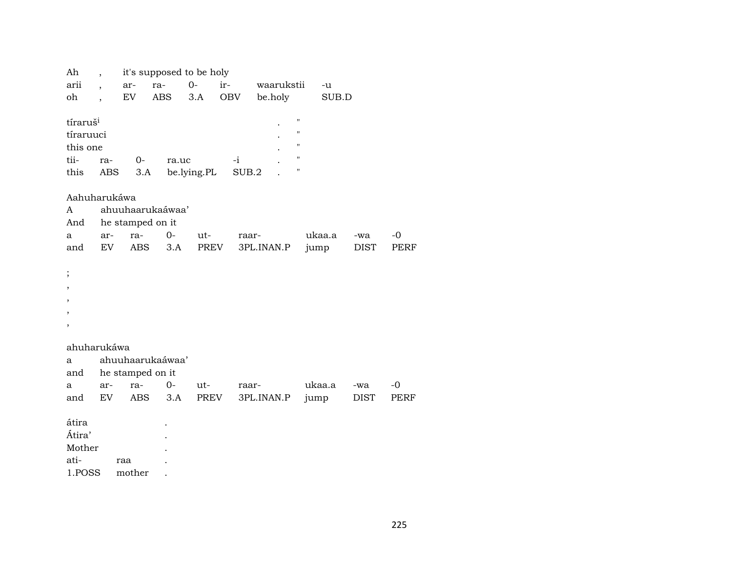| Ah                                                                                        |                      |                                 | it's supposed to be holy  |             |               |            |                                                                                                            |        |             |      |
|-------------------------------------------------------------------------------------------|----------------------|---------------------------------|---------------------------|-------------|---------------|------------|------------------------------------------------------------------------------------------------------------|--------|-------------|------|
| arii                                                                                      | $\overline{ }$       | ar-                             | ra-                       | $0-$        | ir-           | waarukstii |                                                                                                            | $-u$   |             |      |
| oh                                                                                        | $\ddot{\phantom{0}}$ | EV                              | ABS                       | 3.A         | OBV           | be.holy    |                                                                                                            | SUB.D  |             |      |
| tíraruš <sup>i</sup><br>tíraruuci<br>this one<br>tii-<br>this<br>Aahuharukáwa<br>A<br>And | ra-<br>ABS           | $0-$<br>3.A<br>he stamped on it | ra.uc<br>ahuuhaarukaáwaa' | be.lying.PL | $-i$<br>SUB.2 |            | $\bar{\mathbf{H}}$<br>$\pmb{\mathsf{H}}$<br>$\pmb{\mathsf{H}}$<br>$\pmb{\mathsf{H}}$<br>$\pmb{\mathsf{H}}$ |        |             |      |
| a                                                                                         | ar-<br>EV            | ra-<br>ABS                      | $O -$                     | ut-<br>PREV | raar-         |            |                                                                                                            | ukaa.a | -wa         | $-0$ |
| and                                                                                       |                      |                                 | 3.A                       |             |               | 3PL.INAN.P |                                                                                                            | jump   | <b>DIST</b> | PERF |
| $\vdots$<br>,                                                                             |                      |                                 |                           |             |               |            |                                                                                                            |        |             |      |
|                                                                                           |                      |                                 |                           |             |               |            |                                                                                                            |        |             |      |
|                                                                                           |                      |                                 |                           |             |               |            |                                                                                                            |        |             |      |
| ahuharukáwa                                                                               |                      |                                 |                           |             |               |            |                                                                                                            |        |             |      |
| a                                                                                         |                      |                                 | ahuuhaarukaáwaa'          |             |               |            |                                                                                                            |        |             |      |
| and                                                                                       |                      | he stamped on it                |                           |             |               |            |                                                                                                            |        |             |      |
| a                                                                                         | ar-                  | ra-                             | $O -$                     | ut-         | raar-         |            |                                                                                                            | ukaa.a | -wa         | $-o$ |
| and                                                                                       | EV.                  | ABS                             | 3.A                       | PREV        |               | 3PL.INAN.P |                                                                                                            | jump   | DIST        | PERF |
| átira<br>Átira'<br>Mother<br>ati-                                                         |                      | raa                             |                           |             |               |            |                                                                                                            |        |             |      |
| 1.POSS                                                                                    |                      | mother                          |                           |             |               |            |                                                                                                            |        |             |      |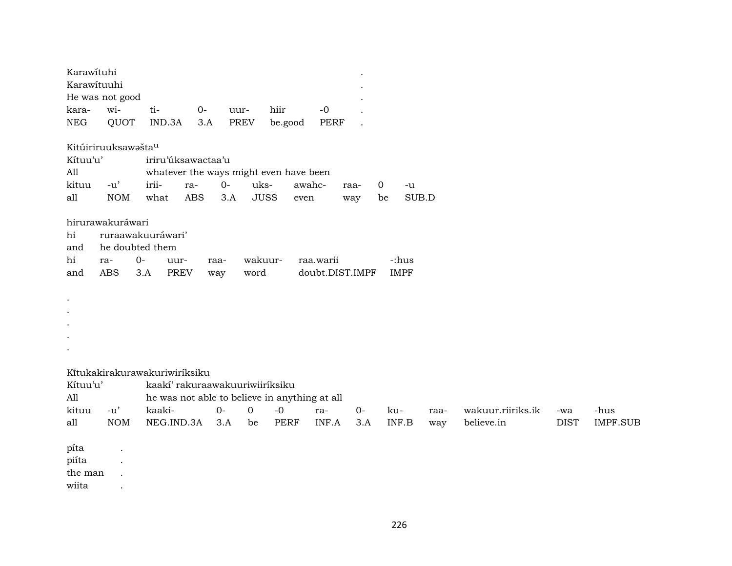| Karawituhi<br>Karawituuhi<br>kara-<br>${\rm NEG}$ | He was not good<br>wi-<br>QUOT                           | ti-<br>IND.3A                                                                                                                             | $0-$<br>uur-<br>3.A | hiir<br><b>PREV</b><br>be.good           | $-0$<br><b>PERF</b> |                 |                      |             |                                 |                    |                         |
|---------------------------------------------------|----------------------------------------------------------|-------------------------------------------------------------------------------------------------------------------------------------------|---------------------|------------------------------------------|---------------------|-----------------|----------------------|-------------|---------------------------------|--------------------|-------------------------|
| Kítuu'u'<br>All<br>kituu<br>all                   | Kitúiriruuksawašta <sup>u</sup><br>$-u'$<br><b>NOM</b>   | iriru'úksawactaa'u<br>whatever the ways might even have been<br>irii-<br>ra-<br><b>ABS</b><br>what                                        | $0-$<br>3.A         | uks-<br><b>JUSS</b>                      | awahc-<br>even      | raa-<br>way     | 0<br>$-u$<br>be      | SUB.D       |                                 |                    |                         |
| hi<br>and<br>hi<br>and                            | hirurawakuráwari<br>he doubted them<br>ra-<br><b>ABS</b> | ruraawakuuráwari'<br>$0-$<br>uur-<br><b>PREV</b><br>3.A                                                                                   | raa-<br>way         | wakuur-<br>word                          | raa.warii           | doubt.DIST.IMPF | -:hus<br><b>IMPF</b> |             |                                 |                    |                         |
| $\bullet$                                         |                                                          |                                                                                                                                           |                     |                                          |                     |                 |                      |             |                                 |                    |                         |
| Kítuu'u'<br>All<br>kituu<br>all                   | $-u'$<br><b>NOM</b>                                      | Kitukakirakurawakuriwiriksiku<br>kaakí' rakuraawakuuriwiiríksiku<br>he was not able to believe in anything at all<br>kaaki-<br>NEG.IND.3A | $O -$<br>3.A        | $\mathbf 0$<br>$-0$<br><b>PERF</b><br>be | ra-<br>INF.A        | $0-$<br>3.A     | ku-<br>INF.B         | raa-<br>way | wakuur.riiriks.ik<br>believe.in | -wa<br><b>DIST</b> | -hus<br><b>IMPF.SUB</b> |

píta . piíta . the man .

wiita .

226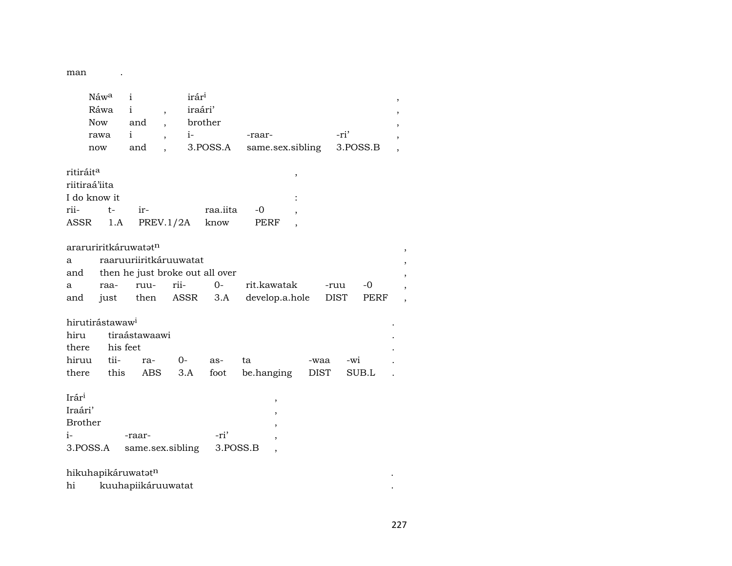man

 $\mathcal{L}^{\text{max}}$  ,  $\mathcal{L}^{\text{max}}$ 

|                                                        | Now<br>rawa<br>now | Náwa<br>Ráwa                            | $\mathbf{i}$<br>$\mathbf{i}$<br>and<br>i<br>and | $\overline{ }$<br>$\overline{ }$ | irár <sup>i</sup><br>iraári'<br>$i-$ | brother<br>3.POSS.A             | -raar- |                | same.sex.sibling | -ri'<br>3.POSS.B |       | , |
|--------------------------------------------------------|--------------------|-----------------------------------------|-------------------------------------------------|----------------------------------|--------------------------------------|---------------------------------|--------|----------------|------------------|------------------|-------|---|
| ritiráit <sup>a</sup>                                  |                    |                                         |                                                 |                                  |                                      |                                 |        | ,              |                  |                  |       |   |
| riitiraá'iita                                          |                    |                                         |                                                 |                                  |                                      |                                 |        |                |                  |                  |       |   |
|                                                        |                    | I do know it                            |                                                 |                                  |                                      |                                 |        |                |                  |                  |       |   |
| rii-                                                   |                    | $t-$                                    | ir-                                             |                                  |                                      | raa.iita                        | -0     |                |                  |                  |       |   |
| ASSR                                                   |                    | 1.A                                     | PREV.1/2A                                       |                                  |                                      | know                            | PERF   |                |                  |                  |       |   |
| a<br>and                                               |                    |                                         | araruriritkáruwatatn<br>raaruuriiritkáruuwatat  |                                  |                                      | then he just broke out all over |        |                |                  |                  |       |   |
| a                                                      |                    | raa-                                    | ruu-                                            | rii-                             |                                      | $O -$                           |        | rit.kawatak    |                  | -ruu             | $-0$  |   |
| and                                                    |                    | just                                    | then                                            |                                  | ASSR                                 | 3.A                             |        | develop.a.hole |                  | DIST             | PERF  |   |
| hiru<br>there                                          |                    | hirutirástawaw <sup>i</sup><br>his feet | tiraástawaawi                                   |                                  |                                      |                                 |        |                |                  |                  |       |   |
| hiruu                                                  |                    | tii-                                    | ra-                                             | $0-$                             |                                      | as-                             | ta     |                | -waa             | -wi              |       |   |
| there                                                  |                    | this                                    | <b>ABS</b>                                      |                                  | 3.A                                  | foot                            |        | be.hanging     | <b>DIST</b>      |                  | SUB.L |   |
| Irári<br>Iraári'<br><b>Brother</b><br>$i-$<br>3.POSS.A |                    |                                         | -raar-<br>same.sex.sibling                      |                                  |                                      | -ri'<br>3.POSS.B                |        | ,              |                  |                  |       |   |
|                                                        |                    |                                         |                                                 |                                  |                                      |                                 |        |                |                  |                  |       |   |
|                                                        |                    |                                         | hikuhapikáruwatatn                              |                                  |                                      |                                 |        |                |                  |                  |       |   |
| hi                                                     |                    |                                         | kuuhapiikáruuwatat                              |                                  |                                      |                                 |        |                |                  |                  |       |   |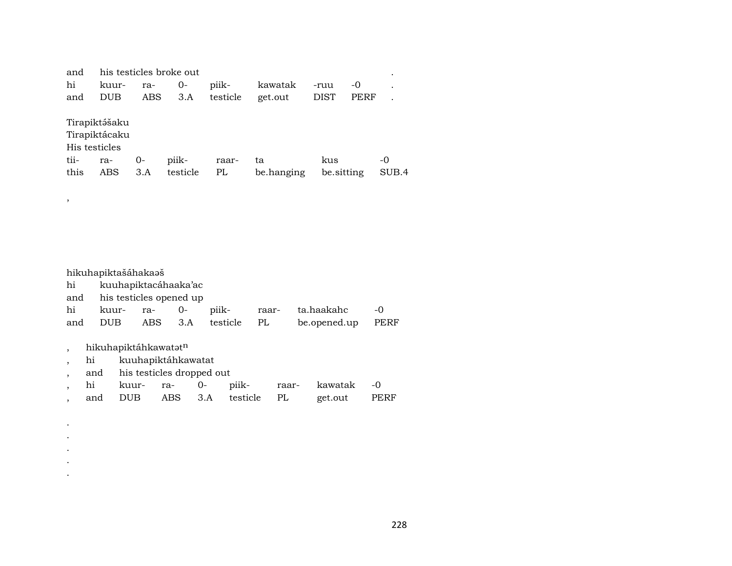| and           |               |     | his testicles broke out |          |            |             |      |           |  |  |  |
|---------------|---------------|-----|-------------------------|----------|------------|-------------|------|-----------|--|--|--|
| hi            | kuur-         | ra- | $0-$                    | piik-    | kawatak    | -ruu        | -0   | $\bullet$ |  |  |  |
| and           | <b>DUB</b>    | ABS | 3.A                     | testicle | get.out    | <b>DIST</b> | PERF |           |  |  |  |
| Tirapiktášaku |               |     |                         |          |            |             |      |           |  |  |  |
|               | Tirapiktácaku |     |                         |          |            |             |      |           |  |  |  |
| His testicles |               |     |                         |          |            |             |      |           |  |  |  |
| tii-          | ra-           | 0-  | piik-                   | raar-    | ta         | kus         |      | -0        |  |  |  |
| this          | ABS           | 3.A | testicle                | PL       | be.hanging | be sitting  |      | SUB.4     |  |  |  |

hikuhapiktašáhakaaš hi kuuhapiktacáhaaka'ac and his testicles opened up hi kuur- ra- 0- piik- raar- ta.haakahc -0 and DUB ABS 3.A testicle PL be.opened.up PERF

, hikuhapiktáhkawatatn

,

. . . . .

- , hi kuuhapiktáhkawatat
- , and his testicles dropped out
- , hi kuur- ra- 0- piik- raar- kawatak -0
- , and DUB ABS 3.A testicle PL get.out PERF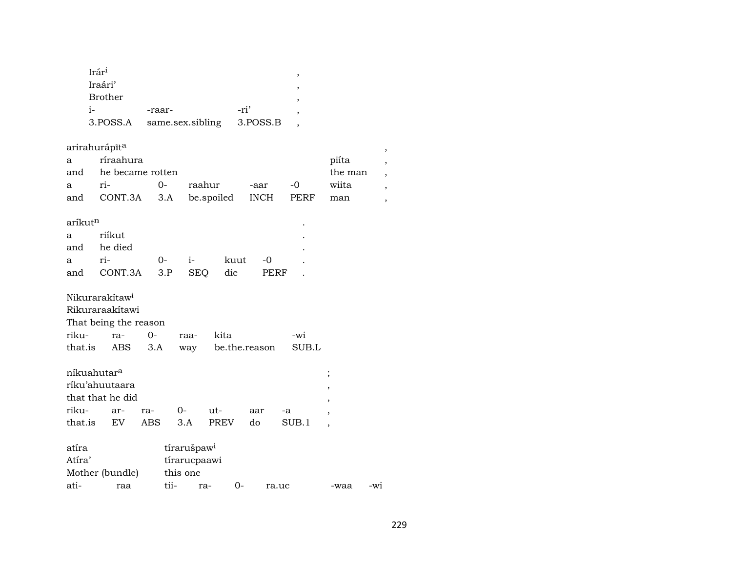| Irár <sup>i</sup> |                  |          |  |
|-------------------|------------------|----------|--|
| Iraári'           |                  |          |  |
| <b>Brother</b>    |                  |          |  |
| $1-$              | -raar-           | -ri'     |  |
| 3.POSS.A          | same.sex.sibling | 3.POSS.B |  |
|                   |                  |          |  |

arirahurápīt $^{\rm a}$ 

| arirahurapīt <sup>a</sup> |           |                                 |                                      |      |      |       |  |  |  |  |  |
|---------------------------|-----------|---------------------------------|--------------------------------------|------|------|-------|--|--|--|--|--|
| a a                       | ríraahura | piíta                           |                                      |      |      |       |  |  |  |  |  |
|                           |           | and he became rotten<br>the man |                                      |      |      |       |  |  |  |  |  |
| $\mathbf{a}$              | ri- 0-    |                                 | raahur                               | -aar | $-0$ | wiita |  |  |  |  |  |
|                           |           |                                 | and CONT.3A 3.A be.spoiled INCH PERF |      |      | man   |  |  |  |  |  |

 $\mathcal{L}^{\text{max}}_{\text{max}}$  . The  $\mathcal{L}^{\text{max}}_{\text{max}}$ 

 $\text{aríkut}^{\text{n}}$ 

| a riíkut                       |  |  |  |
|--------------------------------|--|--|--|
| and he died                    |  |  |  |
| a ri-  0- i- kuut -0           |  |  |  |
| and CONT.3A 3.P SEQ die PERF . |  |  |  |

Nikurarakítaw<sup>i</sup>

Rikuraraakítawi

| That being the reason |  |
|-----------------------|--|
|-----------------------|--|

| riku- ra- 0- raa- kita |  |                                         | -wi |
|------------------------|--|-----------------------------------------|-----|
|                        |  | that.is ABS 3.A way be.the.reason SUB.L |     |

| níkuahutar <sup>a</sup>    |  |  |  |     |     |       |  |  |  |  |
|----------------------------|--|--|--|-----|-----|-------|--|--|--|--|
| ríku'ahuutaara             |  |  |  |     |     |       |  |  |  |  |
| that that he did           |  |  |  |     |     |       |  |  |  |  |
| riku- ar- ra- 0-           |  |  |  | ut- | aar | -a    |  |  |  |  |
| that.is EV ABS 3.A PREV do |  |  |  |     |     | SUB.1 |  |  |  |  |

| atíra           |  | tírarušpaw <sup>i</sup> |     |         |       |      |       |  |  |
|-----------------|--|-------------------------|-----|---------|-------|------|-------|--|--|
| Atíra'          |  | tírarucpaawi            |     |         |       |      |       |  |  |
| Mother (bundle) |  | this one                |     |         |       |      |       |  |  |
| ati-<br>raa     |  | tii-                    | ra- | $($ ) – | ra.uc | -waa | $-wi$ |  |  |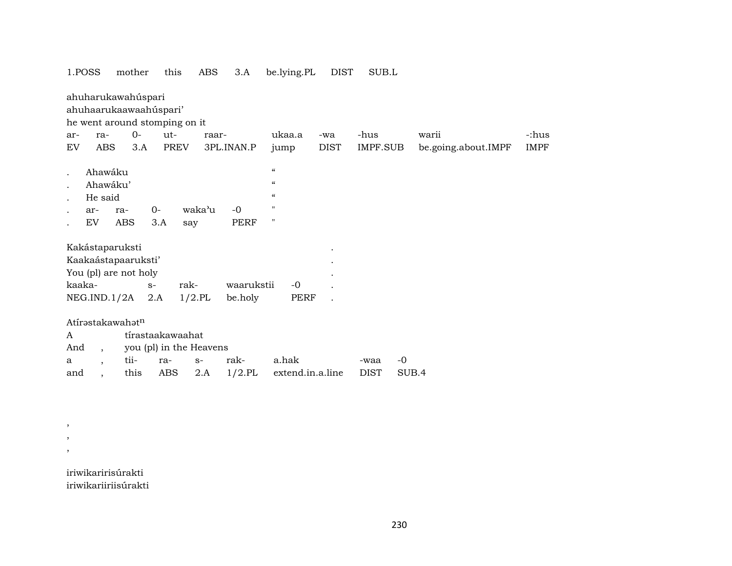| 1.POSS<br>mother                                                              | this                                        | ABS<br>3.A | be.lying.PL                | DIST        | SUB.L           |                     |             |
|-------------------------------------------------------------------------------|---------------------------------------------|------------|----------------------------|-------------|-----------------|---------------------|-------------|
| ahuharukawahúspari<br>ahuhaarukaawaahúspari'<br>he went around stomping on it |                                             |            |                            |             |                 |                     |             |
| $0-$<br>ra-<br>ar-                                                            | $ut -$                                      | raar-      | ukaa.a                     | -wa         | -hus            | warii               | -:hus       |
| EV<br><b>ABS</b><br>3.A                                                       | PREV                                        | 3PL.INAN.P | jump                       | <b>DIST</b> | <b>IMPF.SUB</b> | be.going.about.IMPF | <b>IMPF</b> |
|                                                                               |                                             |            |                            |             |                 |                     |             |
| Ahawáku                                                                       |                                             |            | $\boldsymbol{\mathcal{C}}$ |             |                 |                     |             |
| Ahawáku'                                                                      |                                             |            | $\pmb{\zeta}\pmb{\zeta}$   |             |                 |                     |             |
| He said                                                                       |                                             |            | $\boldsymbol{\mathcal{C}}$ |             |                 |                     |             |
| ar-<br>ra-                                                                    | $0-$<br>waka'u                              | $-0$       | $\pmb{\mathsf{H}}$         |             |                 |                     |             |
| EV<br>ABS                                                                     | 3.A<br>say                                  | PERF       | $\pmb{\mathsf{H}}$         |             |                 |                     |             |
| Kakástaparuksti<br>Kaakaástapaaruksti'<br>You (pl) are not holy               |                                             |            |                            |             |                 |                     |             |
| kaaka-                                                                        | rak-<br>$S-$                                | waarukstii | $-0$                       |             |                 |                     |             |
| NEG.IND.1/2A                                                                  | 2.A<br>$1/2$ .PL                            | be.holy    | <b>PERF</b>                |             |                 |                     |             |
| Atírəstakawahətn<br>A<br>And<br>$\overline{\phantom{a}}$                      | tírastaakawaahat<br>you (pl) in the Heavens |            |                            |             |                 |                     |             |
| tii-<br>a<br>$\overline{\phantom{a}}$                                         | ra-<br>$S-$                                 | rak-       | a.hak                      |             | -waa            | $-0$                |             |
| this<br>and<br>$\overline{\phantom{a}}$                                       | ABS<br>2.A                                  | $1/2$ .PL  | extend.in.a.line           |             | <b>DIST</b>     | SUB.4               |             |
|                                                                               |                                             |            |                            |             |                 |                     |             |

iriwikaririsúrakti iriwikariiriisúrakti

, , ,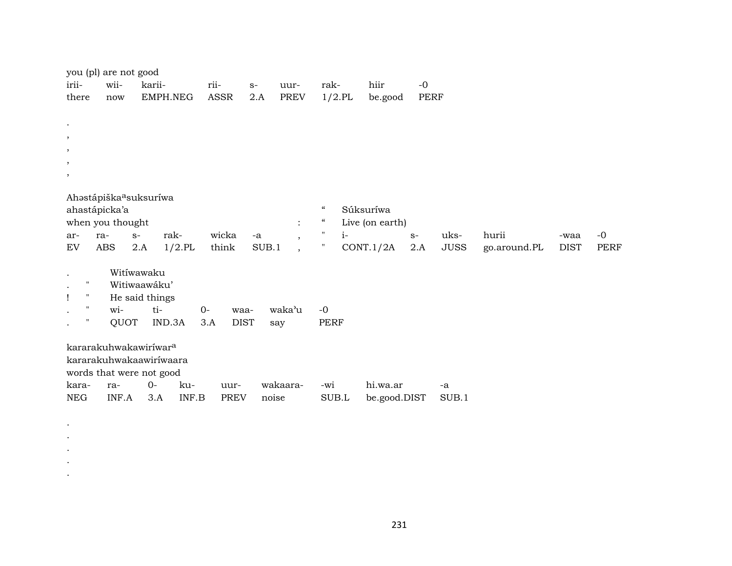| irii-                                                      | you (pl) are not good<br>wii-                       | karii-                                       |           | rii-        | $S-$  | uur-                                             | rak-                                      |           | hiir            | $-0$        |             |              |             |             |
|------------------------------------------------------------|-----------------------------------------------------|----------------------------------------------|-----------|-------------|-------|--------------------------------------------------|-------------------------------------------|-----------|-----------------|-------------|-------------|--------------|-------------|-------------|
| there                                                      | now                                                 | EMPH.NEG                                     |           | ASSR        | 2.A   | <b>PREV</b>                                      |                                           | $1/2$ .PL | be.good         | <b>PERF</b> |             |              |             |             |
| $\bullet$                                                  |                                                     |                                              |           |             |       |                                                  |                                           |           |                 |             |             |              |             |             |
| $\,$<br>$\,$                                               |                                                     |                                              |           |             |       |                                                  |                                           |           |                 |             |             |              |             |             |
| $\,$                                                       |                                                     |                                              |           |             |       |                                                  |                                           |           |                 |             |             |              |             |             |
| $\,$                                                       |                                                     |                                              |           |             |       |                                                  |                                           |           |                 |             |             |              |             |             |
|                                                            | Ahastápiška <sup>a</sup> suksuríwa<br>ahastápicka'a |                                              |           |             |       |                                                  | $\mathcal{C}$                             |           | Súksuríwa       |             |             |              |             |             |
| ar-                                                        | when you thought<br>ra-<br>$S-$                     | rak-                                         |           | wicka       | -a    | $\ddot{\cdot}$                                   | $\boldsymbol{\mathcal{C}}$<br>$\pmb{\Pi}$ | $i-$      | Live (on earth) | $S-$        | uks-        | hurii        | -waa        | $-0$        |
| EV                                                         | <b>ABS</b>                                          | 2.A                                          | $1/2$ .PL | think       | SUB.1 | $\overline{\phantom{a}}$<br>$\ddot{\phantom{0}}$ | $\pmb{\mathsf{H}}$                        |           | CONT.1/2A       | 2.A         | <b>JUSS</b> | go.around.PL | <b>DIST</b> | <b>PERF</b> |
| $\bullet$<br>$\mathbf{H}$<br>$\bullet$<br>$\mathbf H$<br>Ţ |                                                     | Witiwawaku<br>Witiwaawáku'<br>He said things |           |             |       |                                                  |                                           |           |                 |             |             |              |             |             |
| $\mathsf{H}$<br>$\bullet$                                  | wi-                                                 | ti-                                          | $0-$      | waa-        |       | waka'u                                           | $-0$                                      |           |                 |             |             |              |             |             |
| 11                                                         | QUOT                                                | IND.3A                                       | 3.A       | <b>DIST</b> |       | say                                              | <b>PERF</b>                               |           |                 |             |             |              |             |             |
|                                                            | kararakuhwakawiríwar <sup>a</sup>                   |                                              |           |             |       |                                                  |                                           |           |                 |             |             |              |             |             |
|                                                            | kararakuhwakaawiríwaara                             |                                              |           |             |       |                                                  |                                           |           |                 |             |             |              |             |             |
|                                                            | words that were not good                            |                                              |           |             |       |                                                  |                                           |           |                 |             |             |              |             |             |
| kara-                                                      | ra-                                                 | $0 -$                                        | ku-       | uur-        |       | wakaara-                                         | -wi                                       |           | hi.wa.ar        |             | -a          |              |             |             |
| <b>NEG</b>                                                 | INF.A                                               | 3.A                                          | INF.B     | <b>PREV</b> | noise |                                                  | SUB.L                                     |           | be.good.DIST    |             | SUB.1       |              |             |             |

. . . . .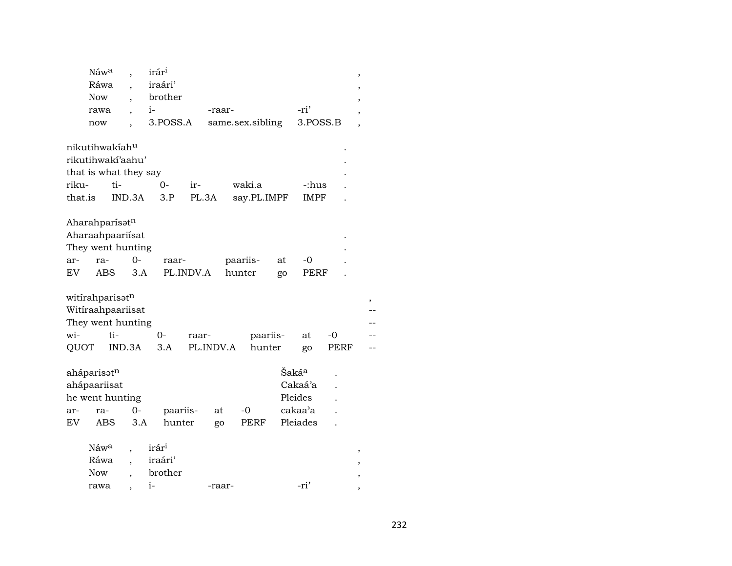|         | Náw <sup>a</sup> |                          | irár <sup>i</sup> |           |           |                  |    |                   |      | $\overline{\phantom{a}}$ |
|---------|------------------|--------------------------|-------------------|-----------|-----------|------------------|----|-------------------|------|--------------------------|
|         | Ráwa             |                          | iraári'           |           |           |                  |    |                   |      |                          |
|         | <b>Now</b>       |                          | brother           |           |           |                  |    |                   |      |                          |
|         | rawa             |                          | $i-$              |           | -raar-    |                  |    | -ri'              |      |                          |
|         | now              |                          | 3.POSS.A          |           |           | same.sex.sibling |    | 3.POSS.B          |      |                          |
|         | nikutihwakíahu   |                          |                   |           |           |                  |    |                   |      |                          |
|         |                  | rikutihwakí'aahu'        |                   |           |           |                  |    |                   |      |                          |
|         |                  | that is what they say    |                   |           |           |                  |    |                   |      |                          |
| riku-   |                  | ti-                      | $0-$              | ir-       |           | waki.a           |    | -:hus             |      |                          |
| that.is |                  | IND.3A                   | 3.P               |           | PL.3A     | say.PL.IMPF      |    | <b>IMPF</b>       |      |                          |
|         | Aharahparísatn   |                          |                   |           |           |                  |    |                   |      |                          |
|         |                  | Aharaahpaariisat         |                   |           |           |                  |    |                   |      |                          |
|         |                  | They went hunting        |                   |           |           |                  |    |                   |      |                          |
| ar-     | ra-              | $O -$                    | raar-             |           |           | paariis-         | at | -0                |      |                          |
| EV.     | <b>ABS</b>       | 3.A                      |                   | PL.INDV.A |           | hunter           | go | PERF              |      |                          |
|         | witirahparisatn  |                          |                   |           |           |                  |    |                   |      | ,                        |
|         |                  | Witiraahpaariisat        |                   |           |           |                  |    |                   |      |                          |
|         |                  | They went hunting        |                   |           |           |                  |    |                   |      |                          |
| wi-     | ti-              |                          | 0-                | raar-     |           | paariis-         |    | at                | -0   |                          |
| QUOT    |                  | IND.3A                   | 3.A               |           | PL.INDV.A | hunter           |    | go                | PERF |                          |
|         | aháparisotn      |                          |                   |           |           |                  |    | Šaká <sup>a</sup> |      |                          |
|         | ahápaariisat     |                          |                   |           |           |                  |    | Cakaá'a           |      |                          |
|         | he went hunting  |                          |                   |           |           |                  |    | Pleides           |      |                          |
| ar-     | ra-              | $0-$                     |                   | paariis-  | at        | -0               |    | cakaa'a           |      |                          |
| EV      | <b>ABS</b>       | 3.A                      | hunter            |           | go        | PERF             |    | Pleiades          |      |                          |
|         | Náwa             |                          | irár <sup>i</sup> |           |           |                  |    |                   |      |                          |
|         | Ráwa             |                          | iraári'           |           |           |                  |    |                   |      |                          |
|         | <b>Now</b>       | $\overline{\phantom{a}}$ | brother           |           |           |                  |    |                   |      |                          |
|         | rawa             |                          | $i-$              |           | -raar-    |                  |    | -ri'              |      |                          |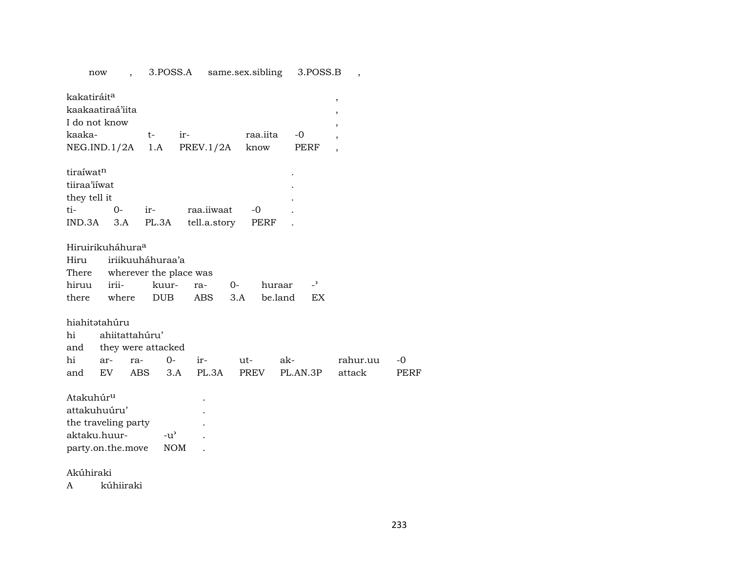now , 3.POSS.A same.sex.sibling 3.POSS.B , kakatiráit<sup>a</sup> en an amháin a bhfuil an scoilean an aiscealta an aiscealta an aiscealta an aiscealta an aiscealta kaakaatiraá'iita , I do not know , kaaka- t- ir- raa.iita -0 , NEG.IND.1/2A 1.A PREV.1/2A know PERF , tiraíwat<sup>n</sup> tiiraa'iíwat . they tell it ti- 0- ir- raa.iiwaat -0 . IND.3A 3.A PL.3A tell.a.story PERF Hiruirikuháhura° Hiru iriikuuháhuraa'a There wherever the place was hiruu irii- kuur- ra- 0- huraar -<sup>"</sup> there where DUB ABS 3.A be.land EX hiahitətahúru hi ahiitattahúru' and they were attacked hi ar- ra- 0- ir- ut- ak- rahur.uu -0 and EV ABS 3.A PL.3A PREV PL.AN.3P attack PERF Atakuhúr<sup>u</sup> . attakuhuúru' . the traveling party . aktaku.huur- -u' . party.on.the.move NOM .

Akúhiraki

A kúhiiraki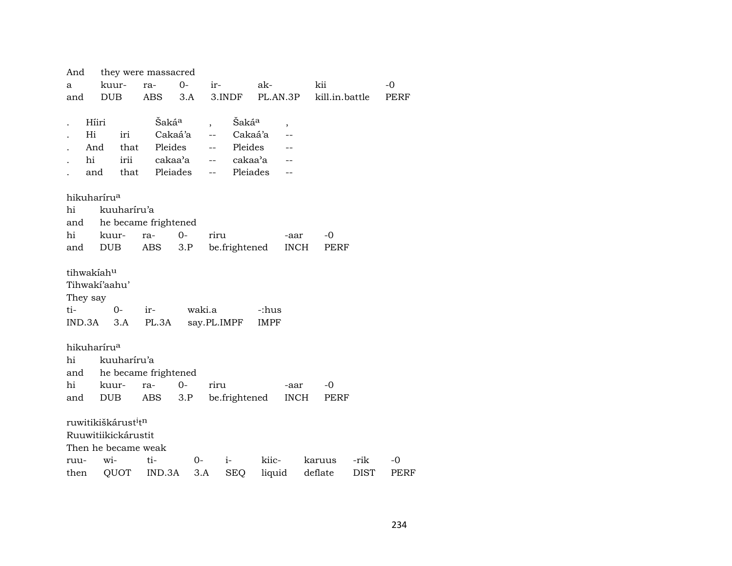| And                                         |            |             | they were massacred      |         |                                                                                                                                                                                                                                                                                                                                                                                                                                                                     |                   |       |          |                |      |      |
|---------------------------------------------|------------|-------------|--------------------------|---------|---------------------------------------------------------------------------------------------------------------------------------------------------------------------------------------------------------------------------------------------------------------------------------------------------------------------------------------------------------------------------------------------------------------------------------------------------------------------|-------------------|-------|----------|----------------|------|------|
| a                                           | kuur-      |             | ra-                      | $0-$    | ir-                                                                                                                                                                                                                                                                                                                                                                                                                                                                 |                   | ak-   |          | kii            |      | $-0$ |
| and                                         | DUB        |             | ABS                      | 3.A     |                                                                                                                                                                                                                                                                                                                                                                                                                                                                     | 3.INDF            |       | PL.AN.3P | kill.in.battle |      | PERF |
|                                             |            |             |                          |         |                                                                                                                                                                                                                                                                                                                                                                                                                                                                     |                   |       |          |                |      |      |
|                                             | Híiri      |             | Šakáª                    |         |                                                                                                                                                                                                                                                                                                                                                                                                                                                                     | Šaká <sup>a</sup> |       | ,        |                |      |      |
| Hi                                          |            | iri         |                          | Cakaá'a | $\frac{1}{2} \frac{1}{2} \left( \frac{1}{2} \right) \left( \frac{1}{2} \right) \left( \frac{1}{2} \right) \left( \frac{1}{2} \right) \left( \frac{1}{2} \right) \left( \frac{1}{2} \right) \left( \frac{1}{2} \right) \left( \frac{1}{2} \right) \left( \frac{1}{2} \right) \left( \frac{1}{2} \right) \left( \frac{1}{2} \right) \left( \frac{1}{2} \right) \left( \frac{1}{2} \right) \left( \frac{1}{2} \right) \left( \frac{1}{2} \right) \left( \frac{1}{2} \$ | Cakaá'a           |       |          |                |      |      |
|                                             | And        | that        |                          | Pleides | $\frac{1}{2}$ and $\frac{1}{2}$                                                                                                                                                                                                                                                                                                                                                                                                                                     | Pleides           |       |          |                |      |      |
| hi                                          |            |             | irii cakaa'a             |         |                                                                                                                                                                                                                                                                                                                                                                                                                                                                     | -- cakaa'a        |       |          |                |      |      |
|                                             | and        |             | that Pleiades            |         |                                                                                                                                                                                                                                                                                                                                                                                                                                                                     | -- Pleiades       |       |          |                |      |      |
|                                             |            |             |                          |         |                                                                                                                                                                                                                                                                                                                                                                                                                                                                     |                   |       |          |                |      |      |
| hikuharíru <sup>a</sup>                     |            |             |                          |         |                                                                                                                                                                                                                                                                                                                                                                                                                                                                     |                   |       |          |                |      |      |
| hi                                          |            | kuuharíru'a |                          |         |                                                                                                                                                                                                                                                                                                                                                                                                                                                                     |                   |       |          |                |      |      |
|                                             |            |             | and he became frightened |         |                                                                                                                                                                                                                                                                                                                                                                                                                                                                     |                   |       |          |                |      |      |
| hi                                          |            | kuur-       | ra-                      | $0-$    | riru                                                                                                                                                                                                                                                                                                                                                                                                                                                                |                   |       | -aar     | -0             |      |      |
| and DUB                                     |            |             | ABS                      | 3.P     |                                                                                                                                                                                                                                                                                                                                                                                                                                                                     | be.frightened     |       | INCH     | PERF           |      |      |
|                                             | tihwakiahu |             |                          |         |                                                                                                                                                                                                                                                                                                                                                                                                                                                                     |                   |       |          |                |      |      |
| Tihwakí'aahu'                               |            |             |                          |         |                                                                                                                                                                                                                                                                                                                                                                                                                                                                     |                   |       |          |                |      |      |
| They say                                    |            |             |                          |         |                                                                                                                                                                                                                                                                                                                                                                                                                                                                     |                   |       |          |                |      |      |
| ti-                                         |            | $0-$        | ir-                      |         | waki.a                                                                                                                                                                                                                                                                                                                                                                                                                                                              |                   | -:hus |          |                |      |      |
| $IND.3A$ $3.A$                              |            |             | PL.3A                    |         |                                                                                                                                                                                                                                                                                                                                                                                                                                                                     | say.PL.IMPF       | IMPF  |          |                |      |      |
|                                             |            |             |                          |         |                                                                                                                                                                                                                                                                                                                                                                                                                                                                     |                   |       |          |                |      |      |
| hikuharíru <sup>a</sup>                     |            |             |                          |         |                                                                                                                                                                                                                                                                                                                                                                                                                                                                     |                   |       |          |                |      |      |
| hi                                          |            | kuuharíru'a |                          |         |                                                                                                                                                                                                                                                                                                                                                                                                                                                                     |                   |       |          |                |      |      |
|                                             |            |             | and he became frightened |         |                                                                                                                                                                                                                                                                                                                                                                                                                                                                     |                   |       |          |                |      |      |
| hi                                          | kuur-      |             | ra-                      | $0-$    | riru                                                                                                                                                                                                                                                                                                                                                                                                                                                                |                   |       | -aar     | -0             |      |      |
| and DUB                                     |            |             | ABS                      | 3.P     |                                                                                                                                                                                                                                                                                                                                                                                                                                                                     | be.frightened     |       | INCH     | PERF           |      |      |
|                                             |            |             |                          |         |                                                                                                                                                                                                                                                                                                                                                                                                                                                                     |                   |       |          |                |      |      |
| ruwitikiškárust <sup>i</sup> t <sup>n</sup> |            |             |                          |         |                                                                                                                                                                                                                                                                                                                                                                                                                                                                     |                   |       |          |                |      |      |
| Ruuwitiikickárustit                         |            |             |                          |         |                                                                                                                                                                                                                                                                                                                                                                                                                                                                     |                   |       |          |                |      |      |
|                                             |            |             |                          |         |                                                                                                                                                                                                                                                                                                                                                                                                                                                                     |                   |       |          |                |      |      |
| Then he became weak                         |            |             |                          |         |                                                                                                                                                                                                                                                                                                                                                                                                                                                                     |                   |       |          |                |      |      |
| ruu-                                        | $W1$ -     |             | ti-                      |         | $0-$                                                                                                                                                                                                                                                                                                                                                                                                                                                                | $i-$              | kiic- |          | karuus         | -rik | $-0$ |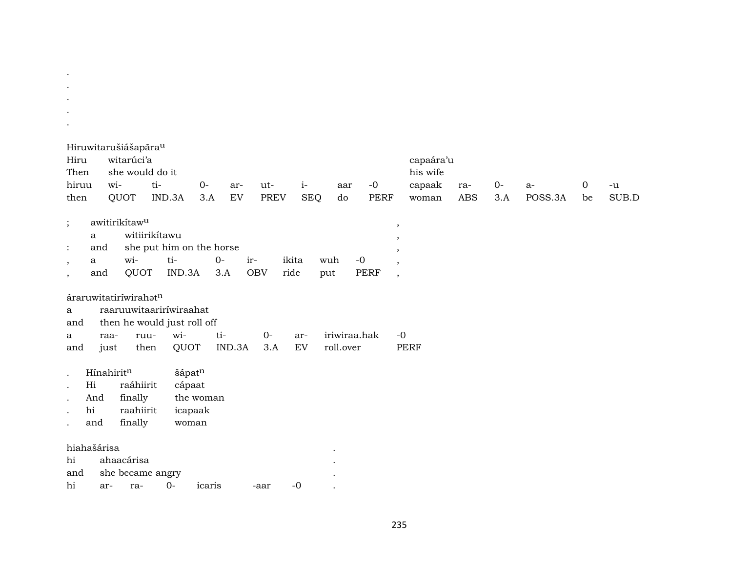| $\bullet$                                                          |                                                                      |                                                                                       |                               |                                 |                    |                           |                     |                                                                                                     |                             |               |                 |                   |               |
|--------------------------------------------------------------------|----------------------------------------------------------------------|---------------------------------------------------------------------------------------|-------------------------------|---------------------------------|--------------------|---------------------------|---------------------|-----------------------------------------------------------------------------------------------------|-----------------------------|---------------|-----------------|-------------------|---------------|
| Hiru<br>Then<br>hiruu<br>then                                      | Hiruwitarušiášapārau<br>witarúci'a<br>she would do it<br>wi-<br>QUOT | ti-<br>IND.3A                                                                         | $0 -$<br>3.A                  | ut-<br>ar-<br>EV<br><b>PREV</b> | $i-$<br><b>SEQ</b> | aar<br>do                 | $-0$<br><b>PERF</b> | capaára'u<br>his wife<br>capaak<br>woman                                                            | ra-<br>$\operatorname{ABS}$ | $0-$<br>$3.A$ | $a-$<br>POSS.3A | $\mathbf 0$<br>be | $-u$<br>SUB.D |
| $\vdots$<br>a<br>and<br>$\ddot{\cdot}$<br>a<br>$\,$<br>and<br>$\,$ | awitirikítaw <sup>u</sup><br>wi-<br>QUOT                             | witiirikítawu<br>she put him on the horse<br>ti-<br>IND.3A                            | $O -$<br>3.A                  | ir-<br><b>OBV</b>               | ikita<br>ride      | wuh<br>put                | $-0$<br><b>PERF</b> | $\,$<br>$\overline{\phantom{a}}$<br>$\overline{\phantom{a}}$<br>$\cdot$<br>$\overline{\phantom{a}}$ |                             |               |                 |                   |               |
| a<br>and<br>a<br>and                                               | áraruwitatiríwirahatn<br>raa-<br>just                                | raaruuwitaariríwiraahat<br>then he would just roll off<br>wi-<br>ruu-<br>QUOT<br>then | ti-<br>IND.3A                 | $0-$<br>3.A                     | ar-<br>EV          | iriwiraa.hak<br>roll.over |                     | $-0$<br><b>PERF</b>                                                                                 |                             |               |                 |                   |               |
| $\bullet$<br>Hi<br>$\cdot$<br>And<br>hi<br>$\cdot$<br>and          | Hínahiritn<br>raáhiirit<br>finally<br>raahiirit<br>finally           | šápatn<br>cápaat                                                                      | the woman<br>icapaak<br>woman |                                 |                    |                           |                     |                                                                                                     |                             |               |                 |                   |               |
| hiahašárisa<br>hi<br>and<br>hi                                     | ahaacárisa<br>she became angry<br>ar-<br>ra-                         | $0 -$                                                                                 | icaris                        | -aar                            | $-0$               |                           |                     |                                                                                                     |                             |               |                 |                   |               |

 $\sim 10^{-1}$  $\sim$ 

235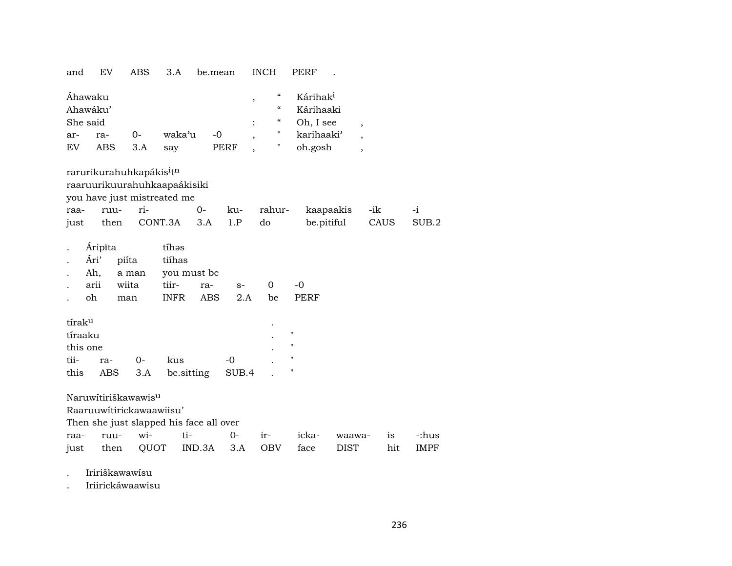| and                   | EV                                                   | <b>ABS</b>                                                  | 3.A                                                         | be.mean                          |                                                              | <b>INCH</b>                                                            | <b>PERF</b>                                                                         |                                                                |      |             |
|-----------------------|------------------------------------------------------|-------------------------------------------------------------|-------------------------------------------------------------|----------------------------------|--------------------------------------------------------------|------------------------------------------------------------------------|-------------------------------------------------------------------------------------|----------------------------------------------------------------|------|-------------|
| ar-<br>EV <sub></sub> | Ahawaku<br>Ahawáku'<br>She said<br>ra-<br><b>ABS</b> | 0-<br>3.A                                                   | waka'u<br>say                                               | $-0$                             | $\, ,$<br>$\ddot{\cdot}$<br>$\overline{\phantom{a}}$<br>PERF | $\mathcal{C}\mathcal{C}$<br>$\epsilon$<br>$\epsilon\epsilon$<br>Н<br>Н | Kárihak <sup>i</sup><br>Kárihaaki<br>Oh, I see<br>karihaaki <sup>3</sup><br>oh.gosh | $\, ,$<br>$\overline{\phantom{a}}$<br>$\overline{\phantom{a}}$ |      |             |
|                       |                                                      | rarurikurahuhkapákis <sup>i</sup> t <sup>n</sup>            |                                                             |                                  |                                                              |                                                                        |                                                                                     |                                                                |      |             |
|                       |                                                      |                                                             | raaruurikuurahuhkaapaákisiki<br>you have just mistreated me |                                  |                                                              |                                                                        |                                                                                     |                                                                |      |             |
| raa-                  | ruu-                                                 | ri-                                                         |                                                             | $0-$                             | ku-                                                          | rahur-                                                                 | kaapaakis                                                                           |                                                                | -ik  | $-i$        |
| just                  | then                                                 |                                                             | CONT.3A                                                     | 3.A                              | 1.P                                                          | do                                                                     | be.pitiful                                                                          |                                                                | CAUS | SUB.2       |
|                       | Áripīta<br>Ári'<br>Ah,<br>arii<br>oh                 | piíta<br>a man<br>wiita<br>man                              | tíhas<br>tiíhas<br>tiir-<br><b>INFR</b>                     | you must be<br>ra-<br><b>ABS</b> | $S-$<br>2.A                                                  | $\overline{0}$<br>be                                                   | $-0$<br>PERF                                                                        |                                                                |      |             |
| tírak <sup>u</sup>    |                                                      |                                                             |                                                             |                                  |                                                              |                                                                        |                                                                                     |                                                                |      |             |
| tíraaku<br>this one   |                                                      |                                                             |                                                             |                                  |                                                              |                                                                        | $\pmb{\mathsf{H}}$<br>$\pmb{\mathsf{H}}$                                            |                                                                |      |             |
| tii-                  | ra-                                                  | 0-                                                          | kus                                                         |                                  | $-0$                                                         |                                                                        |                                                                                     |                                                                |      |             |
| this                  | <b>ABS</b>                                           | 3.A                                                         | be sitting                                                  |                                  | SUB.4                                                        |                                                                        |                                                                                     |                                                                |      |             |
|                       |                                                      | Naruwítiriškawawis <sup>u</sup><br>Raaruuwitirickawaawiisu' | Then she just slapped his face all over                     |                                  |                                                              |                                                                        |                                                                                     |                                                                |      |             |
| raa-                  | ruu-                                                 | wi-                                                         | ti-                                                         |                                  | $0-$                                                         | ir-                                                                    | icka-                                                                               | waawa-                                                         | is   | -:hus       |
| just                  | then                                                 |                                                             | QUOT                                                        | IND.3A                           | 3.A                                                          | <b>OBV</b>                                                             | face                                                                                | <b>DIST</b>                                                    | hit  | <b>IMPF</b> |
|                       |                                                      |                                                             |                                                             |                                  |                                                              |                                                                        |                                                                                     |                                                                |      |             |

. Iririškawawísu

. Iriirickáwaawisu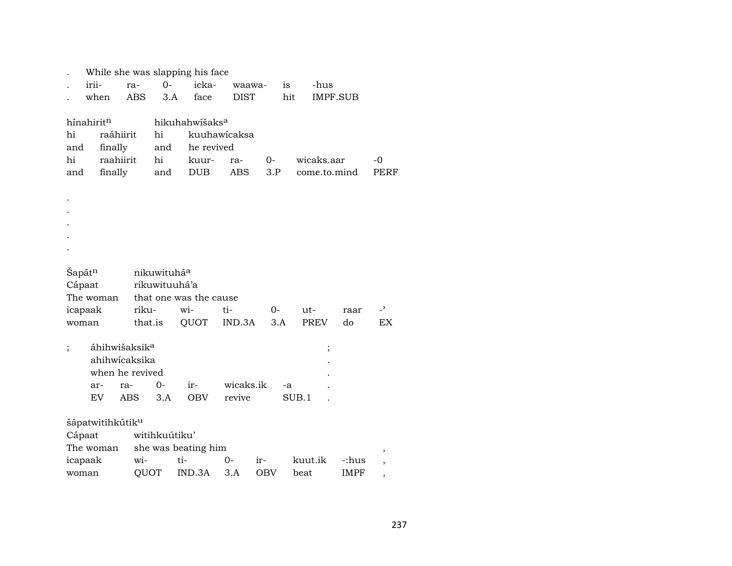|                        |       |                              |                           |               | While she was slapping his face |              |            |       |              |             |                          |
|------------------------|-------|------------------------------|---------------------------|---------------|---------------------------------|--------------|------------|-------|--------------|-------------|--------------------------|
|                        | irii- |                              | ra-                       | $O -$         | icka-                           | waawa-       |            | is    | -hus         |             |                          |
|                        |       | when                         | ABS                       | 3.A           | face                            | <b>DIST</b>  |            | hit   | IMPF.SUB     |             |                          |
|                        |       |                              |                           |               |                                 |              |            |       |              |             |                          |
| hínahirit <sup>n</sup> |       |                              |                           |               | hikuhahwišaks <sup>a</sup>      |              |            |       |              |             |                          |
| hi                     |       | raáhiirit                    |                           | hi            |                                 | kuuhawicaksa |            |       |              |             |                          |
| and                    |       | finally                      |                           | and           | he revived                      |              |            |       |              |             |                          |
| hi                     |       | raahiirit                    |                           | hi            | kuur-                           | ra-          | $0-$       |       | wicaks.aar   |             | -0                       |
| and                    |       | finally                      |                           | and           | DUB                             | ABS          | 3.P        |       | come.to.mind |             | PERF                     |
|                        |       |                              |                           |               |                                 |              |            |       |              |             |                          |
|                        |       |                              |                           |               |                                 |              |            |       |              |             |                          |
|                        |       |                              |                           |               |                                 |              |            |       |              |             |                          |
|                        |       |                              |                           |               |                                 |              |            |       |              |             |                          |
|                        |       |                              |                           |               |                                 |              |            |       |              |             |                          |
|                        |       |                              |                           |               |                                 |              |            |       |              |             |                          |
| Šapát <sup>n</sup>     |       |                              |                           | nikuwituháa   |                                 |              |            |       |              |             |                          |
| Cápaat                 |       |                              |                           | rikuwituuhá'a |                                 |              |            |       |              |             |                          |
|                        |       | The woman                    |                           |               | that one was the cause          |              |            |       |              |             |                          |
| icapaak                |       |                              | riku-                     |               | wi-                             | ti-          | $0-$       |       | ut-          | raar        | $\overline{\phantom{0}}$ |
| woman                  |       |                              | that.is                   |               | QUOT                            | IND.3A       | 3.A        |       | <b>PREV</b>  | do          | EX                       |
|                        |       |                              |                           |               |                                 |              |            |       |              |             |                          |
|                        |       |                              | áhihwišaksik <sup>a</sup> |               |                                 |              |            |       | $\vdots$     |             |                          |
|                        |       |                              | ahihwicaksika             |               |                                 |              |            |       |              |             |                          |
|                        |       |                              | when he revived           |               |                                 |              |            |       |              |             |                          |
|                        |       | ar-                          | ra-                       | $0-$          | ir-                             | wicaks.ik    |            | -a    |              |             |                          |
|                        |       | EV.                          | <b>ABS</b>                | 3.A           | <b>OBV</b>                      | revive       |            | SUB.1 |              |             |                          |
|                        |       |                              |                           |               |                                 |              |            |       |              |             |                          |
|                        |       | šápatwitihkútik <sup>u</sup> |                           |               |                                 |              |            |       |              |             |                          |
| Cápaat                 |       |                              |                           | witihkuútiku' |                                 |              |            |       |              |             |                          |
|                        |       | The woman                    |                           |               | she was beating him             |              |            |       |              |             | ,                        |
| icapaak                |       |                              | wi-                       |               | ti-                             | 0-           | ir-        |       | kuut.ik      | -:hus       | ,                        |
| woman                  |       |                              | QUOT                      |               | IND.3A                          | 3.A          | <b>OBV</b> | beat  |              | <b>IMPF</b> | ,                        |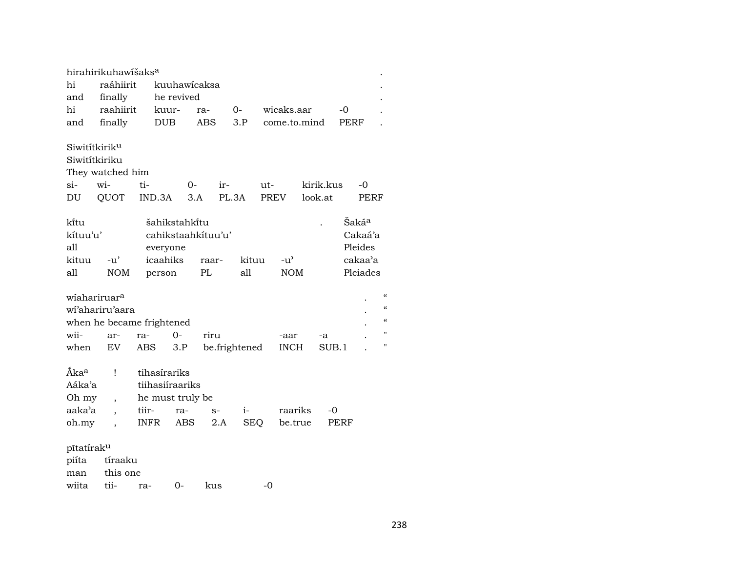|                                                           | hirahirikuhawišaks <sup>a</sup>              |                                                                             |                                       |                                 |               |                    |                    |                             |                      |             |                                                    |                                        |
|-----------------------------------------------------------|----------------------------------------------|-----------------------------------------------------------------------------|---------------------------------------|---------------------------------|---------------|--------------------|--------------------|-----------------------------|----------------------|-------------|----------------------------------------------------|----------------------------------------|
| hi                                                        | raáhiirit                                    |                                                                             | kuuhawicaksa                          |                                 |               |                    |                    |                             |                      |             |                                                    |                                        |
| and                                                       | finally                                      |                                                                             | he revived                            |                                 |               |                    |                    |                             |                      |             |                                                    |                                        |
| hi                                                        | raahiirit                                    | kuur-                                                                       |                                       | ra-                             |               | $O-$               |                    | wicaks.aar                  |                      | -0          |                                                    |                                        |
| and                                                       | finally                                      | <b>DUB</b>                                                                  |                                       | <b>ABS</b>                      |               | 3.P                |                    | come.to.mind                |                      | <b>PERF</b> |                                                    |                                        |
| Siwitítkirik <sup>u</sup><br>Siwitítkiriku<br>$si-$<br>DU | They watched him<br>wi-<br>QUOT              | ti-<br>IND.3A                                                               | 0-                                    | 3.A                             | ir-<br>PL.3A  |                    | ut-<br><b>PREV</b> |                             | kirik.kus<br>look.at |             | -0<br><b>PERF</b>                                  |                                        |
| ki̇̃tu<br>kítuu'u'<br>all<br>kituu<br>all                 | -u'<br><b>NOM</b>                            | everyone<br>icaahiks<br>person                                              | šahikstahki̇̃tu<br>cahikstaahkituu'u' | raar-<br>$\mathbf{P}\mathbf{L}$ |               | kituu<br>all       |                    | $-u^{\prime}$<br><b>NOM</b> |                      |             | Šakáª<br>Cakaá'a<br>Pleides<br>cakaa'a<br>Pleiades |                                        |
| wiahariruar <sup>a</sup>                                  | wi'ahariru'aara<br>when he became frightened |                                                                             |                                       |                                 |               |                    |                    |                             |                      |             |                                                    | $\epsilon$<br>$\epsilon$<br>$\epsilon$ |
| wii-                                                      | ar-                                          | ra-                                                                         | $0 -$                                 | riru                            |               |                    |                    | -aar                        | -a                   |             |                                                    | $^{\prime}$                            |
| when                                                      | EV                                           | ABS                                                                         | 3.P                                   |                                 | be.frightened |                    |                    | <b>INCH</b>                 | SUB.1                |             |                                                    | 11                                     |
| Áka <sup>a</sup><br>Aáka'a<br>Oh my<br>aaka'a<br>oh.my    | Ţ<br>$\overline{\phantom{a}}$                | tihasírariks<br>tiihasiíraariks<br>he must truly be<br>tiir-<br><b>INFR</b> | ra-<br>ABS                            | $S-$                            | 2.A           | $i-$<br><b>SEQ</b> |                    | raariks<br>be.true          | $-0$<br>PERF         |             |                                                    |                                        |
| pītatiraku                                                |                                              |                                                                             |                                       |                                 |               |                    |                    |                             |                      |             |                                                    |                                        |
| piíta                                                     | tíraaku                                      |                                                                             |                                       |                                 |               |                    |                    |                             |                      |             |                                                    |                                        |
| man                                                       | this one                                     |                                                                             |                                       |                                 |               |                    |                    |                             |                      |             |                                                    |                                        |
| wiita                                                     | tii-                                         | ra-                                                                         | 0-                                    | kus                             |               |                    | $-0$               |                             |                      |             |                                                    |                                        |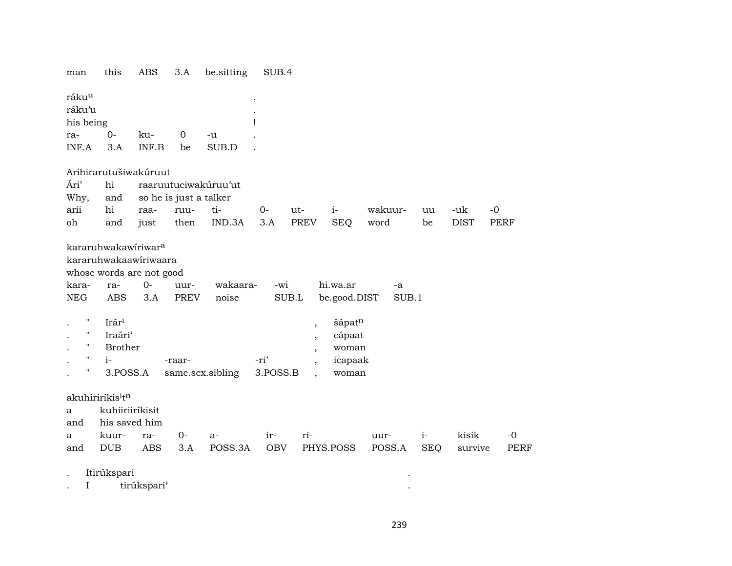| man                                                       | this                                                                                                           | ABS                                                               | 3.A                           | be.sitting           | SUB.4       |                                                                          |                                                                  |             |            |             |             |
|-----------------------------------------------------------|----------------------------------------------------------------------------------------------------------------|-------------------------------------------------------------------|-------------------------------|----------------------|-------------|--------------------------------------------------------------------------|------------------------------------------------------------------|-------------|------------|-------------|-------------|
| ráku <sup>u</sup><br>ráku'u<br>his being                  |                                                                                                                |                                                                   |                               |                      | ı           |                                                                          |                                                                  |             |            |             |             |
| ra-                                                       | 0-                                                                                                             | ku-                                                               | 0                             | -u                   |             |                                                                          |                                                                  |             |            |             |             |
| INF.A                                                     | 3.A                                                                                                            | INF.B                                                             | be                            | SUB.D                |             |                                                                          |                                                                  |             |            |             |             |
|                                                           |                                                                                                                | Arihirarutušiwakúruut                                             |                               |                      |             |                                                                          |                                                                  |             |            |             |             |
| Ári'                                                      | hi                                                                                                             |                                                                   |                               | raaruutuciwakúruu'ut |             |                                                                          |                                                                  |             |            |             |             |
| Why,                                                      | and                                                                                                            | so he is just a talker                                            |                               |                      |             |                                                                          |                                                                  |             |            |             |             |
| arii                                                      | hi                                                                                                             | raa-                                                              | ruu-                          | ti-                  | $0-$        | ut-                                                                      | $i-$                                                             | wakuur-     | uu         | -uk         | $-0$        |
| oh                                                        | and                                                                                                            | just                                                              | then                          | IND.3A               | 3.A         | PREV                                                                     | <b>SEQ</b>                                                       | word        | be         | <b>DIST</b> | <b>PERF</b> |
| kara-<br><b>NEG</b><br>н.<br>н<br>н<br>$\pmb{\mathsf{H}}$ | kararuhwakawiriwar <sup>a</sup><br>ra-<br><b>ABS</b><br>Irár <sup>i</sup><br>Iraári'<br><b>Brother</b><br>$i-$ | kararuhwakaawiriwaara<br>whose words are not good<br>$O -$<br>3.A | uur-<br><b>PREV</b><br>-raar- | wakaara-<br>noise    | -wi<br>-ri' | SUB.L<br>$\overline{\phantom{a}}$<br>$\overline{\phantom{a}}$<br>$\cdot$ | hi.wa.ar<br>be.good.DIST<br>šápatn<br>cápaat<br>woman<br>icapaak | -a<br>SUB.1 |            |             |             |
| н                                                         | 3.POSS.A                                                                                                       |                                                                   |                               | same.sex.sibling     | 3.POSS.B    | $\ddot{\phantom{0}}$                                                     | woman                                                            |             |            |             |             |
| a<br>and                                                  | akuhiriríkis <sup>i</sup> t <sup>n</sup><br>kuhiiriiríkisit<br>his saved him                                   |                                                                   |                               |                      |             |                                                                          |                                                                  |             |            |             |             |
| a                                                         | kuur-                                                                                                          | ra-                                                               | $0-$                          | $a-$                 | ir-         | ri-                                                                      |                                                                  | uur-        | $i-$       | kisik       | $-0$        |
| and                                                       | <b>DUB</b>                                                                                                     | <b>ABS</b>                                                        | 3.A                           | POSS.3A              | OBV         |                                                                          | PHYS.POSS                                                        | POSS.A      | <b>SEQ</b> | survive     | <b>PERF</b> |
|                                                           | Itirúkspari                                                                                                    |                                                                   |                               |                      |             |                                                                          |                                                                  |             |            |             |             |
| $\mathbf I$                                               |                                                                                                                | tirúkspari'                                                       |                               |                      |             |                                                                          |                                                                  |             |            |             |             |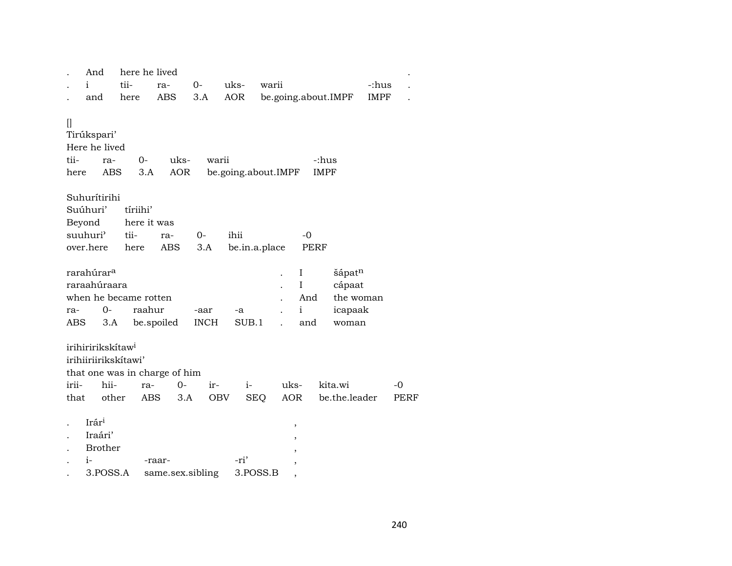|                      | And                                                              | here he lived                        |                            |                     |                  |                      |                                            |                                                               |             |      |
|----------------------|------------------------------------------------------------------|--------------------------------------|----------------------------|---------------------|------------------|----------------------|--------------------------------------------|---------------------------------------------------------------|-------------|------|
|                      | $\mathbf{i}$                                                     | tii-                                 | ra-                        | $0-$                | uks-             | warii                |                                            |                                                               | -:hus       |      |
|                      | and                                                              | here                                 | ABS                        | 3.A                 | AOR              |                      | be.going.about.IMPF                        |                                                               | <b>IMPF</b> |      |
| $[]$<br>tii-<br>here | Tirúkspari'<br>Here he lived<br>ra-<br>ABS                       | $0-$<br>3.A                          | uks-<br>AOR                | warii               |                  | be.going.about.IMPF  | -:hus<br><b>IMPF</b>                       |                                                               |             |      |
|                      | Suhurítirihi                                                     |                                      |                            |                     |                  |                      |                                            |                                                               |             |      |
|                      | Suúhuri'                                                         | tíriihi'                             |                            |                     |                  |                      |                                            |                                                               |             |      |
|                      | Beyond                                                           | here it was                          |                            |                     |                  |                      |                                            |                                                               |             |      |
|                      | suuhuri'                                                         | tii-                                 | ra-                        | 0-                  | ihii             |                      | $-0$                                       |                                                               |             |      |
|                      | over.here                                                        | here                                 | ABS                        | 3.A                 | be.in.a.place    |                      | PERF                                       |                                                               |             |      |
| ra-<br>ABS           | rarahúrar <sup>a</sup><br>raraahúraara<br>0-<br>3.A              | when he became rotten<br>raahur      | be.spoiled                 | -aar<br><b>INCH</b> | -a<br>SUB.1      | $\ddot{\phantom{0}}$ | I<br>$\rm I$<br>And<br>$\mathbf{i}$<br>and | šápat <sup>n</sup><br>cápaat<br>the woman<br>icapaak<br>woman |             |      |
| irii-                | irihiririkskítaw <sup>i</sup><br>irihiiriirikskítawi'<br>hii-    | that one was in charge of him<br>ra- | $0-$                       | $ir-$               | $i-$             | uks-                 |                                            | kita.wi                                                       |             | $-0$ |
| that                 | other                                                            | ABS                                  | 3.A                        | OBV                 | <b>SEQ</b>       | AOR                  |                                            | be.the.leader                                                 |             | PERF |
|                      | Irár <sup>i</sup><br>Iraári'<br><b>Brother</b><br>i-<br>3.POSS.A |                                      | -raar-<br>same.sex.sibling |                     | -ri'<br>3.POSS.B |                      | ,                                          |                                                               |             |      |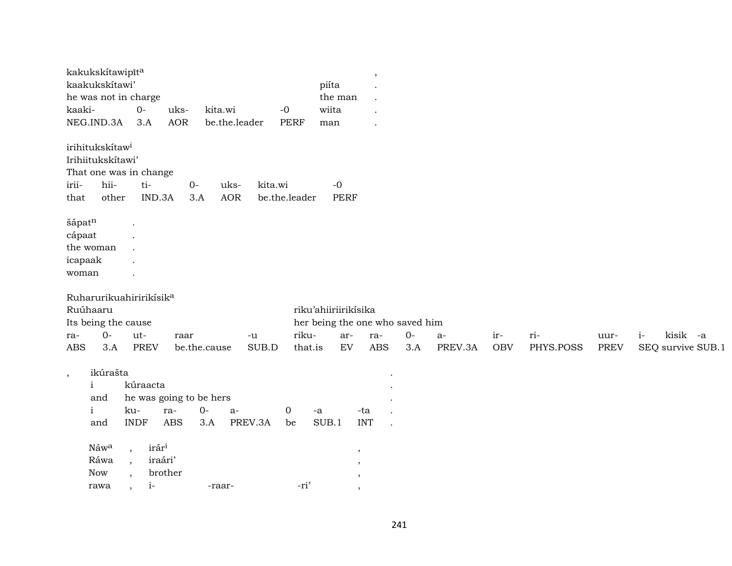| kaakukskítawi'<br>piíta<br>he was not in charge<br>the man<br>$O-$<br>wiita<br>kaaki-<br>uks-<br>kita.wi<br>$-0$<br>NEG.IND.3A<br><b>AOR</b><br>3.A<br>be.the.leader<br><b>PERF</b><br>man<br>irihitukskítaw <sup>i</sup><br>Irihiitukskítawi' |  |
|------------------------------------------------------------------------------------------------------------------------------------------------------------------------------------------------------------------------------------------------|--|
|                                                                                                                                                                                                                                                |  |
|                                                                                                                                                                                                                                                |  |
|                                                                                                                                                                                                                                                |  |
|                                                                                                                                                                                                                                                |  |
|                                                                                                                                                                                                                                                |  |
|                                                                                                                                                                                                                                                |  |
| That one was in change                                                                                                                                                                                                                         |  |
| hii-<br>irii-<br>ti-<br>$O-$<br>uks-<br>kita.wi<br>$-0$                                                                                                                                                                                        |  |
| IND.3A<br><b>PERF</b><br>other<br><b>AOR</b><br>be.the.leader<br>3.A<br>that                                                                                                                                                                   |  |
| šápatn                                                                                                                                                                                                                                         |  |
| cápaat                                                                                                                                                                                                                                         |  |
| the woman                                                                                                                                                                                                                                      |  |
| icapaak                                                                                                                                                                                                                                        |  |
| woman                                                                                                                                                                                                                                          |  |
| Ruharurikuahiririkisik <sup>a</sup>                                                                                                                                                                                                            |  |
| Ruúhaaru<br>riku'ahiiriirikisika                                                                                                                                                                                                               |  |
| Its being the cause<br>her being the one who saved him                                                                                                                                                                                         |  |
| kisik -a<br>$0-$<br>riku-<br>ut-<br>$O -$<br>ar-<br>ra-<br>ir-<br>ri-<br>$i-$<br>$a-$<br>uur-<br>ra-<br>raar<br>-u                                                                                                                             |  |
| <b>PREV</b><br>EV<br><b>ABS</b><br><b>PREV</b><br><b>ABS</b><br>3.A<br>be.the.cause<br>SUB.D<br>3.A<br>PREV.3A<br><b>OBV</b><br>PHYS.POSS<br>SEQ survive SUB.1<br>that.is                                                                      |  |
| ikúrašta                                                                                                                                                                                                                                       |  |
| $\,$<br>kúraacta<br>$\mathbf{i}$                                                                                                                                                                                                               |  |
| he was going to be hers<br>and                                                                                                                                                                                                                 |  |
| $0-$<br>$\mathbf{i}$<br>ku-<br>ra-<br>0<br>-ta<br>a-<br>-a                                                                                                                                                                                     |  |
| <b>ABS</b><br><b>INT</b><br><b>INDF</b><br>PREV.3A<br>SUB.1<br>3.A<br>and<br>be                                                                                                                                                                |  |
|                                                                                                                                                                                                                                                |  |
|                                                                                                                                                                                                                                                |  |
| irár <sup>i</sup><br>Náwa<br>$\overline{\phantom{a}}$<br>$\cdot$                                                                                                                                                                               |  |
| Ráwa<br>iraári'<br>$\overline{\phantom{a}}$<br>,<br>brother<br>Now<br>,                                                                                                                                                                        |  |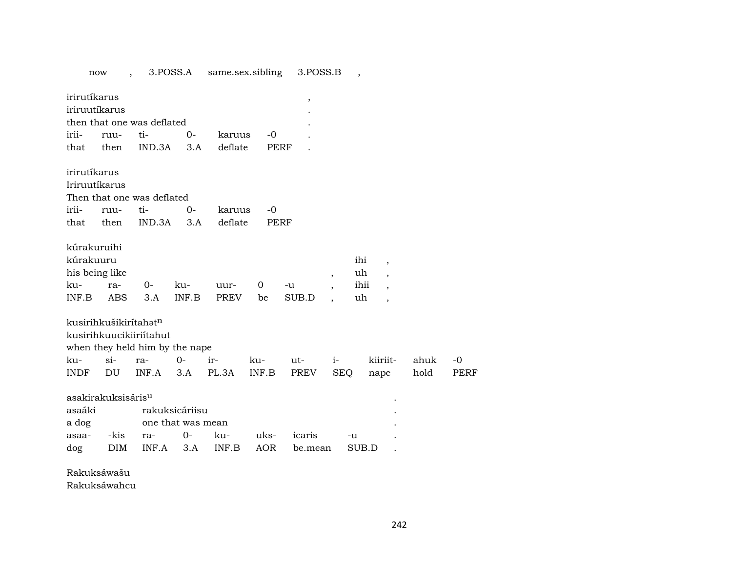|              | now                               |                                | 3.POSS.A          | same.sex.sibling |       | 3.POSS.B    |                          | $\cdot$ |                          |      |             |
|--------------|-----------------------------------|--------------------------------|-------------------|------------------|-------|-------------|--------------------------|---------|--------------------------|------|-------------|
| irirutíkarus | iriruutíkarus                     |                                |                   |                  |       | $\,$        |                          |         |                          |      |             |
|              |                                   | then that one was deflated     |                   |                  |       |             |                          |         |                          |      |             |
| irii-        | ruu-                              | ti-                            | $O -$             | karuus           | $-0$  |             |                          |         |                          |      |             |
| that         | then                              | IND.3A                         | 3.A               | deflate          |       | <b>PERF</b> |                          |         |                          |      |             |
| irirutíkarus |                                   |                                |                   |                  |       |             |                          |         |                          |      |             |
|              | Iriruutíkarus                     |                                |                   |                  |       |             |                          |         |                          |      |             |
|              |                                   | Then that one was deflated     |                   |                  |       |             |                          |         |                          |      |             |
| irii-        | ruu-                              | ti-                            | $0 -$             | karuus           | $-0$  |             |                          |         |                          |      |             |
| that         | then                              | IND.3A                         | 3.A               | deflate          |       | PERF        |                          |         |                          |      |             |
| kúrakuruihi  |                                   |                                |                   |                  |       |             |                          |         |                          |      |             |
| kúrakuuru    |                                   |                                |                   |                  |       |             |                          | ihi     | $\overline{\phantom{a}}$ |      |             |
|              | his being like                    |                                |                   |                  |       |             | $\overline{\phantom{a}}$ | uh      | $\overline{\phantom{a}}$ |      |             |
| ku-          | ra-                               | 0-                             | ku-               | uur-             | 0     | -u          | $\overline{\phantom{a}}$ | ihii    | $\cdot$                  |      |             |
| INF.B        | <b>ABS</b>                        | 3.A                            | INF.B             | PREV             | be    | SUB.D       | $\ddot{\phantom{0}}$     | uh      | $\overline{\phantom{a}}$ |      |             |
|              | kusirihkušikiritahət <sup>n</sup> |                                |                   |                  |       |             |                          |         |                          |      |             |
|              |                                   | kusirihkuucikiiriitahut        |                   |                  |       |             |                          |         |                          |      |             |
|              |                                   | when they held him by the nape |                   |                  |       |             |                          |         |                          |      |             |
| ku-          | $\sin$                            | ra-                            | $0-$              | ir-              | ku-   | ut-         | $i-$                     |         | kiiriit-                 | ahuk | $-0$        |
| <b>INDF</b>  | <b>DU</b>                         | INF.A                          | 3.A               | PL.3A            | INF.B | PREV        | <b>SEQ</b>               |         | nape                     | hold | <b>PERF</b> |
|              | asakirakuksisáris <sup>u</sup>    |                                |                   |                  |       |             |                          |         |                          |      |             |
| asaáki       |                                   |                                | rakuksicáriisu    |                  |       |             |                          |         |                          |      |             |
| a dog        |                                   |                                | one that was mean |                  |       |             |                          |         |                          |      |             |
| asaa-        | -kis                              | ra-                            | 0-                | ku-              | uks-  | icaris      |                          | -u      |                          |      |             |
| dog          | <b>DIM</b>                        | INF.A                          | 3.A               | INF.B            | AOR   | be.mean     |                          | SUB.D   |                          |      |             |

Rakuksáwašu

Rakuksáwahcu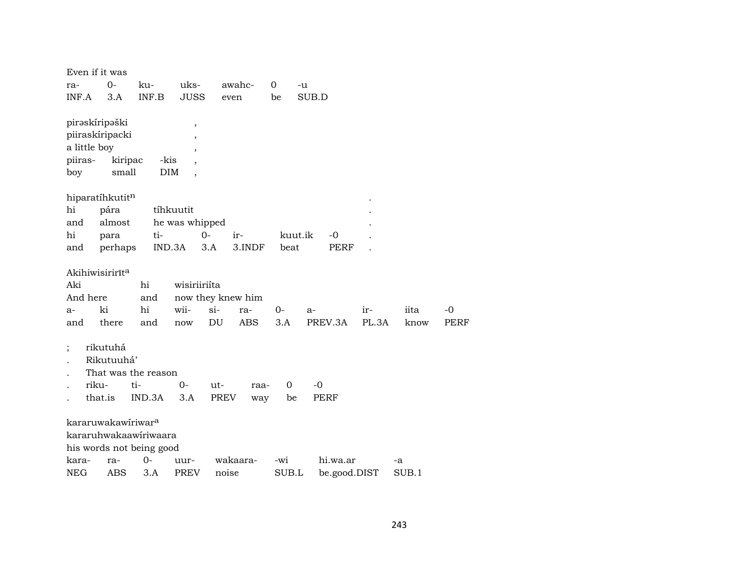| Even if it was                 |            |                            |                          |                   |          |              |       |       |      |
|--------------------------------|------------|----------------------------|--------------------------|-------------------|----------|--------------|-------|-------|------|
| ra-                            | 0-         | ku-                        | uks-                     | awahc-            | 0<br>-u  |              |       |       |      |
| INF.A                          | 3.A        | INF.B                      | <b>JUSS</b>              | even              | be       | SUB.D        |       |       |      |
|                                |            |                            |                          |                   |          |              |       |       |      |
| pirəskiripəški                 |            |                            | $\, ,$                   |                   |          |              |       |       |      |
| piiraskíripacki                |            |                            | $\overline{\phantom{a}}$ |                   |          |              |       |       |      |
| a little boy                   |            |                            | $\overline{\phantom{a}}$ |                   |          |              |       |       |      |
| piiras-                        | kiripac    | -kis                       |                          |                   |          |              |       |       |      |
| boy                            | small      | <b>DIM</b>                 |                          |                   |          |              |       |       |      |
|                                |            |                            |                          |                   |          |              |       |       |      |
| hiparatíhkutitn                |            |                            |                          |                   |          |              |       |       |      |
| hi                             | pára       |                            | tíhkuutit                |                   |          |              |       |       |      |
| and                            | almost     |                            | he was whipped           |                   |          |              |       |       |      |
| hi                             | para       | ti-                        | $0-$                     | ir-               | kuut.ik  | $-0$         |       |       |      |
| and                            | perhaps    | IND.3A                     | 3.A                      | 3.INDF            | beat     | <b>PERF</b>  |       |       |      |
|                                |            |                            |                          |                   |          |              |       |       |      |
| Akihiwisirirīt <sup>a</sup>    |            |                            |                          |                   |          |              |       |       |      |
| Aki                            |            | hi                         | wisiriiriíta             |                   |          |              |       |       |      |
| And here                       |            | and                        |                          | now they knew him |          |              |       |       |      |
| $a-$                           | ki         | hi                         | wii-                     | $si-$<br>ra-      | $0-$     | $a-$         | ir-   | iita  | $-0$ |
| and                            | there      | and                        | now                      | DU<br>ABS.        | 3.A      | PREV.3A      | PL.3A | know  | PERF |
|                                | rikutuhá   |                            |                          |                   |          |              |       |       |      |
|                                | Rikutuuhá' |                            |                          |                   |          |              |       |       |      |
|                                |            |                            |                          |                   |          |              |       |       |      |
| riku-                          |            | That was the reason<br>ti- | $0-$                     | $ut -$            | $\Omega$ | $-0$         |       |       |      |
|                                | that.is    | IND.3A                     |                          | raa-              |          | <b>PERF</b>  |       |       |      |
|                                |            |                            | 3.A                      | PREV<br>way       | be       |              |       |       |      |
| kararuwakawiriwar <sup>a</sup> |            |                            |                          |                   |          |              |       |       |      |
|                                |            | kararuhwakaawiriwaara      |                          |                   |          |              |       |       |      |
|                                |            | his words not being good   |                          |                   |          |              |       |       |      |
| kara-                          | ra-        | $0-$                       | uur-                     | wakaara-          | -wi      | hi.wa.ar     |       | -a    |      |
| <b>NEG</b>                     | <b>ABS</b> | 3.A                        | <b>PREV</b>              | noise             | SUB.L    | be.good.DIST |       | SUB.1 |      |